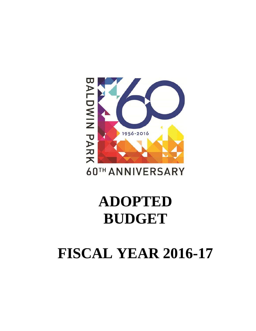## **FISCAL YEAR 2016-17**

## **ADOPTED BUDGET**

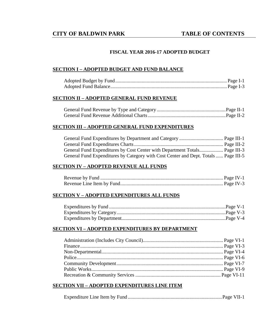#### **FISCAL YEAR 2016-17 ADOPTED BUDGET**

#### **SECTION I – ADOPTED BUDGET AND FUND BALANCE**

#### **SECTION II – ADOPTED GENERAL FUND REVENUE**

#### **SECTION III – ADOPTED GENERAL FUND EXPENDITURES**

| General Fund Expenditures by Category with Cost Center and Dept. Totals  Page III-5 |  |
|-------------------------------------------------------------------------------------|--|

#### **SECTION IV – ADOPTED REVENUE ALL FUNDS**

#### **SECTION V – ADOPTED EXPENDITURES ALL FUNDS**

#### **SECTION VI – ADOPTED EXPENDITURES BY DEPARTMENT**

#### **SECTION VII – ADOPTED EXPENDITURES LINE ITEM**

|--|--|--|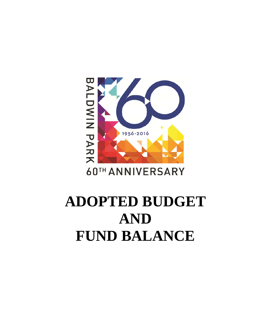# BALDWIN PARK 1956-2016

### **60TH ANNIVERSARY**

## **ADOPTED BUDGET AND FUND BALANCE**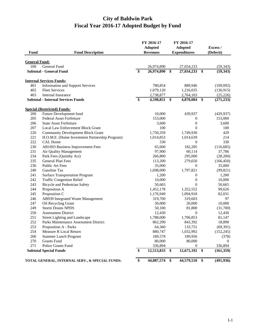#### **City of Baldwin Park Fiscal Year 2016-17 Adopted Budget by Fund**

| Fund                 | <b>Fund Description</b>                         |                 | FY 2016-17<br><b>Adopted</b><br><b>Revenues</b> |                      | FY 2016-17<br><b>Adopted</b> |                         | Excess /<br>(Defecit) |
|----------------------|-------------------------------------------------|-----------------|-------------------------------------------------|----------------------|------------------------------|-------------------------|-----------------------|
|                      |                                                 |                 |                                                 |                      | <b>Expenditures</b>          |                         |                       |
| <b>General Fund:</b> |                                                 |                 |                                                 |                      |                              |                         |                       |
| 100                  | <b>General Fund</b>                             |                 | 26,974,890                                      |                      | 27,034,233                   |                         | (59, 343)             |
|                      | <b>Subtotal - General Fund</b>                  | \$              | 26,974,890                                      | \$                   | 27,034,233                   | $\mathbf{\$}$           | (59, 343)             |
|                      | <b>Internal Services Funds:</b>                 |                 |                                                 |                      |                              |                         |                       |
| 401                  | <b>Information and Support Services</b>         |                 | 780,854                                         |                      | 889,946                      |                         | (109,092)             |
| 402                  | <b>Fleet Services</b>                           |                 | 1,079,120                                       |                      | 1,216,035                    |                         | (136,915)             |
| 403                  | Internal Insurance                              |                 | 2,738,877                                       |                      | 2,764,103                    |                         | (25, 226)             |
|                      | <b>Subtotal - Internal Services Funds</b>       | \$              | 4,598,851                                       | - \$                 | 4,870,084                    | $\mathbf{\$}$           | (271, 233)            |
|                      | <b>Special (Restricted) Funds:</b>              |                 |                                                 |                      |                              |                         |                       |
| 200                  | Future Development fund                         |                 | 10,000                                          |                      | 439,937                      |                         | (429, 937)            |
| 205                  | <b>Federal Asset Forfeiture</b>                 |                 | 153,000                                         |                      | 0                            |                         | 153,000               |
| 206                  | <b>State Asset Forfeiture</b>                   |                 | 3,600                                           |                      | $\boldsymbol{0}$             |                         | 3,600                 |
| 207                  | Local Law Enforcement Block Grant               |                 | 100                                             |                      | $\overline{0}$               |                         | 100                   |
| 220                  | <b>Community Development Block Grant</b>        |                 | 1,750,359                                       |                      | 1,749,930                    |                         | 429                   |
| 221                  | H.O.M.E. (Home Investment Partnership Program)  |                 | 1,014,853                                       |                      | 1,014,639                    |                         | 214                   |
| 222                  | <b>CAL Home</b>                                 |                 | 330                                             |                      | $\mathbf{0}$                 |                         | 330                   |
| 230                  | AB1693 Business Improvement Fees                |                 | 65,600                                          |                      | 182,285                      |                         | (116, 685)            |
| 231                  | Air Quality Management                          |                 | 97,900                                          |                      | 60,114                       |                         | 37,786                |
| 234                  | Park Fees (Quimby Act)                          |                 | 266,800                                         |                      | 295,000                      |                         | (28,200)              |
| 235                  | General Plan Fees                               |                 | 113,200                                         |                      | 279,650                      |                         | (166, 450)            |
| 236                  | Public Art Fees                                 |                 | 35,000                                          |                      | $\boldsymbol{0}$             |                         | 35,000                |
| 240                  | Gasoline Tax                                    |                 | 1,698,000                                       |                      | 1,797,821                    |                         | (99, 821)             |
| 241                  | <b>Surface Transportation Program</b>           |                 | 1,200                                           |                      | $\boldsymbol{0}$             |                         | 1,200                 |
| 242                  | <b>Traffic Congestion Relief</b>                |                 | 10,000                                          |                      | $\boldsymbol{0}$             |                         | 10,000                |
| 243                  | <b>Bicycle and Pedestrian Safety</b>            |                 | 50,665                                          |                      | $\overline{0}$               |                         | 50,665                |
| 244                  | Proposition A                                   |                 | 1,452,178                                       |                      | 1,352,552                    |                         | 99,626                |
| 245                  | Proposition C                                   |                 | 1,176,949                                       |                      | 1,094,918                    |                         | 82,031                |
| 246                  | AB939 Integrated Waste Management               |                 | 319,700                                         |                      | 319,603                      |                         | 97                    |
| 247                  | Oil Recycling Grant                             |                 | 30,000                                          |                      | 20,000                       |                         | 10,000                |
| 249                  | <b>Storm Drains NPDS</b>                        |                 | 50,100                                          |                      | 81,800                       |                         | (31,700)              |
| 250                  | <b>Assessment District</b>                      |                 | 12,430                                          |                      | $\mathbf{0}$                 |                         | 12,430                |
| 251                  | Street Lighting and Landscape                   |                 | 1,788,000                                       |                      | 1,706,853                    |                         | 81,147                |
| 252                  | Parks Maintenance Assessment District           |                 | 862,290                                         |                      | 843,392                      |                         | 18,898                |
| 253                  | Proposition A - Parks                           |                 | 64,360                                          |                      | 133.751                      |                         | (69, 391)             |
| 254                  | Measure R Local Return                          |                 | 880,747                                         |                      | 1,032,992                    |                         | (152, 245)            |
| 260                  | Summer Lunch Program                            |                 | 189,578                                         |                      | 189,956                      |                         | (378)                 |
| 270                  | <b>Grants Fund</b>                              |                 | 80,000                                          |                      | 80,000                       |                         | $\Omega$              |
| 271                  | Police Grants Fund                              |                 | 336,894                                         |                      | $\theta$                     |                         | 336,894               |
|                      | <b>Subtotal Special Funds</b>                   | \$              | 12,513,833                                      | \$                   | 12,675,192                   | $\mathbf{\$}$           | (161, 359)            |
|                      | TOTAL GENERAL, INTERNAL SERV., & SPECIAL FUNDS: | $\overline{\$}$ | 44,087,574                                      | $\overline{\bullet}$ | 44,579,510                   | $\overline{\mathbf{S}}$ | (491, 936)            |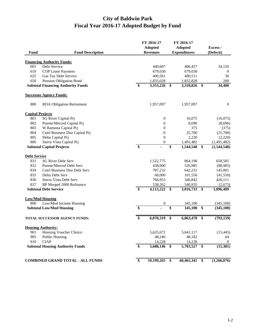#### **City of Baldwin Park Fiscal Year 2016-17 Adopted Budget by Fund**

| <b>Fund</b>             | <b>Fund Description</b>                                  | FY 2016-17<br><b>Adopted</b><br><b>Revenues</b> | FY 2016-17<br><b>Adopted</b><br><b>Expenditures</b> |               | Excess /<br>(Defecit) |
|-------------------------|----------------------------------------------------------|-------------------------------------------------|-----------------------------------------------------|---------------|-----------------------|
|                         |                                                          |                                                 |                                                     |               |                       |
| 601                     | <b>Financing Authority Funds:</b><br>Debt Service        | 440,607                                         | 406,457                                             |               | 34,150                |
| 610                     | COP Lease Payment                                        | 679,030                                         | 679,030                                             |               | $\overline{0}$        |
| 625                     | Gas Tax Debt Service                                     | 400,561                                         | 400,511                                             |               | 50                    |
| 650                     | Pension Obligation Bond                                  | 1,833,028                                       | 1,832,828                                           |               | 200                   |
|                         | <b>Subtotal Financing Authority Funds</b>                | \$<br>3,353,226                                 | \$<br>3,318,826                                     | \$            | 34,400                |
|                         | <b>Successor Agency Funds:</b>                           |                                                 |                                                     |               |                       |
| 800                     | <b>RDA Obligation Retirement</b>                         | 1,957,097                                       | 1,957,097                                           |               | $\mathbf{0}$          |
| <b>Capital Projects</b> |                                                          |                                                 |                                                     |               |                       |
| 801                     | SG River Capital Prj                                     | $\mathbf{0}$                                    | 16,075                                              |               | (16,075)              |
| 802                     | Puente/Merced Capital Prj                                | $\boldsymbol{0}$                                | 8,696                                               |               | (8,696)               |
| 803                     | W Ramona Capital Prj                                     | $\boldsymbol{0}$                                | 375                                                 |               | (375)                 |
| 804                     | Cntrl Business Dist Capital Prj                          | $\boldsymbol{0}$                                | 25,700                                              |               | (25,700)              |
| 805                     | Delta Capital Prj                                        | $\boldsymbol{0}$                                | 2,220                                               |               | (2,220)               |
| 806                     | Sierra Vista Capital Prj                                 | $\boldsymbol{0}$                                | 1,491,482                                           |               | (1,491,482)           |
|                         | <b>Subtotal Capital Projects</b>                         | \$                                              | \$<br>1,544,548                                     | \$            | (1,544,548)           |
| <b>Debt Service</b>     |                                                          |                                                 |                                                     |               |                       |
| 831                     | <b>SG River Debt Serv</b>                                | 1,522,775                                       | 864,190                                             |               | 658,585               |
| 832                     | Puente/Merced Debt Serv                                  | 438,000                                         | 526,985                                             |               | (88,985)              |
| 834                     | <b>Cntrl Business Dist Debt Serv</b>                     | 787,232                                         | 642,231                                             |               | 145,001               |
| 835                     | Delta Debt Serv                                          | 60,000                                          | 101,550                                             |               | (41, 550)             |
| 836<br>837              | Sierra Vista Debt Serv                                   | 766,953                                         | 340,842                                             |               | 426,111               |
|                         | BP Merged 2000 Refinance<br><b>Subtotal Debt Service</b> | \$<br>538,262<br>4,113,222                      | \$<br>540,935<br>3,016,733                          | \$            | (2,673)<br>1,096,489  |
|                         | <b>Low/Mod Housing</b>                                   |                                                 |                                                     |               |                       |
| 890                     | Low/Mod Income Housing                                   | $\boldsymbol{0}$                                | 345,100                                             |               | (345,100)             |
|                         | <b>Subtotal Low/Mod Housing</b>                          | \$                                              | \$<br>345,100                                       | \$            | (345, 100)            |
|                         | <b>TOTAL SUCCESSOR AGENCY FUNDS:</b>                     | \$<br>6,070,319                                 | \$<br>6,863,478                                     | \$            | (793, 159)            |
|                         | <b>Housing Authority:</b>                                |                                                 |                                                     |               |                       |
| 901                     | Housing Voucher Choice                                   | 5,625,672                                       | 5,641,117                                           |               | (15, 445)             |
| 905                     | <b>Public Housing</b>                                    | 48,246                                          | 48,182                                              |               | 64                    |
| 910                     | <b>CIAP</b>                                              | 14,228                                          | 14,228                                              |               | $\overline{0}$        |
|                         | <b>Subtotal Housing Authority Funds</b>                  | \$<br>5,688,146 \$                              | 5,703,527                                           | $\mathbf{\$}$ | (15,381)              |
|                         | <b>COMBINED GRAND TOTAL - ALL FUNDS</b>                  | \$<br>59,199,265 \$                             | 60,465,341                                          | $\mathbf{\$}$ | (1,266,076)           |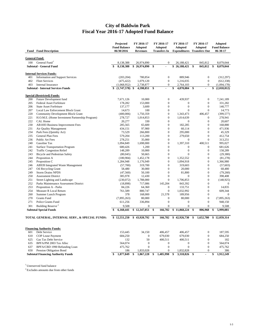#### **City of Baldwin Park Fiscal Year 2016-17 Adopted Fund Balance**

|                             | <b>Fund Fund Description</b>                                               | Projected<br><b>Fund Balance</b><br>06/30/2016 | FY 2016-17<br><b>Adopted</b><br><b>Revenues</b> |     | FY 2016-17<br><b>Adopted</b><br><b>Transfers In</b> | FY 2016-17<br><b>Adopted</b><br><b>Expenditures</b> Transfers Out | FY 2016-17<br><b>Adopted</b>     | <b>Adopted</b><br><b>Fund Balance</b><br>06-30-17 |
|-----------------------------|----------------------------------------------------------------------------|------------------------------------------------|-------------------------------------------------|-----|-----------------------------------------------------|-------------------------------------------------------------------|----------------------------------|---------------------------------------------------|
|                             |                                                                            |                                                |                                                 |     |                                                     |                                                                   |                                  |                                                   |
| <b>General Fund:</b><br>100 | General Fund <sup>1</sup>                                                  | 8,138,388                                      | 26,974,890                                      |     | $\boldsymbol{0}$                                    | 26,188,421                                                        | 845,812                          | 8,079,044                                         |
|                             | <b>Subtotal - General Fund</b>                                             | 8,138,388                                      | \$<br>26,974,890                                | -\$ |                                                     | \$<br>26,188,421                                                  | \$<br>845,812                    | \$<br>8,079,044                                   |
|                             |                                                                            |                                                |                                                 |     |                                                     |                                                                   |                                  |                                                   |
| 401                         | <b>Internal Services Funds:</b><br><b>Information and Support Services</b> | (203, 204)                                     | 780,854                                         |     | $\boldsymbol{0}$                                    | 889,946                                                           | $\boldsymbol{0}$                 | (312, 297)                                        |
| 402                         | <b>Fleet Services</b>                                                      | (475, 422)                                     | 1,079,120                                       |     | $\boldsymbol{0}$                                    | 1,216,035                                                         | $\boldsymbol{0}$                 | (612, 338)                                        |
| 403                         | <b>Internal Insurance</b>                                                  | (1,068,952)                                    | 2,738,877                                       |     | $\boldsymbol{0}$                                    | 2,764,103                                                         | $\boldsymbol{0}$                 | (1,094,178)                                       |
|                             | <b>Subtotal - Internal Services Funds</b>                                  | \$<br>$(1,747,578)$ \$                         | 4,598,851                                       | \$  |                                                     | \$<br>4,870,084                                                   | \$<br>$\blacksquare$             | \$<br>(2,018,812)                                 |
|                             | <b>Special (Restricted) Funds:</b>                                         |                                                |                                                 |     |                                                     |                                                                   |                                  |                                                   |
| 200                         | Future Development fund                                                    | 7,671,126                                      | 10,000                                          |     | $\boldsymbol{0}$                                    | 439,937                                                           | $\boldsymbol{0}$                 | 7,241,189                                         |
| 205                         | <b>Federal Asset Forfeiture</b>                                            | 178,282                                        | 153,000                                         |     | $\boldsymbol{0}$                                    | $\mathbf{0}$                                                      | $\mathbf{0}$                     | 331,282                                           |
| 206                         | <b>State Asset Forfeiture</b>                                              | 137,177                                        | 3,600                                           |     | $\boldsymbol{0}$                                    | $\boldsymbol{0}$                                                  | $\mathbf{0}$                     | 140,777                                           |
| 207                         | Local Law Enforcement Block Grant                                          | 14,673                                         | 100                                             |     | $\boldsymbol{0}$                                    | $\mathbf{0}$                                                      | $\mathbf{0}$                     | 14,773                                            |
| 220                         | <b>Community Development Block Grant</b>                                   | (400,006)                                      | 1,750,359                                       |     | $\boldsymbol{0}$                                    | 1,343,473                                                         | 406,457                          | (399, 577)                                        |
| 221                         | H.O.M.E. (Home Investment Partnership Program)                             | 278,727                                        | 1,014,853                                       |     | $\boldsymbol{0}$                                    | 1,014,639                                                         | $\boldsymbol{0}$                 | 278,941                                           |
| 222                         | CAL Home                                                                   | 20,277                                         | 330                                             |     | $\boldsymbol{0}$                                    | $\mathbf{0}$                                                      | $\boldsymbol{0}$                 | 20,607                                            |
| 230                         | AB1693 Business Improvement Fees                                           | 285,565                                        | 65,600                                          |     | $\boldsymbol{0}$                                    | 182,285                                                           | $\boldsymbol{0}$                 | 168,880                                           |
| 231                         | Air Quality Management                                                     | 434,151                                        | 97,900                                          |     | $\boldsymbol{0}$                                    | 60,114                                                            | $\mathbf{0}$                     | 471,936                                           |
| 234                         | Park Fees (Quimby Act)                                                     | 73,529                                         | 266,800                                         |     | $\boldsymbol{0}$                                    | 295,000                                                           | $\boldsymbol{0}$                 | 45,329                                            |
| 235                         | General Plan Fees                                                          | 579,204                                        | 113,200                                         |     | $\boldsymbol{0}$                                    | 279,650                                                           | $\boldsymbol{0}$                 | 412,754                                           |
| 236                         | Public Art Fees                                                            | 278,251                                        | 35,000                                          |     | $\boldsymbol{0}$                                    | $\mathbf{0}$                                                      | $\mathbf{0}$                     | 313,251                                           |
| 240                         | Gasoline Tax                                                               | 1,094,849                                      | 1,698,000                                       |     | $\boldsymbol{0}$                                    | 1,397,310                                                         | 400,511                          | 995,027                                           |
| 241<br>242                  | <b>Surface Transportation Program</b><br><b>Traffic Congestion Relief</b>  | 680,426                                        | 1,200                                           |     | $\boldsymbol{0}$<br>$\mathbf{0}$                    | $\boldsymbol{0}$<br>$\boldsymbol{0}$                              | $\boldsymbol{0}$<br>$\mathbf{0}$ | 681,626<br>158,289                                |
| 243                         | <b>Bicycle and Pedestrian Safety</b>                                       | 148,289                                        | 10,000<br>50,665                                |     | $\mathbf{0}$                                        | $\mathbf{0}$                                                      | $\mathbf{0}$                     | (29, 380)                                         |
| 244                         | Proposition A                                                              | (80,045)<br>(180,904)                          | 1,452,178                                       |     | $\boldsymbol{0}$                                    | 1,352,552                                                         | $\boldsymbol{0}$                 | (81, 278)                                         |
| 245                         | Proposition C                                                              | 1,284,948                                      | 1,176,949                                       |     | $\boldsymbol{0}$                                    | 1,094,918                                                         | $\boldsymbol{0}$                 | 1,366,980                                         |
| 246                         | AB939 Integrated Waste Management                                          | (57,700)                                       | 319,700                                         |     | $\boldsymbol{0}$                                    | 319,603                                                           | $\boldsymbol{0}$                 | (57, 603)                                         |
| 247                         | Oil Recycling Grant                                                        | 58,480                                         | 30,000                                          |     | $\boldsymbol{0}$                                    | 20,000                                                            | $\boldsymbol{0}$                 | 68,480                                            |
| 249                         | <b>Storm Drains NPDS</b>                                                   | (47,560)                                       | 50,100                                          |     | $\boldsymbol{0}$                                    | 81,800                                                            | $\boldsymbol{0}$                 | (79,260)                                          |
| 250                         | <b>Assessment District</b>                                                 | 385,978                                        | 12,430                                          |     | $\boldsymbol{0}$                                    | $\mathbf{0}$                                                      | $\mathbf{0}$                     | 398,408                                           |
| 251                         | Street Lighting and Landscape                                              | (230,072)                                      | 1,788,000                                       |     | $\mathbf{0}$                                        | 1,706,853                                                         | $\boldsymbol{0}$                 | (148, 925)                                        |
| 252                         | Parks Maintenance Assessment District                                      | (18, 898)                                      | 717,086                                         |     | 145,204                                             | 843,392                                                           | $\boldsymbol{0}$                 | $\mathbf{0}$                                      |
| 253                         | Proposition A - Parks                                                      | 84,226                                         | 64,360                                          |     | $\boldsymbol{0}$                                    | 133,751                                                           | $\boldsymbol{0}$                 | 14,835                                            |
| 254                         | Measure R Local Return                                                     | 761,589                                        | 880,747                                         |     | $\boldsymbol{0}$                                    | 1,032,992                                                         | $\boldsymbol{0}$                 | 609,344                                           |
| 260                         | Summer Lunch Program                                                       | 378                                            | 168,000                                         |     | 21,578                                              | 189,956                                                           | $\boldsymbol{0}$                 | $\Omega$                                          |
| 270                         | Grants Fund                                                                | (7,895,263)                                    | 80,000                                          |     | $\boldsymbol{0}$                                    | 80,000                                                            | $\boldsymbol{0}$                 | (7,895,263)                                       |
| 271                         | Police Grants Fund                                                         | 611,256                                        | 336,894                                         |     | $\boldsymbol{0}$                                    | $\boldsymbol{0}$                                                  | $\boldsymbol{0}$                 | 948,150                                           |
| 301                         | Building Reserve <sup>2</sup>                                              | 9,508                                          | 0                                               |     | $\mathbf{0}$                                        | $\mathbf{0}$                                                      | $\mathbf{0}$                     | 9,508                                             |
|                             | <b>Subtotal Special Funds</b>                                              | 6,160,441                                      | $$12,347,051$ \\$                               |     | 166,782                                             | \$<br>11,868,224                                                  | \$<br>806,968                    | \$<br>5,999,081                                   |
|                             | TOTAL GENERAL, INTERNAL SERV., & SPECIAL FUNDS:                            | \$12,551,250                                   | \$<br>43,920,792 \$                             |     | 166,782                                             | \$<br>42,926,730                                                  | \$<br>1,652,780                  | \$12,059,314                                      |
|                             |                                                                            |                                                |                                                 |     |                                                     |                                                                   |                                  |                                                   |
|                             | <b>Financing Authority Funds:</b>                                          |                                                |                                                 |     |                                                     |                                                                   |                                  |                                                   |
| 601                         | Debt Service                                                               | 153,445                                        | 34,150                                          |     | 406,457                                             | 406,457                                                           | $\boldsymbol{0}$                 | 187,595                                           |
| 610                         | COP Lease Payment                                                          | 684,250                                        | $\boldsymbol{0}$                                |     | 679,030                                             | 679,030                                                           | $\boldsymbol{0}$                 | 684,250                                           |
| 625                         | Gas Tax Debt Service                                                       | 132                                            | 50                                              |     | 400,511                                             | 400,511                                                           | $\boldsymbol{0}$                 | 182                                               |
| 635                         | BPFA/PM 2003 Tax Alloc                                                     | 564,074                                        | $\boldsymbol{0}$                                |     | $\boldsymbol{0}$                                    | $\boldsymbol{0}$                                                  | $\boldsymbol{0}$                 | 564,074                                           |
| 637                         | BPFA/CBD 1990 Refunding Loan                                               | 475,762                                        | $\mathbf{0}$                                    |     | $\boldsymbol{0}$                                    | $\boldsymbol{0}$                                                  | $\boldsymbol{0}$                 | 475,762                                           |
| 650                         | Pension Obligation Bond                                                    | 186                                            | 1,833,028                                       |     | $\boldsymbol{0}$                                    | 1,832,828                                                         | $\boldsymbol{0}$                 | 386                                               |
|                             | <b>Subtotal Financing Authority Funds</b>                                  | 1,877,849                                      | \$<br>1,867,228                                 | \$  | 1,485,998                                           | 3,318,826                                                         | \$<br>$\blacksquare$             | \$<br>1,912,249                                   |

 $^{\rm 1}$  Unreserved fund balance

2 Excludes amounts due from other funds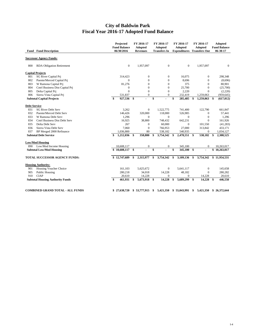#### **City of Baldwin Park Fiscal Year 2016-17 Adopted Fund Balance**

|                     | <b>Fund Fund Description</b>            | Projected<br><b>Fund Balance</b><br>06/30/2016 | FY 2016-17<br><b>Adopted</b><br><b>Revenues</b> | FY 2016-17<br>Adopted<br><b>Transfers In</b> | FY 2016-17<br><b>Adopted</b><br><b>Expenditures</b> Transfers Out |              | FY 2016-17<br><b>Adopted</b> |               | <b>Adopted</b><br><b>Fund Balance</b><br>06-30-17 |
|---------------------|-----------------------------------------|------------------------------------------------|-------------------------------------------------|----------------------------------------------|-------------------------------------------------------------------|--------------|------------------------------|---------------|---------------------------------------------------|
|                     | <b>Successor Agency Funds:</b>          |                                                |                                                 |                                              |                                                                   |              |                              |               |                                                   |
|                     |                                         |                                                |                                                 |                                              |                                                                   |              |                              |               |                                                   |
| 800                 | <b>RDA Obligation Retirement</b>        | $\mathbf{0}$                                   | 1,957,097                                       | $\boldsymbol{0}$                             | $\boldsymbol{0}$                                                  |              | 1,957,097                    |               | $\boldsymbol{0}$                                  |
|                     | <b>Capital Projects</b>                 |                                                |                                                 |                                              |                                                                   |              |                              |               |                                                   |
| 801                 | <b>SG River Capital Pri</b>             | 314,423                                        | $\boldsymbol{0}$                                | $\mathbf{0}$                                 | 16,075                                                            |              | $\boldsymbol{0}$             |               | 298,348                                           |
| 802                 | Puente/Merced Capital Pri               | $\Omega$                                       | $\overline{0}$                                  | $\boldsymbol{0}$                             | 8,696                                                             |              | $\mathbf{0}$                 |               | (8,696)                                           |
| 803                 | W Ramona Capital Prj                    | 81,276                                         | $\theta$                                        | $\mathbf{0}$                                 | 375                                                               |              | $\mathbf{0}$                 |               | 80,901                                            |
| 804                 | Cntrl Business Dist Capital Pri         | 0                                              | $\Omega$                                        | $\mathbf{0}$                                 | 25,700                                                            |              | $\mathbf{0}$                 |               | (25,700)                                          |
| 805                 | Delta Capital Pri                       | $\Omega$                                       | $\Omega$                                        | $\mathbf{0}$                                 | 2,220                                                             |              | $\theta$                     |               | (2,220)                                           |
| 806                 | Sierra Vista Capital Prj                | 531,837                                        | $\mathbf{0}$                                    | $\mathbf{0}$                                 | 232,419                                                           |              | 1,259,063                    |               | (959, 645)                                        |
|                     | <b>Subtotal Capital Projects</b>        | \$<br>927,536                                  | \$                                              | \$                                           | \$<br>285,485                                                     | \$           | 1,259,063                    | <sup>\$</sup> | (617, 012)                                        |
| <b>Debt Service</b> |                                         |                                                |                                                 |                                              |                                                                   |              |                              |               |                                                   |
| 831                 | <b>SG River Debt Serv</b>               | 3,262                                          | $\boldsymbol{0}$                                | 1,522,775                                    | 741,400                                                           |              | 122,790                      |               | 661,847                                           |
| 832                 | Puente/Merced Debt Serv                 | 146,426                                        | 320,000                                         | 118,000                                      | 526,985                                                           |              | $\mathbf{0}$                 |               | 57,441                                            |
| 833                 | W Ramona Debt Serv                      | 1,296                                          | $\Omega$                                        | $\mathbf{0}$                                 | $\mathbf{0}$                                                      |              | $\mathbf{0}$                 |               | 1,296                                             |
| 834                 | Cntrl Business Dist Debt Serv           | 16,925                                         | 38,800                                          | 748,432                                      | 642,231                                                           |              | $\Omega$                     |               | 161,926                                           |
| 835                 | Delta Debt Serv                         | 267                                            | $\mathbf{0}$                                    | 60,000                                       | $\mathbf{0}$                                                      |              | 101,550                      |               | (41, 283)                                         |
| 836                 | Sierra Vista Debt Serv                  | 7,060                                          | $\mathbf{0}$                                    | 766,953                                      | 27,000                                                            |              | 313,842                      |               | 433,171                                           |
| 837                 | BP Merged 2000 Refinance                | 1,036,800                                      | 80                                              | 538,182                                      | 540,935                                                           |              | $\mathbf{0}$                 |               | 1,034,127                                         |
|                     | <b>Subtotal Debt Service</b>            | 1,212,036                                      | \$<br>358,880                                   | \$<br>3,754,342                              | \$<br>2,478,551                                                   | \$           | 538,182                      | \$            | 2,308,525                                         |
|                     | <b>Low/Mod Housing</b>                  |                                                |                                                 |                                              |                                                                   |              |                              |               |                                                   |
| 890                 | Low/Mod Income Housing                  | 10,608,117                                     | $\mathbf{0}$                                    | $\boldsymbol{0}$                             | 345,100                                                           |              | $\mathbf{0}$                 |               | 10,263,017                                        |
|                     | <b>Subtotal Low/Mod Housing</b>         | 10,608,117                                     | \$                                              | \$                                           | 345,100                                                           | $\mathbf{s}$ |                              |               | \$10,263,017                                      |
|                     | TOTAL SUCCESSOR AGENCY FUNDS:           | \$12,747,689                                   | \$<br>2,315,977                                 | \$<br>3,754,342                              | \$<br>3,109,136                                                   | \$           | 3,754,342                    |               | \$11,954,531                                      |
|                     |                                         |                                                |                                                 |                                              |                                                                   |              |                              |               |                                                   |
|                     | <b>Housing Authority:</b>               |                                                |                                                 |                                              |                                                                   |              |                              |               |                                                   |
| 901                 | Housing Voucher Choice                  | 161,103                                        | 5,625,672                                       | $\boldsymbol{0}$                             | 5,641,117                                                         |              | $\boldsymbol{0}$             |               | 145,658                                           |
| 905                 | Public Housing                          | 280,218                                        | 34,018                                          | 14,228                                       | 48,182                                                            |              | $\mathbf{0}$                 |               | 280,282                                           |
| 910                 | <b>CIAP</b>                             | 20,610                                         | 14,228                                          | $\mathbf{0}$                                 | $\mathbf{0}$                                                      |              | 14,228                       |               | 20,610                                            |
|                     | <b>Subtotal Housing Authority Funds</b> | \$<br>461,931                                  | \$<br>5,673,918 \$                              | 14,228                                       | \$<br>5,689,299                                                   | -\$          | 14,228                       | -\$           | 446,550                                           |
|                     |                                         |                                                |                                                 |                                              |                                                                   |              |                              |               |                                                   |
|                     | <b>COMBINED GRAND TOTAL - ALL FUNDS</b> | \$27,638,720                                   | \$53,777,915                                    | \$<br>5,421,350                              | \$55,043,991                                                      | \$           | 5.421.350                    |               | \$26,372,644                                      |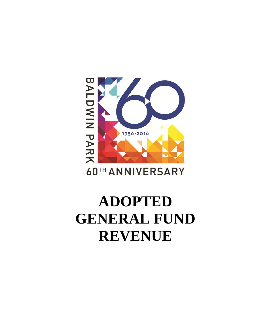# BALDWIN PARK 1956-2016

### **60TH ANNIVERSARY**

## **ADOPTED GENERAL FUND REVENUE**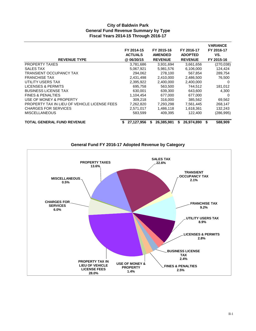#### **City of Baldwin Park General Fund Revenue Summary by Type Fiscal Years 2014-15 Through 2016-17**

|                                              | FY 2014-15<br><b>ACTUALS</b> |    | FY 2015-16<br><b>AMENDED</b> |   | FY 2016-17<br><b>ADOPTED</b> |   | <b>VARIANCE</b><br>FY 2016-17<br>VS. |
|----------------------------------------------|------------------------------|----|------------------------------|---|------------------------------|---|--------------------------------------|
| <b>REVENUE TYPE</b>                          | @06/30/15                    |    | <b>REVENUE</b>               |   | <b>REVENUE</b>               |   | FY 2015-16                           |
| <b>PROPERTY TAXES</b>                        | 3,781,686                    |    | 3,931,694                    |   | 3,661,656                    |   | (270, 038)                           |
| SALES TAX                                    | 5,067,921                    |    | 5,981,576                    |   | 6,106,000                    |   | 124,424                              |
| TRANSIENT OCCUPANCY TAX                      | 294,062                      |    | 278,100                      |   | 567,854                      |   | 289,754                              |
| <b>FRANCHISE TAX</b>                         | 2,431,498                    |    | 2,410,000                    |   | 2,486,500                    |   | 76,500                               |
| UTILITY USERS TAX                            | 2,395,922                    |    | 2,400,000                    |   | 2,400,000                    |   | 0                                    |
| LICENSES & PERMITS                           | 695.758                      |    | 563,500                      |   | 744,512                      |   | 181,012                              |
| <b>BUSINESS LICENSE TAX</b>                  | 630.001                      |    | 639,300                      |   | 643,600                      |   | 4.300                                |
| <b>FINES &amp; PENALTIES</b>                 | 1.104.454                    |    | 677,000                      |   | 677,000                      |   | - 0                                  |
| USE OF MONEY & PROPERTY                      | 309,218                      |    | 316,000                      |   | 385,562                      |   | 69,562                               |
| PROPERTY TAX IN LIEU OF VEHICLE LICENSE FEES | 7,262,820                    |    | 7,293,298                    |   | 7,561,445                    |   | 268,147                              |
| <b>CHARGES FOR SERVICES</b>                  | 2,571,017                    |    | 1,486,118                    |   | 1,618,361                    |   | 132,243                              |
| <b>MISCELLANEOUS</b>                         | 583,599                      |    | 409,395                      |   | 122,400                      |   | (286, 995)                           |
| <b>TOTAL GENERAL FUND REVENUE</b>            | 27.127.956                   | S. | 26,385,981                   | S | 26,974,890                   | S | 588,909                              |



#### **General Fund FY 2016-17 Adopted Revenue by Category**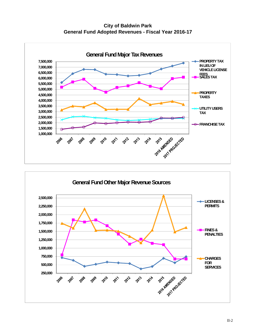**City of Baldwin Park General Fund Adopted Revenues - Fiscal Year 2016-17**



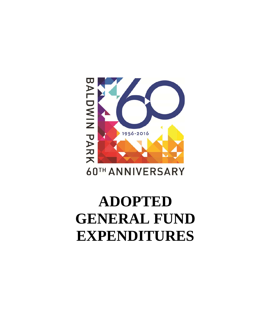## BALDWIN PARK 1956-2016 60TH ANNIVERSARY

## **ADOPTED GENERAL FUND EXPENDITURES**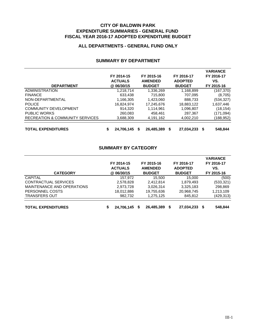#### **CITY OF BALDWIN PARK EXPENDITURE SUMMARIES - GENERAL FUND FISCAL YEAR 2016-17 ADOPTED EXPENDITURE BUDGET**

#### **ALL DEPARTMENTS - GENERAL FUND ONLY**

|                                 |                  |   |                |   |                |    | <b>VARIANCE</b> |
|---------------------------------|------------------|---|----------------|---|----------------|----|-----------------|
|                                 | FY 2014-15       |   | FY 2015-16     |   | FY 2016-17     |    | FY 2016-17      |
|                                 | <b>ACTUALS</b>   |   | <b>AMENDED</b> |   | <b>ADOPTED</b> |    | VS.             |
| <b>DEPARTMENT</b>               | @ 06/30/15       |   | <b>BUDGET</b>  |   | <b>BUDGET</b>  |    | FY 2015-16      |
| <b>ADMINISTRATION</b>           | 1.218.714        |   | 1,336,269      |   | 1,168,899      |    | (167,370)       |
| <b>FINANCE</b>                  | 633.438          |   | 715,800        |   | 707,095        |    | (8,705)         |
| NON-DEPARTMENTAL                | 1,166,305        |   | 1,423,060      |   | 888,733        |    | (534,327)       |
| <b>POLICE</b>                   | 16.824.974       |   | 17,245,676     |   | 18,883,122     |    | 1,637,446       |
| <b>COMMUNITY DEVELOPMENT</b>    | 914.320          |   | 1.114.961      |   | 1,096,807      |    | (18,154)        |
| <b>PUBLIC WORKS</b>             | 260.083          |   | 458,461        |   | 287,367        |    | (171,094)       |
| RECREATION & COMMUNITY SERVICES | 3.688.309        |   | 4,191,162      |   | 4,002,210      |    | (188,952)       |
| <b>TOTAL EXPENDITURES</b>       | \$<br>24,706,145 | S | 26,485,389     | S | 27.034.233     | -S | 548,844         |

#### **SUMMARY BY DEPARTMENT**

#### **SUMMARY BY CATEGORY**

| <b>CATEGORY</b>            | FY 2014-15<br><b>ACTUALS</b><br>@ 06/30/15 | FY 2015-16<br><b>AMENDED</b><br><b>BUDGET</b> | FY 2016-17<br><b>ADOPTED</b><br><b>BUDGET</b> | <b>VARIANCE</b><br>FY 2016-17<br>VS.<br>FY 2015-16 |
|----------------------------|--------------------------------------------|-----------------------------------------------|-----------------------------------------------|----------------------------------------------------|
| <b>CAPITAL</b>             | 157.972                                    | 15.500                                        | 15.000                                        | (500)                                              |
| CONTRACTUAL SERVICES       | 2,578,828                                  | 2,412,814                                     | 1,879,493                                     | (533, 321)                                         |
| MAINTENANCE AND OPERATIONS | 2,973,728                                  | 3,026,314                                     | 3,325,183                                     | 298,869                                            |
| PERSONNEL COSTS            | 18,012,886                                 | 19,755,636                                    | 20,968,745                                    | 1,213,109                                          |
| <b>TRANSFERS OUT</b>       | 982,732                                    | 1,275,125                                     | 845.812                                       | (429, 313)                                         |
| <b>TOTAL EXPENDITURES</b>  | 24,706,145<br>\$                           | 26,485,389<br>S                               | 27,034,233<br>S                               | 548,844                                            |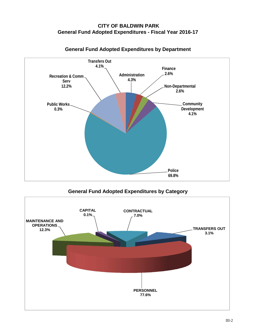#### **CITY OF BALDWIN PARK General Fund Adopted Expenditures - Fiscal Year 2016-17**



#### **General Fund Adopted Expenditures by Department**

**General Fund Adopted Expenditures by Category**

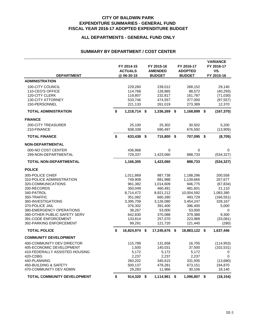#### **CITY OF BALDWIN PARK EXPENDITURE SUMMARIES - GENERAL FUND FISCAL YEAR 2016-17 ADOPTED EXPENDITURE BUDGET**

#### **ALL DEPARTMENTS - GENERAL FUND ONLY**

#### **SUMMARY BY DEPARTMENT / COST CENTER**

| <b>DEPARTMENT</b>                                                                                                                                                                                                                                                       | FY 2014-15<br><b>ACTUALS</b><br>@ 06-30-15                                                                                           |      | FY 2015-16<br><b>AMENDED</b><br><b>BUDGET</b>                                                                                         |      | FY 2016-17<br><b>ADOPTED</b><br><b>BUDGET</b>                                                                                            | <b>VARIANCE</b><br>FY 2016-17<br>VS.<br>FY 2015-16                                                                          |
|-------------------------------------------------------------------------------------------------------------------------------------------------------------------------------------------------------------------------------------------------------------------------|--------------------------------------------------------------------------------------------------------------------------------------|------|---------------------------------------------------------------------------------------------------------------------------------------|------|------------------------------------------------------------------------------------------------------------------------------------------|-----------------------------------------------------------------------------------------------------------------------------|
| <b>ADMINISTRATION</b>                                                                                                                                                                                                                                                   |                                                                                                                                      |      |                                                                                                                                       |      |                                                                                                                                          |                                                                                                                             |
| 100-CITY COUNCIL<br>110-CEO'S OFFICE<br>120-CITY CLERK<br><b>130-CITY ATTORNEY</b><br>150-PERSONNEL                                                                                                                                                                     | 229,260<br>114,768<br>119,807<br>533,746<br>221,133                                                                                  |      | 239,012<br>128,865<br>232,817<br>474,557<br>261,019                                                                                   |      | 268,152<br>88,572<br>161,787<br>377,000<br>273,389                                                                                       | 29,140<br>(40, 293)<br>(71,030)<br>(97, 557)<br>12,370                                                                      |
| <b>TOTAL ADMINISTRATION</b>                                                                                                                                                                                                                                             | \$<br>1,218,714 \$                                                                                                                   |      | 1,336,269                                                                                                                             | \$   | 1,168,899                                                                                                                                | \$<br>(167, 370)                                                                                                            |
| <b>FINANCE</b>                                                                                                                                                                                                                                                          |                                                                                                                                      |      |                                                                                                                                       |      |                                                                                                                                          |                                                                                                                             |
| <b>200-CITY TREASURER</b><br>210-FINANCE                                                                                                                                                                                                                                | 25,100<br>608,338                                                                                                                    |      | 25,302<br>690,497                                                                                                                     |      | 30,502<br>676,592                                                                                                                        | 5,200<br>(13,905)                                                                                                           |
| <b>TOTAL FINANCE</b>                                                                                                                                                                                                                                                    | \$<br>633,438                                                                                                                        | \$   | 715,800                                                                                                                               | - \$ | 707,095 \$                                                                                                                               | (8,705)                                                                                                                     |
| <b>NON-DEPARTMENTAL</b>                                                                                                                                                                                                                                                 |                                                                                                                                      |      |                                                                                                                                       |      |                                                                                                                                          |                                                                                                                             |
| 000-NO COST CENTER                                                                                                                                                                                                                                                      | 436,968                                                                                                                              |      | 0                                                                                                                                     |      | 0                                                                                                                                        | 0                                                                                                                           |
| 299-NON-DEPARTMENTAL                                                                                                                                                                                                                                                    | 729,337                                                                                                                              |      | 1,423,060                                                                                                                             |      | 888,733                                                                                                                                  | (534, 327)                                                                                                                  |
| <b>TOTAL NON-DEPARTMENTAL</b>                                                                                                                                                                                                                                           | 1,166,305                                                                                                                            |      | 1,423,060                                                                                                                             |      | 888,733                                                                                                                                  | (534, 327)                                                                                                                  |
| <b>POLICE</b>                                                                                                                                                                                                                                                           |                                                                                                                                      |      |                                                                                                                                       |      |                                                                                                                                          |                                                                                                                             |
| 300-POLICE CHIEF<br>310-POLICE ADMINISTRATION<br>320-COMMUNICATIONS<br>330-RECORDS<br>340-PATROL<br>350-TRAFFIC<br>360-INVESTIGATIONS<br>370-POLICE JAIL<br>380-EMERGENCY OPERATIONS<br>390-OTHER PUBLIC SAFETY SERV<br>391-CODE ENFORCEMENT<br>392-PARKING ENFORCEMENT | 1,011,869<br>749,908<br>961,382<br>350,049<br>8,714,472<br>351,082<br>3,395,709<br>376,302<br>38,267<br>642,830<br>133,814<br>99,291 |      | 987,738<br>881,988<br>1,014,609<br>460,491<br>8,921,212<br>660,280<br>3,126,080<br>391,400<br>53,000<br>370,088<br>257,070<br>121,720 |      | 1,188,296<br>1,139,665<br>946,775<br>481,601<br>10,004,592<br>493,729<br>3,454,247<br>396,400<br>53,000<br>379,388<br>223,989<br>121,440 | 200,558<br>257,677<br>(67, 834)<br>21,110<br>1,083,380<br>(166, 551)<br>328,167<br>5,000<br>0<br>9,300<br>(33,081)<br>(280) |
| <b>TOTAL POLICE</b>                                                                                                                                                                                                                                                     | \$<br>16,824,974                                                                                                                     | - \$ | 17,245,676                                                                                                                            | -\$  | 18,883,122                                                                                                                               | \$<br>1,637,446                                                                                                             |
| <b>COMMUNITY DEVELOPMENT</b><br>400-COMMUNITY DEV DIRECTOR<br>405-ECONOMIC DEVELOPMENT<br>410-FEDERALLY ASSISTED HOUSING<br>420-CDBG<br>440-PLANNING<br>450-BUILDING & SAFETY<br>470-COMMUNITY DEV ADMIN                                                                | 115,789<br>1,500<br>5,172<br>2,237<br>260,202<br>500,137<br>29,283                                                                   |      | 131,658<br>140,031<br>5,172<br>2,237<br>345,615<br>478,281<br>11,966                                                                  |      | 16.705<br>37,500<br>5,172<br>2,237<br>331,935<br>673,151<br>30,106                                                                       | (114, 953)<br>(102, 531)<br>0<br>0<br>(13,680)<br>194,870<br>18,140                                                         |
| <b>TOTAL COMMUNITY DEVELOPMENT</b>                                                                                                                                                                                                                                      | \$<br>914,320 \$                                                                                                                     |      | 1,114,961                                                                                                                             | \$   | 1,096,807 \$                                                                                                                             | (18, 154)                                                                                                                   |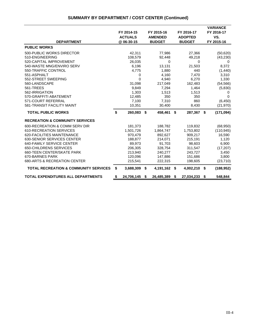|                                                  | FY 2014-15<br><b>ACTUALS</b> | FY 2015-16<br><b>AMENDED</b> | FY 2016-17<br><b>ADOPTED</b> | <b>VARIANCE</b><br>FY 2016-17<br>VS. |
|--------------------------------------------------|------------------------------|------------------------------|------------------------------|--------------------------------------|
| <b>DEPARTMENT</b>                                | @ 06-30-15                   | <b>BUDGET</b>                | <b>BUDGET</b>                | FY 2015-16                           |
| <b>PUBLIC WORKS</b>                              |                              |                              |                              |                                      |
| 500-PUBLIC WORKS DIRECTOR<br>510-ENGINEERING     | 42,311<br>108,579            | 77,986<br>92,448             | 27,366<br>49,218             | (50,620)<br>(43, 230)                |
| 520-CAPITAL IMPROVEMENT                          | 26,035                       | $\mathbf 0$                  | $\mathbf{0}$                 | $\mathbf 0$                          |
| 540-WASTE MNG/ENVIRO SERV                        | 6,196                        | 13,131                       | 21,503                       | 8,372                                |
| 550-TRAFFIC CONTROL                              | 4,775                        | 1,880                        | 440                          | (1,440)                              |
| 551-ASPHALT                                      | 0                            | 4,160                        | 7,470                        | 3,310                                |
| 552-STREET SWEEPING                              | 0                            | 4,940                        | 6,270                        | 1,330                                |
| 560-LANDSCAPE                                    | 31,098                       | 217,049                      | 162,483                      | (54, 566)                            |
| 561-TREES                                        | 9,849                        | 7,294                        | 1,464                        | (5,830)                              |
| 562-IRRIGATION                                   | 1,303                        | 1,513                        | 1,513                        | 0                                    |
| 570-GRAFFITI ABATEMENT                           | 12,485                       | 350                          | 350                          | $\Omega$                             |
| 571-COURT REFERRAL                               | 7,100                        | 7,310                        | 860                          | (6, 450)                             |
| 581-TRANSIT FACILITY MAINT                       | 10,351                       | 30,400                       | 8,430                        | (21, 970)                            |
| <b>TOTAL PUBLIC WORKS</b>                        | \$<br>260,083                | \$<br>458,461                | \$<br>287,367                | \$<br>(171, 094)                     |
| <b>RECREATION &amp; COMMUNITY SERVICES</b>       |                              |                              |                              |                                      |
| 600-RECREATION & COMM SERV DIR                   | 181,373                      | 188,782                      | 119,832                      | (68, 950)                            |
| 610-RECREATION SERVICES                          | 1,501,726                    | 1,864,747                    | 1,753,802                    | (110, 945)                           |
| 620-FACILITIES MAINTENANCE                       | 970.479                      | 892.627                      | 909.217                      | 16,590                               |
| 630-SENIOR SERVICES CENTER                       | 188.877                      | 214,071                      | 215.191                      | 1.120                                |
| 640-FAMILY SERVICE CENTER                        | 89,973                       | 91,703                       | 98,603                       | 6,900                                |
| 650-CHILDRENS SERVICES                           | 206,305                      | 328,754                      | 311,547                      | (17, 207)                            |
| 660-TEEN CENTER/SKATE PARK                       | 213,940                      | 240,277                      | 243,727                      | 3,450                                |
| 670-BARNES PARK                                  | 120,096                      | 147,886                      | 151,686                      | 3,800                                |
| 680-ARTS & RECREATION CENTER                     | 215,541                      | 222,315                      | 198,605                      | (23, 710)                            |
| <b>TOTAL RECREATION &amp; COMMUNITY SERVICES</b> | \$<br>3,688,309              | \$<br>4,191,162              | \$<br>4,002,210              | \$<br>(188, 952)                     |
| <b>TOTAL EXPENDITURES ALL DEPARTMENTS</b>        | \$<br>24,706,145             | \$<br>26,485,389             | \$<br>27,034,233             | \$<br>548,844                        |

#### **SUMMARY BY DEPARTMENT / COST CENTER (Continued)**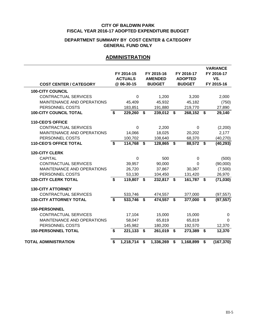#### **DEPARTMENT SUMMARY BY COST CENTER & CATEGORY GENERAL FUND ONLY**

#### **ADMINISTRATION**

|                                |                             | FY 2014-15<br><b>ACTUALS</b> | FY 2015-16<br><b>AMENDED</b> |             | FY 2016-17<br><b>ADOPTED</b> | <b>VARIANCE</b><br>FY 2016-17<br>VS. |
|--------------------------------|-----------------------------|------------------------------|------------------------------|-------------|------------------------------|--------------------------------------|
| <b>COST CENTER / CATEGORY</b>  |                             | @ 06-30-15                   | <b>BUDGET</b>                |             | <b>BUDGET</b>                | FY 2015-16                           |
| <b>100-CITY COUNCIL</b>        |                             |                              |                              |             |                              |                                      |
| <b>CONTRACTUAL SERVICES</b>    |                             | $\Omega$                     | 1,200                        |             | 3,200                        | 2,000                                |
| MAINTENANCE AND OPERATIONS     |                             | 45,409                       | 45,932                       |             | 45,182                       | (750)                                |
| PERSONNEL COSTS                |                             | 183,851                      | 191,880                      |             | 219,770                      | 27,890                               |
| <b>100-CITY COUNCIL TOTAL</b>  | \$                          | 229,260                      | \$<br>239,012                | $\mathbf s$ | 268,152 \$                   | 29,140                               |
| 110-CEO'S OFFICE               |                             |                              |                              |             |                              |                                      |
| <b>CONTRACTUAL SERVICES</b>    |                             | $\mathbf 0$                  | 2,200                        |             | $\Omega$                     | (2,200)                              |
| MAINTENANCE AND OPERATIONS     |                             | 14,066                       | 18,025                       |             | 20,202                       | 2,177                                |
| PERSONNEL COSTS                |                             | 100,702                      | 108,640                      |             | 68,370                       | (40, 270)                            |
| <b>110-CEO'S OFFICE TOTAL</b>  | \$                          | 114,768                      | \$<br>128,865                | \$          | 88,572 \$                    | (40, 293)                            |
| <b>120-CITY CLERK</b>          |                             |                              |                              |             |                              |                                      |
| <b>CAPITAL</b>                 |                             | $\mathbf 0$                  | 500                          |             | 0                            | (500)                                |
| <b>CONTRACTUAL SERVICES</b>    |                             | 39,957                       | 90,000                       |             | $\Omega$                     | (90,000)                             |
| MAINTENANCE AND OPERATIONS     |                             | 26,720                       | 37,867                       |             | 30,367                       | (7,500)                              |
| PERSONNEL COSTS                |                             | 53,130                       | 104,450                      |             | 131,420                      | 26,970                               |
| <b>120-CITY CLERK TOTAL</b>    | \$                          | 119,807                      | \$<br>232,817 \$             |             | 161,787 \$                   | (71, 030)                            |
| <b>130-CITY ATTORNEY</b>       |                             |                              |                              |             |                              |                                      |
| CONTRACTUAL SERVICES           |                             | 533,746                      | 474,557                      |             | 377,000                      | (97, 557)                            |
| <b>130-CITY ATTORNEY TOTAL</b> | \$                          | 533,746                      | \$<br>474,557                | \$          | 377,000                      | \$<br>(97, 557)                      |
| <b>150-PERSONNEL</b>           |                             |                              |                              |             |                              |                                      |
| <b>CONTRACTUAL SERVICES</b>    |                             | 17,104                       | 15,000                       |             | 15,000                       | 0                                    |
| MAINTENANCE AND OPERATIONS     |                             | 58,047                       | 65,819                       |             | 65,819                       | $\Omega$                             |
| PERSONNEL COSTS                |                             | 145,982                      | 180,200                      |             | 192,570                      | 12,370                               |
| <b>150-PERSONNEL TOTAL</b>     | \$                          | 221,133                      | \$<br>261,019                | \$          | 273,389                      | \$<br>12,370                         |
| <b>TOTAL ADMINISTRATION</b>    | $\overline{\boldsymbol{s}}$ | 1,218,714                    | \$<br>1,336,269              | \$          | 1,168,899                    | \$<br>(167, 370)                     |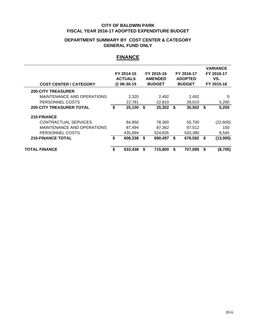#### **DEPARTMENT SUMMARY BY COST CENTER & CATEGORY GENERAL FUND ONLY**

#### **FINANCE**

| <b>COST CENTER / CATEGORY</b>                                              | FY 2014-15<br><b>ACTUALS</b><br>@ 06-30-15 | FY 2015-16<br><b>AMENDED</b><br><b>BUDGET</b> |      | FY 2016-17<br><b>ADOPTED</b><br><b>BUDGET</b> |     | <b>VARIANCE</b><br>FY 2016-17<br>VS.<br>FY 2015-16 |
|----------------------------------------------------------------------------|--------------------------------------------|-----------------------------------------------|------|-----------------------------------------------|-----|----------------------------------------------------|
| <b>200-CITY TREASURER</b><br>MAINTENANCE AND OPERATIONS<br>PERSONNEL COSTS | 2,320<br>22,781                            | 2,492<br>22,810                               |      | 2,492<br>28,010                               |     | 0<br>5,200                                         |
| <b>200-CITY TREASURER TOTAL</b>                                            | \$<br>25,100                               | \$<br>25,302                                  | - \$ | 30,502                                        | -\$ | 5,200                                              |
| 210-FINANCE                                                                |                                            |                                               |      |                                               |     |                                                    |
| CONTRACTUAL SERVICES<br>MAINTENANCE AND OPERATIONS<br>PERSONNEL COSTS      | 84,950<br>87,494<br>435,894                | 78,300<br>87,362<br>524,835                   |      | 55,700<br>87,512<br>533,380                   |     | (22,600)<br>150<br>8,545                           |
| <b>210-FINANCE TOTAL</b>                                                   | \$<br>608,338                              | \$<br>690,497                                 | \$   | 676,592                                       | \$  | (13,905)                                           |
| <b>TOTAL FINANCE</b>                                                       | 633,438                                    | 715,800                                       | S.   | 707,095                                       | S   | (8,705)                                            |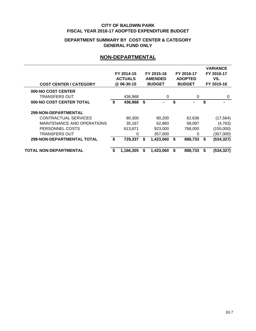#### **DEPARTMENT SUMMARY BY COST CENTER & CATEGORY GENERAL FUND ONLY**

#### **NON-DEPARTMENTAL**

| <b>COST CENTER / CATEGORY</b>     | FY 2014-15<br><b>ACTUALS</b><br>@ 06-30-15 |    | FY 2015-16<br><b>AMENDED</b><br><b>BUDGET</b> |    | FY 2016-17<br><b>ADOPTED</b><br><b>BUDGET</b> |    | <b>VARIANCE</b><br>FY 2016-17<br>VS.<br>FY 2015-16 |
|-----------------------------------|--------------------------------------------|----|-----------------------------------------------|----|-----------------------------------------------|----|----------------------------------------------------|
| 000-NO COST CENTER                |                                            |    |                                               |    |                                               |    |                                                    |
| TRANSFERS OUT                     | 436,968                                    |    | 0                                             |    | 0                                             |    | $\Omega$                                           |
| 000-NO COST CENTER TOTAL          | \$<br>436,968                              | \$ | ٠                                             | \$ |                                               | \$ |                                                    |
| 299-NON-DEPARTMENTAL              |                                            |    |                                               |    |                                               |    |                                                    |
| CONTRACTUAL SERVICES              | 80,300                                     |    | 80,200                                        |    | 62,636                                        |    | (17, 564)                                          |
| MAINTENANCE AND OPERATIONS        | 35,167                                     |    | 62,860                                        |    | 58,097                                        |    | (4,763)                                            |
| PERSONNEL COSTS                   | 613,871                                    |    | 923,000                                       |    | 768,000                                       |    | (155,000)                                          |
| <b>TRANSFERS OUT</b>              | 0                                          |    | 357,000                                       |    | 0                                             |    | (357,000)                                          |
| <b>299-NON-DEPARTMENTAL TOTAL</b> | \$<br>729,337                              | \$ | 1,423,060                                     | S  | 888,733                                       | \$ | (534, 327)                                         |
| TOTAL NON-DEPARTMENTAL            | \$<br>1,166,305                            | S  | 1.423.060                                     | \$ | 888,733                                       | S  | (534, 327)                                         |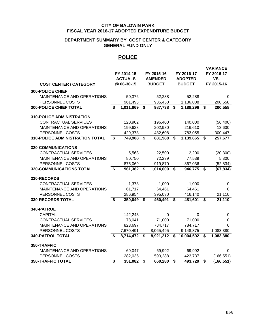#### **DEPARTMENT SUMMARY BY COST CENTER & CATEGORY GENERAL FUND ONLY**

#### **POLICE**

| <b>COST CENTER / CATEGORY</b>          |    | FY 2014-15<br><b>ACTUALS</b><br>@ 06-30-15 |                         | FY 2015-16<br><b>AMENDED</b><br><b>BUDGET</b> | FY 2016-17<br><b>ADOPTED</b><br><b>BUDGET</b> |                             | <b>VARIANCE</b><br>FY 2016-17<br>VS.<br>FY 2015-16 |
|----------------------------------------|----|--------------------------------------------|-------------------------|-----------------------------------------------|-----------------------------------------------|-----------------------------|----------------------------------------------------|
| <b>300-POLICE CHIEF</b>                |    |                                            |                         |                                               |                                               |                             |                                                    |
| MAINTENANCE AND OPERATIONS             |    | 50,376                                     |                         | 52,288                                        | 52,288                                        |                             | 0                                                  |
| PERSONNEL COSTS                        |    | 961,493                                    |                         | 935,450                                       | 1,136,008                                     |                             | 200,558                                            |
| <b>300-POLICE CHIEF TOTAL</b>          | \$ | 1,011,869                                  | \$                      | 987,738                                       | \$<br>1,188,296                               | \$                          | 200,558                                            |
| <b>310-POLICE ADMINISTRATION</b>       |    |                                            |                         |                                               |                                               |                             |                                                    |
| <b>CONTRACTUAL SERVICES</b>            |    | 120,902                                    |                         | 196,400                                       | 140,000                                       |                             | (56, 400)                                          |
| MAINTENANCE AND OPERATIONS             |    | 199,628                                    |                         | 202,980                                       | 216,610                                       |                             | 13,630                                             |
| PERSONNEL COSTS                        |    | 429,378                                    |                         | 482,608                                       | 783,055                                       |                             | 300,447                                            |
| <b>310-POLICE ADMINISTRATION TOTAL</b> | \$ | 749,908                                    | \$                      | 881,988                                       | \$<br>1,139,665                               | \$                          | 257,677                                            |
| 320-COMMUNICATIONS                     |    |                                            |                         |                                               |                                               |                             |                                                    |
| <b>CONTRACTUAL SERVICES</b>            |    | 5,563                                      |                         | 22,500                                        | 2,200                                         |                             | (20, 300)                                          |
| <b>MAINTENANCE AND OPERATIONS</b>      |    | 80,750                                     |                         | 72,239                                        | 77,539                                        |                             | 5,300                                              |
| PERSONNEL COSTS                        |    | 875,069                                    |                         | 919,870                                       | 867,036                                       |                             | (52, 834)                                          |
| <b>320-COMMUNICATIONS TOTAL</b>        | \$ | 961,382                                    | \$                      | 1,014,609                                     | \$<br>946,775                                 | \$                          | (67, 834)                                          |
| 330-RECORDS                            |    |                                            |                         |                                               |                                               |                             |                                                    |
| <b>CONTRACTUAL SERVICES</b>            |    | 1,378                                      |                         | 1,000                                         | 1,000                                         |                             | 0                                                  |
| MAINTENANCE AND OPERATIONS             |    | 61,717                                     |                         | 64,461                                        | 64,461                                        |                             | $\Omega$                                           |
| PERSONNEL COSTS                        |    | 286,954                                    |                         | 395,030                                       | 416,140                                       |                             | 21,110                                             |
| <b>330-RECORDS TOTAL</b>               | \$ | 350,049                                    | $\overline{\mathbf{s}}$ | 460,491                                       | \$<br>481,601                                 | $\overline{\boldsymbol{s}}$ | 21,110                                             |
| 340-PATROL                             |    |                                            |                         |                                               |                                               |                             |                                                    |
| <b>CAPITAL</b>                         |    | 142,243                                    |                         | 0                                             | 0                                             |                             | 0                                                  |
| <b>CONTRACTUAL SERVICES</b>            |    | 78,041                                     |                         | 71,000                                        | 71,000                                        |                             | 0                                                  |
| MAINTENANCE AND OPERATIONS             |    | 823,697                                    |                         | 784,717                                       | 784,717                                       |                             | $\Omega$                                           |
| PERSONNEL COSTS                        |    | 7,670,491                                  |                         | 8,065,495                                     | 9,148,875                                     |                             | 1,083,380                                          |
| <b>340-PATROL TOTAL</b>                | S  | 8,714,472                                  | \$                      | 8,921,212                                     | \$<br>10,004,592                              | \$                          | 1,083,380                                          |
| 350-TRAFFIC                            |    |                                            |                         |                                               |                                               |                             |                                                    |
| MAINTENANCE AND OPERATIONS             |    | 69,047                                     |                         | 69,992                                        | 69,992                                        |                             | 0                                                  |
| PERSONNEL COSTS                        |    | 282,035                                    |                         | 590,288                                       | 423,737                                       |                             | (166, 551)                                         |
| <b>350-TRAFFIC TOTAL</b>               | \$ | 351,082                                    | \$                      | 660,280                                       | \$<br>493,729                                 | \$                          | (166, 551)                                         |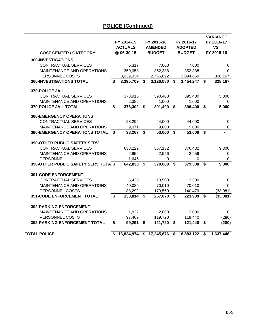|                                       |                         | FY 2014-15<br><b>ACTUALS</b> |                         | FY 2015-16<br><b>AMENDED</b> |                         | FY 2016-17<br><b>ADOPTED</b> |                             | <b>VARIANCE</b><br>FY 2016-17<br>VS. |
|---------------------------------------|-------------------------|------------------------------|-------------------------|------------------------------|-------------------------|------------------------------|-----------------------------|--------------------------------------|
| <b>COST CENTER / CATEGORY</b>         |                         | @ 06-30-15                   |                         | <b>BUDGET</b>                |                         | <b>BUDGET</b>                |                             | FY 2015-16                           |
| <b>360-INVESTIGATIONS</b>             |                         |                              |                         |                              |                         |                              |                             |                                      |
| <b>CONTRACTUAL SERVICES</b>           |                         | 6,317                        |                         | 7,000                        |                         | 7,000                        |                             | 0                                    |
| MAINTENANCE AND OPERATIONS            |                         | 350,058                      |                         | 352,388                      |                         | 352,388                      |                             | 0                                    |
| PERSONNEL COSTS                       |                         | 3,039,334                    |                         | 2,766,692                    |                         | 3,094,859                    |                             | 328,167                              |
| <b>360-INVESTIGATIONS TOTAL</b>       | \$                      | 3,395,709                    | \$                      | 3,126,080                    | \$                      | 3,454,247                    | \$                          | 328,167                              |
| 370-POLICE JAIL                       |                         |                              |                         |                              |                         |                              |                             |                                      |
| <b>CONTRACTUAL SERVICES</b>           |                         | 373,916                      |                         | 390,400                      |                         | 395,400                      |                             | 5,000                                |
| MAINTENANCE AND OPERATIONS            |                         | 2,386                        |                         | 1,000                        |                         | 1,000                        |                             | 0                                    |
| <b>370-POLICE JAIL TOTAL</b>          | \$                      | 376,302                      | \$                      | 391,400                      | \$                      | 396,400                      | \$                          | 5,000                                |
| <b>380-EMERGENCY OPERATIONS</b>       |                         |                              |                         |                              |                         |                              |                             |                                      |
| <b>CONTRACTUAL SERVICES</b>           |                         | 28,296                       |                         | 44,000                       |                         | 44,000                       |                             | 0                                    |
| MAINTENANCE AND OPERATIONS            |                         | 9,971                        |                         | 9,000                        |                         | 9,000                        |                             | $\pmb{0}$                            |
| <b>380-EMERGENCY OPERATIONS TOTAL</b> | \$                      | 38,267                       | \$                      | 53,000                       | $\overline{\mathbf{s}}$ | 53,000                       | $\overline{\mathbf{s}}$     |                                      |
| <b>390-OTHER PUBLIC SAFETY SERV</b>   |                         |                              |                         |                              |                         |                              |                             |                                      |
| <b>CONTRACTUAL SERVICES</b>           |                         | 638,229                      |                         | 367,132                      |                         | 376,432                      |                             | 9,300                                |
| MAINTENANCE AND OPERATIONS            |                         | 2,956                        |                         | 2,956                        |                         | 2,956                        |                             | 0                                    |
| <b>PERSONNEL</b>                      |                         | 1,645                        |                         | 0                            |                         | 0                            |                             | 0                                    |
| 390-OTHER PUBLIC SAFETY SERV TOTA \$  |                         | 642,830                      | \$                      | 370,088                      | \$                      | 379,388                      | \$                          | 9,300                                |
| <b>391-CODE ENFORCEMENT</b>           |                         |                              |                         |                              |                         |                              |                             |                                      |
| <b>CONTRACTUAL SERVICES</b>           |                         | 5,433                        |                         | 13,500                       |                         | 13,500                       |                             | 0                                    |
| <b>MAINTENANCE AND OPERATIONS</b>     |                         | 40,089                       |                         | 70,010                       |                         | 70,010                       |                             | 0                                    |
| PERSONNEL COSTS                       |                         | 88,292                       |                         | 173,560                      |                         | 140,479                      |                             | (33,081)                             |
| <b>391-CODE ENFORCEMENT TOTAL</b>     | $\overline{\mathbf{s}}$ | 133,814                      | $\overline{\mathbf{s}}$ | 257,070                      | $\overline{\mathbf{s}}$ | 223,989                      | $\overline{\mathbf{s}}$     | (33,081)                             |
| <b>392-PARKING ENFORCEMENT</b>        |                         |                              |                         |                              |                         |                              |                             |                                      |
| MAINTENANCE AND OPERATIONS            |                         | 1,822                        |                         | 2,000                        |                         | 2,000                        |                             | 0                                    |
| PERSONNEL COSTS                       |                         | 97,469                       |                         | 119,720                      |                         | 119,440                      |                             | (280)                                |
| <b>392-PARKING ENFORCEMENT TOTAL</b>  | \$                      | 99,291                       | \$                      | 121,720                      | \$                      | 121,440                      | \$                          | (280)                                |
| <b>TOTAL POLICE</b>                   | \$                      | 16,824,974                   |                         | \$17,245,676                 |                         | \$18,883,122                 | $\overline{\boldsymbol{s}}$ | 1,637,446                            |
|                                       |                         |                              |                         |                              |                         |                              |                             |                                      |

#### **POLICE (Continued)**

L,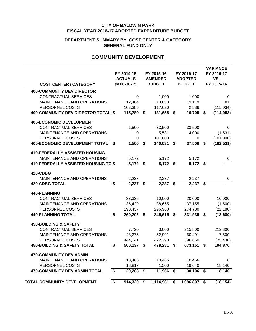#### **DEPARTMENT SUMMARY BY COST CENTER & CATEGORY GENERAL FUND ONLY**

#### **COMMUNITY DEVELOPMENT**

|                                            |                                      |                |                 |             |                | <b>VARIANCE</b>  |
|--------------------------------------------|--------------------------------------|----------------|-----------------|-------------|----------------|------------------|
|                                            |                                      | FY 2014-15     | FY 2015-16      |             | FY 2016-17     | FY 2016-17       |
|                                            |                                      | <b>ACTUALS</b> | <b>AMENDED</b>  |             | <b>ADOPTED</b> | VS.              |
| <b>COST CENTER / CATEGORY</b>              |                                      | @ 06-30-15     | <b>BUDGET</b>   |             | <b>BUDGET</b>  | FY 2015-16       |
| <b>400-COMMUNITY DEV DIRECTOR</b>          |                                      |                |                 |             |                |                  |
| <b>CONTRACTUAL SERVICES</b>                |                                      | $\mathbf 0$    | 1,000           |             | 1,000          | 0                |
| MAINTENANCE AND OPERATIONS                 |                                      | 12,404         | 13,038          |             | 13,119         | 81               |
| PERSONNEL COSTS                            |                                      | 103,385        | 117,620         |             | 2,586          | (115, 034)       |
| <b>400-COMMUNITY DEV DIRECTOR TOTAL \$</b> |                                      | 115,789        | \$<br>131,658   | \$          | 16,705         | \$<br>(114, 953) |
| <b>405-ECONOMIC DEVELOPMENT</b>            |                                      |                |                 |             |                |                  |
| <b>CONTRACTUAL SERVICES</b>                |                                      | 1,500          | 33,500          |             | 33,500         | 0                |
| MAINTENANCE AND OPERATIONS                 |                                      | 0              | 5,531           |             | 4,000          | (1,531)          |
| PERSONNEL COSTS                            |                                      | 0              | 101,000         |             | $\Omega$       | (101,000)        |
| <b>405-ECONOMIC DEVELOPMENT TOTAL</b>      | - \$                                 | 1,500          | \$<br>140,031   | \$          | 37,500         | \$<br>(102, 531) |
| <b>410-FEDERALLY ASSISTED HOUSING</b>      |                                      |                |                 |             |                |                  |
| MAINTENANCE AND OPERATIONS                 |                                      | 5,172          | 5,172           |             | 5,172          | 0                |
| 410-FEDERALLY ASSISTED HOUSING TC \$       |                                      | $5,172$ \$     | 5,172           | $\mathbf s$ | $5,172$ \$     |                  |
| <b>420-CDBG</b>                            |                                      |                |                 |             |                |                  |
| MAINTENANCE AND OPERATIONS                 |                                      | 2,237          | 2,237           |             | 2,237          | 0                |
| <b>420-CDBG TOTAL</b>                      | \$                                   | 2,237          | \$<br>2,237     | \$          | 2,237          | \$               |
| 440-PLANNING                               |                                      |                |                 |             |                |                  |
| <b>CONTRACTUAL SERVICES</b>                |                                      | 33,336         | 10,000          |             | 20,000         | 10,000           |
| MAINTENANCE AND OPERATIONS                 |                                      | 36,429         | 38,655          |             | 37,155         | (1,500)          |
| PERSONNEL COSTS                            |                                      | 190,437        | 296,960         |             | 274,780        | (22, 180)        |
| <b>440-PLANNING TOTAL</b>                  | \$                                   | 260,202        | \$<br>345,615   | \$          | 331,935 \$     | (13,680)         |
| <b>450-BUILDING &amp; SAFETY</b>           |                                      |                |                 |             |                |                  |
| <b>CONTRACTUAL SERVICES</b>                |                                      | 7,720          | 3,000           |             | 215,800        | 212,800          |
| <b>MAINTENANCE AND OPERATIONS</b>          |                                      | 48,275         | 52,991          |             | 60,491         | 7,500            |
| PERSONNEL COSTS                            |                                      | 444,141        | 422,290         |             | 396,860        | (25, 430)        |
| <b>450-BUILDING &amp; SAFETY TOTAL</b>     | \$                                   | 500,137        | \$<br>478,281   | \$          | 673,151        | \$<br>194,870    |
| <b>470-COMMUNITY DEV ADMIN</b>             |                                      |                |                 |             |                |                  |
| <b>MAINTENANCE AND OPERATIONS</b>          |                                      | 10,466         | 10,466          |             | 10,466         | 0                |
| PERSONNEL COSTS                            |                                      | 18,817         | 1,500           |             | 19,640         | 18,140           |
| <b>470-COMMUNITY DEV ADMIN TOTAL</b>       | $\overline{\boldsymbol{\mathsf{s}}}$ | 29,283         | \$<br>11,966    | \$          | $30,106$ \$    | 18,140           |
| TOTAL COMMUNITY DEVELOPMENT                | \$                                   | 914,320        | \$<br>1,114,961 | \$          | 1,096,807      | \$<br>(18, 154)  |
|                                            |                                      |                |                 |             |                |                  |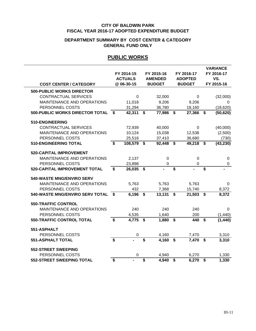#### **GENERAL FUND ONLY DEPARTMENT SUMMARY BY COST CENTER & CATEGORY**

#### **PUBLIC WORKS**

| <b>COST CENTER / CATEGORY</b>          |                             | FY 2014-15<br><b>ACTUALS</b><br>@ 06-30-15 |                         | FY 2015-16<br><b>AMENDED</b><br><b>BUDGET</b> |                           | FY 2016-17<br><b>ADOPTED</b><br><b>BUDGET</b> |                         | <b>VARIANCE</b><br>FY 2016-17<br>VS.<br>FY 2015-16 |
|----------------------------------------|-----------------------------|--------------------------------------------|-------------------------|-----------------------------------------------|---------------------------|-----------------------------------------------|-------------------------|----------------------------------------------------|
| <b>500-PUBLIC WORKS DIRECTOR</b>       |                             |                                            |                         |                                               |                           |                                               |                         |                                                    |
| <b>CONTRACTUAL SERVICES</b>            |                             | $\Omega$                                   |                         | 32,000                                        |                           | $\mathbf 0$                                   |                         | (32,000)                                           |
| MAINTENANCE AND OPERATIONS             |                             | 11,018                                     |                         | 9,206                                         |                           | 9,206                                         |                         | 0                                                  |
| PERSONNEL COSTS                        |                             | 31,294                                     |                         | 36,780                                        |                           | 18,160                                        |                         | (18, 620)                                          |
| <b>500-PUBLIC WORKS DIRECTOR TOTAL</b> | \$                          | 42,311                                     | \$                      | 77,986                                        | $\boldsymbol{\mathsf{s}}$ | 27,366                                        | \$                      | (50, 620)                                          |
| 510-ENGINEERING                        |                             |                                            |                         |                                               |                           |                                               |                         |                                                    |
| <b>CONTRACTUAL SERVICES</b>            |                             | 72,939                                     |                         | 40,000                                        |                           | $\Omega$                                      |                         | (40,000)                                           |
| MAINTENANCE AND OPERATIONS             |                             | 10,124                                     |                         | 15,038                                        |                           | 12,538                                        |                         | (2,500)                                            |
| PERSONNEL COSTS                        |                             | 25,516                                     |                         | 37,410                                        |                           | 36,680                                        |                         | (730)                                              |
| <b>510-ENGINEERING TOTAL</b>           | \$                          | 108,579                                    | \$                      | 92,448                                        | \$                        | 49,218                                        | \$                      | (43, 230)                                          |
| <b>520-CAPITAL IMPROVEMENT</b>         |                             |                                            |                         |                                               |                           |                                               |                         |                                                    |
| MAINTENANCE AND OPERATIONS             |                             | 2,137                                      |                         | 0                                             |                           | $\mathbf 0$                                   |                         | 0                                                  |
| PERSONNEL COSTS                        |                             | 23,898                                     |                         | $\mathbf 0$                                   |                           | 0                                             |                         | $\boldsymbol{0}$                                   |
| <b>520-CAPITAL IMPROVEMENT TOTAL</b>   | $\mathbf{s}$                | 26,035                                     | \$                      |                                               | $\overline{\mathbf{s}}$   |                                               | $\overline{\mathbf{s}}$ |                                                    |
| 540-WASTE MNG/ENVIRO SERV              |                             |                                            |                         |                                               |                           |                                               |                         |                                                    |
| MAINTENANCE AND OPERATIONS             |                             | 5,763                                      |                         | 5,763                                         |                           | 5,763                                         |                         | $\mathbf 0$                                        |
| PERSONNEL COSTS                        |                             | 432                                        |                         | 7,368                                         |                           | 15,740                                        |                         | 8,372                                              |
| 540-WASTE MNG/ENVIRO SERV TOTAL        | - \$                        | 6,196                                      | $\mathbf S$             | 13,131                                        | $\mathbf S$               | 21,503                                        | \$                      | 8,372                                              |
| <b>550-TRAFFIC CONTROL</b>             |                             |                                            |                         |                                               |                           |                                               |                         |                                                    |
| MAINTENANCE AND OPERATIONS             |                             | 240                                        |                         | 240                                           |                           | 240                                           |                         | 0                                                  |
| PERSONNEL COSTS                        |                             | 4,535                                      |                         | 1,640                                         |                           | 200                                           |                         | (1, 440)                                           |
| <b>550-TRAFFIC CONTROL TOTAL</b>       | $\overline{\boldsymbol{s}}$ | 4,775                                      | \$                      | 1,880                                         | \$                        | 440                                           | $\overline{\mathbf{s}}$ | (1, 440)                                           |
| 551-ASPHALT                            |                             |                                            |                         |                                               |                           |                                               |                         |                                                    |
| PERSONNEL COSTS                        |                             | $\mathbf 0$                                |                         | 4,160                                         |                           | 7,470                                         |                         | 3,310                                              |
| <b>551-ASPHALT TOTAL</b>               | $\overline{\boldsymbol{s}}$ |                                            | $\overline{\mathbf{s}}$ | 4,160                                         | $\overline{\mathbf{s}}$   | 7,470                                         | $\overline{\mathbf{s}}$ | 3,310                                              |
| <b>552-STREET SWEEPING</b>             |                             |                                            |                         |                                               |                           |                                               |                         |                                                    |
| PERSONNEL COSTS                        |                             | $\Omega$                                   |                         | 4,940                                         |                           | 6,270                                         |                         | 1,330                                              |
| <b>552-STREET SWEEPING TOTAL</b>       | \$                          |                                            | \$                      | 4,940                                         | \$                        | 6,270                                         | \$                      | 1,330                                              |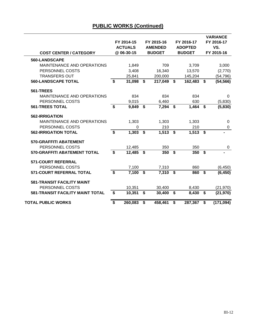| <b>COST CENTER / CATEGORY</b>           |                         | FY 2014-15<br><b>ACTUALS</b><br>@ 06-30-15 | FY 2015-16<br>FY 2016-17<br><b>AMENDED</b><br><b>ADOPTED</b><br><b>BUDGET</b><br><b>BUDGET</b> |                         |         | <b>VARIANCE</b><br>FY 2016-17<br>VS.<br>FY 2015-16 |             |
|-----------------------------------------|-------------------------|--------------------------------------------|------------------------------------------------------------------------------------------------|-------------------------|---------|----------------------------------------------------|-------------|
| 560-LANDSCAPE                           |                         |                                            |                                                                                                |                         |         |                                                    |             |
| <b>MAINTENANCE AND OPERATIONS</b>       |                         | 1,849                                      | 709                                                                                            |                         | 3,709   |                                                    | 3,000       |
| PERSONNEL COSTS                         |                         | 3,408                                      | 16,340                                                                                         |                         | 13,570  |                                                    | (2,770)     |
| <b>TRANSFERS OUT</b>                    |                         | 25,841                                     | 200,000                                                                                        |                         | 145,204 |                                                    | (54, 796)   |
| <b>560-LANDSCAPE TOTAL</b>              | \$                      | 31,098                                     | \$<br>217,049                                                                                  | \$                      | 162,483 | \$                                                 | (54, 566)   |
| 561-TREES                               |                         |                                            |                                                                                                |                         |         |                                                    |             |
| <b>MAINTENANCE AND OPERATIONS</b>       |                         | 834                                        | 834                                                                                            |                         | 834     |                                                    | $\mathbf 0$ |
| PERSONNEL COSTS                         |                         | 9,015                                      | 6,460                                                                                          |                         | 630     |                                                    | (5,830)     |
| <b>561-TREES TOTAL</b>                  | $\overline{\mathbf{s}}$ | 9,849                                      | \$<br>7,294                                                                                    | \$                      | 1,464   | \$                                                 | (5,830)     |
| 562-IRRIGATION                          |                         |                                            |                                                                                                |                         |         |                                                    |             |
| MAINTENANCE AND OPERATIONS              |                         | 1,303                                      | 1,303                                                                                          |                         | 1,303   |                                                    | 0           |
| PERSONNEL COSTS                         |                         | 0                                          | 210                                                                                            |                         | 210     |                                                    | 0           |
| <b>562-IRRIGATION TOTAL</b>             | $\boldsymbol{\$}$       | 1,303                                      | \$<br>1,513                                                                                    | \$                      | 1,513   | \$                                                 |             |
| <b>570-GRAFFITI ABATEMENT</b>           |                         |                                            |                                                                                                |                         |         |                                                    |             |
| PERSONNEL COSTS                         |                         | 12,485                                     | 350                                                                                            |                         | 350     |                                                    | 0           |
| <b>570-GRAFFITI ABATEMENT TOTAL</b>     | \$                      | 12,485                                     | \$<br>350                                                                                      | $\overline{\mathbf{s}}$ | 350     | $\boldsymbol{\mathsf{s}}$                          |             |
| <b>571-COURT REFERRAL</b>               |                         |                                            |                                                                                                |                         |         |                                                    |             |
| PERSONNEL COSTS                         |                         | 7,100                                      | 7,310                                                                                          |                         | 860     |                                                    | (6, 450)    |
| 571-COURT REFERRAL TOTAL                | \$                      | 7,100                                      | \$<br>7,310                                                                                    | \$                      | 860     | \$                                                 | (6, 450)    |
| <b>581-TRANSIT FACILITY MAINT</b>       |                         |                                            |                                                                                                |                         |         |                                                    |             |
| PERSONNEL COSTS                         |                         | 10,351                                     | 30,400                                                                                         |                         | 8,430   |                                                    | (21, 970)   |
| <b>581-TRANSIT FACILITY MAINT TOTAL</b> | \$                      | 10,351                                     | \$<br>30,400                                                                                   | \$                      | 8,430   | \$                                                 | (21, 970)   |
| <b>TOTAL PUBLIC WORKS</b>               | \$                      | 260,083                                    | \$<br>458,461                                                                                  | \$                      | 287,367 | \$                                                 | (171, 094)  |

#### **PUBLIC WORKS (Continued)**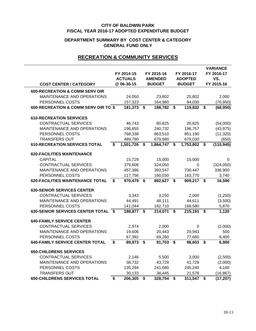#### **DEPARTMENT SUMMARY BY COST CENTER & CATEGORY GENERAL FUND ONLY**

#### **RECREATION & COMMUNITY SERVICES**

| <b>COST CENTER / CATEGORY</b>             | FY 2014-15<br><b>ACTUALS</b><br>@ 06-30-15 |           | FY 2015-16<br><b>AMENDED</b><br><b>BUDGET</b> |           |             | FY 2016-17<br><b>ADOPTED</b><br><b>BUDGET</b> | <b>VARIANCE</b><br>FY 2016-17<br>VS.<br>FY 2015-16 |            |  |
|-------------------------------------------|--------------------------------------------|-----------|-----------------------------------------------|-----------|-------------|-----------------------------------------------|----------------------------------------------------|------------|--|
| <b>600-RECREATION &amp; COMM SERV DIR</b> |                                            |           |                                               |           |             |                                               |                                                    |            |  |
| MAINTENANCE AND OPERATIONS                |                                            | 24,050    |                                               | 23,802    |             | 25,802                                        |                                                    | 2,000      |  |
| PERSONNEL COSTS                           |                                            | 157,323   |                                               | 164,980   |             | 94,030                                        |                                                    | (70, 950)  |  |
| 600-RECREATION & COMM SERV DIR TO \$      |                                            | 181,373   | $\boldsymbol{\mathsf{s}}$                     | 188,782   | \$          | 119,832                                       | \$                                                 | (68, 950)  |  |
| <b>610-RECREATION SERVICES</b>            |                                            |           |                                               |           |             |                                               |                                                    |            |  |
| <b>CONTRACTUAL SERVICES</b>               |                                            | 46,743    |                                               | 80,825    |             | 26,825                                        |                                                    | (54,000)   |  |
| MAINTENANCE AND OPERATIONS                |                                            | 196,855   |                                               | 240,732   |             | 196,757                                       |                                                    | (43, 975)  |  |
| PERSONNEL COSTS                           |                                            | 768,338   |                                               | 863,510   |             | 851,190                                       |                                                    | (12, 320)  |  |
| <b>TRANSFERS OUT</b>                      |                                            | 489,790   |                                               | 679,680   |             | 679,030                                       |                                                    | (650)      |  |
| <b>610-RECREATION SERVICES TOTAL</b>      | \$                                         | 1,501,726 | \$                                            | 1,864,747 | \$          | 1,753,802                                     | \$                                                 | (110, 945) |  |
| <b>620-FACILITIES MAINTENANCE</b>         |                                            |           |                                               |           |             |                                               |                                                    |            |  |
| <b>CAPITAL</b>                            |                                            | 15,729    |                                               | 15,000    |             | 15,000                                        |                                                    | 0          |  |
| <b>CONTRACTUAL SERVICES</b>               |                                            | 379,608   |                                               | 324,050   |             | 0                                             |                                                    | (324,050)  |  |
| MAINTENANCE AND OPERATIONS                |                                            | 457,386   |                                               | 393,547   |             | 730,447                                       |                                                    | 336,900    |  |
| PERSONNEL COSTS                           |                                            | 117,756   |                                               | 160,030   |             | 163,770                                       |                                                    | 3,740      |  |
| <b>620-FACILITIES MAINTENANCE TOTAL</b>   | \$                                         | 970,479   | \$                                            | 892,627   | \$          | 909,217 \$                                    |                                                    | 16,590     |  |
| <b>630-SENIOR SERVICES CENTER</b>         |                                            |           |                                               |           |             |                                               |                                                    |            |  |
| <b>CONTRACTUAL SERVICES</b>               |                                            | 3,343     |                                               | 3,250     |             | 2,000                                         |                                                    | (1,250)    |  |
| MAINTENANCE AND OPERATIONS                |                                            | 44,491    |                                               | 48,111    |             | 44,611                                        |                                                    | (3,500)    |  |
| PERSONNEL COSTS                           |                                            | 141,044   |                                               | 162,710   |             | 168,580                                       |                                                    | 5,870      |  |
| 630-SENIOR SERVICES CENTER TOTAL \$       |                                            | 188,877   | S.                                            | 214,071   | $\mathbf S$ | 215,191                                       | $\mathbf S$                                        | 1,120      |  |
| <b>640-FAMILY SERVICE CENTER</b>          |                                            |           |                                               |           |             |                                               |                                                    |            |  |
| <b>CONTRACTUAL SERVICES</b>               |                                            | 2,974     |                                               | 2,000     |             | 0                                             |                                                    | (2,000)    |  |
| MAINTENANCE AND OPERATIONS                |                                            | 19,606    |                                               | 20,443    |             | 20,943                                        |                                                    | 500        |  |
| PERSONNEL COSTS                           |                                            | 67,392    |                                               | 69,260    |             | 77,660                                        |                                                    | 8,400      |  |
| <b>640-FAMILY SERVICE CENTER TOTAL</b>    | S.                                         | 89,973    | $\boldsymbol{\mathsf{s}}$                     | 91,703    | \$          | 98,603                                        | \$                                                 | 6,900      |  |
| <b>650-CHILDRENS SERVICES</b>             |                                            |           |                                               |           |             |                                               |                                                    |            |  |
| <b>CONTRACTUAL SERVICES</b>               |                                            | 2,146     |                                               | 5,500     |             | 3,000                                         |                                                    | (2,500)    |  |
| MAINTENANCE AND OPERATIONS                |                                            | 38,732    |                                               | 43,729    |             | 41,729                                        |                                                    | (2,000)    |  |
| PERSONNEL COSTS                           |                                            | 135,294   |                                               | 241,080   |             | 245,240                                       |                                                    | 4,160      |  |
| <b>TRANSFERS OUT</b>                      |                                            | 30,133    |                                               | 38,445    |             | 21,578                                        |                                                    | (16, 867)  |  |
| <b>650-CHILDRENS SERVICES TOTAL</b>       | \$                                         | 206,305   | \$                                            | 328,754   | \$          | 311,547                                       | \$                                                 | (17, 207)  |  |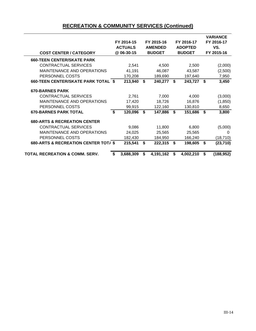#### **RECREATION & COMMUNITY SERVICES (Continued)**

| <b>COST CENTER / CATEGORY</b>                   |                           | FY 2014-15<br><b>ACTUALS</b><br>@ 06-30-15 |    | FY 2015-16<br><b>AMENDED</b><br><b>BUDGET</b> |    | FY 2016-17<br><b>ADOPTED</b><br><b>BUDGET</b> |    | <b>VARIANCE</b><br>FY 2016-17<br>VS.<br>FY 2015-16 |
|-------------------------------------------------|---------------------------|--------------------------------------------|----|-----------------------------------------------|----|-----------------------------------------------|----|----------------------------------------------------|
| <b>660-TEEN CENTER/SKATE PARK</b>               |                           |                                            |    |                                               |    |                                               |    |                                                    |
| <b>CONTRACTUAL SERVICES</b>                     |                           | 2,541                                      |    | 4,500                                         |    | 2,500                                         |    | (2,000)                                            |
| <b>MAINTENANCE AND OPERATIONS</b>               |                           | 41,191                                     |    | 46,087                                        |    | 43,587                                        |    | (2,500)                                            |
| PERSONNEL COSTS                                 |                           | 170,208                                    |    | 189,690                                       |    | 197,640                                       |    | 7,950                                              |
| <b>660-TEEN CENTER/SKATE PARK TOTAL \$</b>      |                           | 213,940                                    | \$ | 240,277                                       | S. | 243,727                                       | S. | 3,450                                              |
| <b>670-BARNES PARK</b>                          |                           |                                            |    |                                               |    |                                               |    |                                                    |
| <b>CONTRACTUAL SERVICES</b>                     |                           | 2,761                                      |    | 7,000                                         |    | 4,000                                         |    | (3,000)                                            |
| <b>MAINTENANCE AND OPERATIONS</b>               |                           | 17,420                                     |    | 18,726                                        |    | 16,876                                        |    | (1, 850)                                           |
| PERSONNEL COSTS                                 |                           | 99,915                                     |    | 122,160                                       |    | 130,810                                       |    | 8,650                                              |
| <b>670-BARNES PARK TOTAL</b>                    | $\boldsymbol{\mathsf{s}}$ | 120,096                                    | S. | 147,886                                       | S. | 151,686                                       | S. | 3,800                                              |
| <b>680-ARTS &amp; RECREATION CENTER</b>         |                           |                                            |    |                                               |    |                                               |    |                                                    |
| <b>CONTRACTUAL SERVICES</b>                     |                           | 9,086                                      |    | 11,800                                        |    | 6,800                                         |    | (5,000)                                            |
| <b>MAINTENANCE AND OPERATIONS</b>               |                           | 24,025                                     |    | 25,565                                        |    | 25,565                                        |    | $\Omega$                                           |
| PERSONNEL COSTS                                 |                           | 182,430                                    |    | 184,950                                       |    | 166,240                                       |    | (18, 710)                                          |
| <b>680-ARTS &amp; RECREATION CENTER TOT/ \$</b> |                           | 215,541                                    | S. | 222,315                                       | S. | 198,605                                       | S. | (23, 710)                                          |
| <b>TOTAL RECREATION &amp; COMM. SERV.</b>       | \$                        | 3,688,309                                  | S  | 4,191,162                                     | S  | 4,002,210                                     | S  | (188, 952)                                         |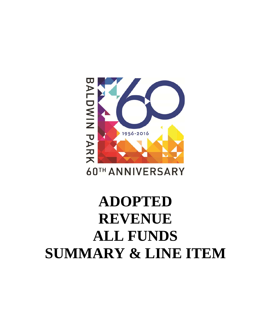## 60TH ANNIVERSARY **ADOPTED REVENUE ALL FUNDS SUMMARY & LINE ITEM**

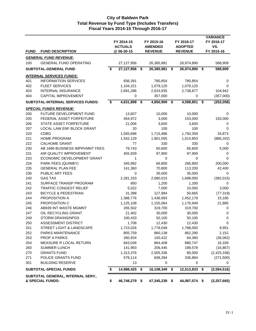|             |                                                       | FY 2014-15<br>FY 2015-16<br><b>ACTUALS</b><br><b>AMENDED</b><br>@ 06-30-15<br><b>REVENUE</b> |               |    | FY 2016-17<br><b>ADOPTED</b><br><b>REVENUE</b> |      |               | <b>VARIANCE</b><br>FY 2016-17<br>VS.<br>FY 2015-16 |                |  |
|-------------|-------------------------------------------------------|----------------------------------------------------------------------------------------------|---------------|----|------------------------------------------------|------|---------------|----------------------------------------------------|----------------|--|
| <b>FUND</b> | <b>FUND DESCRIPTION</b>                               |                                                                                              |               |    |                                                |      |               |                                                    |                |  |
|             | <u>GENERAL FUND REVENUE:</u>                          |                                                                                              |               |    |                                                |      |               |                                                    |                |  |
| 100         | <b>GENERAL FUND OPERATING</b>                         |                                                                                              | 27,127,956    |    | 26,385,981                                     |      | 26,974,890    |                                                    | 588,909        |  |
|             | SUBTOTAL-GENERAL FUND                                 | \$                                                                                           | 27,127,956    | \$ | 26,385,981                                     | - \$ | 26,974,890 \$ |                                                    | 588,909        |  |
|             | <u>INTERNAL SERVICES FUNDS:</u>                       |                                                                                              |               |    |                                                |      |               |                                                    |                |  |
| 401         | <b>INFORMATION SERVICES</b>                           |                                                                                              | 836,391       |    | 780,854                                        |      | 780,854       |                                                    | 0              |  |
| 402         | <b>FLEET SERVICES</b>                                 |                                                                                              | 1,104,221     |    | 1,079,120                                      |      | 1,079,120     |                                                    | 0              |  |
| 403         | <b>INTERNAL INSURANCE</b>                             |                                                                                              | 2,691,286     |    | 2,633,935                                      |      | 2,738,877     |                                                    | 104,942        |  |
| 404         | CAPITAL IMPROVEMENT                                   |                                                                                              | 0             |    | 357,000                                        |      | 0             |                                                    | (357,000)      |  |
|             | <b>SUBTOTAL-INTERNAL SERVICES FUNDS:</b>              | \$                                                                                           | 4,631,898     | \$ | 4,850,909                                      | - \$ | 4,598,851 \$  |                                                    | (252,058)      |  |
|             | <b>SPECIAL FUNDS REVENUE:</b>                         |                                                                                              |               |    |                                                |      |               |                                                    |                |  |
| 200         | FUTURE DEVELOPMENT FUND                               |                                                                                              | 13,607        |    | 10,000                                         |      | 10,000        |                                                    | 0              |  |
| 205         | FEDERAL ASSET FORFEITURE                              |                                                                                              | 454,972       |    | 3,000                                          |      | 153,000       |                                                    | 150,000        |  |
| 206         | STATE ASSET FORFEITURE                                |                                                                                              | 21,006        |    | 3,600                                          |      | 3,600         |                                                    | 0              |  |
| 207         | LOCAL LAW ENF BLOCK GRANT                             |                                                                                              | 20            |    | 100                                            |      | 100           |                                                    | 0              |  |
| 220         | <b>CDBG</b>                                           |                                                                                              | 1,045,696     |    | 1,715,486                                      |      | 1,750,359     |                                                    | 34,873         |  |
| 221         | <b>HOME PROGRAM</b>                                   |                                                                                              | 1,542,129     |    | 1,901,055                                      |      | 1,014,853     |                                                    | (886, 202)     |  |
| 222         | <b>CALHOME GRANT</b>                                  |                                                                                              | 77            |    | 330                                            |      | 330           |                                                    | 0              |  |
| 230         | AB 1696 BUSINESS IMPRVMNT FEES                        |                                                                                              | 79,743        |    | 60,600                                         |      | 65,600        |                                                    | 5,000          |  |
| 231         | AIR QUALITY IMPROVEMENT                               |                                                                                              | 455,939       |    | 97,900                                         |      | 97,900        |                                                    | 0              |  |
| 233         | ECONOMIC DEVELOPMENT GRANT                            |                                                                                              | 1             |    | 0                                              |      | 0             |                                                    | 0              |  |
| 234         | PARK FEES (QUIMBY)                                    |                                                                                              | 345,992       |    | 66,800                                         |      | 266,800       |                                                    | 200,000        |  |
| 235         | <b>GENERAL PLAN FEE</b>                               |                                                                                              | 141,360       |    | 70,800                                         |      | 113,200       |                                                    | 42,400         |  |
| 236         | PUBLIC ART FEES                                       |                                                                                              | 0             |    | 35,000                                         |      | 35,000        |                                                    | 0              |  |
| 240         | <b>GAS TAX</b>                                        |                                                                                              | 2,281,333     |    | 2,080,015                                      |      | 1,698,000     |                                                    | (382, 015)     |  |
| 241         | SURFACE TRANSP PROGRAM                                |                                                                                              | 950           |    | 1,200                                          |      | 1,200         |                                                    | 0              |  |
| 242         | <b>TRAFFIC CONGEST RELIEF</b>                         |                                                                                              | 5,022         |    | 7,000                                          |      | 10,000        |                                                    | 3,000          |  |
| 243         | <b>BICYCLE &amp; PEDESTRIAN</b>                       |                                                                                              | 31,398        |    | 127,984                                        |      | 50,665        |                                                    | (77, 319)      |  |
| 244         | PROPOSITION A                                         |                                                                                              | 1,388,776     |    | 1,436,993                                      |      | 1,452,178     |                                                    | 15,185         |  |
| 245         | PROPOSITION C                                         |                                                                                              | 1,125,108     |    | 1,155,064                                      |      | 1,176,949     |                                                    | 21,885         |  |
| 246         | AB939 INT WASTE MGMNT                                 |                                                                                              | 265,502       |    | 319,700                                        |      | 319,700       |                                                    | 0              |  |
| 247         | OIL RECYCLING GRANT                                   |                                                                                              | 21,402        |    | 30,000                                         |      | 30,000        |                                                    | 0              |  |
| 249         | <b>STORM DRAINS/NPDS</b>                              |                                                                                              | 100,433       |    | 50,100                                         |      | 50,100        |                                                    | $\pmb{0}$      |  |
| 250         | ASSESSMENT DISTRICT                                   |                                                                                              | 1,708         |    | 12,430                                         |      | 12,430        |                                                    | $\overline{0}$ |  |
| 251         | STREET LIGHT & LANDSCAPE                              |                                                                                              | 1,723,026     |    | 1,778,049                                      |      | 1,788,000     |                                                    | 9,951          |  |
| 252         | PARKS MAINTENANCE                                     |                                                                                              | 805,759       |    | 860,138                                        |      | 862,290       |                                                    | 2,152          |  |
| 253         | PROP A PARKS                                          |                                                                                              | 260,934       |    | 100,422                                        |      | 64,360        |                                                    | (36,062)       |  |
| 254         | MEASURE R LOCAL RETURN                                |                                                                                              | 843,036       |    | 864,408                                        |      | 880,747       |                                                    | 16,339         |  |
| 260         | <b>SUMMER LUNCH</b>                                   |                                                                                              | 141,993       |    | 206,445                                        |      | 189,578       |                                                    | (16, 867)      |  |
| 270         | <b>GRANTS FUND</b>                                    |                                                                                              | 1,313,376     |    | 2,505,336                                      |      | 80,000        |                                                    | (2,425,336)    |  |
| 271         | POLICE GRANTS FUND                                    |                                                                                              | 578,114       |    | 608,394                                        |      | 336,894       |                                                    | (271, 500)     |  |
| 301         | <b>BUILDING RESERVE</b>                               |                                                                                              | 13            |    | 0                                              |      | 0             |                                                    | 0              |  |
|             | SUBTOTAL-SPECIAL FUNDS                                | \$                                                                                           | 14,988,425    | \$ | 16,108,349                                     | - \$ | 12,513,833 \$ |                                                    | (3,594,516)    |  |
|             |                                                       |                                                                                              |               |    |                                                |      |               |                                                    |                |  |
|             | SUBTOTAL GENERAL, INTERNAL SERV.,<br>& SPECIAL FUNDS: | \$                                                                                           | 46,748,279 \$ |    | 47,345,239 \$                                  |      | 44,087,574 \$ |                                                    | (3,257,665)    |  |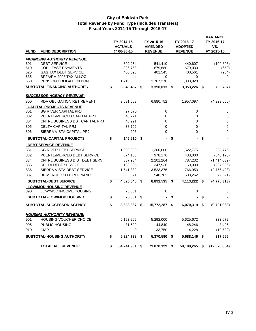|             |                                                       | FY 2014-15<br><b>ACTUALS</b> |    | FY 2015-16<br><b>AMENDED</b> | FY 2016-17<br><b>ADOPTED</b> |      | <b>VARIANCE</b><br>FY 2016-17<br>VS. |
|-------------|-------------------------------------------------------|------------------------------|----|------------------------------|------------------------------|------|--------------------------------------|
| <b>FUND</b> | <b>FUND DESCRIPTION</b>                               | @ 06-30-15                   |    | <b>REVENUE</b>               | <b>REVENUE</b>               |      | FY 2015-16                           |
|             | <b>FINANCING AUTHORITY REVENUE:</b>                   |                              |    |                              |                              |      |                                      |
| 601         | <b>DEBT SERVICE</b>                                   | 602,254                      |    | 541,410                      | 440,607                      |      | (100, 803)                           |
| 610         | <b>COP LEASE PAYMENTS</b>                             | 926,758                      |    | 679,680                      | 679,030                      |      | (650)                                |
| 625<br>635  | <b>GAS TAX DEBT SERVICE</b><br>BPFA/PM 2003 TAX ALLOC | 400,893<br>44                |    | 401,545<br>0                 | 400,561<br>0                 |      | (984)<br>0                           |
| 650         | PENSION OBLIGATION BOND                               | 1,710,508                    |    | 1,767,378                    | 1,833,028                    |      | 65,650                               |
|             | SUBTOTAL-FINANCING AUTHORITY                          | \$<br>3,640,457              | \$ | 3,390,013                    | \$<br>3,353,226              | - \$ | (36, 787)                            |
|             | <u>SUCCESSOR AGENCY REVENUE:</u>                      |                              |    |                              |                              |      |                                      |
| 800         | <b>RDA OBLIGATION RETIREMENT</b>                      | 3,581,508                    |    | 6,880,752                    | 1,957,097                    |      | (4,923,655)                          |
|             | <b>CAPITAL PROJECTS REVENUE</b>                       |                              |    |                              |                              |      |                                      |
| 801         | <b>SG RIVER CAPITAL PRJ</b>                           | 27,070                       |    | 0                            | 0                            |      | 0                                    |
| 802         | PUENTE/MERCED CAPITAL PRJ                             | 40,221                       |    | 0                            | 0                            |      | $\mathbf 0$                          |
| 804         | CNTRL BUSINESS DST CAPITAL PRJ                        | 40,221                       |    | 0                            | 0                            |      | 0                                    |
| 805         | <b>DELTA CAPITAL PRJ</b>                              | 38,702                       |    | 0                            | 0                            |      | 0                                    |
| 806         | SIERRA VISTA CAPITAL PRJ                              | 296                          |    | 0                            | 0                            |      | 0                                    |
|             | <b>SUBTOTAL-CAPITAL PROJECTS</b>                      | \$<br>146,510                | \$ | ä,                           | \$<br>$\blacksquare$         | \$   |                                      |
|             | <b>DEBT SERVICE REVENUE</b>                           |                              |    |                              |                              |      |                                      |
| 831         | <b>SG RIVER DEBT SERVICE</b>                          | 1,000,000                    |    | 1,300,000                    | 1,522,775                    |      | 222,775                              |
| 832         | PUENTE/MERCED DEBT SERVICE                            | 674,106                      |    | 978,176                      | 438,000                      |      | (540, 176)                           |
| 834         | CNTRL BUSINESS DIST DEBT SERV                         | 837,984                      |    | 2,201,264                    | 787,232                      |      | (1,414,032)                          |
| 835         | <b>DELTA DEBT SERVICE</b>                             | 138,005                      |    | 347,936                      | 60,000                       |      | (287, 936)                           |
| 836         | SIERRA VISTA DEBT SERVICE                             | 1,641,332                    |    | 3,523,376                    | 766,953                      |      | (2,756,423)                          |
| 837         | BP MERGED 2000 REFINANCE                              | 533,621                      |    | 540,783                      | 538,262                      |      | (2,521)                              |
|             | <b>SUBTOTAL-DEBT SERVICE</b>                          | \$<br>4,825,048              | S  | 8,891,535                    | \$<br>4,113,222              | - \$ | (4, 778, 313)                        |
|             | <b>LOW/MOD HOUSING REVENUE</b>                        |                              |    |                              |                              |      |                                      |
| 890         | LOW/MOD INCOME HOUSING                                | 75,301                       |    | 0                            | 0                            |      | 0                                    |
|             | <b>SUBTOTAL-LOW/MOD HOUSING</b>                       | \$<br>75,301                 | \$ | ä,                           | \$                           | \$   |                                      |
|             | <b>SUBTOTAL-SUCCESSOR AGENCY</b>                      | \$<br>8,628,367              | \$ | 15,772,287 \$                | 6,070,319                    | \$   | (9,701,968)                          |
|             | <b>HOUSING AUTHORITY REVENUE:</b>                     |                              |    |                              |                              |      |                                      |
| 901         | <b>HOUSING VOUCHER CHOICE</b>                         | 5,193,269                    |    | 5,292,000                    | 5,625,672                    |      | 333,672                              |
| 905         | PUBLIC HOUSING                                        | 31,529                       |    | 44,840                       | 48,246                       |      | 3,406                                |
| 910         | <b>CIAP</b>                                           | 0                            |    | 33,750                       | 14,228                       |      | (19, 522)                            |
|             | <b>SUBTOTAL-HOUSING AUTHORITY</b>                     | \$<br>5,224,798              | \$ | 5,370,590                    | \$<br>5,688,146              | \$   | 317,556                              |
|             | <b>TOTAL ALL REVENUE:</b>                             | \$<br>64,241,901             | \$ | 71,878,129                   | \$<br>59,199,265             | \$   | (12,678,864)                         |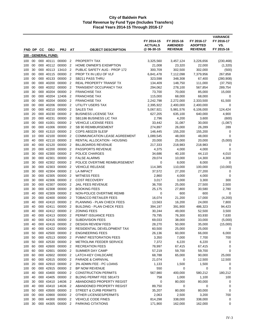|            |     |     |                     |                   |                |                                      | FY 2014-15     | FY 2015-16     | FY 2016-17     | <b>VARIANCE</b><br>FY 2016-17 |
|------------|-----|-----|---------------------|-------------------|----------------|--------------------------------------|----------------|----------------|----------------|-------------------------------|
|            |     |     |                     |                   |                |                                      | <b>ACTUALS</b> | <b>AMENDED</b> | <b>ADOPTED</b> | VS.                           |
| <b>FND</b> | DP. | CС  | <b>OBJ</b>          | <b>PRJ</b>        | AT             | <b>OBJECT DESCRIPTION</b>            | @ 06-30-15     | <b>REVENUE</b> | <b>REVENUE</b> | FY 2015-16                    |
|            |     |     | 100 - GENERAL FUND: |                   |                |                                      |                |                |                |                               |
| 100        | 00  |     |                     | 000 40111 00000   | $\overline{2}$ | PROPERTY TAX                         | 3,325,560      | 3,457,124      | 3,226,656      | (230, 468)                    |
| 100        | 00  |     | 000 40112           | 00000             | $\overline{2}$ | HOME OWNER'S EXEMPTION               | 21,008         | 23,320         | 22,000         | (1,320)                       |
| 100        | 30  |     | 000 40113           | 13410             | $\overline{2}$ | PUBLIC SAFETY AUG - PROP 172         | 300,709        | 302,500        | 302,000        | (500)                         |
| 100        | 00  |     | 000 40115           | 00000             | $\overline{2}$ | PROP TX IN LIEU OF VLF               | 6,841,478      | 7,112,098      | 7,379,956      | 267,858                       |
| 100        | 00  |     | 000 40133           | 00000             | $\overline{2}$ | <b>SB211 PASS THRU</b>               | 323,598        | 348,308        | 67,400         | (280, 908)                    |
| 100        | 00  |     | 000 40200           | 00000             | $\overline{2}$ | REAL PROPERTY TRANSF TX              | 134,409        | 148,750        | 111,000        | (37,750)                      |
| 100        | 00  |     | 000 40202           | 00000             | $\overline{2}$ | <b>TRANSIENT OCCUPANCY TAX</b>       | 294,062        | 278,100        | 567,854        | 289,754                       |
| 100        | 30  |     | 000 40204           | 00000             | $\overline{2}$ | <b>FRANCHISE TAX</b>                 | 73,700         | 70,000         | 85,000         | 15,000                        |
| 100        | 00  |     | 000 40204           | 12406             | $\overline{2}$ | <b>FRANCHISE TAX</b>                 | 115,000        | 68,000         | 68,000         | 0                             |
| 100        | 00  |     | 000 40204           | 00000             | $\overline{2}$ | <b>FRANCHISE TAX</b>                 | 2,242,798      | 2,272,000      | 2,333,500      | 61,500                        |
| 100        | 00  |     | 000 40206           | 00000             | $\overline{2}$ | UTILITY USERS TAX                    | 2,395,922      | 2,400,000      | 2,400,000      | 0                             |
| 100        | 00  |     | 000 40210           | 00000             | $\overline{2}$ | <b>SALES TAX</b>                     | 5,067,921      | 5,981,576      | 6,106,000      | 124,424                       |
| 100        | 20  |     | 000 40230           | 00000             | $\overline{2}$ | <b>BUSINESS LICENSE TAX</b>          | 627,205        | 635,100        | 640,000        | 4,900                         |
| 100        | 20  |     | 000 40231           | 00000             | $\overline{2}$ | SB1186 BUSINESS LIC TAX              | 2,796          | 4,200          | 3,600          | (600)                         |
| 100        | 00  |     | 000 41001           | 00000             | $\overline{2}$ | <b>VEHICLE LICENSE FEES</b>          | 33,442         | 31,087         | 30,000         | (1,087)                       |
| 100        | 00  |     | 000 41006           | 00000             | $\overline{2}$ | <b>SB 90 REIMBURSEMENT</b>           | 274,897        | 26,000         | 26,289         | 289                           |
| 100        | 30  |     | 000 41310           | 00000             | $\overline{2}$ | COPS AB3229 SLESF                    | 146,445        | 155,200        | 155,200        | 0                             |
| 100        | 10  |     | 000 42100           | 00000             | $\overline{2}$ | <b>COMMUNICATION LEASE AGREEMENT</b> | 1,089,545      | 48,000         | 48,000         | 0                             |
| 100        | 40  |     | 000 42110           | 00000             | $\overline{2}$ | RENTAL ALLOCATION - HOUSING          | 20,000         | 25,000         | 20,000         | (5,000)                       |
| 100        | 40  |     | 000 42120           | 00000             | $\overline{2}$ | <b>BILLBOARDS REVENUE</b>            | 217,333        | 218,983        | 218,983        | 0                             |
| 100        | 20  |     | 000 42200           | 00000             | $\overline{2}$ | PASSPORTS REVENUE                    | 4,375          | 4,000          | 4,000          | 0                             |
| 100        | 30  |     | 000 42300           | 00000             | $\overline{2}$ | POLICE CHARGES                       | 34,686         | 40,100         | 44,110         | 4,010                         |
| 100        | 30  |     | 000 42301           | 00000             | $\overline{2}$ | <b>FALSE ALARMS</b>                  | 29,074         | 10,000         | 14,300         | 4,300                         |
| 100        | 30  |     | 000 42302           | 00000             | $\overline{2}$ | POLICE OVERTIME REIMBURSEMENT        | 0              | 8,000          | 8,000          | $\mathbf 0$                   |
| 100        | 30  |     | 000 42303           | 00000             | $\overline{2}$ | <b>VEHICLE RELEASE</b>               | 114,385        | 110,000        | 100,000        | (10,000)                      |
| 100        | 30  |     | 000 42304           | 00000             | $\overline{2}$ | <b>LA IMPACT</b>                     | 37,572         | 27,200         | 27,200         | 0                             |
| 100        | 30  |     | 000 42305           | 00000             | $\overline{2}$ | <b>WITNESS FEES</b>                  | 2,860          | 4,000          | 4,000          | 0                             |
| 100        | 30  |     | 000 42306           | 00000             | $\overline{2}$ | <b>COST RECOVERY</b>                 | 3,017          | 3,000          | 3,300          | 300                           |
| 100        | 30  |     | 000 42307           | 00000             | $\overline{2}$ | JAIL FEES REVENUE                    | 36,700         | 25,000         | 27,500         | 2,500                         |
| 100        | 30  |     | 000 42308           | 00000             | $\overline{2}$ | <b>BOOKING FEES</b>                  | 25,175         | 27,800         | 30,580         | 2,780                         |
| 100        | 40  |     | 000 42309           | 00000             | $\overline{2}$ | NON-POLICE OVERTIME REIMB            | 0              | 600            | 600            | 0                             |
| 100        | 20  |     | 000 42400           | 00000             | $\overline{2}$ | <b>TOBACCO RETAILER FEES</b>         | 16,074         | 21,200         | 17,000         | (4,200)                       |
| 100        | 40  |     | 000 42410           | 00000             | $\overline{2}$ | PLANNING - PLAN CHECK FEES           | 13,563         | 16,200         | 24,000         | 7,800                         |
| 100        | 40  |     | 000 42411           | 00000             | $\overline{2}$ | <b>BUILDING - PLAN CHECK FEES</b>    | 394,197        | 391,900        | 486,323        | 94,423                        |
| 100        | 40  |     | 000 42412           | 00000             | $\overline{2}$ | <b>ZONING FEES</b>                   | 30,244         | 49,000         | 52,500         | 3,500                         |
| 100        | 40  | 000 | 42413               | 00000             | $\overline{2}$ | PERMIT ISSUANCE FEES                 | 79,795         | 76,300         | 83,930         | 7,630                         |
| 100        | 40  |     | 000 42415           | 00000             | $\overline{2}$ | <b>SUBDIVISION FEES</b>              | 69,033         | 38,000         | 33,000         | (5,000)                       |
| 100        | 40  |     |                     | 000 42416 00000   | $\overline{2}$ | <b>DESIGN REVIEW FEES</b>            | 28,270         | 50,000         | 35,000         | (15,000)                      |
| 100        | 40  |     |                     | 000 42422 00000   | $\overline{2}$ | RESIDENTIAL DEVELOPMENT TAX          | 60,500         | 25,000         | 25,000         | 0                             |
| 100        | 50  |     |                     | 000 42500 00000   | $\overline{2}$ | <b>ENGINEERING FEES</b>              | 26,136         | 60,000         | 66,000         | 6,000                         |
| 100        | 50  |     |                     | 000 42513 00000   | $\overline{2}$ | <b>PVMNT RESTORATION FEES</b>        | 3,350          | 7,000          | 7,700          | 700                           |
| 100        | 50  |     |                     | 000 42530 00000 2 |                | <b>METROLINK FEEDER SERVICE</b>      | 7,372          | 6,220          | 6,220          | 0                             |
| 100        | 60  |     | 000 42600           | 00000             | $\overline{2}$ | <b>RECREATION FEES</b>               | 78,997         | 67,415         | 67,415         | 0                             |
| 100        | 60  |     | 000 42601           | 00000             | $\overline{2}$ | SUMMER DAY CAMP                      | 57,219         | 59,700         | 59,700         | 0                             |
| 100        | 60  |     |                     | 000 42602 00000   | $\overline{2}$ | LATCH-KEY CHILDCARE                  | 68,788         | 65,000         | 90,000         | 25,000                        |
| 100        | 60  |     |                     | 000 42615 00000   | $\overline{2}$ | <b>PARADE &amp; CARNIVAL</b>         | 21,074         | 0              | 12,500         | 12,500                        |
| 100        | 20  |     |                     | 000 42910 00000   | $\overline{2}$ | 3% ADMIN FEE - PC LOANS              | 1,133          | 1,500          | 1,500          | 0                             |
| 100        | 00  |     |                     | 000 42915 00000   | 2              | BP NOW REVENUE                       | 550            | 0              | 0              | $\pmb{0}$                     |
| 100        | 40  |     |                     | 000 43400 00000   | $\overline{2}$ | <b>CONSTRUCTION PERMITS</b>          | 567,980        | 400,000        | 580,212        | 180,212                       |
| 100        | 40  |     |                     | 000 43405 00000   | $\overline{2}$ | <b>BLDNG PERMIT FEE SB1473</b>       | 758            | 1,000          | 1,100          | 100                           |
| 100        | 30  |     |                     | 000 43410 14636   | $\overline{2}$ | ABANDONED PROPERTY REGIST            | 0              | 80,000         | 80,000         | 0                             |
| 100        | 40  |     |                     | 000 43410 14636   | $\overline{2}$ | ABANDONED PROPERTY REGIST            | 89,750         | 0              | $\pmb{0}$      | 0                             |
| 100        | 50  |     |                     | 000 43500 00000   | $\overline{2}$ | STREET & CURB PERMITS                | 35,207         | 80,000         | 80,000         | 0                             |
| 100        | 00  |     | 000 43900           | 00000 2           |                | OTHER LICENSES/PERMITS               | 2,063          | 2,500          | 3,200          | 700                           |
| 100        | 30  |     | 000 44300           | 00000             | $\overline{2}$ | <b>VEHICLE CODE FINES</b>            | 814,298        | 338,000        | 338,000        | 0                             |
| 100        | 30  |     |                     | 000 44305 00000 2 |                | PARKING CITATIONS                    | 171,900        | 162,000        | 162,000        | 0                             |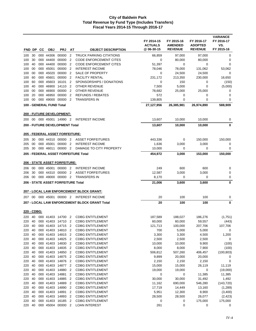| <b>FND</b>  |          | DP CC | <b>OBJ</b>               | <b>PRJ</b>                           | AT                               | <b>OBJECT DESCRIPTION</b>                          | FY 2014-15<br><b>ACTUALS</b><br>@06-30-15 | FY 2015-16<br><b>AMENDED</b><br><b>REVENUE</b> | FY 2016-17<br><b>ADOPTED</b><br><b>REVENUE</b> | <b>VARIANCE</b><br>FY 2016-17<br>VS.<br>FY 2015-16 |
|-------------|----------|-------|--------------------------|--------------------------------------|----------------------------------|----------------------------------------------------|-------------------------------------------|------------------------------------------------|------------------------------------------------|----------------------------------------------------|
| 100         | 30       |       | 000 44306                | 00000                                | $\overline{2}$                   | <b>TRUCK PARKING CITATIONS</b>                     | 66,859                                    | 97,000                                         | 97,000                                         | $\pmb{0}$                                          |
| 100         | 30       |       | 000 44400                | 00000                                | $\overline{2}$                   | <b>CODE ENFORCEMENT CITES</b>                      | $\mathbf 0$                               | 80,000                                         | 80,000                                         | 0                                                  |
| 100         | 40       |       | 000 44400                | 00000 2                              |                                  | <b>CODE ENFORCEMENT CITES</b>                      | 51,397                                    | $\mathbf 0$                                    | 0                                              | 0                                                  |
| 100         | 00       |       | 000 45001                | 00000 2                              |                                  | <b>INTEREST INCOME</b>                             | 78,046                                    | 78,000                                         | 131,062                                        | 53,062                                             |
| 100         | 00       |       | 000 45020                | 00000                                | $\overline{2}$                   | <b>SALE OF PROPERTY</b>                            | 0                                         | 24,500                                         | 24,500                                         | $\mathbf 0$                                        |
| 100         | 60       |       | 000 45601                | 00000                                | $\overline{2}$                   | <b>FACILITY RENTAL</b>                             | 231,172                                   | 213,350                                        | 230,000                                        | 16,650                                             |
| 100         | 60       |       |                          | 000 45603 16101                      | $\overline{2}$                   | SPONSORSHIPS / DONATIONS                           | 0                                         | 150                                            | 0                                              | (150)                                              |
| 100         | 40       |       |                          | 000 46900 14110                      | $\overline{2}$                   | <b>OTHER REVENUE</b>                               | 7,500                                     | 5,000                                          | $\mathbf 0$                                    | (5,000)                                            |
| 100         | 00       |       | 000 46900                | 00000                                | $\overline{2}$                   | <b>OTHER REVENUE</b>                               | 78,682                                    | 25,000                                         | 25,000                                         | 0                                                  |
| 100         | 20       |       | 000 46950                | 00000                                | $\overline{2}$                   | <b>REFUNDS / REBATES</b>                           | 572                                       | 0                                              | 0                                              | 0                                                  |
| 100         | 00       |       |                          | 000 49000 00000                      | $\overline{2}$                   | <b>TRANSFERS IN</b>                                | 139,805                                   | $\mathbf 0$                                    | $\mathbf 0$                                    | 0                                                  |
|             |          |       | 100 - GENERAL FUND Total |                                      |                                  |                                                    | 27,127,956                                | 26,385,981                                     | 26,974,890                                     | 588,909                                            |
|             |          |       |                          | 200 - FUTURE DEVELOPMENT:            |                                  |                                                    |                                           |                                                |                                                |                                                    |
| 200         |          |       |                          | 00 000 45001 14990 2                 |                                  | <b>INTEREST INCOME</b>                             | 13,607                                    | 10,000                                         | 10,000                                         | 0                                                  |
|             |          |       |                          | 200 - FUTURE DEVELOPMENT Total       |                                  |                                                    | 13,607                                    | 10,000                                         | 10,000                                         | 0                                                  |
|             |          |       |                          | 205 - FEDERAL ASSET FORFEITURE:      |                                  |                                                    |                                           |                                                |                                                |                                                    |
| 205         | 30       |       |                          | 000 44310 00000 2                    |                                  | <b>ASSET FORFEITURES</b>                           | 443,336                                   | 0                                              | 150,000                                        | 150,000                                            |
| 205         | 00       |       | 000 45001                | 00000                                | $\overline{2}$                   | <b>INTEREST INCOME</b>                             | 1,636                                     | 3,000                                          | 3,000                                          | 0                                                  |
| 205         | 30       |       | 000 46011                | 00000 2                              |                                  | DAMAGE TO CITY PROPERTY                            | 10,000                                    | $\mathbf 0$                                    | 0                                              | 0                                                  |
|             |          |       |                          |                                      |                                  | 205 - FEDERAL ASSET FORFEITURE Total               | 454,972                                   | 3,000                                          | 153,000                                        | 150,000                                            |
|             |          |       |                          | <b>206 - STATE ASSET FORFEITURE:</b> |                                  |                                                    |                                           |                                                |                                                |                                                    |
| 206         | 00       |       | 000 45001                | 00000 2                              |                                  | <b>INTEREST INCOME</b>                             | 249                                       | 600                                            | 600                                            | 0                                                  |
| 206         | 30       |       |                          | 000 44310 00000                      | $\overline{2}$                   | <b>ASSET FORFEITURES</b>                           | 12,587                                    | 3,000                                          | 3,000                                          | 0                                                  |
| 206         | 00       |       |                          | 000 49000 00000 2                    |                                  | <b>TRANSFERS IN</b>                                | 8,170                                     | 0                                              | 0                                              | 0                                                  |
|             |          |       |                          | 206 - STATE ASSET FORFEITURE Total   |                                  |                                                    | 21,006                                    | 3,600                                          | 3,600                                          | 0                                                  |
|             |          |       |                          |                                      |                                  | 207 - LOCAL LAW ENFORCEMENT BLOCK GRANT:           |                                           |                                                |                                                |                                                    |
|             |          |       |                          | 207 00 000 45001 00000 2             |                                  | <b>INTEREST INCOME</b>                             | 20                                        | 100                                            | 100                                            | 0                                                  |
|             |          |       |                          |                                      |                                  | 207 - LOCAL LAW ENFORCEMENT BLOCK GRANT Total      | 20                                        | 100                                            | 100                                            | 0                                                  |
| 220 - CDBG: |          |       |                          |                                      |                                  |                                                    |                                           |                                                |                                                |                                                    |
|             |          |       |                          | 220 40 000 41403 14700 2             |                                  | <b>CDBG ENTITLEMENT</b>                            | 187,589                                   | 188,027                                        | 186,276                                        | (1,751)                                            |
| 220 40      |          |       |                          | 000 41403 14710 2                    |                                  | <b>CDBG ENTITLEMENT</b>                            | 60.000                                    | 60,000                                         | 59,557                                         | (443)                                              |
| 220         | 40       |       |                          | 000 41403 14715 2                    |                                  | <b>CDBG ENTITLEMENT</b>                            | 121,713                                   | 100,000                                        | 207,706                                        | 107,706                                            |
| 220         | 40       |       |                          | 000 41403 14810 2                    |                                  | <b>CDBG ENTITLEMENT</b>                            | 700                                       | 5,000                                          | 5,000                                          | 0                                                  |
| 220         | 40       |       |                          | 000 41403 14815 2                    |                                  | <b>CDBG ENTITLEMENT</b>                            | 3,300                                     | 3,300                                          | 4,500                                          | 1,200                                              |
| 220         | 40       |       |                          | 000 41403 14825 2                    |                                  | <b>CDBG ENTITLEMENT</b>                            | 2,500                                     | 2,500                                          | 2,500                                          | 0                                                  |
| 220         | 40       |       |                          | 000 41403 14830 2                    |                                  | <b>CDBG ENTITLEMENT</b>                            | 10,000                                    | 10,000                                         | 9,900                                          | (100)                                              |
| 220         | 40       |       |                          | 000 41403 14835 2                    |                                  | <b>CDBG ENTITLEMENT</b>                            | 8,000                                     | 8,000                                          | 7,900                                          | (100)                                              |
| 220         | 40       |       |                          | 000 41403 14850 2                    |                                  | <b>CDBG ENTITLEMENT</b>                            | 506,812                                   | 507,260                                        | 406,457                                        | (100, 803)                                         |
| 220         | 40       |       |                          | 000 41403 14875 2                    |                                  | <b>CDBG ENTITLEMENT</b>                            | 9,899                                     | 20,000                                         | 20,000                                         | 0                                                  |
| 220         | 40       |       |                          | 000 41403 14876 2                    |                                  | <b>CDBG ENTITLEMENT</b>                            | 2,150                                     | 2,150                                          | 2,150                                          | $\pmb{0}$                                          |
| 220         | 40       |       |                          | 000 41403 14877                      | $\overline{c}$                   | <b>CDBG ENTITLEMENT</b>                            | 15,000                                    | 15,000                                         | 26,119                                         | 11,119                                             |
| 220         | 40       |       |                          | 000 41403 14880                      | $\overline{2}$                   | <b>CDBG ENTITLEMENT</b>                            | 19,000                                    | 19,000                                         | 0                                              | (19,000)                                           |
| 220         | 40<br>40 |       |                          | 000 41403 14881<br>000 41403 14885   | $\overline{2}$<br>$\overline{2}$ | <b>CDBG ENTITLEMENT</b>                            | 0                                         | 0                                              | 11,385                                         | 11,385                                             |
| 220         | 40       |       | 000 41403                |                                      | $\overline{2}$                   | <b>CDBG ENTITLEMENT</b>                            | 30,000                                    | 30,000                                         | 31,492                                         | 1,492                                              |
| 220         | 40       |       |                          | 14889<br>000 41403 14890             | $\overline{2}$                   | <b>CDBG ENTITLEMENT</b>                            | 11,162                                    | 690,000                                        | 546,280                                        | (143, 720)                                         |
| 220<br>220  | 40       |       |                          | 000 41403 14891 2                    |                                  | <b>CDBG ENTITLEMENT</b><br><b>CDBG ENTITLEMENT</b> | 17,719<br>5,951                           | 14,449<br>12,300                               | 13,160<br>8,900                                | (1,289)<br>(3,400)                                 |
| 220         | 40       |       |                          | 000 41403 14893                      | $\overline{2}$                   | <b>CDBG ENTITLEMENT</b>                            | 28,500                                    | 28,500                                         | 26,077                                         | (2, 423)                                           |
| 220         | 40       |       |                          | 000 41403 16185 2                    |                                  | <b>CDBG ENTITLEMENT</b>                            | 0                                         | 0                                              | 175,000                                        | 175,000                                            |
| 220         | 40       |       |                          | 000 45004 00000 2                    |                                  | <b>LOAN INTEREST</b>                               | 261                                       | $\mathbf 0$                                    | 0                                              | 0                                                  |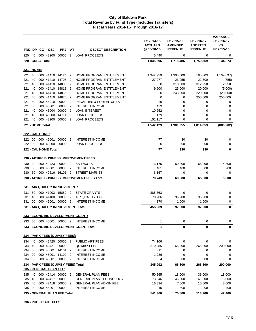|                     |          | FND DP CC        | <b>OBJ</b>              | <b>PRJ</b>                          | AT                  | <b>OBJECT DESCRIPTION</b>                            | FY 2014-15<br><b>ACTUALS</b><br>@ 06-30-15 | FY 2015-16<br><b>AMENDED</b><br><b>REVENUE</b> | FY 2016-17<br><b>ADOPTED</b><br><b>REVENUE</b> | <b>VARIANCE</b><br>FY 2016-17<br>VS.<br>FY 2015-16 |
|---------------------|----------|------------------|-------------------------|-------------------------------------|---------------------|------------------------------------------------------|--------------------------------------------|------------------------------------------------|------------------------------------------------|----------------------------------------------------|
| 220                 | 40       |                  | 000 48200               | 00000                               | $\overline{2}$      | <b>LOAN PROCEEDS</b>                                 | 5,440                                      | 0                                              | 0                                              | 0                                                  |
|                     |          | 220 - CDBG Total |                         |                                     |                     |                                                      | 1,045,696                                  | 1,715,486                                      | 1,750,359                                      | 34,873                                             |
|                     |          |                  |                         |                                     |                     |                                                      |                                            |                                                |                                                |                                                    |
| <u> 221 - HOME:</u> |          |                  |                         |                                     |                     |                                                      |                                            |                                                |                                                |                                                    |
| 221                 | 40       |                  |                         | 000 41410 14124 2                   |                     | HOME PROGRAM ENTITLEMENT                             | 1,342,950                                  | 1,300,000                                      | 190,303                                        | (1, 109, 697)                                      |
| 221                 | 40       |                  |                         | 000 41410 14705                     | $\overline{2}$      | HOME PROGRAM ENTITLEMENT                             | 27,277                                     | 23,055                                         | 22,300                                         | (755)                                              |
| 221                 | 40       |                  |                         | 000 41410 14800                     | $\overline{2}$      | HOME PROGRAM ENTITLEMENT                             | 0                                          | 310,000                                        | 312,250                                        | 2,250                                              |
| 221                 | 40<br>40 |                  |                         | 000 41410 14811<br>000 41410 14865  | 2<br>$\overline{2}$ | HOME PROGRAM ENTITLEMENT<br>HOME PROGRAM ENTITLEMENT | 9,900                                      | 25,000                                         | 20,000                                         | (5,000)                                            |
| 221<br>221          | 40       |                  |                         | 000 41410 14870                     | $\overline{2}$      | HOME PROGRAM ENTITLEMENT                             | 0<br>0                                     | 243,000<br>0                                   | 220,000<br>250,000                             | (23,000)<br>250,000                                |
| 221                 | 40       |                  | 000 44010               | 00000                               | $\overline{2}$      | PENALTIES & FORFEITURES                              | 25                                         | 0                                              | 0                                              | 0                                                  |
| 221                 | 00       |                  | 000 45001               | 00000 2                             |                     | <b>INTEREST INCOME</b>                               | 429                                        | 0                                              | 0                                              | $\pmb{0}$                                          |
| 221                 | 40       |                  |                         | 000 45004 00000                     | $\overline{2}$      | <b>LOAN INTEREST</b>                                 | 10,252                                     | 0                                              | 0                                              | 0                                                  |
| 221                 | 40       |                  | 000 48200               | 14711                               | 2                   | <b>LOAN PROCEEDS</b>                                 | 179                                        | 0                                              | 0                                              | 0                                                  |
| 221                 | 40       |                  | 000 48200               | 00000                               | $\overline{2}$      | <b>LOAN PROCEEDS</b>                                 | 151,117                                    | 0                                              | 0                                              | 0                                                  |
|                     |          | 221 - HOME Total |                         |                                     |                     |                                                      | 1,542,129                                  | 1,901,055                                      | 1,014,853                                      | (886, 202)                                         |
|                     |          | 222 - CAL HOME:  |                         |                                     |                     |                                                      |                                            |                                                |                                                |                                                    |
| 222                 | 00       |                  | 000 45001               | 00000                               | $\overline{2}$      | <b>INTEREST INCOME</b>                               | 77                                         | 30                                             | 30                                             | 0                                                  |
| 222 00              |          |                  |                         | 000 48200 00000 2                   |                     | <b>LOAN PROCEEDS</b>                                 | 0                                          | 300                                            | 300                                            | 0                                                  |
|                     |          |                  | 222 - CAL HOME Total    |                                     |                     |                                                      | 77                                         | 330                                            | 330                                            | 0                                                  |
|                     |          |                  |                         |                                     |                     | 230 - AB1693 BUSINESS IMPROVEMENT FEES:              |                                            |                                                |                                                |                                                    |
|                     |          |                  |                         |                                     |                     |                                                      |                                            |                                                |                                                |                                                    |
| 230                 | 20       |                  |                         | 000 42423 00000 2                   |                     | <b>SB 1693 TX</b>                                    | 73,175                                     | 60,200                                         | 65,000                                         | 4,800                                              |
| 230<br>230          | 00<br>60 |                  | 000 45001               | 00000<br>000 42616 16101 2          | $\overline{2}$      | <b>INTEREST INCOME</b><br><b>STREET MARKET</b>       | 401                                        | 400<br>0                                       | 600<br>0                                       | 200<br>$\boldsymbol{0}$                            |
|                     |          |                  |                         |                                     |                     | 230 - AB1693 BUSINESS IMPROVEMENT FEES Total         | 6,167<br>79,743                            | 60,600                                         | 65,600                                         | 5,000                                              |
|                     |          |                  |                         |                                     |                     |                                                      |                                            |                                                |                                                |                                                    |
|                     |          |                  |                         | 231 - AIR QUALITY IMPROVEMENT:      |                     |                                                      |                                            |                                                |                                                |                                                    |
| 231                 |          |                  |                         | 50 000 41003 15882 2                |                     | <b>STATE GRANTS</b>                                  | 385,363                                    | 0                                              | 0                                              | 0                                                  |
| 231                 | 40       |                  | 000 41400               | 00000                               | $\overline{2}$      | AIR QUALITY TAX                                      | 70,206                                     | 96,900                                         | 96,900                                         | 0                                                  |
| 231                 | 00       |                  |                         | 000 45001 00000 2                   |                     | <b>INTEREST INCOME</b>                               | 370                                        | 1,000                                          | 1,000                                          | 0                                                  |
|                     |          |                  |                         | 231 - AIR QUALITY IMPROVEMENT Total |                     |                                                      | 455,939                                    | 97,900                                         | 97,900                                         | 0                                                  |
|                     |          |                  |                         |                                     |                     | 233 - ECONOMIC DEVELOPMENT GRANT:                    |                                            |                                                |                                                |                                                    |
|                     |          |                  |                         |                                     |                     | 233 00 000 45001 00000 2 INTEREST INCOME             | 1                                          | 0                                              | 0                                              | 0                                                  |
|                     |          |                  |                         |                                     |                     | 233 - ECONOMIC DEVELOPMENT GRANT Total               | 1                                          | $\mathbf 0$                                    | 0                                              | 0                                                  |
|                     |          |                  |                         | 234 - PARK FEES (QUIMBY FEES):      |                     |                                                      |                                            |                                                |                                                |                                                    |
| 234                 | 40       |                  |                         | 000 42420 00000 2                   |                     | PUBLIC ART FEES                                      | 74,106                                     | 0                                              | 0                                              | 0                                                  |
| 234                 | 40       |                  |                         | 000 42421 00000                     | $\overline{2}$      | <b>QUIMBY FEES</b>                                   | 270,285                                    | 65,000                                         | 265,000                                        | 200,000                                            |
| 234 00              |          |                  |                         | 000 45001 14101                     | $\overline{2}$      | <b>INTEREST INCOME</b>                               | 311                                        | 0                                              | 0                                              | 0                                                  |
| 234 00              |          |                  |                         | 000 45001 14102 2                   |                     | <b>INTEREST INCOME</b>                               | 1,286                                      | $\mathbf 0$                                    | 0                                              | 0                                                  |
| 234 00              |          |                  |                         | 000 45001 00000 2                   |                     | <b>INTEREST INCOME</b>                               | 4                                          | 1,800                                          | 1,800                                          | 0                                                  |
|                     |          |                  |                         | 234 - PARK FEES (QUIMBY FEES) Total |                     |                                                      | 345,992                                    | 66,800                                         | 266,800                                        | 200,000                                            |
| 235                 | 40       |                  | 235 - GENERAL PLAN FEE: | 000 42414 00000 2                   |                     | <b>GENERAL PLAN FEES</b>                             | 50,565                                     | 18,000                                         | 36,000                                         | 18,000                                             |
| 235                 | 40       |                  |                         | 000 42417 00000 2                   |                     | <b>GENERAL PLAN TECHNOLOGY FEE</b>                   | 73,046                                     | 45,000                                         | 61,000                                         | 16,000                                             |
| 235                 | 40       |                  |                         | 000 42418 00000 2                   |                     | <b>GENERAL PLAN ADMIN FEE</b>                        | 16,834                                     | 7,000                                          | 15,000                                         | 8,000                                              |
| 235                 | 00       |                  |                         | 000 45001 00000 2                   |                     | <b>INTEREST INCOME</b>                               | 915                                        | 800                                            | 1,200                                          | 400                                                |
|                     |          |                  |                         | 235 - GENERAL PLAN FEE Total        |                     |                                                      | 141,360                                    | 70,800                                         | 113,200                                        | 42,400                                             |

**236 - PUBLIC ART FEES:**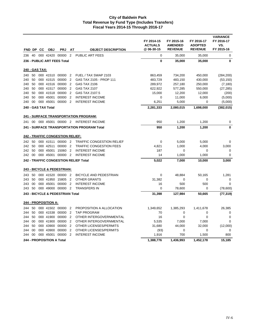| FND DP |    | <b>CC</b>      | <b>OBJ</b>                  | <b>PRJ</b>                              | AT             | <b>OBJECT DESCRIPTION</b>                    | FY 2014-15<br><b>ACTUALS</b><br>@06-30-15 | FY 2015-16<br><b>AMENDED</b><br><b>REVENUE</b> | FY 2016-17<br><b>ADOPTED</b><br><b>REVENUE</b> | <b>VARIANCE</b><br>FY 2016-17<br>VS.<br>FY 2015-16 |
|--------|----|----------------|-----------------------------|-----------------------------------------|----------------|----------------------------------------------|-------------------------------------------|------------------------------------------------|------------------------------------------------|----------------------------------------------------|
| 236    | 40 |                |                             | 000 42420 00000                         | $\overline{2}$ | <b>PUBLIC ART FEES</b>                       | 0                                         | 35,000                                         | 35,000                                         | 0                                                  |
|        |    |                |                             | 236 - PUBLIC ART FEES Total             |                |                                              | $\mathbf{0}$                              | 35,000                                         | 35,000                                         | 0                                                  |
|        |    | 240 - GAS TAX: |                             |                                         |                |                                              |                                           |                                                |                                                |                                                    |
| 240    | 50 |                |                             | 000 41510 00000                         | $\overline{2}$ | FUEL / TAX SWAP 2103                         | 863,459                                   | 734,200                                        | 450,000                                        | (284, 200)                                         |
| 240    | 50 |                |                             | 000 41515 00000                         | $\overline{2}$ | GAS TAX 2105 - PROP 111                      | 483,729                                   | 483,150                                        | 430,000                                        | (53, 150)                                          |
| 240    | 50 |                | 000 41516                   | 00000                                   | $\overline{2}$ | <b>GAS TAX 2106</b>                          | 289,972                                   | 257,180                                        | 250,000                                        | (7, 180)                                           |
| 240    | 50 |                |                             | 000 41517 00000                         | $\overline{2}$ | <b>GAS TAX 2107</b>                          | 622,922                                   | 577,285                                        | 550,000                                        | (27, 285)                                          |
| 240    | 50 |                |                             | 000 41518 00000                         | $\overline{2}$ | GAS TAX 2107.5                               | 15,000                                    | 12,200                                         | 12,000                                         | (200)                                              |
| 240    | 50 |                | 000 45001                   | 00000                                   | $\overline{2}$ | <b>INTEREST INCOME</b>                       | 0                                         | 11,000                                         | 6,000                                          | (5,000)                                            |
| 240    | 00 |                | 000 45001                   | 00000                                   | $\overline{2}$ | <b>INTEREST INCOME</b>                       | 6,251                                     | 5,000                                          | 0                                              | (5,000)                                            |
|        |    |                | 240 - GAS TAX Total         |                                         |                |                                              | 2,281,333                                 | 2,080,015                                      | 1,698,000                                      | (382, 015)                                         |
|        |    |                |                             |                                         |                | <b>241 - SURFACE TRANSPORTATION PROGRAM:</b> |                                           |                                                |                                                |                                                    |
| 241    |    |                |                             | 00 000 45001 00000 2                    |                | <b>INTEREST INCOME</b>                       | 950                                       | 1,200                                          | 1,200                                          | 0                                                  |
|        |    |                |                             |                                         |                | 241 - SURFACE TRANSPORTATION PROGRAM Total   | 950                                       | 1,200                                          | 1,200                                          | 0                                                  |
|        |    |                |                             | <b>242 - TRAFFIC CONGESTION RELIEF:</b> |                |                                              |                                           |                                                |                                                |                                                    |
| 242    | 50 |                |                             | 000 41511 00000 2                       |                | TRAFFIC CONGESTION RELIEF                    | $\mathbf 0$                               | 5,000                                          | 5,000                                          | 0                                                  |
| 242    | 50 |                | 000 42511                   | 00000                                   | $\overline{2}$ | <b>TRAFFIC CONGESTION FEES</b>               | 4,821                                     | 1,000                                          | 4,000                                          | 3,000                                              |
| 242    | 50 |                | 000 45001                   | 15060                                   | $\overline{2}$ | <b>INTEREST INCOME</b>                       | 187                                       | 0                                              | 0                                              | 0                                                  |
| 242 00 |    |                |                             | 000 45001 00000 2                       |                | <b>INTEREST INCOME</b>                       | 14                                        | 1,000                                          | 1,000                                          | 0                                                  |
|        |    |                |                             |                                         |                | 242 - TRAFFIC CONGESTION RELIEF Total        | 5,022                                     | 7,000                                          | 10,000                                         | 3,000                                              |
|        |    |                |                             | <b>243 - BICYCLE &amp; PEDESTRIAN:</b>  |                |                                              |                                           |                                                |                                                |                                                    |
| 243    | 50 |                |                             | 000 41520 00000 2                       |                | <b>BICYCLE AND PEDESTRIAN</b>                | 0                                         | 48,884                                         | 50,165                                         | 1,281                                              |
| 243    | 50 |                | 000 41950                   | 15805                                   | $\overline{2}$ | <b>OTHER GRANTS</b>                          | 31,382                                    | $\mathbf 0$                                    | 0                                              | $\mathbf 0$                                        |
| 243    | 00 |                | 000 45001                   | 00000                                   | $\overline{2}$ | <b>INTEREST INCOME</b>                       | 16                                        | 500                                            | 500                                            | $\mathbf 0$                                        |
| 243    | 50 |                |                             | 000 49000 00000                         | $\overline{2}$ | <b>TRANSFERS IN</b>                          | $\mathbf 0$                               | 78,600                                         | 0                                              | (78,600)                                           |
|        |    |                |                             | 243 - BICYCLE & PEDESTRIAN Total        |                |                                              | 31,398                                    | 127,984                                        | 50,665                                         | (77, 319)                                          |
|        |    |                | <b>244 - PROPOSITION A:</b> |                                         |                |                                              |                                           |                                                |                                                |                                                    |
| 244    | 50 |                |                             | 000 41502 00000                         | $\overline{2}$ | PROPOSITION A ALLOCATION                     | 1,349,652                                 | 1,385,293                                      | 1,411,678                                      | 26,385                                             |
| 244    | 50 |                |                             | 000 41538 00000 2                       |                | <b>TAP PROGRAM</b>                           | 70                                        | $\mathbf 0$                                    | $\mathbf 0$                                    | $\mathbf 0$                                        |
| 244    | 50 |                |                             | 000 41900 00000                         | $\overline{2}$ | OTHER INTERGOVERNMENTAL                      | 16                                        | $\mathbf 0$                                    | $\mathbf 0$                                    | $\mathbf 0$                                        |
| 244    | 00 |                | 000 41900                   | 00000                                   | $\overline{2}$ | OTHER INTERGOVERNMENTAL                      | 5,535                                     | 7,000                                          | 7,000                                          | 0                                                  |
| 244    | 50 |                | 000 43900                   | 00000                                   | $\overline{2}$ | <b>OTHER LICENSES/PERMITS</b>                | 31,680                                    | 44,000                                         | 32,000                                         | (12,000)                                           |
| 244    | 00 |                | 000 43900                   | 00000                                   | $\overline{2}$ | <b>OTHER LICENSES/PERMITS</b>                | (93)                                      | 0                                              | $\mathbf 0$                                    | 0                                                  |
| 244    | 00 |                | 000 45001                   | 00000                                   | $\overline{2}$ | <b>INTEREST INCOME</b>                       | 1,916                                     | 700                                            | 1,500                                          | 800                                                |
|        |    |                | 244 - PROPOSITION A Total   |                                         |                |                                              | 1,388,776                                 | 1,436,993                                      | 1,452,178                                      | 15,185                                             |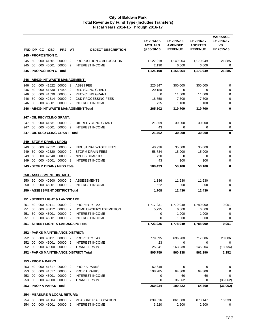|        | FND DP CC | <b>OBJ</b>                        | <b>PRJ</b> | AT                       | <b>OBJECT DESCRIPTION</b>              | FY 2014-15<br><b>ACTUALS</b><br>@06-30-15 | FY 2015-16<br><b>AMENDED</b><br><b>REVENUE</b> | FY 2016-17<br><b>ADOPTED</b><br><b>REVENUE</b> | <b>VARIANCE</b><br>FY 2016-17<br>VS.<br>FY 2015-16 |
|--------|-----------|-----------------------------------|------------|--------------------------|----------------------------------------|-------------------------------------------|------------------------------------------------|------------------------------------------------|----------------------------------------------------|
|        |           | 245 - PROPOSITION C:              |            |                          |                                        |                                           |                                                |                                                |                                                    |
| 245    | 50        | 000 41501 00000                   |            | 2                        | PROPOSITION C ALLOCATION               | 1,122,918                                 | 1,149,064                                      | 1,170,949                                      | 21,885                                             |
| 245    | 00        | 000 45001                         | 00000      | $\overline{2}$           | <b>INTEREST INCOME</b>                 | 2,190                                     | 6,000                                          | 6,000                                          | 0                                                  |
|        |           | 245 - PROPOSITION C Total         |            |                          |                                        | 1,125,108                                 | 1,155,064                                      | 1,176,949                                      | 21,885                                             |
|        |           | 246 - AB939 INT WASTE MANAGEMENT: |            |                          |                                        |                                           |                                                |                                                |                                                    |
| 246    | 50        | 000 41522 00000                   |            | $\overline{2}$           | AB939 FEE                              | 225,847                                   | 300,000                                        | 300,000                                        | 0                                                  |
| 246    | 50        | 000 41530                         | 17445      | $\overline{2}$           | <b>RECYCLING GRANT</b>                 | 20,180                                    | 0                                              | 0                                              | 0                                                  |
| 246    | 50        | 000 41530 00000                   |            | $\overline{2}$           | <b>RECYCLING GRANT</b>                 | 0                                         | 11,000                                         | 11,000                                         | 0                                                  |
| 246    | 50        | 000 42514 00000                   |            | $\overline{2}$           | <b>C&amp;D PROCESSING FEES</b>         | 18,750                                    | 7,600                                          | 7,600                                          | 0                                                  |
| 246    | 00        | 000 45001                         | 00000      | $\overline{\phantom{0}}$ | <b>INTEREST INCOME</b>                 | 725                                       | 1,100                                          | 1,100                                          | 0                                                  |
|        |           |                                   |            |                          | 246 - AB939 INT WASTE MANAGEMENT Total | 265,502                                   | 319,700                                        | 319,700                                        | 0                                                  |
|        |           | 247 - OIL RECYCLING GRANT:        |            |                          |                                        |                                           |                                                |                                                |                                                    |
| 247    |           | 50 000 41531 00000 2              |            |                          | OIL RECYCLING GRANT                    | 21,359                                    | 30,000                                         | 30,000                                         | 0                                                  |
| 247    | 00        | 000 45001 00000                   |            | $\overline{2}$           | <b>INTEREST INCOME</b>                 | 43                                        | 0                                              | 0                                              | 0                                                  |
|        |           | 247 - OIL RECYCLING GRANT Total   |            |                          |                                        | 21,402                                    | 30,000                                         | 30,000                                         | 0                                                  |
|        |           | <u> 249 - STORM DRAIN / NPDS:</u> |            |                          |                                        |                                           |                                                |                                                |                                                    |
| 249    | 50        | 000 42512 00000 2                 |            |                          | <b>INDUSTRIAL WASTE FEES</b>           | 40,936                                    | 35,000                                         | 35,000                                         | 0                                                  |
| 249    | 50        | 000 42520 00000                   |            | $\overline{\phantom{a}}$ | <b>STORM DRAIN FEES</b>                | 58,734                                    | 15,000                                         | 15,000                                         | 0                                                  |
| 249    | 50        | 000 42540                         | 00000      | $\overline{2}$           | <b>NPDES CHARGES</b>                   | 720                                       | 0                                              | 0                                              | 0                                                  |
| 249    | 00        | 000 45001                         | 00000      | $\overline{2}$           | <b>INTEREST INCOME</b>                 | 43                                        | 100                                            | 100                                            | 0                                                  |
|        |           | 249 - STORM DRAIN / NPDS Total    |            |                          |                                        | 100,433                                   | 50,100                                         | 50,100                                         | 0                                                  |
|        |           | <b>250 - ASSESSMENT DISTRICT:</b> |            |                          |                                        |                                           |                                                |                                                |                                                    |
| 250    | 50        | 000 40500 00000 2                 |            |                          | <b>ASSESSMENTS</b>                     | 1,186                                     | 11,630                                         | 11,630                                         | 0                                                  |
| 250    | 00        | 000 45001 00000 2                 |            |                          | <b>INTEREST INCOME</b>                 | 522                                       | 800                                            | 800                                            | 0                                                  |
|        |           | 250 - ASSESSMENT DISTRICT Total   |            |                          |                                        | 1,708                                     | 12,430                                         | 12,430                                         | 0                                                  |
|        |           | 251 - STREET LIGHT & LANDSCAPE:   |            |                          |                                        |                                           |                                                |                                                |                                                    |
| 251    | 50        | 000 40111                         | 00000 2    |                          | <b>PROPERTY TAX</b>                    | 1,717,231                                 | 1,770,049                                      | 1,780,000                                      | 9,951                                              |
| 251    | 50        | 000 40112 00000 2                 |            |                          | HOME OWNER'S EXEMPTION                 | 5,795                                     | 6,000                                          | 6,000                                          | 0                                                  |
| 251    | 50        | 000 45001                         | 00000      | $\overline{2}$           | <b>INTEREST INCOME</b>                 | 0                                         | 1,000                                          | 1,000                                          | 0                                                  |
| 251    | 00        | 000 45001 00000 2                 |            |                          | <b>INTEREST INCOME</b>                 | 0                                         | 1,000                                          | 1,000                                          | 0                                                  |
|        |           |                                   |            |                          | 251 - STREET LIGHT & LANDSCAPE Total   | 1,723,026                                 | 1,778,049                                      | 1,788,000                                      | 9,951                                              |
|        |           | 252 - PARKS MAINTENANCE DISTRICT: |            |                          |                                        |                                           |                                                |                                                |                                                    |
|        |           | 252 50 000 40111 00000 2          |            |                          | PROPERTY TAX                           | 779,895                                   | 696,200                                        | 717,086                                        | 20,886                                             |
| 252 00 |           | 000 45001 00000 2                 |            |                          | <b>INTEREST INCOME</b>                 | 23                                        | 0                                              | 0                                              | 0                                                  |
| 252 00 |           | 000 49000 00000 2                 |            |                          | <b>TRANSFERS IN</b>                    | 25,841                                    | 163,938                                        | 145,204                                        | (18, 734)                                          |
|        |           |                                   |            |                          | 252 - PARKS MAINTENANCE DISTRICT Total | 805,759                                   | 860,138                                        | 862,290                                        | 2,152                                              |
|        |           | <b>253 - PROP A PARKS:</b>        |            |                          |                                        |                                           |                                                |                                                |                                                    |
|        |           | 253 50 000 41617 00000 2          |            |                          | <b>PROP A PARKS</b>                    | 62,649                                    | 0                                              | 0                                              | 0                                                  |
| 253 60 |           | 000 41617 00000 2                 |            |                          | PROP A PARKS                           | 198,285                                   | 64,300                                         | 64,300                                         | 0                                                  |
| 253 00 |           | 000 45001 00000 2                 |            |                          | <b>INTEREST INCOME</b>                 | 0                                         | 60                                             | 60                                             | 0                                                  |
| 253 00 |           | 000 49000 00000 2                 |            |                          | <b>TRANSFERS IN</b>                    | 0                                         | 36,062                                         | $\mathbf 0$                                    | (36,062)                                           |
|        |           | 253 - PROP A PARKS Total          |            |                          |                                        | 260,934                                   | 100,422                                        | 64,360                                         | (36,062)                                           |
|        |           | 254 - MEASURE R LOCAL RETURN:     |            |                          |                                        |                                           |                                                |                                                |                                                    |
| 254 50 |           | 000 41504 00000 2                 |            |                          | MEASURE R ALLOCATION                   | 839,816                                   | 861,808                                        | 878,147                                        | 16,339                                             |
| 254 00 |           | 000 45001 00000 2                 |            |                          | <b>INTEREST INCOME</b>                 | 3,220                                     | 2,600                                          | 2,600                                          | 0                                                  |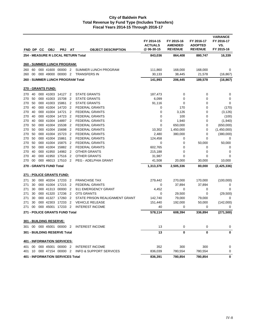|     |                 | FND DP CC | <b>OBJ</b>              | <b>PRJ</b>                              | AT             | <b>OBJECT DESCRIPTION</b>          | FY 2014-15<br><b>ACTUALS</b><br>@ 06-30-15 | FY 2015-16<br><b>AMENDED</b><br><b>REVENUE</b> | FY 2016-17<br><b>ADOPTED</b><br><b>REVENUE</b> | <b>VARIANCE</b><br>FY 2016-17<br>VS.<br>FY 2015-16 |
|-----|-----------------|-----------|-------------------------|-----------------------------------------|----------------|------------------------------------|--------------------------------------------|------------------------------------------------|------------------------------------------------|----------------------------------------------------|
|     |                 |           |                         |                                         |                | 254 - MEASURE R LOCAL RETURN Total | 843,036                                    | 864,408                                        | 880,747                                        | 16,339                                             |
|     |                 |           |                         |                                         |                |                                    |                                            |                                                |                                                |                                                    |
|     |                 |           |                         | 260 - SUMMER LUNCH PROGRAM:             |                |                                    |                                            |                                                |                                                |                                                    |
| 260 | 60              |           |                         | 000 41600 00000 2                       |                | SUMMER LUNCH PROGRAM               | 111,860                                    | 168,000                                        | 168,000                                        | 0                                                  |
| 260 | 00              |           |                         | 000 49000 00000 2                       |                | <b>TRANSFERS IN</b>                | 30,133                                     | 38,445                                         | 21,578                                         | (16,867)                                           |
|     |                 |           |                         | 260 - SUMMER LUNCH PROGRAM Total        |                |                                    | 141,993                                    | 206,445                                        | 189,578                                        | (16, 867)                                          |
|     |                 |           | 270 - GRANTS FUND:      |                                         |                |                                    |                                            |                                                |                                                |                                                    |
| 270 | 40              |           |                         | 000 41003 14127 2                       |                | <b>STATE GRANTS</b>                | 187,473                                    | 0                                              | 0                                              | 0                                                  |
| 270 | 50              |           |                         | 000 41003 15708                         | $\overline{2}$ | <b>STATE GRANTS</b>                | 6,099                                      | 0                                              | 0                                              | 0                                                  |
| 270 | 50              |           | 000 41003               | 15861                                   | $\overline{2}$ | <b>STATE GRANTS</b>                | 91,116                                     | 0                                              | 0                                              | 0                                                  |
| 270 | 40              |           |                         | 000 41004 14720                         | $\overline{2}$ | <b>FEDERAL GRANTS</b>              | 0                                          | 170                                            | 0                                              | (170)                                              |
| 270 | 40              |           |                         | 000 41004 14721                         | $\overline{2}$ | <b>FEDERAL GRANTS</b>              | 0                                          | 3,126                                          | 0                                              | (3, 126)                                           |
| 270 | 40              |           |                         | 000 41004 14723                         | $\overline{2}$ | <b>FEDERAL GRANTS</b>              | 0                                          | 100                                            | 0                                              | (100)                                              |
| 270 | 40              |           |                         | 000 41004 14897                         | $\overline{2}$ | <b>FEDERAL GRANTS</b>              | 0                                          | 1,940                                          | 0                                              | (1,940)                                            |
| 270 | 50              |           | 000 41004               | 15538                                   | 2              | <b>FEDERAL GRANTS</b>              | 0                                          | 650,000                                        | 0                                              | (650,000)                                          |
| 270 | 50              |           | 000 41004               | 15698                                   | $\overline{2}$ | <b>FEDERAL GRANTS</b>              | 10,302                                     | 1,450,000                                      | 0                                              | (1,450,000)                                        |
| 270 | 50              |           |                         | 000 41004 15723                         | $\overline{2}$ | <b>FEDERAL GRANTS</b>              | 2,480                                      | 380,000                                        | 0                                              | (380,000)                                          |
| 270 | 50              |           | 000 41004               | 15861                                   | $\overline{2}$ | <b>FEDERAL GRANTS</b>              | 124,458                                    | 0                                              | 0                                              | 0                                                  |
| 270 | 50              |           | 000 41004               | 15875                                   | $\overline{2}$ | <b>FEDERAL GRANTS</b>              | 0                                          | 0                                              | 50,000                                         | 50,000                                             |
| 270 | 50              |           | 000 41004               | 15882                                   | $\overline{2}$ | <b>FEDERAL GRANTS</b>              | 602,765                                    | 0                                              | 0                                              | 0                                                  |
| 270 | 40              |           |                         | 000 41950 14982                         | $\overline{2}$ | <b>OTHER GRANTS</b>                | 215,188                                    | 0                                              | 0                                              | 0                                                  |
| 270 | 40              |           | 000 41950               | 17516                                   | $\overline{2}$ | <b>OTHER GRANTS</b>                | 31,987                                     | 0                                              | 0                                              | $\mathbf 0$                                        |
| 270 | 00              |           |                         | 000 46013 17510                         | $\overline{2}$ | <b>PEG - ADELPHIA GRANT</b>        | 41,508                                     | 20,000                                         | 30,000                                         | 10,000                                             |
|     |                 |           | 270 - GRANTS FUND Total |                                         |                |                                    | 1,313,376                                  | 2,505,336                                      | 80,000                                         | (2,425,336)                                        |
|     |                 |           |                         | <u> 271 - POLICE GRANTS FUND:</u>       |                |                                    |                                            |                                                |                                                |                                                    |
| 271 | 30              |           |                         | 000 40204 17233                         | $\overline{2}$ | <b>FRANCHISE TAX</b>               | 279,442                                    | 270,000                                        | 170,000                                        | (100,000)                                          |
| 271 | 30              |           |                         | 000 41004 17215                         | $\overline{2}$ | <b>FEDERAL GRANTS</b>              | 0                                          | 37,894                                         | 37,894                                         | 0                                                  |
| 271 | 30              |           |                         | 000 41313 00000                         | $\overline{2}$ | 911 EMERGENCY GRANT                | 4,452                                      | 0                                              | 0                                              | 0                                                  |
| 271 | 30              |           | 000 41320               | 17236                                   | $\overline{2}$ | <b>OTS GRANTS</b>                  | 0                                          | 29,500                                         | 0                                              | (29, 500)                                          |
| 271 | 30              |           |                         | 000 41327 17260                         | $\overline{2}$ | STATE PRISON REALIGNMENT GRANT     | 142,740                                    | 79,000                                         | 79,000                                         | $\mathbf 0$                                        |
| 271 | 30              |           | 000 42303               | 17233                                   | $\overline{2}$ | <b>VEHICLE RELEASE</b>             | 151,440                                    | 192,000                                        | 50,000                                         | (142,000)                                          |
| 271 | 00              |           |                         | 000 45001 17233 2                       |                | <b>INTEREST INCOME</b>             | 40                                         | 0                                              | 0                                              | 0                                                  |
|     |                 |           |                         | 271 - POLICE GRANTS FUND Total          |                |                                    | 578,114                                    | 608,394                                        | 336,894                                        | (271, 500)                                         |
|     |                 |           | 301 - BUILDING RESERVE: |                                         |                |                                    |                                            |                                                |                                                |                                                    |
|     |                 |           |                         | 301 00 000 45001 00000 2                |                | <b>INTEREST INCOME</b>             | 13                                         | 0                                              | 0                                              | 0                                                  |
|     |                 |           |                         | 301 - BUILDING RESERVE Total            |                |                                    | 13                                         | 0                                              | 0                                              | 0                                                  |
|     |                 |           |                         | <b>401 - INFORMATION SERVICES:</b>      |                |                                    |                                            |                                                |                                                |                                                    |
| 401 |                 |           |                         | 00 000 45001 00000 2                    |                | <b>INTEREST INCOME</b>             | 352                                        | 300                                            | 300                                            | 0                                                  |
| 401 | 10 <sup>1</sup> |           |                         | 000 47154 00000 2                       |                | <b>INFO &amp; SUPPORT SERVICES</b> | 836,039                                    | 780,554                                        | 780,554                                        | 0                                                  |
|     |                 |           |                         | <b>401 - INFORMATION SERVICES Total</b> |                |                                    | 836,391                                    | 780,854                                        | 780,854                                        | 0                                                  |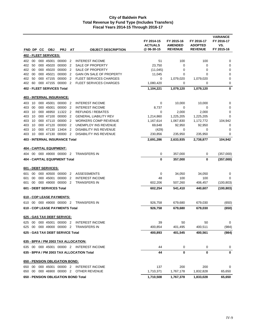|     |    | FND DP CC | OBJ                       | <b>PRJ</b>                            | AT             | <b>OBJECT DESCRIPTION</b>                 | FY 2014-15<br><b>ACTUALS</b><br>@ 06-30-15 | FY 2015-16<br><b>AMENDED</b><br><b>REVENUE</b> | FY 2016-17<br><b>ADOPTED</b><br><b>REVENUE</b> | <b>VARIANCE</b><br>FY 2016-17<br>VS.<br>FY 2015-16 |
|-----|----|-----------|---------------------------|---------------------------------------|----------------|-------------------------------------------|--------------------------------------------|------------------------------------------------|------------------------------------------------|----------------------------------------------------|
|     |    |           | 402 - FLEET SERVICES:     |                                       |                |                                           |                                            |                                                |                                                |                                                    |
| 402 | 00 |           | 000 45001                 | 00000                                 | 2              | <b>INTEREST INCOME</b>                    | 51                                         | 100                                            | 100                                            | 0                                                  |
| 402 | 50 |           | 000 45020                 | 00000                                 | $\overline{2}$ | SALE OF PROPERTY                          | 23,750                                     | 0                                              | 0                                              | $\pmb{0}$                                          |
| 402 | 00 |           | 000 45020                 | 00000                                 | $\overline{2}$ | SALE OF PROPERTY                          | (11, 045)                                  | 0                                              | 0                                              | 0                                                  |
| 402 | 00 |           | 000 45021                 | 00000                                 | $\overline{2}$ | GAIN ON SALE OF PROPERTY                  | 11,045                                     | $\mathbf 0$                                    | 0                                              | 0                                                  |
| 402 | 50 |           |                           | 000 47155 00000                       | $\overline{2}$ | <b>FLEET SERVICES CHARGES</b>             | 0                                          | 1,079,020                                      | 1,079,020                                      | 0                                                  |
| 402 | 60 |           |                           | 000 47155 00000                       | $\overline{2}$ | <b>FLEET SERVICES CHARGES</b>             | 1,080,420                                  | 0                                              | 0                                              | 0                                                  |
|     |    |           |                           | <b>402 - FLEET SERVICES Total</b>     |                |                                           | 1,104,221                                  | 1,079,120                                      | 1,079,120                                      | 0                                                  |
|     |    |           |                           | <u>403 - INTERNAL INSURANCE:</u>      |                |                                           |                                            |                                                |                                                |                                                    |
| 403 | 10 |           |                           | 000 45001 00000 2                     |                | <b>INTEREST INCOME</b>                    | 0                                          | 10,000                                         | 10,000                                         | 0                                                  |
| 403 | 00 |           | 000 45001                 | 00000                                 | $\overline{2}$ | <b>INTEREST INCOME</b>                    | 8,737                                      | 0                                              | $\mathbf 0$                                    | 0                                                  |
| 403 | 10 |           |                           | 000 46950 11322 2                     |                | <b>REFUNDS / REBATES</b>                  | 0                                          | 2,000                                          | 2,000                                          | 0                                                  |
| 403 | 10 |           |                           | 000 47100 00000                       | $\overline{2}$ | <b>GENERAL LIABILITY REV</b>              | 1,214,860                                  | 1,225,205                                      | 1,225,205                                      | 0                                                  |
| 403 | 10 |           |                           | 000 47110 00000                       | $\overline{2}$ | <b>WORKERS COMP REVENUE</b>               | 1,167,614                                  | 1,067,830                                      | 1,172,772                                      | 104,942                                            |
| 403 | 10 |           | 000 47120                 | 00000                                 | 2              | UNEMPLOY INS REVENUE                      | 69,648                                     | 92,950                                         | 92,950                                         | 0                                                  |
| 403 | 10 |           | 000 47130                 | 13404                                 | $\overline{2}$ | <b>DISABILITY INS REVENUE</b>             | (429)                                      | 0                                              | 0                                              | 0                                                  |
| 403 | 10 |           |                           | 000 47130 00000                       | $\overline{2}$ | <b>DISABILITY INS REVENUE</b>             | 230,856                                    | 235,950                                        | 235,950                                        | 0                                                  |
|     |    |           |                           | <b>403 - INTERNAL INSURANCE Total</b> |                |                                           | 2,691,286                                  | 2,633,935                                      | 2,738,877                                      | 104,942                                            |
|     |    |           |                           | <u>404 - CAPITAL EQUIPMENT:</u>       |                |                                           |                                            |                                                |                                                |                                                    |
|     |    |           |                           | 404 00 000 49000 00000                | $\overline{2}$ | <b>TRANSFERS IN</b>                       | 0                                          | 357,000                                        | 0                                              | (357,000)                                          |
|     |    |           |                           | <b>404 - CAPITAL EQUIPMENT Total</b>  |                |                                           | 0                                          | 357,000                                        | 0                                              | (357,000)                                          |
|     |    |           | 601 - DEBT SERVICES:      |                                       |                |                                           |                                            |                                                |                                                |                                                    |
| 601 | 00 |           |                           | 000 40500 00000                       | $\overline{2}$ | <b>ASSESSMENTS</b>                        | 0                                          | 34,050                                         | 34,050                                         | 0                                                  |
| 601 | 00 |           | 000 45001                 | 00000                                 | $\overline{2}$ | <b>INTEREST INCOME</b>                    | 48                                         | 100                                            | 100                                            | 0                                                  |
| 601 | 00 |           |                           | 000 49000 00000                       | $\overline{2}$ | <b>TRANSFERS IN</b>                       | 602,206                                    | 507,260                                        | 406,457                                        | (100, 803)                                         |
|     |    |           | 601 - DEBT SERVICES Total |                                       |                |                                           | 602,254                                    | 541,410                                        | 440,607                                        | (100, 803)                                         |
|     |    |           |                           | <b>610 - COP LEASE PAYMENTS:</b>      |                |                                           |                                            |                                                |                                                |                                                    |
|     |    |           |                           | 610 00 000 49000 00000 2              |                | <b>TRANSFERS IN</b>                       | 926,758                                    | 679,680                                        | 679,030                                        | (650)                                              |
|     |    |           |                           | 610 - COP LEASE PAYMENTS Total        |                |                                           | 926,758                                    | 679,680                                        | 679,030                                        | (650)                                              |
|     |    |           |                           | 625 - GAS TAX DEBT SERVICE:           |                |                                           |                                            |                                                |                                                |                                                    |
|     |    |           |                           |                                       |                | 625 00 000 45001 00000 2 INTEREST INCOME  | 39                                         | 50                                             | 50                                             | $\overline{0}$                                     |
|     |    |           |                           |                                       |                | 625 00 000 49000 00000 2 TRANSFERS IN     | 400,854                                    | 401,495                                        | 400,511                                        | (984)                                              |
|     |    |           |                           | 625 - GAS TAX DEBT SERVICE Total      |                |                                           | 400,893                                    | 401,545                                        | 400,561                                        | (984)                                              |
|     |    |           |                           |                                       |                | 635 - BPFA / PM 2003 TAX ALLOCATION:      |                                            |                                                |                                                |                                                    |
|     |    |           |                           |                                       |                | 635 00 000 45001 00000 2 INTEREST INCOME  |                                            |                                                |                                                |                                                    |
|     |    |           |                           |                                       |                |                                           | 44                                         | 0                                              | 0                                              | 0                                                  |
|     |    |           |                           |                                       |                | 635 - BPFA / PM 2003 TAX ALLOCATION Total | 44                                         | $\bf{0}$                                       | 0                                              | 0                                                  |
|     |    |           |                           | 650 - PENSION OBLIGATION BOND:        |                |                                           |                                            |                                                |                                                |                                                    |
|     |    |           |                           |                                       |                | 650 00 000 45001 00000 2 INTEREST INCOME  | 137                                        | 200                                            | 200                                            | 0                                                  |
|     |    |           |                           |                                       |                | 650 00 000 46900 00000 2 OTHER REVENUE    | 1,710,371                                  | 1,767,178                                      | 1,832,828                                      | 65,650                                             |
|     |    |           |                           |                                       |                | 650 - PENSION OBLIGATION BOND Total       | 1,710,508                                  | 1,767,378                                      | 1,833,028                                      | 65,650                                             |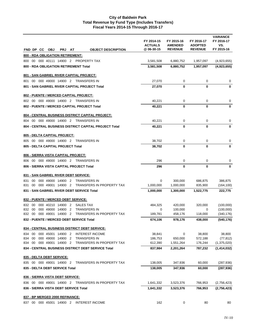|                                                                                                                                | FY 2014-15<br><b>ACTUALS</b> | FY 2015-16<br><b>AMENDED</b> | FY 2016-17<br><b>ADOPTED</b> | <b>VARIANCE</b><br>FY 2016-17<br>VS. |
|--------------------------------------------------------------------------------------------------------------------------------|------------------------------|------------------------------|------------------------------|--------------------------------------|
| FND DP CC<br><b>OBJ</b><br><b>PRJ</b><br>AT<br><b>OBJECT DESCRIPTION</b>                                                       | @06-30-15                    | <b>REVENUE</b>               | <b>REVENUE</b>               | FY 2015-16                           |
| 800 - RDA OBLIGATION RETIREMENT:<br>800 00 000 40111 14900 2 PROPERTY TAX                                                      | 3,581,508                    | 6,880,752                    | 1,957,097                    | (4,923,655)                          |
| 800 - RDA OBLIGATION RETIREMENT Total                                                                                          | 3,581,508                    | 6,880,752                    | 1,957,097                    | (4,923,655)                          |
|                                                                                                                                |                              |                              |                              |                                      |
| 801 - SAN GABRIEL RIVER CAPITAL PROJECT:                                                                                       |                              |                              |                              |                                      |
| 801 00 000 49000 14900 2 TRANSFERS IN                                                                                          | 27,070                       | 0                            | 0                            | 0                                    |
| 801 - SAN GABRIEL RIVER CAPITAL PROJECT Total                                                                                  | 27,070                       | 0                            | $\mathbf 0$                  | 0                                    |
| 802 - PUENTE / MERCED CAPITAL PROJECT:                                                                                         |                              |                              |                              |                                      |
| 802 00 000 49000 14900 2 TRANSFERS IN                                                                                          | 40,221                       | 0                            | 0                            | 0                                    |
| 802 - PUENTE / MERCED CAPITAL PROJECT Total                                                                                    | 40,221                       | 0                            | 0                            | $\bf{0}$                             |
| 804 - CENTRAL BUSINESS DISTRICT CAPITAL PROJECT:                                                                               |                              |                              |                              |                                      |
| 804 00 000 49000 14900 2 TRANSFERS IN                                                                                          | 40,221                       | 0                            | 0                            | 0                                    |
| 804 - CENTRAL BUSINESS DISTRICT CAPITAL PROJECT Total                                                                          | 40,221                       | 0                            | 0                            | $\bf{0}$                             |
| 805 - DELTA CAPITAL PROJECT:                                                                                                   |                              |                              |                              |                                      |
| 805 00 000 49000 14900 2 TRANSFERS IN                                                                                          | 38,702                       | 0                            | 0                            | 0                                    |
| 805 - DELTA CAPITAL PROJECT Total                                                                                              | 38,702                       | 0                            | 0                            | $\bf{0}$                             |
| 806 - SIERRA VISTA CAPITAL PROJECT:                                                                                            |                              |                              |                              |                                      |
| 806 00 000 49000 14900 2 TRANSFERS IN                                                                                          | 296                          | 0                            | 0                            | 0                                    |
| 806 - SIERRA VISTA CAPITAL PROJECT Total                                                                                       | 296                          | 0                            | 0                            | 0                                    |
| 831 - SAN GABRIEL RIVER DEBT SERVICE:                                                                                          |                              |                              |                              |                                      |
| 00<br>000 49000 14900 2<br><b>TRANSFERS IN</b><br>831                                                                          | 0                            | 300,000                      | 686,875                      | 386,875                              |
| 000 49001 14900 2<br>TRANSFERS IN PROPERTY TAX<br>831 00                                                                       | 1,000,000                    | 1,000,000                    | 835,900                      | (164, 100)                           |
| 831 - SAN GABRIEL RIVER DEBT SERVICE Total                                                                                     | 1,000,000                    | 1,300,000                    | 1,522,775                    | 222,775                              |
| 832 - PUENTE / MERCED DEBT SERVICE:                                                                                            |                              |                              |                              |                                      |
| 000 40210 14900 2<br>00<br><b>SALES TAX</b><br>832                                                                             | 484,325                      | 420,000                      | 320,000                      | (100,000)                            |
| 000 49000 14900<br><b>TRANSFERS IN</b><br>832 00<br>$\overline{2}$<br>000 49001 14900 2<br>TRANSFERS IN PROPERTY TAX<br>832 00 | 0<br>189,781                 | 100,000<br>458,176           | 0<br>118,000                 | (100,000)<br>(340,176)               |
| 832 - PUENTE / MERCED DEBT SERVICE Total                                                                                       | 674,106                      | 978,176                      | 438,000                      | (540, 176)                           |
|                                                                                                                                |                              |                              |                              |                                      |
| 834 - CENTRAL BUSINESS DISTRICT DEBT SERVICE:                                                                                  |                              |                              |                              |                                      |
| 834 00 000 45001 14900 2<br><b>INTEREST INCOME</b><br>000 49000 14900 2<br>834 00<br><b>TRANSFERS IN</b>                       | 38,841<br>186,753            | 0<br>650,000                 | 38,800<br>572,188            | 38,800<br>(77, 812)                  |
| 834 00 000 49001 14900 2<br>TRANSFERS IN PROPERTY TAX                                                                          | 612,390                      | 1,551,264                    | 176,244                      | (1,375,020)                          |
| 834 - CENTRAL BUSINESS DISTRICT DEBT SERVICE Total                                                                             | 837,984                      | 2,201,264                    | 787,232                      | (1,414,032)                          |
| 835 - DELTA DEBT SERVICE:                                                                                                      |                              |                              |                              |                                      |
| 835 00 000 49001 14900 2<br>TRANSFERS IN PROPERTY TAX                                                                          | 138,005                      | 347,936                      | 60,000                       | (287, 936)                           |
| 835 - DELTA DEBT SERVICE Total                                                                                                 | 138,005                      | 347,936                      | 60,000                       | (287, 936)                           |
| <u>836 - SIERRA VISTA DEBT SERVICE:</u>                                                                                        |                              |                              |                              |                                      |
| 836 00 000 49001 14900 2 TRANSFERS IN PROPERTY TAX                                                                             | 1,641,332                    | 3,523,376                    | 766,953                      | (2,756,423)                          |
| 836 - SIERRA VISTA DEBT SERVICE Total                                                                                          | 1,641,332                    | 3,523,376                    | 766,953                      | (2,756,423)                          |
| 837 - BP MERGED 2000 REFINANCE:                                                                                                |                              |                              |                              |                                      |
| 837 00 000 45001 14900 2<br><b>INTEREST INCOME</b>                                                                             | 162                          | 0                            | 80                           | 80                                   |
|                                                                                                                                |                              |                              |                              |                                      |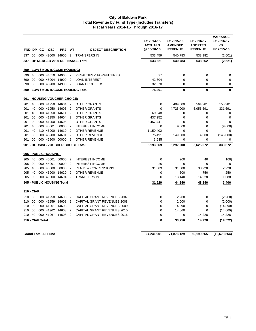|             |        | FND DP CC        | <b>OBJ</b>                  | <b>PRJ</b>                         | AT             | <b>OBJECT DESCRIPTION</b>            | FY 2014-15<br><b>ACTUALS</b><br>@06-30-15 | FY 2015-16<br><b>AMENDED</b><br><b>REVENUE</b> | FY 2016-17<br><b>ADOPTED</b><br><b>REVENUE</b> | <b>VARIANCE</b><br>FY 2016-17<br>VS.<br>FY 2015-16 |
|-------------|--------|------------------|-----------------------------|------------------------------------|----------------|--------------------------------------|-------------------------------------------|------------------------------------------------|------------------------------------------------|----------------------------------------------------|
| 837         | 00     |                  | 000 49000 14900             |                                    | $\overline{2}$ | <b>TRANSFERS IN</b>                  | 533,459                                   | 540,783                                        | 538,182                                        | (2,601)                                            |
|             |        |                  |                             |                                    |                | 837 - BP MERGED 2000 REFINANCE Total | 533,621                                   | 540,783                                        | 538,262                                        | (2,521)                                            |
|             |        |                  |                             | 890 - LOW / MOD INCOME HOUSING:    |                |                                      |                                           |                                                |                                                |                                                    |
| 890         | 40     |                  |                             | 000 44010 14900 2                  |                | PENALTIES & FORFEITURES              | 27                                        | 0                                              | 0                                              | 0                                                  |
| 890         | 00     |                  | 000 45004                   | 14900                              | $\overline{2}$ | <b>LOAN INTEREST</b>                 | 42,604                                    | $\Omega$                                       | $\mathbf 0$                                    | $\mathbf 0$                                        |
| 890         | 00     |                  |                             | 000 48200 14900 2                  |                | <b>LOAN PROCEEDS</b>                 | 32,670                                    | $\mathbf 0$                                    | $\mathbf 0$                                    | $\mathbf 0$                                        |
|             |        |                  |                             |                                    |                | 890 - LOW / MOD INCOME HOUSING Total | 75,301                                    | $\mathbf 0$                                    | $\bf{0}$                                       | $\mathbf 0$                                        |
|             |        |                  |                             | 901 - HOUSING VOUCHER CHOICE:      |                |                                      |                                           |                                                |                                                |                                                    |
| 901         | 40     |                  | 000 41950 14604             |                                    | $\overline{2}$ | <b>OTHER GRANTS</b>                  | 0                                         | 409,000                                        | 564,981                                        | 155,981                                            |
| 901         | 40     |                  | 000 41950 14605             |                                    | $\overline{2}$ | <b>OTHER GRANTS</b>                  | $\mathbf 0$                               | 4,725,000                                      | 5,056,691                                      | 331,691                                            |
| 901         | 40     |                  | 000 41950                   | 14611                              | 2              | <b>OTHER GRANTS</b>                  | 69,048                                    | $\mathbf 0$                                    | 0                                              | $\mathbf 0$                                        |
| 901         | 00     |                  | 000 41950 14604             |                                    | $\overline{2}$ | <b>OTHER GRANTS</b>                  | 437,252                                   | 0                                              | 0                                              | $\mathbf 0$                                        |
| 901         | 00     |                  |                             | 000 41950 14605                    | $\overline{2}$ | <b>OTHER GRANTS</b>                  | 3,457,441                                 | 0                                              | 0                                              | $\mathbf 0$                                        |
| 901         | 40     |                  | 000 45001                   | 00000                              | $\overline{2}$ | <b>INTEREST INCOME</b>               | $\mathbf 0$                               | 9,000                                          | $\overline{0}$                                 | (9,000)                                            |
| 901         | 40     |                  |                             | 410 46900 14610 2                  |                | <b>OTHER REVENUE</b>                 | 1,150,402                                 | 0                                              | $\mathbf 0$                                    | 0                                                  |
| 901         | 00     |                  | 000 46900                   | 14601                              | $\overline{2}$ | OTHER REVENUE                        | 75,491                                    | 149,000                                        | 4,000                                          | (145,000)                                          |
| 901         | 00     |                  | 000 46900 00000             |                                    | $\overline{2}$ | <b>OTHER REVENUE</b>                 | 3,635                                     | 0                                              | 0                                              | 0                                                  |
|             |        |                  |                             | 901 - HOUSING VOUCHER CHOICE Total |                |                                      | 5,193,269                                 | 5,292,000                                      | 5,625,672                                      | 333,672                                            |
|             |        |                  | 905 - PUBLIC HOUSING:       |                                    |                |                                      |                                           |                                                |                                                |                                                    |
| 905         | 40     |                  |                             | 000 45001 00000 2                  |                | <b>INTEREST INCOME</b>               | 0                                         | 200                                            | 40                                             | (160)                                              |
| 905         | 00     |                  | 000 45001                   | 00000 2                            |                | <b>INTEREST INCOME</b>               | 20                                        | $\mathbf 0$                                    | $\mathbf 0$                                    | 0                                                  |
| 905         | 40     |                  |                             | 000 45600 00000 2                  |                | <b>RENTS &amp; CONCESSIONS</b>       | 31,509                                    | 31,000                                         | 33,228                                         | 2,228                                              |
| 905         | 40     |                  | 000 46900                   | 14620                              | $\overline{2}$ | OTHER REVENUE                        | 0                                         | 500                                            | 750                                            | 250                                                |
| 905         | 00     |                  | 000 49000 14604             |                                    | $\overline{2}$ | <b>TRANSFERS IN</b>                  | $\mathbf 0$                               | 13,140                                         | 14,228                                         | 1,088                                              |
|             |        |                  |                             | 905 - PUBLIC HOUSING Total         |                |                                      | 31,529                                    | 44,840                                         | 48,246                                         | 3,406                                              |
| 910 - CIAP: |        |                  |                             |                                    |                |                                      |                                           |                                                |                                                |                                                    |
| 910         | $00\,$ |                  | 000 41958 14608             |                                    | $\overline{2}$ | CAPITAL GRANT REVENUES 2007          | 0                                         | 2,200                                          | $\mathbf 0$                                    | (2, 200)                                           |
| 910         | 00     |                  | 000 41959                   | 14608                              | $\overline{2}$ | CAPITAL GRANT REVENUES 2008          | 0                                         | 2,000                                          | 0                                              | (2,000)                                            |
| 910         | 00     |                  | 000 41961 14608             |                                    | $\overline{2}$ | CAPITAL GRANT REVENUES 2009          | 0                                         | 14,890                                         | 0                                              | (14, 890)                                          |
| 910         | 00     |                  | 000 41962                   | 14608                              | $\overline{2}$ | CAPITAL GRANT REVENUES 2010          | 0                                         | 14,660                                         | $\mathbf 0$                                    | (14,660)                                           |
| 910         | 40     |                  | 000 41967                   | 14608                              | $\overline{2}$ | CAPITAL GRANT REVENUES 2016          | $\boldsymbol{0}$                          | 0                                              | 14,228                                         | 14,228                                             |
|             |        | 910 - CIAP Total |                             |                                    |                |                                      | 0                                         | 33,750                                         | 14,228                                         | (19, 522)                                          |
|             |        |                  | <b>Grand Total All Fund</b> |                                    |                |                                      | 64,241,901                                | 71,878,129                                     | 59,199,265                                     | (12, 678, 864)                                     |
|             |        |                  |                             |                                    |                |                                      |                                           |                                                |                                                |                                                    |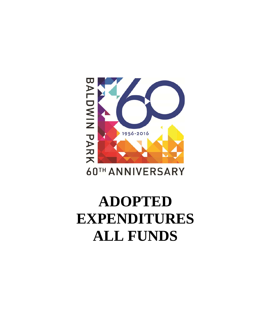# BALDWIN PARK 1956-2016

# **60TH ANNIVERSARY**

# **ADOPTED EXPENDITURES ALL FUNDS**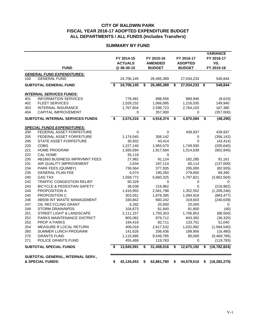#### **SUMMARY BY FUND**

|            | <b>FUND</b>                                                       | FY 2014-15<br><b>ACTUALS</b><br>@ 06-30-15 | FY 2015-16<br><b>AMENDED</b><br><b>BUDGET</b> | FY 2016-17<br><b>ADOPTED</b><br><b>BUDGET</b> | <b>VARIANCE</b><br>FY 2016-17<br>VS.<br>FY 2015-16 |
|------------|-------------------------------------------------------------------|--------------------------------------------|-----------------------------------------------|-----------------------------------------------|----------------------------------------------------|
|            |                                                                   |                                            |                                               |                                               |                                                    |
| 100        | <b>GENERAL FUND EXPENDITURES:</b>                                 |                                            |                                               |                                               |                                                    |
|            | <b>GENERAL FUND</b>                                               | 24,706,145                                 | 26,485,389                                    | 27,034,233                                    | 548,844                                            |
|            | <b>SUBTOTAL GENERAL FUND</b>                                      | \$<br>24,706,145                           | \$<br>26,485,389                              | \$<br>27,034,233                              | \$<br>548,844                                      |
|            | <b>INTERNAL SERVICES FUNDS:</b>                                   |                                            |                                               |                                               |                                                    |
| 401        | <b>INFORMATION SERVICES</b>                                       | 778,481                                    | 898,556                                       | 889,946                                       | (8,610)                                            |
| 402        | <b>FLEET SERVICES</b>                                             | 1,028,232                                  | 1,066,095                                     | 1,216,035                                     | 149,940                                            |
| 403        | <b>INTERNAL INSURANCE</b>                                         | 1,767,604                                  | 2,596,723                                     | 2,764,103                                     | 167,380                                            |
| 404        | <b>CAPITAL IMPROVEMENT</b>                                        | 0                                          | 357,000                                       | 0                                             | (357,000)                                          |
|            | SUBTOTAL INTERNAL SERVICES FUNDS                                  | \$<br>3,574,316                            | \$<br>4,918,374                               | \$<br>4,870,084                               | \$<br>(48, 290)                                    |
|            | <b>SPECIAL FUNDS EXPENDITURES:</b>                                |                                            |                                               |                                               |                                                    |
| 200        | <b>FEDERAL ASSET FORFEITURE</b>                                   | 0                                          | 0                                             | 439,937                                       | 439,937                                            |
| 205        | FEDERAL ASSET FORFEITURE                                          | 1,174,545                                  | 356,142                                       | 0                                             | (356, 142)                                         |
| 206        | STATE ASSET FORFEITURE                                            | 30,932                                     | 43,414                                        | $\Omega$                                      | (43, 414)                                          |
| 220        | <b>CDBG</b>                                                       | 1,227,140                                  | 1,955,570                                     | 1,749,930                                     | (205, 640)                                         |
| 221        | HOME PROGRAM                                                      | 1,565,694                                  | 1,917,584                                     | 1,014,639                                     | (902, 945)                                         |
| 222        | <b>CAL HOME</b>                                                   | 35,118                                     | 0                                             |                                               |                                                    |
| 230        | AB1693 BUSINESS IMPRVMNT FEES                                     | 27,982                                     | 91,124                                        | 182,285                                       | 91,161                                             |
| 231        | AIR QUALITY IMPROVEMENT                                           | 2,634                                      | 197,114                                       | 60,114                                        | (137,000)                                          |
| 234        | PARK FEES (QUIMBY)                                                | 736,564                                    | 377,935                                       | 295,000                                       | (82, 935)                                          |
| 235        | <b>GENERAL PLAN FEE</b>                                           | 6,074                                      | 190,260                                       | 279,650                                       | 89,390                                             |
| 240        | <b>GAS TAX</b>                                                    | 1,558,772                                  | 5,660,325                                     | 1,797,821                                     | (3,862,504)                                        |
| 242        | <b>TRAFFIC CONGESTION RELIEF</b>                                  | 50,329                                     | 0                                             | 0                                             | 0                                                  |
| 243        | <b>BICYCLE &amp; PEDESTIAN SAFETY</b>                             | 38,038                                     | 216,962                                       | $\Omega$                                      | (216, 962)                                         |
| 244        | PROPOSITION A                                                     | 1,416,955                                  | 2,561,798                                     | 1,352,552                                     | (1,209,246)                                        |
| 245        | PROPOSITION C                                                     | 303,551                                    | 1,978,395                                     | 1,094,918                                     | (883, 477)                                         |
| 246        | AB939 INT WASTE MANAGEMENT                                        | 330,842                                    | 560,242                                       | 319,603                                       | (240, 639)                                         |
| 247        | OIL RECYCLING GRANT                                               | 6,292                                      | 20,000                                        | 20,000                                        | 0                                                  |
| 249        | <b>STORM DRAIN/NPDS</b>                                           | 104,673                                    | 81,840                                        | 81,800                                        | (40)                                               |
| 251<br>252 | <b>STREET LIGHT &amp; LANDSCAPE</b><br>PARKS MAINTENANCE DISTRICT | 2,111,157                                  | 1,793,353                                     | 1,706,853                                     | (86, 500)                                          |
| 253        | <b>PROP A PARKS</b>                                               | 805,082<br>194,419                         | 879,712<br>82,711                             | 843,392<br>133,751                            | (36, 320)<br>51,040                                |
| 254        | MEASURE R LOCAL RETURN                                            | 406,018                                    | 2,617,532                                     | 1,032,992                                     | (1,584,540)                                        |
| 260        | SUMMER LUNCH PROGRAM                                              | 141,626                                    | 206,436                                       | 189,956                                       | (16, 480)                                          |
| 270        | <b>GRANTS FUND</b>                                                | 1,115,685                                  | 9,549,785                                     | 80,000                                        | (9,469,785)                                        |
| 271        | POLICE GRANTS FUND                                                | 455,468                                    | 119,783                                       | 0                                             | (119, 783)                                         |
|            | <b>SUBTOTAL SPECIAL FUNDS</b>                                     | \$<br>13,845,591                           | \$<br>31,458,016                              | \$<br>12,675,192                              | \$<br>(18, 782, 824)                               |
|            |                                                                   |                                            |                                               |                                               |                                                    |
|            | SUBTOTAL GENERAL, INTERNAL SERV.,<br>& SPECIAL FUNDS:             | \$<br>42,126,053                           | \$<br>62,861,780                              | \$<br>44,579,510                              | \$<br>(18, 282, 270)                               |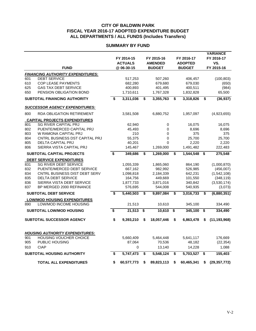#### **SUMMARY BY FUND**

|            |                                                            | FY 2014-15<br><b>ACTUALS</b> | FY 2015-16<br><b>AMENDED</b> | FY 2016-17<br><b>ADOPTED</b> |                                      | <b>VARIANCE</b><br>FY 2016-17<br>VS. |
|------------|------------------------------------------------------------|------------------------------|------------------------------|------------------------------|--------------------------------------|--------------------------------------|
|            | <b>FUND</b>                                                | @06-30-15                    | <b>BUDGET</b>                | <b>BUDGET</b>                |                                      | FY 2015-16                           |
|            | <b>FINANCING AUTHORITY EXPENDITURES:</b>                   |                              |                              |                              |                                      |                                      |
| 601        | <b>DEBT SERVICE</b>                                        | 517,253                      | 507,260                      | 406,457                      |                                      | (100, 803)                           |
| 610        | <b>COP LEASE PAYMENTS</b>                                  | 682,280                      | 679,680                      | 679,030                      |                                      | (650)                                |
| 625        | <b>GAS TAX DEBT SERVICE</b>                                | 400,893                      | 401,495                      | 400,511                      |                                      | (984)                                |
| 650        | PENSION OBLIGATION BOND                                    | 1,710,611                    | 1,767,328                    | 1,832,828                    |                                      | 65,500                               |
|            | <b>SUBTOTAL FINANCING AUTHORITY</b>                        | \$<br>3,311,036              | \$<br>3,355,763              | \$<br>3,318,826              | \$                                   | (36, 937)                            |
|            | <b>SUCCESSOR AGENCY EXPENDITURES:</b>                      |                              |                              |                              |                                      |                                      |
| 800        | <b>RDA OBLIGATION RETIREMENT</b>                           | 3,581,508                    | 6,880,752                    | 1,957,097                    |                                      | (4,923,655)                          |
|            | <b>CAPITAL PROJECTS EXPENDITURES</b>                       |                              |                              |                              |                                      |                                      |
| 801        | <b>SG RIVER CAPITAL PRJ</b>                                | 62,940                       | 0                            | 16,075                       |                                      | 16,075                               |
| 802        | PUENTE/MERCED CAPITAL PRJ                                  | 45,493                       | 0                            | 8,696                        |                                      | 8,696                                |
| 803        | W RAMONA CAPITAL PRJ                                       | 210                          | 0                            | 375                          |                                      | 375                                  |
| 804        | CNTRL BUSINESS DST CAPITAL PRJ<br><b>DELTA CAPITAL PRJ</b> | 55,375                       | 0<br>$\Omega$                | 25,700                       |                                      | 25,700                               |
| 805<br>806 | SIERRA VISTA CAPITAL PRJ                                   | 40,201<br>145,467            | 1,269,000                    | 2,220<br>1,491,482           |                                      | 2,220<br>222,483                     |
|            | SUBTOTAL CAPITAL PROJECTS                                  | \$<br>349,686                | \$<br>1,269,000              | \$<br>1,544,548              | \$                                   | 275,548                              |
|            | <b>DEBT SERVICE EXPENDITURES</b>                           |                              |                              |                              |                                      |                                      |
| 831        | <b>SG RIVER DEBT SERVICE</b>                               | 1,055,339                    | 1,865,060                    | 864,190                      |                                      | (1,000,870)                          |
| 832        | PUENTE/MERCED DEBT SERVICE                                 | 667,162                      | 982,992                      | 526,985                      |                                      | (456,007)                            |
| 834        | CNTRL BUSINESS DIST DEBT SERV                              | 1,098,818                    | 2,184,339                    | 642,231                      |                                      | (1,542,108)                          |
| 835        | <b>DELTA DEBT SERVICE</b>                                  | 164,756                      | 449,669                      | 101,550                      |                                      | (348, 119)                           |
| 836        | SIERRA VISTA DEBT SERVICE                                  | 1,877,733                    | 3,871,016                    | 340,842                      |                                      | (3,530,174)                          |
| 837        | BP MERGED 2000 REFINANCE                                   | 576,695                      | 544,008                      | 540,935                      |                                      | (3,073)                              |
|            | <b>SUBTOTAL DEBT SERVICE</b>                               | \$<br>5,440,503              | \$<br>9.897.084              | \$<br>3,016,733              | \$                                   | (6,880,351)                          |
|            | <b>LOW/MOD HOUSING EXPENDITURES</b>                        |                              |                              |                              |                                      |                                      |
| 890        | LOW/MOD INCOME HOUSING                                     | 21,513                       | 10,610                       | 345,100                      |                                      | 334,490                              |
|            | <b>SUBTOTAL LOW/MOD HOUSING</b>                            | \$<br>21,513                 | \$<br>10,610                 | \$<br>345,100                | $\overline{\boldsymbol{\mathsf{s}}}$ | 334,490                              |
|            | <b>SUBTOTAL SUCCESSOR AGENCY</b>                           | \$<br>9,393,210              | \$<br>18,057,446             | \$<br>6,863,478              | \$                                   | (11, 193, 968)                       |
|            | <b>HOUSING AUTHORITY EXPENDITURES:</b>                     |                              |                              |                              |                                      |                                      |
| 901        | <b>HOUSING VOUCHER CHOICE</b>                              | 5,660,409                    | 5,464,448                    | 5,641,117                    |                                      | 176,669                              |
| 905        | PUBLIC HOUSING                                             | 87,064                       | 70,536                       | 48,182                       |                                      | (22, 354)                            |
| 910        | <b>CIAP</b>                                                | 0                            | 13,140                       | 14,228                       |                                      | 1,088                                |
|            | <b>SUBTOTAL HOUSING AUTHORITY</b>                          | \$<br>5,747,473              | \$<br>5,548,124              | \$<br>5,703,527              | \$                                   | 155,403                              |
|            | <b>TOTAL ALL EXPENDITURES</b>                              | \$<br>60,577,773             | \$<br>89,823,113             | \$<br>60,465,341             | \$                                   | (29, 357, 772)                       |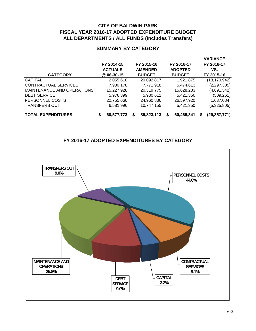### **SUMMARY BY CATEGORY**

| <b>CATEGORY</b>            | FY 2014-15<br><b>ACTUALS</b><br>@ 06-30-15 | FY 2015-16<br><b>AMENDED</b><br><b>BUDGET</b> |   | FY 2016-17<br><b>ADOPTED</b><br><b>BUDGET</b> |   | <b>VARIANCE</b><br>FY 2016-17<br>VS.<br>FY 2015-16 |
|----------------------------|--------------------------------------------|-----------------------------------------------|---|-----------------------------------------------|---|----------------------------------------------------|
| <b>CAPITAL</b>             | 2,055,610                                  | 20,092,817                                    |   | 1,921,875                                     |   | (18, 170, 942)                                     |
| CONTRACTUAL SERVICES       | 7,980,178                                  | 7,771,918                                     |   | 5,474,613                                     |   | (2, 297, 305)                                      |
| MAINTENANCE AND OPERATIONS | 15,227,928                                 | 20,319,775                                    |   | 15,628,233                                    |   | (4,691,542)                                        |
| <b>DEBT SERVICE</b>        | 5,976,399                                  | 5.930.611                                     |   | 5.421.350                                     |   | (509, 261)                                         |
| PERSONNEL COSTS            | 22,755,660                                 | 24,960,836                                    |   | 26,597,920                                    |   | 1,637,084                                          |
| <b>TRANSFERS OUT</b>       | 6,581,996                                  | 10,747,155                                    |   | 5,421,350                                     |   | (5,325,805)                                        |
| <b>TOTAL EXPENDITURES</b>  | 60,577,773                                 | 89,823,113                                    | S | 60,465,341                                    | S | (29, 357, 771)                                     |

# **FY 2016-17 ADOPTED EXPENDITURES BY CATEGORY**

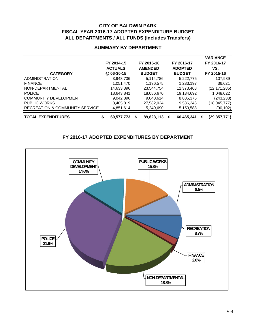| <b>CATEGORY</b>                | FY 2014-15<br><b>ACTUALS</b><br>@ 06-30-15 |   | FY 2015-16<br><b>AMENDED</b><br><b>BUDGET</b> | FY 2016-17<br><b>ADOPTED</b><br><b>BUDGET</b> |   | <b>VARIANCE</b><br>FY 2016-17<br>VS.<br>FY 2015-16 |
|--------------------------------|--------------------------------------------|---|-----------------------------------------------|-----------------------------------------------|---|----------------------------------------------------|
| <b>ADMINISTRATION</b>          | 3,948,736                                  |   | 5,114,786                                     | 5,222,775                                     |   | 107,989                                            |
| <b>FINANCE</b>                 | 1,051,470                                  |   | 1,196,575                                     | 1,233,197                                     |   | 36,621                                             |
| NON-DEPARTMENTAL               | 14,633,396                                 |   | 23,544,754                                    | 11,373,468                                    |   | (12, 171, 286)                                     |
| <b>POLICE</b>                  | 18,643,841                                 |   | 18,086,670                                    | 19,134,692                                    |   | 1,048,022                                          |
| <b>COMMUNITY DEVELOPMENT</b>   | 9.042.896                                  |   | 9.048.614                                     | 8,805,376                                     |   | (243, 238)                                         |
| <b>PUBLIC WORKS</b>            | 8.405.819                                  |   | 27,582,024                                    | 9,536,246                                     |   | (18,045,777)                                       |
| RECREATION & COMMUNITY SERVICE | 4,851,614                                  |   | 5,249,690                                     | 5,159,588                                     |   | (90, 102)                                          |
| <b>TOTAL EXPENDITURES</b>      | \$<br>60,577,773                           | S | 89,823,113                                    | \$<br>60,465,341                              | S | (29, 357, 771)                                     |

#### **SUMMARY BY DEPARTMENT**

# **FY 2016-17 ADOPTED EXPENDITURES BY DEPARTMENT**

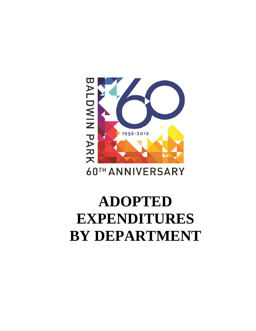# **ADOPTED EXPENDITURES BY DEPARTMENT**

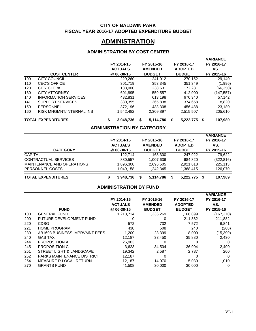#### **CITY OF BALDWIN PARK FISCAL YEAR 2016-17 ADOPTED EXPENDITURE BUDGET**

# **ADMINISTRATION**

# **ADMINISTRATION BY COST CENTER**

|                |                                |                                   |                 |                    | <b>VARIANCE</b> |
|----------------|--------------------------------|-----------------------------------|-----------------|--------------------|-----------------|
|                |                                | FY 2014-15                        | FY 2015-16      | FY 2016-17         | FY 2016-17      |
|                |                                | <b>ACTUALS</b>                    | <b>AMENDED</b>  | <b>ADOPTED</b>     | VS.             |
|                | <b>COST CENTER</b>             | @ 06-30-15                        | <b>BUDGET</b>   | <b>BUDGET</b>      | FY 2015-16      |
| 100            | <b>CITY COUNCIL</b>            | 229,260                           | 241,012         | 270,152            | 29,140          |
| 110            | <b>CEO'S OFFICE</b>            | 301,719                           | 353,345         | 351,349            | (1,996)         |
| 120            | <b>CITY CLERK</b>              | 138,000                           | 238,631         | 172,281            | (66, 350)       |
| 130            | <b>CITY ATTORNEY</b>           | 601,895                           | 559,557         | 412,000            | (147, 557)      |
| 140            | <b>INFORMATION SERVICES</b>    | 432,831                           | 613,198         | 670,340            | 57,142          |
| 141            | SUPPORT SERVICES               | 330,355                           | 365,838         | 374,658            | 8,820           |
| 150            | PERSONNEL                      | 372,196                           | 433,308         | 456,488            | 23,180          |
| 160            | RISK MNGMNT/INTERNAL INS       | 1,542,482                         | 2,309,897       | 2,515,507          | 205,610         |
|                | <b>TOTAL EXPENDITURES</b>      | \$<br>3,948,736                   | \$<br>5,114,786 | \$<br>5,222,775    | \$<br>107,989   |
|                |                                | <b>ADMINISTRATION BY CATEGORY</b> |                 |                    |                 |
|                |                                |                                   |                 |                    | <b>VARIANCE</b> |
|                |                                | FY 2014-15                        | FY 2015-16      | FY 2016-17         | FY 2016-17      |
|                |                                | <b>ACTUALS</b>                    | <b>AMENDED</b>  | <b>ADOPTED</b>     | VS.             |
|                | <b>CATEGORY</b>                | @ 06-30-15                        | <b>BUDGET</b>   | <b>BUDGET</b>      | FY 2015-16      |
| <b>CAPITAL</b> |                                | 122,714                           | 168,300         | 247,922            | 79,622          |
|                | <b>CONTRACTUAL SERVICES</b>    | 880,557                           | 1,007,636       | 684,820            | (322, 816)      |
|                | MAINTENANCE AND OPERATIONS     | 1,896,308                         | 2,696,505       | 2,921,618          | 225,113         |
|                | PERSONNEL COSTS                | 1,049,158                         | 1,242,345       | 1,368,415          | 126,070         |
|                | <b>TOTAL EXPENDITURES</b>      | \$<br>3,948,736                   | \$<br>5,114,786 | \$<br>5,222,775 \$ | 107,989         |
|                |                                | <b>ADMINISTRATION BY FUND</b>     |                 |                    |                 |
|                |                                |                                   |                 |                    | <b>VARIANCE</b> |
|                |                                | FY 2014-15                        | FY 2015-16      | FY 2016-17         | FY 2016-17      |
|                |                                | <b>ACTUALS</b>                    | <b>AMENDED</b>  | <b>ADOPTED</b>     | VS.             |
|                | <b>FUND</b>                    | @ 06-30-15                        | <b>BUDGET</b>   | <b>BUDGET</b>      | FY 2015-16      |
| 100            | <b>GENERAL FUND</b>            | 1,218,714                         | 1,336,269       | 1,168,899          | (167, 370)      |
| 200            | <b>FUTURE DEVELOPMENT FUND</b> | 0                                 | 0               | 211,882            | 211,882         |
| 220            | <b>CDBG</b>                    | 572                               | 732             | 7,572              | 6,841           |
| 221            | <b>HOME PROGRAM</b>            | 438                               | 508             | 240                | (268)           |
| 230            | AB1693 BUSINESS IMPRVMNT FEES  | 1,200                             | 23,399          | 8,000              | (15, 399)       |
| 240            | <b>GAS TAX</b>                 | 12,187                            | 33,450          | 35,880             | 2,430           |
| 244            | PROPOSITION A                  | 26,903                            | 0               | 0                  | 0               |
| 245            | PROPOSITION C                  | 3,623                             | 34,504          | 36,904             | 2,400           |
| 251            | STREET LIGHT & LANDSCAPE       | 19,342                            | 2,587           | 2,787              | 200             |
| 252            | PARKS MAINTENANCE DISTRICT     | 12,187                            | $\mathbf 0$     | 0                  | 0               |
| 254            | MEASURE R LOCAL RETURN         | 12,187                            | 14,070          | 15,080             | 1,010           |
| 270            | <b>GRANTS FUND</b>             | 41,508                            | 30,000          | 30,000             | 0               |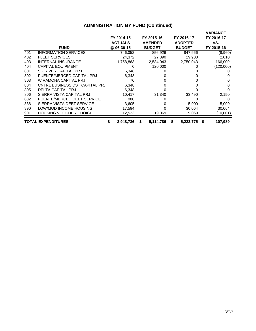|     |                                |   |                |   |                |   |                | <b>VARIANCE</b> |
|-----|--------------------------------|---|----------------|---|----------------|---|----------------|-----------------|
|     |                                |   | FY 2014-15     |   | FY 2015-16     |   | FY 2016-17     | FY 2016-17      |
|     |                                |   | <b>ACTUALS</b> |   | <b>AMENDED</b> |   | <b>ADOPTED</b> | VS.             |
|     | <b>FUND</b>                    |   | @ 06-30-15     |   | <b>BUDGET</b>  |   | <b>BUDGET</b>  | FY 2015-16      |
| 401 | <b>INFORMATION SERVICES</b>    |   | 746,052        |   | 856,926        |   | 847,966        | (8,960)         |
| 402 | <b>FLEET SERVICES</b>          |   | 24,372         |   | 27,890         |   | 29,900         | 2,010           |
| 403 | <b>INTERNAL INSURANCE</b>      |   | 1,758,863      |   | 2,584,043      |   | 2,750,043      | 166,000         |
| 404 | <b>CAPITAL EQUIPMENT</b>       |   |                |   | 120,000        |   | O              | (120,000)       |
| 801 | <b>SG RIVER CAPITAL PRJ</b>    |   | 6,348          |   |                |   |                |                 |
| 802 | PUENTE/MERCED CAPITAL PRJ      |   | 6,348          |   |                |   |                |                 |
| 803 | W RAMONA CAPITAL PRJ           |   | 70             |   |                |   |                |                 |
| 804 | CNTRL BUSINESS DST CAPITAL PR. |   | 6,348          |   |                |   |                | 0               |
| 805 | <b>DELTA CAPITAL PRJ</b>       |   | 6,348          |   |                |   |                |                 |
| 806 | SIERRA VISTA CAPITAL PRJ       |   | 10,417         |   | 31,340         |   | 33,490         | 2,150           |
| 832 | PUENTE/MERCED DEBT SERVICE     |   | 988            |   |                |   | 0              | 0               |
| 836 | SIERRA VISTA DEBT SERVICE      |   | 3,605          |   |                |   | 5,000          | 5,000           |
| 890 | LOW/MOD INCOME HOUSING         |   | 17,594         |   |                |   | 30,064         | 30,064          |
| 901 | <b>HOUSING VOUCHER CHOICE</b>  |   | 12,523         |   | 19,069         |   | 9,069          | (10,001)        |
|     | <b>TOTAL EXPENDITURES</b>      | S | 3,948,736      | S | 5,114,786      | S | 5,222,775      | \$<br>107,989   |

# **ADMINISTRATION BY FUND (Continued)**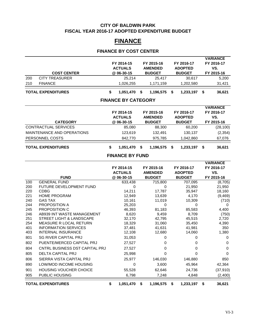#### **CITY OF BALDWIN PARK FISCAL YEAR 2016-17 ADOPTED EXPENDITURE BUDGET**

# **FINANCE**

# **FINANCE BY COST CENTER**

| 200<br>210               | <b>COST CENTER</b><br><b>CITY TREASURER</b><br><b>FINANCE</b>                        | FY 2014-15<br><b>ACTUALS</b><br>@ 06-30-15<br>25,214<br>1,026,255 | FY 2015-16<br><b>AMENDED</b><br><b>BUDGET</b><br>25,417<br>1,171,159 | FY 2016-17<br><b>ADOPTED</b><br><b>BUDGET</b><br>30,617<br>1,202,580 | <b>VARIANCE</b><br>FY 2016-17<br>VS.<br>FY 2015-16<br>5,200<br>31,421 |
|--------------------------|--------------------------------------------------------------------------------------|-------------------------------------------------------------------|----------------------------------------------------------------------|----------------------------------------------------------------------|-----------------------------------------------------------------------|
|                          | <b>TOTAL EXPENDITURES</b>                                                            | \$<br>1,051,470                                                   | \$<br>1,196,575                                                      | \$<br>1,233,197                                                      | \$<br>36,621                                                          |
|                          |                                                                                      | <b>FINANCE BY CATEGORY</b>                                        |                                                                      |                                                                      |                                                                       |
|                          | <b>CATEGORY</b>                                                                      | FY 2014-15<br><b>ACTUALS</b><br>@ 06-30-15                        | FY 2015-16<br><b>AMENDED</b><br><b>BUDGET</b>                        | FY 2016-17<br><b>ADOPTED</b><br><b>BUDGET</b>                        | <b>VARIANCE</b><br>FY 2016-17<br>VS.<br>FY 2015-16                    |
|                          | CONTRACTUAL SERVICES                                                                 | 85,080                                                            | 88,300                                                               | 60,200                                                               | (28, 100)                                                             |
|                          | MAINTENANCE AND OPERATIONS                                                           | 123,619                                                           | 132,491                                                              | 130,137                                                              | (2, 354)                                                              |
|                          | PERSONNEL COSTS                                                                      | 842,770                                                           | 975,785                                                              | 1,042,860                                                            | 67,076                                                                |
|                          | <b>TOTAL EXPENDITURES</b>                                                            | \$<br>1,051,470                                                   | \$<br>1,196,575                                                      | \$<br>1,233,197                                                      | \$<br>36,621                                                          |
|                          |                                                                                      | <b>FINANCE BY FUND</b>                                            |                                                                      |                                                                      |                                                                       |
|                          |                                                                                      | FY 2014-15<br><b>ACTUALS</b>                                      | FY 2015-16<br><b>AMENDED</b>                                         | FY 2016-17<br><b>ADOPTED</b>                                         | <b>VARIANCE</b><br>FY 2016-17<br>VS.                                  |
|                          | <b>FUND</b>                                                                          | @ 06-30-15                                                        | <b>BUDGET</b>                                                        | <b>BUDGET</b>                                                        | FY 2015-16                                                            |
| 100<br>200<br>220<br>221 | <b>GENERAL FUND</b><br>FUTURE DEVELOPMENT FUND<br><b>CDBG</b><br><b>HOME PROGRAM</b> | 633,438<br>$\mathbf 0$<br>14,211<br>12,949                        | 715,800<br>0<br>17,787<br>13,639                                     | 707,095<br>21,950<br>35,947<br>4,170                                 | (8,705)<br>21,950<br>18,160<br>(9,469)                                |
| 240<br>244               | <b>GAS TAX</b><br>PROPOSITION A                                                      | 10,161<br>25,203                                                  | 11,019<br>$\mathbf 0$                                                | 10,309<br>0                                                          | (710)<br>0                                                            |
| 245                      | PROPOSITION C                                                                        | 46,393                                                            | 81,183                                                               | 85,583                                                               | 4,400                                                                 |
| 246<br>251               | AB939 INT WASTE MANAGEMENT<br>STREET LIGHT & LANDSCAPE                               | 8,620<br>32,170                                                   | 9,459<br>42,795                                                      | 8,709<br>45,515                                                      | (750)<br>2,720                                                        |
| 254<br>401               | MEASURE R LOCAL RETURN<br><b>INFORMATION SERVICES</b>                                | 18,329<br>37,481                                                  | 31,060<br>41,631                                                     | 35,450<br>41,981                                                     | 4,390<br>350                                                          |
| 403                      | <b>INTERNAL INSURANCE</b>                                                            | 12,108                                                            | 12,680                                                               | 14,060                                                               | 1,380                                                                 |
| 801                      | <b>SG RIVER CAPITAL PRJ</b>                                                          | 31,053                                                            | $\pmb{0}$                                                            | 0                                                                    | 0                                                                     |
| 802                      | PUENTE/MERCED CAPITAL PRJ                                                            | 27,527                                                            | 0                                                                    | 0                                                                    | 0                                                                     |
| 804                      | CNTRL BUSINESS DST CAPITAL PRJ                                                       | 27,527                                                            | 0                                                                    | 0                                                                    | 0                                                                     |
| 805                      | <b>DELTA CAPITAL PRJ</b>                                                             | 25,998                                                            | 0                                                                    | 0                                                                    | 0                                                                     |
| 806                      | SIERRA VISTA CAPITAL PRJ                                                             | 25,977                                                            | 146,030                                                              | 146,880                                                              | 850                                                                   |
| 890                      | LOW/MOD INCOME HOUSING                                                               | 0                                                                 | 3,600                                                                | 45,964                                                               | 42,364                                                                |
| 901                      | HOUSING VOUCHER CHOICE                                                               | 55,528                                                            | 62,646                                                               | 24,736                                                               | (37, 910)                                                             |
| 905                      | PUBLIC HOUSING                                                                       | 6,798                                                             | 7,248                                                                | 4,848                                                                | (2,400)                                                               |
|                          | <b>TOTAL EXPENDITURES</b>                                                            | \$<br>1,051,470                                                   | \$<br>1,196,575                                                      | \$<br>1,233,197                                                      | \$<br>36,621                                                          |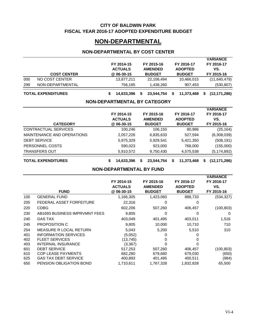#### **CITY OF BALDWIN PARK FISCAL YEAR 2016-17 ADOPTED EXPENDITURE BUDGET**

# **NON-DEPARTMENTAL**

### **NON-DEPARTMENTAL BY COST CENTER**

|     | <b>TOTAL EXPENDITURES</b> | 14.633.396                   | 23,544,754                   | 11,373,468                   | (12, 171, 286)    |
|-----|---------------------------|------------------------------|------------------------------|------------------------------|-------------------|
| 299 | NON-DEPARTMENTAL          | 756.185                      | 1,438,260                    | 907,453                      | (530, 807)        |
| 000 | NO COST CENTER            | 13,877,211                   | 22,106,494                   | 10,466,015                   | (11,640,479)      |
|     | <b>COST CENTER</b>        | @ 06-30-15                   | <b>BUDGET</b>                | <b>BUDGET</b>                | FY 2015-16        |
|     |                           | FY 2014-15<br><b>ACTUALS</b> | FY 2015-16<br><b>AMENDED</b> | FY 2016-17<br><b>ADOPTED</b> | FY 2016-17<br>VS. |
|     |                           |                              |                              |                              | <b>VARIANCE</b>   |

# **NON-DEPARTMENTAL BY CATEGORY**

| <b>CATEGORY</b>            | FY 2014-15<br><b>ACTUALS</b><br>@ 06-30-15 | FY 2015-16<br><b>AMENDED</b><br><b>BUDGET</b> | FY 2016-17<br><b>ADOPTED</b><br><b>BUDGET</b> | <b>VARIANCE</b><br>FY 2016-17<br>VS.<br>FY 2015-16 |
|----------------------------|--------------------------------------------|-----------------------------------------------|-----------------------------------------------|----------------------------------------------------|
| CONTRACTUAL SERVICES       | 100,246                                    | 106,150                                       | 80,986                                        | (25, 164)                                          |
| MAINTENANCE AND OPERATIONS | 2,057,226                                  | 6,835,633                                     | 527,594                                       | (6,308,039)                                        |
| <b>DEBT SERVICE</b>        | 5,975,329                                  | 5,929,541                                     | 5,421,350                                     | (508, 191)                                         |
| PERSONNEL COSTS            | 590,023                                    | 923,000                                       | 768,000                                       | (155,000)                                          |
| <b>TRANSFERS OUT</b>       | 5,910,572                                  | 9,750,430                                     | 4,575,538                                     | (5,174,892)                                        |
| <b>TOTAL EXPENDITURES</b>  | 14,633,396                                 | \$<br>23,544,754                              | 11,373,468<br>S                               | (12, 171, 286)<br>S                                |

#### **NON-DEPARTMENTAL BY FUND**

|     |                               |                |                |                | <b>VARIANCE</b> |
|-----|-------------------------------|----------------|----------------|----------------|-----------------|
|     |                               | FY 2014-15     | FY 2015-16     | FY 2016-17     | FY 2016-17      |
|     |                               | <b>ACTUALS</b> | <b>AMENDED</b> | <b>ADOPTED</b> | VS.             |
|     | <b>FUND</b>                   | @ 06-30-15     | <b>BUDGET</b>  | <b>BUDGET</b>  | FY 2015-16      |
| 100 | <b>GENERAL FUND</b>           | 1,166,305      | 1,423,060      | 888,733        | (534, 327)      |
| 205 | FEDERAL ASSET FORFEITURE      | 22,316         | 0              | 0              |                 |
| 220 | <b>CDBG</b>                   | 602,206        | 507,260        | 406,457        | (100, 803)      |
| 230 | AB1693 BUSINESS IMPRVMNT FEES | 9,805          | 0              | 0              | 0               |
| 240 | <b>GAS TAX</b>                | 403,049        | 401,495        | 403,011        | 1,516           |
| 245 | <b>PROPOSITION C</b>          | 9,805          | 10,000         | 10,710         | 710             |
| 254 | MEASURE R LOCAL RETURN        | 5,043          | 5,200          | 5,510          | 310             |
| 401 | <b>INFORMATION SERVICES</b>   | (5,052)        |                |                |                 |
| 402 | <b>FLEET SERVICES</b>         | (13, 745)      |                |                |                 |
| 403 | <b>INTERNAL INSURANCE</b>     | (3,367)        |                |                |                 |
| 601 | <b>DEBT SERVICE</b>           | 517,253        | 507,260        | 406,457        | (100, 803)      |
| 610 | <b>COP LEASE PAYMENTS</b>     | 682,280        | 679,680        | 679,030        | (650)           |
| 625 | <b>GAS TAX DEBT SERVICE</b>   | 400,893        | 401,495        | 400,511        | (984)           |
| 650 | PENSION OBLIGATION BOND       | 1,710,611      | 1,767,328      | 1,832,828      | 65,500          |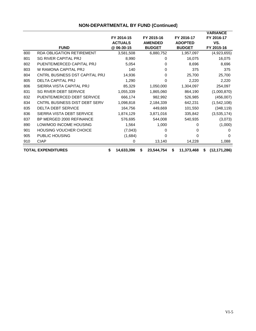|     |                                  |                  |                  |                  | <b>VARIANCE</b>      |
|-----|----------------------------------|------------------|------------------|------------------|----------------------|
|     |                                  | FY 2014-15       | FY 2015-16       | FY 2016-17       | FY 2016-17           |
|     |                                  | <b>ACTUALS</b>   | <b>AMENDED</b>   | <b>ADOPTED</b>   | VS.                  |
|     | <b>FUND</b>                      | @ 06-30-15       | <b>BUDGET</b>    | <b>BUDGET</b>    | FY 2015-16           |
| 800 | <b>RDA OBLIGATION RETIREMENT</b> | 3,581,508        | 6,880,752        | 1,957,097        | (4,923,655)          |
| 801 | <b>SG RIVER CAPITAL PRJ</b>      | 8,990            | 0                | 16,075           | 16,075               |
| 802 | PUENTE/MERCED CAPITAL PRJ        | 5,054            | 0                | 8,696            | 8,696                |
| 803 | W RAMONA CAPITAL PRJ             | 140              | 0                | 375              | 375                  |
| 804 | CNTRL BUSINESS DST CAPITAL PRJ   | 14,936           | 0                | 25,700           | 25,700               |
| 805 | <b>DELTA CAPITAL PRJ</b>         | 1,290            | 0                | 2,220            | 2,220                |
| 806 | SIERRA VISTA CAPITAL PRJ         | 85,329           | 1,050,000        | 1,304,097        | 254,097              |
| 831 | <b>SG RIVER DEBT SERVICE</b>     | 1,055,339        | 1,865,060        | 864,190          | (1,000,870)          |
| 832 | PUENTE/MERCED DEBT SERVICE       | 666,174          | 982,992          | 526,985          | (456,007)            |
| 834 | CNTRL BUSINESS DIST DEBT SERV    | 1,098,818        | 2,184,339        | 642,231          | (1,542,108)          |
| 835 | <b>DELTA DEBT SERVICE</b>        | 164,756          | 449,669          | 101,550          | (348, 119)           |
| 836 | SIERRA VISTA DEBT SERVICE        | 1,874,129        | 3,871,016        | 335,842          | (3,535,174)          |
| 837 | BP MERGED 2000 REFINANCE         | 576,695          | 544,008          | 540,935          | (3,073)              |
| 890 | LOW/MOD INCOME HOUSING           | 1,564            | 1,000            | 0                | (1,000)              |
| 901 | <b>HOUSING VOUCHER CHOICE</b>    | (7,043)          | 0                | 0                | 0                    |
| 905 | <b>PUBLIC HOUSING</b>            | (1,684)          | 0                | 0                | 0                    |
| 910 | <b>CIAP</b>                      | 0                | 13,140           | 14,228           | 1,088                |
|     | <b>TOTAL EXPENDITURES</b>        | \$<br>14,633,396 | \$<br>23,544,754 | \$<br>11,373,468 | \$<br>(12, 171, 286) |

# **NON-DEPARTMENTAL BY FUND (Continued)**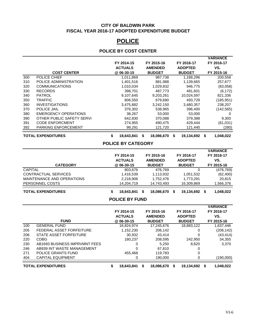#### **CITY OF BALDWIN PARK FISCAL YEAR 2016-17 ADOPTED EXPENDITURE BUDGET**

# **POLICE**

# **POLICE BY COST CENTER**

|     |                             |   |                |   |                |   |                |   | <b>VARIANCE</b> |
|-----|-----------------------------|---|----------------|---|----------------|---|----------------|---|-----------------|
|     |                             |   | FY 2014-15     |   | FY 2015-16     |   | FY 2016-17     |   | FY 2016-17      |
|     |                             |   | <b>ACTUALS</b> |   | <b>AMENDED</b> |   | <b>ADOPTED</b> |   | VS.             |
|     | <b>COST CENTER</b>          |   | @ 06-30-15     |   | <b>BUDGET</b>  |   | <b>BUDGET</b>  |   | FY 2015-16      |
| 300 | POLICE CHIEF                |   | 1,011,869      |   | 987,738        |   | 1,188,296      |   | 200,558         |
| 310 | POLICE ADMINISTRATION       |   | 1,401,516      |   | 881,988        |   | 1,139,665      |   | 257,677         |
| 320 | <b>COMMUNICATIONS</b>       |   | 1,010,034      |   | 1,029,832      |   | 946,775        |   | (83,058)        |
| 330 | <b>RECORDS</b>              |   | 398,701        |   | 487,773        |   | 481,601        |   | (6, 172)        |
| 340 | <b>PATROL</b>               |   | 9,107,645      |   | 9,203,261      |   | 10,024,597     |   | 821,336         |
| 350 | TRAFFIC                     |   | 806,550        |   | 679,680        |   | 493.729        |   | (185, 951)      |
| 360 | <b>INVESTIGATIONS</b>       |   | 3,475,882      |   | 3,242,150      |   | 3,480,357      |   | 238,207         |
| 370 | <b>POLICE JAIL</b>          |   | 376,302        |   | 538,965        |   | 396,400        |   | (142, 565)      |
| 380 | <b>EMERGENCY OPERATIONS</b> |   | 38,267         |   | 53,000         |   | 53,000         |   | 0               |
| 390 | OTHER PUBLIC SAFETY SERVI   |   | 642,830        |   | 370,088        |   | 379,388        |   | 9,300           |
| 391 | <b>CODE ENFORCMENT</b>      |   | 274,955        |   | 490,475        |   | 429,444        |   | (61, 031)       |
| 392 | <b>PARKING ENFORCEMENT</b>  |   | 99,291         |   | 121,720        |   | 121,440        |   | (280)           |
|     | <b>TOTAL EXPENDITURES</b>   | S | 18,643,841     | S | 18,086,670     | S | 19,134,692     | S | 1,048,022       |

#### **POLICE BY CATEGORY**

|                            | _ _ _ _ _ _ _   |                 |                    |                 |
|----------------------------|-----------------|-----------------|--------------------|-----------------|
| <b>TOTAL EXPENDITURES</b>  | 18,643,841<br>S | 18,086,670<br>S | 19,134,692 \$<br>S | 1,048,022       |
|                            |                 |                 |                    |                 |
| PERSONNEL COSTS            | 14,204,719      | 14,743,493      | 16,309,869         | 1,566,376       |
| MAINTENANCE AND OPERATIONS | 2,218,906       | 1,752,476       | 1,773,291          | 20.815          |
| CONTRACTUAL SERVICES       | 1,416,539       | 1,113,932       | 1,051,532          | (62, 400)       |
| CAPITAL                    | 803,676         | 476.769         | 0                  | (476, 769)      |
| <b>CATEGORY</b>            | @ 06-30-15      | <b>BUDGET</b>   | <b>BUDGET</b>      | FY 2015-16      |
|                            | <b>ACTUALS</b>  | <b>AMENDED</b>  | <b>ADOPTED</b>     | VS.             |
|                            | FY 2014-15      | FY 2015-16      | FY 2016-17         | FY 2016-17      |
|                            |                 |                 |                    | <b>VARIANCE</b> |

#### **POLICE BY FUND**

|     |                               |   |                |   |                |   |                | <b>VARIANCE</b> |
|-----|-------------------------------|---|----------------|---|----------------|---|----------------|-----------------|
|     |                               |   | FY 2014-15     |   | FY 2015-16     |   | FY 2016-17     | FY 2016-17      |
|     |                               |   | <b>ACTUALS</b> |   | <b>AMENDED</b> |   | <b>ADOPTED</b> | VS.             |
|     | <b>FUND</b>                   |   | @ 06-30-15     |   | <b>BUDGET</b>  |   | <b>BUDGET</b>  | FY 2015-16      |
| 100 | <b>GENERAL FUND</b>           |   | 16.824.974     |   | 17.245.676     |   | 18,883,122     | 1,637,446       |
| 205 | FEDERAL ASSET FORFEITURE      |   | 1,152,230      |   | 206,142        |   | 0              | (206, 142)      |
| 206 | STATE ASSET FORFEITURE        |   | 30.932         |   | 43.414         |   | $\Omega$       | (43, 414)       |
| 220 | <b>CDBG</b>                   |   | 180.237        |   | 208,595        |   | 242.950        | 34,355          |
| 230 | AB1693 BUSINESS IMPRVMNT FEES |   | 0              |   | 5.250          |   | 8,620          | 3.370           |
| 246 | AB939 INT WASTE MANAGEMENT    |   | 0              |   | 67.810         |   | 0              |                 |
| 271 | POLICE GRANTS FUND            |   | 455.468        |   | 119.783        |   | 0              |                 |
| 404 | <b>CAPITAL EQUIPMENT</b>      |   | 0              |   | 190,000        |   | 0              | (190,000)       |
|     | <b>TOTAL EXPENDITURES</b>     | S | 18,643,841     | S | 18,086,670     | S | 19,134,692 \$  | 1,048,022       |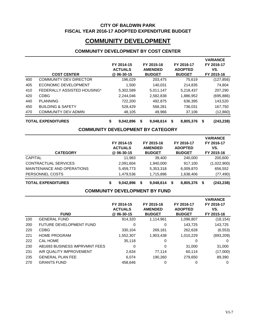#### **CITY OF BALDWIN PARK FISCAL YEAR 2016-17 ADOPTED EXPENDITURE BUDGET**

# **COMMUNITY DEVELOPMENT**

# **COMMUNITY DEVELOPMENT BY COST CENTER**

|     | <b>COST CENTER</b>            |   | FY 2014-15<br><b>ACTUALS</b><br>@ 06-30-15 |   | FY 2015-16<br><b>AMENDED</b><br><b>BUDGET</b> |   | FY 2016-17<br><b>ADOPTED</b><br><b>BUDGET</b> |    | <b>VARIANCE</b><br>FY 2016-17<br>VS.<br>FY 2015-16 |
|-----|-------------------------------|---|--------------------------------------------|---|-----------------------------------------------|---|-----------------------------------------------|----|----------------------------------------------------|
| 400 | <b>COMMUNITY DEV DIRECTOR</b> |   | 196,029                                    |   | 203,475                                       |   | 75,619                                        |    | (127, 856)                                         |
| 405 | ECONOMIC DEVELOPMENT          |   | 1.500                                      |   | 140.031                                       |   | 214,835                                       |    | 74.804                                             |
| 410 | FEDERALLY ASSISTED HOUSING*   |   | 5,302,589                                  |   | 5,011,147                                     |   | 5,218,437                                     |    | 207,290                                            |
| 420 | <b>CDBG</b>                   |   | 2,244,046                                  |   | 2,582,838                                     |   | 1,886,952                                     |    | (695, 886)                                         |
| 440 | <b>PLANNING</b>               |   | 722,200                                    |   | 492,875                                       |   | 636,395                                       |    | 143,520                                            |
| 450 | <b>BUILDING &amp; SAFETY</b>  |   | 528,429                                    |   | 568,281                                       |   | 736,031                                       |    | 167,750                                            |
| 470 | <b>COMMUNITY DEV ADMIN</b>    |   | 48,105                                     |   | 49,966                                        |   | 37,106                                        |    | (12, 860)                                          |
|     | <b>TOTAL EXPENDITURES</b>     | S | 9,042,896                                  | S | 9.048.614                                     | S | 8,805,376                                     | S. | (243, 238)                                         |

# **COMMUNITY DEVELOPMENT BY CATEGORY**

| <b>CATEGORY</b>            | FY 2014-15<br><b>ACTUALS</b><br>@ 06-30-15 | FY 2015-16<br><b>AMENDED</b><br><b>BUDGET</b> |   | FY 2016-17<br><b>ADOPTED</b><br><b>BUDGET</b> | <b>VARIANCE</b><br>FY 2016-17<br>VS.<br>FY 2015-16 |
|----------------------------|--------------------------------------------|-----------------------------------------------|---|-----------------------------------------------|----------------------------------------------------|
| <b>CAPITAL</b>             | 11,983                                     | 39,400                                        |   | 240,000                                       | 200,600                                            |
| CONTRACTUAL SERVICES       | 2,091,604                                  | 1,940,000                                     |   | 917,100                                       | (1,022,900)                                        |
| MAINTENANCE AND OPERATIONS | 5,459,773                                  | 5,353,318                                     |   | 6,009,870                                     | 656,552                                            |
| PERSONNEL COSTS            | 1,479,536                                  | 1,715,896                                     |   | 1,638,406                                     | (77, 490)                                          |
| <b>TOTAL EXPENDITURES</b>  | 9.042.896                                  | S<br>9,048,614                                | S | 8,805,376                                     | (243, 238)                                         |

#### **COMMUNITY DEVELOPMENT BY FUND**

|     | <b>FUND</b>                    | FY 2014-15<br><b>ACTUALS</b><br>@ 06-30-15 | FY 2015-16<br><b>AMENDED</b><br><b>BUDGET</b> | FY 2016-17<br><b>ADOPTED</b><br><b>BUDGET</b> | <b>VARIANCE</b><br>FY 2016-17<br>VS.<br>FY 2015-16 |
|-----|--------------------------------|--------------------------------------------|-----------------------------------------------|-----------------------------------------------|----------------------------------------------------|
| 100 | <b>GENERAL FUND</b>            | 914.320                                    | 1,114,961                                     | 1,096,807                                     | (18, 154)                                          |
| 200 | <b>FUTURE DEVELOPMENT FUND</b> | 0                                          | 0                                             | 143.725                                       | 143,725                                            |
| 220 | <b>CDBG</b>                    | 330,104                                    | 269,181                                       | 262,628                                       | (6, 553)                                           |
| 221 | <b>HOME PROGRAM</b>            | 1,552,307                                  | 1,903,438                                     | 1,010,229                                     | (893, 209)                                         |
| 222 | <b>CAL HOME</b>                | 35.118                                     | 0                                             | 0                                             | 0                                                  |
| 230 | AB1693 BUSINESS IMPRVMNT FEES  | 0                                          | 0                                             | 31,000                                        | 31,000                                             |
| 231 | AIR QUALITY IMPROVEMENT        | 2,634                                      | 77,114                                        | 60.114                                        | (17,000)                                           |
| 235 | <b>GENERAL PLAN FEE</b>        | 6.074                                      | 190.260                                       | 279,650                                       | 89,390                                             |
| 270 | <b>GRANTS FUND</b>             | 458.646                                    | 0                                             | 0                                             | 0                                                  |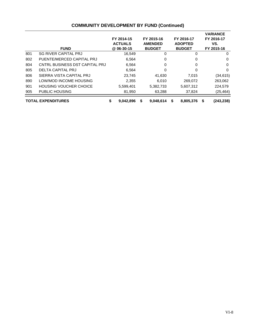|     | <b>FUND</b>                    | FY 2014-15<br><b>ACTUALS</b><br>@ 06-30-15 |   | FY 2015-16<br><b>AMENDED</b><br><b>BUDGET</b> |   | FY 2016-17<br><b>ADOPTED</b><br><b>BUDGET</b> |   | <b>VARIANCE</b><br>FY 2016-17<br>VS.<br>FY 2015-16 |
|-----|--------------------------------|--------------------------------------------|---|-----------------------------------------------|---|-----------------------------------------------|---|----------------------------------------------------|
| 801 | <b>SG RIVER CAPITAL PRJ</b>    | 16,549                                     |   | 0                                             |   | 0                                             |   | 0                                                  |
| 802 | PUENTE/MERCED CAPITAL PRJ      | 6.564                                      |   | 0                                             |   | 0                                             |   | $\Omega$                                           |
| 804 | CNTRL BUSINESS DST CAPITAL PRJ | 6.564                                      |   | 0                                             |   | 0                                             |   | $\Omega$                                           |
| 805 | <b>DELTA CAPITAL PRJ</b>       | 6,564                                      |   | 0                                             |   | 0                                             |   | $\Omega$                                           |
| 806 | SIERRA VISTA CAPITAL PRJ       | 23,745                                     |   | 41,630                                        |   | 7,015                                         |   | (34,615)                                           |
| 890 | LOW/MOD INCOME HOUSING         | 2,355                                      |   | 6.010                                         |   | 269.072                                       |   | 263,062                                            |
| 901 | <b>HOUSING VOUCHER CHOICE</b>  | 5,599,401                                  |   | 5,382,733                                     |   | 5,607,312                                     |   | 224,579                                            |
| 905 | <b>PUBLIC HOUSING</b>          | 81,950                                     |   | 63,288                                        |   | 37,824                                        |   | (25,464)                                           |
|     | <b>TOTAL EXPENDITURES</b>      | \$<br>9,042,896                            | S | 9.048.614                                     | S | 8,805,376                                     | S | (243, 238)                                         |

## **COMMUNITY DEVELOPMENT BY FUND (Continued)**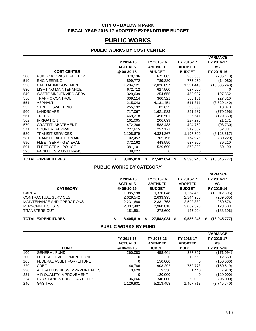#### **CITY OF BALDWIN PARK FISCAL YEAR 2016-17 ADOPTED EXPENDITURE BUDGET**

# **PUBLIC WORKS**

#### **PUBLIC WORKS BY COST CENTER**

|     |                               | FY 2014-15<br><b>ACTUALS</b> |   | FY 2015-16<br><b>AMENDED</b> |   | FY 2016-17<br><b>ADOPTED</b> |   | <b>VARIANCE</b><br>FY 2016-17<br>VS. |
|-----|-------------------------------|------------------------------|---|------------------------------|---|------------------------------|---|--------------------------------------|
|     | <b>COST CENTER</b>            | @ 06-30-15                   |   | <b>BUDGET</b>                |   | <b>BUDGET</b>                |   | FY 2015-16                           |
| 500 | PUBLIC WORKS DIRECTOR         | 370,136                      |   | 671,805                      |   | 385,335                      |   | (286, 470)                           |
| 510 | <b>ENGINEERING</b>            | 899,772                      |   | 789,330                      |   | 775,250                      |   | (14,080)                             |
| 520 | <b>CAPITAL IMPROVEMENT</b>    | 1,204,521                    |   | 12,026,697                   |   | 1,391,449                    |   | (10,635,248)                         |
| 530 | <b>LIGHTING MAINTENANCE</b>   | 672,712                      |   | 627,500                      |   | 627,500                      |   | 0                                    |
| 540 | <b>WASTE MNG/ENVIRO SERV</b>  | 329,639                      |   | 254,655                      |   | 452,007                      |   | 197,352                              |
| 550 | <b>TRAFFIC CONTROL</b>        | 309,114                      |   | 360,321                      |   | 588,131                      |   | 227,810                              |
| 551 | <b>ASPHALT</b>                | 215,043                      |   | 4,131,451                    |   | 511,311                      |   | (3,620,140)                          |
| 552 | <b>STREET SWEEPING</b>        | 255,192                      |   | 82,629                       |   | 95,699                       |   | 13,070                               |
| 560 | LANDSCAPE                     | 717,067                      |   | 1,621,533                    |   | 851,237                      |   | (770, 296)                           |
| 561 | <b>TREES</b>                  | 469,218                      |   | 456,501                      |   | 326,641                      |   | (129, 860)                           |
| 562 | <b>IRRIGATION</b>             | 161,005                      |   | 206,099                      |   | 227,270                      |   | 21,171                               |
| 570 | <b>GRAFFITI ABATEMENT</b>     | 472,366                      |   | 588,488                      |   | 494,759                      |   | (93, 730)                            |
| 571 | <b>COURT REFERRAL</b>         | 227,615                      |   | 257,171                      |   | 319,502                      |   | 62,331                               |
| 580 | <b>TRANSIT SERVICES</b>       | 1,108,679                    |   | 4,324,367                    |   | 1,197,500                    |   | (3, 126, 867)                        |
| 581 | <b>TRANSIT FACILITY MAINT</b> | 102,452                      |   | 205,196                      |   | 174,976                      |   | (30, 220)                            |
| 590 | <b>FLEET SERV - GENERAL</b>   | 372,162                      |   | 448,590                      |   | 537,800                      |   | 89,210                               |
| 591 | <b>FLEET SERV - POLICE</b>    | 381,101                      |   | 529,690                      |   | 579,880                      |   | 50,190                               |
| 595 | <b>FACILITIES MAINTENANCE</b> | 138,027                      |   | 0                            |   | 0                            |   |                                      |
|     | <b>TOTAL EXPENDITURES</b>     | \$<br>8,405,819              | S | 27,582,024                   | S | 9,536,246                    | S | (18,045,777)                         |

#### **PUBLIC WORKS BY CATEGORY**

| <b>CATEGORY</b>            |   | FY 2014-15<br><b>ACTUALS</b><br>@ 06-30-15 | FY 2015-16<br><b>AMENDED</b><br><b>BUDGET</b> |   | FY 2016-17<br><b>ADOPTED</b><br><b>BUDGET</b> |   | <b>VARIANCE</b><br>FY 2016-17<br>VS.<br>FY 2015-16 |
|----------------------------|---|--------------------------------------------|-----------------------------------------------|---|-----------------------------------------------|---|----------------------------------------------------|
| <b>CAPITAL</b>             |   | 1,085,598                                  | 19,376,848                                    |   | 1.364.453                                     |   | (18,012,395)                                       |
| CONTRACTUAL SERVICES       |   | 2,629,542                                  | 2,633,995                                     |   | 2,344,930                                     |   | (289,065)                                          |
| MAINTENANCE AND OPERATIONS |   | 2,231,686                                  | 2,331,763                                     |   | 2.592.339                                     |   | 260,576                                            |
| PERSONNEL COSTS            |   | 2,307,492                                  | 2,960,818                                     |   | 3,089,320                                     |   | 128,503                                            |
| <b>TRANSFERS OUT</b>       |   | 151.501                                    | 278,600                                       |   | 145.204                                       |   | (133, 396)                                         |
| <b>TOTAL EXPENDITURES</b>  | S | 8,405,819                                  | 27,582,024                                    | S | 9,536,246                                     | S | (18,045,777)                                       |

**PUBLIC WORKS BY FUND**

|     | <b>FUND</b>                    | FY 2014-15<br><b>ACTUALS</b><br>@ 06-30-15 | FY 2015-16<br><b>AMENDED</b><br><b>BUDGET</b> | FY 2016-17<br><b>ADOPTED</b><br><b>BUDGET</b> | <b>VARIANCE</b><br>FY 2016-17<br>VS.<br>FY 2015-16 |
|-----|--------------------------------|--------------------------------------------|-----------------------------------------------|-----------------------------------------------|----------------------------------------------------|
| 100 | <b>GENERAL FUND</b>            | 260,083                                    | 458.461                                       | 287,367                                       | (171,094)                                          |
| 200 | <b>FUTURE DEVELOPMENT FUND</b> |                                            | 0                                             | 12,660                                        | 12,660                                             |
| 205 | FEDERAL ASSET FORFEITURE       |                                            | 150,000                                       |                                               | (150,000)                                          |
| 220 | CDBG                           | 46.786                                     | 903,292                                       | 752.773                                       | (150, 519)                                         |
| 230 | AB1693 BUSINESS IMPRVMNT FEES  | 3,629                                      | 9.350                                         | 1.440                                         | (7,910)                                            |
| 231 | AIR QUALITY IMPROVEMENT        |                                            | 120,000                                       |                                               | (120,000)                                          |
| 234 | PARK LAND & PUBLIC ART FEES    | 706,666                                    | 346,000                                       | 250,000                                       | (96,000)                                           |
| 240 | <b>GAS TAX</b>                 | 1.126.931                                  | 5.213.458                                     | 1.467.718                                     | (3,745,740)                                        |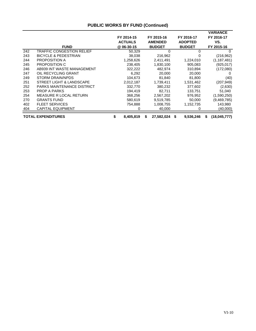|     |                                  |                 |   |                |                 |   | VARIANCE      |
|-----|----------------------------------|-----------------|---|----------------|-----------------|---|---------------|
|     |                                  | FY 2014-15      |   | FY 2015-16     | FY 2016-17      |   | FY 2016-17    |
|     |                                  | <b>ACTUALS</b>  |   | <b>AMENDED</b> | <b>ADOPTED</b>  |   | VS.           |
|     | <b>FUND</b>                      | @ 06-30-15      |   | <b>BUDGET</b>  | <b>BUDGET</b>   |   | FY 2015-16    |
| 242 | <b>TRAFFIC CONGESTION RELIEF</b> | 50,329          |   | 0              | 0               |   | 0             |
| 243 | <b>BICYCLE &amp; PEDESTRIAN</b>  | 38,038          |   | 216,962        | 0               |   | (216, 962)    |
| 244 | PROPOSITION A                    | 1,258,626       |   | 2,411,491      | 1,224,010       |   | (1, 187, 481) |
| 245 | <b>PROPOSITION C</b>             | 238,405         |   | 1,830,100      | 905,083         |   | (925, 017)    |
| 246 | AB939 INT WASTE MANAGEMENT       | 322,222         |   | 482,974        | 310,894         |   | (172,080)     |
| 247 | OIL RECYCLING GRANT              | 6,292           |   | 20,000         | 20,000          |   | 0             |
| 249 | <b>STORM DRAIN/NPDS</b>          | 104,673         |   | 81,840         | 81,800          |   | (40)          |
| 251 | STREET LIGHT & LANDSCAPE         | 2,012,187       |   | 1,739,411      | 1,531,462       |   | (207, 949)    |
| 252 | PARKS MAINTENANCE DISTRICT       | 332,770         |   | 380,232        | 377,602         |   | (2,630)       |
| 253 | <b>PROP A PARKS</b>              | 194,419         |   | 82,711         | 133,751         |   | 51,040        |
| 254 | MEASURE R LOCAL RETURN           | 368,256         |   | 2,567,202      | 976,952         |   | (1,590,250)   |
| 270 | <b>GRANTS FUND</b>               | 580.619         |   | 9,519,785      | 50,000          |   | (9, 469, 785) |
| 402 | <b>FLEET SERVICES</b>            | 754,888         |   | 1,008,755      | 1,152,735       |   | 143,980       |
| 404 | <b>CAPITAL EQUIPMENT</b>         | 0               |   | 40,000         | 0               |   | (40,000)      |
|     | <b>TOTAL EXPENDITURES</b>        | \$<br>8,405,819 | S | 27,582,024     | \$<br>9,536,246 | S | (18,045,777)  |

## **PUBLIC WORKS BY FUND (Continued)**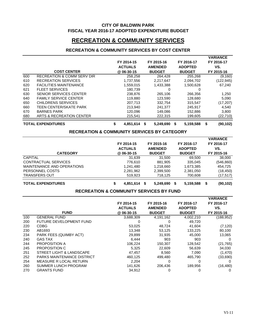#### **CITY OF BALDWIN PARK FISCAL YEAR 2016-17 ADOPTED EXPENDITURE BUDGET**

# **RECREATION & COMMUNITY SERVICES**

#### **RECREATION & COMMUNITY SERVICES BY COST CENTER**

|     |                                                        |    |                |      |                |                   | <b>VARIANCE</b> |
|-----|--------------------------------------------------------|----|----------------|------|----------------|-------------------|-----------------|
|     |                                                        |    | FY 2014-15     |      | FY 2015-16     | FY 2016-17        | FY 2016-17      |
|     |                                                        |    | <b>ACTUALS</b> |      | <b>AMENDED</b> | <b>ADOPTED</b>    | VS.             |
|     | <b>COST CENTER</b>                                     |    | @ 06-30-15     |      | <b>BUDGET</b>  | <b>BUDGET</b>     | FY 2015-16      |
| 600 | <b>RECREATION &amp; COMM SERV DIR</b>                  |    | 258,258        |      | 264,428        | 255,268           | (9,160)         |
|     |                                                        |    |                |      |                |                   |                 |
| 610 | <b>RECREATION SERVICES</b>                             |    | 1,737,556      |      | 2,217,647      | 2,094,702         | (122, 945)      |
| 620 | <b>FACILITIES MAINTENANCE</b>                          |    | 1,559,015      |      | 1,433,388      | 1,500,628         | 67,240          |
| 621 | <b>FLEET SERVICES</b>                                  |    | 180,739        |      | 0              | $\Omega$          |                 |
| 630 | <b>SENIOR SERVICES CENTER</b>                          |    | 238,876        |      | 265,106        | 266,356           | 1,250           |
| 640 | <b>FAMILY SERVICE CENTER</b>                           |    | 119,880        |      | 123,590        | 128,680           | 5,090           |
| 650 | <b>CHILDRENS SERVICES</b>                              |    | 207,713        |      | 332,754        | 315,547           | (17, 207)       |
| 660 | TEEN CENTER/SKATE PARK                                 |    | 213,940        |      | 241,377        | 245,917           | 4,540           |
| 670 | <b>BARNES PARK</b>                                     |    | 120,096        |      | 149,086        | 152,886           | 3,800           |
| 680 | <b>ARTS &amp; RECREATION CENTER</b>                    |    | 215,541        |      | 222,315        | 199,605           | (22, 710)       |
|     | <b>TOTAL EXPENDITURES</b>                              | \$ | 4,851,614      | - \$ | 5,249,690      | - \$<br>5,159,588 | \$<br>(90, 102) |
|     | <b>RECREATION &amp; COMMUNITY SERVICES BY CATEGORY</b> |    |                |      |                |                   |                 |
|     |                                                        |    |                |      |                |                   | <b>VARIANCE</b> |
|     |                                                        |    | FY 2014-15     |      | FY 2015-16     | FY 2016-17        | FY 2016-17      |
|     |                                                        |    | <b>ACTUALS</b> |      | <b>AMENDED</b> | <b>ADOPTED</b>    | VS.             |
|     | <b>CATEGORY</b>                                        |    | @06-30-15      |      | <b>BUDGET</b>  | <b>BUDGET</b>     | FY 2015-16      |
|     | <b>CAPITAL</b>                                         |    | 31,639         |      | 31,500         | 69,500            | 38,000          |
|     | CONTRACTUAL SERVICES                                   |    | 776,610        |      | 881,905        | 335,045           | (546, 860)      |
|     | MAINTENANCE AND OPERATIONS                             |    | 1,241,480      |      | 1,218,660      | 1,673,385         | 454,725         |
|     | PERSONNEL COSTS                                        |    | 2,281,962      |      | 2,399,500      | 2,381,050         | (18, 450)       |
|     | <b>TRANSFERS OUT</b>                                   |    | 519,923        |      | 718,125        | 700,608           | (17, 517)       |
|     |                                                        |    |                |      |                |                   |                 |
|     | <b>TOTAL EXPENDITURES</b>                              | \$ | 4,851,614      | \$   | 5,249,690      | \$<br>5,159,588   | \$<br>(90, 102) |
|     | <b>RECREATION &amp; COMMUNITY SERVICES BY FUND</b>     |    |                |      |                |                   |                 |
|     |                                                        |    |                |      |                |                   | <b>VARIANCE</b> |
|     |                                                        |    | FY 2014-15     |      | FY 2015-16     | FY 2016-17        | FY 2016-17      |
|     |                                                        |    | <b>ACTUALS</b> |      | <b>AMENDED</b> | <b>ADOPTED</b>    | VS.             |
|     | <b>FUND</b>                                            |    | @ 06-30-15     |      | <b>BUDGET</b>  | <b>BUDGET</b>     | FY 2015-16      |
| 100 | <b>GENERAL FUND</b>                                    |    | 3,688,309      |      | 4,191,162      | 4,002,210         | (188, 952)      |
| 200 | FUTURE DEVELOPMENT FUND                                |    | 0              |      | 0              | 49,720            |                 |
| 220 | <b>CDBG</b>                                            |    | 53,025         |      | 48,724         | 41,604            | (7, 120)        |
| 230 | AB1693                                                 |    | 13,348         |      | 53,125         | 133,225           | 80,100          |
| 234 | PARK FEES (QUIMBY ACT)                                 |    | 29,899         |      | 31,935         | 45,000            | 13.065          |
| 240 | <b>GAS TAX</b>                                         |    | 6,444          |      | 903            | 903               | $\Omega$        |
| 244 | PROPOSITION A                                          |    | 106,224        |      | 150,307        | 128,542           | (21, 765)       |
| 245 | PROPOSITION C                                          |    | 5,325          |      | 22,609         | 56,639            | 34,030          |
| 251 | STREET LIGHT & LANDSCAPE                               |    | 47,457         |      | 8,560          | 7,090             | (1, 470)        |
| 252 | PARKS MAINTENANCE DISTRICT                             |    | 460,125        |      | 499,480        | 465,790           | (33,690)        |
| 254 | MEASURE R LOCAL RETURN                                 |    | 2,204          |      | 0              | 0                 | 0               |
| 260 | SUMMER LUNCH PROGRAM                                   |    | 141,626        |      | 206,436        | 189,956           | (16, 480)       |
| 270 | <b>GRANTS FUND</b>                                     |    | 34,912         |      | 0              | 0                 | 0               |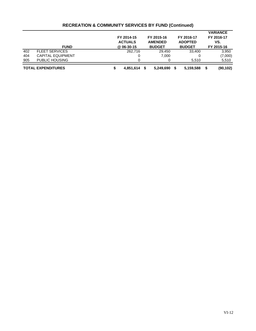|     |                           | FY 2014-15<br><b>ACTUALS</b> | FY 2015-16<br><b>AMENDED</b> |   | FY 2016-17<br><b>ADOPTED</b> | <b>VARIANCE</b><br>FY 2016-17<br>VS. |
|-----|---------------------------|------------------------------|------------------------------|---|------------------------------|--------------------------------------|
|     | <b>FUND</b>               | @ 06-30-15                   | <b>BUDGET</b>                |   | <b>BUDGET</b>                | FY 2015-16                           |
| 402 | <b>FLEET SERVICES</b>     | 262.716                      | 29.450                       |   | 33.400                       | 3,950                                |
| 404 | <b>CAPITAL EQUIPMENT</b>  |                              | 7.000                        |   |                              | (7,000)                              |
| 905 | <b>PUBLIC HOUSING</b>     |                              | 0                            |   | 5.510                        | 5,510                                |
|     | <b>TOTAL EXPENDITURES</b> | 4,851,614                    | 5,249,690<br>S               | S | 5,159,588                    | (90, 102)                            |

## **RECREATION & COMMUNITY SERVICES BY FUND (Continued)**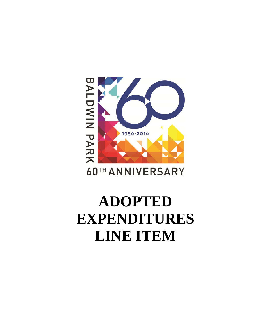# BALDWIN PARK 1956-2016

# **60TH ANNIVERSARY**

# **ADOPTED EXPENDITURES LINE ITEM**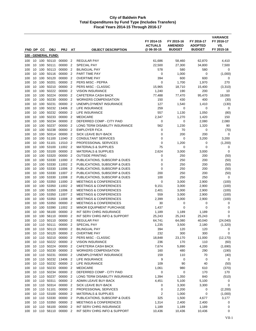|            |          |            |                              |                    |                                              |                                                                        | FY 2014-15<br><b>ACTUALS</b> | FY 2015-16<br><b>AMENDED</b> | FY 2016-17<br><b>ADOPTED</b> | <b>VARIANCE</b><br>FY 2016-17<br>VS. |
|------------|----------|------------|------------------------------|--------------------|----------------------------------------------|------------------------------------------------------------------------|------------------------------|------------------------------|------------------------------|--------------------------------------|
| FND DP     |          | <b>CC</b>  | <b>OBJ</b>                   | <b>PRJ</b>         | AT                                           | <b>OBJECT DESCRIPTION</b>                                              | @ 06-30-15                   | <b>BUDGET</b>                | <b>BUDGET</b>                | FY 2015-16                           |
|            |          |            | 100 - GENERAL FUND:          |                    |                                              |                                                                        |                              |                              |                              |                                      |
| 100        |          |            | 10 100 50110                 | 00000 2            |                                              | <b>REGULAR PAY</b>                                                     | 61,686                       | 58,460                       | 62,870                       | 4,410                                |
| 100        | 10<br>10 | 100<br>100 | 50111<br>50113               | 00000<br>00000     | $\overline{2}$<br>$\overline{2}$             | SPECIAL PAY<br><b>BILINGUAL PAY</b>                                    | 22,500<br>578                | 27,300<br>580                | 34,800<br>580                | 7,500<br>0                           |
| 100<br>100 | 10       | 100        | 50116                        | 00000              | $\overline{2}$                               | PART TIME PAY                                                          | 0                            | 1,000                        | 0                            | (1,000)                              |
| 100        | 10       | 100        | 50120                        | 00000              | $\overline{2}$                               | <b>OVERTIME PAY</b>                                                    | 394                          | 600                          | 600                          | 0                                    |
| 100        | 10       | 100        | 50201                        | 00000              | $\overline{2}$                               | PERS MISC - PEPRA                                                      | 0                            | 1,700                        | 1,970                        | 270                                  |
| 100        | 10       | 100        | 50210                        | 00000              | $\overline{2}$                               | PERS MISC - CLASSIC                                                    | 15,965                       | 18,710                       | 15,400                       | (3,310)                              |
| 100        | 10       | 100        | 50222                        | 00000              | $\overline{2}$                               | <b>VISION INSURANCE</b>                                                | 1,240                        | 190                          | 200                          | 10                                   |
| 100        | 10       | 100        | 50224                        | 00000              | $\overline{2}$                               | CAFETERIA CASH BACK                                                    | 77,488                       | 77,470                       | 95,470                       | 18,000                               |
| 100        | 10       | 100        | 50230                        | 00000              | $\overline{2}$                               | <b>WORKERS COMPENSATION</b>                                            | 150                          | 430                          | 400                          | (30)                                 |
| 100        | 10       | 100        | 50231<br>50232               | 00000              | $\overline{2}$                               | UNEMPLOYMENT INSURANCE                                                 | 127                          | 1,540                        | 1,410                        | (130)                                |
| 100<br>100 | 10<br>10 | 100<br>100 | 50232                        | 13406<br>00000     | $\overline{\phantom{0}}^2$<br>$\overline{2}$ | LIFE INSURANCE<br>LIFE INSURANCE                                       | 259<br>557                   | 0<br>1,130                   | 0<br>1,050                   | 0<br>(80)                            |
| 100        | 10       | 100        | 50233                        | 00000              | $\overline{2}$                               | <b>MEDICARE</b>                                                        | 2,347                        | 1,270                        | 1,420                        | 150                                  |
| 100        | 10       | 100        | 50234                        | 00000              | $\overline{2}$                               | DEFERRED COMP - CITY PAID                                              | 0                            | 0                            | 2,080                        | 2,080                                |
| 100        | 10       | 100        | 50237                        | 00000              | 2                                            | LONG TERM DISABILITY INSURANCE                                         | 562                          | 1,230                        | 1,320                        | 90                                   |
| 100        | 10       | 100        | 50238                        | 00000              | $\overline{2}$                               | <b>EMPLOYER FICA</b>                                                   | 0                            | 70                           | 0                            | (70)                                 |
| 100        | 10       | 100        | 50314                        | 00000              | $\overline{2}$                               | SICK LEAVE BUY-BACK                                                    | $\mathbf 0$                  | 200                          | 200                          | 0                                    |
| 100        | 10       | 100        | 51100                        | 11040              | $\overline{2}$                               | <b>CONSULTANT SERVICES</b>                                             | 0                            | 0                            | 3,200                        | 3,200                                |
| 100        | 10       | 100        | 51101                        | 11510              | $\overline{2}$                               | PROFESSIONAL SERVICES                                                  | 0                            | 1,200                        | 0                            | (1,200)                              |
| 100        | 10       | 100        | 53100                        | 11002<br>00000     | $\overline{\mathbf{2}}$                      | <b>MATERIALS &amp; SUPPLIES</b>                                        | 75                           | 0                            | 0                            | 0                                    |
| 100<br>100 | 10<br>10 | 100<br>100 | 53100<br>53320               | 00000              | $\overline{2}$<br>$\overline{2}$             | <b>MATERIALS &amp; SUPPLIES</b><br><b>OUTSIDE PRINTING</b>             | 2,624<br>0                   | 3,000<br>250                 | 3,000<br>200                 | 0<br>(50)                            |
| 100        | 10       | 100        | 53330                        | 11000              | $\overline{2}$                               | PUBLICATIONS, SUBSCRIP & DUES                                          | 0                            | 250                          | 200                          | (50)                                 |
| 100        | 10       | 100        | 53330                        | 11002              | $\overline{2}$                               | PUBLICATIONS, SUBSCRIP & DUES                                          | 0                            | 250                          | 200                          | (50)                                 |
| 100        | 10       | 100        | 53330                        | 11006              | $\overline{2}$                               | PUBLICATIONS, SUBSCRIP & DUES                                          | $\mathbf 0$                  | 250                          | 200                          | (50)                                 |
| 100        | 10       | 100        | 53330                        | 11007 2            |                                              | PUBLICATIONS, SUBSCRIP & DUES                                          | 200                          | 250                          | 200                          | (50)                                 |
| 100        | 10       | 100        | 53330                        | 11008              | $\overline{2}$                               | PUBLICATIONS, SUBSCRIP & DUES                                          | 100                          | 250                          | 250                          | 0                                    |
| 100        | 10       | 100        | 53350                        | 11000              | $\overline{2}$                               | <b>MEETINGS &amp; CONFERENCES</b>                                      | 0                            | 3,000                        | 2,900                        | (100)                                |
| 100        | 10       | 100        | 53350                        | 11002 2            |                                              | <b>MEETINGS &amp; CONFERENCES</b>                                      | 9,151                        | 3,000                        | 2,900                        | (100)                                |
| 100        | 10       | 100        | 53350                        | 11006              | $\overline{2}$                               | MEETINGS & CONFERENCES                                                 | 2,401                        | 3,000                        | 2,900                        | (100)                                |
| 100<br>100 | 10<br>10 | 100<br>100 | 53350<br>53350               | 11007<br>11008     | $\overline{2}$<br>$\overline{2}$             | <b>MEETINGS &amp; CONFERENCES</b><br><b>MEETINGS &amp; CONFERENCES</b> | 559<br>2,399                 | 3,000<br>3,000               | 2,900<br>2,900               | (100)<br>(100)                       |
| 100        | 10       | 100        | 53350                        | 00000              | $\overline{2}$                               | <b>MEETINGS &amp; CONFERENCES</b>                                      | 30                           | 0                            | 0                            | 0                                    |
| 100        | 10       | 100        | 53390                        | 11002              | $\overline{\mathbf{2}}$                      | MINOR EQUIPMENT PURCHASE                                               | 1,437                        | 0                            | 0                            | 0                                    |
| 100        | 10       | 100        | 56100                        | 00000              | $\overline{2}$                               | INT SERV CHRG INSURANCE                                                | 1,189                        | 1,189                        | 1,189                        | 0                                    |
| 100        | 10       | 100        | 56110                        | 00000              | $\overline{2}$                               | INT SERV CHRG INFO & SUPPORT                                           | 25,243                       | 25,243                       | 25,243                       | $\mathbf 0$                          |
| 100        | 10       | 110        | 50110                        | 00000              | $\overline{2}$                               | REGULAR PAY                                                            | 64,741                       | 64,080                       | 40,040                       | (24,040)                             |
| 100        |          |            | 10 110 50111                 | 00000 2            |                                              | <b>SPECIAL PAY</b>                                                     | 1,235                        | 3,500                        | 2,180                        | (1,320)                              |
| 100        | 10       |            | 110 50113                    | 00000 2            |                                              | <b>BILINGUAL PAY</b>                                                   | 394                          | 120                          | 120                          | 0                                    |
| 100<br>100 |          |            | 10 110 50120<br>10 110 50210 | 00000 2<br>00000 2 |                                              | <b>OVERTIME PAY</b><br>PERS MISC - CLASSIC                             | 232<br>18,848                | 300<br>23,170                | 300<br>11,000                | 0<br>(12, 170)                       |
| 100        |          |            | 10 110 50222                 | 00000 2            |                                              | <b>VISION INSURANCE</b>                                                | 236                          | 170                          | 110                          | (60)                                 |
| 100        |          |            | 10 110 50224                 | 00000 2            |                                              | CAFETERIA CASH BACK                                                    | 7,674                        | 5,890                        | 4,200                        | (1,690)                              |
| 100        |          |            | 10 110 50230                 | 00000 2            |                                              | <b>WORKERS COMPENSATION</b>                                            | 160                          | 480                          | 290                          | (190)                                |
| 100        |          |            | 10 110 50231                 | 00000 2            |                                              | UNEMPLOYMENT INSURANCE                                                 | 159                          | 110                          | 70                           | (40)                                 |
| 100        | 10       |            | 110 50232                    | 13406 2            |                                              | LIFE INSURANCE                                                         | 9                            | 0                            | 0                            | 0                                    |
| 100        |          |            | 10 110 50232                 | 00000 2            |                                              | <b>LIFE INSURANCE</b>                                                  | 109                          | 90                           | 40                           | (50)                                 |
| 100        |          |            | 10 110 50233                 | 00000 2            |                                              | <b>MEDICARE</b>                                                        | 1,061                        | 980                          | 610                          | (370)                                |
| 100        |          |            | 10 110 50234                 | 00000 2            |                                              | DEFERRED COMP - CITY PAID                                              | 0                            | 0                            | 170                          | 170                                  |
| 100<br>100 |          |            | 10 110 50237<br>10 110 50311 | 00000 2<br>00000 2 |                                              | LONG TERM DISABILITY INSURANCE<br>ADMIN LEAVE BUY-BACK                 | 1,394<br>4,451               | 1,350<br>5,100               | 840<br>5,100                 | (510)<br>0                           |
| 100        |          |            | 10 110 50314                 | 00000 2            |                                              | SICK LEAVE BUY-BACK                                                    | 0                            | 3,300                        | 3,300                        | 0                                    |
| 100        | 10       |            | 110 51101                    | 00000 2            |                                              | PROFESSIONAL SERVICES                                                  | 0                            | 2,200                        | 0                            | (2,200)                              |
| 100        |          |            | 10 110 53100                 | 00000 2            |                                              | <b>MATERIALS &amp; SUPPLIES</b>                                        | $\overline{\mathbf{c}}$      | 1,000                        | 0                            | (1,000)                              |
| 100        |          |            | 10 110 53330                 | 00000 2            |                                              | PUBLICATIONS, SUBSCRIP & DUES                                          | 325                          | 1,500                        | 4,677                        | 3,177                                |
| 100        |          |            | 10 110 53350                 | 00000 2            |                                              | <b>MEETINGS &amp; CONFERENCES</b>                                      | 1,314                        | 2,400                        | 2,400                        | 0                                    |
| 100        | 10       |            | 110 56100                    | 00000 2            |                                              | INT SERV CHRG INSURANCE                                                | 1,189                        | 1,189                        | 1,189                        | 0                                    |
| 100        |          |            | 10 110 56110                 | 00000 2            |                                              | INT SERV CHRG INFO & SUPPORT                                           | 10,436                       | 10,436                       | 10,436                       | 0                                    |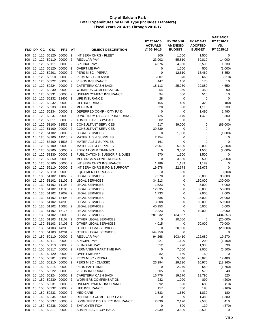|            |          |            |                              |                      |                                  |                                                                    | FY 2014-15<br><b>ACTUALS</b><br>@06-30-15 | FY 2015-16<br><b>AMENDED</b><br><b>BUDGET</b> | FY 2016-17<br><b>ADOPTED</b><br><b>BUDGET</b> | <b>VARIANCE</b><br>FY 2016-17<br>VS.<br>FY 2015-16 |
|------------|----------|------------|------------------------------|----------------------|----------------------------------|--------------------------------------------------------------------|-------------------------------------------|-----------------------------------------------|-----------------------------------------------|----------------------------------------------------|
| FND DP     |          | CС         | <b>OBJ</b>                   | <b>PRJ</b>           | AT                               | <b>OBJECT DESCRIPTION</b>                                          |                                           |                                               |                                               |                                                    |
| 100        | 10       |            | 110 56120                    | 00000                | $\overline{2}$                   | INT SERV CHRG - FLEET                                              | 800                                       | 1,500                                         | 1,500                                         | 0                                                  |
| 100        | 10       | 120        | 50110                        | 00000                | $\overline{2}$                   | <b>REGULAR PAY</b>                                                 | 23,002                                    | 55,810                                        | 69,810                                        | 14,000                                             |
| 100        | 10       | 120        | 50111                        | 00000                | $\overline{2}$                   | SPECIAL PAY                                                        | 4,676                                     | 4,960                                         | 6,590                                         | 1,630                                              |
| 100        | 10       | 120<br>120 | 50120<br>50201               | 00000                | $\overline{2}$<br>$\overline{2}$ | <b>OVERTIME PAY</b><br>PERS MISC - PEPRA                           | 0<br>0                                    | 1,500                                         | 500                                           | (1,000)                                            |
| 100<br>100 | 10<br>10 | 120        | 50210                        | 00000<br>00000       | $\overline{2}$                   | PERS MISC - CLASSIC                                                | 5,007                                     | 12,610<br>870                                 | 18,460<br>660                                 | 5,850                                              |
| 100        | 10       | 120        | 50222                        | 00000                | $\overline{2}$                   | <b>VISION INSURANCE</b>                                            | 447                                       | 160                                           | 170                                           | (210)<br>10                                        |
| 100        | 10       | 120        | 50224                        | 00000                | $\overline{2}$                   | CAFETERIA CASH BACK                                                | 18,113                                    | 25,230                                        | 29,880                                        | 4,650                                              |
| 100        | 10       | 120        | 50230                        | 00000                | $\overline{2}$                   | <b>WORKERS COMPENSATION</b>                                        | 54                                        | 360                                           | 450                                           | 90                                                 |
| 100        | 10       | 120        | 50231                        | 00000                | $\overline{2}$                   | UNEMPLOYMENT INSURANCE                                             | 94                                        | 500                                           | 510                                           | 10                                                 |
| 100        | 10       | 120        | 50232                        | 13406                | $\overline{2}$                   | LIFE INSURANCE                                                     | 28                                        | 0                                             | 0                                             | 0                                                  |
| 100        | 10       | 120        | 50232                        | 00000                | $\overline{2}$                   | LIFE INSURANCE                                                     | 155                                       | 400                                           | 320                                           | (80)                                               |
| 100        | 10       | 120        | 50233                        | 00000                | $\overline{2}$                   | <b>MEDICARE</b>                                                    | 628                                       | 880                                           | 1,110                                         | 230                                                |
| 100        | 10       | 120        | 50234                        | 00000                | $\overline{2}$                   | DEFERRED COMP - CITY PAID                                          | 0                                         | 0                                             | 1,490                                         | 1,490                                              |
| 100        | 10       | 120        | 50237                        | 00000                | $\overline{2}$                   | LONG TERM DISABILITY INSURANCE                                     | 425                                       | 1,170                                         | 1,470                                         | 300                                                |
| 100        | 10       | 120        | 50311                        | 00000                | $\overline{2}$                   | ADMIN LEAVE BUY-BACK                                               | 502                                       | 0                                             | 0                                             | 0                                                  |
| 100        | 10       | 120        | 51100                        | 11535                | $\overline{2}$                   | <b>CONSULTANT SERVICES</b>                                         | 617                                       | 89,000                                        | 0                                             | (89,000)                                           |
| 100        | 10       | 120        | 51100                        | 00000                | $\overline{2}$                   | <b>CONSULTANT SERVICES</b>                                         | 39,339                                    | 0                                             | 0                                             | 0                                                  |
| 100        | 10       | 120        | 51102                        | 00000                | $\overline{2}$                   | <b>LEGAL SERVICES</b>                                              | 0                                         | 1,000                                         | 0                                             | (1,000)                                            |
| 100        | 10       | 120        | 53100                        | 11510                | $\overline{2}$                   | <b>MATERIALS &amp; SUPPLIES</b>                                    | 2,154                                     | 0                                             | 0                                             | 0                                                  |
| 100        | 10       | 120        | 53100                        | 11535                | $\overline{2}$                   | <b>MATERIALS &amp; SUPPLIES</b>                                    | 161                                       | 0                                             | 0                                             | 0                                                  |
| 100        | 10       | 120        | 53100                        | 00000                | $\overline{2}$                   | <b>MATERIALS &amp; SUPPLIES</b>                                    | 2,967                                     | 5,500                                         | 3,000                                         | (2,500)                                            |
| 100        | 10       | 120<br>120 | 53200<br>53330               | 00000<br>00000       | $\overline{2}$<br>$\overline{2}$ | <b>EDUCATION &amp; TRAINING</b>                                    | 0<br>570                                  | 3,500                                         | 1,500                                         | (2,000)<br>0                                       |
| 100<br>100 | 10<br>10 | 120        | 53350                        | 00000                | $\overline{2}$                   | PUBLICATIONS, SUBSCRIP & DUES<br><b>MEETINGS &amp; CONFERENCES</b> | 0                                         | 1,500<br>3,500                                | 1,500<br>500                                  | (3,000)                                            |
| 100        | 10       | 120        | 56100                        | 00000                | $\overline{2}$                   | INT SERV CHRG INSURANCE                                            | 1,189                                     | 1,189                                         | 1,189                                         | 0                                                  |
| 100        | 10       | 120        | 56110                        | 00000                | $\overline{2}$                   | INT SERV CHRG INFO & SUPPORT                                       | 19,678                                    | 22,678                                        | 22,678                                        | 0                                                  |
| 100        | 10       | 120        | 58110                        | 00000                | $\overline{2}$                   | <b>EQUIPMENT PURCHASE</b>                                          | 0                                         | 500                                           | 0                                             | (500)                                              |
| 100        | 10       | 130        | 51102                        | 11060                | $\overline{2}$                   | <b>LEGAL SERVICES</b>                                              | 7,578                                     | 0                                             | 30,000                                        | 30,000                                             |
| 100        | 10       | 130        | 51102                        | 11102                | $\overline{2}$                   | <b>LEGAL SERVICES</b>                                              | 34,213                                    | 0                                             | 130,000                                       | 130,000                                            |
| 100        | 10       | 130        | 51102                        | 11103                | $\overline{2}$                   | <b>LEGAL SERVICES</b>                                              | 1,523                                     | 0                                             | 5,000                                         | 5,000                                              |
| 100        | 10       | 130        | 51102                        | 11105                | $\overline{2}$                   | <b>LEGAL SERVICES</b>                                              | 12,635                                    | 0                                             | 50,000                                        | 50,000                                             |
| 100        | 10       |            | 130 51102                    | 12002 2              |                                  | <b>LEGAL SERVICES</b>                                              | 1,733                                     | $\mathbf 0$                                   | 2,000                                         | 2,000                                              |
| 100        | 10       | 130        | 51102                        | 13405                | $\overline{2}$                   | <b>LEGAL SERVICES</b>                                              | 385                                       | 0                                             | 25,000                                        | 25,000                                             |
| 100        | 10       | 130        | 51102                        | 14200                | $\overline{2}$                   | <b>LEGAL SERVICES</b>                                              | 3,308                                     | 0                                             | 50,000                                        | 50,000                                             |
| 100        | 10       | 130        | 51102                        | 15080                | $\overline{2}$                   | <b>LEGAL SERVICES</b>                                              | 40,153                                    | 0                                             | 5,000                                         | 5,000                                              |
| 100        | 10       | 130        | 51102                        | 16175                | $\overline{2}$                   | <b>LEGAL SERVICES</b>                                              | 2,223                                     | $\mathbf 0$                                   | 10,000                                        | 10,000                                             |
| 100        | 10       | 130        | 51102                        | 00000                | $\overline{2}$                   | <b>LEGAL SERVICES</b>                                              | 281,232                                   | 434,557                                       | 0                                             | (434, 557)                                         |
| 100        | 10       | 130        | 51103                        | 11102                | $\overline{\phantom{a}}$         | OTHER LEGAL SERVICES                                               | 0                                         | 20,000                                        | 0                                             | (20,000)                                           |
| 100<br>100 |          |            | 10 130 51103<br>10 130 51103 | 14103 2<br>14200 2   |                                  | OTHER LEGAL SERVICES<br>OTHER LEGAL SERVICES                       | 4,015<br>0                                | 0<br>20,000                                   | 70,000<br>0                                   | 70,000<br>(20,000)                                 |
| 100        |          |            | 10 130 51103                 | 14201 2              |                                  | OTHER LEGAL SERVICES                                               | 144,750                                   | 0                                             | $\mathbf 0$                                   | 0                                                  |
| 100        |          |            | 10 150 50110                 | 00000 2              |                                  | REGULAR PAY                                                        | 94,268                                    | 103,410                                       | 122,680                                       | 19,270                                             |
| 100        |          |            | 10 150 50111                 | 00000 2              |                                  | SPECIAL PAY                                                        | 221                                       | 1,690                                         | 290                                           | (1,400)                                            |
| 100        |          |            | 10 150 50113                 | 00000 2              |                                  | <b>BILINGUAL PAY</b>                                               | 552                                       | 790                                           | 1,380                                         | 590                                                |
| 100        |          |            | 10 150 50117                 | 00000                | $\overline{2}$                   | PERMANENT PART TIME PAY                                            | 0                                         | 7,500                                         | 2,000                                         | (5,500)                                            |
| 100        |          |            | 10 150 50120                 | 00000 2              |                                  | <b>OVERTIME PAY</b>                                                | 82                                        | 150                                           | 150                                           | 0                                                  |
| 100        |          |            | 10 150 50201                 | 00000 2              |                                  | PERS MISC - PEPRA                                                  | 0                                         | 5,540                                         | 23,020                                        | 17,480                                             |
| 100        |          |            | 10 150 50210                 | 00000 2              |                                  | PERS MISC - CLASSIC                                                | 26,294                                    | 29,130                                        | 10,970                                        | (18, 160)                                          |
| 100        |          | 10 150     | 50214                        | 00000 2              |                                  | PERS PART TIME                                                     | 0                                         | 2,240                                         | 540                                           | (1,700)                                            |
| 100        |          |            | 10 150 50222                 | 00000 2              |                                  | <b>VISION INSURANCE</b>                                            | 505                                       | 530                                           | 570                                           | 40                                                 |
| 100        |          |            | 10 150 50224                 | 00000                | $\overline{2}$                   | CAFETERIA CASH BACK                                                | 16,776                                    | 19,270                                        | 19,790                                        | 520                                                |
| 100        |          |            | 10 150 50230                 | 00000 2              |                                  | <b>WORKERS COMPENSATION</b>                                        | 232                                       | 1,090                                         | 890                                           | (200)                                              |
| 100        |          |            | 10 150 50231                 | 00000 2              |                                  | UNEMPLOYMENT INSURANCE                                             | 392                                       | 690                                           | 680                                           | (10)                                               |
| 100        |          |            | 10 150 50232<br>10 150 50233 | 00000 2<br>00000 2   |                                  | LIFE INSURANCE<br><b>MEDICARE</b>                                  | 157<br>1,533                              | 350<br>1,650                                  | 190<br>1,830                                  | (160)<br>180                                       |
| 100<br>100 |          |            | 10 150 50234                 | 00000 2              |                                  | DEFERRED COMP - CITY PAID                                          | 0                                         | 0                                             | 1,380                                         | 1,380                                              |
| 100        |          |            | 10 150 50237                 | 00000 2              |                                  | LONG TERM DISABILITY INSURANCE                                     | 2,030                                     | 2,170                                         | 2,580                                         | 410                                                |
| 100        | 10       |            | 150 50238                    | 00000                | $\overline{2}$                   | <b>EMPLOYER FICA</b>                                               | 0                                         | 500                                           | 130                                           | (370)                                              |
| 100        |          |            |                              | 10 150 50311 00000 2 |                                  | ADMIN LEAVE BUY-BACK                                               | 2,939                                     | 3,500                                         | 3,500                                         | 0                                                  |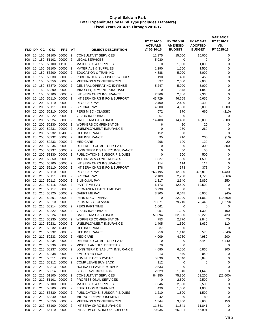| FND DP     |          | <b>CC</b>  | <b>OBJ</b>                   | <b>PRJ</b>         | AT                               | <b>OBJECT DESCRIPTION</b>                                  | FY 2014-15<br><b>ACTUALS</b><br>@ 06-30-15 | FY 2015-16<br><b>AMENDED</b><br><b>BUDGET</b> | FY 2016-17<br><b>ADOPTED</b><br><b>BUDGET</b> | <b>VARIANCE</b><br>FY 2016-17<br>VS.<br>FY 2015-16 |
|------------|----------|------------|------------------------------|--------------------|----------------------------------|------------------------------------------------------------|--------------------------------------------|-----------------------------------------------|-----------------------------------------------|----------------------------------------------------|
| 100        |          |            | 10 150 51100                 | 00000              | $\overline{2}$                   | <b>CONSULTANT SERVICES</b>                                 | 11,175                                     | 15,000                                        | 15,000                                        | 0                                                  |
| 100        | 10       | 150        | 51102                        | 00000              | $\overline{2}$                   | <b>LEGAL SERVICES</b>                                      | 5,930                                      | 0                                             | 0                                             | 0                                                  |
| 100        | 10       | 150        | 53100                        | 11100              | $\overline{2}$                   | <b>MATERIALS &amp; SUPPLIES</b>                            | 0                                          | 1,000                                         | 1,000                                         | 0                                                  |
| 100        | 10       | 150        | 53100                        | 00000              | $\overline{2}$                   | <b>MATERIALS &amp; SUPPLIES</b>                            | 1,290                                      | 1,500                                         | 1,500                                         | 0                                                  |
| 100        | 10       | 150        | 53200                        | 00000              | $\overline{2}$                   | <b>EDUCATION &amp; TRAINING</b>                            | 4,888                                      | 5,000                                         | 5,000                                         | 0                                                  |
| 100        | 10       | 150        | 53330                        | 00000              | $\overline{2}$                   | PUBLICATIONS, SUBSCRIP & DUES                              | 190                                        | 450                                           | 450                                           | 0                                                  |
| 100        | 10       | 150        | 53350                        | 00000              | $\overline{2}$                   | <b>MEETINGS &amp; CONFERENCES</b>                          | 337                                        | 2,000                                         | 2,000                                         | 0                                                  |
| 100        | 10       | 150        | 53370                        | 00000              | $\overline{2}$                   | <b>GENERAL OPERATING EXPENSE</b>                           | 5,247                                      | 5,000                                         | 5,000                                         | 0                                                  |
| 100        | 10       | 150        | 53390                        | 00000              | $\overline{2}$                   | <b>MINOR EQUIPMENT PURCHASE</b>                            | 0                                          | 1,848                                         | 1,848                                         | 0                                                  |
| 100        | 10       | 150        | 56100                        | 00000              | $\overline{2}$                   | INT SERV CHRG INSURANCE                                    | 2,366                                      | 2,366                                         | 2,366                                         | 0                                                  |
| 100        | 10       | 150        | 56110                        | 00000              | $\overline{2}$                   | INT SERV CHRG INFO & SUPPORT                               | 43,729                                     | 46,655                                        | 46,655                                        | $\mathbf 0$                                        |
| 100        | 20       | 200        | 50110                        | 00000              | $\overline{2}$                   | <b>REGULAR PAY</b>                                         | 2,400                                      | 2,400                                         | 2,400                                         | $\mathbf 0$                                        |
| 100<br>100 | 20<br>20 | 200<br>200 | 50111<br>50210               | 00000<br>00000     | $\overline{2}$<br>$\overline{2}$ | SPECIAL PAY<br>PERS MISC - CLASSIC                         | 4,500<br>672                               | 4,500<br>870                                  | 6,000<br>660                                  | 1,500<br>(210)                                     |
| 100        | 20       | 200        | 50222                        | 00000              | $\overline{2}$                   | <b>VISION INSURANCE</b>                                    | 257                                        | $\mathbf 0$                                   | 0                                             | 0                                                  |
| 100        | 20       | 200        | 50224                        | 00000              | $\overline{2}$                   | CAFETERIA CASH BACK                                        | 14,400                                     | 14,400                                        | 18,000                                        | 3,600                                              |
| 100        | 20       | 200        | 50230                        | 00000              | $\overline{2}$                   | <b>WORKERS COMPENSATION</b>                                | 6                                          | 20                                            | 20                                            | 0                                                  |
| 100        | 20       | 200        | 50231                        | 00000              | $\overline{2}$                   | UNEMPLOYMENT INSURANCE                                     | 0                                          | 260                                           | 260                                           | 0                                                  |
| 100        | 20       | 200        | 50232                        | 13406              | $\overline{2}$                   | LIFE INSURANCE                                             | 152                                        | 0                                             | 0                                             | 0                                                  |
| 100        | 20       | 200        | 50232                        | 00000              | $\overline{2}$                   | <b>LIFE INSURANCE</b>                                      | 95                                         | 210                                           | 200                                           | (10)                                               |
| 100        | 20       | 200        | 50233                        | 00000              | $\overline{2}$                   | <b>MEDICARE</b>                                            | 298                                        | 100                                           | 120                                           | 20                                                 |
| 100        | 20       | 200        | 50234                        | 00000              | $\overline{2}$                   | DEFERRED COMP - CITY PAID                                  | $\mathbf 0$                                | 0                                             | 300                                           | 300                                                |
| 100        | 20       | 200        | 50237                        | 00000              | $\overline{2}$                   | LONG TERM DISABILITY INSURANCE                             | $\mathbf 0$                                | 50                                            | 50                                            | 0                                                  |
| 100        | 20       | 200        | 53330                        | 00000              | $\overline{2}$                   | PUBLICATIONS, SUBSCRIP & DUES                              | $\mathbf 0$                                | 500                                           | 500                                           | 0                                                  |
| 100        | 20       | 200        | 53350                        | 00000              | $\overline{2}$                   | <b>MEETINGS &amp; CONFERENCES</b>                          | 1,827                                      | 1,500                                         | 1,500                                         | 0                                                  |
| 100        | 20       | 200        | 56100                        | 00000              | $\overline{2}$                   | INT SERV CHRG INSURANCE                                    | 114                                        | 114                                           | 114                                           | 0                                                  |
| 100        | 20<br>20 | 200        | 56110<br>50110               | 00000<br>00000     | $\overline{2}$<br>$\overline{2}$ | INT SERV CHRG INFO & SUPPORT<br><b>REGULAR PAY</b>         | 378                                        | 378                                           | 378                                           | $\mathbf 0$                                        |
| 100<br>100 | 20       | 210<br>210 | 50111                        | 00000              | $\overline{2}$                   | <b>SPECIAL PAY</b>                                         | 266,195<br>2,109                           | 312,380<br>2,280                              | 326,810<br>1,720                              | 14,430<br>(560)                                    |
| 100        | 20       | 210        | 50113                        | 00000              | $\overline{2}$                   | <b>BILINGUAL PAY</b>                                       | 1,817                                      | 2,640                                         | 2,890                                         | 250                                                |
| 100        | 20       | 210        | 50116                        | 00000              | $\overline{2}$                   | PART TIME PAY                                              | 6,173                                      | 12,500                                        | 12,500                                        | 0                                                  |
| 100        | 20       | 210        | 50117                        | 00000              | $\overline{2}$                   | PERMANENT PART TIME PAY                                    | 6,798                                      | 0                                             | 0                                             | $\mathbf 0$                                        |
| 100        | 20       |            | 210 50120                    | 00000              | $\overline{2}$                   | <b>OVERTIME PAY</b>                                        | 3,305                                      | 6,045                                         | 6,000                                         | (45)                                               |
| 100        | 20       |            | 210 50201                    | 00000              | $\overline{2}$                   | PERS MISC - PEPRA                                          | 0                                          | 22,220                                        | 11,860                                        | (10, 360)                                          |
| 100        | 20       | 210        | 50210                        | 00000              | $\overline{2}$                   | PERS MISC - CLASSIC                                        | 71,871                                     | 79,710                                        | 78,440                                        | (1,270)                                            |
| 100        | 20       | 210        | 50214                        | 00000              | $\overline{2}$                   | PERS PART TIME                                             | 1,661                                      | 0                                             | 0                                             | 0                                                  |
| 100        | 20       | 210        | 50222                        | 00000              | $\overline{2}$                   | <b>VISION INSURANCE</b>                                    | 951                                        | 1,200                                         | 1,300                                         | 100                                                |
| 100        | 20       | 210        | 50224                        | 00000              | $\overline{2}$                   | <b>CAFETERIA CASH BACK</b>                                 | 51,894                                     | 62,800                                        | 63,220                                        | 420                                                |
| 100        | 20       | 210        | 50230                        | 00000              | $\overline{2}$                   | <b>WORKERS COMPENSATION</b>                                | 753                                        | 2,770                                         | 2,840                                         | 70                                                 |
| 100        |          |            | 20 210 50231                 | 00000              | $\overline{2}$                   | UNEMPLOYMENT INSURANCE                                     | 1,405                                      | 1,520                                         | 1,630                                         | 110                                                |
| 100        |          |            | 20 210 50232                 | 13406              | $\overline{\phantom{0}}^2$       | <b>LIFE INSURANCE</b>                                      | 37                                         | 0                                             | 0                                             | 0                                                  |
| 100<br>100 |          |            | 20 210 50232<br>20 210 50233 | 00000 2<br>00000 2 |                                  | <b>LIFE INSURANCE</b><br><b>MEDICARE</b>                   | 750<br>4,009                               | 1,110<br>4,780                                | 570<br>4,980                                  | (540)<br>200                                       |
| 100        |          |            | 20 210 50234                 | 00000 2            |                                  | DEFERRED COMP - CITY PAID                                  | 0                                          | 0                                             | 5,440                                         | 5,440                                              |
| 100        |          |            | 20 210 50236                 | 00000              | $\overline{2}$                   | MISCELLANEOUS BENEFITS                                     | 370                                        | 0                                             | $\mathbf 0$                                   | $\mathsf 0$                                        |
| 100        |          |            | 20 210 50237                 | 00000              | $\overline{2}$                   | LONG TERM DISABILITY INSURANCE                             | 4,680                                      | 6,560                                         | 6,860                                         | 300                                                |
| 100        |          |            | 20 210 50238                 | 00000 2            |                                  | <b>EMPLOYER FICA</b>                                       | 13                                         | 840                                           | 840                                           | 0                                                  |
| 100        |          |            | 20 210 50311                 | 00000              | $\overline{2}$                   | ADMIN LEAVE BUY-BACK                                       | 5,830                                      | 3,840                                         | 3,840                                         | 0                                                  |
| 100        |          |            | 20 210 50312                 | 00000              | $\overline{2}$                   | COMP LEAVE BUY-BACK                                        | 112                                        | 0                                             | 0                                             | 0                                                  |
| 100        |          |            | 20 210 50313                 | 00000 2            |                                  | HOLIDAY LEAVE BUY-BACK                                     | 2,533                                      | 0                                             | 0                                             | 0                                                  |
| 100        |          |            | 20 210 50314                 | 00000 2            |                                  | SICK LEAVE BUY-BACK                                        | 2,629                                      | 1,640                                         | 1,640                                         | 0                                                  |
| 100        |          |            | 20 210 51100                 | 00000              | $\overline{2}$                   | <b>CONSULTANT SERVICES</b>                                 | 84,950                                     | 75,800                                        | 53,200                                        | (22,600)                                           |
| 100        |          |            | 20 210 51101                 | 00000 2            |                                  | PROFESSIONAL SERVICES                                      | 0                                          | 2,500                                         | 2,500                                         | 0                                                  |
| 100        |          |            | 20 210 53100                 | 00000 2            |                                  | <b>MATERIALS &amp; SUPPLIES</b>                            | 1,346                                      | 2,500                                         | 2,500                                         | 0                                                  |
| 100        |          |            | 20 210 53200                 | 00000              | $\overline{2}$                   | <b>EDUCATION &amp; TRAINING</b>                            | 430                                        | 1,000                                         | 1,000                                         | 0                                                  |
| 100        |          |            | 20 210 53330<br>20 210 53340 | 00000<br>00000 2   | $\overline{2}$                   | PUBLICATIONS, SUBSCRIP & DUES                              | 1,210                                      | 1,500                                         | 1,500                                         | 0<br>0                                             |
| 100<br>100 |          |            | 20 210 53350                 | 00000              | - 2                              | MILEAGE REIMBURSEMENT<br><b>MEETINGS &amp; CONFERENCES</b> | 42<br>1,344                                | 80<br>3,450                                   | 80<br>3,600                                   | 150                                                |
| 100        |          |            | 20 210 56100                 | 00000              | $\overline{2}$                   | INT SERV CHRG INSURANCE                                    | 11,841                                     | 11,841                                        | 11,841                                        | 0                                                  |
| 100        |          |            | 20 210 56110                 | 00000 2            |                                  | INT SERV CHRG INFO & SUPPORT                               | 70,935                                     | 66,991                                        | 66,991                                        | 0                                                  |
|            |          |            |                              |                    |                                  |                                                            |                                            |                                               |                                               |                                                    |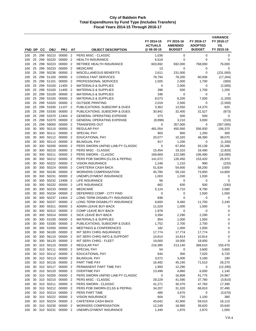| FND DP     |          | CС         | <b>OBJ</b>     | <b>PRJ</b>                    | AΤ                               | <b>OBJECT DESCRIPTION</b>                             | FY 2014-15<br><b>ACTUALS</b><br>@06-30-15 | FY 2015-16<br><b>AMENDED</b><br><b>BUDGET</b> | FY 2016-17<br><b>ADOPTED</b><br><b>BUDGET</b> | <b>VARIANCE</b><br>FY 2016-17<br>VS.<br>FY 2015-16 |
|------------|----------|------------|----------------|-------------------------------|----------------------------------|-------------------------------------------------------|-------------------------------------------|-----------------------------------------------|-----------------------------------------------|----------------------------------------------------|
|            |          |            |                |                               |                                  |                                                       |                                           |                                               |                                               |                                                    |
| 100<br>100 | 25<br>25 | 299<br>299 | 50210<br>50220 | 00000<br>00000                | $\overline{2}$<br>$\overline{2}$ | PERS MISC - CLASSIC<br><b>HEALTH INSURANCE</b>        | 1,036<br>6,519                            | $\mathbf 0$<br>0                              | 0<br>0                                        | 0<br>0                                             |
| 100        | 25       | 299        | 50223          | 00000                         | $\overline{2}$                   | RETIREE HEALTH INSURANCE                              | 603,692                                   | 692,000                                       | 768,000                                       | 76,000                                             |
| 100        | 25       | 299        | 50233          | 00000                         | $\overline{2}$                   | <b>MEDICARE</b>                                       | 13                                        | 0                                             | 0                                             | 0                                                  |
| 100        | 25       | 299        | 50236          | 00000                         | $\overline{2}$                   | MISCELLANEOUS BENEFITS                                | 2,611                                     | 231,000                                       | 0                                             | (231,000)                                          |
| 100        | 25       | 299        | 51100          | 00000                         | $\overline{2}$                   | <b>CONSULTANT SERVICES</b>                            | 78,794                                    | 78,200                                        | 60,936                                        | (17, 264)                                          |
| 100        | 25       | 299        | 51101          | 00000                         | $\overline{2}$                   | PROFESSIONAL SERVICES                                 | 1,505                                     | 2,000                                         | 1,700                                         | (300)                                              |
| 100        | 25       | 299        | 53100          | 11405                         | $\overline{2}$                   | <b>MATERIALS &amp; SUPPLIES</b>                       | 0                                         | 2,000                                         | 0                                             | (2,000)                                            |
| 100        | 25       | 299        | 53100          | 11405                         | $\overline{2}$                   | <b>MATERIALS &amp; SUPPLIES</b>                       | 396                                       | 500                                           | 1,700                                         | 1,200                                              |
| 100        | 20       | 299        | 53100          | 00000                         | $\overline{2}$                   | <b>MATERIALS &amp; SUPPLIES</b>                       | 346                                       | $\mathbf 0$                                   | 0                                             | 0                                                  |
| 100        | 25       | 299        | 53100          | 00000                         | $\overline{2}$                   | <b>MATERIALS &amp; SUPPLIES</b>                       | 8,073                                     | 8,200                                         | 7,000                                         | (1,200)                                            |
| 100        | 25       | 299        | 53320          | 00000                         | $\overline{2}$                   | <b>OUTSIDE PRINTING</b>                               | 2,019                                     | 2,500                                         | 0                                             | (2,500)                                            |
| 100        | 25       | 299        | 53330          | 11107                         | $\overline{2}$                   | PUBLICATIONS, SUBSCRIP & DUES                         | 3,362                                     | 13,550                                        | 14,370                                        | 820                                                |
| 100        | 25       | 299        | 53330          | 00000                         | $\overline{2}$                   | PUBLICATIONS, SUBSCRIP & DUES                         | 30,942                                    | 32,400                                        | 31,527                                        | (873)                                              |
| 100        | 25       | 299        | 53370          | 12404                         | $\overline{2}$                   | <b>GENERAL OPERATING EXPENSE</b>                      | 373                                       | 500                                           | 500                                           | $\mathbf 0$                                        |
| 100        | 25       | 299        | 53370          | 00000                         | $\overline{2}$                   | <b>GENERAL OPERATING EXPENSE</b>                      | (9,998)                                   | 3,210                                         | 3,000                                         | (210)                                              |
| 100        | 25       | 299        | 59000          | 00000                         | $\overline{2}$                   | <b>TRANSFERS OUT</b>                                  | 0                                         | 357,000                                       | 0                                             | (357,000)                                          |
| 100        | 30       | 300        | 50110          | 00000                         | $\overline{2}$                   | <b>REGULAR PAY</b>                                    | 481,054                                   | 450,560                                       | 556,930                                       | 106,370                                            |
| 100        | 30       | 300        | 50111          | 00000                         | $\overline{2}$                   | SPECIAL PAY                                           | 903                                       | 900                                           | 1,200                                         | 300                                                |
| 100        | 30       | 300        | 50112          | 00000                         | $\overline{2}$                   | <b>EDUCATIONAL PAY</b>                                | 20,077                                    | 10,320                                        | 48,390                                        | 38,070                                             |
| 100        | 30       | 300        | 50113          | 00000                         | $\overline{2}$                   | <b>BILINGUAL PAY</b>                                  | 917                                       | 1,200                                         | 0                                             | (1,200)                                            |
| 100        | 30       | 300        | 50200          | 00000                         | $\overline{2}$                   | PERS SWORN UNFND LIAB PY CLASSIC                      | 0                                         | 67,850                                        | 93,138                                        | 25,288                                             |
| 100        | 30       | 300        | 50210          | 00000                         | $\overline{2}$                   | PERS MISC - CLASSIC                                   | 15,454                                    | 19,310                                        | 16,490                                        | (2,820)                                            |
| 100        | 30       | 300        | 50211          | 00000                         | $\overline{2}$                   | PERS SWORN - CLASSIC                                  | 169,669                                   | 122,580                                       | 106,490                                       | (16,090)                                           |
| 100        | 30       | 300        | 50212          | 00000                         | $\overline{2}$                   | PERS POB SWORN (CLSS & PEPRA)                         | 141,072                                   | 126,450                                       | 153,420                                       | 26,970                                             |
| 100<br>100 | 30<br>30 | 300<br>300 | 50222<br>50224 | 00000<br>00000                | $\overline{2}$<br>$\overline{2}$ | <b>VISION INSURANCE</b><br><b>CAFETERIA CASH BACK</b> | 1,248<br>51,634                           | 1,210<br>54,600                               | 990<br>58,200                                 | (220)<br>3,600                                     |
| 100        | 30       | 300        | 50230          | 00000                         | $\overline{2}$                   | <b>WORKERS COMPENSATION</b>                           | 45,780                                    | 59,150                                        | 73,950                                        | 14,800                                             |
| 100        | 30       | 300        | 50231          | 00000                         | $\overline{2}$                   | UNEMPLOYMENT INSURANCE                                | 1,003                                     | 1,030                                         | 1,030                                         | 0                                                  |
| 100        | 30       | 300        | 50232          | 13406                         | $\overline{2}$                   | LIFE INSURANCE                                        | 56                                        | 0                                             | 0                                             | 0                                                  |
| 100        | 30       | 300        | 50232          | 00000                         | $\overline{2}$                   | LIFE INSURANCE                                        | 662                                       | 830                                           | 500                                           | (330)                                              |
| 100        | 30       | 300        | 50233          | 00000                         | $\overline{2}$                   | <b>MEDICARE</b>                                       | 5,124                                     | 6,710                                         | 8,790                                         | 2,080                                              |
| 100        | 30       | 300        | 50234          | 00000                         | $\overline{2}$                   | DEFERRED COMP - CITY PAID                             | 0                                         | $\mathbf 0$                                   | 1,500                                         | 1,500                                              |
| 100        | 30       | 300        | 50237          | 13404                         | $\overline{2}$                   | LONG TERM DISABILITY INSURANCE                        | 838                                       | 0                                             | 0                                             | 0                                                  |
| 100        | 30       | 300        | 50237          | 00000                         | $\overline{2}$                   | LONG TERM DISABILITY INSURANCE                        | 9,600                                     | 9,460                                         | 11,700                                        | 2,240                                              |
| 100        | 30       | 300        | 50311          | 00000                         | $\overline{2}$                   | ADMIN LEAVE BUY-BACK                                  | 11,029                                    | 1,000                                         | 1,000                                         | 0                                                  |
| 100        | 30       | 300        | 50312          | 00000                         | $\overline{2}$                   | COMP LEAVE BUY-BACK                                   | 1,978                                     | 0                                             | 0                                             | 0                                                  |
| 100        | 30       | 300        | 50314          | 00000                         | $\overline{2}$                   | SICK LEAVE BUY-BACK                                   | 3,394                                     | 2,290                                         | 2,290                                         | $\mathbf 0$                                        |
| 100        | 30       | 300        | 53100          | 00000                         | $\overline{2}$                   | <b>MATERIALS &amp; SUPPLIES</b>                       | 854                                       | 1,000                                         | 1,000                                         | 0                                                  |
| 100        | 30       |            | 300 53330      | 00000                         | $\overline{\mathbf{2}}$          | PUBLICATIONS, SUBSCRIP & DUES                         | 1,752                                     | 2,700                                         | 2,700                                         | 0                                                  |
| 100        | 30       | 300        | 53350          | 00000                         | $\overline{2}$                   | <b>MEETINGS &amp; CONFERENCES</b>                     | 182                                       | 1,000                                         | 1,000                                         | 0                                                  |
| 100        | 30       |            | 300 56100      | 00000                         | $\overline{2}$                   | INT SERV CHRG INSURANCE                               | 17,774                                    | 17,774                                        | 17,774                                        | 0                                                  |
| 100        | 30       |            | 300 56110      | 00000 2                       |                                  | INT SERV CHRG INFO & SUPPORT                          | 10,814                                    | 10,814                                        | 10,814                                        | 0                                                  |
| 100        | 30       |            | 300 56120      | 00000                         | 2                                | INT SERV CHRG - FLEET                                 | 19,000                                    | 19,000                                        | 19,000                                        | 0                                                  |
| 100        | 30       |            | 310 50110      | 00000                         | $\overline{2}$                   | <b>REGULAR PAY</b>                                    | 216,385                                   | 213,140                                       | 368,610                                       | 155,470                                            |
| 100        | 30       |            | 310 50111      | 00000                         | $\overline{2}$                   | SPECIAL PAY                                           | 54                                        | 0                                             | 3,600                                         | 3,600                                              |
| 100        | 30       |            | 310 50113      | 30 310 50112 00000 2<br>00000 |                                  | EDUCATIONAL PAY                                       | 644                                       | 300                                           | 7,020                                         | 6,720                                              |
| 100<br>100 |          |            | 30 310 50116   | 00000                         | $\overline{2}$<br>$\overline{2}$ | <b>BILINGUAL PAY</b><br>PART TIME PAY                 | 3,072<br>16,492                           | 3,000<br>45,240                               | 3,180<br>71,510                               | 180<br>26,270                                      |
| 100        |          |            | 30 310 50117   | 00000 2                       |                                  | PERMANENT PART TIME PAY                               | 1,993                                     | 12,290                                        | 0                                             | (12, 290)                                          |
| 100        |          |            | 30 310 50120   | 00000 2                       |                                  | <b>OVERTIME PAY</b>                                   | 13,498                                    | 4,860                                         | 6,000                                         | 1,140                                              |
| 100        |          |            | 30 310 50200   | 00000                         | $\overline{2}$                   | PERS SWORN UNFND LIAB PY CLASSIC                      | 0                                         | 16,808                                        | 41,775                                        | 24,967                                             |
| 100        |          |            | 30 310 50210   | 00000                         | $\overline{2}$                   | PERS MISC - CLASSIC                                   | 29,229                                    | 41,590                                        | 37,780                                        | (3,810)                                            |
| 100        |          |            | 30 310 50211   | 00000 2                       |                                  | PERS SWORN - CLASSIC                                  | 41,271                                    | 30,370                                        | 47,760                                        | 17,390                                             |
| 100        | 30       |            | 310 50212      | 00000                         | $\overline{2}$                   | PERS POB SWORN (CLSS & PEPRA)                         | 34,207                                    | 31,320                                        | 68,810                                        | 37,490                                             |
| 100        |          |            | 30 310 50214   | 00000                         | $\overline{2}$                   | PERS PART TIME                                        | 485                                       | 3,670                                         | 0                                             | (3,670)                                            |
| 100        | 30       |            | 310 50222      | 00000                         | $\overline{2}$                   | <b>VISION INSURANCE</b>                               | 604                                       | 720                                           | 1,100                                         | 380                                                |
| 100        |          |            | 30 310 50224   | 00000 2                       |                                  | CAFETERIA CASH BACK                                   | 43,642                                    | 42,900                                        | 59,010                                        | 16,110                                             |
| 100        | 30       |            | 310 50230      | 00000                         | $\overline{2}$                   | <b>WORKERS COMPENSATION</b>                           | 12,249                                    | 18,980                                        | 39,620                                        | 20,640                                             |
| 100        |          |            | 30 310 50231   | 00000 2                       |                                  | UNEMPLOYMENT INSURANCE                                | 1,340                                     | 1,870                                         | 2,870                                         | 1,000                                              |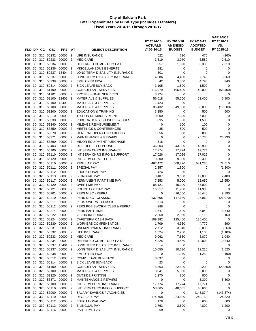| FND DP         |          | <b>CC</b>  | <b>OBJ</b>             | <b>PRJ</b>         | AT                               | <b>OBJECT DESCRIPTION</b>                               | FY 2014-15<br><b>ACTUALS</b><br>@ 06-30-15 | FY 2015-16<br><b>AMENDED</b><br><b>BUDGET</b> | FY 2016-17<br><b>ADOPTED</b><br><b>BUDGET</b> | <b>VARIANCE</b><br>FY 2016-17<br>VS.<br>FY 2015-16 |
|----------------|----------|------------|------------------------|--------------------|----------------------------------|---------------------------------------------------------|--------------------------------------------|-----------------------------------------------|-----------------------------------------------|----------------------------------------------------|
|                |          |            |                        |                    |                                  |                                                         |                                            |                                               |                                               |                                                    |
| 100            | 30       |            | 310 50232              | 00000              | $\overline{2}$                   | LIFE INSURANCE                                          | 522                                        | 730                                           | 470                                           | (260)                                              |
| 100            | 30       | 310        | 50233                  | 00000<br>00000     | $\overline{2}$                   | <b>MEDICARE</b><br>DEFERRED COMP - CITY PAID            | 3,619                                      | 3,970                                         | 6,580                                         | 2,610                                              |
| 100            | 30       | 310        | 50234<br>50236         | 00000              | $\overline{2}$<br>$\overline{2}$ | MISCELLANEOUS BENEFITS                                  | 957<br>981                                 | 1,020                                         | 3,330                                         | 2,310                                              |
| 100<br>100     | 30<br>30 | 310<br>310 | 50237                  | 13404              | $\overline{2}$                   | LONG TERM DISABILITY INSURANCE                          | 301                                        | 0<br>0                                        | 0<br>0                                        | 0<br>0                                             |
| 100            | 30       | 310        | 50237                  | 00000              | $\overline{2}$                   | LONG TERM DISABILITY INSURANCE                          | 4,686                                      | 4,480                                         | 7,740                                         | 3,260                                              |
| 100            | 30       | 310        | 50238                  | 00000              | $\overline{2}$                   | <b>EMPLOYER FICA</b>                                    | 42                                         | 3,850                                         | 4,790                                         | 940                                                |
| 100            | 30       | 310        | 50314                  | 00000              | $\overline{2}$                   | <b>SICK LEAVE BUY-BACK</b>                              | 3,105                                      | 1,500                                         | 1,500                                         | 0                                                  |
| 100            | 30       | 310        | 51100                  | 00000              | $\overline{2}$                   | <b>CONSULTANT SERVICES</b>                              | 116,979                                    | 196,400                                       | 140,000                                       | (56, 400)                                          |
| 100            | 30       | 310        | 51101                  | 00000              | $\overline{2}$                   | PROFESSIONAL SERVICES                                   | 3,924                                      | 0                                             | 0                                             | 0                                                  |
| 100            | 30       |            | 310 53100              | 13402 2            |                                  | <b>MATERIALS &amp; SUPPLIES</b>                         | 56,018                                     | 55,500                                        | 62,400                                        | 6,900                                              |
| 100            | 30       | 310        | 53100                  | 13403              | $\overline{2}$                   | <b>MATERIALS &amp; SUPPLIES</b>                         | 1,423                                      | 0                                             | 0                                             | 0                                                  |
| 100            | 30       | 310        | 53100                  | 00000              | $\overline{2}$                   | <b>MATERIALS &amp; SUPPLIES</b>                         | 36,432                                     | 49,500                                        | 30,000                                        | (19,500)                                           |
| 100            | 30       | 310        | 53200                  | 00000              | $\overline{2}$                   | <b>EDUCATION &amp; TRAINING</b>                         | 3,350                                      | 0                                             | 500                                           | 500                                                |
| 100            | 30       | 310        | 53210                  | 00000              | $\overline{2}$                   | <b>TUITION REIMBURSEMENT</b>                            | 9,000                                      | 7,000                                         | 7,000                                         | 0                                                  |
| 100            | 30       | 310        | 53330                  | 00000              | $\overline{2}$                   | PUBLICATIONS, SUBSCRIP & DUES                           | 895                                        | 1,580                                         | 1,580                                         | 0                                                  |
| 100            | 30       | 310        | 53340                  | 00000              | $\overline{2}$                   | MILEAGE REIMBURSEMENT                                   | 0                                          | 100                                           | 100                                           | 0                                                  |
| 100            | 30       |            | 310 53350              | 00000              | $\overline{2}$                   | <b>MEETINGS &amp; CONFERENCES</b>                       | 35                                         | 500                                           | 500                                           | 0                                                  |
| 100            | 30       |            | 310 53370              | 00000              | $\overline{2}$                   | <b>GENERAL OPERATING EXPENSE</b>                        | 1,856                                      | 800                                           | 800                                           | $\Omega$                                           |
| 100            | 30       | 310        | 53371                  | 00000              | $\overline{2}$                   | <b>MAINTENANCE &amp; REPAIRS</b>                        | 0                                          | 0                                             | 25,730                                        | 25,730                                             |
| 100            | 30       | 310        | 53390                  | 00000              | $\overline{2}$                   | MINOR EQUIPMENT PURCHASE                                | 516                                        | $\mathbf 0$                                   | 0                                             | 0                                                  |
| 100            | 30       | 310        | 53403                  | 00000              | $\overline{2}$                   | UTILITIES - TELEPHONE<br><b>INT SERV CHRG INSURANCE</b> | 46.003                                     | 43,900                                        | 43,900                                        | 0                                                  |
| 100            | 30<br>30 | 310<br>310 | 56100<br>56110         | 00000<br>00000     | $\overline{2}$<br>$\overline{2}$ | INT SERV CHRG INFO & SUPPORT                            | 17,774<br>17,026                           | 17,774<br>17,026                              | 17,774<br>17,026                              | 0<br>$\mathbf 0$                                   |
| 100<br>100     | 30       | 310        | 56120                  | 00000              | $\overline{2}$                   | INT SERV CHRG - FLEET                                   | 9,300                                      | 9,300                                         | 9,300                                         | $\mathbf 0$                                        |
| 100            | 30       | 320        | 50110                  | 00000              | $\overline{2}$                   | <b>REGULAR PAY</b>                                      | 467,472                                    | 508,720                                       | 581,230                                       | 72,510                                             |
| 100            | 30       | 320        | 50111                  | 00000              | $\overline{2}$                   | SPECIAL PAY                                             | 2,357                                      | 1,800                                         | 0                                             | (1,800)                                            |
| 100            | 30       | 320        | 50112                  | 00000              | $\overline{2}$                   | EDUCATIONAL PAY                                         | 424                                        | 0                                             | 0                                             | 0                                                  |
| 100            | 30       | 320        | 50113                  | 00000              | $\overline{2}$                   | <b>BILINGUAL PAY</b>                                    | 8,487                                      | 9,600                                         | 12,000                                        | 2,400                                              |
| 100            | 30       | 320        | 50117                  | 00000              | $\overline{2}$                   | PERMANENT PART TIME PAY                                 | 7,253                                      | 5,000                                         | 18,650                                        | 13,650                                             |
| 100            | 30       | 320        | 50120                  | 00000              | $\overline{2}$                   | <b>OVERTIME PAY</b>                                     | 88,121                                     | 45,000                                        | 45,000                                        | 0                                                  |
| 100            | 30       | 320        | 50121                  | 00000              | $\overline{2}$                   | POLICE HOLIDAY PAY                                      | 16,217                                     | 11,900                                        | 11,900                                        | $\mathbf 0$                                        |
| 100            | 30       | 320        | 50201                  | 00000              | $\overline{2}$                   | PERS MISC - PEPRA                                       | 0                                          | 26,550                                        | 36,440                                        | 9,890                                              |
| 100            | 30       | 320        | 50210                  | 00000              | $\overline{2}$                   | PERS MISC - CLASSIC                                     | 137,305                                    | 147,130                                       | 126,060                                       | (21,070)                                           |
| 100            | 30       | 320        | 50211                  | 00000              | $\overline{2}$                   | PERS SWORN - CLASSIC                                    | 613                                        | 0                                             | 0                                             | 0                                                  |
| 100            | 30       | 320        | 50212                  | 00000              | $\overline{2}$                   | PERS POB SWORN (CLSS & PEPRA)                           | 288                                        | 0                                             | 0                                             | 0                                                  |
| 100            | 30       | 320        | 50214                  | 00000              | $\overline{2}$                   | PERS PART TIME                                          | 1,647                                      | 1,500                                         | 5,040                                         | 3,540                                              |
| 100            | 30       | 320        | 50222                  | 00000              | $\overline{2}$                   | <b>VISION INSURANCE</b>                                 | 2,560                                      | 2,950                                         | 3,110                                         | 160                                                |
| 100            | 30       | 320        | 50224                  | 00000              | $\overline{2}$                   | CAFETERIA CASH BACK                                     | 109,182                                    | 125,400                                       | 125,400                                       | 0                                                  |
| $100\,$<br>100 | 30<br>30 | 320        | 50230<br>320 50231     | 00000 2<br>00000 2 |                                  | WORKERS COMPENSATION<br>UNEMPLOYMENT INSURANCE          | 1,709<br>2,712                             | 4,380<br>3,340                                | 4,770<br>3,080                                | 390<br>(260)                                       |
| 100            | 30       |            | 320 50232              | 00000 2            |                                  | LIFE INSURANCE                                          | 1,524                                      | 2,280                                         | 1,100                                         | (1, 180)                                           |
| 100            | 30       |            | 320 50233              | 00000 2            |                                  | <b>MEDICARE</b>                                         | 9,062                                      | 7,830                                         | 8,870                                         | 1,040                                              |
| 100            | 30       |            | 320 50234              | 00000 2            |                                  | DEFERRED COMP - CITY PAID                               | 4,225                                      | 4,460                                         | 14,800                                        | 10,340                                             |
| 100            | 30       |            | 320 50237              | 13404 2            |                                  | LONG TERM DISABILITY INSURANCE                          | 4                                          | 0                                             | 0                                             | 0                                                  |
| 100            | 30       | 320        | 50237                  | 00000 2            |                                  | LONG TERM DISABILITY INSURANCE                          | 10,050                                     | 10,690                                        | 12,210                                        | 1,520                                              |
| 100            | 30       |            | 320 50238              | 00000 2            |                                  | <b>EMPLOYER FICA</b>                                    | 0                                          | 1,340                                         | 1,250                                         | (90)                                               |
| 100            | 30       |            | 320 50312              | 00000 2            |                                  | COMP LEAVE BUY-BACK                                     | 3,837                                      | 0                                             | 0                                             | 0                                                  |
| 100            | 30       |            | 320 50314              | 00000              | $\overline{\mathbf{2}}$          | SICK LEAVE BUY-BACK                                     | 23                                         | $\mathbf 0$                                   | 0                                             | 0                                                  |
| 100            | 30       |            | 320 51100              | 00000 2            |                                  | <b>CONSULTANT SERVICES</b>                              | 5,563                                      | 22,500                                        | 2,200                                         | (20, 300)                                          |
| 100            | 30       |            | 320 53100              | 00000 2            |                                  | <b>MATERIALS &amp; SUPPLIES</b>                         | 3,041                                      | 5,000                                         | 5,000                                         | 0                                                  |
| 100            | 30       |            | 320 53320              | 00000 2            |                                  | <b>OUTSIDE PRINTING</b>                                 | 1,270                                      | 800                                           | 800                                           | 0                                                  |
| 100            | 30       |            | 320 53371              | 00000 2            |                                  | <b>MAINTENANCE &amp; REPAIRS</b>                        | 0                                          | 0                                             | 5,300                                         | 5,300                                              |
| 100            | 30       |            | 320 56100              | 00000 2            |                                  | INT SERV CHRG INSURANCE                                 | 17,774                                     | 17,774                                        | 17,774                                        | 0                                                  |
| 100            | 30       |            | 320 56110              | 00000 2            |                                  | INT SERV CHRG INFO & SUPPORT                            | 58,665                                     | 48,665                                        | 48,665                                        | 0                                                  |
| 100            | 30       |            | 320 57900              | 00000              | $\overline{\phantom{0}}^2$       | SALARY SAVINGS / VACANCIES                              | 0                                          | 0                                             | (143, 874)                                    | (143, 874)                                         |
| 100            | 30<br>30 |            | 330 50110<br>330 50112 | 00000 2<br>00000 2 |                                  | REGULAR PAY<br>EDUCATIONAL PAY                          | 174,758                                    | 224,830<br>0                                  | 249,150<br>600                                | 24,320<br>600                                      |
| 100<br>100     | 30       |            | 330 50113              | 00000 2            |                                  | <b>BILINGUAL PAY</b>                                    | 178<br>2,763                               | 3,600                                         | 4,800                                         | 1,200                                              |
| 100            | 30       |            | 330 50116              | 00000 2            |                                  | PART TIME PAY                                           | 269                                        | 0                                             | 0                                             | 0                                                  |
|                |          |            |                        |                    |                                  |                                                         |                                            |                                               |                                               |                                                    |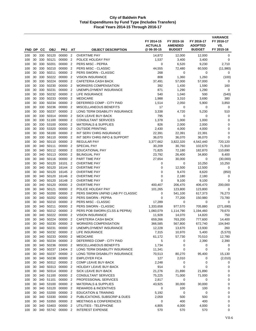| FND DP     |          | CC         | <b>OBJ</b>             | <b>PRJ</b>       | AT                               | <b>OBJECT DESCRIPTION</b>                     | FY 2014-15<br><b>ACTUALS</b><br>@ 06-30-15 | FY 2015-16<br><b>AMENDED</b><br><b>BUDGET</b> | FY 2016-17<br><b>ADOPTED</b><br><b>BUDGET</b> | <b>VARIANCE</b><br>FY 2016-17<br>VS.<br>FY 2015-16 |
|------------|----------|------------|------------------------|------------------|----------------------------------|-----------------------------------------------|--------------------------------------------|-----------------------------------------------|-----------------------------------------------|----------------------------------------------------|
|            |          |            |                        |                  |                                  |                                               |                                            |                                               |                                               |                                                    |
| 100        | 30       |            | 330 50120              | 00000            | $\overline{2}$                   | <b>OVERTIME PAY</b>                           | 14,872                                     | 12,000                                        | 12,000                                        | 0                                                  |
| 100        | 30       | 330        | 50121<br>50201         | 00000<br>00000   | $\overline{2}$<br>$\overline{2}$ | POLICE HOLIDAY PAY                            | 1,537                                      | 3,400                                         | 3,400                                         | $\mathbf 0$                                        |
| 100        | 30       | 330        |                        | 00000            |                                  | PERS MISC - PEPRA                             | 0                                          | 6,520                                         | 9,230                                         | 2,710                                              |
| 100<br>100 | 30<br>30 | 330<br>330 | 50210<br>50211         | 00000            | $\overline{2}$<br>$\overline{2}$ | PERS MISC - CLASSIC<br>PERS SWORN - CLASSIC   | 44,555<br>268                              | 72,480<br>0                                   | 60,500<br>0                                   | (11,980)<br>0                                      |
| 100        | 30       | 330        | 50222                  | 00000            | $\overline{2}$                   | <b>VISION INSURANCE</b>                       | 808                                        | 1,360                                         | 1,260                                         | (100)                                              |
| 100        | 30       | 330        | 50224                  | 00000            | $\overline{2}$                   | CAFETERIA CASH BACK                           | 37,491                                     | 57,000                                        | 57,000                                        | 0                                                  |
| 100        | 30       | 330        | 50230                  | 00000            | $\overline{2}$                   | <b>WORKERS COMPENSATION</b>                   | 392                                        | 1,430                                         | 1,590                                         | 160                                                |
| 100        | 30       | 330        | 50231                  | 00000            | $\overline{2}$                   | UNEMPLOYMENT INSURANCE                        | 871                                        | 1,290                                         | 1,290                                         | 0                                                  |
| 100        | 30       | 330        | 50232                  | 00000            | $\overline{2}$                   | LIFE INSURANCE                                | 540                                        | 1,040                                         | 500                                           | (540)                                              |
| 100        | 30       | 330        | 50233                  | 00000            | $\overline{2}$                   | <b>MEDICARE</b>                               | 1,988                                      | 3,310                                         | 3,690                                         | 380                                                |
| 100        | 30       | 330        | 50234                  | 00000            | $\overline{2}$                   | DEFERRED COMP - CITY PAID                     | 1,514                                      | 2,050                                         | 5,900                                         | 3,850                                              |
| 100        | 30       | 330        | 50236                  | 00000            | $\overline{2}$                   | MISCELLANEOUS BENEFITS                        | 17                                         | 0                                             | 0                                             | 0                                                  |
| 100        | 30       | 330        | 50237                  | 00000            | $\overline{2}$                   | LONG TERM DISABILITY INSURANCE                | 3,338                                      | 4,720                                         | 5,230                                         | 510                                                |
| 100        | 30       | 330        | 50314                  | 00000            | $\overline{2}$                   | SICK LEAVE BUY-BACK                           | 795                                        | 0                                             | 0                                             | 0                                                  |
| 100        | 30       | 330        | 51100                  | 00000            | $\overline{2}$                   | <b>CONSULTANT SERVICES</b>                    | 1,378                                      | 1,000                                         | 1,000                                         | 0                                                  |
| 100        | 30       | 330        | 53100                  | 00000            | $\overline{2}$                   | <b>MATERIALS &amp; SUPPLIES</b>               | 826                                        | 2,000                                         | 2,000                                         | 0                                                  |
| 100        | 30       | 330        | 53320                  | 00000            | $\overline{2}$                   | <b>OUTSIDE PRINTING</b>                       | 2,430                                      | 4,000                                         | 4,000                                         | 0                                                  |
| 100        | 30       |            | 330 56100              | 00000            | $\overline{2}$                   | INT SERV CHRG INSURANCE                       | 22,391                                     | 22,391                                        | 22,391                                        | 0                                                  |
| 100        | 30       | 330        | 56110                  | 00000            | $\overline{2}$                   | INT SERV CHRG INFO & SUPPORT                  | 36,070                                     | 36,070                                        | 36,070                                        | $\mathbf 0$                                        |
| 100        | 30       | 340        | 50110                  | 00000            | $\overline{2}$                   | <b>REGULAR PAY</b>                            | 3,377,662                                  | 3,822,320                                     | 4,542,440                                     | 720,120                                            |
| 100        | 30       | 340        | 50111                  | 00000            | $\overline{2}$                   | SPECIAL PAY                                   | 30,209                                     | 30,760                                        | 102,670                                       | 71,910                                             |
| 100        | 30       | 340        | 50112                  | 00000            | $\overline{2}$                   | <b>EDUCATIONAL PAY</b>                        | 71,825                                     | 72,180                                        | 182,870                                       | 110,690                                            |
| 100        | 30       | 340        | 50113                  | 00000            | $\overline{2}$                   | <b>BILINGUAL PAY</b>                          | 23,792                                     | 26,400                                        | 34,800                                        | 8,400                                              |
| 100        | 30       | 340        | 50116                  | 00000            | $\overline{2}$                   | PART TIME PAY                                 | 27,654                                     | 30,000                                        | 0                                             | (30,000)                                           |
| 100        | 30       | 340        | 50120                  | 16101            | $\overline{2}$                   | <b>OVERTIME PAY</b>                           | 0                                          | 0                                             | 10,250                                        | 10,250                                             |
| 100        | 30       | 340        | 50120                  | 16144            | $\overline{2}$                   | <b>OVERTIME PAY</b>                           | 0                                          | 12,500                                        | 12,500                                        | 0                                                  |
| 100<br>100 | 30<br>30 | 340<br>340 | 50120<br>50120         | 16145<br>16146   | $\overline{2}$<br>$\overline{2}$ | <b>OVERTIME PAY</b><br><b>OVERTIME PAY</b>    | 0<br>0                                     | 9,470<br>2,180                                | 8,620<br>2,180                                | (850)<br>0                                         |
| 100        | 30       | 340        | 50120                  | 16148            | $\overline{2}$                   | <b>OVERTIME PAY</b>                           | $\mathbf 0$                                | 9,100                                         | 9,100                                         | 0                                                  |
| 100        | 30       | 340        | 50120                  | 00000            | $\overline{2}$                   | <b>OVERTIME PAY</b>                           | 400,407                                    | 206,470                                       | 406,470                                       | 200,000                                            |
| 100        | 30       | 340        | 50121                  | 00000            | $\overline{2}$                   | POLICE HOLIDAY PAY                            | 101,265                                    | 123,800                                       | 123,800                                       | 0                                                  |
| 100        | 30       | 340        | 50200                  | 00000            | $\overline{2}$                   | PERS SWORN UNFND LIAB PY CLASSIC              | 0                                          | 541,100                                       | 617,373                                       | 76,273                                             |
| 100        | 30       |            | 340 50202              | 00000            | $\overline{2}$                   | PERS SWORN - PEPRA                            | 0                                          | 77,200                                        | 150,980                                       | 73,780                                             |
| 100        | 30       | 340        | 50210                  | 00000            | $\overline{2}$                   | PERS MISC - CLASSIC                           | 17,289                                     | 0                                             | 0                                             | 0                                                  |
| 100        | 30       | 340        | 50211                  | 00000            | $\overline{2}$                   | PERS SWORN - CLASSIC                          | 1,333,658                                  | 977,570                                       | 705,880                                       | (271, 690)                                         |
| 100        | 30       | 340        | 50212                  | 00000            | $\overline{2}$                   | PERS POB SWORN (CLSS & PEPRA)                 | 1,060,079                                  | 1,114,790                                     | 1,194,460                                     | 79,670                                             |
| 100        | 30       | 340        | 50222                  | 00000            | $\overline{2}$                   | <b>VISION INSURANCE</b>                       | 11,928                                     | 14,070                                        | 14,820                                        | 750                                                |
| 100        | 30       | 340        | 50224                  | 00000            | $\overline{2}$                   | <b>CAFETERIA CASH BACK</b>                    | 659,266                                    | 763,200                                       | 777,600                                       | 14,400                                             |
| 100        | 30       | 340        | 50230                  | 00000            | $\overline{2}$                   | <b>WORKERS COMPENSATION</b>                   | 366,585                                    | 567,800                                       | 672,740                                       | 104,940                                            |
| 100        | 30       | 340        | 50231                  | 00000            | $\overline{2}$                   | UNEMPLOYMENT INSURANCE                        | 12,228                                     | 13,670                                        | 13,930                                        | 260                                                |
| 100        | 30       |            | 340 50232              | 00000            | $\overline{2}$                   | LIFE INSURANCE                                | 7,315                                      | 10,970                                        | 5,400                                         | (5,570)                                            |
| 100        | 30       |            | 340 50233              | 00000 2          |                                  | <b>MEDICARE</b>                               | 61,172                                     | 57,730                                        | 70,510                                        | 12,780                                             |
| 100        | 30       |            | 340 50234              | 00000 2          |                                  | DEFERRED COMP - CITY PAID                     | 5                                          | 0                                             | 2,390                                         | 2,390                                              |
| 100        | 30       |            | 340 50236              | 00000 2          |                                  | MISCELLANEOUS BENEFITS                        | 1,734                                      | 0                                             | 0                                             | 0                                                  |
| 100        | 30       | 340        | 50237                  | 13404 2          |                                  | LONG TERM DISABILITY INSURANCE                | 11,341                                     | 0                                             | 0                                             | 0                                                  |
| 100        | 30       |            | 340 50237              | 00000 2          |                                  | LONG TERM DISABILITY INSURANCE                | 70,513                                     | 80,270                                        | 95,400                                        | 15,130                                             |
| 100        | 30       |            | 340 50238              | 00000            | $\overline{2}$                   | <b>EMPLOYER FICA</b>                          | 127                                        | 2,010                                         | 0                                             | (2,010)                                            |
| 100<br>100 | 30<br>30 |            | 340 50312<br>340 50313 | 00000<br>00000 2 | $\overline{2}$                   | COMP LEAVE BUY-BACK<br>HOLIDAY LEAVE BUY-BACK | 2,248<br>914                               | 0<br>0                                        | 0<br>0                                        | 0<br>0                                             |
| 100        | 30       |            | 340 50314              | 00000 2          |                                  | SICK LEAVE BUY-BACK                           | 21,276                                     | 21,890                                        | 21,890                                        | 0                                                  |
| 100        | 30       |            | 340 51100              | 00000            | $\overline{2}$                   | CONSULTANT SERVICES                           | 75,225                                     | 71,000                                        | 71,000                                        | 0                                                  |
| 100        | 30       |            | 340 51101              | 00000 2          |                                  | PROFESSIONAL SERVICES                         | 2,817                                      | 0                                             | $\mathbf 0$                                   | 0                                                  |
| 100        | 30       |            | 340 53100              | 00000 2          |                                  | <b>MATERIALS &amp; SUPPLIES</b>               | 43,925                                     | 30,000                                        | 30,000                                        | 0                                                  |
| 100        | 30       |            | 340 53120              | 00000            | $\overline{2}$                   | <b>REWARDS &amp; INCENTIVES</b>               | 0                                          | 100                                           | 100                                           | 0                                                  |
| 100        | 30       |            | 340 53200              | 00000            | $\overline{2}$                   | <b>EDUCATION &amp; TRAINING</b>               | 5,192                                      | 0                                             | 0                                             | 0                                                  |
| 100        | 30       |            | 340 53330              | 00000 2          |                                  | PUBLICATIONS, SUBSCRIP & DUES                 | 2,059                                      | 500                                           | 500                                           | 0                                                  |
| 100        | 30       |            | 340 53350              | 00000            | - 2                              | <b>MEETINGS &amp; CONFERENCES</b>             | 0                                          | 400                                           | 400                                           | 0                                                  |
| 100        | 30       |            | 340 53403              | 00000            | $\overline{2}$                   | UTILITIES - TELEPHONE                         | 4,805                                      | 4,000                                         | 4,000                                         | 0                                                  |
| 100        | 30       |            | 340 55742              | 00000 2          |                                  | <b>INTEREST EXPENSE</b>                       | 570                                        | 570                                           | 570                                           | 0                                                  |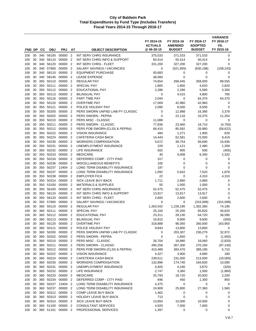|            |          |            |                        |                 |                                  |                                                           | FY 2014-15<br><b>ACTUALS</b> | FY 2015-16<br><b>AMENDED</b> | FY 2016-17<br><b>ADOPTED</b> | <b>VARIANCE</b><br>FY 2016-17<br>VS. |
|------------|----------|------------|------------------------|-----------------|----------------------------------|-----------------------------------------------------------|------------------------------|------------------------------|------------------------------|--------------------------------------|
| FND DP     |          | CС         | <b>OBJ</b>             | <b>PRJ</b>      | AT                               | <b>OBJECT DESCRIPTION</b>                                 | @ 06-30-15                   | <b>BUDGET</b>                | <b>BUDGET</b>                | FY 2015-16                           |
| 100        | 30       | 340        | 56100                  | 00000           | $\overline{2}$                   | INT SERV CHRG INSURANCE                                   | 375,533                      | 371,533                      | 371,533                      | 0                                    |
| 100        | 30       | 340        | 56110                  | 00000           | $\overline{2}$                   | INT SERV CHRG INFO & SUPPORT                              | 60,414                       | 50,414                       | 50,414                       | 0                                    |
| 100        | 30       | 340        | 56120                  | 00000           | $\overline{2}$                   | INT SERV CHRG - FLEET                                     | 331,200                      | 327,200                      | 327,200                      | 0                                    |
| 100        | 30       | 340        | 57900                  | 00000           | $\overline{2}$                   | SALARY SAVINGS / VACANCIES                                | 0                            | (521, 955)                   | (630, 198)                   | (108, 243)                           |
| 100        | 30       |            | 340 58110              | 00000<br>00000  | $\overline{2}$                   | <b>EQUIPMENT PURCHASE</b>                                 | 93,683                       | 0                            | 0                            | 0                                    |
| 100<br>100 | 30<br>30 | 350        | 340 58140<br>50110     | 00000           | $\overline{2}$<br>2              | <b>LEASE EXPENSE</b><br><b>REGULAR PAY</b>                | 48,560<br>74,654             | 0<br>268,445                 | 0<br>358,000                 | 0<br>89,555                          |
| 100        | 30       |            | 350 50111              | 00000           | $\overline{2}$                   | <b>SPECIAL PAY</b>                                        | 1,805                        | 1,800                        | 4,620                        | 2,820                                |
| 100        | 30       | 350        | 50112                  | 00000           | $\overline{2}$                   | EDUCATIONAL PAY                                           | 2,286                        | 2,280                        | 5,580                        | 3,300                                |
| 100        | 30       | 350        | 50113                  | 00000           | $\overline{2}$                   | <b>BILINGUAL PAY</b>                                      | 0                            | 4,015                        | 4,800                        | 785                                  |
| 100        | 30       | 350        | 50116                  | 00000           | $\overline{2}$                   | PART TIME PAY                                             | 2,044                        | 0                            | 64,370                       | 64,370                               |
| 100        | 30       |            | 350 50120              | 00000           | $\overline{2}$                   | <b>OVERTIME PAY</b>                                       | 17,009                       | 42,960                       | 42,960                       | 0                                    |
| 100        | 30       | 350        | 50121                  | 00000           | $\overline{2}$                   | POLICE HOLIDAY PAY                                        | 2,095                        | 8,500                        | 8,500                        | 0                                    |
| 100        | 30       | 350        | 50200                  | 00000           | $\overline{2}$                   | PERS SWORN UNFND LIAB PY CLASSIC                          | 0                            | 12,988                       | 16,366                       | 3,378                                |
| 100        | 30       | 350        | 50202                  | 00000           | $\overline{2}$                   | PERS SWORN - PEPRA                                        | $\mathbf 0$                  | 22,116                       | 33,370                       | 11,254                               |
| 100        | 30       | 350        | 50210                  | 00000           | 2                                | PERS MISC - CLASSIC                                       | 11,088                       | 0                            | 0                            | 0                                    |
| 100        | 30       | 350        | 50211                  | 00000           | $\overline{2}$                   | PERS SWORN - CLASSIC                                      | 77,836                       | 23,460                       | 18,710                       | (4,750)                              |
| 100        | 30       | 350        | 50212                  | 00000           | $\overline{2}$                   | PERS POB SWORN (CLSS & PEPRA)                             | 68,415                       | 85,582                       | 26,960                       | (58, 622)                            |
| 100        | 30       | 350        | 50222<br>50224         | 00000<br>00000  | $\overline{2}$                   | <b>VISION INSURANCE</b>                                   | 484                          | 1,271                        | 1,900                        | 629                                  |
| 100<br>100 | 30<br>30 | 350<br>350 | 50230                  | 00000           | $\overline{2}$<br>$\overline{2}$ | <b>CAFETERIA CASH BACK</b><br><b>WORKERS COMPENSATION</b> | 14,443<br>5,672              | 62,581<br>39,754             | 72,000<br>56,690             | 9,419<br>16,936                      |
| 100        | 30       | 350        | 50231                  | 00000           | $\overline{2}$                   | UNEMPLOYMENT INSURANCE                                    | 229                          | 1,121                        | 2,480                        | 1,359                                |
| 100        | 30       | 350        | 50232                  | 00000           | $\overline{2}$                   | LIFE INSURANCE                                            | 502                          | 905                          | 500                          | (405)                                |
| 100        | 30       | 350        | 50233                  | 00000           | $\overline{2}$                   | <b>MEDICARE</b>                                           | 30                           | 4,008                        | 6,340                        | 2,332                                |
| 100        | 30       | 350        | 50234                  | 00000           | $\overline{2}$                   | DEFERRED COMP - CITY PAID                                 | 317                          | 0                            | 0                            | 0                                    |
| 100        | 30       | 350        | 50236                  | 00000           | $\overline{2}$                   | <b>MISCELLANEOUS BENEFITS</b>                             | 105                          | $\mathbf 0$                  | 0                            | 0                                    |
| 100        | 30       | 350        | 50237                  | 13404           | $\overline{2}$                   | LONG TERM DISABILITY INSURANCE                            | 197                          | 0                            | 0                            | 0                                    |
| 100        | 30       | 350        | 50237                  | 00000           | $\overline{2}$                   | LONG TERM DISABILITY INSURANCE                            | 1,092                        | 5,642                        | 7,520                        | 1,878                                |
| 100        | 30       | 350        | 50238                  | 00000           | $\overline{2}$                   | <b>EMPLOYER FICA</b>                                      | 22                           | 0                            | 4,310                        | 4,310                                |
| 100        | 30       | 350        | 50314                  | 00000           | $\overline{2}$                   | SICK LEAVE BUY-BACK                                       | 1,711                        | 2,860                        | 2,860                        | 0                                    |
| 100        | 30       | 350        | 53100                  | 00000           | $\overline{2}$                   | <b>MATERIALS &amp; SUPPLIES</b>                           | 55                           | 1,000                        | 1,000                        | 0                                    |
| 100        | 30       | 350        | 56100                  | 00000           | $\overline{2}$                   | INT SERV CHRG INSURANCE                                   | 52,475                       | 52,475                       | 52,475                       | 0                                    |
| 100        | 30       |            | 350 56110              | 00000           | $\overline{2}$                   | INT SERV CHRG INFO & SUPPORT                              | 13,917                       | 13,917                       | 13,917                       | 0                                    |
| 100        | 30<br>30 | 350<br>350 | 56120<br>57900         | 00000<br>00000  | $\overline{2}$<br>$\overline{2}$ | INT SERV CHRG - FLEET                                     | 2,600<br>0                   | 2,600<br>0                   | 2,600                        | 0                                    |
| 100<br>100 | 30       | 360        | 50110                  | 00000           | $\overline{2}$                   | SALARY SAVINGS / VACANCIES<br><b>REGULAR PAY</b>          | 1,263,042                    | 1,228,190                    | (315,099)<br>1,302,380       | (315,099)<br>74,190                  |
| 100        | 30       | 360        | 50111                  | 00000           | $\overline{2}$                   | SPECIAL PAY                                               | 25,150                       | 25,200                       | 65,820                       | 40,620                               |
| 100        | 30       | 360        | 50112                  | 00000           | $\overline{2}$                   | <b>EDUCATIONAL PAY</b>                                    | 23,311                       | 28,130                       | 64,720                       | 36,590                               |
| 100        | 30       | 360        | 50113                  | 00000           | $\overline{2}$                   | <b>BILINGUAL PAY</b>                                      | 10,815                       | 9,900                        | 9,600                        | (300)                                |
| 100        | 30       |            | 360 50120              | 00000           | $\overline{\mathbf{2}}$          | <b>OVERTIME PAY</b>                                       | 318,888                      | 96,050                       | 260,000                      | 163,950                              |
| 100        | 30       |            | 360 50121              | 00000           | $\overline{2}$                   | POLICE HOLIDAY PAY                                        | 9,843                        | 13,800                       | 13,800                       | 0                                    |
| 100        | 30       |            | 360 50200              | 00000           | $\overline{2}$                   | PERS SWORN UNFND LIAB PY CLASSIC                          | 0                            | 203,307                      | 236,279                      | 32,972                               |
| 100        | 30       | 360        | 50202                  | 00000           | $\overline{2}$                   | PERS SWORN - PEPRA                                        | 0                            | 1,650                        | 0                            | (1,650)                              |
| 100        | 30       |            | 360 50210              | 00000           | $\overline{2}$                   | PERS MISC - CLASSIC                                       | 26,704                       | 18,880                       | 16,060                       | (2,820)                              |
| 100        | 30       |            | 360 50211              | 00000           | $\overline{2}$                   | PERS SWORN - CLASSIC                                      | 495,258                      | 367,300                      | 270,160                      | (97, 140)                            |
| 100        | 30       |            | 360 50212              | 00000           | $\overline{2}$                   | PERS POB SWORN (CLSS & PEPRA)                             | 410,489                      | 383,470                      | 389,180                      | 5,710                                |
| 100        | 30       |            | 360 50222              | 00000 2         |                                  | <b>VISION INSURANCE</b>                                   | 4,327                        | 3,900                        | 4,080                        | 180                                  |
| 100        | 30<br>30 |            | 360 50224<br>360 50230 | 00000<br>00000  | $\overline{2}$<br>2              | CAFETERIA CASH BACK<br><b>WORKERS COMPENSATION</b>        | 239,511                      | 231,000<br>174,740           | 213,000                      | (18,000)<br>10,090                   |
| 100<br>100 | 30       | 360        | 50231                  | 00000           | $\overline{2}$                   | UNEMPLOYMENT INSURANCE                                    | 132,896<br>4,405             | 4,190                        | 184,830<br>3,870             | (320)                                |
| 100        | 30       |            | 360 50232              | 00000 2         |                                  | LIFE INSURANCE                                            | 2,747                        | 3,360                        | 1,500                        | (1,860)                              |
| 100        | 30       | 360        | 50233                  | 00000           | $\overline{2}$                   | <b>MEDICARE</b>                                           | 25,793                       | 18,720                       | 20,920                       | 2,200                                |
| 100        | 30       |            | 360 50234              | 00000           | $\overline{2}$                   | DEFERRED COMP - CITY PAID                                 | 846                          | 450                          | 1,300                        | 850                                  |
| 100        | 30       | 360        | 50237                  | 13404 2         |                                  | LONG TERM DISABILITY INSURANCE                            | 4,375                        | 0                            | 0                            | 0                                    |
| 100        | 30       |            | 360 50237              | 00000           | $\overline{2}$                   | LONG TERM DISABILITY INSURANCE                            | 24,909                       | 25,800                       | 27,360                       | 1,560                                |
| 100        | 30       |            |                        | 360 50312 00000 | $\overline{2}$                   | COMP LEAVE BUY-BACK                                       | 1,462                        | 0                            | 0                            | 0                                    |
| 100        | 30       |            | 360 50313              | 00000           | $\overline{2}$                   | HOLIDAY LEAVE BUY-BACK                                    | 713                          | 0                            | 0                            | 0                                    |
| 100        | 30       |            | 360 50314              | 00000           | $\overline{2}$                   | SICK LEAVE BUY-BACK                                       | 13,850                       | 10,000                       | 10,000                       | 0                                    |
| 100        | 30       |            | 360 51100              | 00000           | $\overline{2}$                   | CONSULTANT SERVICES                                       | 4,920                        | 7,000                        | 7,000                        | 0                                    |
| 100        | 30       |            | 360 51101              | 00000 2         |                                  | PROFESSIONAL SERVICES                                     | 1,397                        | 0                            | 0                            | 0                                    |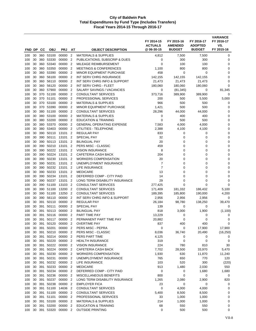| FND DP     |          | CC         | <b>OBJ</b>     | <b>PRJ</b>       | AT                               | <b>OBJECT DESCRIPTION</b>                                           | FY 2014-15<br><b>ACTUALS</b><br>@06-30-15 | FY 2015-16<br><b>AMENDED</b><br><b>BUDGET</b> | FY 2016-17<br><b>ADOPTED</b><br><b>BUDGET</b> | <b>VARIANCE</b><br>FY 2016-17<br>VS.<br>FY 2015-16 |
|------------|----------|------------|----------------|------------------|----------------------------------|---------------------------------------------------------------------|-------------------------------------------|-----------------------------------------------|-----------------------------------------------|----------------------------------------------------|
|            |          |            |                |                  |                                  |                                                                     |                                           |                                               |                                               |                                                    |
| 100        | 30       |            | 360 53100      | 00000            | $\overline{2}$                   | <b>MATERIALS &amp; SUPPLIES</b>                                     | 4,812                                     | 7,500                                         | 7,500                                         | 0                                                  |
| 100        | 30<br>30 | 360<br>360 | 53330<br>53340 | 00000<br>00000   | $\overline{2}$<br>$\overline{2}$ | PUBLICATIONS, SUBSCRIP & DUES<br>MILEAGE REIMBURSEMENT              | 0<br>$\mathbf 0$                          | 300<br>100                                    | 300<br>100                                    | 0<br>0                                             |
| 100<br>100 | 30       | 360        | 53350          | 00000            | $\overline{2}$                   | <b>MEETINGS &amp; CONFERENCES</b>                                   | 1,100                                     | 800                                           | 800                                           | 0                                                  |
| 100        | 30       | 360        | 53390          | 00000            | $\overline{2}$                   | MINOR EQUIPMENT PURCHASE                                            | 458                                       | 0                                             | $\mathbf 0$                                   | 0                                                  |
| 100        | 30       | 360        | 56100          | 00000            | $\overline{2}$                   | INT SERV CHRG INSURANCE                                             | 142,155                                   | 142,155                                       | 142,155                                       | 0                                                  |
| 100        | 30       | 360        | 56110          | 00000            | $\overline{2}$                   | INT SERV CHRG INFO & SUPPORT                                        | 21,473                                    | 21,473                                        | 21,473                                        | 0                                                  |
| 100        | 30       | 360        | 56120          | 00000            | $\overline{2}$                   | INT SERV CHRG - FLEET                                               | 180,060                                   | 180,060                                       | 180,060                                       | 0                                                  |
| 100        | 30       | 360        | 57900          | 00000            | $\overline{2}$                   | SALARY SAVINGS / VACANCIES                                          | 0                                         | (81, 345)                                     | 0                                             | 81,345                                             |
| 100        | 30       | 370        | 51100          | 00000            | $\overline{2}$                   | <b>CONSULTANT SERVICES</b>                                          | 373,716                                   | 389,900                                       | 389,900                                       | 0                                                  |
| 100        | 30       |            | 370 51101      | 00000            | $\overline{2}$                   | PROFESSIONAL SERVICES                                               | 200                                       | 500                                           | 5,500                                         | 5,000                                              |
| 100        | 30       | 370        | 53100          | 00000            | $\overline{2}$                   | <b>MATERIALS &amp; SUPPLIES</b>                                     | 966                                       | 500                                           | 500                                           | 0                                                  |
| 100        | 30       | 370        | 53390          | 00000            | $\overline{2}$                   | <b>MINOR EQUIPMENT PURCHASE</b>                                     | 1,421                                     | 500                                           | 500                                           | 0                                                  |
| 100        | 30       | 380        | 51100          | 00000            | $\overline{2}$                   | <b>CONSULTANT SERVICES</b>                                          | 28,296                                    | 44,000                                        | 44,000                                        | 0                                                  |
| 100        | 30       | 380        | 53100          | 00000            | $\overline{2}$                   | <b>MATERIALS &amp; SUPPLIES</b>                                     | 0                                         | 400                                           | 400                                           | 0                                                  |
| 100        | 30<br>30 | 380<br>380 | 53200<br>53370 | 00000<br>00000   | $\overline{2}$<br>$\overline{2}$ | <b>EDUCATION &amp; TRAINING</b><br><b>GENERAL OPERATING EXPENSE</b> | $\mathbf 0$                               | 500                                           | 500                                           | 0<br>0                                             |
| 100<br>100 | 30       | 380        | 53403          | 00000            | $\overline{2}$                   | UTILITIES - TELEPHONE                                               | 7,583<br>2,388                            | 4,000<br>4,100                                | 4,000<br>4,100                                | 0                                                  |
| 100        | 30       | 390        | 50110          | 13101            | $\overline{2}$                   | <b>REGULAR PAY</b>                                                  | 833                                       | 0                                             | 0                                             | 0                                                  |
| 100        | 30       | 390        | 50111          | 13101            | $\overline{2}$                   | <b>SPECIAL PAY</b>                                                  | 32                                        | 0                                             | 0                                             | 0                                                  |
| 100        | 30       | 390        | 50113          | 13101            | $\overline{2}$                   | <b>BILINGUAL PAY</b>                                                | 20                                        | 0                                             | 0                                             | 0                                                  |
| 100        | 30       | 390        | 50210          | 13101            | $\overline{2}$                   | <b>PERS MISC - CLASSIC</b>                                          | 459                                       | $\mathbf 0$                                   | 0                                             | $\mathbf 0$                                        |
| 100        | 30       | 390        | 50222          | 13101            | $\overline{2}$                   | <b>VISION INSURANCE</b>                                             | 8                                         | 0                                             | $\mathbf 0$                                   | 0                                                  |
| 100        | 30       | 390        | 50224          | 13101            | $\overline{2}$                   | CAFETERIA CASH BACK                                                 | 204                                       | 0                                             | 0                                             | 0                                                  |
| 100        | 30       | 390        | 50230          | 13101            | $\overline{2}$                   | <b>WORKERS COMPENSATION</b>                                         | 20                                        | 0                                             | 0                                             | 0                                                  |
| 100        | 30       | 390        | 50231          | 13101            | 2                                | UNEMPLOYMENT INSURANCE                                              | $\overline{7}$                            | 0                                             | $\mathbf 0$                                   | 0                                                  |
| 100        | 30       | 390        | 50232          | 13101            | $\overline{2}$                   | LIFE INSURANCE                                                      | $\overline{7}$                            | 0                                             | 0                                             | 0                                                  |
| 100        | 30       | 390        | 50233          | 13101            | $\overline{2}$                   | <b>MEDICARE</b>                                                     | 13                                        | 0                                             | 0                                             | 0                                                  |
| 100        | 30       | 390        | 50234          | 13101            | $\overline{2}$                   | DEFERRED COMP - CITY PAID                                           | 14                                        | $\mathbf 0$                                   | 0                                             | 0                                                  |
| 100        | 30       | 390        | 50237          | 13101            | $\overline{2}$                   | LONG TERM DISABILITY INSURANCE                                      | 29                                        | $\mathbf 0$                                   | $\mathbf 0$                                   | 0                                                  |
| 100        | 30       | 390<br>390 | 51100          | 13103            | $\overline{2}$<br>$\overline{2}$ | <b>CONSULTANT SERVICES</b>                                          | 277,425                                   | $\Omega$                                      | 0                                             | $\Omega$                                           |
| 100<br>100 | 30<br>30 | 390        | 51100<br>51100 | 13200<br>13250   | $\overline{2}$                   | <b>CONSULTANT SERVICES</b><br><b>CONSULTANT SERVICES</b>            | 171,409<br>189,395                        | 181,332<br>185,800                            | 186,432<br>190,000                            | 5,100<br>4,200                                     |
| 100        | 30       | 390        | 56110          | 00000            | $\overline{2}$                   | INT SERV CHRG INFO & SUPPORT                                        | 2,956                                     | 2,956                                         | 2,956                                         | 0                                                  |
| 100        | 30       | 391        | 50110          | 00000            | $\overline{2}$                   | <b>REGULAR PAY</b>                                                  | 26,184                                    | 98,780                                        | 138,250                                       | 39,470                                             |
| 100        | 30       | 391        | 50111          | 00000            | $\overline{2}$                   | <b>SPECIAL PAY</b>                                                  | 139                                       | 0                                             | 0                                             | 0                                                  |
| 100        | 30       | 391        | 50113          | 00000            | $\overline{2}$                   | <b>BILINGUAL PAY</b>                                                | 818                                       | 3,000                                         | 1,900                                         | (1, 100)                                           |
| 100        | 30       | 391        | 50116          | 00000            | $\overline{2}$                   | PART TIME PAY                                                       | 13,229                                    | 0                                             | 0                                             | 0                                                  |
| 100        | 30       | 391        | 50117          | 00000            | $\overline{2}$                   | PERMANENT PART TIME PAY                                             | 20,882                                    | 0                                             | 0                                             | 0                                                  |
| 100        | 30       | 391        | 50120          | 00000            | $\overline{2}$                   | <b>OVERTIME PAY</b>                                                 | 837                                       | 400                                           | 400                                           | 0                                                  |
| 100        | 30       | 391        | 50201          | 00000            | $\overline{2}$                   | PERS MISC - PEPRA                                                   | 0                                         | 0                                             | 17,900                                        | 17,900                                             |
| 100        | 30       | 391        | 50210          | 00000            | $\overline{2}$                   | PERS MISC - CLASSIC                                                 | 8,036                                     | 36,740                                        | 20,490                                        | (16, 250)                                          |
| 100        | 30       | 391        | 50214          | 00000 2          |                                  | PERS PART TIME                                                      | 4,125                                     | 0                                             | 0                                             | 0                                                  |
| 100        | 30       |            | 391 50220      | 00000            | $\overline{2}$                   | <b>HEALTH INSURANCE</b>                                             | 319                                       | 0                                             | 0                                             | 0                                                  |
| 100        | 30       | 391        | 50222          | 00000            | $\overline{2}$                   | <b>VISION INSURANCE</b>                                             | 224                                       | 780                                           | 810                                           | 30                                                 |
| 100        | 30<br>30 | 391<br>391 | 50224<br>50230 | 00000<br>00000 2 | $\overline{2}$                   | CAFETERIA CASH BACK<br><b>WORKERS COMPENSATION</b>                  | 7,702<br>1,930                            | 28,500<br>630                                 | 33,970<br>11,870                              | 5,470<br>11,240                                    |
| 100<br>100 | 30       | 391        | 50231          | 00000            | $\overline{2}$                   | UNEMPLOYMENT INSURANCE                                              | 765                                       | 650                                           | 770                                           | 120                                                |
| 100        | 30       | 391        | 50232          | 00000            | $\overline{2}$                   | <b>LIFE INSURANCE</b>                                               | 103                                       | 520                                           | 300                                           | (220)                                              |
| 100        | 30       | 391        | 50233          | 00000 2          |                                  | <b>MEDICARE</b>                                                     | 913                                       | 1,480                                         | 2,030                                         | 550                                                |
| 100        | 30       | 391        | 50234          | 00000            | $\overline{2}$                   | DEFERRED COMP - CITY PAID                                           | 0                                         | 0                                             | 1,680                                         | 1,680                                              |
| 100        | 30       | 391        | 50236          | 00000            | $\overline{2}$                   | MISCELLANEOUS BENEFITS                                              | 800                                       | 0                                             | 0                                             | 0                                                  |
| 100        | 30       | 391        | 50237          | 00000            | $\overline{2}$                   | LONG TERM DISABILITY INSURANCE                                      | 1,265                                     | 2,080                                         | 2,900                                         | 820                                                |
| 100        | 30       | 391        | 50238          | 00000            | $\overline{2}$                   | <b>EMPLOYER FICA</b>                                                | 23                                        | 0                                             | 0                                             | 0                                                  |
| 100        | 30       | 391        | 51100          | 14636            | $\overline{2}$                   | <b>CONSULTANT SERVICES</b>                                          | 0                                         | 4,000                                         | 4,000                                         | 0                                                  |
| 100        | 30       | 391        | 51100          | 00000            | $\overline{2}$                   | <b>CONSULTANT SERVICES</b>                                          | 5,400                                     | 8,500                                         | 8,500                                         | 0                                                  |
| 100        | 30       | 391        | 51101          | 00000            | $\overline{2}$                   | PROFESSIONAL SERVICES                                               | 33                                        | 1,000                                         | 1,000                                         | 0                                                  |
| 100        | 30       |            | 391 53100      | 00000            | 2                                | <b>MATERIALS &amp; SUPPLIES</b>                                     | 214                                       | 1,000                                         | 1,000                                         | 0                                                  |
| 100        | 30       | 391        | 53200          | 00000            | $\overline{2}$                   | <b>EDUCATION &amp; TRAINING</b>                                     | 68                                        | 550                                           | 550                                           | 0                                                  |
| 100        | 30       |            | 391 53320      | 00000 2          |                                  | <b>OUTSIDE PRINTING</b>                                             | 0                                         | 500                                           | 500                                           | 0                                                  |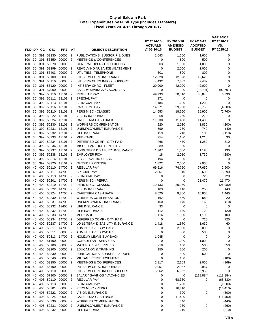| FND DP     |          | CС         | <b>OBJ</b>             | <b>PRJ</b>         | AT                                         | <b>OBJECT DESCRIPTION</b>                                          | FY 2014-15<br><b>ACTUALS</b><br>@ 06-30-15 | FY 2015-16<br><b>AMENDED</b><br><b>BUDGET</b> | FY 2016-17<br><b>ADOPTED</b><br><b>BUDGET</b> | <b>VARIANCE</b><br>FY 2016-17<br>VS.<br>FY 2015-16 |
|------------|----------|------------|------------------------|--------------------|--------------------------------------------|--------------------------------------------------------------------|--------------------------------------------|-----------------------------------------------|-----------------------------------------------|----------------------------------------------------|
|            |          |            |                        |                    |                                            |                                                                    |                                            |                                               |                                               |                                                    |
| 100        | 30       | 391        | 53330                  | 00000              | $\overline{2}$                             | PUBLICATIONS, SUBSCRIP & DUES                                      | 1,643                                      | 1,600                                         | 1,600                                         | 0                                                  |
| 100        | 30       | 391        | 53350                  | 00000              | $\overline{2}$                             | <b>MEETINGS &amp; CONFERENCES</b>                                  | 0                                          | 500                                           | 500                                           | 0                                                  |
| 100        | 30       | 391        | 53370                  | 00000<br>00000     | $\overline{2}$                             | <b>GENERAL OPERATING EXPENSE</b>                                   | 503                                        | 1,000                                         | 1,000                                         | 0                                                  |
| 100<br>100 | 30<br>30 | 391<br>391 | 53399<br>53403         | 00000              | $\overline{2}$<br>$\overline{2}$           | REVOLVING NUSANCE ABATEMENT<br>UTILITIES - TELEPHONE               | 0<br>601                                   | 2,000<br>800                                  | 2,000<br>800                                  | 0<br>0                                             |
| 100        | 30       | 391        | 56100                  | 00000              | $\overline{2}$                             | INT SERV CHRG INSURANCE                                            | 12,628                                     | 12,628                                        | 12,628                                        | 0                                                  |
| 100        | 30       | 391        | 56110                  | 00000              | $\overline{2}$                             | INT SERV CHRG INFO & SUPPORT                                       | 4,432                                      | 7,432                                         | 7,432                                         | 0                                                  |
| 100        | 30       | 391        | 56120                  | 00000              | $\overline{2}$                             | INT SERV CHRG - FLEET                                              | 20,000                                     | 42,000                                        | 42,000                                        | $\mathbf 0$                                        |
| 100        | 30       | 391        | 57900                  | 00000              | $\overline{2}$                             | SALARY SAVINGS / VACANCIES                                         | 0                                          | 0                                             | (92, 791)                                     | (92, 791)                                          |
| 100        | 30       | 392        | 50110                  | 13101              | $\overline{2}$                             | <b>REGULAR PAY</b>                                                 | 49,933                                     | 50,510                                        | 56,840                                        | 6,330                                              |
| 100        | 30       |            | 392 50111              | 13101              | $\overline{2}$                             | <b>SPECIAL PAY</b>                                                 | 171                                        | 0                                             | 0                                             | 0                                                  |
| 100        | 30       |            | 392 50113              | 13101              | 2                                          | <b>BILINGUAL PAY</b>                                               | 1,184                                      | 1,200                                         | 1,200                                         | $\mathbf 0$                                        |
| 100        | 30       |            | 392 50116              | 13101              | $\overline{2}$                             | PART TIME PAY                                                      | 14,571                                     | 29,950                                        | 25,750                                        | (4,200)                                            |
| 100        | 30       |            | 392 50210              | 13101              | $\overline{2}$                             | PERS MISC - CLASSIC                                                | 14,553                                     | 18,660                                        | 15,900                                        | (2,760)                                            |
| 100        | 30       |            | 392 50222              | 13101              | $\overline{2}$                             | <b>VISION INSURANCE</b>                                            | 258                                        | 260                                           | 270                                           | 10                                                 |
| 100        | 30       | 392        | 50224                  | 13101              | $\overline{2}$                             | CAFETERIA CASH BACK                                                | 11,230                                     | 11,400                                        | 11,400                                        | 0                                                  |
| 100<br>100 | 30<br>30 |            | 392 50230<br>392 50231 | 13101<br>13101     | $\overline{2}$<br>$\overline{2}$           | <b>WORKERS COMPENSATION</b><br>UNEMPLOYMENT INSURANCE              | 920<br>599                                 | 2,030<br>780                                  | 1,830<br>740                                  | (200)                                              |
| 100        | 30       |            | 392 50232              | 13101              | 2                                          | LIFE INSURANCE                                                     | 159                                        | 210                                           | 100                                           | (40)<br>(110)                                      |
| 100        | 30       |            | 392 50233              | 13101              | $\overline{2}$                             | <b>MEDICARE</b>                                                    | 954                                        | 1,180                                         | 1,210                                         | 30                                                 |
| 100        | 30       | 392        | 50234                  | 13101              | $\overline{2}$                             | DEFERRED COMP - CITY PAID                                          | 468                                        | 470                                           | 1,280                                         | 810                                                |
| 100        | 30       |            | 392 50236              | 13101              | $\overline{2}$                             | <b>MISCELLANEOUS BENEFITS</b>                                      | 889                                        | 0                                             | 0                                             | 0                                                  |
| 100        | 30       | 392        | 50237                  | 13101              | $\overline{2}$                             | LONG TERM DISABILITY INSURANCE                                     | 1,367                                      | 1,060                                         | 1,190                                         | 130                                                |
| 100        | 30       | 392        | 50238                  | 13101              | $\overline{2}$                             | <b>EMPLOYER FICA</b>                                               | 18                                         | 2,010                                         | 1,730                                         | (280)                                              |
| 100        | 30       |            | 392 50314              | 13101              | $\overline{2}$                             | SICK LEAVE BUY-BACK                                                | 194                                        | 0                                             | 0                                             | 0                                                  |
| 100        | 30       |            | 392 53320              | 13101              | $\overline{2}$                             | <b>OUTSIDE PRINTING</b>                                            | 1,822                                      | 2,000                                         | 2,000                                         | $\mathbf 0$                                        |
| 100        | 40       | 400        | 50110                  | 14700              | $\overline{2}$                             | <b>REGULAR PAY</b>                                                 | 69,516                                     | 74,750                                        | 77,650                                        | 2,900                                              |
| 100        | 40       | 400        | 50111                  | 14700              | $\overline{2}$                             | <b>SPECIAL PAY</b>                                                 | 2,067                                      | 310                                           | 3,600                                         | 3,290                                              |
| 100        | 40       | 400        | 50113                  | 14700              | $\overline{2}$                             | <b>BILINGUAL PAY</b>                                               | 0                                          | 0                                             | 720                                           | 720                                                |
| 100        | 40       | 400        | 50201                  | 14700              | $\overline{2}$                             | PERS MISC - PEPRA                                                  | $\mathbf 0$                                | 0                                             | 21,470                                        | 21,470                                             |
| 100        | 40       | 400        | 50210<br>50222         | 14700              | $\overline{2}$                             | PERS MISC - CLASSIC                                                | 19,133                                     | 26,980                                        | 0<br>250                                      | (26,980)                                           |
| 100<br>100 | 40<br>40 | 400<br>400 | 50224                  | 14700<br>14700     | $\overline{2}$<br>$\overline{\phantom{a}}$ | <b>VISION INSURANCE</b><br>CAFETERIA CASH BACK                     | 103<br>8,520                               | 110<br>9,360                                  | 10,800                                        | 140<br>1,440                                       |
| 100        | 40       | 400        | 50230                  | 14700              | $\overline{2}$                             | <b>WORKERS COMPENSATION</b>                                        | 162                                        | 560                                           | 580                                           | 20                                                 |
| 100        | 40       | 400        | 50231                  | 14700              | $\overline{2}$                             | UNEMPLOYMENT INSURANCE                                             | 160                                        | 170                                           | 160                                           | (10)                                               |
| 100        | 40       | 400        | 50232                  | 13406              | $\overline{2}$                             | LIFE INSURANCE                                                     | 33                                         | 0                                             | 0                                             | 0                                                  |
| 100        | 40       | 400        | 50232                  | 14700              | $\overline{2}$                             | LIFE INSURANCE                                                     | 112                                        | 140                                           | 120                                           | (20)                                               |
| 100        | 40       | 400        | 50233                  | 14700              | $\overline{2}$                             | <b>MEDICARE</b>                                                    | 1,116                                      | 1,090                                         | 1,190                                         | 100                                                |
| 100        | 40       | 400        | 50234                  | 14700              | $\overline{2}$                             | DEFERRED COMP - CITY PAID                                          | 0                                          | 0                                             | 720                                           | 720                                                |
| 100        | 40       | 400        | 50237                  | 14700 2            |                                            | LONG TERM DISABILITY INSURANCE                                     | 1,418                                      | 1,570                                         | 1,630                                         | 60                                                 |
| 100        | 40       | 400        | 50311                  | 14700 2            |                                            | ADMIN LEAVE BUY-BACK                                               | 0                                          | 2,000                                         | 2,000                                         | 0                                                  |
| 100        | 40       | 400        | 50311                  | 00000 2            |                                            | ADMIN LEAVE BUY-BACK                                               | 0                                          | 580                                           | 580                                           | 0                                                  |
| 100        | 40       | 400        | 50313                  | 14700 2            |                                            | <b>HOLIDAY LEAVE BUY-BACK</b>                                      | 1,045                                      | $\pmb{0}$                                     | 0                                             | 0                                                  |
| 100        | 40       |            | 400 51100              | 00000 2            |                                            | <b>CONSULTANT SERVICES</b>                                         | 0                                          | 1,000                                         | 1,000                                         | 0                                                  |
| 100        | 40<br>40 |            | 400 53100<br>400 53200 | 00000 2<br>00000 2 |                                            | <b>MATERIALS &amp; SUPPLIES</b><br><b>EDUCATION &amp; TRAINING</b> | 218<br>150                                 | 150<br>200                                    | 500<br>200                                    | 350<br>0                                           |
| 100<br>100 | 40       |            | 400 53330              | 00000 2            |                                            | PUBLICATIONS, SUBSCRIP & DUES                                      | 0                                          | 500                                           | 500                                           | 0                                                  |
| 100        | 40       | 400        | 53340                  | 00000 2            |                                            | MILEAGE REIMBURSEMENT                                              | 0                                          | 100                                           | $\pmb{0}$                                     | (100)                                              |
| 100        | 40       |            | 400 53350              | 00000 2            |                                            | <b>MEETINGS &amp; CONFERENCES</b>                                  | 2,117                                      | 2,169                                         | 2,000                                         | (169)                                              |
| 100        | 40       | 400        | 56100                  | 00000 2            |                                            | INT SERV CHRG INSURANCE                                            | 2,957                                      | 2,957                                         | 2,957                                         | 0                                                  |
| 100        | 40       | 400        | 56110                  | 00000 2            |                                            | INT SERV CHRG INFO & SUPPORT                                       | 6,962                                      | 6,962                                         | 6,962                                         | $\mathbf 0$                                        |
| 100        | 40       |            | 400 57900              | 00000 2            |                                            | SALARY SAVINGS / VACANCIES                                         | 0                                          | $\pmb{0}$                                     | (118, 884)                                    | (118, 884)                                         |
| 100        | 40       |            | 405 50110              | 00000 2            |                                            | <b>REGULAR PAY</b>                                                 | 0                                          | 68,330                                        | 0                                             | (68, 330)                                          |
| 100        | 40       |            | 405 50113              | 00000 2            |                                            | <b>BILINGUAL PAY</b>                                               | 0                                          | 1,200                                         | 0                                             | (1,200)                                            |
| 100        | 40       |            | 405 50201              | 00000 2            |                                            | PERS MISC - PEPRA                                                  | 0                                          | 16,410                                        | 0                                             | (16, 410)                                          |
| 100        | 40       | 405        | 50222                  | 00000 2            |                                            | <b>VISION INSURANCE</b>                                            | 0                                          | 300                                           | 0                                             | (300)                                              |
| 100        | 40       |            | 405 50224              | 00000 2            |                                            | CAFETERIA CASH BACK                                                | 0                                          | 11,400                                        | 0                                             | (11,400)                                           |
| 100        | 40       |            | 405 50230              | 00000 2            |                                            | <b>WORKERS COMPENSATION</b>                                        | 0                                          | 440                                           | 0                                             | (440)                                              |
| 100        | 40       |            | 405 50231              | 00000              | $\overline{2}$                             | UNEMPLOYMENT INSURANCE                                             | 0                                          | 260                                           | 0                                             | (260)                                              |
| 100        | 40       |            | 405 50232              | 00000 2            |                                            | LIFE INSURANCE                                                     | 0                                          | 210                                           | 0                                             | (210)                                              |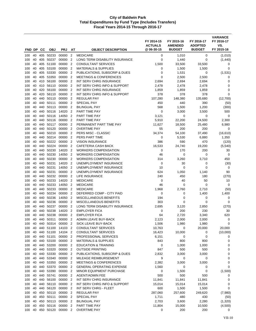| FND DP     |          | CС         | <b>OBJ</b>         | <b>PRJ</b>         | AT                               | <b>OBJECT DESCRIPTION</b>                              | FY 2014-15<br><b>ACTUALS</b><br>@ 06-30-15 | FY 2015-16<br><b>AMENDED</b><br><b>BUDGET</b> | FY 2016-17<br><b>ADOPTED</b><br><b>BUDGET</b> | <b>VARIANCE</b><br>FY 2016-17<br>VS.<br>FY 2015-16 |
|------------|----------|------------|--------------------|--------------------|----------------------------------|--------------------------------------------------------|--------------------------------------------|-----------------------------------------------|-----------------------------------------------|----------------------------------------------------|
|            |          |            |                    |                    |                                  |                                                        |                                            |                                               |                                               |                                                    |
| 100<br>100 | 40<br>40 | 405<br>405 | 50233<br>50237     | 00000<br>00000     | $\overline{2}$<br>$\overline{2}$ | <b>MEDICARE</b><br>LONG TERM DISABILITY INSURANCE      | 0<br>0                                     | 1,010<br>1,440                                | 0<br>0                                        | (1,010)<br>(1,440)                                 |
| 100        | 40       | 405        | 51100              | 00000              | $\overline{2}$                   | <b>CONSULTANT SERVICES</b>                             | 1,500                                      | 33,500                                        | 33,500                                        | 0                                                  |
| 100        | 40       | 405        | 53100              | 00000              | $\overline{2}$                   | <b>MATERIALS &amp; SUPPLIES</b>                        | $\mathbf 0$                                | 1,500                                         | 1,500                                         | 0                                                  |
| 100        | 40       | 405        | 53330              | 00000              | $\overline{2}$                   | PUBLICATIONS, SUBSCRIP & DUES                          | 0                                          | 1,531                                         | 0                                             | (1,531)                                            |
| 100        | 40       | 405        | 53350              | 00000              | $\overline{2}$                   | <b>MEETINGS &amp; CONFERENCES</b>                      | 0                                          | 2,500                                         | 2,500                                         | 0                                                  |
| 100        | 40       | 410        | 56100              | 00000              | $\overline{2}$                   | INT SERV CHRG INSURANCE                                | 2,694                                      | 2,694                                         | 2,694                                         | 0                                                  |
| 100        | 40       | 410        | 56110              | 00000              | $\overline{2}$                   | INT SERV CHRG INFO & SUPPORT                           | 2,478                                      | 2,478                                         | 2,478                                         | 0                                                  |
| 100        | 40       | 420        | 56100              | 00000              | $\overline{2}$                   | INT SERV CHRG INSURANCE                                | 1,859                                      | 1,859                                         | 1,859                                         | 0                                                  |
| 100        | 40       | 420        | 56110              | 00000              | $\overline{2}$                   | INT SERV CHRG INFO & SUPPORT                           | 378                                        | 378                                           | 378                                           | $\mathbf 0$                                        |
| 100        | 40       | 440        | 50110              | 00000              | $\overline{2}$                   | <b>REGULAR PAY</b>                                     | 107,280                                    | 148,380                                       | 135,680                                       | (12,700)                                           |
| 100        | 40       | 440        | 50111              | 00000              | $\overline{2}$                   | <b>SPECIAL PAY</b>                                     | 450                                        | 440                                           | 390                                           | (50)                                               |
| 100        | 40       | 440        | 50113              | 00000              | $\overline{2}$                   | <b>BILINGUAL PAY</b>                                   | 568                                        | 1,500                                         | 1,200                                         | (300)                                              |
| 100        | 40       | 440        | 50116              | 14020              | $\overline{2}$                   | PART TIME PAY                                          | 0                                          | 3,000                                         | 3,500                                         | 500                                                |
| 100        | 40       | 440        | 50116              | 14050              | $\overline{2}$                   | PART TIME PAY                                          | 3,121                                      | 0                                             | 0                                             | 0                                                  |
| 100        | 40       | 440        | 50116              | 00000<br>00000     | $\overline{2}$<br>$\overline{2}$ | PART TIME PAY                                          | 5,910                                      | 22,200                                        | 24,500                                        | 2,300                                              |
| 100<br>100 | 40<br>40 | 440<br>440 | 50117<br>50120     | 00000              | $\overline{2}$                   | PERMANENT PART TIME PAY<br><b>OVERTIME PAY</b>         | 11,627<br>55                               | 18,500<br>200                                 | 25,480<br>200                                 | 6,980<br>0                                         |
| 100        | 40       | 440        | 50210              | 00000              | $\overline{2}$                   | PERS MISC - CLASSIC                                    | 34,374                                     | 54,100                                        | 37,490                                        | (16, 610)                                          |
| 100        | 40       | 440        | 50214              | 00000              | $\overline{2}$                   | PERS PART TIME                                         | 0                                          | 5,530                                         | 6,880                                         | 1,350                                              |
| 100        | 40       | 440        | 50222              | 00000              | $\overline{2}$                   | <b>VISION INSURANCE</b>                                | 386                                        | 590                                           | 470                                           | (120)                                              |
| 100        | 40       | 440        | 50224              | 00000              | $\overline{2}$                   | <b>CAFETERIA CASH BACK</b>                             | 16,533                                     | 24.740                                        | 19,200                                        | (5, 540)                                           |
| 100        | 40       | 440        | 50230              | 14020              | $\overline{2}$                   | <b>WORKERS COMPENSATION</b>                            | 0                                          | 170                                           | 200                                           | 30                                                 |
| 100        | 40       | 440        | 50230              | 14050              | $\overline{2}$                   | <b>WORKERS COMPENSATION</b>                            | 46                                         | 0                                             | 0                                             | 0                                                  |
| 100        | 40       | 440        | 50230              | 00000              | $\overline{2}$                   | <b>WORKERS COMPENSATION</b>                            | 314                                        | 3,260                                         | 3,710                                         | 450                                                |
| 100        | 40       | 440        | 50231              | 14020              | $\overline{2}$                   | UNEMPLOYMENT INSURANCE                                 | 0                                          | 30                                            | 0                                             | (30)                                               |
| 100        | 40       | 440        | 50231              | 14050              | $\overline{2}$                   | UNEMPLOYMENT INSURANCE                                 | 10                                         | 0                                             | 0                                             | 0                                                  |
| 100        | 40       | 440        | 50231              | 00000              | $\overline{2}$                   | UNEMPLOYMENT INSURANCE                                 | 624                                        | 1,050                                         | 1,140                                         | 90                                                 |
| 100        | 40       | 440        | 50232              | 00000              | $\overline{2}$                   | LIFE INSURANCE                                         | 240                                        | 450                                           | 180                                           | (270)                                              |
| 100        | 40       | 440        | 50233              | 14020              | $\overline{2}$                   | <b>MEDICARE</b>                                        | 0                                          | 40                                            | 50                                            | 10                                                 |
| 100        | 40       | 440        | 50233              | 14050              | $\overline{2}$<br>$\overline{2}$ | <b>MEDICARE</b>                                        | 46                                         | 0                                             | 0                                             | 0                                                  |
| 100<br>100 | 40<br>40 | 440<br>440 | 50233<br>50234     | 00000<br>00000     | $\overline{2}$                   | <b>MEDICARE</b><br>DEFERRED COMP - CITY PAID           | 1,968<br>0                                 | 2,760<br>0                                    | 2,710<br>1,400                                | (50)<br>1,400                                      |
| 100        | 40       | 440        | 50236              | 14050              | $\overline{2}$                   | MISCELLANEOUS BENEFITS                                 | 194                                        | 0                                             | 0                                             | 0                                                  |
| 100        | 40       | 440        | 50236              | 00000              | $\overline{2}$                   | MISCELLANEOUS BENEFITS                                 | 303                                        | 0                                             | 0                                             | 0                                                  |
| 100        | 40       | 440        | 50237              | 00000              | $\overline{2}$                   | LONG TERM DISABILITY INSURANCE                         | 2,695                                      | 3,120                                         | 2,850                                         | (270)                                              |
| 100        | 40       | 440        | 50238              | 14020              | $\overline{2}$                   | <b>EMPLOYER FICA</b>                                   | $\mathbf 0$                                | 200                                           | 230                                           | 30                                                 |
| 100        | 40       | 440        | 50238              | 00000              | $\overline{2}$                   | <b>EMPLOYER FICA</b>                                   | 64                                         | 2,720                                         | 3,340                                         | 620                                                |
| 100        | 40       | 440        | 50311              | 00000              | $\overline{2}$                   | ADMIN LEAVE BUY-BACK                                   | 2,123                                      | 2,000                                         | 2,000                                         | 0                                                  |
| 100        | 40       | 440        | 50314              | 00000 2            |                                  | SICK LEAVE BUY-BACK                                    | 1,506                                      | 1,980                                         | 1,980                                         | 0                                                  |
| 100        | 40       | 440        | 51100              | 14103 2            |                                  | CONSULTANT SERVICES                                    | 10,763                                     | 0                                             | 20,000                                        | 20,000                                             |
| 100        | 40       | 440        | 51100              | 14104 2            |                                  | <b>CONSULTANT SERVICES</b>                             | 16,423                                     | 10,000                                        | 0                                             | (10,000)                                           |
| 100        | 40       | 440        | 51101              | 00000 2            |                                  | PROFESSIONAL SERVICES                                  | 6,151                                      | 0                                             | 0                                             | 0                                                  |
| 100        | 40       |            | 440 53100          | 00000 2            |                                  | <b>MATERIALS &amp; SUPPLIES</b>                        | 843                                        | 800                                           | 800                                           | 0                                                  |
| 100        | 40       |            | 440 53200          | 00000 2            |                                  | <b>EDUCATION &amp; TRAINING</b>                        | 0                                          | 1,000                                         | 1,000                                         | 0                                                  |
| 100        | 40       |            | 440 53320          | 00000 2            |                                  | <b>OUTSIDE PRINTING</b>                                | 847                                        | 500                                           | 500                                           | 0                                                  |
| 100<br>100 | 40<br>40 | 440        | 440 53330<br>53340 | 00000 2<br>00000 2 |                                  | PUBLICATIONS, SUBSCRIP & DUES<br>MILEAGE REIMBURSEMENT | 2,832<br>9                                 | 3,000<br>0                                    | 3,000<br>0                                    | 0<br>0                                             |
| 100        | 40       |            | 440 53350          | 00000 2            |                                  | <b>MEETINGS &amp; CONFERENCES</b>                      | 2,382                                      | 3,000                                         | 3,000                                         | 0                                                  |
| 100        | 40       | 440        | 53370              | 00000 2            |                                  | <b>GENERAL OPERATING EXPENSE</b>                       | 1,560                                      | 0                                             | 0                                             | $\mathbf 0$                                        |
| 100        | 40       |            | 440 53390          | 00000 2            |                                  | MINOR EQUIPMENT PURCHASE                               | 0                                          | 1,500                                         | 0                                             | (1,500)                                            |
| 100        | 40       | 440        | 55741              | 00000 2            |                                  | <b>AGENT/ADMIN FEE</b>                                 | 500                                        | 500                                           | 500                                           | 0                                                  |
| 100        | 40       | 440        | 56100              | 00000 2            |                                  | INT SERV CHRG INSURANCE                                | 11,841                                     | 11,841                                        | 11,841                                        | 0                                                  |
| 100        | 40       | 440        | 56110              | 00000 2            |                                  | INT SERV CHRG INFO & SUPPORT                           | 15,014                                     | 15,014                                        | 15,014                                        | 0                                                  |
| 100        | 40       | 440        | 56120              | 00000 2            |                                  | INT SERV CHRG - FLEET                                  | 600                                        | 1,500                                         | 1,500                                         | 0                                                  |
| 100        | 40       |            | 450 50110          | 00000 2            |                                  | <b>REGULAR PAY</b>                                     | 287,060                                    | 257,600                                       | 249,620                                       | (7,980)                                            |
| 100        | 40       |            | 450 50111          | 00000              | $\overline{2}$                   | SPECIAL PAY                                            | 1,711                                      | 480                                           | 430                                           | (50)                                               |
| 100        | 40       |            | 450 50113          | 00000 2            |                                  | <b>BILINGUAL PAY</b>                                   | 2,703                                      | 3,600                                         | 2,280                                         | (1,320)                                            |
| 100        | 40       |            | 450 50116          | 00000              | $\overline{2}$                   | PART TIME PAY                                          | 11,804                                     | 15,000                                        | 10,500                                        | (4,500)                                            |
| 100        | 40       |            | 450 50120          | 00000 2            |                                  | <b>OVERTIME PAY</b>                                    | 0                                          | 200                                           | 200                                           | 0                                                  |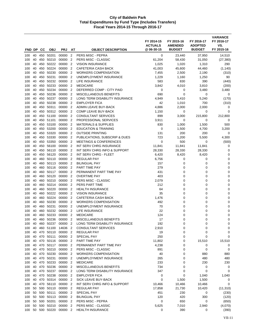| FND DP     |          | cс         | <b>OBJ</b>             | <b>PRJ</b>         | AT                               | <b>OBJECT DESCRIPTION</b>                    | FY 2014-15<br><b>ACTUALS</b><br>@ 06-30-15 | FY 2015-16<br><b>AMENDED</b><br><b>BUDGET</b> | FY 2016-17<br><b>ADOPTED</b><br><b>BUDGET</b> | <b>VARIANCE</b><br>FY 2016-17<br>VS.<br>FY 2015-16 |
|------------|----------|------------|------------------------|--------------------|----------------------------------|----------------------------------------------|--------------------------------------------|-----------------------------------------------|-----------------------------------------------|----------------------------------------------------|
| 100        | 40       | 450        | 50201                  | 00000              | $\overline{2}$                   | PERS MISC - PEPRA                            | 0                                          | 23,440                                        | 37,950                                        | 14,510                                             |
| 100        | 40       | 450        | 50210                  | 00000              | $\overline{2}$                   | PERS MISC - CLASSIC                          | 61,204                                     | 58,430                                        | 31,050                                        | (27, 380)                                          |
| 100        | 40       | 450        | 50222                  | 00000              | $\overline{2}$                   | <b>VISION INSURANCE</b>                      | 1,025                                      | 1,020                                         | 1,310                                         | 290                                                |
| 100        | 40       | 450        | 50224                  | 00000              | $\overline{2}$                   | CAFETERIA CASH BACK                          | 41,003                                     | 45,600                                        | 44,460                                        | (1, 140)                                           |
| 100        | 40       | 450        | 50230                  | 00000              | $\overline{2}$                   | <b>WORKERS COMPENSATION</b>                  | 7,455                                      | 2,500                                         | 2,190                                         | (310)                                              |
| 100        | 40       | 450        | 50231                  | 00000              | $\overline{2}$                   | UNEMPLOYMENT INSURANCE                       | 1,229                                      | 1,160                                         | 1,250                                         | 90                                                 |
| 100        | 40       | 450        | 50232                  | 00000              | $\overline{2}$                   | LIFE INSURANCE                               | 583                                        | 830                                           | 390                                           | (440)                                              |
| 100        | 40       | 450        | 50233                  | 00000              | $\overline{2}$                   | <b>MEDICARE</b>                              | 3,842                                      | 4,010                                         | 3,810                                         | (200)                                              |
| 100        | 40       | 450        | 50234                  | 00000              | $\overline{2}$                   | DEFERRED COMP - CITY PAID                    | 0                                          | 0                                             | 3,480                                         | 3,480                                              |
| 100        | 40       | 450        | 50236                  | 00000              | $\overline{2}$                   | <b>MISCELLANEOUS BENEFITS</b>                | 690                                        | 0                                             | 0                                             | 0                                                  |
| 100        | 40       | 450        | 50237                  | 00000              | $\overline{2}$                   | LONG TERM DISABILITY INSURANCE               | 4,949                                      | 5,410                                         | 5,240                                         | (170)                                              |
| 100        | 40       | 450        | 50238<br>50311         | 00000<br>00000     | $\overline{2}$<br>$\overline{2}$ | <b>EMPLOYER FICA</b><br>ADMIN LEAVE BUY-BACK | 42                                         | 1,010                                         | 700                                           | (310)<br>0                                         |
| 100<br>100 | 40<br>40 | 450<br>450 | 50312                  | 00000              | $\overline{2}$                   | COMP LEAVE BUY-BACK                          | 4,886<br>1,150                             | 2,000<br>0                                    | 2,000<br>0                                    | 0                                                  |
| 100        | 40       | 450        | 51100                  | 00000              | $\overline{2}$                   | <b>CONSULTANT SERVICES</b>                   | 899                                        | 3,000                                         | 215,800                                       | 212,800                                            |
| 100        | 40       | 450        | 51101                  | 00000              | $\overline{2}$                   | PROFESSIONAL SERVICES                        | 3,911                                      | $\mathbf 0$                                   | 0                                             | 0                                                  |
| 100        | 40       | 450        | 53100                  | 00000              | $\overline{2}$                   | <b>MATERIALS &amp; SUPPLIES</b>              | 830                                        | 1,000                                         | 1,500                                         | 500                                                |
| 100        | 40       | 450        | 53200                  | 00000              | $\overline{2}$                   | <b>EDUCATION &amp; TRAINING</b>              | 0                                          | 1,500                                         | 4,700                                         | 3,200                                              |
| 100        | 40       | 450        | 53320                  | 00000              | $\overline{2}$                   | <b>OUTSIDE PRINTING</b>                      | 131                                        | 200                                           | 200                                           | 0                                                  |
| 100        | 40       | 450        | 53330                  | 00000              | $\overline{2}$                   | PUBLICATIONS, SUBSCRIP & DUES                | 723                                        | 1,200                                         | 5,500                                         | 4,300                                              |
| 100        | 40       | 450        | 53350                  | 00000              | $\overline{2}$                   | <b>MEETINGS &amp; CONFERENCES</b>            | 0                                          | 500                                           | 0                                             | (500)                                              |
| 100        | 40       | 450        | 56100                  | 00000              | $\overline{2}$                   | INT SERV CHRG INSURANCE                      | 11,841                                     | 11,841                                        | 11,841                                        | 0                                                  |
| 100        | 40       | 450        | 56110                  | 00000              | $\overline{2}$                   | INT SERV CHRG INFO & SUPPORT                 | 28,330                                     | 28,330                                        | 28,330                                        | 0                                                  |
| 100        | 40       | 450        | 56120                  | 00000              | $\overline{2}$                   | INT SERV CHRG - FLEET                        | 6,420                                      | 8,420                                         | 8,420                                         | 0                                                  |
| 100        | 40       | 460        | 50110                  | 00000              | $\overline{2}$                   | <b>REGULAR PAY</b>                           | 6,756                                      | 0                                             | 0                                             | 0                                                  |
| 100        | 40       | 460        | 50113                  | 00000              | $\overline{2}$                   | <b>BILINGUAL PAY</b>                         | 157                                        | 0                                             | 0                                             | 0                                                  |
| 100        | 40       | 460        | 50116<br>50117         | 00000<br>00000     | $\overline{2}$<br>$\overline{2}$ | PART TIME PAY<br>PERMANENT PART TIME PAY     | 279                                        | 0<br>0                                        | 0<br>0                                        | 0<br>$\mathbf 0$                                   |
| 100<br>100 | 40<br>40 | 460<br>460 | 50120                  | 00000              | $\overline{2}$                   | <b>OVERTIME PAY</b>                          | 431<br>403                                 | 0                                             | 0                                             | $\mathbf 0$                                        |
| 100        | 40       | 460        | 50210                  | 00000              | $\overline{2}$                   | PERS MISC - CLASSIC                          | 2,079                                      | 0                                             | 0                                             | 0                                                  |
| 100        | 40       | 460        | 50214                  | 00000              | $\overline{2}$                   | PERS PART TIME                               | 212                                        | 0                                             | 0                                             | $\mathbf 0$                                        |
| 100        | 40       | 460        | 50220                  | 00000              | $\overline{2}$                   | <b>HEALTH INSURANCE</b>                      | 64                                         | 0                                             | 0                                             | 0                                                  |
| 100        | 40       | 460        | 50222                  | 00000              | $\overline{2}$                   | <b>VISION INSURANCE</b>                      | 35                                         | 0                                             | 0                                             | 0                                                  |
| 100        | 40       | 460        | 50224                  | 00000              | $\overline{2}$                   | CAFETERIA CASH BACK                          | 1,476                                      | 0                                             | 0                                             | 0                                                  |
| 100        | 40       | 460        | 50230                  | 00000              | $\overline{2}$                   | <b>WORKERS COMPENSATION</b>                  | 492                                        | 0                                             | 0                                             | 0                                                  |
| 100        | 40       | 460        | 50231                  | 00000              | $\overline{2}$                   | UNEMPLOYMENT INSURANCE                       | 70                                         | 0                                             | 0                                             | $\mathbf 0$                                        |
| 100        | 40       | 460        | 50232                  | 00000              | $\overline{2}$                   | LIFE INSURANCE                               | 22                                         | 0                                             | 0                                             | 0                                                  |
| 100        | 40       | 460        | 50233                  | 00000              | $\overline{2}$                   | <b>MEDICARE</b>                              | 124                                        | 0                                             | 0                                             | $\mathbf 0$                                        |
| 100        | 40       | 460        | 50236                  | 00000              | $\overline{2}$                   | <b>MISCELLANEOUS BENEFITS</b>                | 17                                         | 0                                             | 0                                             | $\mathbf 0$                                        |
| 100        | 40       | 460        | 50237                  | 00000              | $\overline{2}$                   | LONG TERM DISABILITY INSURANCE               | 192                                        | 0                                             | 0                                             | 0                                                  |
| 100        | 40       | 460        | 51100<br>470 50110     | 14636 2            |                                  | <b>CONSULTANT SERVICES</b>                   | 2,910                                      | 0                                             | 0                                             | 0                                                  |
| 100<br>100 | 40<br>40 |            | 470 50111              | 00000 2<br>00000 2 |                                  | <b>REGULAR PAY</b><br>SPECIAL PAY            | 19<br>250                                  | 0<br>0                                        | 0<br>0                                        | 0<br>0                                             |
| 100        | 40       |            | 470 50116              | 00000 2            |                                  | PART TIME PAY                                | 11,802                                     | 0                                             | 15,510                                        | 15,510                                             |
| 100        | 40       |            | 470 50117              | 00000 2            |                                  | PERMANENT PART TIME PAY                      | 4,238                                      | 0                                             | 0                                             | 0                                                  |
| 100        | 40       |            | 470 50210              | 00000 2            |                                  | PERS MISC - CLASSIC                          | 891                                        | 0                                             | 0                                             | 0                                                  |
| 100        | 40       |            | 470 50230              | 00000 2            |                                  | <b>WORKERS COMPENSATION</b>                  | 40                                         | 0                                             | 880                                           | 880                                                |
| 100        | 40       |            | 470 50231              | 00000 2            |                                  | UNEMPLOYMENT INSURANCE                       | 265                                        | 0                                             | 480                                           | 480                                                |
| 100        | 40       |            | 470 50233              | 00000 2            |                                  | <b>MEDICARE</b>                              | 233                                        | 0                                             | 230                                           | 230                                                |
| 100        | 40       |            | 470 50236              | 00000 2            |                                  | MISCELLANEOUS BENEFITS                       | 734                                        | 0                                             | 0                                             | 0                                                  |
| 100        | 40       |            | 470 50237              | 00000 2            |                                  | LONG TERM DISABILITY INSURANCE               | 347                                        | 0                                             | 0                                             | 0                                                  |
| 100        |          |            | 40 470 50238           | 00000 2            |                                  | <b>EMPLOYER FICA</b>                         | 0                                          | 0                                             | 1,040                                         | 1,040                                              |
| 100        | 40       |            | 470 50314              | 00000 2            |                                  | SICK LEAVE BUY-BACK                          | 0                                          | 1,500                                         | 1,500                                         | 0                                                  |
| 100        | 40       |            | 470 56110              | 00000 2            |                                  | INT SERV CHRG INFO & SUPPORT                 | 10,466                                     | 10,466                                        | 10,466                                        | 0                                                  |
| 100        | 50       |            | 500 50110              | 00000 2            |                                  | <b>REGULAR PAY</b>                           | 17,858                                     | 21,730                                        | 10,420                                        | (11, 310)                                          |
| 100        | 50       |            | 500 50111              | 00000 2            |                                  | SPECIAL PAY                                  | 451                                        | 230                                           | 0                                             | (230)                                              |
| 100        | 50       |            | 500 50113              | 00000 2            |                                  | <b>BILINGUAL PAY</b>                         | 120                                        | 420                                           | 300                                           | (120)                                              |
| 100<br>100 | 50<br>50 |            | 500 50201<br>500 50210 | 00000 2<br>00000 2 |                                  | PERS MISC - PEPRA<br>PERS MISC - CLASSIC     | 0<br>5,625                                 | 650<br>7,010                                  | 0<br>2,940                                    | (650)<br>(4,070)                                   |
| 100        | 50       |            | 500 50220              | 00000 2            |                                  | <b>HEALTH INSURANCE</b>                      | 0                                          | 390                                           | 0                                             | (390)                                              |
|            |          |            |                        |                    |                                  |                                              |                                            |                                               |                                               |                                                    |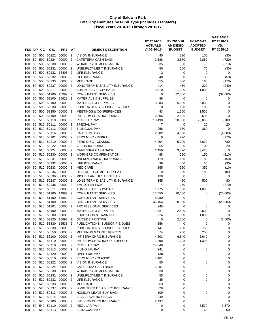| FND DP     |          | CС         | <b>OBJ</b>             | <b>PRJ</b>                      | AT                               | <b>OBJECT DESCRIPTION</b>                             | FY 2014-15<br><b>ACTUALS</b><br>@ 06-30-15 | FY 2015-16<br><b>AMENDED</b><br><b>BUDGET</b> | FY 2016-17<br><b>ADOPTED</b><br><b>BUDGET</b> | <b>VARIANCE</b><br>FY 2016-17<br>VS.<br>FY 2015-16 |
|------------|----------|------------|------------------------|---------------------------------|----------------------------------|-------------------------------------------------------|--------------------------------------------|-----------------------------------------------|-----------------------------------------------|----------------------------------------------------|
|            |          |            |                        |                                 |                                  |                                                       |                                            |                                               |                                               |                                                    |
| 100<br>100 | 50<br>50 | 500<br>500 | 50222<br>50224         | 00000<br>00000                  | $\overline{2}$<br>$\overline{2}$ | <b>VISION INSURANCE</b><br><b>CAFETERIA CASH BACK</b> | 40<br>2,588                                | 130<br>3,570                                  | 100<br>2,850                                  | (30)<br>(720)                                      |
| 100        | 50       | 500        | 50230                  | 00000                           | $\overline{2}$                   | <b>WORKERS COMPENSATION</b>                           | 235                                        | 680                                           | 70                                            | (610)                                              |
| 100        | 50       | 500        | 50231                  | 00000                           | $\overline{2}$                   | UNEMPLOYMENT INSURANCE                                | 56                                         | 100                                           | 70                                            | (30)                                               |
| 100        | 50       | 500        | 50232                  | 13406                           | $\overline{2}$                   | LIFE INSURANCE                                        | $\overline{2}$                             | 0                                             | 0                                             | 0                                                  |
| 100        | 50       | 500        | 50232                  | 00000                           | $\overline{2}$                   | LIFE INSURANCE                                        | 40                                         | 80                                            | 30                                            | (50)                                               |
| 100        | 50       | 500        | 50233                  | 00000                           | $\overline{2}$                   | <b>MEDICARE</b>                                       | 355                                        | 330                                           | 160                                           | (170)                                              |
| 100        | 50       | 500        | 50237                  | 00000                           | $\overline{2}$                   | LONG TERM DISABILITY INSURANCE                        | 414                                        | 460                                           | 220                                           | (240)                                              |
| 100        | 50       | 500        | 50311                  | 00000                           | $\overline{2}$                   | <b>ADMIN LEAVE BUY-BACK</b>                           | 3,510                                      | 1,000                                         | 1,000                                         | 0                                                  |
| 100        | 50       | 500        | 51100                  | 15999                           | $\overline{2}$                   | <b>CONSULTANT SERVICES</b>                            | 0                                          | 32,000                                        | 0                                             | (32,000)                                           |
| 100        | 50       | 500        | 53100                  | 15622 2                         |                                  | <b>MATERIALS &amp; SUPPLIES</b>                       | 86                                         | 0                                             | 0                                             | 0                                                  |
| 100        | 50       |            | 500 53100              | 00000                           | $\overline{2}$                   | <b>MATERIALS &amp; SUPPLIES</b>                       | 8,283                                      | 5,000                                         | 5,000                                         | 0                                                  |
| 100        | 50       | 500        | 53330                  | 00000                           | 2                                | PUBLICATIONS, SUBSCRIP & DUES                         | 0                                          | 100                                           | 100                                           | 0                                                  |
| 100        | 50       | 500        | 53350                  | 00000                           | $\overline{2}$                   | <b>MEETINGS &amp; CONFERENCES</b>                     | 43                                         | 1,500                                         | 1,500                                         | 0                                                  |
| 100        | 50       | 500        | 56100                  | 00000                           | $\overline{2}$                   | <b>INT SERV CHRG INSURANCE</b>                        | 2,606                                      | 2,606                                         | 2,606                                         | $\mathbf 0$                                        |
| 100<br>100 | 50<br>50 | 510<br>510 | 50110<br>50111         | 00000<br>00000                  | $\overline{2}$<br>$\overline{2}$ | REGULAR PAY<br><b>SPECIAL PAY</b>                     | 13,490<br>7                                | 20,080<br>0                                   | 23,860<br>20                                  | 3,780<br>20                                        |
| 100        | 50       | 510        | 50113                  | 00000                           | $\overline{2}$                   | <b>BILINGUAL PAY</b>                                  | 256                                        | 360                                           | 360                                           | $\mathbf 0$                                        |
| 100        | 50       |            | 510 50116              | 00000                           | $\overline{2}$                   | PART TIME PAY                                         | 2,282                                      | 4,000                                         | 0                                             | (4,000)                                            |
| 100        | 50       |            | 510 50201              | 00000                           | $\overline{2}$                   | PERS MISC - PEPRA                                     | 0                                          | 970                                           | 0                                             | (970)                                              |
| 100        | 50       | 510        | 50210                  | 00000                           | $\overline{2}$                   | PERS MISC - CLASSIC                                   | 4,204                                      | 5,900                                         | 6,630                                         | 730                                                |
| 100        | 50       |            | 510 50222              | 00000                           | $\overline{2}$                   | <b>VISION INSURANCE</b>                               | 65                                         | 80                                            | 100                                           | 20                                                 |
| 100        | 50       | 510        | 50224                  | 00000                           | $\overline{2}$                   | CAFETERIA CASH BACK                                   | 2,450                                      | 3,420                                         | 3,420                                         | 0                                                  |
| 100        | 50       |            | 510 50230              | 00000                           | 2                                | <b>WORKERS COMPENSATION</b>                           | 68                                         | 360                                           | 150                                           | (210)                                              |
| 100        | 50       | 510        | 50231                  | 00000                           | $\overline{2}$                   | UNEMPLOYMENT INSURANCE                                | 119                                        | 130                                           | 80                                            | (50)                                               |
| 100        | 50       |            | 510 50232              | 00000                           | $\overline{2}$                   | LIFE INSURANCE                                        | 39                                         | 60                                            | 30                                            | (30)                                               |
| 100        | 50       |            | 510 50233              | 00000                           | $\overline{2}$                   | <b>MEDICARE</b>                                       | 265                                        | 360                                           | 350                                           | (10)                                               |
| 100        | 50       | 510        | 50234                  | 00000                           | $\overline{2}$                   | DEFERRED COMP - CITY PAID                             | $\mathbf 0$                                | 0                                             | 180                                           | 180                                                |
| 100        | 50       | 510        | 50236                  | 00000                           | $\overline{2}$                   | MISCELLANEOUS BENEFITS                                | 138                                        | $\mathbf 0$                                   | 0                                             | $\mathbf 0$                                        |
| 100        | 50       | 510        | 50237                  | 00000                           | $\overline{2}$                   | LONG TERM DISABILITY INSURANCE                        | 355                                        | 420                                           | 500                                           | 80                                                 |
| 100        | 50       | 510        | 50238                  | 00000                           | $\overline{2}$                   | <b>EMPLOYER FICA</b>                                  | 4                                          | 270                                           | 0                                             | (270)                                              |
| 100        | 50       | 510        | 50311                  | 00000                           | $\overline{2}$                   | ADMIN LEAVE BUY-BACK                                  | 1,775                                      | 1,000                                         | 1,000                                         | 0                                                  |
| 100<br>100 | 50<br>50 |            | 510 51100<br>510 51100 | 14889<br>15882                  | $\overline{2}$<br>$\overline{2}$ | CONSULTANT SERVICES<br><b>CONSULTANT SERVICES</b>     | 17,550<br>8,980                            | 20,000<br>0                                   | 0<br>0                                        | (20,000)<br>0                                      |
| 100        | 50       | 510        | 51100                  | 00000                           | $\overline{2}$                   | <b>CONSULTANT SERVICES</b>                            | 46,164                                     | 20,000                                        | 0                                             | (20,000)                                           |
| 100        | 50       |            | 510 51101              | 00000                           | $\overline{2}$                   | <b>PROFESSIONAL SERVICES</b>                          | 245                                        | 0                                             | 0                                             | 0                                                  |
| 100        | 50       |            | 510 53100              | 00000                           | $\overline{2}$                   | <b>MATERIALS &amp; SUPPLIES</b>                       | 1,621                                      | 2,500                                         | 2,500                                         | $\mathbf 0$                                        |
| 100        | 50       | 510        | 53200                  | 00000                           | $\overline{2}$                   | <b>EDUCATION &amp; TRAINING</b>                       | 824                                        | 1,000                                         | 1,000                                         | $\mathbf 0$                                        |
| 100        | 50       | 510        | 53320                  | 15698                           | $\overline{2}$                   | <b>OUTSIDE PRINTING</b>                               | $\mathbf 0$                                | 2,500                                         | 0                                             | (2,500)                                            |
| 100        |          |            | 50 510 53330           | 15538 2                         |                                  | PUBLICATIONS, SUBSCRIP & DUES                         | 556                                        | 0                                             | 0                                             | 0                                                  |
| 100        |          |            | 50 510 53330           | 00000 2                         |                                  | PUBLICATIONS, SUBSCRIP & DUES                         | 1,147                                      | 750                                           | 750                                           | 0                                                  |
| 100        |          |            | 50 510 53350           | 00000 2                         |                                  | <b>MEETINGS &amp; CONFERENCES</b>                     | 74                                         | 250                                           | 250                                           | 0                                                  |
| 100        | 50       |            | 510 56100              | 00000 2                         |                                  | INT SERV CHRG INSURANCE                               | 4,503                                      | 6,640                                         | 6,640                                         | 0                                                  |
| 100        |          |            | 50 510 56110           | 00000 2                         |                                  | INT SERV CHRG INFO & SUPPORT                          | 1,398                                      | 1,398                                         | 1,398                                         | 0                                                  |
| 100        |          |            | 50 520 50110           | 00000                           | $\overline{2}$                   | <b>REGULAR PAY</b>                                    | 14,640                                     | 0                                             | 0                                             | 0                                                  |
| 100        |          |            | 50 520 50113           | 00000 2                         |                                  | <b>BILINGUAL PAY</b>                                  | 241                                        | 0                                             | 0                                             | 0                                                  |
| 100        | 50       |            | 520 50120<br>520 50210 | 00000 2                         |                                  | <b>OVERTIME PAY</b><br>PERS MISC - CLASSIC            | 138                                        | 0                                             | 0                                             | 0                                                  |
| 100        | 50       |            |                        | 00000 2<br>50 520 50222 00000 2 |                                  | <b>VISION INSURANCE</b>                               | 4,461<br>55                                | 0<br>0                                        | 0<br>0                                        | 0<br>0                                             |
| 100<br>100 | 50       |            | 520 50224              | 00000 2                         |                                  | CAFETERIA CASH BACK                                   | 2,287                                      | 0                                             | 0                                             | 0                                                  |
| 100        |          |            | 50 520 50230           | 00000 2                         |                                  | <b>WORKERS COMPENSATION</b>                           | 38                                         | 0                                             | 0                                             | 0                                                  |
| 100        | 50       |            | 520 50231              | 00000                           | $\overline{2}$                   | UNEMPLOYMENT INSURANCE                                | 55                                         | 0                                             | 0                                             | 0                                                  |
| 100        | 50       |            |                        | 520 50232 00000 2               |                                  | LIFE INSURANCE                                        | 35                                         | 0                                             | 0                                             | 0                                                  |
| 100        | 50       |            | 520 50233              | 00000 2                         |                                  | <b>MEDICARE</b>                                       | 263                                        | 0                                             | 0                                             | 0                                                  |
| 100        | 50       |            | 520 50237              | 00000 2                         |                                  | LONG TERM DISABILITY INSURANCE                        | 328                                        | 0                                             | 0                                             | 0                                                  |
| 100        |          |            | 50 520 50313           | 00000 2                         |                                  | <b>HOLIDAY LEAVE BUY-BACK</b>                         | 109                                        | 0                                             | 0                                             | 0                                                  |
| 100        | 50       |            | 520 50314              | 00000 2                         |                                  | SICK LEAVE BUY-BACK                                   | 1,249                                      | 0                                             | 0                                             | 0                                                  |
| 100        |          |            |                        | 50 520 56100 00000 2            |                                  | INT SERV CHRG INSURANCE                               | 2,137                                      | 0                                             | 0                                             | 0                                                  |
| 100        | 50       |            | 540 50110              | 00000                           | $\overline{2}$                   | <b>REGULAR PAY</b>                                    | 0                                          | 0                                             | 3,570                                         | 3,570                                              |
| 100        |          |            |                        | 50 540 50113 00000 2            |                                  | <b>BILINGUAL PAY</b>                                  | 0                                          | 0                                             | 60                                            | 60                                                 |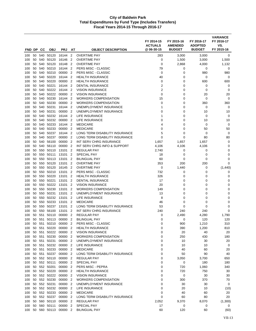| FND DP     |          | CС         | <b>OBJ</b>     | <b>PRJ</b>                 | AT                               | <b>OBJECT DESCRIPTION</b>                  | FY 2014-15<br><b>ACTUALS</b><br>@06-30-15 | FY 2015-16<br><b>AMENDED</b><br><b>BUDGET</b> | FY 2016-17<br><b>ADOPTED</b><br><b>BUDGET</b> | <b>VARIANCE</b><br>FY 2016-17<br>VS.<br>FY 2015-16 |
|------------|----------|------------|----------------|----------------------------|----------------------------------|--------------------------------------------|-------------------------------------------|-----------------------------------------------|-----------------------------------------------|----------------------------------------------------|
|            | 50       | 540        | 50120          | 16144                      | $\overline{2}$                   | <b>OVERTIME PAY</b>                        | 283                                       |                                               |                                               | 0                                                  |
| 100<br>100 | 50       | 540        | 50120          | 16146                      | $\overline{2}$                   | <b>OVERTIME PAY</b>                        | 0                                         | 3,000<br>1,500                                | 3,000<br>3,000                                | 1,500                                              |
| 100        | 50       | 540        | 50120          | 16148                      | $\overline{2}$                   | <b>OVERTIME PAY</b>                        | $\mathbf 0$                               | 2,868                                         | 4,000                                         | 1,132                                              |
| 100        | 50       | 540        | 50210          | 16144                      | $\overline{2}$                   | PERS MISC - CLASSIC                        | 79                                        | 0                                             | 0                                             | 0                                                  |
| 100        | 50       | 540        | 50210          | 00000                      | $\overline{2}$                   | PERS MISC - CLASSIC                        | $\mathbf 0$                               | 0                                             | 980                                           | 980                                                |
| 100        | 50       | 540        | 50220          | 16144                      | $\overline{2}$                   | <b>HEALTH INSURANCE</b>                    | 40                                        | 0                                             | 0                                             | 0                                                  |
| 100        | 50       | 540        | 50220          | 00000                      | 2                                | <b>HEALTH INSURANCE</b>                    | 0                                         | 0                                             | 600                                           | 600                                                |
| 100        | 50       | 540        | 50221          | 16144                      | $\overline{2}$                   | <b>DENTAL INSURANCE</b>                    | $\overline{2}$                            | 0                                             | 0                                             | 0                                                  |
| 100        | 50       | 540        | 50222          | 16144                      | 2                                | <b>VISION INSURANCE</b>                    | $\overline{2}$                            | 0                                             | 0                                             | 0                                                  |
| 100        | 50       | 540        | 50222          | 00000                      | $\overline{2}$                   | <b>VISION INSURANCE</b>                    | 0                                         | 0                                             | 20                                            | 20                                                 |
| 100        | 50       | 540        | 50230          | 16144                      | $\overline{2}$                   | <b>WORKERS COMPENSATION</b>                | 15                                        | 0                                             | 0                                             | 0                                                  |
| 100        | 50       | 540        | 50230          | 00000                      | $\overline{2}$                   | <b>WORKERS COMPENSATION</b>                | $\mathbf 0$                               | 0                                             | 360                                           | 360                                                |
| 100        | 50       | 540        | 50231          | 16144                      | $\overline{2}$                   | UNEMPLOYMENT INSURANCE                     | 1                                         | 0                                             | 0                                             | 0                                                  |
| 100        | 50       | 540        | 50231          | 00000                      | $\overline{2}$                   | UNEMPLOYMENT INSURANCE                     | 0                                         | 0                                             | 10                                            | 10                                                 |
| 100        | 50       | 540        | 50232          | 16144                      | $\overline{2}$                   | LIFE INSURANCE                             | 1                                         | 0                                             | 0                                             | 0                                                  |
| 100        | 50       | 540        | 50232          | 00000                      | $\overline{2}$                   | LIFE INSURANCE                             | 0                                         | 0                                             | 10                                            | 10                                                 |
| 100        | 50       | 540        | 50233          | 16144                      | $\overline{2}$                   | <b>MEDICARE</b>                            | 4                                         | 0                                             | 0                                             | 0                                                  |
| 100        | 50       | 540        | 50233          | 00000                      | $\overline{2}$                   | <b>MEDICARE</b>                            | 0                                         | 0                                             | 50                                            | 50                                                 |
| 100        | 50       | 540        | 50237          | 16144                      | $\overline{2}$                   | LONG TERM DISABILITY INSURANCE             | 5                                         | 0                                             | 0                                             | 0                                                  |
| 100        | 50       | 540        | 50237          | 00000                      | $\overline{2}$                   | LONG TERM DISABILITY INSURANCE             | 0                                         | 0                                             | 80                                            | 80                                                 |
| 100        | 50       | 540        | 56100          | 00000                      | $\overline{2}$                   | <b>INT SERV CHRG INSURANCE</b>             | 1,657                                     | 1,657                                         | 1,657                                         | 0                                                  |
| 100        | 50       | 540        | 56110          | 00000                      | $\overline{2}$                   | INT SERV CHRG INFO & SUPPORT               | 4,106                                     | 4,106                                         | 4,106                                         | 0                                                  |
| 100        | 50       | 550        | 50110          | 13101                      | 2                                | REGULAR PAY                                | 2,740                                     | 0                                             | 0                                             | 0                                                  |
| 100        | 50       | 550        | 50111          | 13101                      | $\overline{2}$                   | <b>SPECIAL PAY</b>                         | 18                                        | 0                                             | 0                                             | 0                                                  |
| 100        | 50       | 550        | 50113          | 13101                      | $\overline{2}$                   | <b>BILINGUAL PAY</b>                       | 60                                        | 0                                             | 0                                             | 0                                                  |
| 100        | 50<br>50 | 550<br>550 | 50120<br>50120 | 13101<br>16145             | $\overline{2}$<br>$\overline{2}$ | <b>OVERTIME PAY</b><br><b>OVERTIME PAY</b> | 353<br>0                                  | 200<br>1,440                                  | 200<br>0                                      | $\mathbf 0$<br>(1,440)                             |
| 100<br>100 | 50       | 550        | 50210          | 13101                      | $\overline{2}$                   | PERS MISC - CLASSIC                        | 732                                       | 0                                             | 0                                             | 0                                                  |
| 100        | 50       | 550        | 50220          | 13101                      | $\overline{2}$                   | <b>HEALTH INSURANCE</b>                    | 326                                       | 0                                             | 0                                             | 0                                                  |
| 100        | 50       | 550        | 50221          | 13101                      | 2                                | <b>DENTAL INSURANCE</b>                    | 17                                        | 0                                             | 0                                             | 0                                                  |
| 100        | 50       | 550        | 50222          | 13101                      | 2                                | <b>VISION INSURANCE</b>                    | 20                                        | 0                                             | 0                                             | 0                                                  |
| 100        | 50       | 550        | 50230          | 13101                      | $\overline{2}$                   | <b>WORKERS COMPENSATION</b>                | 149                                       | 0                                             | 0                                             | $\mathbf 0$                                        |
| 100        | 50       | 550        | 50231          | 13101                      | $\overline{2}$                   | UNEMPLOYMENT INSURANCE                     | 13                                        | 0                                             | 0                                             | $\mathbf 0$                                        |
| 100        | 50       | 550        | 50232          | 13101                      | 2                                | <b>LIFE INSURANCE</b>                      | 8                                         | 0                                             | 0                                             | 0                                                  |
| 100        | 50       | 550        | 50233          | 13101                      | $\overline{2}$                   | <b>MEDICARE</b>                            | 46                                        | 0                                             | 0                                             | $\mathbf 0$                                        |
| 100        | 50       | 550        | 50237          | 13101                      | $\overline{2}$                   | LONG TERM DISABILITY INSURANCE             | 53                                        | 0                                             | 0                                             | 0                                                  |
| 100        | 50       | 550        | 56100          | 13101                      | 2                                | <b>INT SERV CHRG INSURANCE</b>             | 240                                       | 240                                           | 240                                           | $\mathbf 0$                                        |
| 100        | 50       | 551        | 50110          | 00000                      | 2                                | <b>REGULAR PAY</b>                         | 0                                         | 2,490                                         | 4,280                                         | 1,790                                              |
| 100        | 50       | 551        | 50113          | 00000                      | $\overline{2}$                   | <b>BILINGUAL PAY</b>                       | 0                                         | 0                                             | 120                                           | 120                                                |
| 100        |          |            |                | 50 551 50210 00000 2       |                                  | PERS MISC - CLASSIC                        | 0                                         | 900                                           | 1,210                                         | 310                                                |
| 100        | 50       |            | 551 50220      | 00000 2                    |                                  | <b>HEALTH INSURANCE</b>                    | 0                                         | 390                                           | 1,200                                         | 810                                                |
| 100        |          |            |                | 50 551 50222 00000 2       |                                  | <b>VISION INSURANCE</b>                    | 0                                         | 20                                            | 40                                            | 20                                                 |
| 100        | 50       |            | 551 50230      | 00000 2                    |                                  | <b>WORKERS COMPENSATION</b>                | 0                                         | 250                                           | 430                                           | 180                                                |
| 100        |          |            | 50 551 50231   | 00000 2                    |                                  | UNEMPLOYMENT INSURANCE                     | 0                                         | 10                                            | 30                                            | 20                                                 |
| 100<br>100 | 50       |            | 50 551 50233   | 551 50232 00000<br>00000 2 | $\overline{2}$                   | <b>LIFE INSURANCE</b><br><b>MEDICARE</b>   | 0<br>0                                    | 10<br>40                                      | 10<br>60                                      | 0<br>20                                            |
| 100        | 50       |            | 551 50237      | 00000 2                    |                                  | LONG TERM DISABILITY INSURANCE             | 0                                         | 50                                            | 90                                            | 40                                                 |
| 100        | 50       |            | 552 50110      | 00000 2                    |                                  | <b>REGULAR PAY</b>                         | 0                                         | 3,050                                         | 3,700                                         | 650                                                |
| 100        |          |            | 50 552 50111   | 00000 2                    |                                  | SPECIAL PAY                                | 0                                         | 0                                             | 180                                           | 180                                                |
| 100        | 50       |            | 552 50201      | 00000 2                    |                                  | PERS MISC - PEPRA                          | 0                                         | 720                                           | 1,060                                         | 340                                                |
| 100        |          |            | 50 552 50220   | 00000 2                    |                                  | <b>HEALTH INSURANCE</b>                    | 0                                         | 720                                           | 750                                           | 30                                                 |
| 100        | 50       |            | 552 50222      | 00000                      | $\overline{2}$                   | <b>VISION INSURANCE</b>                    | 0                                         | $\pmb{0}$                                     | 30                                            | 30                                                 |
| 100        |          |            | 50 552 50230   | 00000 2                    |                                  | <b>WORKERS COMPENSATION</b>                | 0                                         | 300                                           | 370                                           | 70                                                 |
| 100        | 50       |            | 552 50231      | 00000 2                    |                                  | UNEMPLOYMENT INSURANCE                     | 0                                         | 30                                            | 30                                            | 0                                                  |
| 100        | 50       |            | 552 50232      | 00000 2                    |                                  | LIFE INSURANCE                             | 0                                         | 20                                            | 10                                            | (10)                                               |
| 100        |          |            | 50 552 50233   | 00000 2                    |                                  | <b>MEDICARE</b>                            | 0                                         | 40                                            | 60                                            | 20                                                 |
| 100        | 50       |            | 552 50237      | 00000 2                    |                                  | LONG TERM DISABILITY INSURANCE             | 0                                         | 60                                            | 80                                            | 20                                                 |
| 100        | 50       |            | 560 50110      | 00000 2                    |                                  | <b>REGULAR PAY</b>                         | 2,052                                     | 9,370                                         | 8,070                                         | (1,300)                                            |
| 100        | 50       |            | 560 50111      | 00000                      | $\overline{2}$                   | SPECIAL PAY                                | 17                                        | 0                                             | 0                                             | 0                                                  |
| 100        |          |            | 50 560 50113   | 00000 2                    |                                  | <b>BILINGUAL PAY</b>                       | 60                                        | 120                                           | 60                                            | (60)                                               |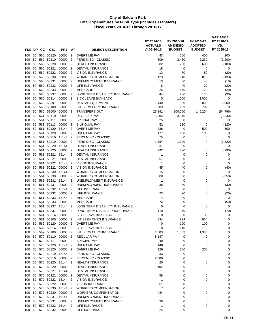| FND DP     |          | CС         | <b>OBJ</b>                   | <b>PRJ</b>         | AT                                         | <b>OBJECT DESCRIPTION</b>                                  | FY 2014-15<br><b>ACTUALS</b><br>@ 06-30-15 | FY 2015-16<br><b>AMENDED</b><br><b>BUDGET</b> | FY 2016-17<br><b>ADOPTED</b><br><b>BUDGET</b> | <b>VARIANCE</b><br>FY 2016-17<br>VS.<br>FY 2015-16 |
|------------|----------|------------|------------------------------|--------------------|--------------------------------------------|------------------------------------------------------------|--------------------------------------------|-----------------------------------------------|-----------------------------------------------|----------------------------------------------------|
|            | 50       |            |                              |                    | $\overline{2}$                             | <b>OVERTIME PAY</b>                                        |                                            | 200                                           | 400                                           |                                                    |
| 100<br>100 | 50       | 560        | 560 50120<br>50210           | 00000<br>00000     | $\overline{2}$                             | PERS MISC - CLASSIC                                        | 43<br>609                                  | 3,430                                         | 2,230                                         | 200<br>(1,200)                                     |
| 100        | 50       | 560        | 50220                        | 00000              | $\overline{2}$                             | <b>HEALTH INSURANCE</b>                                    | 382                                        | 780                                           | 600                                           | (180)                                              |
| 100        | 50       | 560        | 50221                        | 00000              | $\overline{2}$                             | <b>DENTAL INSURANCE</b>                                    | 18                                         | 0                                             | 0                                             | 0                                                  |
| 100        | 50       | 560        | 50222                        | 00000              | $\overline{2}$                             | VISION INSURANCE                                           | 13                                         | 70                                            | 50                                            | (20)                                               |
| 100        | 50       | 560        | 50230                        | 00000              | $\overline{2}$                             | <b>WORKERS COMPENSATION</b>                                | 123                                        | 940                                           | 810                                           | (130)                                              |
| 100        | 50       | 560        | 50231                        | 00000              | $\overline{2}$                             | UNEMPLOYMENT INSURANCE                                     | 13                                         | 50                                            | 40                                            | (10)                                               |
| 100        | 50       | 560        | 50232                        | 00000              | $\overline{2}$                             | LIFE INSURANCE                                             | 8                                          | 40                                            | 20                                            | (20)                                               |
| 100        | 50       | 560        | 50233                        | 00000              | $\overline{2}$                             | <b>MEDICARE</b>                                            | 25                                         | 140                                           | 120                                           | (20)                                               |
| 100        | 50       | 560        | 50237                        | 00000              | $\overline{2}$                             | LONG TERM DISABILITY INSURANCE                             | 44                                         | 200                                           | 170                                           | (30)                                               |
| 100        | 50       | 560        | 50314                        | 00000              | $\overline{2}$                             | SICK LEAVE BUY-BACK                                        | 0                                          | 1,000                                         | 1,000                                         | 0                                                  |
| 100        | 50       |            | 560 53391                    | 00000              | 2                                          | <b>RENTAL EQUIPMENT</b>                                    | 1,140                                      | 0                                             | 3,000                                         | 3,000                                              |
| 100        | 50       | 560        | 56100                        | 00000              | $\overline{2}$                             | INT SERV CHRG INSURANCE                                    | 709                                        | 709                                           | 709                                           | 0                                                  |
| 100        | 50       | 560        | 59000                        | 00000              | $\overline{2}$                             | <b>TRANSFERS OUT</b>                                       | 25,841                                     | 200,000                                       | 145,204                                       | (54, 796)                                          |
| 100        | 50       | 561        | 50110                        | 00000              | $\overline{2}$                             | <b>REGULAR PAY</b>                                         | 5,304                                      | 3,540                                         | 0                                             | (3, 540)                                           |
| 100        | 50       | 561        | 50111                        | 00000              | $\overline{2}$                             | <b>SPECIAL PAY</b>                                         | 25                                         | 0                                             | 0                                             | 0                                                  |
| 100        | 50       | 561        | 50113                        | 00000              | $\overline{2}$                             | <b>BILINGUAL PAY</b>                                       | 52                                         | 120                                           | 0                                             | (120)                                              |
| 100        | 50       | 561        | 50120                        | 16144              | $\overline{2}$                             | <b>OVERTIME PAY</b>                                        | 286                                        | 0                                             | 500                                           | 500                                                |
| 100        | 50       | 561        | 50120                        | 00000              | $\overline{2}$                             | <b>OVERTIME PAY</b>                                        | 177                                        | 100                                           | 100                                           | 0                                                  |
| 100        | 50       | 561        | 50210                        | 16144              | $\overline{2}$                             | PERS MISC - CLASSIC                                        | 75                                         | 0                                             | 0                                             | 0                                                  |
| 100        | 50       | 561        | 50210                        | 00000              | $\overline{2}$                             | PERS MISC - CLASSIC                                        | 1,384                                      | 1,320                                         | 0                                             | (1,320)                                            |
| 100        | 50<br>50 | 561        | 50220<br>50220               | 16144<br>00000     | $\overline{2}$<br>$\overline{2}$           | <b>HEALTH INSURANCE</b><br><b>HEALTH INSURANCE</b>         | 37<br>992                                  | 0<br>790                                      | 0<br>0                                        | 0                                                  |
| 100<br>100 | 50       | 561<br>561 | 50221                        | 16144              | $\overline{2}$                             | <b>DENTAL INSURANCE</b>                                    | 1                                          | 0                                             | 0                                             | (790)<br>0                                         |
| 100        | 50       | 561        | 50221                        | 00000              | $\overline{2}$                             | <b>DENTAL INSURANCE</b>                                    | 57                                         | 0                                             | 0                                             | 0                                                  |
| 100        | 50       | 561        | 50222                        | 16144              | $\overline{2}$                             | <b>VISION INSURANCE</b>                                    | $\mathbf{1}$                               | 0                                             | 0                                             | 0                                                  |
| 100        | 50       | 561        | 50222                        | 00000              | $\overline{2}$                             | <b>VISION INSURANCE</b>                                    | 45                                         | 40                                            | 0                                             | (40)                                               |
| 100        | 50       | 561        | 50230                        | 16144              | $\overline{2}$                             | <b>WORKERS COMPENSATION</b>                                | 15                                         | 0                                             | 0                                             | 0                                                  |
| 100        | 50       | 561        | 50230                        | 00000              | $\overline{2}$                             | <b>WORKERS COMPENSATION</b>                                | 308                                        | 350                                           | 0                                             | (350)                                              |
| 100        | 50       | 561        | 50231                        | 16144              | $\overline{2}$                             | UNEMPLOYMENT INSURANCE                                     | 1                                          | 0                                             | $\mathbf 0$                                   | 0                                                  |
| 100        | 50       | 561        | 50231                        | 00000              | $\overline{2}$                             | UNEMPLOYMENT INSURANCE                                     | 38                                         | 30                                            | 0                                             | (30)                                               |
| 100        | 50       | 561        | 50232                        | 16144              | $\overline{2}$                             | LIFE INSURANCE                                             | 1                                          | $\mathbf 0$                                   | 0                                             | 0                                                  |
| 100        | 50       | 561        | 50232                        | 00000              | $\overline{2}$                             | LIFE INSURANCE                                             | 23                                         | 20                                            | 0                                             | (20)                                               |
| 100        | 50       | 561        | 50233                        | 16144              | $\overline{2}$                             | <b>MEDICARE</b>                                            | 4                                          | 0                                             | 0                                             | 0                                                  |
| 100        | 50       | 561        | 50233                        | 00000              | $\overline{2}$                             | <b>MEDICARE</b>                                            | 74                                         | 50                                            | 0                                             | (50)                                               |
| 100        | 50       | 561        | 50237                        | 16144              | $\overline{2}$                             | LONG TERM DISABILITY INSURANCE                             | 5                                          | 0                                             | 0                                             | 0                                                  |
| 100        | 50       | 561        | 50237                        | 00000              | 2                                          | LONG TERM DISABILITY INSURANCE                             | 110                                        | 70                                            | 0                                             | (70)                                               |
| 100        | 50       | 561        | 50314<br>56100               | 00000              | $\overline{2}$                             | SICK LEAVE BUY-BACK                                        | 0                                          | 30                                            | 30                                            | 0                                                  |
| 100<br>100 | 50       | 561        | 50 562 50120                 | 00000<br>00000     | $\overline{2}$<br>$\overline{\phantom{a}}$ | INT SERV CHRG INSURANCE<br><b>OVERTIME PAY</b>             | 834<br>0                                   | 834<br>100                                    | 834<br>100                                    | 0<br>0                                             |
| 100        | 50       |            | 562 50314                    | 00000              | 2                                          | SICK LEAVE BUY-BACK                                        | 0                                          | 110                                           | 110                                           | 0                                                  |
| 100        | 50       |            | 562 56100                    | 00000              | $\overline{2}$                             | INT SERV CHRG INSURANCE                                    | 1,303                                      | 1,303                                         | 1,303                                         | 0                                                  |
| 100        | 50       |            | 570 50110                    | 00000 2            |                                            | <b>REGULAR PAY</b>                                         | 8,147                                      | 0                                             | 0                                             | 0                                                  |
| 100        | 50       |            | 570 50111                    | 00000 2            |                                            | SPECIAL PAY                                                | 40                                         | 0                                             | 0                                             | 0                                                  |
| 100        |          |            | 50 570 50120                 | 16144 2            |                                            | <b>OVERTIME PAY</b>                                        | 148                                        | 0                                             | 0                                             | 0                                                  |
| 100        |          |            | 50 570 50120                 | 00000 2            |                                            | <b>OVERTIME PAY</b>                                        | 129                                        | 200                                           | 200                                           | 0                                                  |
| 100        |          |            | 50 570 50210                 | 16144 2            |                                            | PERS MISC - CLASSIC                                        | 33                                         | 0                                             | 0                                             | 0                                                  |
| 100        | 50       |            | 570 50210                    | 00000              | $\overline{2}$                             | PERS MISC - CLASSIC                                        | 2,080                                      | 0                                             | 0                                             | 0                                                  |
| 100        |          |            | 50 570 50220                 | 16144 2            |                                            | <b>HEALTH INSURANCE</b>                                    | 20                                         | 0                                             | 0                                             | 0                                                  |
| 100        | 50       |            | 570 50220                    | 00000 2            |                                            | <b>HEALTH INSURANCE</b>                                    | 1,104                                      | 0                                             | 0                                             | 0                                                  |
| 100        |          |            | 50 570 50221                 | 16144 2            |                                            | <b>DENTAL INSURANCE</b>                                    | 1                                          | 0                                             | $\mathbf 0$                                   | 0                                                  |
| 100        | 50       |            | 570 50221                    | 00000 2            |                                            | <b>DENTAL INSURANCE</b>                                    | 58                                         | 0                                             | 0                                             | 0                                                  |
| 100        | 50       |            | 570 50222                    | 16144              | -2                                         | <b>VISION INSURANCE</b>                                    | 1                                          | 0                                             | 0                                             | 0                                                  |
| 100        | 50       |            | 570 50222                    | 00000 2            |                                            | <b>VISION INSURANCE</b>                                    | 61                                         | 0                                             | 0                                             | 0                                                  |
| 100        |          |            | 50 570 50230<br>50 570 50230 | 16144 2<br>00000 2 |                                            | <b>WORKERS COMPENSATION</b><br><b>WORKERS COMPENSATION</b> | $\overline{7}$<br>434                      | 0<br>0                                        | 0<br>0                                        | 0                                                  |
| 100<br>100 | 50       |            | 570 50231                    | 16144 2            |                                            | UNEMPLOYMENT INSURANCE                                     | 1                                          | 0                                             | 0                                             | 0<br>0                                             |
| 100        |          |            | 50 570 50231                 | 00000 2            |                                            | UNEMPLOYMENT INSURANCE                                     | 39                                         | 0                                             | 0                                             | 0                                                  |
| 100        | 50       |            | 570 50232                    | 16144 2            |                                            | LIFE INSURANCE                                             | $\mathbf{1}$                               | 0                                             | 0                                             | 0                                                  |
| 100        |          |            | 50 570 50232                 | 00000 2            |                                            | LIFE INSURANCE                                             | 24                                         | 0                                             | 0                                             | 0                                                  |
|            |          |            |                              |                    |                                            |                                                            |                                            |                                               |                                               |                                                    |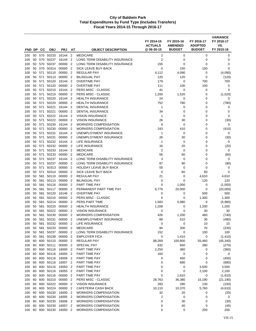| FND DP     |          | CС         | <b>OBJ</b>         | <b>PRJ</b>         | AT                               | <b>OBJECT DESCRIPTION</b>                           | FY 2014-15<br><b>ACTUALS</b><br>@ 06-30-15 | FY 2015-16<br><b>AMENDED</b><br><b>BUDGET</b> | FY 2016-17<br><b>ADOPTED</b><br><b>BUDGET</b> | <b>VARIANCE</b><br>FY 2016-17<br>VS.<br>FY 2015-16 |
|------------|----------|------------|--------------------|--------------------|----------------------------------|-----------------------------------------------------|--------------------------------------------|-----------------------------------------------|-----------------------------------------------|----------------------------------------------------|
| 100        | 50       | 570        | 50233              | 16144              | $\overline{2}$                   | <b>MEDICARE</b>                                     | $\overline{\mathbf{c}}$                    | 0                                             | 0                                             | 0                                                  |
| 100        | 50       | 570        | 50237              | 16144              | $\overline{2}$                   | LONG TERM DISABILITY INSURANCE                      | 2                                          | 0                                             | 0                                             | 0                                                  |
| 100        | 50       | 570        | 50237              | 00000              | $\overline{2}$                   | LONG TERM DISABILITY INSURANCE                      | 155                                        | 0                                             | 0                                             | 0                                                  |
| 100        | 50       | 570        | 50314              | 00000              | $\overline{2}$                   | SICK LEAVE BUY-BACK                                 | $\mathbf 0$                                | 150                                           | 150                                           | $\mathbf 0$                                        |
| 100        | 50       | 571        | 50110              | 00000              | $\overline{2}$                   | <b>REGULAR PAY</b>                                  | 4,112                                      | 4,090                                         | 0                                             | (4,090)                                            |
| 100        | 50       | 571        | 50113              | 00000              | $\overline{2}$                   | <b>BILINGUAL PAY</b>                                | 120                                        | 120                                           | 0                                             | (120)                                              |
| 100        | 50       | 571        | 50120              | 16144              | $\overline{2}$                   | <b>OVERTIME PAY</b>                                 | 179                                        | 0                                             | 700                                           | 700                                                |
| 100        | 50       | 571        | 50120              | 00000              | $\overline{2}$                   | <b>OVERTIME PAY</b>                                 | 111                                        | 100                                           | 100                                           | 0                                                  |
| 100        | 50       | 571        | 50210              | 16144              | $\overline{2}$                   | PERS MISC - CLASSIC                                 | 41                                         | 0                                             | 0                                             | 0                                                  |
| 100        | 50       | 571        | 50210              | 00000              | $\overline{2}$                   | PERS MISC - CLASSIC                                 | 1,200                                      | 1,520                                         | 0                                             | (1,520)                                            |
| 100        | 50       | 571        | 50220              | 16144              | $\overline{2}$                   | <b>HEALTH INSURANCE</b>                             | 24                                         | 0                                             | 0                                             | 0                                                  |
| 100        | 50       | 571        | 50220              | 00000              | $\overline{2}$                   | <b>HEALTH INSURANCE</b>                             | 752                                        | 780                                           | 0                                             | (780)                                              |
| 100        | 50       | 571        | 50221              | 16144              | $\overline{2}$                   | <b>DENTAL INSURANCE</b>                             | 1                                          | 0                                             | 0                                             | 0                                                  |
| 100<br>100 | 50<br>50 | 571<br>571 | 50221<br>50222     | 00000<br>16144     | $\overline{2}$<br>$\overline{2}$ | <b>DENTAL INSURANCE</b><br><b>VISION INSURANCE</b>  | 34<br>1                                    | 0<br>0                                        | 0<br>0                                        | 0<br>0                                             |
| 100        | 50       | 571        | 50222              | 00000              | $\overline{2}$                   | <b>VISION INSURANCE</b>                             | 26                                         | 30                                            | 0                                             | (30)                                               |
| 100        | 50       | 571        | 50230              | 16144              | $\overline{2}$                   | <b>WORKERS COMPENSATION</b>                         | 9                                          | 0                                             | $\mathbf 0$                                   | 0                                                  |
| 100        | 50       | 571        | 50230              | 00000              | $\overline{2}$                   | <b>WORKERS COMPENSATION</b>                         | 243                                        | 410                                           | 0                                             | (410)                                              |
| 100        | 50       | 571        | 50231              | 16144              | $\overline{2}$                   | UNEMPLOYMENT INSURANCE                              | 1                                          | 0                                             | 0                                             | 0                                                  |
| 100        | 50       | 571        | 50231              | 00000              | $\overline{2}$                   | UNEMPLOYMENT INSURANCE                              | 26                                         | 30                                            | 0                                             | (30)                                               |
| 100        | 50       | 571        | 50232              | 16144              | $\overline{2}$                   | LIFE INSURANCE                                      | 1                                          | 0                                             | 0                                             | 0                                                  |
| 100        | 50       | 571        | 50232              | 00000              | $\overline{2}$                   | <b>LIFE INSURANCE</b>                               | 16                                         | 20                                            | 0                                             | (20)                                               |
| 100        | 50       | 571        | 50233              | 16144              | $\overline{2}$                   | <b>MEDICARE</b>                                     | 2                                          | 0                                             | 0                                             | 0                                                  |
| 100        | 50       | 571        | 50233              | 00000              | $\overline{2}$                   | <b>MEDICARE</b>                                     | 56                                         | 60                                            | 0                                             | (60)                                               |
| 100        | 50       | 571        | 50237              | 16144              | $\overline{2}$                   | LONG TERM DISABILITY INSURANCE                      | 3                                          | 0                                             | 0                                             | 0                                                  |
| 100        | 50       | 571        | 50237              | 00000              | $\overline{2}$                   | LONG TERM DISABILITY INSURANCE                      | 87                                         | 90                                            | 0                                             | (90)                                               |
| 100        | 50       | 571        | 50313              | 00000              | $\overline{2}$                   | <b>HOLIDAY LEAVE BUY-BACK</b>                       | 55                                         | 0                                             | 0                                             | 0                                                  |
| 100        | 50       | 571        | 50314              | 00000              | $\overline{2}$                   | SICK LEAVE BUY-BACK                                 | $\mathbf 0$                                | 60                                            | 60                                            | $\mathbf 0$                                        |
| 100<br>100 | 50<br>50 | 581<br>581 | 50110<br>50113     | 00000<br>00000     | $\overline{2}$<br>$\overline{2}$ | REGULAR PAY<br><b>BILINGUAL PAY</b>                 | 21<br>$\mathbf 0$                          | 0<br>$\mathbf 0$                              | 4,610<br>120                                  | 4,610<br>120                                       |
| 100        | 50       | 581        | 50116              | 00000              | $\overline{2}$                   | PART TIME PAY                                       | $\mathbf 0$                                | 1,000                                         | 0                                             | (1,000)                                            |
| 100        | 50       | 581        | 50117              | 00000              | $\overline{2}$                   | PERMANENT PART TIME PAY                             | 6,779                                      | 20,000                                        | 0                                             | (20,000)                                           |
| 100        | 50       | 581        | 50120              | 16146              | $\overline{2}$                   | <b>OVERTIME PAY</b>                                 | 0                                          | 0                                             | 500                                           | 500                                                |
| 100        | 50       | 581        | 50210              | 00000              | $\overline{2}$                   | PERS MISC - CLASSIC                                 | 0                                          | 0                                             | 1,300                                         | 1,300                                              |
| 100        | 50       | 581        | 50214              | 00000              | $\overline{2}$                   | PERS PART TIME                                      | 1,583                                      | 5,980                                         | 0                                             | (5,980)                                            |
| 100        | 50       | 581        | 50220              | 00000              | $\overline{2}$                   | <b>HEALTH INSURANCE</b>                             | 1,208                                      | 0                                             | 1,200                                         | 1,200                                              |
| 100        | 50       | 581        | 50222              | 00000              | $\overline{2}$                   | <b>VISION INSURANCE</b>                             | 0                                          | 0                                             | 30                                            | 30                                                 |
| 100        | 50       | 581        | 50230              | 00000              | $\overline{2}$                   | <b>WORKERS COMPENSATION</b>                         | 426                                        | 1,200                                         | 460                                           | (740)                                              |
| 100        | 50       | 581        | 50231              | 00000              | $\overline{2}$                   | UNEMPLOYMENT INSURANCE                              | 89                                         | 510                                           | 30                                            | (480)                                              |
| 100        | 50       | 581        | 50232              | 00000 2            |                                  | LIFE INSURANCE                                      | 0                                          | 0                                             | 10                                            | 10                                                 |
| 100        | 50       | 581        | 50233              | 00000 2            |                                  | <b>MEDICARE</b>                                     | 94                                         | 300                                           | 70                                            | (230)                                              |
| 100        | 50       | 581        | 50237              | 00000 2            |                                  | LONG TERM DISABILITY INSURANCE                      | 152                                        | $\pmb{0}$                                     | 100                                           | 100                                                |
| 100<br>100 | 50<br>60 | 581        | 50238<br>600 50110 | 00000 2<br>00000 2 |                                  | <b>EMPLOYER FICA</b><br>REGULAR PAY                 | 0<br>98,269                                | 1,410<br>100,800                              | 0<br>55,460                                   | (1, 410)<br>(45, 340)                              |
| 100        | 60       | 600        | 50111              | 00000              | $\overline{2}$                   | <b>SPECIAL PAY</b>                                  | 632                                        | 650                                           | 380                                           | (270)                                              |
| 100        | 60       |            | 600 50116          | 16000 2            |                                  | PART TIME PAY                                       | 2,250                                      | 360                                           | 0                                             | (360)                                              |
| 100        | 60       | 600        | 50116              | 16005 2            |                                  | PART TIME PAY                                       | 160                                        | 0                                             | 0                                             | 0                                                  |
| 100        | 60       |            | 600 50116          | 16006 2            |                                  | PART TIME PAY                                       | 0                                          | 450                                           | 0                                             | (450)                                              |
| 100        | 60       |            | 600 50116          | 16007 2            |                                  | PART TIME PAY                                       | 0                                          | 680                                           | $\mathbf 0$                                   | (680)                                              |
| 100        | 60       | 600        | 50116              | 16050              | $\overline{\mathbf{2}}$          | PART TIME PAY                                       | 0                                          | 0                                             | 3,500                                         | 3,500                                              |
| 100        | 60       |            | 600 50116          | 16055 2            |                                  | PART TIME PAY                                       | 0                                          | 0                                             | 2,100                                         | 2,100                                              |
| 100        | 60       |            | 600 50116          | 00000 2            |                                  | PART TIME PAY                                       | 0                                          | 1,610                                         | 0                                             | (1,610)                                            |
| 100        | 60       |            | 600 50210          | 00000 2            |                                  | PERS MISC - CLASSIC                                 | 28,763                                     | 36,380                                        | 15,190                                        | (21, 190)                                          |
| 100        | 60       | 600        | 50222              | 00000 2            |                                  | <b>VISION INSURANCE</b>                             | 283                                        | 280                                           | 130                                           | (150)                                              |
| 100        | 60       | 600        | 50224              | 00000 2            |                                  | CAFETERIA CASH BACK                                 | 10,110                                     | 10,370                                        | 5,760                                         | (4,610)                                            |
| 100        | 60       | 600        | 50230              | 16000 2            |                                  | <b>WORKERS COMPENSATION</b>                         | 32                                         | 20                                            | 0                                             | (20)                                               |
| 100        | 60       | 600        | 50230              | 16005              | $\overline{\phantom{0}}^2$       | <b>WORKERS COMPENSATION</b>                         | 2                                          | 0                                             | 0                                             | 0                                                  |
| 100        | 60       | 600<br>600 | 50230<br>50230     | 16006 2            |                                  | <b>WORKERS COMPENSATION</b>                         | 0                                          | 30                                            | 0                                             | (30)                                               |
| 100        | 60<br>60 |            | 600 50230          | 16007 2<br>16050 2 |                                  | <b>WORKERS COMPENSATION</b><br>WORKERS COMPENSATION | 0<br>0                                     | 40                                            | 0                                             | (40)                                               |
| 100        |          |            |                    |                    |                                  |                                                     |                                            | 0                                             | 200                                           | 200                                                |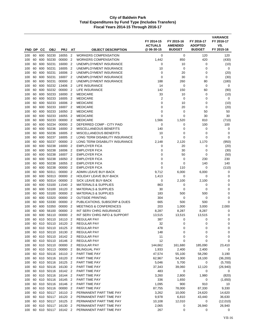| FND DP     |          | CС         | <b>OBJ</b>             | <b>PRJ</b>     | AT                               | <b>OBJECT DESCRIPTION</b>                                  | FY 2014-15<br><b>ACTUALS</b><br>@ 06-30-15 | FY 2015-16<br><b>AMENDED</b><br><b>BUDGET</b> | FY 2016-17<br><b>ADOPTED</b><br><b>BUDGET</b> | <b>VARIANCE</b><br>FY 2016-17<br>VS.<br>FY 2015-16 |
|------------|----------|------------|------------------------|----------------|----------------------------------|------------------------------------------------------------|--------------------------------------------|-----------------------------------------------|-----------------------------------------------|----------------------------------------------------|
|            |          |            |                        |                |                                  |                                                            |                                            |                                               |                                               |                                                    |
| 100        | 60       | 600        | 50230                  | 16055          | $\overline{2}$<br>$\overline{2}$ | <b>WORKERS COMPENSATION</b><br><b>WORKERS COMPENSATION</b> | 0<br>1,442                                 | 0<br>850                                      | 120<br>420                                    | 120                                                |
| 100        | 60<br>60 | 600<br>600 | 50230<br>50231         | 00000<br>16000 | $\overline{2}$                   | UNEMPLOYMENT INSURANCE                                     | 0                                          |                                               | 0                                             | (430)                                              |
| 100        | 60       | 600        | 50231                  | 16005          | $\overline{2}$                   | UNEMPLOYMENT INSURANCE                                     | 10                                         | 10<br>0                                       | 0                                             | (10)<br>0                                          |
| 100<br>100 | 60       | 600        | 50231                  | 16006          | $\overline{2}$                   | UNEMPLOYMENT INSURANCE                                     | $\mathbf 0$                                | 20                                            | 0                                             | (20)                                               |
| 100        | 60       | 600        | 50231                  | 16007          | $\overline{2}$                   | UNEMPLOYMENT INSURANCE                                     | 0                                          | 30                                            | 0                                             | (30)                                               |
| 100        | 60       | 600        | 50231                  | 00000          | $\overline{2}$                   | UNEMPLOYMENT INSURANCE                                     | 188                                        | 260                                           | 80                                            | (180)                                              |
| 100        | 60       | 600        | 50232                  | 13406          | $\overline{2}$                   | <b>LIFE INSURANCE</b>                                      | 14                                         | 0                                             | 0                                             | 0                                                  |
| 100        | 60       | 600        | 50232                  | 00000          | $\overline{2}$                   | LIFE INSURANCE                                             | 142                                        | 150                                           | 60                                            | (90)                                               |
| 100        | 60       | 600        | 50233                  | 16000          | $\overline{2}$                   | <b>MEDICARE</b>                                            | 33                                         | 10                                            | 0                                             | (10)                                               |
| 100        | 60       | 600        | 50233                  | 16005          | $\overline{2}$                   | <b>MEDICARE</b>                                            | $\overline{2}$                             | 0                                             | 0                                             | 0                                                  |
| 100        | 60       | 600        | 50233                  | 16006          | $\overline{2}$                   | <b>MEDICARE</b>                                            | 0                                          | 10                                            | 0                                             | (10)                                               |
| 100        | 60       | 600        | 50233                  | 16007          | $\overline{2}$                   | <b>MEDICARE</b>                                            | 0                                          | 20                                            | 0                                             | (20)                                               |
| 100        | 60       | 600        | 50233                  | 16050          | $\overline{2}$                   | <b>MEDICARE</b>                                            | 0                                          | 0                                             | 50                                            | 50                                                 |
| 100        | 60       | 600        | 50233                  | 16055          | $\overline{2}$                   | <b>MEDICARE</b>                                            | 0                                          | 0                                             | 30                                            | 30                                                 |
| 100        | 60       | 600        | 50233                  | 00000          | $\overline{2}$                   | <b>MEDICARE</b>                                            | 1,566                                      | 1,520                                         | 810                                           | (710)                                              |
| 100        | 60       | 600        | 50234                  | 00000          | $\overline{2}$                   | DEFERRED COMP - CITY PAID                                  | 0                                          | 0                                             | 100                                           | 100                                                |
| 100        | 60       | 600        | 50236                  | 16000          | $\overline{2}$                   | <b>MISCELLANEOUS BENEFITS</b>                              | 140                                        | 0                                             | 0                                             | 0                                                  |
| 100        | 60       | 600        | 50236                  | 16005          | $\overline{2}$                   | <b>MISCELLANEOUS BENEFITS</b>                              | 10                                         | 0                                             | 0                                             | $\mathbf 0$                                        |
| 100        | 60       | 600        | 50237                  | 16005          | $\overline{2}$                   | LONG TERM DISABILITY INSURANCE                             | 3                                          | 0                                             | 0                                             | $\mathbf 0$                                        |
| 100        | 60       | 600        | 50237                  | 00000          | $\overline{2}$                   | LONG TERM DISABILITY INSURANCE                             | 2.148                                      | 2,120                                         | 1,170                                         | (950)                                              |
| 100        | 60       | 600        | 50238                  | 16000          | $\overline{2}$                   | <b>EMPLOYER FICA</b>                                       | 0                                          | 20                                            | 0                                             | (20)                                               |
| 100        | 60       | 600        | 50238                  | 16006          | $\overline{2}$                   | <b>EMPLOYER FICA</b>                                       | 0                                          | 30                                            | 0                                             | (30)                                               |
| 100        | 60       | 600        | 50238                  | 16007          | $\overline{2}$                   | <b>EMPLOYER FICA</b>                                       | 0                                          | 50                                            | 0                                             | (50)                                               |
| 100        | 60       | 600        | 50238                  | 16050          | $\overline{2}$                   | <b>EMPLOYER FICA</b>                                       | 0                                          | 0                                             | 230                                           | 230                                                |
| 100        | 60       | 600        | 50238                  | 16055          | $\overline{2}$                   | <b>EMPLOYER FICA</b>                                       | 0                                          | 0                                             | 140                                           | 140                                                |
| 100        | 60       | 600        | 50238                  | 00000          | $\overline{2}$                   | <b>EMPLOYER FICA</b>                                       | 0                                          | 110                                           | 0                                             | (110)                                              |
| 100        | 60       | 600        | 50311                  | 00000          | 2                                | ADMIN LEAVE BUY-BACK                                       | 9,712                                      | 6,000                                         | 6,000                                         | 0                                                  |
| 100        | 60       | 600<br>600 | 50313<br>50314         | 00000          | $\overline{2}$<br>$\overline{2}$ | <b>HOLIDAY LEAVE BUY-BACK</b><br>SICK LEAVE BUY-BACK       | 1,413<br>0                                 | $\mathbf 0$<br>2,100                          | 0<br>2,100                                    | 0<br>0                                             |
| 100<br>100 | 60<br>60 | 600        | 53100                  | 00000<br>11540 | 2                                | <b>MATERIALS &amp; SUPPLIES</b>                            | 863                                        | 0                                             | 0                                             | 0                                                  |
| 100        | 60       | 600        | 53100                  | 16120          | $\overline{2}$                   | <b>MATERIALS &amp; SUPPLIES</b>                            | 30                                         | 0                                             | 0                                             | $\mathbf 0$                                        |
| 100        | 60       | 600        | 53100                  | 00000          | $\overline{2}$                   | <b>MATERIALS &amp; SUPPLIES</b>                            | 183                                        | 500                                           | 500                                           | 0                                                  |
| 100        | 60       | 600        | 53320                  | 00000          | $\overline{2}$                   | <b>OUTSIDE PRINTING</b>                                    | 304                                        | 0                                             | 0                                             | 0                                                  |
| 100        | 60       | 600        | 53330                  | 00000          | 2                                | PUBLICATIONS, SUBSCRIP & DUES                              | 665                                        | 500                                           | 500                                           | $\mathbf 0$                                        |
| 100        | 60       | 600        | 53350                  | 00000          | $\overline{2}$                   | <b>MEETINGS &amp; CONFERENCES</b>                          | 203                                        | 1,000                                         | 3,000                                         | 2,000                                              |
| 100        | 60       | 600        | 56100                  | 00000          | $\overline{2}$                   | INT SERV CHRG INSURANCE                                    | 8,287                                      | 8,287                                         | 8,287                                         | 0                                                  |
| 100        | 60       | 600        | 56110                  | 00000          | 2                                | INT SERV CHRG INFO & SUPPORT                               | 13,515                                     | 13,515                                        | 13,515                                        | 0                                                  |
| 100        | 60       | 610        | 50110                  | 16110          | $\overline{2}$                   | <b>REGULAR PAY</b>                                         | 387                                        | 0                                             | 0                                             | $\mathbf 0$                                        |
| 100        | 60       |            | 610 50110              | 16120          | $\overline{2}$                   | <b>REGULAR PAY</b>                                         | 32                                         | 0                                             | 0                                             | 0                                                  |
| 100        | 60       |            | 610 50110              | 16125          | $\overline{2}$                   | REGULAR PAY                                                | 478                                        | 0                                             | 0                                             | $\mathbf 0$                                        |
| 100        |          |            | 60 610 50110           | 16130          | $\overline{2}$                   | <b>REGULAR PAY</b>                                         | 148                                        | 0                                             | 0                                             | $\mathbf 0$                                        |
| 100        | 60       |            | 610 50110              | 16142 2        |                                  | <b>REGULAR PAY</b>                                         | 11                                         | 0                                             | 0                                             | 0                                                  |
| 100        |          |            | 60 610 50110           | 16146 2        |                                  | <b>REGULAR PAY</b>                                         | 12                                         | 0                                             | 0                                             | 0                                                  |
| 100        | 60       |            | 610 50110              | 00000          | $\overline{2}$                   | <b>REGULAR PAY</b>                                         | 144,662                                    | 161,680                                       | 185,090                                       | 23,410                                             |
| 100        | 60       |            | 610 50113              | 00000          | $\overline{2}$                   | <b>BILINGUAL PAY</b>                                       | 1,933                                      | 2,400                                         | 2,400                                         | 0                                                  |
| 100        | 60       |            | 610 50116              | 16110 2        |                                  | PART TIME PAY                                              | 47,574                                     | 55,100                                        | 58,290                                        | 3,190                                              |
| 100        | 60       |            | 610 50116              | 16120          | $\overline{2}$                   | PART TIME PAY                                              | 62,967                                     | 54,300                                        | 18,100                                        | (36, 200)                                          |
| 100        | 60       |            | 610 50116              | 16125          | $\overline{2}$                   | PART TIME PAY                                              | 5,046                                      | 5,700                                         | 0                                             | (5,700)                                            |
| 100        | 60       |            | 610 50116              | 16130          | $\overline{2}$                   | PART TIME PAY                                              | 37,343                                     | 39,060                                        | 12,120                                        | (26, 940)                                          |
| 100        |          |            | 60 610 50116           | 16142 2        |                                  | PART TIME PAY                                              | 483                                        | 0                                             | 0                                             | 0                                                  |
| 100        | 60<br>60 |            | 610 50116<br>610 50116 | 16144<br>16145 | $\overline{2}$<br>$\overline{2}$ | PART TIME PAY<br>PART TIME PAY                             | 3,260<br>336                               | 2,800                                         | 1,980                                         | (820)                                              |
| 100        | 60       |            | 610 50116              | 16146 2        |                                  | PART TIME PAY                                              |                                            | 1,650<br>900                                  | 0                                             | (1,650)                                            |
| 100<br>100 |          |            | 60 610 50116           | 00000 2        |                                  | PART TIME PAY                                              | 1,095<br>87,755                            | 78,000                                        | 910<br>87,330                                 | 10<br>9,330                                        |
| 100        | 60       |            | 610 50117              | 16110          | $\overline{2}$                   | PERMANENT PART TIME PAY                                    | 3,262                                      | 10,000                                        | 24,620                                        | 14,620                                             |
| 100        | 60       |            | 610 50117              | 16120          | $\overline{2}$                   | PERMANENT PART TIME PAY                                    | 9,978                                      | 6,810                                         | 43,440                                        | 36,630                                             |
| 100        | 60       |            | 610 50117              | 16125          | $\overline{2}$                   | PERMANENT PART TIME PAY                                    | 10,108                                     | 12,010                                        | 0                                             | (12,010)                                           |
| 100        | 60       |            | 610 50117              | 16130          | $\overline{2}$                   | PERMANENT PART TIME PAY                                    | 2,065                                      | 0                                             | 26,940                                        | 26,940                                             |
| 100        |          |            | 60 610 50117           | 16142 2        |                                  | PERMANENT PART TIME PAY                                    | 267                                        | 0                                             | 0                                             | 0                                                  |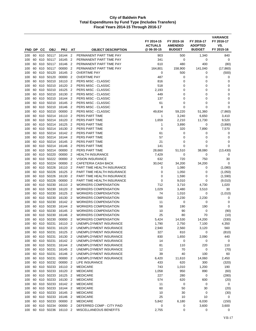| FND DP     |          | CС         | <b>OBJ</b>                | <b>PRJ</b>         | AT                               | <b>OBJECT DESCRIPTION</b>                                | FY 2014-15<br><b>ACTUALS</b><br>@ 06-30-15 | FY 2015-16<br><b>AMENDED</b><br><b>BUDGET</b> | FY 2016-17<br><b>ADOPTED</b><br><b>BUDGET</b> | <b>VARIANCE</b><br>FY 2016-17<br>VS.<br>FY 2015-16 |
|------------|----------|------------|---------------------------|--------------------|----------------------------------|----------------------------------------------------------|--------------------------------------------|-----------------------------------------------|-----------------------------------------------|----------------------------------------------------|
|            |          |            |                           |                    |                                  |                                                          |                                            |                                               |                                               |                                                    |
| 100<br>100 | 60<br>60 | 610<br>610 | 50117<br>50117            | 16144<br>16145     | $\overline{2}$<br>$\overline{2}$ | PERMANENT PART TIME PAY<br>PERMANENT PART TIME PAY       | 903<br>341                                 | 500<br>0                                      | 1,340<br>0                                    | 840<br>0                                           |
| 100        | 60       | 610        | 50117                     | 16146              | $\overline{2}$                   | PERMANENT PART TIME PAY                                  | 610                                        | 480                                           | 400                                           | (80)                                               |
| 100        | 60       | 610        | 50117                     | 00000              | $\overline{2}$                   | PERMANENT PART TIME PAY                                  | 164,801                                    | 158,900                                       | 141,040                                       | (17, 860)                                          |
| 100        | 60       | 610        | 50120                     | 16145              | $\overline{2}$                   | <b>OVERTIME PAY</b>                                      | 0                                          | 500                                           | 0                                             | (500)                                              |
| 100        | 60       | 610        | 50120                     | 00000              | $\overline{2}$                   | <b>OVERTIME PAY</b>                                      | 487                                        | 0                                             | 0                                             | 0                                                  |
| 100        | 60       | 610        | 50210                     | 16110              | $\overline{2}$                   | <b>PERS MISC - CLASSIC</b>                               | 816                                        | 0                                             | 0                                             | 0                                                  |
| 100        | 60       | 610        | 50210                     | 16120              | $\overline{2}$                   | PERS MISC - CLASSIC                                      | 518                                        | 0                                             | 0                                             | 0                                                  |
| 100        | 60       | 610        | 50210                     | 16125              | $\overline{2}$                   | PERS MISC - CLASSIC                                      | 2,193                                      | 0                                             | 0                                             | $\mathbf 0$                                        |
| 100        | 60       | 610        | 50210                     | 16130              | $\overline{2}$                   | PERS MISC - CLASSIC                                      | 449                                        | 0                                             | 0                                             | 0                                                  |
| 100        | 60       | 610        | 50210                     | 16144              | $\overline{2}$                   | PERS MISC - CLASSIC                                      | 137                                        | 0                                             | 0                                             | 0                                                  |
| 100        | 60       | 610        | 50210                     | 16145              | $\overline{2}$                   | PERS MISC - CLASSIC                                      | 61                                         | $\mathbf 0$                                   | $\mathbf 0$                                   | 0                                                  |
| 100        | 60       | 610        | 50210                     | 16146              | $\overline{2}$                   | PERS MISC - CLASSIC                                      | 8                                          | 0                                             | $\mathbf 0$                                   | 0                                                  |
| 100        | 60       | 610        | 50210<br>50214            | 00000              | $\overline{2}$<br>$\overline{2}$ | PERS MISC - CLASSIC<br>PERS PART TIME                    | 49,834                                     | 59,220                                        | 51,360                                        | (7,860)                                            |
| 100<br>100 | 60<br>60 | 610<br>610 | 50214                     | 16110<br>16120     | $\overline{2}$                   | PERS PART TIME                                           | 1<br>1,659                                 | 3,240<br>2,210                                | 6,650<br>11,730                               | 3,410<br>9,520                                     |
| 100        | 60       | 610        | 50214                     | 16125              | $\overline{2}$                   | PERS PART TIME                                           | 1                                          | 3,890                                         | 0                                             | (3,890)                                            |
| 100        | 60       | 610        | 50214                     | 16130              | $\overline{2}$                   | PERS PART TIME                                           | $\mathbf 0$                                | 320                                           | 7,890                                         | 7,570                                              |
| 100        | 60       | 610        | 50214                     | 16142              | $\overline{2}$                   | PERS PART TIME                                           | 61                                         | 0                                             | 0                                             | 0                                                  |
| 100        | 60       | 610        | 50214                     | 16144              | $\overline{2}$                   | PERS PART TIME                                           | 57                                         | 0                                             | 0                                             | 0                                                  |
| 100        | 60       | 610        | 50214                     | 16145              | $\overline{2}$                   | PERS PART TIME                                           | 21                                         | 0                                             | 0                                             | 0                                                  |
| 100        | 60       | 610        | 50214                     | 16146              | $\overline{2}$                   | PERS PART TIME                                           | 141                                        | 0                                             | 0                                             | 0                                                  |
| 100        | 60       | 610        | 50214                     | 00000              | $\overline{2}$                   | PERS PART TIME                                           | 28,660                                     | 51,510                                        | 38,080                                        | (13, 430)                                          |
| 100        | 60       | 610        | 50220                     | 00000              | $\overline{2}$                   | <b>HEALTH INSURANCE</b>                                  | 7,429                                      | 0                                             | 0                                             | 0                                                  |
| 100        | 60       | 610        | 50222                     | 00000              | $\overline{2}$                   | <b>VISION INSURANCE</b>                                  | 632                                        | 720                                           | 750                                           | 30                                                 |
| 100        | 60       | 610        | 50224                     | 00000              | $\overline{2}$                   | CAFETERIA CASH BACK                                      | 30,042                                     | 34,200                                        | 34,200                                        | 0                                                  |
| 100        | 60       | 610        | 50226                     | 16110              | $\overline{2}$                   | PART TIME HEALTH INSURANCE                               | 0                                          | 1,080                                         | 0                                             | (1,080)                                            |
| 100        | 60       | 610        | 50226                     | 16125              | $\overline{2}$                   | PART TIME HEALTH INSURANCE                               | 0                                          | 1,050                                         | 0                                             | (1,050)                                            |
| 100<br>100 | 60<br>60 | 610<br>610 | 50226<br>50226            | 16130<br>00000     | $\overline{2}$<br>$\overline{2}$ | PART TIME HEALTH INSURANCE<br>PART TIME HEALTH INSURANCE | 0<br>0                                     | 1,590<br>9,010                                | 0<br>0                                        | (1,590)                                            |
| 100        | 60       | 610        | 50230                     | 16110              | $\overline{2}$                   | <b>WORKERS COMPENSATION</b>                              | 712                                        | 3,710                                         | 4,730                                         | (9,010)<br>1,020                                   |
| 100        | 60       | 610        | 50230                     | 16120              | $\overline{2}$                   | <b>WORKERS COMPENSATION</b>                              | 1,029                                      | 3,480                                         | 3,510                                         | 30                                                 |
| 100        | 60       | 610        | 50230                     | 16125              | $\overline{2}$                   | <b>WORKERS COMPENSATION</b>                              | 74                                         | 1,010                                         | 0                                             | (1,010)                                            |
| 100        | 60       | 610        | 50230                     | 16130              | $\overline{2}$                   | <b>WORKERS COMPENSATION</b>                              | 560                                        | 2,230                                         | 2,230                                         | 0                                                  |
| 100        | 60       | 610        | 50230                     | 16142              | $\overline{2}$                   | <b>WORKERS COMPENSATION</b>                              | 11                                         | 0                                             | 0                                             | 0                                                  |
| 100        | 60       | 610        | 50230                     | 16144              | $\overline{2}$                   | <b>WORKERS COMPENSATION</b>                              | 58                                         | 190                                           | 190                                           | 0                                                  |
| 100        | 60       | 610        | 50230                     | 16145              | $\overline{2}$                   | <b>WORKERS COMPENSATION</b>                              | 10                                         | 90                                            | 0                                             | (90)                                               |
| 100        | 60       | 610        | 50230                     | 16146              | $\overline{2}$                   | <b>WORKERS COMPENSATION</b>                              | 25                                         | 80                                            | 70                                            | (10)                                               |
| 100        | 60       | 610        | 50230                     | 00000              | $\overline{2}$                   | <b>WORKERS COMPENSATION</b>                              | 5,424                                      | 14,530                                        | 14,200                                        | (330)                                              |
| 100        |          |            | 60 610 50231              | 16110 2            |                                  | UNEMPLOYMENT INSURANCE                                   | 1,790                                      | 2,750                                         | 7,100                                         | 4,350                                              |
| 100        |          |            | 60 610 50231              | 16120 2            |                                  | UNEMPLOYMENT INSURANCE                                   | 2,940                                      | 2,560                                         | 3,120                                         | 560                                                |
| 100        | 60       | 610        | 60 610 50231<br>50231     | 16125 2<br>16130 2 |                                  | UNEMPLOYMENT INSURANCE                                   | 327                                        | 810                                           | 0<br>2,090                                    | (810)<br>440                                       |
| 100<br>100 |          |            | 60 610 50231              | 16142 2            |                                  | UNEMPLOYMENT INSURANCE<br>UNEMPLOYMENT INSURANCE         | 830<br>14                                  | 1,650<br>0                                    | 0                                             | 0                                                  |
| 100        |          |            | 60 610 50231              | 16144 2            |                                  | UNEMPLOYMENT INSURANCE                                   | 81                                         | 110                                           | 220                                           | 110                                                |
| 100        |          |            | 60 610 50231              | 16145 2            |                                  | UNEMPLOYMENT INSURANCE                                   | 12                                         | 70                                            | 0                                             | (70)                                               |
| 100        |          |            | 60 610 50231              | 16146 2            |                                  | UNEMPLOYMENT INSURANCE                                   | 39                                         | 40                                            | 100                                           | 60                                                 |
| 100        |          |            | 60 610 50231              | 00000 2            |                                  | UNEMPLOYMENT INSURANCE                                   | 6,420                                      | 11,610                                        | 14,060                                        | 2,450                                              |
| 100        |          |            | 60 610 50232              | 00000              | $\overline{2}$                   | LIFE INSURANCE                                           | 433                                        | 620                                           | 300                                           | (320)                                              |
| 100        | 60       | 610        | 50233                     | 16110 2            |                                  | <b>MEDICARE</b>                                          | 743                                        | 1,010                                         | 1,200                                         | 190                                                |
| 100        |          |            | 60 610 50233              | 16120 2            |                                  | <b>MEDICARE</b>                                          | 1,058                                      | 950                                           | 890                                           | (60)                                               |
| 100        | 60       |            | 610 50233                 | 16125 2            |                                  | <b>MEDICARE</b>                                          | 227                                        | 280                                           | 0                                             | (280)                                              |
| 100        | 60       |            | 610 50233                 | 16130 2            |                                  | <b>MEDICARE</b>                                          | 574                                        | 620                                           | 600                                           | (20)                                               |
| 100        | 60       |            | 610 50233                 | 16142 2            |                                  | <b>MEDICARE</b>                                          | 11                                         | $\mathbf 0$                                   | 0                                             | 0                                                  |
| 100        |          |            | 60 610 50233              | 16144 2            |                                  | <b>MEDICARE</b>                                          | 60                                         | 50                                            | 30                                            | (20)                                               |
| 100        |          |            | 60 610 50233              | 16145 2            |                                  | <b>MEDICARE</b>                                          | 10                                         | 30                                            | 0                                             | (30)                                               |
| 100        | 60       |            | 610 50233<br>60 610 50233 | 16146 2<br>00000 2 |                                  | <b>MEDICARE</b>                                          | 25                                         | 10                                            | 10                                            | 0                                                  |
| 100<br>100 | 60       |            | 610 50234                 | 00000              | $\overline{2}$                   | <b>MEDICARE</b><br>DEFERRED COMP - CITY PAID             | 5,842<br>0                                 | 6,180<br>0                                    | 6,030<br>3,600                                | (150)<br>3,600                                     |
| 100        |          |            | 60 610 50236              | 16110 2            |                                  | MISCELLANEOUS BENEFITS                                   | 2,755                                      | 0                                             | 0                                             | 0                                                  |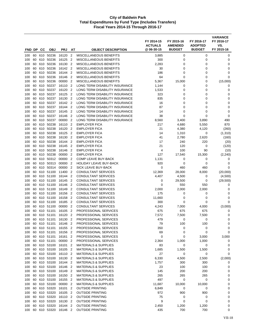|            |          |            |                              |                |                                            |                                                    | FY 2014-15<br><b>ACTUALS</b><br>@06-30-15 | FY 2015-16<br><b>AMENDED</b><br><b>BUDGET</b> | FY 2016-17<br><b>ADOPTED</b><br><b>BUDGET</b> | <b>VARIANCE</b><br>FY 2016-17<br>VS.<br>FY 2015-16 |
|------------|----------|------------|------------------------------|----------------|--------------------------------------------|----------------------------------------------------|-------------------------------------------|-----------------------------------------------|-----------------------------------------------|----------------------------------------------------|
| FND DP     |          | CС         | <b>OBJ</b>                   | <b>PRJ</b>     | AT                                         | <b>OBJECT DESCRIPTION</b>                          |                                           |                                               |                                               |                                                    |
| 100        | 60       | 610        | 50236                        | 16120          | $\overline{2}$                             | MISCELLANEOUS BENEFITS                             | 3,885                                     | 0                                             | 0                                             | 0                                                  |
| 100        | 60       | 610        | 50236                        | 16125          | $\overline{2}$                             | MISCELLANEOUS BENEFITS                             | 300                                       | 0                                             | 0                                             | 0                                                  |
| 100        | 60       | 610        | 50236                        | 16130          | $\overline{2}$<br>$\overline{2}$           | <b>MISCELLANEOUS BENEFITS</b>                      | 2,283                                     | 0                                             | 0                                             | 0                                                  |
| 100<br>100 | 60<br>60 | 610<br>610 | 50236<br>50236               | 16142<br>16144 | $\overline{2}$                             | MISCELLANEOUS BENEFITS<br>MISCELLANEOUS BENEFITS   | 30<br>186                                 | 0<br>$\mathbf 0$                              | 0<br>0                                        | 0<br>$\mathbf 0$                                   |
| 100        | 60       | 610        | 50236                        | 16146          | $\overline{2}$                             | <b>MISCELLANEOUS BENEFITS</b>                      | 64                                        | $\mathbf 0$                                   | 0                                             | 0                                                  |
| 100        | 60       | 610        | 50236                        | 00000          | $\overline{2}$                             | MISCELLANEOUS BENEFITS                             | 5,367                                     | 15,000                                        | 0                                             | (15,000)                                           |
| 100        | 60       | 610        | 50237                        | 16110          | $\overline{2}$                             | LONG TERM DISABILITY INSURANCE                     | 1,144                                     | 0                                             | 0                                             | 0                                                  |
| 100        | 60       | 610        | 50237                        | 16120          | $\overline{2}$                             | LONG TERM DISABILITY INSURANCE                     | 1,533                                     | 0                                             | 0                                             | $\mathbf 0$                                        |
| 100        | 60       | 610        | 50237                        | 16125          | $\overline{2}$                             | LONG TERM DISABILITY INSURANCE                     | 323                                       | 0                                             | 0                                             | $\mathbf 0$                                        |
| 100        | 60       | 610        | 50237                        | 16130          | $\overline{2}$                             | LONG TERM DISABILITY INSURANCE                     | 835                                       | 0                                             | 0                                             | 0                                                  |
| 100        | 60       | 610        | 50237                        | 16142          | $\overline{2}$                             | LONG TERM DISABILITY INSURANCE                     | 16                                        | $\mathbf 0$                                   | 0                                             | $\mathbf 0$                                        |
| 100        | 60       | 610        | 50237                        | 16144          | $\overline{2}$                             | LONG TERM DISABILITY INSURANCE                     | 87                                        | 0                                             | 0                                             | 0                                                  |
| 100        | 60       | 610        | 50237                        | 16145          | $\overline{2}$                             | LONG TERM DISABILITY INSURANCE                     | 14                                        | 0                                             | 0                                             | 0                                                  |
| 100        | 60       | 610        | 50237                        | 16146          | $\overline{2}$                             | LONG TERM DISABILITY INSURANCE                     | 38                                        | 0                                             | 0                                             | 0                                                  |
| 100        | 60       | 610        | 50237                        | 00000          | $\overline{2}$                             | LONG TERM DISABILITY INSURANCE                     | 8,560                                     | 3,400                                         | 3,890                                         | 490                                                |
| 100        | 60       | 610        | 50238                        | 16110          | $\overline{2}$                             | <b>EMPLOYER FICA</b>                               | 217                                       | 4,680                                         | 5,550                                         | 870                                                |
| 100        | 60       | 610        | 50238                        | 16120          | $\overline{2}$                             | <b>EMPLOYER FICA</b>                               | 21                                        | 4,380                                         | 4,120                                         | (260)                                              |
| 100        | 60       | 610        | 50238                        | 16125          | $\overline{2}$                             | <b>EMPLOYER FICA</b>                               | 14                                        | 1,310                                         | 0                                             | (1, 310)                                           |
| 100        | 60       | 610        | 50238                        | 16130          | $\overline{2}$                             | <b>EMPLOYER FICA</b>                               | 41                                        | 2,780                                         | 2,620                                         | (160)                                              |
| 100        | 60       | 610        | 50238                        | 16144          | $\overline{2}$                             | <b>EMPLOYER FICA</b>                               | 17                                        | 240                                           | 220                                           | (20)                                               |
| 100        | 60<br>60 | 610<br>610 | 50238<br>50238               | 16145<br>16146 | $\overline{2}$<br>$\overline{2}$           | <b>EMPLOYER FICA</b><br><b>EMPLOYER FICA</b>       | 21<br>4                                   | 120<br>100                                    | 0<br>90                                       | (120)                                              |
| 100<br>100 | 60       | 610        | 50238                        | 00000          | $\overline{2}$                             | <b>EMPLOYER FICA</b>                               | 127                                       | 17,540                                        | 15,300                                        | (10)<br>(2, 240)                                   |
| 100        | 60       | 610        | 50312                        | 00000          | $\overline{2}$                             | COMP LEAVE BUY-BACK                                | 1,131                                     | 0                                             | 0                                             | 0                                                  |
| 100        | 60       | 610        | 50313                        | 00000          | $\overline{2}$                             | <b>HOLIDAY LEAVE BUY-BACK</b>                      | 920                                       | 0                                             | 0                                             | 0                                                  |
| 100        | 60       | 610        | 50314                        | 00000          | $\overline{2}$                             | SICK LEAVE BUY-BACK                                | 0                                         | 460                                           | 460                                           | 0                                                  |
| 100        | 60       | 610        | 51100                        | 11400          | $\overline{2}$                             | <b>CONSULTANT SERVICES</b>                         | 12,369                                    | 28,000                                        | 8,000                                         | (20,000)                                           |
| 100        | 60       | 610        | 51100                        | 16144          | $\overline{2}$                             | <b>CONSULTANT SERVICES</b>                         | 4,407                                     | 4,500                                         | 0                                             | (4,500)                                            |
| 100        | 60       | 610        | 51100                        | 16145          | $\overline{2}$                             | <b>CONSULTANT SERVICES</b>                         | 0                                         | 29,500                                        | 0                                             | (29, 500)                                          |
| 100        | 60       | 610        | 51100                        | 16146          | $\overline{2}$                             | <b>CONSULTANT SERVICES</b>                         | $\mathbf 0$                               | 550                                           | 550                                           | 0                                                  |
| 100        | 60       | 610        | 51100                        | 16149          | $\overline{2}$                             | <b>CONSULTANT SERVICES</b>                         | 2,000                                     | 2,000                                         | 2,000                                         | 0                                                  |
| 100        | 60       | 610        | 51100                        | 16156          | $\overline{2}$                             | <b>CONSULTANT SERVICES</b>                         | 175                                       | 0                                             | 0                                             | 0                                                  |
| 100        | 60       | 610        | 51100                        | 16158          | $\overline{2}$                             | <b>CONSULTANT SERVICES</b>                         | 11,660                                    | 0                                             | 0                                             | 0                                                  |
| 100        | 60       | 610        | 51100                        | 16185          | $\overline{2}$                             | <b>CONSULTANT SERVICES</b>                         | 300                                       | 0                                             | 0                                             | 0                                                  |
| 100        | 60       | 610        | 51100                        | 00000          | $\overline{2}$                             | <b>CONSULTANT SERVICES</b>                         | 4,243                                     | 7,000                                         | 4,000                                         | (3,000)                                            |
| 100        | 60       | 610        | 51101                        | 16105          | $\overline{2}$                             | <b>PROFESSIONAL SERVICES</b>                       | 675                                       | 675                                           | 675                                           | 0                                                  |
| 100        | 60       | 610        | 51101                        | 16120          | 2                                          | PROFESSIONAL SERVICES                              | 7,572                                     | 7,500                                         | 7,500                                         | 0                                                  |
| 100        | 60       | 610        | 51101                        | 16130          | $\overline{2}$                             | PROFESSIONAL SERVICES                              | 479                                       | 0                                             | $\mathbf 0$                                   | 0                                                  |
| 100<br>100 |          |            | 60 610 51101<br>60 610 51101 | 16146<br>16155 | $\overline{\phantom{a}}$<br>$\overline{c}$ | PROFESSIONAL SERVICES<br>PROFESSIONAL SERVICES     | 79<br>350                                 | 100<br>0                                      | 100<br>0                                      | 0<br>0                                             |
| 100        |          |            | 60 610 51101                 | 16156          | $\overline{2}$                             | PROFESSIONAL SERVICES                              | 69                                        | 0                                             | $\mathbf 0$                                   | 0                                                  |
| 100        | 60       |            | 610 51101                    | 16161          | $\overline{2}$                             | PROFESSIONAL SERVICES                              | $\mathbf 0$                               | 0                                             | 3,000                                         | 3,000                                              |
| 100        |          |            | 60 610 51101                 | 00000 2        |                                            | PROFESSIONAL SERVICES                              | 2,364                                     | 1,000                                         | 1,000                                         | 0                                                  |
| 100        | 60       |            | 610 53100                    | 16101          | $\overline{2}$                             | <b>MATERIALS &amp; SUPPLIES</b>                    | 83                                        | $\mathbf 0$                                   | $\pmb{0}$                                     | $\pmb{0}$                                          |
| 100        |          |            | 60 610 53100                 | 16105          | $\overline{2}$                             | <b>MATERIALS &amp; SUPPLIES</b>                    | 1,685                                     | 1,500                                         | 1,500                                         | 0                                                  |
| 100        | 60       |            | 610 53100                    | 16110 2        |                                            | <b>MATERIALS &amp; SUPPLIES</b>                    | 27                                        | 0                                             | 0                                             | 0                                                  |
| 100        |          |            | 60 610 53100                 | 16130 2        |                                            | <b>MATERIALS &amp; SUPPLIES</b>                    | 6,330                                     | 4,500                                         | 2,500                                         | (2,000)                                            |
| 100        |          |            | 60 610 53100                 | 16144 2        |                                            | <b>MATERIALS &amp; SUPPLIES</b>                    | 1,757                                     | 300                                           | 300                                           | 0                                                  |
| 100        | 60       |            | 610 53100                    | 16146 2        |                                            | <b>MATERIALS &amp; SUPPLIES</b>                    | 23                                        | 100                                           | 100                                           | 0                                                  |
| 100        |          |            | 60 610 53100                 | 16149 2        |                                            | <b>MATERIALS &amp; SUPPLIES</b>                    | 145                                       | 200                                           | 200                                           | 0                                                  |
| 100        | 60       |            | 610 53100                    | 16150 2        |                                            | <b>MATERIALS &amp; SUPPLIES</b>                    | 265                                       | 265                                           | 265                                           | $\pmb{0}$                                          |
| 100        | 60       |            | 610 53100                    | 16155          | $\overline{2}$                             | <b>MATERIALS &amp; SUPPLIES</b>                    | 497                                       | $\mathbf 0$                                   | $\pmb{0}$                                     | 0                                                  |
| 100        | 60       |            | 610 53100                    | 00000          | $\overline{2}$                             | <b>MATERIALS &amp; SUPPLIES</b>                    | 11,687                                    | 10,000                                        | 10,000                                        | 0                                                  |
| 100        |          |            | 60 610 53320                 | 16101 2        |                                            | <b>OUTSIDE PRINTING</b>                            | 6,849                                     | 0                                             | 0                                             | 0                                                  |
| 100        | 60       |            | 610 53320                    | 16105          | $\overline{2}$                             | <b>OUTSIDE PRINTING</b>                            | 972                                       | 900                                           | 900                                           | 0                                                  |
| 100        | 60       |            | 60 610 53320<br>610 53320    | 16110          | $\overline{2}$<br>$\overline{2}$           | <b>OUTSIDE PRINTING</b>                            | 75<br>9                                   | 0<br>0                                        | 0<br>0                                        | 0                                                  |
| 100<br>100 | 60       |            | 610 53320                    | 16130<br>16144 | $\overline{2}$                             | <b>OUTSIDE PRINTING</b><br><b>OUTSIDE PRINTING</b> | 2,450                                     | 1,200                                         | 1,200                                         | 0<br>0                                             |
| 100        |          |            | 60 610 53320                 | 16146 2        |                                            | <b>OUTSIDE PRINTING</b>                            | 435                                       | 700                                           | 700                                           | 0                                                  |
|            |          |            |                              |                |                                            |                                                    |                                           |                                               |                                               |                                                    |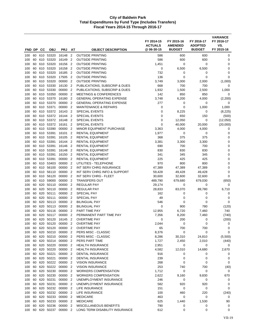|            |          |            |                    |                    |                                  | <b>OBJECT DESCRIPTION</b>                          | FY 2014-15<br><b>ACTUALS</b><br>@ 06-30-15 | FY 2015-16<br><b>AMENDED</b><br><b>BUDGET</b> | FY 2016-17<br><b>ADOPTED</b><br><b>BUDGET</b> | <b>VARIANCE</b><br>FY 2016-17<br>VS.<br>FY 2015-16 |
|------------|----------|------------|--------------------|--------------------|----------------------------------|----------------------------------------------------|--------------------------------------------|-----------------------------------------------|-----------------------------------------------|----------------------------------------------------|
| FND DP     |          | CС         | <b>OBJ</b>         | <b>PRJ</b>         | AT                               |                                                    |                                            |                                               |                                               |                                                    |
| 100        | 60       | 610        | 53320              | 16148              | $\overline{2}$                   | <b>OUTSIDE PRINTING</b>                            | 586                                        | 600                                           | 600                                           | 0                                                  |
| 100        | 60       | 610        | 53320              | 16149              | $\overline{2}$                   | <b>OUTSIDE PRINTING</b>                            | 586                                        | 600                                           | 600                                           | 0                                                  |
| 100<br>100 | 60<br>60 | 610<br>610 | 53320<br>53320     | 16156<br>16158     | $\overline{2}$<br>$\overline{2}$ | <b>OUTSIDE PRINTING</b><br><b>OUTSIDE PRINTING</b> | 1,451<br>0                                 | 0                                             | 0                                             | 0<br>0                                             |
| 100        | 60       | 610        | 53320              | 16185              | $\overline{2}$                   | <b>OUTSIDE PRINTING</b>                            | 732                                        | 6,500<br>0                                    | 6,500<br>0                                    | $\mathbf 0$                                        |
| 100        | 60       | 610        | 53320              | 17505              | $\overline{2}$                   | <b>OUTSIDE PRINTING</b>                            | 136                                        | 0                                             | 0                                             | $\mathbf 0$                                        |
| 100        | 60       | 610        | 53320              | 00000              | $\overline{2}$                   | <b>OUTSIDE PRINTING</b>                            | 3,749                                      | 3,000                                         | 2,000                                         | (1,000)                                            |
| 100        | 60       | 610        | 53330              | 16130              | $\overline{2}$                   | PUBLICATIONS, SUBSCRIP & DUES                      | 668                                        | 700                                           | 700                                           | 0                                                  |
| 100        | 60       | 610        | 53330              | 00000              | $\overline{2}$                   | PUBLICATIONS, SUBSCRIP & DUES                      | 1,932                                      | 1,500                                         | 2,500                                         | 1,000                                              |
| 100        | 60       | 610        | 53350              | 00000              | $\overline{2}$                   | <b>MEETINGS &amp; CONFERENCES</b>                  | 142                                        | 850                                           | 850                                           | 0                                                  |
| 100        | 60       | 610        | 53370              | 16180              | $\overline{2}$                   | <b>GENERAL OPERATING EXPENSE</b>                   | 3,748                                      | 6,200                                         | 4,000                                         | (2,200)                                            |
| 100        | 60       | 610        | 53370              | 00000              | $\overline{2}$                   | <b>GENERAL OPERATING EXPENSE</b>                   | 277                                        | 0                                             | 0                                             | 0                                                  |
| 100        | 60       | 610        | 53371              | 00000              | $\overline{2}$                   | <b>MAINTENANCE &amp; REPAIRS</b>                   | 0                                          | 0                                             | 1,000                                         | 1,000                                              |
| 100        | 60       | 610        | 53372              | 16143              | $\overline{2}$                   | <b>SPECIAL EVENTS</b>                              | 0                                          | 8,225                                         | 0                                             | (8, 225)                                           |
| 100        | 60       | 610        | 53372              | 16144              | $\overline{2}$                   | <b>SPECIAL EVENTS</b>                              | 0                                          | 650                                           | 150                                           | (500)                                              |
| 100        | 60       | 610        | 53372              | 16148              | $\overline{2}$                   | <b>SPECIAL EVENTS</b>                              | 0                                          | 12,050                                        | 0                                             | (12,050)                                           |
| 100        | 60       | 610        | 53372              | 16161              | $\overline{2}$                   | <b>SPECIAL EVENTS</b>                              | 0                                          | 40,000                                        | 20,000                                        | (20,000)                                           |
| 100        | 60       | 610        | 53390              | 00000              | $\overline{2}$                   | <b>MINOR EQUIPMENT PURCHASE</b>                    | 3,363                                      | 4,000                                         | 4,000                                         | 0                                                  |
| 100        | 60       | 610        | 53391<br>53391     | 16101              | $\overline{2}$<br>$\overline{2}$ | <b>RENTAL EQUIPMENT</b>                            | 1,977<br>368                               | 0                                             | 0<br>375                                      | 0                                                  |
| 100<br>100 | 60<br>60 | 610<br>610 | 53391              | 16105<br>16144     | $\overline{2}$                   | <b>RENTAL EQUIPMENT</b><br><b>RENTAL EQUIPMENT</b> | 3,381                                      | 375<br>3,300                                  | 3,300                                         | 0<br>$\mathbf 0$                                   |
| 100        | 60       | 610        | 53391              | 16146              | $\overline{2}$                   | <b>RENTAL EQUIPMENT</b>                            | 690                                        | 700                                           | 700                                           | $\mathbf 0$                                        |
| 100        | 60       | 610        | 53391              | 16148              | $\overline{2}$                   | <b>RENTAL EQUIPMENT</b>                            | 830                                        | 830                                           | 830                                           | $\mathbf 0$                                        |
| 100        | 60       | 610        | 53391              | 16150              | $\overline{2}$                   | <b>RENTAL EQUIPMENT</b>                            | 341                                        | 345                                           | 345                                           | $\mathbf 0$                                        |
| 100        | 60       | 610        | 53391              | 00000              | $\overline{2}$                   | RENTAL EQUIPMENT                                   | 225                                        | 425                                           | 425                                           | 0                                                  |
| 100        | 60       | 610        | 53403              | 00000              | $\overline{2}$                   | UTILITIES - TELEPHONE                              | 970                                        | 800                                           | 800                                           | $\mathbf 0$                                        |
| 100        | 60       | 610        | 56100              | 00000              | $\overline{2}$                   | INT SERV CHRG INSURANCE                            | 47,389                                     | 47,389                                        | 47,389                                        | 0                                                  |
| 100        | 60       | 610        | 56110              | 00000              | $\overline{2}$                   | INT SERV CHRG INFO & SUPPORT                       | 59,428                                     | 49,428                                        | 49,428                                        | 0                                                  |
| 100        | 60       | 610        | 56120              | 00000              | $\overline{2}$                   | INT SERV CHRG - FLEET                              | 30,600                                     | 32,600                                        | 32,600                                        | 0                                                  |
| 100        | 60       | 610        | 59000              | 00000              | $\overline{2}$                   | <b>TRANSFERS OUT</b>                               | 489,790                                    | 679,680                                       | 679,030                                       | (650)                                              |
| 100        | 60       | 620        | 50110              | 00000              | $\overline{2}$                   | <b>REGULAR PAY</b>                                 | 29,174                                     | 0                                             | 0                                             | 0                                                  |
| 100        | 60       | 620        | 50110              | 00000              | $\overline{2}$                   | <b>REGULAR PAY</b>                                 | 28,833                                     | 83,070                                        | 89,780                                        | 6,710                                              |
| 100        | 60       | 620        | 50111              | 00000              | $\overline{2}$                   | <b>SPECIAL PAY</b>                                 | 162                                        | 0                                             | 0                                             | 0                                                  |
| 100        | 60       | 620        | 50111              | 00000              | $\overline{2}$                   | SPECIAL PAY                                        | 49                                         | 0                                             | 0                                             | 0                                                  |
| 100        | 60       | 620        | 50113              | 00000              | $\overline{2}$                   | <b>BILINGUAL PAY</b>                               | 546                                        | 0                                             | 0                                             | $\mathbf 0$                                        |
| 100        | 60       | 620        | 50113              | 00000              | $\overline{2}$                   | <b>BILINGUAL PAY</b>                               | 0                                          | 900                                           | 780                                           | (120)                                              |
| 100        | 60       | 620        | 50116              | 00000              | $\overline{2}$                   | PART TIME PAY                                      | 12,955                                     | 6,720                                         | 7,460                                         | 740                                                |
| 100        | 60       | 620        | 50117              | 00000              | $\overline{2}$                   | PERMANENT PART TIME PAY                            | 7,356                                      | 8,200                                         | 7,460                                         | (740)                                              |
| 100        | 60       | 620        | 50120              | 16145              | $\overline{2}$                   | <b>OVERTIME PAY</b><br><b>OVERTIME PAY</b>         | 0<br>2,044                                 | 200                                           | 0                                             | (200)                                              |
| 100<br>100 | 60<br>60 | 620        | 620 50120<br>50120 | 00000 2<br>00000   | $\overline{\mathbf{2}}$          | <b>OVERTIME PAY</b>                                | 65                                         | 0<br>700                                      | 0<br>700                                      | 0<br>0                                             |
| 100        | 60       | 620        | 50210              | 00000 2            |                                  | PERS MISC - CLASSIC                                | 8,376                                      | 0                                             | 0                                             | $\mathbf 0$                                        |
| 100        | 60       | 620        | 50210              | 00000 2            |                                  | PERS MISC - CLASSIC                                | 8,286                                      | 30,310                                        | 24,810                                        | (5,500)                                            |
| 100        | 60       |            | 620 50214          | 00000 2            |                                  | PERS PART TIME                                     | 1,727                                      | 2,450                                         | 2,010                                         | (440)                                              |
| 100        | 60       |            | 620 50220          | 00000 2            |                                  | <b>HEALTH INSURANCE</b>                            | 2,951                                      | 0                                             | 0                                             | 0                                                  |
| 100        | 60       |            | 620 50220          | 00000 2            |                                  | <b>HEALTH INSURANCE</b>                            | 4,582                                      | 12,010                                        | 14,680                                        | 2,670                                              |
| 100        | 60       |            | 620 50221          | 00000 2            |                                  | <b>DENTAL INSURANCE</b>                            | 916                                        | 0                                             | 0                                             | 0                                                  |
| 100        | 60       |            | 620 50221          | 00000 2            |                                  | DENTAL INSURANCE                                   | 239                                        | 0                                             | 0                                             | 0                                                  |
| 100        | 60       |            | 620 50222          | 00000 2            |                                  | <b>VISION INSURANCE</b>                            | 268                                        | 0                                             | 0                                             | 0                                                  |
| 100        | 60       | 620        | 50222              | 00000 2            |                                  | <b>VISION INSURANCE</b>                            | 253                                        | 740                                           | 700                                           | (40)                                               |
| 100        | 60       |            | 620 50230          | 00000 2            |                                  | <b>WORKERS COMPENSATION</b>                        | 1,712                                      | 0                                             | 0                                             | 0                                                  |
| 100        | 60       | 620        | 50230              | 00000 2            |                                  | <b>WORKERS COMPENSATION</b>                        | 2,622                                      | 9,160                                         | 9,830                                         | 670                                                |
| 100        | 60       |            | 620 50231          | 00000 2            |                                  | UNEMPLOYMENT INSURANCE                             | 246                                        | 0                                             | 0                                             | 0                                                  |
| 100        | 60       | 620        | 50231              | 00000 2            |                                  | UNEMPLOYMENT INSURANCE                             | 582                                        | 920                                           | 920                                           | 0                                                  |
| 100        | 60       |            | 620 50232          | 00000 2            |                                  | LIFE INSURANCE                                     | 151                                        | 0                                             | 0                                             | 0                                                  |
| 100<br>100 | 60<br>60 | 620        | 620 50232<br>50233 | 00000 2<br>00000 2 |                                  | LIFE INSURANCE<br><b>MEDICARE</b>                  | 100<br>463                                 | 460<br>0                                      | 220<br>0                                      | (240)<br>0                                         |
| 100        | 60       |            | 620 50233          | 00000 2            |                                  | <b>MEDICARE</b>                                    | 625                                        | 1,440                                         | 1,530                                         | 90                                                 |
| 100        | 60       | 620        | 50236              | 00000              | $\overline{2}$                   | MISCELLANEOUS BENEFITS                             | 790                                        | 0                                             | 0                                             | 0                                                  |
| 100        | 60       |            | 620 50237          | 00000 2            |                                  | LONG TERM DISABILITY INSURANCE                     | 612                                        | 0                                             | 0                                             | 0                                                  |
|            |          |            |                    |                    |                                  |                                                    |                                            |                                               |                                               |                                                    |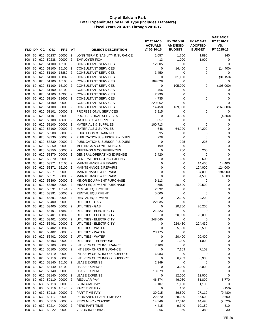| FND DP     |          | CС         | <b>OBJ</b>             | <b>PRJ</b>        | AΤ                               | <b>OBJECT DESCRIPTION</b>                                            | FY 2014-15<br><b>ACTUALS</b><br>@ 06-30-15 | FY 2015-16<br><b>AMENDED</b><br><b>BUDGET</b> | FY 2016-17<br><b>ADOPTED</b><br><b>BUDGET</b> | <b>VARIANCE</b><br>FY 2016-17<br>VS.<br>FY 2015-16 |
|------------|----------|------------|------------------------|-------------------|----------------------------------|----------------------------------------------------------------------|--------------------------------------------|-----------------------------------------------|-----------------------------------------------|----------------------------------------------------|
| 100        | 60       | 620        | 50237                  | 00000             | $\overline{2}$                   | LONG TERM DISABILITY INSURANCE                                       | 1,057                                      | 1,750                                         | 1,890                                         | 140                                                |
| 100        | 60       | 620        | 50238                  | 00000             | $\overline{2}$                   | <b>EMPLOYER FICA</b>                                                 | 13                                         | 1,000                                         | 1,000                                         | 0                                                  |
| 100        | 60       | 620        | 51100                  | 15100             | $\overline{2}$                   | <b>CONSULTANT SERVICES</b>                                           | 12,305                                     | $\mathbf 0$                                   | 0                                             | $\mathbf 0$                                        |
| 100        | 60       | 620        | 51100                  | 15100             | $\overline{2}$                   | <b>CONSULTANT SERVICES</b>                                           | 0                                          | 14,400                                        | 0                                             | (14, 400)                                          |
| 100        | 60       | 620        | 51100                  | 15882             | $\overline{2}$                   | <b>CONSULTANT SERVICES</b>                                           | 3,450                                      | 0                                             | 0                                             | 0                                                  |
| 100        | 60       | 620        | 51100                  | 15882             | $\overline{2}$                   | <b>CONSULTANT SERVICES</b>                                           | 0                                          | 31,150                                        | 0                                             | (31, 150)                                          |
| 100        | 60       | 620        | 51100                  | 16100             | $\overline{2}$                   | <b>CONSULTANT SERVICES</b>                                           | 109,028                                    | 0                                             | 0                                             | 0                                                  |
| 100        | 60       | 620        | 51100                  | 16100             | $\overline{2}$                   | <b>CONSULTANT SERVICES</b>                                           | 0                                          | 105,000                                       | 0                                             | (105,000)                                          |
| 100        | 60       | 620        | 51100                  | 18100             | $\overline{2}$                   | <b>CONSULTANT SERVICES</b>                                           | 466                                        | 0                                             | 0                                             | 0                                                  |
| 100        | 60       | 620        | 51100                  | 18300             | $\overline{2}$                   | <b>CONSULTANT SERVICES</b>                                           | 2,290                                      | 0                                             | 0                                             | 0                                                  |
| 100        | 60       | 620        | 51100                  | 18600             | $\overline{2}$                   | <b>CONSULTANT SERVICES</b>                                           | 4,735                                      | 0                                             | 0                                             | 0                                                  |
| 100<br>100 | 60<br>60 | 620<br>620 | 51100<br>51100         | 00000<br>00000    | $\overline{2}$<br>$\overline{2}$ | <b>CONSULTANT SERVICES</b><br><b>CONSULTANT SERVICES</b>             | 229,062<br>14,458                          | $\mathbf 0$<br>169,000                        | 0<br>0                                        | $\mathbf 0$<br>(169,000)                           |
| 100        | 60       | 620        | 51101                  | 00000             | $\overline{2}$                   | <b>PROFESSIONAL SERVICES</b>                                         | 3,815                                      | 0                                             | 0                                             | 0                                                  |
| 100        | 60       | 620        | 51101                  | 00000             | $\overline{2}$                   | <b>PROFESSIONAL SERVICES</b>                                         | 0                                          | 4,500                                         | $\mathbf 0$                                   | (4,500)                                            |
| 100        | 60       | 620        | 53100                  | 18600             | $\overline{2}$                   | <b>MATERIALS &amp; SUPPLIES</b>                                      | 857                                        | 0                                             | $\mathbf 0$                                   | 0                                                  |
| 100        | 60       | 620        | 53100                  | 00000             | $\overline{2}$                   | <b>MATERIALS &amp; SUPPLIES</b>                                      | 100,713                                    | 0                                             | 0                                             | 0                                                  |
| 100        | 60       | 620        | 53100                  | 00000             | $\overline{2}$                   | <b>MATERIALS &amp; SUPPLIES</b>                                      | 648                                        | 64,200                                        | 64,200                                        | 0                                                  |
| 100        | 60       | 620        | 53200                  | 00000             | $\overline{2}$                   | <b>EDUCATION &amp; TRAINING</b>                                      | 95                                         | 0                                             | 0                                             | 0                                                  |
| 100        | 60       | 620        | 53330                  | 00000             | $\overline{2}$                   | PUBLICATIONS, SUBSCRIP & DUES                                        | 228                                        | 0                                             | 0                                             | 0                                                  |
| 100        | 60       | 620        | 53330                  | 00000             | $\overline{2}$                   | PUBLICATIONS, SUBSCRIP & DUES                                        | 0                                          | 225                                           | 225                                           | $\mathbf 0$                                        |
| 100        | 60       | 620        | 53350                  | 00000             | $\overline{2}$                   | <b>MEETINGS &amp; CONFERENCES</b>                                    | 199                                        | 0                                             | 0                                             | $\mathbf 0$                                        |
| 100        | 60       | 620        | 53350                  | 00000             | $\overline{2}$                   | <b>MEETINGS &amp; CONFERENCES</b>                                    | 0                                          | 200                                           | 200                                           | 0                                                  |
| 100        | 60       | 620        | 53370                  | 00000             | $\overline{2}$                   | <b>GENERAL OPERATING EXPENSE</b>                                     | 3,420                                      | $\mathbf 0$                                   | $\mathbf 0$                                   | 0                                                  |
| 100        | 60       | 620        | 53370                  | 00000             | $\overline{2}$                   | <b>GENERAL OPERATING EXPENSE</b>                                     | 0                                          | 600                                           | 600                                           | 0                                                  |
| 100<br>100 | 60<br>60 | 620<br>620 | 53371<br>53371         | 15100<br>16100    | $\overline{2}$<br>$\overline{2}$ | <b>MAINTENANCE &amp; REPAIRS</b><br><b>MAINTENANCE &amp; REPAIRS</b> | $\mathbf 0$<br>0                           | 0<br>0                                        | 14,400<br>124,000                             | 14,400<br>124,000                                  |
| 100        | 60       | 620        | 53371                  | 00000             | $\overline{2}$                   | <b>MAINTENANCE &amp; REPAIRS</b>                                     | 0                                          | 0                                             | 194,000                                       | 194,000                                            |
| 100        | 60       | 620        | 53371                  | 00000             | $\overline{2}$                   | <b>MAINTENANCE &amp; REPAIRS</b>                                     | $\mathbf 0$                                | 0                                             | 4,500                                         | 4,500                                              |
| 100        | 60       | 620        | 53390                  | 00000             | $\overline{2}$                   | MINOR EQUIPMENT PURCHASE                                             | 9,113                                      | 0                                             | 0                                             | 0                                                  |
| 100        | 60       | 620        | 53390                  | 00000             | $\overline{2}$                   | <b>MINOR EQUIPMENT PURCHASE</b>                                      | 555                                        | 20,500                                        | 20,500                                        | 0                                                  |
| 100        | 60       | 620        | 53391                  | 16144             | $\overline{2}$                   | <b>RENTAL EQUIPMENT</b>                                              | 2,392                                      | 0                                             | 0                                             | 0                                                  |
| 100        | 60       | 620        | 53391                  | 00000             | $\overline{2}$                   | <b>RENTAL EQUIPMENT</b>                                              | 5,000                                      | $\mathbf 0$                                   | 0                                             | $\mathbf 0$                                        |
| 100        | 60       | 620        | 53391                  | 00000             | $\overline{2}$                   | <b>RENTAL EQUIPMENT</b>                                              | 0                                          | 2,200                                         | 2,200                                         | 0                                                  |
| 100        | 60       | 620        | 53400                  | 00000             | $\overline{2}$                   | UTILITIES - GAS                                                      | 22,035                                     | $\mathbf 0$                                   | 0                                             | 0                                                  |
| 100        | 60       | 620        | 53400                  | 00000             | $\overline{2}$                   | UTILITIES - GAS                                                      | 0                                          | 20,200                                        | 20,200                                        | 0                                                  |
| 100        | 60       | 620        | 53401                  | 15882             | $\overline{2}$                   | UTILITIES - ELECTRICITY                                              | 21,223                                     | 0                                             | 0                                             | 0                                                  |
| 100        | 60       | 620        | 53401                  | 15882             | $\overline{2}$                   | UTILITIES - ELECTRICITY                                              | 0                                          | 20,000                                        | 20,000                                        | $\mathbf 0$                                        |
| 100        | 60       | 620        | 53401                  | 00000<br>00000    | $\overline{2}$                   | UTILITIES - ELECTRICITY<br>UTILITIES - ELECTRICITY                   | 248,640<br>$\mathbf 0$                     | 0<br>224,430                                  | 0<br>224,430                                  | 0<br>0                                             |
| 100<br>100 | 60       | 620        | 60 620 53401<br>53402  | 15882 2           | $\overline{2}$                   | <b>UTILITIES - WATER</b>                                             | $\mathbf 0$                                | 5,500                                         | 5,500                                         | 0                                                  |
| 100        | 60       |            | 620 53402              | 00000 2           |                                  | UTILITIES - WATER                                                    | 28,175                                     | 0                                             | 0                                             | 0                                                  |
| 100        | 60       |            | 620 53402              | 00000 2           |                                  | UTILITIES - WATER                                                    | 0                                          | 20,400                                        | 20,400                                        | 0                                                  |
| 100        | 60       |            | 620 53403              | 00000             | $\overline{2}$                   | UTILITIES - TELEPHONE                                                | 0                                          | 1,000                                         | 1,000                                         | 0                                                  |
| 100        | 60       |            | 620 56100              | 00000             | $\overline{2}$                   | INT SERV CHRG INSURANCE                                              | 7,109                                      | 0                                             | $\pmb{0}$                                     | 0                                                  |
| 100        | 60       |            | 620 56100              | 00000             | $\overline{2}$                   | INT SERV CHRG INSURANCE                                              | 0                                          | 7,109                                         | 7,109                                         | 0                                                  |
| 100        | 60       |            | 620 56110              | 00000 2           |                                  | INT SERV CHRG INFO & SUPPORT                                         | 6,983                                      | 0                                             | 0                                             | 0                                                  |
| 100        | 60       |            | 620 56110              | 00000             | $\overline{2}$                   | INT SERV CHRG INFO & SUPPORT                                         | 0                                          | 6,983                                         | 6,983                                         | 0                                                  |
| 100        | 60       |            | 620 58140              | 15100             | $\overline{2}$                   | <b>LEASE EXPENSE</b>                                                 | 2,349                                      | 0                                             | 0                                             | 0                                                  |
| 100        | 60       |            | 620 58140              | 15100 2           |                                  | <b>LEASE EXPENSE</b>                                                 | 0                                          | 3,000                                         | 3,000                                         | 0                                                  |
| 100        | 60       |            | 620 58140              | 00000 2           |                                  | <b>LEASE EXPENSE</b>                                                 | 13,379                                     | 0                                             | 0                                             | 0                                                  |
| 100        | 60       |            | 620 58140              | 00000             | $\overline{2}$                   | <b>LEASE EXPENSE</b>                                                 | 0                                          | 12,000                                        | 12,000                                        | 0                                                  |
| 100<br>100 | 60<br>60 |            | 630 50110<br>630 50113 | 00000<br>00000 2  | $\overline{2}$                   | <b>REGULAR PAY</b><br><b>BILINGUAL PAY</b>                           | 46,374<br>1,107                            | 46,030<br>1,100                               | 51,800<br>1,100                               | 5,770<br>0                                         |
| 100        | 60       |            | 630 50116              | 16145 2           |                                  | PART TIME PAY                                                        | 0                                          | 150                                           | 0                                             | (150)                                              |
| 100        | 60       |            | 630 50116              | 00000             | $\overline{2}$                   | PART TIME PAY                                                        | 30,915                                     | 36,590                                        | 27,110                                        | (9,480)                                            |
| 100        | 60       | 630        | 50117                  | 00000             | $\overline{2}$                   | PERMANENT PART TIME PAY                                              | 22,870                                     | 28,000                                        | 37,600                                        | 9,600                                              |
| 100        | 60       |            | 630 50210              | 00000 2           |                                  | PERS MISC - CLASSIC                                                  | 14,346                                     | 17,010                                        | 14,490                                        | (2,520)                                            |
| 100        | 60       |            | 630 50214              | 00000             | $\overline{2}$                   | PERS PART TIME                                                       | 4,415                                      | 9,340                                         | 10,150                                        | 810                                                |
| 100        | 60       |            |                        | 630 50222 00000 2 |                                  | <b>VISION INSURANCE</b>                                              | 366                                        | 350                                           | 380                                           | 30                                                 |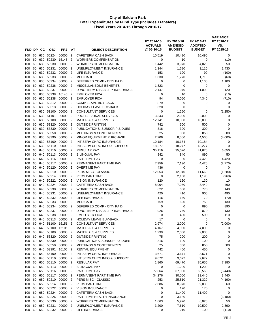| FND DP     |          | CС         | <b>OBJ</b>         | <b>PRJ</b>         | AT                               | <b>OBJECT DESCRIPTION</b>                                   | FY 2014-15<br><b>ACTUALS</b><br>@ 06-30-15 | FY 2015-16<br><b>AMENDED</b><br><b>BUDGET</b> | FY 2016-17<br><b>ADOPTED</b><br><b>BUDGET</b> | <b>VARIANCE</b><br>FY 2016-17<br>VS.<br>FY 2015-16 |
|------------|----------|------------|--------------------|--------------------|----------------------------------|-------------------------------------------------------------|--------------------------------------------|-----------------------------------------------|-----------------------------------------------|----------------------------------------------------|
| 100        | 60       | 630        | 50224              | 00000              | $\overline{2}$                   | <b>CAFETERIA CASH BACK</b>                                  | 10,519                                     | 10,490                                        | 10,490                                        | 0                                                  |
| 100        | 60       | 630        | 50230              | 16145              | $\overline{2}$                   | <b>WORKERS COMPENSATION</b>                                 | 0                                          | 10                                            | 0                                             | (10)                                               |
| 100        | 60       | 630        | 50230              | 00000              | $\overline{2}$                   | <b>WORKERS COMPENSATION</b>                                 | 1,442                                      | 3,970                                         | 4,020                                         | 50                                                 |
| 100        | 60       | 630        | 50231              | 00000              | $\overline{2}$                   | UNEMPLOYMENT INSURANCE                                      | 1,344                                      | 1,680                                         | 3,110                                         | 1,430                                              |
| 100        | 60       | 630        | 50232              | 00000              | $\overline{2}$                   | LIFE INSURANCE                                              | 153                                        | 190                                           | 90                                            | (100)                                              |
| 100        | 60       | 630        | 50233              | 00000              | $\overline{2}$                   | <b>MEDICARE</b>                                             | 1,630                                      | 1,770                                         | 1,710                                         | (60)                                               |
| 100        | 60       | 630        | 50234              | 00000              | $\overline{2}$                   | DEFERRED COMP - CITY PAID                                   | 0                                          | 0                                             | 1,100                                         | 1,100                                              |
| 100        | 60       | 630        | 50236              | 00000              | $\overline{2}$                   | MISCELLANEOUS BENEFITS                                      | 1,823                                      | 0                                             | 0                                             | 0                                                  |
| 100        | 60       | 630        | 50237              | 00000              | $\overline{2}$                   | LONG TERM DISABILITY INSURANCE                              | 2,147                                      | 970                                           | 1,090                                         | 120                                                |
| 100        | 60       | 630        | 50238              | 16145              | $\overline{2}$                   | <b>EMPLOYER FICA</b>                                        | $\mathbf 0$                                | 10                                            | 0                                             | (10)                                               |
| 100        | 60       | 630        | 50238              | 00000              | $\overline{2}$                   | <b>EMPLOYER FICA</b>                                        | 94                                         | 5,050                                         | 4,340                                         | (710)                                              |
| 100<br>100 | 60<br>60 | 630<br>630 | 50312<br>50313     | 00000<br>00000     | $\overline{2}$<br>$\overline{2}$ | <b>COMP LEAVE BUY-BACK</b><br><b>HOLIDAY LEAVE BUY-BACK</b> | 879<br>620                                 | 0<br>0                                        | 0<br>0                                        | 0<br>$\mathbf 0$                                   |
| 100        | 60       | 630        | 51100              | 00000              | $\overline{2}$                   | <b>CONSULTANT SERVICES</b>                                  | 0                                          | 1,250                                         | 0                                             | (1,250)                                            |
| 100        | 60       | 630        | 51101              | 00000              | $\overline{2}$                   | PROFESSIONAL SERVICES                                       | 3,343                                      | 2,000                                         | 2,000                                         | 0                                                  |
| 100        | 60       | 630        | 53100              | 00000              | $\overline{2}$                   | <b>MATERIALS &amp; SUPPLIES</b>                             | 12,741                                     | 10,000                                        | 10,000                                        | 0                                                  |
| 100        | 60       | 630        | 53320              | 00000              | $\overline{2}$                   | <b>OUTSIDE PRINTING</b>                                     | 742                                        | 500                                           | 500                                           | 0                                                  |
| 100        | 60       | 630        | 53330              | 00000              | $\overline{2}$                   | PUBLICATIONS, SUBSCRIP & DUES                               | 316                                        | 300                                           | 300                                           | $\mathbf 0$                                        |
| 100        | 60       | 630        | 53350              | 00000              | $\overline{2}$                   | <b>MEETINGS &amp; CONFERENCES</b>                           | 25                                         | 350                                           | 850                                           | 500                                                |
| 100        | 60       | 630        | 53390              | 00000              | $\overline{2}$                   | <b>MINOR EQUIPMENT PURCHASE</b>                             | 2,206                                      | 8,500                                         | 4,500                                         | (4,000)                                            |
| 100        | 60       | 630        | 56100              | 00000              | $\overline{2}$                   | INT SERV CHRG INSURANCE                                     | 10,184                                     | 10,184                                        | 10,184                                        | 0                                                  |
| 100        | 60       | 630        | 56110              | 00000              | $\overline{2}$                   | INT SERV CHRG INFO & SUPPORT                                | 18,277                                     | 18,277                                        | 18,277                                        | $\mathbf 0$                                        |
| 100        | 60       | 640        | 50110              | 00000              | $\overline{2}$                   | <b>REGULAR PAY</b>                                          | 35,119                                     | 35,020                                        | 41,670                                        | 6,650                                              |
| 100        | 60       | 640        | 50113              | 00000              | $\overline{2}$                   | <b>BILINGUAL PAY</b>                                        | 842                                        | 840                                           | 890                                           | 50                                                 |
| 100<br>100 | 60<br>60 | 640<br>640 | 50116<br>50117     | 00000<br>00000     | $\overline{2}$<br>$\overline{2}$ | PART TIME PAY<br>PERMANENT PART TIME PAY                    | 0<br>7,959                                 | 0<br>7,190                                    | 4,420<br>4,420                                | 4,420<br>(2,770)                                   |
| 100        | 60       | 640        | 50120              | 00000              | $\overline{2}$                   | <b>OVERTIME PAY</b>                                         | 436                                        | 0                                             | 0                                             | 0                                                  |
| 100        | 60       | 640        | 50210              | 00000              | $\overline{2}$                   | PERS MISC - CLASSIC                                         | 12,053                                     | 12,940                                        | 11,660                                        | (1,280)                                            |
| 100        | 60       | 640        | 50214              | 00000              | $\overline{2}$                   | PERS PART TIME                                              | 0                                          | 2,150                                         | 1,190                                         | (960)                                              |
| 100        | 60       | 640        | 50222              | 00000              | $\overline{2}$                   | <b>VISION INSURANCE</b>                                     | 120                                        | 120                                           | 130                                           | 10                                                 |
| 100        | 60       | 640        | 50224              | 00000              | $\overline{2}$                   | CAFETERIA CASH BACK                                         | 8,004                                      | 7,980                                         | 8,440                                         | 460                                                |
| 100        | 60       | 640        | 50230              | 00000              | $\overline{2}$                   | <b>WORKERS COMPENSATION</b>                                 | 622                                        | 630                                           | 770                                           | 140                                                |
| 100        | 60       | 640        | 50231              | 00000              | $\overline{2}$                   | UNEMPLOYMENT INSURANCE                                      | 420                                        | 410                                           | 900                                           | 490                                                |
| 100        | 60       | 640        | 50232              | 00000              | $\overline{2}$                   | LIFE INSURANCE                                              | 116                                        | 140                                           | 70                                            | (70)                                               |
| 100        | 60       | 640        | 50233              | 00000              | $\overline{2}$                   | <b>MEDICARE</b>                                             | 759                                        | 620                                           | 750                                           | 130                                                |
| 100        | 60       | 640        | 50234              | 00000              | $\overline{2}$                   | DEFERRED COMP - CITY PAID                                   | 0                                          | 0                                             | 890                                           | 890                                                |
| 100<br>100 | 60<br>60 | 640<br>640 | 50237<br>50238     | 00000<br>00000     | $\overline{2}$<br>$\overline{2}$ | LONG TERM DISABILITY INSURANCE<br><b>EMPLOYER FICA</b>      | 926<br>0                                   | 740<br>480                                    | 870<br>590                                    | 130<br>110                                         |
| 100        | 60       | 640        | 50313              | 00000              | $\overline{2}$                   | <b>HOLIDAY LEAVE BUY-BACK</b>                               | 17                                         | 0                                             | 0                                             | 0                                                  |
| 100        |          |            | 60 640 51100       | 16151 2            |                                  | CONSULTANT SERVICES                                         | 2,974                                      | 2,000                                         | 0                                             | (2,000)                                            |
| 100        | 60       | 640        | 53100              | 16106 2            |                                  | <b>MATERIALS &amp; SUPPLIES</b>                             | 4,167                                      | 4,000                                         | 4,000                                         | 0                                                  |
| 100        | 60       |            | 640 53100          | 00000 2            |                                  | <b>MATERIALS &amp; SUPPLIES</b>                             | 1,239                                      | 2,000                                         | 2,000                                         | 0                                                  |
| 100        | 60       |            | 640 53320          | 00000 2            |                                  | <b>OUTSIDE PRINTING</b>                                     | 75                                         | 200                                           | 200                                           | 0                                                  |
| 100        | 60       |            | 640 53330          | 00000 2            |                                  | PUBLICATIONS, SUBSCRIP & DUES                               | 316                                        | 100                                           | 100                                           | 0                                                  |
| 100        | 60       |            | 640 53350          | 00000 2            |                                  | <b>MEETINGS &amp; CONFERENCES</b>                           | 25                                         | 350                                           | 850                                           | 500                                                |
| 100        | 60       |            | 640 53391          | 16106 2            |                                  | <b>RENTAL EQUIPMENT</b>                                     | 442                                        | 450                                           | 450                                           | 0                                                  |
| 100        | 60       |            | 640 56100          | 00000 2            |                                  | INT SERV CHRG INSURANCE                                     | 3,671                                      | 3,671                                         | 3,671                                         | 0                                                  |
| 100        | 60       | 640        | 56110              | 00000 2            |                                  | INT SERV CHRG INFO & SUPPORT                                | 9,672                                      | 9,672                                         | 9,672                                         | 0                                                  |
| 100        | 60<br>60 | 650        | 650 50110<br>50113 | 00000 2<br>00000 2 |                                  | REGULAR PAY<br><b>BILINGUAL PAY</b>                         | 1,860                                      | 69,470                                        | 76,650                                        | 7,180                                              |
| 100<br>100 | 60       |            | 650 50116          | 00000 2            |                                  | PART TIME PAY                                               | 0<br>77,364                                | 1,200<br>67,000                               | 1,200<br>63,560                               | 0<br>(3, 440)                                      |
| 100        | 60       |            | 650 50117          | 00000 2            |                                  | PERMANENT PART TIME PAY                                     | 34,276                                     | 30,000                                        | 33,440                                        | 3,440                                              |
| 100        | 60       |            | 650 50210          | 00000 2            |                                  | PERS MISC - CLASSIC                                         | 253                                        | 25,510                                        | 21,320                                        | (4, 190)                                           |
| 100        | 60       |            | 650 50214          | 00000 2            |                                  | PERS PART TIME                                              | 7,686                                      | 8,970                                         | 9,030                                         | 60                                                 |
| 100        | 60       |            | 650 50222          | 00000 2            |                                  | <b>VISION INSURANCE</b>                                     | 0                                          | 170                                           | 170                                           | 0                                                  |
| 100        | 60       |            | 650 50224          | 00000 2            |                                  | CAFETERIA CASH BACK                                         | 0                                          | 11,400                                        | 11,400                                        | 0                                                  |
| 100        | 60       | 650        | 50226              | 00000 2            |                                  | PART TIME HEALTH INSURANCE                                  | $\mathbf 0$                                | 3,180                                         | 0                                             | (3, 180)                                           |
| 100        | 60       |            | 650 50230          | 00000 2            |                                  | <b>WORKERS COMPENSATION</b>                                 | 1,663                                      | 5,970                                         | 6,020                                         | 50                                                 |
| 100        | 60       | 650        | 50231              | 00000              | $\overline{2}$                   | UNEMPLOYMENT INSURANCE                                      | 3,200                                      | 7,610                                         | 10,500                                        | 2,890                                              |
| 100        | 60       |            | 650 50232          | 00000 2            |                                  | LIFE INSURANCE                                              | 0                                          | 210                                           | 100                                           | (110)                                              |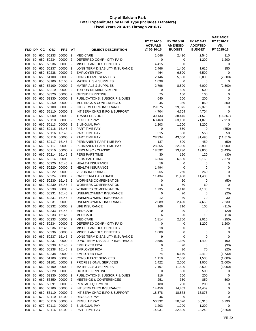|            |          |            |                        |                      |                                  | <b>OBJECT DESCRIPTION</b>                                | FY 2014-15<br><b>ACTUALS</b><br>@ 06-30-15 | FY 2015-16<br><b>AMENDED</b><br><b>BUDGET</b> | FY 2016-17<br><b>ADOPTED</b><br><b>BUDGET</b> | <b>VARIANCE</b><br>FY 2016-17<br>VS.<br>FY 2015-16 |
|------------|----------|------------|------------------------|----------------------|----------------------------------|----------------------------------------------------------|--------------------------------------------|-----------------------------------------------|-----------------------------------------------|----------------------------------------------------|
| FND DP     |          | CС         | <b>OBJ</b>             | <b>PRJ</b>           | AT                               |                                                          |                                            |                                               |                                               |                                                    |
| 100        | 60       | 650        | 50233                  | 00000                | $\overline{2}$                   | <b>MEDICARE</b>                                          | 1,646                                      | 2,430                                         | 2,540                                         | 110                                                |
| 100        | 60       | 650        | 50234                  | 00000                | $\overline{2}$                   | DEFERRED COMP - CITY PAID                                | $\mathbf 0$                                | 0<br>0                                        | 1,200                                         | 1,200                                              |
| 100<br>100 | 60<br>60 | 650<br>650 | 50236<br>50237         | 00000<br>00000       | $\overline{2}$<br>$\overline{2}$ | MISCELLANEOUS BENEFITS<br>LONG TERM DISABILITY INSURANCE | 4,415<br>2,466                             |                                               | 0                                             | 0<br>150                                           |
| 100        | 60       | 650        | 50238                  | 00000                | $\overline{2}$                   | <b>EMPLOYER FICA</b>                                     | 464                                        | 1,460<br>6,500                                | 1,610<br>6,500                                | $\mathbf 0$                                        |
| 100        | 60       |            | 650 51100              | 00000                | $\overline{2}$                   | <b>CONSULTANT SERVICES</b>                               | 2,146                                      | 5,500                                         | 3,000                                         | (2,500)                                            |
| 100        | 60       | 650        | 53100                  | 16155                | $\overline{2}$                   | <b>MATERIALS &amp; SUPPLIES</b>                          | 1,098                                      | 0                                             | 0                                             | 0                                                  |
| 100        | 60       | 650        | 53100                  | 00000                | $\overline{2}$                   | <b>MATERIALS &amp; SUPPLIES</b>                          | 2,796                                      | 8,500                                         | 6,000                                         | (2,500)                                            |
| 100        | 60       | 650        | 53210                  | 00000                | $\overline{2}$                   | <b>TUITION REIMBURSEMENT</b>                             | 0                                          | 500                                           | 500                                           | 0                                                  |
| 100        | 60       | 650        | 53320                  | 00000                | $\overline{2}$                   | <b>OUTSIDE PRINTING</b>                                  | 75                                         | 100                                           | 100                                           | 0                                                  |
| 100        | 60       | 650        | 53330                  | 00000                | $\overline{2}$                   | PUBLICATIONS, SUBSCRIP & DUES                            | 640                                        | 200                                           | 200                                           | $\mathbf 0$                                        |
| 100        | 60       |            | 650 53350              | 00000                | $\overline{2}$                   | <b>MEETINGS &amp; CONFERENCES</b>                        | 45                                         | 350                                           | 850                                           | 500                                                |
| 100        | 60       | 650        | 56100                  | 00000                | $\overline{2}$                   | INT SERV CHRG INSURANCE                                  | 29,375                                     | 29,375                                        | 29,375                                        | 0                                                  |
| 100        | 60       | 650        | 56110                  | 00000                | $\overline{2}$                   | INT SERV CHRG INFO & SUPPORT                             | 4,704                                      | 4,704                                         | 4,704                                         | $\mathbf 0$                                        |
| 100        | 60       | 650        | 59000                  | 00000                | $\overline{2}$                   | <b>TRANSFERS OUT</b>                                     | 30,133                                     | 38,445                                        | 21,578                                        | (16, 867)                                          |
| 100        | 60       | 660        | 50110                  | 00000                | $\overline{2}$                   | <b>REGULAR PAY</b>                                       | 63,463                                     | 63,160                                        | 71,070                                        | 7,910                                              |
| 100        | 60       | 660        | 50113                  | 00000                | 2                                | <b>BILINGUAL PAY</b>                                     | 1,203                                      | 1,200                                         | 1,200                                         | 0                                                  |
| 100<br>100 | 60<br>60 | 660        | 50116<br>660 50116     | 16145<br>16146       | $\overline{2}$<br>$\overline{2}$ | PART TIME PAY<br>PART TIME PAY                           | 0<br>315                                   | 850<br>500                                    | 0<br>550                                      | (850)<br>50                                        |
| 100        | 60       | 660        | 50116                  | 00000                | $\overline{2}$                   | PART TIME PAY                                            | 28,334                                     | 43,000                                        | 31,490                                        | (11, 510)                                          |
| 100        | 60       | 660        | 50117                  | 16146                | 2                                | PERMANENT PART TIME PAY                                  | 137                                        | 500                                           | 450                                           | (50)                                               |
| 100        | 60       | 660        | 50117                  | 00000                | $\overline{2}$                   | PERMANENT PART TIME PAY                                  | 28,355                                     | 22,000                                        | 33,900                                        | 11,900                                             |
| 100        | 60       | 660        | 50210                  | 00000                | $\overline{2}$                   | PERS MISC - CLASSIC                                      | 18,592                                     | 23,230                                        | 19,800                                        | (3,430)                                            |
| 100        | 60       | 660        | 50214                  | 16146                | 2                                | PERS PART TIME                                           | 30                                         | 150                                           | 120                                           | (30)                                               |
| 100        | 60       | 660        | 50214                  | 00000                | $\overline{2}$                   | PERS PART TIME                                           | 6,364                                      | 6,580                                         | 9,150                                         | 2,570                                              |
| 100        | 60       | 660        | 50220                  | 16146                | $\overline{2}$                   | <b>HEALTH INSURANCE</b>                                  | 16                                         | 0                                             | 0                                             | 0                                                  |
| 100        | 60       | 660        | 50220                  | 00000                | $\overline{2}$                   | <b>HEALTH INSURANCE</b>                                  | 1,494                                      | 0                                             | 0                                             | 0                                                  |
| 100        | 60       | 660        | 50222                  | 00000                | $\overline{2}$                   | <b>VISION INSURANCE</b>                                  | 265                                        | 260                                           | 260                                           | 0                                                  |
| 100        | 60       | 660        | 50224                  | 00000                | $\overline{2}$                   | <b>CAFETERIA CASH BACK</b>                               | 11,434                                     | 11,400                                        | 11,400                                        | 0                                                  |
| 100        | 60       | 660        | 50230                  | 16145                | $\overline{2}$                   | <b>WORKERS COMPENSATION</b>                              | 0                                          | 50                                            | 0                                             | (50)                                               |
| 100        | 60       | 660        | 50230                  | 16146                | $\overline{2}$                   | <b>WORKERS COMPENSATION</b>                              | 6                                          | 60                                            | 60                                            | 0                                                  |
| 100        | 60       | 660        | 50230                  | 00000                | $\overline{2}$                   | <b>WORKERS COMPENSATION</b>                              | 1,735                                      | 4,110                                         | 4,180                                         | 70                                                 |
| 100<br>100 | 60<br>60 | 660<br>660 | 50231<br>50231         | 16145<br>16146       | $\overline{2}$<br>$\overline{2}$ | UNEMPLOYMENT INSURANCE<br>UNEMPLOYMENT INSURANCE         | 0<br>12                                    | 20<br>40                                      | 0<br>70                                       | (20)<br>30                                         |
| 100        | 60       | 660        | 50231                  | 00000                | $\overline{2}$                   | UNEMPLOYMENT INSURANCE                                   | 2,089                                      | 2,420                                         | 4,650                                         | 2,230                                              |
| 100        | 60       | 660        | 50232                  | 00000                | $\overline{2}$                   | LIFE INSURANCE                                           | 166                                        | 210                                           | 100                                           | (110)                                              |
| 100        | 60       | 660        | 50233                  | 16145                | $\overline{2}$                   | <b>MEDICARE</b>                                          | 0                                          | 20                                            | 0                                             | (20)                                               |
| 100        | 60       | 660        | 50233                  | 16146                | $\overline{2}$                   | <b>MEDICARE</b>                                          | 6                                          | 20                                            | 10                                            | (10)                                               |
| 100        | 60       | 660        | 50233                  | 00000                | $\overline{2}$                   | <b>MEDICARE</b>                                          | 1,814                                      | 2,260                                         | 2,010                                         | (250)                                              |
| 100        |          |            | 60 660 50234           | 00000 2              |                                  | DEFERRED COMP - CITY PAID                                | 0                                          | 0                                             | 1,200                                         | 1,200                                              |
| 100        | 60       |            | 660 50236              | 16146 2              |                                  | MISCELLANEOUS BENEFITS                                   | 18                                         | 0                                             | 0                                             | 0                                                  |
| 100        | 60       |            | 660 50236              | 00000 2              |                                  | MISCELLANEOUS BENEFITS                                   | 1,689                                      | 0                                             | 0                                             | 0                                                  |
| 100        | 60       |            | 660 50237              | 16146 2              |                                  | LONG TERM DISABILITY INSURANCE                           | 9                                          | 0                                             | 0                                             | 0                                                  |
| 100        | 60       |            | 660 50237              | 00000 2              |                                  | LONG TERM DISABILITY INSURANCE                           | 2,585                                      | 1,330                                         | 1,490                                         | 160                                                |
| 100        | 60       |            | 660 50238              | 16145                | $\overline{2}$                   | <b>EMPLOYER FICA</b>                                     | 0                                          | 90                                            | 0                                             | (90)                                               |
| 100        | 60       |            | 660 50238              | 16146 2              |                                  | <b>EMPLOYER FICA</b>                                     | 2                                          | 90                                            | 70                                            | (20)                                               |
| 100        | 60       |            | 660 50238<br>660 51100 | 00000 2              | $\overline{2}$                   | <b>EMPLOYER FICA</b>                                     | 74                                         | 6,140                                         | 4,410                                         | (1,730)                                            |
| 100<br>100 | 60<br>60 |            | 660 51101              | 00000<br>00000       | $\overline{2}$                   | <b>CONSULTANT SERVICES</b><br>PROFESSIONAL SERVICES      | 1,119<br>1,422                             | 2,500<br>2,000                                | 1,500<br>1,000                                | (1,000)<br>(1,000)                                 |
| 100        | 60       |            | 660 53100              | 00000 2              |                                  | <b>MATERIALS &amp; SUPPLIES</b>                          | 7,107                                      | 11,500                                        | 8,500                                         | (3,000)                                            |
| 100        | 60       |            | 660 53320              | 00000 2              |                                  | <b>OUTSIDE PRINTING</b>                                  | 0                                          | 500                                           | 500                                           | 0                                                  |
| 100        | 60       |            | 660 53330              | 00000                | $\overline{2}$                   | PUBLICATIONS, SUBSCRIP & DUES                            | 316                                        | 200                                           | 200                                           | 0                                                  |
| 100        | 60       |            | 660 53350              | 00000                | $\overline{2}$                   | <b>MEETINGS &amp; CONFERENCES</b>                        | 251                                        | 350                                           | 850                                           | 500                                                |
| 100        | 60       |            | 660 53391              | 00000 2              |                                  | RENTAL EQUIPMENT                                         | 180                                        | 200                                           | 200                                           | 0                                                  |
| 100        | 60       |            | 660 56100              | 00000 2              |                                  | INT SERV CHRG INSURANCE                                  | 14,459                                     | 14,459                                        | 14,459                                        | 0                                                  |
| 100        | 60       |            | 660 56110              | 00000 2              |                                  | INT SERV CHRG INFO & SUPPORT                             | 18,878                                     | 18,878                                        | 18,878                                        | 0                                                  |
| 100        | 60       |            | 670 50110              | 15100 2              |                                  | REGULAR PAY                                              | 46                                         | 0                                             | 0                                             | 0                                                  |
| 100        | 60       |            | 670 50110              | 00000 2              |                                  | <b>REGULAR PAY</b>                                       | 50,332                                     | 50,020                                        | 56,310                                        | 6,290                                              |
| 100        | 60       |            | 670 50113              | 00000                | $\overline{2}$                   | <b>BILINGUAL PAY</b>                                     | 1,203                                      | 1,200                                         | 1,200                                         | 0                                                  |
| 100        |          |            |                        | 60 670 50116 15100 2 |                                  | PART TIME PAY                                            | 14,931                                     | 32,500                                        | 23,240                                        | (9,260)                                            |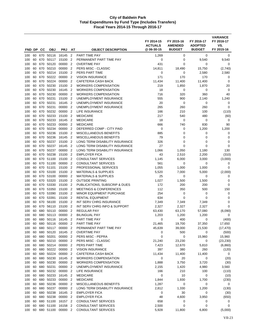| FND DP     |          | CС         | <b>OBJ</b>         | <b>PRJ</b>       | AT                               | <b>OBJECT DESCRIPTION</b>                               | FY 2014-15<br><b>ACTUALS</b><br>@ 06-30-15 | FY 2015-16<br><b>AMENDED</b><br><b>BUDGET</b> | FY 2016-17<br><b>ADOPTED</b><br><b>BUDGET</b> | <b>VARIANCE</b><br>FY 2016-17<br>VS.<br>FY 2015-16 |
|------------|----------|------------|--------------------|------------------|----------------------------------|---------------------------------------------------------|--------------------------------------------|-----------------------------------------------|-----------------------------------------------|----------------------------------------------------|
|            |          |            |                    |                  |                                  |                                                         |                                            |                                               |                                               |                                                    |
| 100        | 60       | 670        | 50116<br>50117     | 16145            | $\overline{2}$                   | PART TIME PAY                                           | 1,269                                      | 0                                             | 0                                             | 0                                                  |
| 100<br>100 | 60<br>60 | 670<br>670 | 50120              | 15100<br>00000   | $\overline{2}$<br>$\overline{2}$ | PERMANENT PART TIME PAY<br><b>OVERTIME PAY</b>          | 0<br>431                                   | 0<br>0                                        | 9,540<br>0                                    | 9,540<br>$\mathbf 0$                               |
| 100        | 60       | 670        | 50210              | 00000            | $\overline{2}$                   | PERS MISC - CLASSIC                                     | 14,811                                     | 18,490                                        | 15,750                                        | (2,740)                                            |
| 100        | 60       | 670        | 50214              | 15100            | $\overline{2}$                   | PERS PART TIME                                          | 0                                          | 0                                             | 2,580                                         | 2,580                                              |
| 100        | 60       | 670        | 50222              | 00000            | $\overline{2}$                   | <b>VISION INSURANCE</b>                                 | 171                                        | 170                                           | 170                                           | 0                                                  |
| 100        | 60       | 670        | 50224              | 00000            | $\overline{2}$                   | <b>CAFETERIA CASH BACK</b>                              | 11,434                                     | 11,400                                        | 11,400                                        | 0                                                  |
| 100        | 60       | 670        | 50230              | 15100            | $\overline{2}$                   | <b>WORKERS COMPENSATION</b>                             | 219                                        | 1,850                                         | 1,870                                         | 20                                                 |
| 100        | 60       | 670        | 50230              | 16145            | $\overline{2}$                   | <b>WORKERS COMPENSATION</b>                             | 18                                         | 0                                             | 0                                             | 0                                                  |
| 100        | 60       | 670        | 50230              | 00000            | $\overline{2}$                   | <b>WORKERS COMPENSATION</b>                             | 716                                        | 320                                           | 360                                           | 40                                                 |
| 100        | 60       | 670        | 50231              | 15100            | $\overline{2}$                   | UNEMPLOYMENT INSURANCE                                  | 555                                        | 900                                           | 2,140                                         | 1,240                                              |
| 100        | 60       | 670        | 50231              | 16145            | $\overline{2}$                   | UNEMPLOYMENT INSURANCE                                  | 20                                         | 0                                             | 0                                             | 0                                                  |
| 100        | 60       | 670        | 50231              | 00000            | $\overline{2}$                   | UNEMPLOYMENT INSURANCE                                  | 265                                        | 260                                           | 260                                           | $\mathbf 0$                                        |
| 100        | 60       | 670        | 50232              | 00000            | $\overline{2}$                   | LIFE INSURANCE                                          | 166                                        | 210                                           | 100                                           | (110)                                              |
| 100        | 60       | 670        | 50233              | 15100            | $\overline{2}$                   | <b>MEDICARE</b>                                         | 217                                        | 540                                           | 480                                           | (60)                                               |
| 100        | 60       | 670        | 50233              | 16145            | $\overline{2}$                   | <b>MEDICARE</b>                                         | 18                                         | 0                                             | 0                                             | 0                                                  |
| 100        | 60       | 670        | 50233              | 00000            | $\overline{2}$                   | <b>MEDICARE</b>                                         | 666                                        | 740                                           | 830                                           | 90                                                 |
| 100        | 60       | 670        | 50234<br>50236     | 00000            | $\overline{2}$<br>$\overline{2}$ | DEFERRED COMP - CITY PAID                               | 0                                          | 0                                             | 1,200                                         | 1,200                                              |
| 100        | 60<br>60 | 670<br>670 | 50236              | 15100<br>16145   | $\overline{2}$                   | MISCELLANEOUS BENEFITS<br><b>MISCELLANEOUS BENEFITS</b> | 885<br>79                                  | 0<br>0                                        | 0<br>0                                        | 0<br>0                                             |
| 100<br>100 | 60       | 670        | 50237              | 15100            | $\overline{2}$                   | LONG TERM DISABILITY INSURANCE                          | 326                                        | 0                                             | 0                                             | 0                                                  |
| 100        | 60       | 670        | 50237              | 16145            | $\overline{2}$                   | LONG TERM DISABILITY INSURANCE                          | 27                                         | 0                                             | 0                                             | $\mathbf 0$                                        |
| 100        | 60       | 670        | 50237              | 00000            | $\overline{2}$                   | LONG TERM DISABILITY INSURANCE                          | 1,066                                      | 1,050                                         | 1,180                                         | 130                                                |
| 100        | 60       | 670        | 50238              | 15100            | $\overline{2}$                   | <b>EMPLOYER FICA</b>                                    | 43                                         | 2,510                                         | 2,200                                         | (310)                                              |
| 100        | 60       | 670        | 51100              | 15100            | $\overline{2}$                   | <b>CONSULTANT SERVICES</b>                              | 1,145                                      | 6,000                                         | 3,000                                         | (3,000)                                            |
| 100        | 60       | 670        | 51100              | 00000            | $\overline{2}$                   | <b>CONSULTANT SERVICES</b>                              | 561                                        | 0                                             | 0                                             | 0                                                  |
| 100        | 60       | 670        | 51101              | 15100            | $\overline{2}$                   | PROFESSIONAL SERVICES                                   | 1,055                                      | 1,000                                         | 1,000                                         | 0                                                  |
| 100        | 60       | 670        | 53100              | 15100            | $\overline{2}$                   | <b>MATERIALS &amp; SUPPLIES</b>                         | 5,520                                      | 7,000                                         | 5,000                                         | (2,000)                                            |
| 100        | 60       | 670        | 53100              | 00000            | $\overline{2}$                   | <b>MATERIALS &amp; SUPPLIES</b>                         | 25                                         | 0                                             | 0                                             | 0                                                  |
| 100        | 60       | 670        | 53320              | 15100            | $\overline{2}$                   | <b>OUTSIDE PRINTING</b>                                 | 1,027                                      | 1,500                                         | 1,500                                         | 0                                                  |
| 100        | 60       | 670        | 53330              | 15100            | $\overline{2}$                   | PUBLICATIONS, SUBSCRIP & DUES                           | 172                                        | 200                                           | 200                                           | $\mathbf 0$                                        |
| 100        | 60       | 670        | 53350              | 15100            | $\overline{2}$                   | <b>MEETINGS &amp; CONFERENCES</b>                       | 112                                        | 350                                           | 500                                           | 150                                                |
| 100        | 60       | 670        | 53390              | 15100            | $\overline{2}$                   | <b>MINOR EQUIPMENT PURCHASE</b>                         | 254                                        | 0                                             | 0                                             | 0                                                  |
| 100        | 60       | 670        | 53391              | 15100            | $\overline{2}$                   | <b>RENTAL EQUIPMENT</b>                                 | 634                                        | 0                                             | 0                                             | 0                                                  |
| 100        | 60       | 670        | 56100              | 15100            | $\overline{2}$                   | INT SERV CHRG INSURANCE                                 | 7,349                                      | 7,349                                         | 7,349                                         | 0                                                  |
| 100        | 60       | 670        | 56110              | 15100            | $\overline{2}$                   | INT SERV CHRG INFO & SUPPORT                            | 2,327                                      | 2,327                                         | 2,327                                         | $\mathbf 0$                                        |
| 100        | 60       | 680        | 50110              | 00000            | $\overline{2}$                   | <b>REGULAR PAY</b>                                      | 63,430                                     | 63,170                                        | 57,080                                        | (6,090)                                            |
| 100        | 60       | 680        | 50113              | 00000            | $\overline{2}$<br>$\overline{2}$ | <b>BILINGUAL PAY</b>                                    | 1,203                                      | 1,200                                         | 1,200                                         | 0                                                  |
| 100<br>100 | 60       | 680        | 50116<br>50116     | 16145<br>00000   | $\overline{\phantom{a}}$         | PART TIME PAY<br>PART TIME PAY                          | 0                                          | 400<br>19,700                                 | 0                                             | (400)<br>17,650                                    |
| 100        | 60<br>60 | 680<br>680 | 50117              | 00000 2          |                                  | PERMANENT PART TIME PAY                                 | 21,465<br>45,639                           | 39,000                                        | 37,350<br>21,530                              | (17, 470)                                          |
| 100        | 60       |            | 680 50120          | 16145 2          |                                  | <b>OVERTIME PAY</b>                                     | 0                                          | 500                                           | 0                                             | (500)                                              |
| 100        | 60       |            | 680 50201          | 00000 2          |                                  | PERS MISC - PEPRA                                       | 0                                          | 0                                             | 15,960                                        | 15,960                                             |
| 100        | 60       |            | 680 50210          | 00000 2          |                                  | PERS MISC - CLASSIC                                     | 21,240                                     | 23,230                                        | 0                                             | (23, 230)                                          |
| 100        | 60       |            | 680 50214          | 00000 2          |                                  | PERS PART TIME                                          | 7,423                                      | 12,670                                        | 5,810                                         | (6,860)                                            |
| 100        | 60       | 680        | 50222              | 00000 2          |                                  | <b>VISION INSURANCE</b>                                 | 397                                        | 380                                           | 260                                           | (120)                                              |
| 100        | 60       |            | 680 50224          | 00000 2          |                                  | CAFETERIA CASH BACK                                     | 11,434                                     | 11,400                                        | 11,400                                        | 0                                                  |
| 100        | 60       | 680        | 50230              | 16145 2          |                                  | <b>WORKERS COMPENSATION</b>                             | 0                                          | 20                                            | 0                                             | (20)                                               |
| 100        | 60       | 680        | 50230              | 00000            | $\overline{\phantom{0}}^2$       | <b>WORKERS COMPENSATION</b>                             | 1,888                                      | 3,750                                         | 3,720                                         | (30)                                               |
| 100        | 60       |            | 680 50231          | 00000 2          |                                  | UNEMPLOYMENT INSURANCE                                  | 2,155                                      | 1,420                                         | 4,980                                         | 3,560                                              |
| 100        | 60       |            | 680 50232          | 00000 2          |                                  | LIFE INSURANCE                                          | 166                                        | 210                                           | 100                                           | (110)                                              |
| 100        | 60       |            | 680 50233          | 16145 2          |                                  | <b>MEDICARE</b>                                         | 0                                          | 10                                            | 0                                             | (10)                                               |
| 100        | 60       | 680        | 50233              | 00000 2          |                                  | <b>MEDICARE</b>                                         | 1,844                                      | 1,930                                         | 1,700                                         | (230)                                              |
| 100        | 60       |            | 680 50236          | 00000 2          |                                  | MISCELLANEOUS BENEFITS                                  | 1,287                                      | 0                                             | 0                                             | 0                                                  |
| 100        | 60       | 680        | 50237              | 00000 2          |                                  | LONG TERM DISABILITY INSURANCE                          | 2,812                                      | 1,330                                         | 1,200                                         | (130)                                              |
| 100<br>100 | 60<br>60 | 680        | 680 50238<br>50238 | 16145<br>00000 2 | $\overline{2}$                   | <b>EMPLOYER FICA</b><br><b>EMPLOYER FICA</b>            | 0<br>48                                    | 30<br>4,600                                   | 0<br>3,950                                    | (30)<br>(650)                                      |
| 100        | 60       |            | 680 51100          | 16157 2          |                                  | <b>CONSULTANT SERVICES</b>                              | 658                                        | 0                                             | 0                                             | 0                                                  |
| 100        | 60       |            | 680 51100          | 16158            | $\overline{2}$                   | <b>CONSULTANT SERVICES</b>                              | 2,500                                      | 0                                             | 0                                             | 0                                                  |
| 100        | 60       |            | 680 51100          | 00000 2          |                                  | <b>CONSULTANT SERVICES</b>                              | 5,928                                      | 11,800                                        | 6,800                                         | (5,000)                                            |
|            |          |            |                    |                  |                                  |                                                         |                                            |                                               |                                               |                                                    |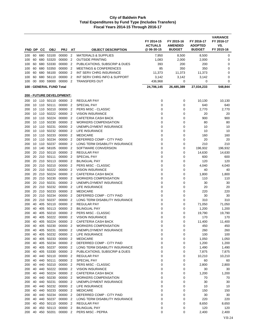|            |          |            |                          |                                   |                                  |                                                         | FY 2014-15<br><b>ACTUALS</b><br>@ 06-30-15 | FY 2015-16<br><b>AMENDED</b><br><b>BUDGET</b> | FY 2016-17<br><b>ADOPTED</b><br><b>BUDGET</b> | <b>VARIANCE</b><br>FY 2016-17<br>VS.<br>FY 2015-16 |
|------------|----------|------------|--------------------------|-----------------------------------|----------------------------------|---------------------------------------------------------|--------------------------------------------|-----------------------------------------------|-----------------------------------------------|----------------------------------------------------|
| FND DP     |          | CС         | <b>OBJ</b>               | <b>PRJ</b>                        | AT                               | <b>OBJECT DESCRIPTION</b>                               |                                            |                                               |                                               |                                                    |
| 100        | 60       |            | 680 53100                | 00000                             | $\overline{2}$                   | <b>MATERIALS &amp; SUPPLIES</b>                         | 7,950                                      | 8,500                                         | 8,500                                         | 0                                                  |
| 100        | 60       | 680        | 53320                    | 00000                             | $\overline{2}$                   | <b>OUTSIDE PRINTING</b>                                 | 1,083                                      | 2,000                                         | 2,000                                         | 0                                                  |
| 100        | 60       | 680        | 53330                    | 00000                             | $\overline{2}$                   | PUBLICATIONS, SUBSCRIP & DUES                           | 393                                        | 200                                           | 200                                           | 0                                                  |
| 100        | 60       | 680        | 53350                    | 00000                             | $\overline{2}$                   | <b>MEETINGS &amp; CONFERENCES</b>                       | 85                                         | 350                                           | 350                                           | 0                                                  |
| 100        | 60       | 680        | 680 56100<br>56110       | 00000<br>00000                    | 2<br>$\overline{2}$              | INT SERV CHRG INSURANCE<br>INT SERV CHRG INFO & SUPPORT | 11,373                                     | 11,373                                        | 11,373                                        | 0<br>0                                             |
| 100<br>100 | 60<br>00 | 000        | 59000                    | 00000                             | $\overline{2}$                   | <b>TRANSFERS OUT</b>                                    | 3,142<br>436,968                           | 3,142<br>0                                    | 3,142<br>0                                    | 0                                                  |
|            |          |            | 100 - GENERAL FUND Total |                                   |                                  |                                                         | 24,706,145                                 | 26,485,389                                    | 27,034,233                                    | 548,844                                            |
|            |          |            |                          | <u> 200 - FUTURE DEVELOPMENT:</u> |                                  |                                                         |                                            |                                               |                                               |                                                    |
| 200        |          |            |                          | 10 110 50110 00000 2              |                                  | <b>REGULAR PAY</b>                                      | 0                                          | 0                                             | 10,130                                        | 10,130                                             |
| 200        | 10       |            | 110 50111                | 00000                             | $\overline{2}$                   | <b>SPECIAL PAY</b>                                      | 0                                          | 0                                             | 640                                           | 640                                                |
| 200        | 10       |            | 110 50210                | 00000                             | $\overline{2}$                   | PERS MISC - CLASSIC                                     | 0                                          | 0                                             | 2,770                                         | 2,770                                              |
| 200        | 10       | 110        | 50222                    | 00000                             | $\overline{2}$                   | <b>VISION INSURANCE</b>                                 | 0                                          | 0                                             | 20                                            | 20                                                 |
| 200        |          |            | 10 110 50224             | 00000                             | $\overline{2}$                   | <b>CAFETERIA CASH BACK</b>                              | $\mathbf 0$                                | 0                                             | 900                                           | 900                                                |
| 200        | 10       |            | 110 50230                | 00000                             | $\overline{2}$                   | <b>WORKERS COMPENSATION</b>                             | 0                                          | 0                                             | 80                                            | 80                                                 |
| 200        | 10       | 110        | 50231                    | 00000                             | 2                                | UNEMPLOYMENT INSURANCE                                  | 0                                          | 0                                             | 10                                            | 10                                                 |
| 200        | 10       |            | 110 50232                | 00000                             | $\overline{2}$                   | LIFE INSURANCE                                          | 0                                          | 0                                             | 10                                            | 10                                                 |
| 200        | 10       |            | 110 50233                | 00000                             | $\overline{2}$                   | <b>MEDICARE</b>                                         | 0                                          | 0                                             | 160                                           | 160                                                |
| 200        |          |            | 10 110 50234             | 00000                             | $\overline{2}$                   | DEFERRED COMP - CITY PAID                               | 0                                          | 0                                             | 20                                            | 20                                                 |
| 200        | 10       | 110        | 50237                    | 00000                             | $\overline{2}$                   | LONG TERM DISABILITY INSURANCE                          | 0                                          | 0                                             | 210                                           | 210                                                |
| 200        |          |            | 10 140 58105             | 00000                             | $\overline{2}$                   | SOFTWARE CONVERSION                                     | $\mathbf 0$                                | $\mathbf 0$                                   | 196,932                                       | 196,932                                            |
| 200        | 20       |            | 210 50110                | 00000                             | $\overline{2}$                   | <b>REGULAR PAY</b>                                      | 0                                          | 0                                             | 14,630                                        | 14,630                                             |
| 200        | 20       | 210        | 50111                    | 00000                             | $\overline{2}$                   | <b>SPECIAL PAY</b>                                      | 0                                          | 0                                             | 600                                           | 600                                                |
| 200        | 20       | 210        | 50113                    | 00000                             | $\overline{2}$                   | <b>BILINGUAL PAY</b>                                    | 0                                          | 0                                             | 120                                           | 120                                                |
| 200        |          |            | 20 210 50210             | 00000                             | 2                                | PERS MISC - CLASSIC                                     | 0                                          | $\mathbf 0$                                   | 4,040                                         | 4,040                                              |
| 200        |          |            | 20 210 50222             | 00000                             | $\overline{2}$                   | <b>VISION INSURANCE</b>                                 | 0                                          | 0                                             | 40                                            | 40                                                 |
| 200        | 20       | 210        | 50224                    | 00000                             | $\overline{2}$                   | CAFETERIA CASH BACK                                     | 0                                          | 0                                             | 1,800                                         | 1,800                                              |
| 200        |          |            | 20 210 50230             | 00000                             | $\overline{2}$                   | <b>WORKERS COMPENSATION</b>                             | 0                                          | 0                                             | 110                                           | 110                                                |
| 200        | 20       |            | 210 50231                | 00000                             | $\overline{2}$                   | UNEMPLOYMENT INSURANCE                                  | 0                                          | 0                                             | 30                                            | 30                                                 |
| 200        | 20<br>20 | 210<br>210 | 50232<br>50233           | 00000<br>00000                    | $\overline{2}$<br>$\overline{2}$ | LIFE INSURANCE<br><b>MEDICARE</b>                       | $\mathbf 0$<br>$\mathbf 0$                 | 0<br>0                                        | 20<br>220                                     | 20<br>220                                          |
| 200        | 20       |            | 210 50234                | 00000                             | 2                                | DEFERRED COMP - CITY PAID                               | $\mathbf 0$                                | $\mathbf 0$                                   | 30                                            | 30                                                 |
| 200<br>200 |          |            | 20 210 50237             | 00000                             | $\overline{2}$                   | LONG TERM DISABILITY INSURANCE                          | 0                                          | 0                                             | 310                                           | 310                                                |
| 200        | 40       | 405        | 50110                    | 00000                             | $\overline{2}$                   | <b>REGULAR PAY</b>                                      | 0                                          | 0                                             | 71,050                                        | 71,050                                             |
| 200        | 40       |            | 405 50113                | 00000                             | $\overline{2}$                   | <b>BILINGUAL PAY</b>                                    | 0                                          | 0                                             | 1,200                                         | 1,200                                              |
| 200        | 40       |            | 405 50210                | 00000                             | $\overline{2}$                   | PERS MISC - CLASSIC                                     | 0                                          | 0                                             | 19,790                                        | 19,790                                             |
| 200        | 40       |            | 405 50222 00000          |                                   | $\overline{2}$                   | <b>VISION INSURANCE</b>                                 | 0                                          | 0                                             | 170                                           | 170                                                |
| 200        |          |            |                          | 40 405 50224 00000 2              |                                  | CAFETERIA CASH BACK                                     | 0                                          | 0                                             | 11,400                                        | 11,400                                             |
| 200        | 40       |            | 405 50230                | 00000 2                           |                                  | <b>WORKERS COMPENSATION</b>                             | $\mathbf 0$                                | 0                                             | 450                                           | 450                                                |
| 200        | 40       |            | 405 50231                | 00000                             | $\overline{2}$                   | UNEMPLOYMENT INSURANCE                                  | 0                                          | 0                                             | 260                                           | 260                                                |
| 200        | 40       |            | 405 50232                | 00000                             | $\overline{2}$                   | LIFE INSURANCE                                          | 0                                          | 0                                             | 100                                           | 100                                                |
| 200        | 40       |            | 405 50233                | 00000 2                           |                                  | <b>MEDICARE</b>                                         | 0                                          | 0                                             | 1,050                                         | 1,050                                              |
| 200        | 40       |            | 405 50234                | 00000                             | $\overline{2}$                   | DEFERRED COMP - CITY PAID                               | 0                                          | 0                                             | 1,200                                         | 1,200                                              |
| 200        | 40       |            | 405 50237                | 00000                             | -2                               | LONG TERM DISABILITY INSURANCE                          | 0                                          | 0                                             | 1,490                                         | 1,490                                              |
| 200        | 40       |            | 405 53330                | 00000                             | $\overline{2}$                   | PUBLICATIONS, SUBSCRIP & DUES                           | 0                                          | 0                                             | 7,875                                         | 7,875                                              |
| 200        | 40       |            | 440 50110                | 00000 2                           |                                  | <b>REGULAR PAY</b>                                      | 0                                          | 0                                             | 10,210                                        | 10,210                                             |
| 200        | 40       |            | 440 50111                | 00000                             | $\overline{2}$                   | SPECIAL PAY                                             | 0                                          | 0                                             | 60                                            | 60                                                 |
| 200        | 40       |            | 440 50210                | 00000                             | $\overline{2}$                   | PERS MISC - CLASSIC                                     | 0                                          | 0                                             | 2,800                                         | 2,800                                              |
| 200        | 40       |            | 440 50222                | 00000 2                           |                                  | <b>VISION INSURANCE</b>                                 | 0                                          | 0                                             | 30                                            | 30                                                 |
| 200        | 40       |            | 440 50224                | 00000                             | 2                                | CAFETERIA CASH BACK                                     | 0                                          | 0                                             | 1,200                                         | 1,200                                              |
| 200        | 40       |            | 440 50230                | 00000                             | -2                               | <b>WORKERS COMPENSATION</b>                             | 0                                          | 0                                             | 70                                            | 70                                                 |
| 200        | 40       |            | 440 50231                | 00000 2                           |                                  | UNEMPLOYMENT INSURANCE                                  | 0                                          | 0                                             | 30                                            | 30                                                 |
| 200        | 40       |            | 440 50232                | 00000 2                           |                                  | LIFE INSURANCE                                          | 0                                          | 0                                             | 10                                            | 10                                                 |
| 200        | 40       |            | 440 50233                | 00000                             | $\overline{2}$                   | <b>MEDICARE</b>                                         | 0                                          | 0                                             | 150                                           | 150                                                |
| 200        | 40       |            | 440 50234                | 00000                             | $\overline{2}$                   | DEFERRED COMP - CITY PAID                               | 0                                          | 0                                             | $30\,$                                        | 30                                                 |
| 200        | 40       |            | 440 50237                | 00000 2                           |                                  | LONG TERM DISABILITY INSURANCE                          | 0                                          | 0                                             | 220                                           | 220                                                |
| 200        | 40       |            | 450 50110                | 00000                             | $\overline{2}$                   | <b>REGULAR PAY</b>                                      | 0                                          | 0                                             | 8,650                                         | 8,650                                              |
| 200        | 40       |            | 450 50113                | 00000                             | $\overline{2}$                   | <b>BILINGUAL PAY</b>                                    | 0                                          | 0                                             | 120                                           | 120                                                |
| 200        | 40       |            | 450 50201                | 00000 2                           |                                  | PERS MISC - PEPRA                                       | 0                                          | 0                                             | 2,400                                         | 2,400                                              |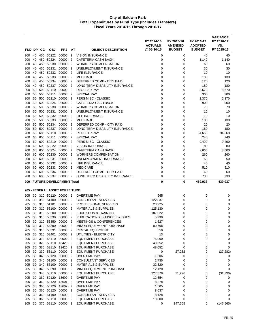|            |          |     |                        |                                        |                                  |                                                    | FY 2014-15<br><b>ACTUALS</b> | FY 2015-16<br><b>AMENDED</b> | FY 2016-17<br><b>ADOPTED</b> | <b>VARIANCE</b><br>FY 2016-17<br>VS. |
|------------|----------|-----|------------------------|----------------------------------------|----------------------------------|----------------------------------------------------|------------------------------|------------------------------|------------------------------|--------------------------------------|
| FND DP     |          | CС  | <b>OBJ</b>             | <b>PRJ</b>                             | ΑT                               | <b>OBJECT DESCRIPTION</b>                          | @ 06-30-15                   | <b>BUDGET</b>                | <b>BUDGET</b>                | FY 2015-16                           |
| 200        | 40       |     | 450 50222              | 00000                                  | $\overline{2}$                   | <b>VISION INSURANCE</b>                            | 0                            | 0                            | 40                           | 40                                   |
| 200        | 40<br>40 | 450 | 50224<br>50230         | 00000<br>00000                         | $\overline{2}$<br>$\overline{2}$ | CAFETERIA CASH BACK<br><b>WORKERS COMPENSATION</b> | 0<br>$\mathbf 0$             | 0<br>0                       | 1,140                        | 1,140<br>60                          |
| 200        |          | 450 | 50231                  |                                        | $\overline{2}$                   |                                                    |                              |                              | 60                           |                                      |
| 200        | 40<br>40 | 450 | 450 50232              | 00000<br>00000                         | 2                                | UNEMPLOYMENT INSURANCE<br>LIFE INSURANCE           | 0<br>0                       | 0<br>0                       | 30                           | 30<br>10                             |
| 200<br>200 | 40       |     | 450 50233              | 00000                                  | $\overline{2}$                   | <b>MEDICARE</b>                                    | 0                            | 0                            | 10<br>130                    | 130                                  |
| 200        | 40       |     | 450 50234              | 00000                                  | 2                                | DEFERRED COMP - CITY PAID                          | 0                            | 0                            | 120                          | 120                                  |
| 200        | 40       | 450 | 50237                  | 00000                                  | 2                                | LONG TERM DISABILITY INSURANCE                     | 0                            | 0                            | 180                          | 180                                  |
| 200        | 50       | 500 | 50110                  | 00000                                  | $\overline{2}$                   | REGULAR PAY                                        | 0                            | 0                            | 8,670                        | 8,670                                |
| 200        | 50       | 500 | 50111                  | 00000                                  | 2                                | <b>SPECIAL PAY</b>                                 | 0                            | 0                            | 300                          | 300                                  |
| 200        | 50       | 500 | 50210                  | 00000                                  | $\overline{2}$                   | PERS MISC - CLASSIC                                | $\mathbf 0$                  | 0                            | 2,370                        | 2,370                                |
| 200        | 50       | 500 | 50224                  | 00000                                  | 2                                | CAFETERIA CASH BACK                                | 0                            | 0                            | 900                          | 900                                  |
| 200        | 50       | 500 | 50230                  | 00000                                  | 2                                | <b>WORKERS COMPENSATION</b>                        | 0                            | 0                            | 70                           | 70                                   |
| 200        | 50       | 500 | 50231                  | 00000                                  | $\overline{2}$                   | UNEMPLOYMENT INSURANCE                             | $\mathbf 0$                  | 0                            | 10                           | 10                                   |
| 200        | 50       | 500 | 50232                  | 00000                                  | $\overline{2}$                   | LIFE INSURANCE                                     | 0                            | 0                            | 10                           | 10                                   |
| 200        | 50       |     | 500 50233              | 00000                                  | 2                                | <b>MEDICARE</b>                                    | 0                            | 0                            | 130                          | 130                                  |
| 200        | 50       | 500 | 50234                  | 00000                                  | $\overline{2}$                   | DEFERRED COMP - CITY PAID                          | 0                            | 0                            | 20                           | 20                                   |
| 200        | 50       | 500 | 50237                  | 00000                                  | $\overline{2}$                   | LONG TERM DISABILITY INSURANCE                     | 0                            | 0                            | 180                          | 180                                  |
| 200        | 60       |     | 600 50110              | 00000                                  | 2                                | <b>REGULAR PAY</b>                                 | $\Omega$                     | 0                            | 34,660                       | 34,660                               |
| 200        | 60       | 600 | 50111                  | 00000                                  | $\overline{2}$                   | <b>SPECIAL PAY</b>                                 | 0                            | 0                            | 240                          | 240                                  |
| 200        | 60       | 600 | 50210                  | 00000                                  | 2                                | PERS MISC - CLASSIC                                | 0                            | 0                            | 9,490                        | 9,490                                |
| 200        | 60       | 600 | 50222                  | 00000                                  | $\overline{2}$                   | <b>VISION INSURANCE</b>                            | 0                            | 0                            | 80                           | 80                                   |
| 200        | 60       | 600 | 50224                  | 00000                                  | 2                                | <b>CAFETERIA CASH BACK</b>                         | 0                            | 0                            | 3,600                        | 3,600                                |
| 200        | 60       | 600 | 50230                  | 00000                                  | 2                                | <b>WORKERS COMPENSATION</b>                        | 0                            | 0                            | 260                          | 260                                  |
| 200        | 60       | 600 | 50231                  | 00000                                  | $\overline{2}$                   | UNEMPLOYMENT INSURANCE                             | $\mathbf 0$                  | 0                            | 50                           | 50                                   |
| 200        | 60       |     | 600 50232              | 00000                                  | 2                                | LIFE INSURANCE                                     | 0                            | 0                            | 40                           | 40                                   |
| 200        | 60       | 600 | 50233                  | 00000                                  | 2                                | <b>MEDICARE</b>                                    | 0                            | 0                            | 510                          | 510                                  |
| 200        | 60       | 600 | 50234                  | 00000                                  | $\overline{2}$                   | DEFERRED COMP - CITY PAID                          | $\mathbf 0$                  | 0                            | 60                           | 60                                   |
| 200        | 60       | 600 | 50237                  | 00000                                  | $\overline{2}$                   | LONG TERM DISABILITY INSURANCE                     | 0                            | 0                            | 730                          | 730                                  |
|            |          |     |                        | 200 - FUTURE DEVELOPMENT Total         |                                  |                                                    | 0                            | 0                            | 439,937                      | 439,937                              |
|            |          |     |                        | <b>205 - FEDERAL ASSET FORFEITURE:</b> |                                  |                                                    |                              |                              |                              |                                      |
|            |          |     |                        |                                        |                                  |                                                    |                              |                              |                              |                                      |
| 205        |          |     | 30 310 50120           | 00000 2                                | $\overline{2}$                   | <b>OVERTIME PAY</b>                                | 965                          | 0                            | 0                            | 0                                    |
| 205        | 30<br>30 |     | 310 51100<br>310 51101 | 00000<br>00000                         | $\overline{2}$                   | CONSULTANT SERVICES<br>PROFESSIONAL SERVICES       | 122,837                      | 0<br>0                       | 0                            | 0                                    |
| 205<br>205 |          |     | 30 310 53100           | 00000                                  | 2                                | <b>MATERIALS &amp; SUPPLIES</b>                    | 20,925<br>125,130            | 0                            | 0<br>0                       | 0<br>0                               |
| 205        | 30       |     | 310 53200              | 00000                                  | 2                                | <b>EDUCATION &amp; TRAINING</b>                    | 187,022                      | 0                            | 0                            | 0                                    |
| 205        |          |     | 30 310 53330           | 00000                                  | $\overline{2}$                   | PUBLICATIONS, SUBSCRIP & DUES                      | 5,730                        | 0                            | 0                            | 0                                    |
| 205        |          |     |                        | 30 310 53350 00000 2                   |                                  | <b>MEETINGS &amp; CONFERENCES</b>                  | 1,627                        | ∩                            | U                            | $\Omega$                             |
| 205        |          |     | 30 310 53390           | 00000 2                                |                                  | MINOR EQUIPMENT PURCHASE                           | 80,768                       | 0                            | 0                            | 0                                    |
| 205        | 30       |     | 310 53391              | 00000                                  | $\overline{2}$                   | RENTAL EQUIPMENT                                   | 550                          | 0                            | 0                            | 0                                    |
| 205        | 30       |     | 310 53401              | 00000                                  | $\overline{2}$                   | UTILITIES - ELECTRICITY                            | 13                           | 0                            | 0                            | 0                                    |
| 205        |          |     | 30 310 58110           | 00000                                  | $\overline{2}$                   | <b>EQUIPMENT PURCHASE</b>                          | 75,000                       | 0                            | 0                            | 0                                    |
| 205        | 30       |     | 320 58110              | 13420                                  | 2                                | <b>EQUIPMENT PURCHASE</b>                          | 48,652                       | 0                            | 0                            | 0                                    |
| 205        | 30       |     | 330 58110              | 13420                                  | 2                                | <b>EQUIPMENT PURCHASE</b>                          | 48,652                       | 0                            | 0                            | 0                                    |
| 205        | 30       |     | 330 58110              | 00000 2                                |                                  | <b>EQUIPMENT PURCHASE</b>                          | 0                            | 27,282                       | 0                            | (27, 282)                            |
| 205        | 30       |     | 340 50120              | 00000 2                                |                                  | OVERTIME PAY                                       | 1,306                        | 0                            | 0                            | 0                                    |
| 205        | 30       |     | 340 51100              | 00000                                  | $\overline{2}$                   | CONSULTANT SERVICES                                | 2,735                        | 0                            | 0                            | 0                                    |
| 205        | 30       |     | 340 53100              | 00000                                  | $\overline{2}$                   | <b>MATERIALS &amp; SUPPLIES</b>                    | 32,820                       | 0                            | 0                            | 0                                    |
| 205        | 30       |     | 340 53390              | 00000                                  | $\overline{2}$                   | MINOR EQUIPMENT PURCHASE                           | 12,120                       | 0                            | 0                            | 0                                    |
| 205        | 30       |     | 340 58110              | 00000                                  | 2                                | <b>EQUIPMENT PURCHASE</b>                          | 327,378                      | 31,296                       | 0                            | (31, 296)                            |
| 205        | 30       |     | 360 50120              | 13600                                  | $\overline{2}$                   | <b>OVERTIME PAY</b>                                | 12,654                       | 0                            | 0                            | 0                                    |
| 205        | 30       |     | 360 50120              | 13601                                  | $\overline{2}$                   | <b>OVERTIME PAY</b>                                | 8,278                        | 0                            | 0                            | 0                                    |
| 205        | 30       |     | 360 50120              | 13602 2                                |                                  | OVERTIME PAY                                       | 1,505                        | 0                            | 0                            | 0                                    |
| 205        | 30       |     | 360 50120              | 00000 2                                |                                  | <b>OVERTIME PAY</b>                                | 8,637                        | 0                            | 0                            | 0                                    |
| 205        | 30       |     | 360 51100              | 00000                                  | -2                               | <b>CONSULTANT SERVICES</b>                         | 8,128                        | 0                            | 0                            | 0                                    |
| 205        | 30       | 360 | 58110                  | 00000                                  | $\overline{2}$                   | <b>EQUIPMENT PURCHASE</b>                          | 18,800                       | 0                            | 0                            | 0                                    |
| 205        | 30       |     | 370 58110              | 00000 2                                |                                  | <b>EQUIPMENT PURCHASE</b>                          | 0                            | 147,565                      | 0                            | (147, 565)                           |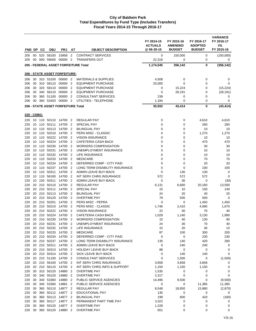| FND DP      |          |            |                |                                              |                                  |                                                         | FY 2014-15<br><b>ACTUALS</b><br>@ 06-30-15 | FY 2015-16<br><b>AMENDED</b><br><b>BUDGET</b> | FY 2016-17<br><b>ADOPTED</b><br><b>BUDGET</b> | <b>VARIANCE</b><br>FY 2016-17<br>VS.<br>FY 2015-16 |
|-------------|----------|------------|----------------|----------------------------------------------|----------------------------------|---------------------------------------------------------|--------------------------------------------|-----------------------------------------------|-----------------------------------------------|----------------------------------------------------|
|             |          | <b>CC</b>  | <b>OBJ</b>     | <b>PRJ</b>                                   | AT                               | <b>OBJECT DESCRIPTION</b>                               |                                            |                                               |                                               |                                                    |
| 205<br>205  | 50<br>00 | 520<br>000 | 58100<br>59000 | 15958<br>00000                               | $\overline{2}$<br>$\overline{2}$ | <b>CONTRACT SERVICES</b><br><b>TRANSFERS OUT</b>        | 0<br>22,316                                | 150,000<br>0                                  | 0<br>0                                        | (150,000)<br>0                                     |
|             |          |            |                |                                              |                                  | 205 - FEDERAL ASSET FORFEITURE Total                    | 1,174,545                                  | 356,142                                       | 0                                             | (356, 142)                                         |
|             |          |            |                |                                              |                                  |                                                         |                                            |                                               |                                               |                                                    |
|             |          |            |                | <b>206 - STATE ASSET FORFEITURE:</b>         |                                  |                                                         |                                            |                                               |                                               |                                                    |
| 206         | 30       |            | 310 53100      | 00000 2                                      |                                  | <b>MATERIALS &amp; SUPPLIES</b>                         | 4,508                                      | 0                                             | 0                                             | 0                                                  |
| 206         | 30       |            | 310 58110      | 00000                                        | $\overline{2}$                   | <b>EQUIPMENT PURCHASE</b>                               | 25,000                                     | 0                                             | 0                                             | 0                                                  |
| 206         | 30       | 320        | 58110          | 00000                                        | $\overline{2}$                   | <b>EQUIPMENT PURCHASE</b>                               | 0                                          | 15,224                                        | 0                                             | (15, 224)                                          |
| 206         | 30<br>30 | 340<br>360 | 58110<br>51100 | 00000<br>00000                               | $\overline{2}$<br>$\overline{2}$ | <b>EQUIPMENT PURCHASE</b><br><b>CONSULTANT SERVICES</b> | $\mathbf 0$<br>239                         | 28,191<br>0                                   | 0<br>0                                        | (28, 191)                                          |
| 206<br>206  | 30       |            | 360 53403      | 00000                                        | $\overline{2}$                   | UTILITIES - TELEPHONE                                   | 1,184                                      | 0                                             | 0                                             | 0<br>0                                             |
|             |          |            |                | 206 - STATE ASSET FORFEITURE Total           |                                  |                                                         | 30,932                                     | 43,414                                        | 0                                             | (43, 414)                                          |
|             |          |            |                |                                              |                                  |                                                         |                                            |                                               |                                               |                                                    |
| 220 - CDBG: |          |            |                |                                              |                                  |                                                         |                                            |                                               |                                               |                                                    |
| 220         |          |            |                | 10 110 50110 14700 2                         |                                  | <b>REGULAR PAY</b>                                      | 0                                          | 0                                             | 4,610                                         | 4,610                                              |
| 220         | 10       | 110        | 50111          | 14700                                        | $\overline{2}$                   | <b>SPECIAL PAY</b>                                      | 0                                          | 0                                             | 260                                           | 260                                                |
| 220         | 10       | 110        | 50113          | 14700                                        | - 2                              | <b>BILINGUAL PAY</b>                                    | 0                                          | 0                                             | 10                                            | 10                                                 |
| 220<br>220  | 10<br>10 | 110<br>110 | 50210<br>50222 | 14700<br>14700                               | $\overline{2}$<br>$\overline{2}$ | PERS MISC - CLASSIC<br><b>VISION INSURANCE</b>          | 0<br>0                                     | 0<br>0                                        | 1,270<br>10                                   | 1,270<br>10                                        |
| 220         | 10       | 110        | 50224          | 14700                                        | $\overline{2}$                   | CAFETERIA CASH BACK                                     | $\mathbf 0$                                | $\mathbf 0$                                   | 470                                           | 470                                                |
| 220         | 10       | 110        | 50230          | 14700                                        | $\overline{2}$                   | <b>WORKERS COMPENSATION</b>                             | $\mathbf 0$                                | 0                                             | 30                                            | 30                                                 |
| 220         | 10       | 110        | 50231          | 14700                                        | $\overline{2}$                   | UNEMPLOYMENT INSURANCE                                  | 0                                          | 0                                             | 10                                            | 10                                                 |
| 220         | 10       | 110        | 50232          | 14700                                        | $\overline{2}$                   | LIFE INSURANCE                                          | 0                                          | 0                                             | 10                                            | 10                                                 |
| 220         | 10       | 110        | 50233          | 14700                                        | $\overline{2}$                   | <b>MEDICARE</b>                                         | 0                                          | 0                                             | 70                                            | 70                                                 |
| 220         | 10       | 110        | 50234          | 14700                                        | $\overline{2}$                   | DEFERRED COMP - CITY PAID                               | 0                                          | 0                                             | 20                                            | 20                                                 |
| 220         | 10       | 110        | 50237          | 14700                                        | $\overline{2}$                   | LONG TERM DISABILITY INSURANCE                          | 0                                          | $\mathbf 0$                                   | 100                                           | 100                                                |
| 220         | 10       | 110        | 50311          | 14700                                        | $\overline{2}$                   | ADMIN LEAVE BUY-BACK                                    | 0                                          | 130                                           | 130                                           | 0                                                  |
| 220         | 10       | 110        | 56100          | 14700                                        | - 2                              | INT SERV CHRG INSURANCE                                 | 572                                        | 572                                           | 572                                           | $\mathbf 0$                                        |
| 220<br>220  | 10<br>20 | 150<br>210 | 50311<br>50110 | 14700<br>14700                               | $\overline{2}$<br>$\overline{2}$ | ADMIN LEAVE BUY-BACK<br><b>REGULAR PAY</b>              | $\mathbf 0$<br>6,131                       | 30<br>6,660                                   | 0<br>20,160                                   | (30)<br>13,500                                     |
| 220         | 20       | 210        | 50111          | 14700                                        | $\overline{2}$                   | <b>SPECIAL PAY</b>                                      | 15                                         | 10                                            | 150                                           | 140                                                |
| 220         | 20       | 210        | 50113          | 14700                                        | -2                               | <b>BILINGUAL PAY</b>                                    | 24                                         | 20                                            | 40                                            | 20                                                 |
| 220         | 20       | 210        | 50120          | 14700                                        | $\overline{2}$                   | <b>OVERTIME PAY</b>                                     | 79                                         | 500                                           | 500                                           | 0                                                  |
| 220         | 20       | 210        | 50201          | 14700                                        | $\overline{2}$                   | PERS MISC - PEPRA                                       | 0                                          | 0                                             | 1,450                                         | 1,450                                              |
| 220         | 20       | 210        | 50210          | 14700                                        | $\overline{\mathbf{2}}$          | <b>PERS MISC - CLASSIC</b>                              | 1,746                                      | 2,410                                         | 4,080                                         | 1,670                                              |
| 220         | 20       | 210        | 50222          | 14700                                        | $\overline{2}$                   | <b>VISION INSURANCE</b>                                 | 22                                         | 30                                            | 70                                            | 40                                                 |
| 220         | 20       | 210        | 50224          | 14700                                        | $\overline{2}$                   | CAFETERIA CASH BACK                                     | 1,029                                      | 1,140                                         | 3,130                                         | 1,990                                              |
| 220         | 20       | 210        | 50230          | 14700                                        | $\overline{2}$                   | <b>WORKERS COMPENSATION</b>                             | 15                                         | 40                                            | 130                                           | 90                                                 |
| 220         |          |            | 20 210 50231   | 14700 2                                      |                                  | UNEMPLOYMENT INSURANCE                                  | 24                                         | 30                                            | 70                                            | 40                                                 |
| 220<br>220  |          |            |                | 20 210 50232 14700 2<br>20 210 50233 14700 2 |                                  | LIFE INSURANCE<br><b>MEDICARE</b>                       | 15<br>87                                   | 20<br>100                                     | 30<br>300                                     | 10<br>200                                          |
| 220         |          |            |                | 20 210 50234 14700 2                         |                                  | DEFERRED COMP - CITY PAID                               | $\mathbf 0$                                | $\pmb{0}$                                     | 230                                           | 230                                                |
| 220         |          |            |                | 20 210 50237 14700 2                         |                                  | LONG TERM DISABILITY INSURANCE                          | 130                                        | 140                                           | 420                                           | 280                                                |
| 220         |          |            |                | 20 210 50311 14700 2                         |                                  | ADMIN LEAVE BUY-BACK                                    | $\mathbf 0$                                | 240                                           | 240                                           | 0                                                  |
| 220         |          |            |                | 20 210 50313 14700 2                         |                                  | HOLIDAY LEAVE BUY-BACK                                  | 88                                         | $\mathbf 0$                                   | 0                                             | 0                                                  |
| 220         |          |            |                | 20 210 50314 14700 2                         |                                  | SICK LEAVE BUY-BACK                                     | 0                                          | 140                                           | 140                                           | 0                                                  |
| 220         |          |            |                | 20 210 51100 14700 2                         |                                  | <b>CONSULTANT SERVICES</b>                              | $\mathbf 0$                                | 1,500                                         | 0                                             | (1,500)                                            |
| 220         |          |            |                | 20 210 56100 14700 2                         |                                  | INT SERV CHRG INSURANCE                                 | 3,658                                      | 3,658                                         | 3,658                                         | 0                                                  |
| 220         |          |            |                | 20 210 56110 14700 2                         |                                  | INT SERV CHRG INFO & SUPPORT                            | 1,150                                      | 1,150                                         | 1,150                                         | 0                                                  |
| 220<br>220  |          |            |                | 30 310 50120 14880 2<br>30 340 50120 14880 2 |                                  | <b>OVERTIME PAY</b><br><b>OVERTIME PAY</b>              | 1,535<br>2,317                             | 0<br>0                                        | 0<br>0                                        | 0<br>0                                             |
| 220         | 30       |            |                | 340 53360 14880 2                            |                                  | PUBLIC SERVICE AGENCIES                                 | 14,496                                     | 9,500                                         | 0                                             | (9,500)                                            |
| 220         | 30       |            |                | 340 53360 14881 2                            |                                  | PUBLIC SERVICE AGENCIES                                 | 0                                          | 0                                             | 11,385                                        | 11,385                                             |
| 220         | 30       |            |                | 360 50110 14877 2                            |                                  | <b>REGULAR PAY</b>                                      | 8,548                                      | 18,850                                        | 15,980                                        | (2,870)                                            |
| 220         | 30       |            |                | 360 50112 14877                              | $\overline{2}$                   | EDUCATIONAL PAY                                         | 135                                        | 0                                             | 0                                             | 0                                                  |
| 220         | 30       |            |                | 360 50113 14877 2                            |                                  | <b>BILINGUAL PAY</b>                                    | 199                                        | 600                                           | 420                                           | (180)                                              |
| 220         | 30       |            |                | 360 50117 14877 2                            |                                  | PERMANENT PART TIME PAY                                 | 3,322                                      | 0                                             | 0                                             | 0                                                  |
| 220         | 30       |            |                | 360 50120 14877 2                            |                                  | <b>OVERTIME PAY</b>                                     | 1,228                                      | 0                                             | 0                                             | 0                                                  |
| 220         | 30       |            |                | 360 50120 14880 2                            |                                  | <b>OVERTIME PAY</b>                                     | 651                                        | 0                                             | 0                                             | 0                                                  |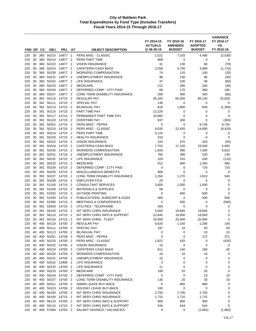| FND DP     |          | CС         | <b>OBJ</b>             | <b>PRJ</b>           | AT                               | <b>OBJECT DESCRIPTION</b>                             | FY 2014-15<br><b>ACTUALS</b><br>@06-30-15 | FY 2015-16<br><b>AMENDED</b><br><b>BUDGET</b> | FY 2016-17<br><b>ADOPTED</b><br><b>BUDGET</b> | <b>VARIANCE</b><br>FY 2016-17<br>VS.<br>FY 2015-16 |
|------------|----------|------------|------------------------|----------------------|----------------------------------|-------------------------------------------------------|-------------------------------------------|-----------------------------------------------|-----------------------------------------------|----------------------------------------------------|
| 220        | 30       |            | 360 50210              | 14877                | $\overline{2}$                   | PERS MISC - CLASSIC                                   | 2,521                                     | 7,020                                         | 4,490                                         | (2,530)                                            |
| 220        | 30       | 360        | 50214                  | 14877                | $\overline{2}$                   | <b>PERS PART TIME</b>                                 | 808                                       | 0                                             | 0                                             | 0                                                  |
| 220        | 30       | 360        | 50222                  | 14877                | $\overline{2}$                   | <b>VISION INSURANCE</b>                               | 31                                        | 130                                           | 60                                            | (70)                                               |
| 220        | 30       | 360        | 50224                  | 14877                | $\overline{2}$                   | <b>CAFETERIA CASH BACK</b>                            | 2,558                                     | 5,700                                         | 3,990                                         | (1,710)                                            |
| 220        | 30       |            | 360 50230              | 14877                | $\overline{2}$                   | WORKERS COMPENSATION                                  | 74                                        | 120                                           | 100                                           | (20)                                               |
| 220        | 30       |            | 360 50231              | 14877                | $\overline{2}$                   | UNEMPLOYMENT INSURANCE                                | 96                                        | 130                                           | 90                                            | (40)                                               |
| 220        | 30       | 360        | 50232                  | 14877                | $\overline{2}$                   | LIFE INSURANCE                                        | 37                                        | 100                                           | 40                                            | (60)                                               |
| 220        | 30       | 360        | 50233                  | 14877                | $\overline{2}$                   | <b>MEDICARE</b>                                       | 212                                       | 280                                           | 240                                           | (40)                                               |
| 220        | 30       | 360        | 50234                  | 14877                | $\overline{2}$                   | DEFERRED COMP - CITY PAID                             | 69                                        | 170                                           | 360                                           | 190                                                |
| 220        | 30       | 360        | 50237                  | 14877                | $\overline{2}$                   | LONG TERM DISABILITY INSURANCE                        | 259                                       | 400                                           | 340                                           | (60)                                               |
| 220        | 30       | 391        | 50110                  | 14715                | $\overline{2}$                   | <b>REGULAR PAY</b>                                    | 26,183                                    | 60,300                                        | 86,120                                        | 25,820                                             |
| 220<br>220 | 30<br>30 | 391<br>391 | 50111<br>50113         | 14715<br>14715       | $\overline{2}$<br>$\overline{2}$ | <b>SPECIAL PAY</b><br><b>BILINGUAL PAY</b>            | 139<br>818                                | 0<br>1,800                                    | 0<br>500                                      | 0                                                  |
| 220        | 30       | 391        | 50116                  | 14715                | $\overline{2}$                   | PART TIME PAY                                         | 13,229                                    | 0                                             | 0                                             | (1,300)<br>0                                       |
| 220        | 30       | 391        | 50117                  | 14715                | $\overline{2}$                   | PERMANENT PART TIME PAY                               | 20,882                                    | 0                                             | 0                                             | 0                                                  |
| 220        | 30       | 391        | 50120                  | 14715                | $\overline{2}$                   | <b>OVERTIME PAY</b>                                   | 837                                       | 300                                           | 0                                             | (300)                                              |
| 220        | 30       | 391        | 50201                  | 14715                | $\overline{2}$                   | PERS MISC - PEPRA                                     | 0                                         | 0                                             | 9,730                                         | 9,730                                              |
| 220        | 30       | 391        | 50210                  | 14715                | $\overline{2}$                   | PERS MISC - CLASSIC                                   | 8,035                                     | 22,420                                        | 14,000                                        | (8, 420)                                           |
| 220        | 30       | 391        | 50214                  | 14715                | $\overline{2}$                   | PERS PART TIME                                        | 4,124                                     | 0                                             | 0                                             | 0                                                  |
| 220        | 30       | 391        | 50220                  | 14715                | $\overline{2}$                   | <b>HEALTH INSURANCE</b>                               | 319                                       | 0                                             | 0                                             | 0                                                  |
| 220        | 30       | 391        | 50222                  | 14715                | $\overline{2}$                   | <b>VISION INSURANCE</b>                               | 224                                       | 470                                           | 420                                           | (50)                                               |
| 220        | 30       | 391        | 50224                  | 14715                | $\overline{2}$                   | CAFETERIA CASH BACK                                   | 7,702                                     | 17,100                                        | 23,030                                        | 5,930                                              |
| 220        | 30       | 391        | 50230                  | 14715                | $\overline{2}$                   | WORKERS COMPENSATION                                  | 1,929                                     | 390                                           | 7,200                                         | 6,810                                              |
| 220        | 30       | 391        | 50231                  | 14715                | $\overline{2}$                   | UNEMPLOYMENT INSURANCE                                | 765                                       | 390                                           | 520                                           | 130                                                |
| 220<br>220 | 30<br>30 | 391<br>391 | 50232<br>50233         | 14715<br>14715       | $\overline{2}$<br>$\overline{2}$ | LIFE INSURANCE<br><b>MEDICARE</b>                     | 103<br>912                                | 310<br>900                                    | 200<br>1,260                                  | (110)<br>360                                       |
| 220        | 30       | 391        | 50234                  | 14715                | $\overline{2}$                   | DEFERRED COMP - CITY PAID                             | 0                                         | 0                                             | 720                                           | 720                                                |
| 220        | 30       | 391        | 50236                  | 14715                | $\overline{2}$                   | MISCELLANEOUS BENEFITS                                | 800                                       | 0                                             | 0                                             | 0                                                  |
| 220        | 30       | 391        | 50237                  | 14715                | $\overline{2}$                   | LONG TERM DISABILITY INSURANCE                        | 1,264                                     | 1,270                                         | 1,810                                         | 540                                                |
| 220        | 30       | 391        | 50238                  | 14715                | $\overline{2}$                   | <b>EMPLOYER FICA</b>                                  | 23                                        | 0                                             | 0                                             | 0                                                  |
| 220        | 30       | 391        | 51100                  | 14715                | $\overline{2}$                   | <b>CONSULTANT SERVICES</b>                            | 3,600                                     | 1,000                                         | 1,000                                         | 0                                                  |
| 220        | 30       | 391        | 53100                  | 14715                | $\overline{2}$                   | <b>MATERIALS &amp; SUPPLIES</b>                       | 58                                        | 0                                             | 0                                             | 0                                                  |
| 220        | 30       | 391        | 53320                  | 14715                | $\overline{2}$                   | <b>OUTSIDE PRINTING</b>                               | 0                                         | 600                                           | 600                                           | $\mathbf 0$                                        |
| 220        | 30       | 391        | 53330                  | 14715                | $\overline{2}$                   | PUBLICATIONS, SUBSCRIP & DUES                         | 569                                       | 0                                             | 500                                           | 500                                                |
| 220        | 30       | 391        | 53350                  | 14715                | $\overline{2}$                   | <b>MEETINGS &amp; CONFERENCES</b>                     | 0                                         | 500                                           | 0                                             | (500)                                              |
| 220        | 30       | 391        | 53403                  | 14715                | $\overline{2}$                   | UTILITIES - TELEPHONE                                 | 283                                       | 0                                             | 0                                             | 0                                                  |
| 220        | 30<br>30 | 391        | 56100                  | 14715                | $\overline{2}$                   | INT SERV CHRG INSURANCE                               | 5,500                                     | 19,845                                        | 19,845                                        | 0                                                  |
| 220<br>220 | 30       | 391<br>391 | 56110<br>56120         | 14715<br>14715       | $\overline{2}$<br>$\overline{2}$ | INT SERV CHRG INFO & SUPPORT<br>INT SERV CHRG - FLEET | 22,845<br>20,000                          | 18,000<br>20,000                              | 18,000<br>20,000                              | 0<br>0                                             |
| 220        | 40       |            | 400 50110              | 14700 2              |                                  | REGULAR PAY                                           | 6,620                                     | 1,150                                         | 1,290                                         | 140                                                |
| 220        | 40       |            | 400 50111              | 14700                | $\overline{2}$                   | SPECIAL PAY                                           | 197                                       | 10                                            | 60                                            | 50                                                 |
| 220        |          |            | 40 400 50113           | 14700                | $\overline{2}$                   | <b>BILINGUAL PAY</b>                                  | 0                                         | 0                                             | 10                                            | 10                                                 |
| 220        | 40       |            | 400 50201              | 14700 2              |                                  | PERS MISC - PEPRA                                     | 0                                         | 0                                             | 372                                           | 372                                                |
| 220        | 40       |            | 400 50210              | 14700 2              |                                  | PERS MISC - CLASSIC                                   | 1,822                                     | 420                                           | 0                                             | (420)                                              |
| 220        |          |            | 40 400 50222           | 14700                | $\overline{2}$                   | <b>VISION INSURANCE</b>                               | 10                                        | $\mathbf 0$                                   | 0                                             | 0                                                  |
| 220        | 40       |            | 400 50224              | 14700 2              |                                  | CAFETERIA CASH BACK                                   | 811                                       | 140                                           | 180                                           | 40                                                 |
| 220        | 40       |            | 400 50230              | 14700 2              |                                  | <b>WORKERS COMPENSATION</b>                           | 15                                        | 10                                            | 10                                            | 0                                                  |
| 220        | 40       |            | 400 50231              | 14700                | $\overline{2}$                   | UNEMPLOYMENT INSURANCE                                | 15                                        | 0                                             | 0                                             | 0                                                  |
| 220        |          |            | 40 400 50232           | 13406                | $\overline{2}$                   | <b>LIFE INSURANCE</b>                                 | 3                                         | 0                                             | 0                                             | 0                                                  |
| 220<br>220 | 40<br>40 |            | 400 50232<br>400 50233 | 14700 2<br>14700 2   |                                  | LIFE INSURANCE<br><b>MEDICARE</b>                     | 11<br>106                                 | 0<br>20                                       | 0<br>20                                       | 0<br>0                                             |
| 220        | 40       |            | 400 50234              | 14700 2              |                                  | DEFERRED COMP - CITY PAID                             | 0                                         | 0                                             | 10                                            | 10                                                 |
| 220        |          |            | 40 400 50237           | 14700                | -2                               | LONG TERM DISABILITY INSURANCE                        | 135                                       | 20                                            | 30                                            | 10                                                 |
| 220        | 40       |            | 400 50311              | 14700 2              |                                  | ADMIN LEAVE BUY-BACK                                  | 0                                         | 860                                           | 860                                           | 0                                                  |
| 220        | 40       |            | 400 50313              | 14700 2              |                                  | HOLIDAY LEAVE BUY-BACK                                | 100                                       | 0                                             | 0                                             | 0                                                  |
| 220        |          |            | 40 400 56100           | 14700 2              |                                  | INT SERV CHRG INSURANCE                               | 2,700                                     | 2,700                                         | 2,700                                         | 0                                                  |
| 220        | 40       |            | 400 56100              | 14715 2              |                                  | INT SERV CHRG INSURANCE                               | 1,715                                     | 1,715                                         | 1,715                                         | 0                                                  |
| 220        | 40       |            | 400 56110              | 14700 2              |                                  | INT SERV CHRG INFO & SUPPORT                          | 900                                       | 900                                           | 900                                           | 0                                                  |
| 220        | 40       |            | 400 56110              | 14715                | $\overline{2}$                   | INT SERV CHRG INFO & SUPPORT                          | 544                                       | 544                                           | 544                                           | 0                                                  |
| 220        |          |            |                        | 40 400 57900 14700 2 |                                  | SALARY SAVINGS / VACANCIES                            | 0                                         | 0                                             | (1,982)                                       | (1,982)                                            |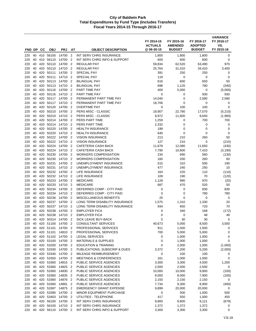|            |          |            |                        |                |                                  |                                                    | FY 2014-15<br><b>ACTUALS</b><br>@ 06-30-15 | FY 2015-16<br><b>AMENDED</b><br><b>BUDGET</b> | FY 2016-17<br><b>ADOPTED</b> | <b>VARIANCE</b><br>FY 2016-17<br>VS.<br>FY 2015-16 |
|------------|----------|------------|------------------------|----------------|----------------------------------|----------------------------------------------------|--------------------------------------------|-----------------------------------------------|------------------------------|----------------------------------------------------|
| FND DP     |          | CС         | <b>OBJ</b>             | <b>PRJ</b>     | AT                               | <b>OBJECT DESCRIPTION</b>                          |                                            |                                               | <b>BUDGET</b>                |                                                    |
| 220        | 40       |            | 410 56100              | 14700          | $\overline{2}$                   | INT SERV CHRG INSURANCE                            | 1,800                                      | 1,800                                         | 1,800                        | 0                                                  |
| 220<br>220 | 40<br>40 | 410<br>420 | 56110<br>50110         | 14700          | $\overline{2}$<br>$\overline{2}$ | INT SERV CHRG INFO & SUPPORT<br><b>REGULAR PAY</b> | 600                                        | 600<br>62,520                                 | 600                          | $\mathbf 0$<br>970                                 |
| 220        | 40       | 420        | 50110                  | 14700<br>14710 | $\overline{2}$                   | <b>REGULAR PAY</b>                                 | 59,834<br>25,764                           | 31,010                                        | 63,490<br>34,410             | 3,400                                              |
| 220        | 40       |            | 420 50111              | 14700          | $\overline{2}$                   | <b>SPECIAL PAY</b>                                 | 391                                        | 250                                           | 250                          | 0                                                  |
| 220        | 40       | 420        | 50111                  | 14710          | $\overline{2}$                   | <b>SPECIAL PAY</b>                                 | 119                                        | 0                                             | 0                            | 0                                                  |
| 220        | 40       | 420        | 50113                  | 14700          | $\overline{2}$                   | <b>BILINGUAL PAY</b>                               | 616                                        | 600                                           | 650                          | 50                                                 |
| 220        | 40       | 420        | 50113                  | 14710          | $\overline{2}$                   | <b>BILINGUAL PAY</b>                               | 698                                        | 1,120                                         | 780                          | (340)                                              |
| 220        | 40       | 420        | 50116                  | 14700          | $\overline{2}$                   | PART TIME PAY                                      | 400                                        | 5,000                                         | 0                            | (5,000)                                            |
| 220        | 40       | 420        | 50116                  | 14710          | $\overline{2}$                   | PART TIME PAY                                      | $\mathbf 0$                                | 0                                             | 930                          | 930                                                |
| 220        | 40       | 420        | 50117                  | 14700          | $\overline{2}$                   | PERMANENT PART TIME PAY                            | 14,040                                     | $\mathbf 0$                                   | 2,580                        | 2,580                                              |
| 220        | 40       | 420        | 50117                  | 14710          | $\overline{2}$                   | PERMANENT PART TIME PAY                            | 18,706                                     | $\mathbf 0$                                   | 0                            | 0                                                  |
| 220        | 40       | 420        | 50120                  | 14700          | $\overline{2}$                   | <b>OVERTIME PAY</b>                                | 0                                          | 100                                           | 100                          | 0                                                  |
| 220        | 40       | 420        | 50210                  | 14700          | $\overline{2}$                   | PERS MISC - CLASSIC                                | 18,907                                     | 22,780                                        | 17,570                       | (5,210)                                            |
| 220        | 40       | 420        | 50210                  | 14710          | $\overline{2}$                   | <b>PERS MISC - CLASSIC</b>                         | 8,972                                      | 11,600                                        | 9,640                        | (1,960)                                            |
| 220        | 40       | 420        | 50214                  | 14700          | $\overline{2}$                   | PERS PART TIME                                     | 1,259                                      | 0                                             | 700                          | 700                                                |
| 220        | 40       | 420        | 50214                  | 14710          | $\overline{2}$                   | PERS PART TIME                                     | 2,332                                      | 0                                             | 0                            | 0                                                  |
| 220        | 40       | 420        | 50220                  | 14700          | $\overline{2}$                   | <b>HEALTH INSURANCE</b><br><b>HEALTH INSURANCE</b> | 199                                        | $\mathbf 0$                                   | $\mathbf 0$                  | 0                                                  |
| 220<br>220 | 40<br>40 | 420<br>420 | 50220<br>50222         | 14710<br>14700 | $\overline{2}$<br>$\overline{2}$ | <b>VISION INSURANCE</b>                            | 640<br>213                                 | $\mathbf 0$<br>210                            | $\mathbf 0$<br>260           | $\mathbf 0$<br>50                                  |
| 220        | 40       | 420        | 50222                  | 14710          | $\overline{2}$                   | <b>VISION INSURANCE</b>                            | 127                                        | 210                                           | $\mathbf 0$                  | (210)                                              |
| 220        | 40       | 420        | 50224                  | 14700          | $\overline{2}$                   | <b>CAFETERIA CASH BACK</b>                         | 11,678                                     | 12,080                                        | 11,650                       | (430)                                              |
| 220        | 40       | 420        | 50224                  | 14710          | $\overline{2}$                   | CAFETERIA CASH BACK                                | 7,790                                      | 10,600                                        | 7,410                        | (3, 190)                                           |
| 220        | 40       | 420        | 50230                  | 14700          | $\overline{2}$                   | <b>WORKERS COMPENSATION</b>                        | 234                                        | 690                                           | 560                          | (130)                                              |
| 220        | 40       | 420        | 50230                  | 14710          | $\overline{2}$                   | <b>WORKERS COMPENSATION</b>                        | 160                                        | 200                                           | 260                          | 60                                                 |
| 220        | 40       | 420        | 50231                  | 14700          | $\overline{2}$                   | UNEMPLOYMENT INSURANCE                             | 515                                        | 310                                           | 500                          | 190                                                |
| 220        | 40       | 420        | 50231                  | 14710          | $\overline{2}$                   | UNEMPLOYMENT INSURANCE                             | 477                                        | 240                                           | 250                          | 10                                                 |
| 220        | 40       | 420        | 50232                  | 14700          | $\overline{2}$                   | LIFE INSURANCE                                     | 164                                        | 220                                           | 110                          | (110)                                              |
| 220        | 40       | 420        | 50232                  | 14710          | $\overline{2}$                   | LIFE INSURANCE                                     | 109                                        | 190                                           | 70                           | (120)                                              |
| 220        | 40       | 420        | 50233                  | 14700          | $\overline{2}$                   | <b>MEDICARE</b>                                    | 1,128                                      | 990                                           | 970                          | (20)                                               |
| 220        | 40       | 420        | 50233                  | 14710          | $\overline{2}$                   | <b>MEDICARE</b>                                    | 687                                        | 470                                           | 520                          | 50                                                 |
| 220        | 40       | 420        | 50234                  | 14700          | $\overline{2}$                   | DEFERRED COMP - CITY PAID                          | 0                                          | 0                                             | 830                          | 830                                                |
| 220        | 40       | 420        | 50234                  | 14710          | $\overline{2}$                   | DEFERRED COMP - CITY PAID                          | 0                                          | $\mathbf 0$                                   | 780                          | 780                                                |
| 220        | 40       | 420        | 50236                  | 14700          | $\overline{2}$                   | MISCELLANEOUS BENEFITS                             | 25                                         | 0                                             | $\mathbf 0$                  | 0                                                  |
| 220        | 40       | 420        | 50237                  | 14700          | $\overline{2}$                   | LONG TERM DISABILITY INSURANCE                     | 1,575                                      | 1,310                                         | 1,330                        | 20                                                 |
| 220        | 40       | 420        | 50237                  | 14710          | $\overline{2}$                   | LONG TERM DISABILITY INSURANCE                     | 934                                        | 650                                           | 720                          | 70                                                 |
| 220        | 40       | 420        | 50238                  | 14700          | $\overline{2}$                   | <b>EMPLOYER FICA</b>                               | 0                                          | 340                                           | 168                          | (172)                                              |
| 220        | 40       | 420        | 50238                  | 14710          | 2                                | <b>EMPLOYER FICA</b>                               | 0                                          | 0                                             | 48                           | 48                                                 |
| 220        | 40       | 420        | 50314                  | 14700          | $\overline{2}$                   | SICK LEAVE BUY-BACK<br>CONSULTANT SERVICES         | $\mathbf 0$<br>40,673                      | 30<br>5,000                                   | 30<br>8,500                  | 0                                                  |
| 220        | 40<br>40 |            | 420 51100<br>420 51101 | 14700<br>14700 | $\overline{2}$<br>$\overline{2}$ | PROFESSIONAL SERVICES                              | 911                                        | 1,500                                         | 1,500                        | 3,500<br>0                                         |
| 220<br>220 | 40       | 420        | 51101                  | 14810          | $\overline{2}$                   | PROFESSIONAL SERVICES                              | 700                                        | 5,000                                         | 5,000                        | 0                                                  |
| 220        | 40       | 420        | 51102                  | 14700          | $\overline{2}$                   | <b>LEGAL SERVICES</b>                              | 0                                          | 1,000                                         | 1,000                        | 0                                                  |
| 220        | 40       |            | 420 53100              | 14700          | $\overline{2}$                   | <b>MATERIALS &amp; SUPPLIES</b>                    | 0                                          | 1,000                                         | 1,000                        | 0                                                  |
| 220        | 40       |            | 420 53200              | 14700          | $\overline{2}$                   | <b>EDUCATION &amp; TRAINING</b>                    | $\mathbf 0$                                | 2,000                                         | 1,000                        | (1,000)                                            |
| 220        | 40       |            | 420 53330              | 14700          | $\overline{2}$                   | PUBLICATIONS, SUBSCRIP & DUES                      | 3,372                                      | 7,200                                         | 5,200                        | (2,000)                                            |
| 220        | 40       |            | 420 53340              | 14700          | $\overline{2}$                   | MILEAGE REIMBURSEMENT                              | $\mathbf 0$                                | 100                                           | 100                          | 0                                                  |
| 220        | 40       |            | 420 53350              | 14700          | $\overline{2}$                   | <b>MEETINGS &amp; CONFERENCES</b>                  | 161                                        | 1,000                                         | 1,000                        | 0                                                  |
| 220        | 40       |            | 420 53360              | 14815          | $\overline{2}$                   | PUBLIC SERVICE AGENCIES                            | 3,300                                      | 3,300                                         | 4,500                        | 1,200                                              |
| 220        | 40       | 420        | 53360                  | 14825          | $\overline{2}$                   | PUBLIC SERVICE AGENCIES                            | 2,500                                      | 2,500                                         | 2,500                        | 0                                                  |
| 220        | 40       |            | 420 53360              | 14830 2        |                                  | PUBLIC SERVICE AGENCIES                            | 10,000                                     | 10,000                                        | 9,900                        | (100)                                              |
| 220        | 40       | 420        | 53360                  | 14835          | $\overline{2}$                   | PUBLIC SERVICE AGENCIES                            | 8,000                                      | 8,000                                         | 7,900                        | (100)                                              |
| 220        | 40       |            | 420 53360              | 14876          | $\overline{2}$                   | PUBLIC SERVICE AGENCIES                            | 2,150                                      | 2,150                                         | 2,150                        | 0                                                  |
| 220        | 40       | 420        | 53360                  | 14891          | $\overline{2}$                   | PUBLIC SERVICE AGENCIES                            | 7,734                                      | 9,300                                         | 8,900                        | (400)                                              |
| 220        | 40       |            | 420 53387              | 14875          | $\overline{2}$                   | <b>EMERGENCY GRANT EXPENSE</b>                     | 9,899                                      | 20,000                                        | 20,000                       | 0                                                  |
| 220        | 40       | 420        | 53390                  | 14700          | $\overline{2}$                   | MINOR EQUIPMENT PURCHASE                           | 0                                          | 500                                           | 1,000                        | 500                                                |
| 220        | 40       | 420        | 53403                  | 14700          | $\overline{2}$                   | UTILITIES - TELEPHONE                              | 417                                        | 550                                           | 1,000                        | 450                                                |
| 220        | 40       |            | 420 56100              | 14700 2        |                                  | INT SERV CHRG INSURANCE                            | 9,800                                      | 9,800                                         | 9,121                        | (679)                                              |
| 220        | 40       | 420        | 56100                  | 14710          | $\overline{2}$                   | INT SERV CHRG INSURANCE                            | 1,372                                      | 1,372                                         | 1,372                        | 0                                                  |
| 220        | 40       |            | 420 56110              | 14700 2        |                                  | INT SERV CHRG INFO & SUPPORT                       | 3,300                                      | 3,300                                         | 3,300                        | 0                                                  |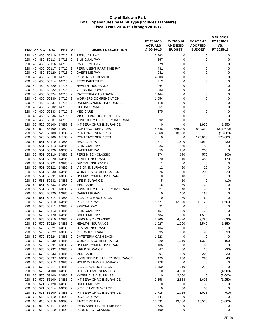|            |          |            |                           |                      |                                  |                                                       | FY 2014-15<br><b>ACTUALS</b> | FY 2015-16<br><b>AMENDED</b> | FY 2016-17<br><b>ADOPTED</b> | <b>VARIANCE</b><br>FY 2016-17<br>VS. |
|------------|----------|------------|---------------------------|----------------------|----------------------------------|-------------------------------------------------------|------------------------------|------------------------------|------------------------------|--------------------------------------|
| FND DP     |          | CС         | <b>OBJ</b>                | <b>PRJ</b>           | AT                               | <b>OBJECT DESCRIPTION</b>                             | @06-30-15                    | <b>BUDGET</b>                | <b>BUDGET</b>                | FY 2015-16                           |
| 220        | 40       | 460        | 50110                     | 14715                | $\overline{2}$                   | <b>REGULAR PAY</b>                                    | 15,763                       | 0                            | 0                            | 0                                    |
| 220        | 40       | 460        | 50113                     | 14715                | $\overline{2}$                   | <b>BILINGUAL PAY</b>                                  | 367                          | 0                            | 0                            | 0                                    |
| 220        | 40       | 460        | 50116                     | 14715                | $\overline{2}$                   | PART TIME PAY                                         | 279                          | 0                            | 0                            | 0                                    |
| 220        | 40       | 460        | 50117                     | 14715                | $\overline{2}$                   | PERMANENT PART TIME PAY                               | 431                          | 0                            | 0                            | 0                                    |
| 220        | 40       | 460        | 50120                     | 14715                | $\overline{2}$                   | <b>OVERTIME PAY</b>                                   | 941                          | 0                            | 0                            | 0                                    |
| 220        | 40       |            | 460 50210                 | 14715                | $\overline{2}$                   | PERS MISC - CLASSIC                                   | 4,803                        | 0                            | 0                            | 0                                    |
| 220        | 40       | 460        | 50214                     | 14715                | 2                                | PERS PART TIME                                        | 212                          | 0                            | 0                            | 0                                    |
| 220<br>220 | 40<br>40 | 460<br>460 | 50220<br>50222            | 14715<br>14715       | $\overline{2}$<br>$\overline{2}$ | <b>HEALTH INSURANCE</b><br><b>VISION INSURANCE</b>    | 64<br>83                     | $\mathbf 0$<br>0             | 0<br>0                       | 0<br>$\mathbf 0$                     |
| 220        | 40       | 460        | 50224                     | 14715                | $\overline{2}$                   | <b>CAFETERIA CASH BACK</b>                            | 3,444                        | 0                            | 0                            | $\mathbf 0$                          |
| 220        | 40       | 460        | 50230                     | 14715                | $\overline{2}$                   | <b>WORKERS COMPENSATION</b>                           | 1,054                        | 0                            | 0                            | 0                                    |
| 220        | 40       |            | 460 50231                 | 14715                | $\overline{2}$                   | UNEMPLOYMENT INSURANCE                                | 118                          | 0                            | 0                            | 0                                    |
| 220        | 40       | 460        | 50232                     | 14715                | $\overline{2}$                   | LIFE INSURANCE                                        | 51                           | 0                            | 0                            | 0                                    |
| 220        | 40       | 460        | 50233                     | 14715                | $\overline{2}$                   | <b>MEDICARE</b>                                       | 275                          | 0                            | 0                            | 0                                    |
| 220        | 40       |            | 460 50236                 | 14715                | $\overline{2}$                   | <b>MISCELLANEOUS BENEFITS</b>                         | 17                           | $\mathbf 0$                  | 0                            | 0                                    |
| 220        | 40       | 460        | 50237                     | 14715                | $\overline{2}$                   | LONG TERM DISABILITY INSURANCE                        | 392                          | 0                            | 0                            | 0                                    |
| 220        | 50       | 520        | 56100                     | 14889                | $\overline{2}$                   | INT SERV CHRG INSURANCE                               | $\mathbf 0$                  | 0                            | 1,950                        | 1,950                                |
| 220        | 50       | 520        | 58100                     | 14889                | $\overline{2}$                   | <b>CONTRACT SERVICES</b>                              | 4,348                        | 856,000                      | 544,330                      | (311, 670)                           |
| 220        | 50       | 520        | 58100                     | 15805                | $\overline{2}$                   | <b>CONTRACT SERVICES</b>                              | 2,660                        | 10,000                       | 0                            | (10,000)                             |
| 220        | 50       | 520        | 58100                     | 16185                | $\overline{2}$                   | <b>CONTRACT SERVICES</b>                              | 0                            | 0                            | 175,000                      | 175,000                              |
| 220        | 50       | 551        | 50110                     | 14885                | $\overline{2}$                   | <b>REGULAR PAY</b>                                    | 1,271                        | 1,800                        | 2,030                        | 230                                  |
| 220        | 50       | 551        | 50113                     | 14885                | $\overline{2}$                   | <b>BILINGUAL PAY</b>                                  | 34                           | 50                           | 50                           | 0                                    |
| 220        | 50       | 551        | 50120                     | 14885                | $\overline{2}$                   | <b>OVERTIME PAY</b>                                   | 59                           | 200                          | 200                          | 0                                    |
| 220        | 50       | 551        | 50210                     | 14885                | 2                                | PERS MISC - CLASSIC                                   | 374                          | 670                          | 570                          | (100)                                |
| 220        | 50       | 551        | 50220                     | 14885                | $\overline{2}$                   | <b>HEALTH INSURANCE</b>                               | 220                          | 310                          | 480                          | 170                                  |
| 220        | 50       | 551        | 50221                     | 14885                | $\overline{2}$                   | <b>DENTAL INSURANCE</b>                               | 11                           | 0                            | $\mathbf 0$                  | 0                                    |
| 220        | 50<br>50 | 551<br>551 | 50222                     | 14885                | $\overline{2}$<br>$\overline{2}$ | <b>VISION INSURANCE</b>                               | 12                           | 20                           | 20                           | 0                                    |
| 220<br>220 | 50       | 551        | 50230<br>50231            | 14885<br>14885       | $\overline{2}$                   | <b>WORKERS COMPENSATION</b><br>UNEMPLOYMENT INSURANCE | 76<br>8                      | 180<br>10                    | 200<br>10                    | 20<br>$\mathbf 0$                    |
| 220        | 50       | 551        | 50232                     | 14885                | $\overline{2}$                   | LIFE INSURANCE                                        | 5                            | 10                           | 0                            | (10)                                 |
| 220        | 50       | 551        | 50233                     | 14885                | 2                                | <b>MEDICARE</b>                                       | 16                           | 30                           | 30                           | 0                                    |
| 220        | 50       | 551        | 50237                     | 14885                | 2                                | LONG TERM DISABILITY INSURANCE                        | 27                           | 40                           | 40                           | 0                                    |
| 220        | 50       |            | 560 50120                 | 14885                | $\overline{2}$                   | <b>OVERTIME PAY</b>                                   | $\mathbf 0$                  | 160                          | 160                          | $\mathbf 0$                          |
| 220        | 50       | 561        | 50314                     | 14885                | $\overline{2}$                   | SICK LEAVE BUY-BACK                                   | $\mathbf 0$                  | 60                           | 60                           | $\mathbf 0$                          |
| 220        | 50       | 570        | 50110                     | 14885                | $\overline{2}$                   | <b>REGULAR PAY</b>                                    | 18,627                       | 12,120                       | 13,720                       | 1,600                                |
| 220        | 50       | 570        | 50111                     | 14885                | $\overline{2}$                   | <b>SPECIAL PAY</b>                                    | 21                           | 0                            | 0                            | 0                                    |
| 220        | 50       | 570        | 50113                     | 14885                | $\overline{2}$                   | <b>BILINGUAL PAY</b>                                  | 151                          | 120                          | 120                          | 0                                    |
| 220        | 50       | 570        | 50120                     | 14885                | 2                                | <b>OVERTIME PAY</b>                                   | 784                          | 1,500                        | 1,500                        | 0                                    |
| 220        | 50       | 570        | 50210                     | 14885                | $\overline{2}$                   | PERS MISC - CLASSIC                                   | 5,800                        | 4,420                        | 3,790                        | (630)                                |
| 220        |          |            | 50 570 50220              | 14885 2              |                                  | <b>HEALTH INSURANCE</b>                               | 1,927                        | 1,990                        | 3,540                        | 1,550                                |
| 220        |          |            | 50 570 50221              | 14885                | $\overline{2}$                   | <b>DENTAL INSURANCE</b>                               | 104                          | 0                            | 0                            | 0                                    |
| 220        |          |            | 50 570 50222              | 14885                | $\overline{2}$                   | <b>VISION INSURANCE</b>                               | 95                           | 60                           | 90                           | 30                                   |
| 220        | 50       |            | 570 50224                 | 14885 2              |                                  | CAFETERIA CASH BACK                                   | 1,223                        | 0                            | 0                            | 0                                    |
| 220        |          |            | 50 570 50230              | 14885 2              |                                  | <b>WORKERS COMPENSATION</b>                           | 820                          | 1,210                        | 1,370                        | 160                                  |
| 220<br>220 | 50       |            | 570 50231<br>50 570 50232 | 14885<br>14885       | $\overline{2}$<br>$\overline{2}$ | UNEMPLOYMENT INSURANCE<br><b>LIFE INSURANCE</b>       | 106<br>67                    | 80<br>60                     | 80<br>30                     | $\mathbf 0$<br>(30)                  |
| 220        | 50       |            | 570 50233                 | 14885 2              |                                  | <b>MEDICARE</b>                                       | 201                          | 180                          | 200                          | 20                                   |
| 220        |          |            | 50 570 50237              | 14885                | $\overline{2}$                   | LONG TERM DISABILITY INSURANCE                        | 429                          | 250                          | 290                          | 40                                   |
| 220        |          |            | 50 570 50313 14885        |                      | $\overline{2}$                   | <b>HOLIDAY LEAVE BUY-BACK</b>                         | 178                          | 0                            | 0                            | 0                                    |
| 220        | 50       |            | 570 50314                 | 14885 2              |                                  | SICK LEAVE BUY-BACK                                   | 2,559                        | 210                          | 210                          | 0                                    |
| 220        |          |            |                           | 50 570 51100 14885 2 |                                  | CONSULTANT SERVICES                                   | 0                            | 4,900                        | 0                            | (4,900)                              |
| 220        | 50       |            | 570 53100                 | 14885 2              |                                  | <b>MATERIALS &amp; SUPPLIES</b>                       | 0                            | 2,000                        | 0                            | (2,000)                              |
| 220        |          |            | 50 570 56100              | 14885                | $\overline{2}$                   | INT SERV CHRG INSURANCE                               | 2,858                        | 2,858                        | 1,608                        | (1,250)                              |
| 220        | 50       | 571        | 50120                     | 14885 2              |                                  | <b>OVERTIME PAY</b>                                   | 0                            | 30                           | 30                           | 0                                    |
| 220        |          |            | 50 571 50314              | 14885 2              |                                  | SICK LEAVE BUY-BACK                                   | $\mathbf 0$                  | 50                           | 50                           | 0                                    |
| 220        |          |            |                           | 50 571 56100 14885 2 |                                  | INT SERV CHRG INSURANCE                               | 1,715                        | 1,715                        | 1,015                        | (700)                                |
| 220        |          |            |                           | 60 610 50110 14890 2 |                                  | REGULAR PAY                                           | 441                          | 0                            | 0                            | 0                                    |
| 220        |          |            |                           | 60 610 50116 14890 2 |                                  | PART TIME PAY                                         | 15,531                       | 13,530                       | 10,530                       | (3,000)                              |
| 220        | 60       |            | 610 50117 14890           |                      | $\overline{2}$                   | PERMANENT PART TIME PAY                               | 1,728                        | 0                            | 0                            | 0                                    |
| 220        |          |            |                           | 60 610 50210 14890 2 |                                  | PERS MISC - CLASSIC                                   | 190                          | 0                            | 0                            | 0                                    |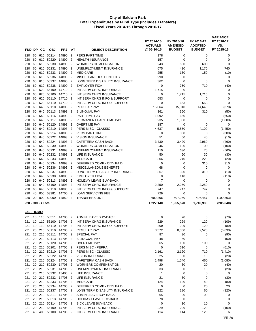|             |          |                  |                    |                                              |                                  |                                                                      | FY 2014-15<br><b>ACTUALS</b> | FY 2015-16<br><b>AMENDED</b> | FY 2016-17<br><b>ADOPTED</b> | <b>VARIANCE</b><br>FY 2016-17<br>VS. |
|-------------|----------|------------------|--------------------|----------------------------------------------|----------------------------------|----------------------------------------------------------------------|------------------------------|------------------------------|------------------------------|--------------------------------------|
| FND DP      |          | CС               | <b>OBJ</b>         | <b>PRJ</b>                                   | AT                               | <b>OBJECT DESCRIPTION</b>                                            | @ 06-30-15                   | <b>BUDGET</b>                | <b>BUDGET</b>                | FY 2015-16                           |
| 220         | 60       |                  | 610 50214          | 14890                                        | $\overline{2}$                   | PERS PART TIME                                                       | 178                          | 0                            | 0                            | 0                                    |
| 220         | 60       | 610              | 50220              | 14890                                        | $\overline{2}$                   | <b>HEALTH INSURANCE</b>                                              | 157                          | 0                            | $\mathbf 0$                  | 0                                    |
| 220         | 60       | 610              | 50230              | 14890                                        | $\overline{2}$                   | <b>WORKERS COMPENSATION</b>                                          | 243                          | 600                          | 600                          | 0                                    |
| 220<br>220  | 60<br>60 | 610              | 50231<br>610 50233 | 14890<br>14890                               | $\overline{2}$<br>2              | UNEMPLOYMENT INSURANCE<br><b>MEDICARE</b>                            | 675<br>255                   | 430<br>160                   | 1,170<br>150                 | 740<br>(10)                          |
| 220         | 60       | 610              | 50236              | 14890                                        | $\overline{2}$                   | <b>MISCELLANEOUS BENEFITS</b>                                        | 990                          | 0                            | 0                            | 0                                    |
| 220         | 60       | 610              | 50237              | 14890                                        | $\overline{2}$                   | LONG TERM DISABILITY INSURANCE                                       | 362                          | 0                            | 0                            | 0                                    |
| 220         | 60       | 610              | 50238              | 14890                                        | $\overline{2}$                   | <b>EMPLOYER FICA</b>                                                 | 0                            | 750                          | 710                          | (40)                                 |
| 220         | 60       | 620              | 56100              | 14710                                        | 2                                | INT SERV CHRG INSURANCE                                              | 1,715                        | 0                            | 0                            | 0                                    |
| 220         | 60       | 620              | 56100              | 14710                                        | $\overline{2}$                   | INT SERV CHRG INSURANCE                                              | 0                            | 1,715                        | 1,715                        | 0                                    |
| 220         | 60       | 620              | 56110              | 14710                                        | 2                                | INT SERV CHRG INFO & SUPPORT                                         | 653                          | 0                            | 0                            | 0                                    |
| 220         | 60       | 620              | 56110              | 14710                                        | 2                                | INT SERV CHRG INFO & SUPPORT                                         | 0                            | 653                          | 653                          | 0                                    |
| 220         | 60       | 640              | 50110              | 14893                                        | $\overline{2}$                   | <b>REGULAR PAY</b>                                                   | 15,064                       | 15,010                       | 14,640                       | (370)                                |
| 220         | 60       | 640              | 50113              | 14893                                        | $\overline{2}$                   | <b>BILINGUAL PAY</b>                                                 | 361                          | 360                          | 310                          | (50)                                 |
| 220         | 60       | 640              | 50116              | 14893                                        | $\overline{2}$                   | <b>PART TIME PAY</b>                                                 | 1,092                        | 650                          | 0                            | (650)                                |
| 220         | 60       | 640              | 50117              | 14893                                        | $\overline{2}$                   | PERMANENT PART TIME PAY                                              | 935                          | 1,000                        | 0                            | (1,000)                              |
| 220         | 60       | 640              | 50120              | 14893                                        | $\overline{2}$                   | <b>OVERTIME PAY</b>                                                  | 187                          | 0                            | 0                            | 0                                    |
| 220<br>220  | 60<br>60 | 640<br>640       | 50210<br>50214     | 14893<br>14893                               | $\overline{2}$<br>$\overline{2}$ | PERS MISC - CLASSIC<br>PERS PART TIME                                | 4,637<br>0                   | 5,550<br>300                 | 4,100<br>0                   | (1,450)                              |
| 220         | 60       | 640              | 50222              | 14893                                        | 2                                | <b>VISION INSURANCE</b>                                              | 51                           | 50                           | 40                           | (300)<br>(10)                        |
| 220         | 60       | 640              | 50224              | 14893                                        | $\overline{2}$                   | <b>CAFETERIA CASH BACK</b>                                           | 3,430                        | 3,420                        | 2,960                        | (460)                                |
| 220         | 60       | 640              | 50230              | 14893                                        | $\overline{2}$                   | <b>WORKERS COMPENSATION</b>                                          | 246                          | 190                          | 90                           | (100)                                |
| 220         | 60       | 640              | 50231              | 14893                                        | 2                                | UNEMPLOYMENT INSURANCE                                               | 110                          | 630                          | 70                           | (560)                                |
| 220         | 60       | 640              | 50232              | 14893                                        | $\overline{2}$                   | LIFE INSURANCE                                                       | 50                           | 60                           | 30                           | (30)                                 |
| 220         | 60       | 640              | 50233              | 14893                                        | $\overline{2}$                   | <b>MEDICARE</b>                                                      | 306                          | 240                          | 220                          | (20)                                 |
| 220         | 60       | 640              | 50234              | 14893                                        | $\overline{2}$                   | DEFERRED COMP - CITY PAID                                            | 0                            | 0                            | 310                          | 310                                  |
| 220         | 60       | 640              | 50236              | 14893                                        | 2                                | MISCELLANEOUS BENEFITS                                               | 68                           | 0                            | 0                            | 0                                    |
| 220         | 60       | 640              | 50237              | 14893                                        | $\overline{2}$                   | LONG TERM DISABILITY INSURANCE                                       | 367                          | 320                          | 310                          | (10)                                 |
| 220         | 60       | 640              | 50238              | 14893                                        | $\overline{2}$                   | <b>EMPLOYER FICA</b>                                                 | 0                            | 110                          | 0                            | (110)                                |
| 220         | 60       | 640              | 50313              | 14893                                        | $\overline{2}$                   | <b>HOLIDAY LEAVE BUY-BACK</b>                                        | 7                            | $\mathbf 0$                  | $\Omega$                     | 0                                    |
| 220         | 60       | 640              | 56100              | 14893                                        | $\overline{2}$                   | INT SERV CHRG INSURANCE                                              | 2,250                        | 2,250                        | 2,250                        | 0                                    |
| 220<br>220  | 60<br>40 | 640<br>000       | 56110<br>53381     | 14893<br>14700                               | $\overline{2}$<br>$\overline{2}$ | INT SERV CHRG INFO & SUPPORT<br><b>LOAN SERVICING FEE</b>            | 747<br>729                   | 747                          | 747<br>0                     | 0<br>0                               |
| 220         | 00       |                  | 000 59000          | 14850                                        | $\overline{2}$                   | <b>TRANSFERS OUT</b>                                                 | 602,206                      | 0<br>507,260                 | 406,457                      | (100, 803)                           |
|             |          | 220 - CDBG Total |                    |                                              |                                  |                                                                      | 1,227,140                    | 1,955,570                    | 1,749,930                    | (205, 640)                           |
|             |          |                  |                    |                                              |                                  |                                                                      |                              |                              |                              |                                      |
| 221 - HOME: |          |                  |                    |                                              |                                  |                                                                      |                              |                              |                              |                                      |
| 221<br>221  |          |                  |                    | 10 110 50311 14705 2                         |                                  | ADMIN LEAVE BUY-BACK<br>10 110 56100 14705 2 INT SERV CHRG INSURANCE | 0<br>229                     | 70<br>229                    | 0<br>120                     | (70)<br>(109)                        |
| 221         |          |                  |                    | 10 110 56110 14705 2                         |                                  | INT SERV CHRG INFO & SUPPORT                                         | 209                          | 209                          | 120                          | (89)                                 |
| 221         |          |                  |                    | 20 210 50110 14705 2                         |                                  | <b>REGULAR PAY</b>                                                   | 8,372                        | 8,350                        | 2,520                        | (5,830)                              |
| 221         |          |                  | 20 210 50111       | 14705 2                                      |                                  | SPECIAL PAY                                                          | 87                           | 90                           | 0                            | (90)                                 |
| 221         |          |                  |                    | 20 210 50113 14705 2                         |                                  | <b>BILINGUAL PAY</b>                                                 | 48                           | 50                           | 0                            | (50)                                 |
| 221         |          |                  |                    | 20 210 50120 14705 2                         |                                  | <b>OVERTIME PAY</b>                                                  | 65                           | 100                          | 100                          | 0                                    |
| 221         |          |                  |                    | 20 210 50201 14705 2                         |                                  | PERS MISC - PEPRA                                                    | 0                            | 610                          | 0                            | (610)                                |
| 221         |          |                  |                    | 20 210 50210 14705 2                         |                                  | PERS MISC - CLASSIC                                                  | 2,161                        | 2,120                        | 710                          | (1, 410)                             |
| 221         |          |                  |                    | 20 210 50222 14705 2                         |                                  | <b>VISION INSURANCE</b>                                              | 25                           | 30                           | 10                           | (20)                                 |
| 221         |          |                  |                    | 20 210 50224 14705 2                         |                                  | CAFETERIA CASH BACK                                                  | 1,498                        | 1,540                        | 460                          | (1,080)                              |
| 221         |          |                  |                    | 20 210 50230 14705 2                         |                                  | <b>WORKERS COMPENSATION</b>                                          | 20                           | 60                           | 20                           | (40)                                 |
| 221         |          |                  |                    | 20 210 50231 14705 2                         |                                  | UNEMPLOYMENT INSURANCE                                               | 33                           | 30                           | 10                           | (20)                                 |
| 221         |          |                  |                    | 20 210 50232 13406 2                         |                                  | LIFE INSURANCE                                                       | $\mathbf{1}$                 | 0                            | 0                            | 0                                    |
| 221         |          |                  |                    | 20 210 50232 14705 2<br>20 210 50233 14705 2 |                                  | LIFE INSURANCE                                                       | 21<br>124                    | 30                           | 0                            | (30)                                 |
| 221<br>221  |          |                  | 20 210 50234       | 14705 2                                      |                                  | <b>MEDICARE</b><br>DEFERRED COMP - CITY PAID                         | 0                            | 120<br>0                     | 40<br>20                     | (80)<br>20                           |
| 221         |          |                  |                    | 20 210 50237 14705 2                         |                                  | LONG TERM DISABILITY INSURANCE                                       | 122                          | 180                          | 60                           | (120)                                |
| 221         |          |                  | 20 210 50311       | 14705 2                                      |                                  | ADMIN LEAVE BUY-BACK                                                 | 65                           | 90                           | 90                           | 0                                    |
| 221         |          |                  |                    | 20 210 50313 14705 2                         |                                  | HOLIDAY LEAVE BUY-BACK                                               | 78                           | 0                            | 0                            | 0                                    |
| 221         |          |                  |                    | 20 210 50314 14705 2                         |                                  | SICK LEAVE BUY-BACK                                                  | 0                            | 10                           | 10                           | 0                                    |
| 221         |          |                  |                    | 20 210 56100 14705 2                         |                                  | INT SERV CHRG INSURANCE                                              | 229                          | 229                          | 120                          | (109)                                |
| 221         |          |                  |                    | 40 400 56100 14705 2                         |                                  | INT SERV CHRG INSURANCE                                              | 114                          | 114                          | 120                          | 6                                    |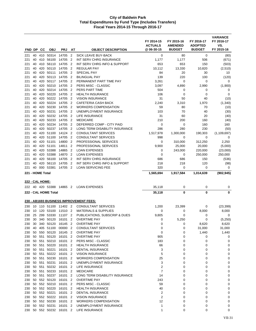| FND DP                  |          | CС         | <b>OBJ</b>               | <b>PRJ</b>         | AT                               | <b>OBJECT DESCRIPTION</b>                             | FY 2014-15<br><b>ACTUALS</b><br>@ 06-30-15 | FY 2015-16<br><b>AMENDED</b><br><b>BUDGET</b> | FY 2016-17<br><b>ADOPTED</b><br><b>BUDGET</b> | <b>VARIANCE</b><br>FY 2016-17<br>VS.<br>FY 2015-16 |
|-------------------------|----------|------------|--------------------------|--------------------|----------------------------------|-------------------------------------------------------|--------------------------------------------|-----------------------------------------------|-----------------------------------------------|----------------------------------------------------|
|                         |          |            |                          |                    |                                  |                                                       |                                            |                                               |                                               |                                                    |
| 221<br>221              | 40<br>40 | 410        | 410 50314<br>56100       | 14705<br>14705     | $\overline{2}$<br>$\overline{2}$ | SICK LEAVE BUY-BACK<br>INT SERV CHRG INSURANCE        | 0<br>1,177                                 | 80<br>1,177                                   | 0<br>506                                      | (80)                                               |
| 221                     | 40       | 410        | 56110                    | 14705              | $\overline{2}$                   | INT SERV CHRG INFO & SUPPORT                          | 653                                        | 653                                           | 150                                           | (671)<br>(503)                                     |
| 221                     | 40       | 420        | 50110                    | 14705              | $\overline{2}$                   | <b>REGULAR PAY</b>                                    | 10,112                                     | 13,330                                        | 10,820                                        | (2,510)                                            |
| 221                     | 40       | 420        | 50111                    | 14705              | $\overline{2}$                   | SPECIAL PAY                                           | 84                                         | 20                                            | 30                                            | 10                                                 |
| 221                     | 40       |            | 420 50113                | 14705              | $\overline{2}$                   | <b>BILINGUAL PAY</b>                                  | 139                                        | 220                                           | 100                                           | (120)                                              |
| 221                     | 40       | 420        | 50117                    | 14705              | $\overline{2}$                   | PERMANENT PART TIME PAY                               | 3,261                                      | $\mathbf 0$                                   | 0                                             | 0                                                  |
| 221                     | 40       | 420        | 50210                    | 14705              | $\overline{2}$                   | PERS MISC - CLASSIC                                   | 3,097                                      | 4,890                                         | 2,990                                         | (1,900)                                            |
| 221                     | 40       | 420        | 50214                    | 14705              | $\overline{2}$                   | PERS PART TIME                                        | 504                                        | 0                                             | 0                                             | 0                                                  |
| 221                     | 40       | 420        | 50220                    | 14705              | $\overline{2}$                   | <b>HEALTH INSURANCE</b>                               | 106                                        | $\mathbf 0$                                   | $\mathbf 0$                                   | $\mathbf 0$                                        |
| 221                     | 40       | 420        | 50222                    | 14705              | $\overline{2}$                   | <b>VISION INSURANCE</b>                               | 31                                         | 50                                            | 40                                            | (10)                                               |
| 221                     | 40       | 420        | 50224                    | 14705              | $\overline{2}$                   | <b>CAFETERIA CASH BACK</b>                            | 2,240                                      | 3,310                                         | 1,970                                         | (1,340)                                            |
| 221                     | 40       | 420        | 50230                    | 14705              | $\overline{2}$                   | <b>WORKERS COMPENSATION</b>                           | 59                                         | 80                                            | 70                                            | (10)                                               |
| 221                     | 40       |            | 420 50231                | 14705              | $\overline{2}$                   | UNEMPLOYMENT INSURANCE                                | 103                                        | 70                                            | 40                                            | (30)                                               |
| 221                     | 40       | 420        | 50232                    | 14705              | $\overline{2}$                   | LIFE INSURANCE                                        | 31                                         | 60                                            | 20                                            | (40)                                               |
| 221                     | 40<br>40 | 420<br>420 | 50233<br>50234           | 14705<br>14705     | $\overline{2}$<br>$\overline{2}$ | <b>MEDICARE</b><br>DEFERRED COMP - CITY PAID          | 210<br>0                                   | 200                                           | 160                                           | (40)                                               |
| 221<br>221              | 40       | 420        | 50237                    | 14705              | $\overline{2}$                   | LONG TERM DISABILITY INSURANCE                        | 286                                        | 0<br>280                                      | 160<br>230                                    | 160<br>(50)                                        |
| 221                     | 40       |            | 420 51100                | 14124              | $\overline{2}$                   | <b>CONSULTANT SERVICES</b>                            | 1,517,978                                  | 1,300,000                                     | 190,303                                       | (1, 109, 697)                                      |
| 221                     | 40       | 420        | 51100                    | 14705              | $\overline{2}$                   | <b>CONSULTANT SERVICES</b>                            | 998                                        | 0                                             | 0                                             | 0                                                  |
| 221                     | 40       | 420        | 51101                    | 14800              | $\overline{2}$                   | PROFESSIONAL SERVICES                                 | $\mathbf 0$                                | 310,000                                       | 312,250                                       | 2,250                                              |
| 221                     | 40       | 420        | 51101                    | 14811              | $\overline{2}$                   | PROFESSIONAL SERVICES                                 | 9,900                                      | 25,000                                        | 20,000                                        | (5,000)                                            |
| 221                     | 40       |            | 420 53388                | 14865              | $\overline{2}$                   | <b>LOAN EXPENSES</b>                                  | 0                                          | 243,000                                       | 220,000                                       | (23,000)                                           |
| 221                     | 40       |            | 420 53388                | 14870              | $\overline{2}$                   | <b>LOAN EXPENSES</b>                                  | $\mathbf 0$                                | 0                                             | 250,000                                       | 250,000                                            |
| 221                     | 40       | 420        | 56100                    | 14705              | $\overline{2}$                   | INT SERV CHRG INSURANCE                               | 686                                        | 686                                           | 150                                           | (536)                                              |
| 221                     | 40       | 420        | 56110                    | 14705              | $\overline{2}$                   | INT SERV CHRG INFO & SUPPORT                          | 218                                        | 218                                           | 120                                           | (98)                                               |
| 221                     | 40       | 000        | 53381                    | 14705              | $\overline{2}$                   | <b>LOAN SERVICING FEE</b>                             | 320                                        | $\mathbf 0$                                   | 0                                             | 0                                                  |
| 221 - HOME Total        |          |            |                          |                    |                                  |                                                       | 1,565,694                                  | 1,917,584                                     | 1,014,639                                     | (902, 945)                                         |
| <u> 222 - CAL HOME:</u> |          |            |                          |                    |                                  |                                                       |                                            |                                               |                                               |                                                    |
|                         |          |            | 222 40 420 53388 14865 2 |                    |                                  | <b>LOAN EXPENSES</b>                                  | 35,118                                     | 0                                             | 0                                             | 0                                                  |
|                         |          |            |                          |                    |                                  |                                                       |                                            |                                               |                                               |                                                    |
|                         |          |            | 222 - CAL HOME Total     |                    |                                  |                                                       | 35,118                                     | 0                                             | 0                                             | 0                                                  |
|                         |          |            |                          |                    |                                  | <u> 230 - AB1693 BUSINESS IMPROVEMENT FEES:</u>       |                                            |                                               |                                               |                                                    |
| 230                     |          |            | 10 110 51100             | 11402 2            |                                  | <b>CONSULTANT SERVICES</b>                            | 1,200                                      | 23,399                                        | 0                                             | (23, 399)                                          |
| 230                     | 10       |            | 120 53100                | 11510 2            |                                  | <b>MATERIALS &amp; SUPPLIES</b>                       | 0                                          | 0                                             | 8,000                                         | 8,000                                              |
| 230                     | 25       | 299        | 53330                    | 11107              | $\overline{2}$                   | PUBLICATIONS, SUBSCRIP & DUES                         | 9,805                                      | 0                                             | 0                                             | 0                                                  |
| 230                     | 30       | 340        | 50120                    | 16101              | $\overline{2}$                   | <b>OVERTIME PAY</b>                                   | $\mathbf 0$                                | 5,250                                         | $\mathbf 0$                                   | (5,250)                                            |
| 230                     | 30       |            | 340 50120                | 16145 2            |                                  | <b>OVERTIME PAY</b>                                   | 0                                          | 0                                             | 8,620                                         | 8,620                                              |
| 230                     | 40       |            | 405 51100                | 00000              | 2                                | <b>CONSULTANT SERVICES</b>                            | 0                                          | 0                                             | 31,000                                        | 31,000                                             |
| 230                     |          |            | 50 550 50120             | 16145              | $\overline{2}$                   | <b>OVERTIME PAY</b>                                   | 0                                          | 0                                             | 1,440                                         | 1,440                                              |
| 230                     |          |            | 50 551 50120             | 16101 2            |                                  | <b>OVERTIME PAY</b>                                   | 905                                        | 0                                             | 0                                             | 0                                                  |
| 230                     |          |            | 50 551 50210 16101 2     |                    |                                  | PERS MISC - CLASSIC                                   | 183                                        | 0                                             | 0                                             | 0                                                  |
| 230                     |          |            | 50 551 50220             | 16101 2            |                                  | <b>HEALTH INSURANCE</b>                               | 66                                         | 0                                             | 0                                             | 0                                                  |
| 230                     |          |            | 50 551 50221             | 16101 2            |                                  | DENTAL INSURANCE                                      | 3                                          | 0                                             | 0                                             | 0                                                  |
| 230                     | 50<br>50 | 551        | 50222<br>551 50230       | 16101 2            |                                  | <b>VISION INSURANCE</b>                               | 5<br>25                                    | 0<br>0                                        | 0<br>$\mathbf 0$                              | 0<br>0                                             |
| 230<br>230              |          |            | 50 551 50231             | 16101 2<br>16101 2 |                                  | <b>WORKERS COMPENSATION</b><br>UNEMPLOYMENT INSURANCE | 3                                          | 0                                             | 0                                             | 0                                                  |
| 230                     |          |            | 50 551 50232             | 16101              | 2                                | LIFE INSURANCE                                        | 2                                          | 0                                             | 0                                             | 0                                                  |
| 230                     |          |            | 50 551 50233             | 16101 2            |                                  | <b>MEDICARE</b>                                       | $\overline{7}$                             | 0                                             | 0                                             | 0                                                  |
| 230                     |          |            | 50 551 50237 16101 2     |                    |                                  | LONG TERM DISABILITY INSURANCE                        | 14                                         | 0                                             | 0                                             | 0                                                  |
| 230                     |          |            | 50 552 50120             | 16101 2            |                                  | <b>OVERTIME PAY</b>                                   | 243                                        | 0                                             | 0                                             | 0                                                  |
| 230                     | 50       |            | 552 50210                | 16101              | $\overline{2}$                   | PERS MISC - CLASSIC                                   | 59                                         | 0                                             | 0                                             | 0                                                  |
| 230                     | 50       |            | 552 50220                | 16101 2            |                                  | <b>HEALTH INSURANCE</b>                               | 40                                         | 0                                             | $\mathbf 0$                                   | 0                                                  |
| 230                     |          |            | 50 552 50221             | 16101 2            |                                  | DENTAL INSURANCE                                      | 2                                          | 0                                             | 0                                             | 0                                                  |
| 230                     |          |            | 50 552 50222 16101       |                    | $\overline{2}$                   | <b>VISION INSURANCE</b>                               | $\overline{2}$                             | 0                                             | 0                                             | 0                                                  |
| 230                     |          |            | 50 552 50230             | 16101 2            |                                  | <b>WORKERS COMPENSATION</b>                           | 12                                         | 0                                             | 0                                             | 0                                                  |
| 230                     | 50       |            | 552 50231                | 16101              | 2                                | UNEMPLOYMENT INSURANCE                                | 1                                          | 0                                             | 0                                             | 0                                                  |
| 230                     |          |            | 50 552 50232 16101 2     |                    |                                  | LIFE INSURANCE                                        | 1                                          | 0                                             | 0                                             | 0                                                  |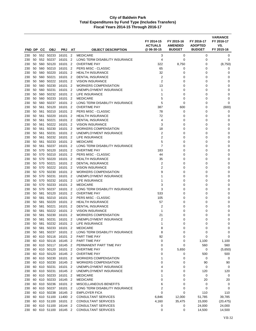| FND DP     |          | <b>CC</b>  | <b>OBJ</b>                | <b>PRJ</b>           | ΑT                               | <b>OBJECT DESCRIPTION</b>                              | FY 2014-15<br><b>ACTUALS</b><br>@ 06-30-15 | FY 2015-16<br><b>AMENDED</b><br><b>BUDGET</b> | FY 2016-17<br><b>ADOPTED</b><br><b>BUDGET</b> | <b>VARIANCE</b><br>FY 2016-17<br>VS.<br>FY 2015-16 |
|------------|----------|------------|---------------------------|----------------------|----------------------------------|--------------------------------------------------------|--------------------------------------------|-----------------------------------------------|-----------------------------------------------|----------------------------------------------------|
|            |          |            |                           |                      |                                  |                                                        |                                            |                                               |                                               |                                                    |
| 230<br>230 | 50<br>50 | 552        | 552 50233<br>50237        | 16101<br>16101       | $\overline{2}$<br>2              | <b>MEDICARE</b><br>LONG TERM DISABILITY INSURANCE      | 3<br>4                                     | 0<br>$\mathbf 0$                              | 0<br>$\mathbf 0$                              | 0<br>0                                             |
| 230        | 50       | 560        | 50120                     | 16101                | 2                                | <b>OVERTIME PAY</b>                                    | 322                                        | 8,750                                         | 0                                             | (8,750)                                            |
| 230        | 50       | 560        | 50210                     | 16101                | $\overline{2}$                   | PERS MISC - CLASSIC                                    | 65                                         | 0                                             | 0                                             | 0                                                  |
| 230        | 50       | 560        | 50220                     | 16101                | 2                                | <b>HEALTH INSURANCE</b>                                | 32                                         | 0                                             | 0                                             | 0                                                  |
| 230        | 50       | 560        | 50221                     | 16101                | $\overline{2}$                   | <b>DENTAL INSURANCE</b>                                | 2                                          | 0                                             | 0                                             | 0                                                  |
| 230        | 50       | 560        | 50222                     | 16101                | 2                                | <b>VISION INSURANCE</b>                                | $\overline{2}$                             | 0                                             | 0                                             | 0                                                  |
| 230        | 50       | 560        | 50230                     | 16101                | $\overline{2}$                   | <b>WORKERS COMPENSATION</b>                            | 13                                         | 0                                             | 0                                             | 0                                                  |
| 230        | 50       |            | 560 50231                 | 16101                | 2                                | UNEMPLOYMENT INSURANCE                                 | 1                                          | 0                                             | 0                                             | 0                                                  |
| 230        | 50       |            | 560 50232                 | 16101                | 2                                | LIFE INSURANCE                                         | 1                                          | 0                                             | 0                                             | 0                                                  |
| 230        | 50       | 560        | 50233                     | 16101                | $\overline{2}$                   | <b>MEDICARE</b>                                        | 5                                          | 0                                             | 0                                             | 0                                                  |
| 230        | 50       | 560        | 50237                     | 16101                | $\overline{2}$                   | LONG TERM DISABILITY INSURANCE                         | 5                                          | 0                                             | $\Omega$                                      | 0                                                  |
| 230<br>230 | 50<br>50 | 561<br>561 | 50120<br>50210            | 16101<br>16101       | $\overline{2}$<br>$\overline{2}$ | <b>OVERTIME PAY</b><br>PERS MISC - CLASSIC             | 387<br>78                                  | 600<br>0                                      | 0<br>0                                        | (600)<br>0                                         |
| 230        | 50       | 561        | 50220                     | 16101                | $\overline{2}$                   | <b>HEALTH INSURANCE</b>                                | 72                                         | 0                                             | 0                                             | 0                                                  |
| 230        | 50       | 561        | 50221                     | 16101                | 2                                | <b>DENTAL INSURANCE</b>                                | 4                                          | 0                                             | 0                                             | 0                                                  |
| 230        | 50       | 561        | 50222                     | 16101                | $\overline{2}$                   | <b>VISION INSURANCE</b>                                | 3                                          | 0                                             | 0                                             | 0                                                  |
| 230        | 50       | 561        | 50230                     | 16101                | 2                                | WORKERS COMPENSATION                                   | 18                                         | 0                                             | 0                                             | 0                                                  |
| 230        | 50       | 561        | 50231                     | 16101                | -2                               | UNEMPLOYMENT INSURANCE                                 | 2                                          | 0                                             | 0                                             | 0                                                  |
| 230        | 50       | 561        | 50232                     | 16101                | $\overline{2}$                   | LIFE INSURANCE                                         | $\overline{2}$                             | 0                                             | 0                                             | 0                                                  |
| 230        | 50       | 561        | 50233                     | 16101                | $\overline{2}$                   | <b>MEDICARE</b>                                        | 5                                          | 0                                             | 0                                             | 0                                                  |
| 230        | 50       | 561        | 50237                     | 16101                | $\overline{2}$                   | LONG TERM DISABILITY INSURANCE                         | 7                                          | 0                                             | 0                                             | 0                                                  |
| 230        | 50       | 570        | 50120                     | 16101                | $\overline{2}$                   | <b>OVERTIME PAY</b>                                    | 183                                        | 0                                             | 0                                             | 0                                                  |
| 230        | 50       | 570        | 50210                     | 16101                | $\overline{2}$                   | PERS MISC - CLASSIC                                    | 44                                         | 0                                             | 0                                             | 0                                                  |
| 230        | 50       | 570        | 50220                     | 16101                | 2                                | <b>HEALTH INSURANCE</b>                                | 35                                         | 0                                             | 0                                             | 0                                                  |
| 230        | 50       | 570        | 50221                     | 16101                | $\overline{2}$                   | DENTAL INSURANCE                                       | $\overline{2}$                             | 0                                             | 0                                             | 0                                                  |
| 230<br>230 | 50<br>50 | 570<br>570 | 50222<br>50230            | 16101<br>16101       | 2<br>2                           | <b>VISION INSURANCE</b><br><b>WORKERS COMPENSATION</b> | 2<br>9                                     | 0<br>0                                        | 0<br>0                                        | 0<br>0                                             |
| 230        | 50       | 570        | 50231                     | 16101                | $\overline{2}$                   | UNEMPLOYMENT INSURANCE                                 | 1                                          | 0                                             | 0                                             | 0                                                  |
| 230        | 50       | 570        | 50232                     | 16101                | $\overline{2}$                   | LIFE INSURANCE                                         | 1                                          | 0                                             | 0                                             | 0                                                  |
| 230        | 50       | 570        | 50233                     | 16101                | $\overline{2}$                   | <b>MEDICARE</b>                                        | 3                                          | 0                                             | 0                                             | 0                                                  |
| 230        | 50       | 570        | 50237                     | 16101                | 2                                | LONG TERM DISABILITY INSURANCE                         | 3                                          | 0                                             | 0                                             | 0                                                  |
| 230        | 50       | 581        | 50120                     | 16101                | $\overline{2}$                   | <b>OVERTIME PAY</b>                                    | 533                                        | 0                                             | 0                                             | 0                                                  |
| 230        | 50       | 581        | 50210                     | 16101                | 2                                | PERS MISC - CLASSIC                                    | 105                                        | 0                                             | 0                                             | 0                                                  |
| 230        | 50       | 581        | 50220                     | 16101                | 2                                | <b>HEALTH INSURANCE</b>                                | 57                                         | 0                                             | 0                                             | 0                                                  |
| 230        | 50       | 581        | 50221                     | 16101                | $\overline{2}$                   | <b>DENTAL INSURANCE</b>                                | $\overline{2}$                             | 0                                             | 0                                             | 0                                                  |
| 230        | 50       | 581        | 50222                     | 16101                | $\overline{2}$                   | <b>VISION INSURANCE</b>                                | 1                                          | 0                                             | $\Omega$                                      | 0                                                  |
| 230        | 50       | 581        | 50230                     | 16101                | $\overline{2}$                   | <b>WORKERS COMPENSATION</b>                            | 21                                         | 0                                             | 0                                             | 0                                                  |
| 230        | 50       | 581        | 50231                     | 16101                | $\overline{2}$                   | UNEMPLOYMENT INSURANCE                                 | $\overline{2}$                             | 0                                             | 0                                             | 0                                                  |
| 230<br>230 | 50<br>50 | 581<br>581 | 50232<br>50233            | 16101 2<br>16101 2   |                                  | LIFE INSURANCE<br><b>MEDICARE</b>                      | 1<br>8                                     | 0<br>0                                        | 0<br>0                                        | 0<br>0                                             |
| 230        |          |            |                           | 50 581 50237 16101 2 |                                  | LONG TERM DISABILITY INSURANCE                         | 8                                          | 0                                             | 0                                             | $\mathbf 0$                                        |
| 230        |          |            | 60 610 50116              | 16101 2              |                                  | PART TIME PAY                                          | 92                                         | 0                                             | $\mathbf 0$                                   | 0                                                  |
| 230        |          |            |                           | 60 610 50116 16145 2 |                                  | PART TIME PAY                                          | 0                                          | 0                                             | 1,100                                         | 1,100                                              |
| 230        | 60       |            |                           | 610 50117 16145 2    |                                  | PERMANENT PART TIME PAY                                | 0                                          | 0                                             | 560                                           | 560                                                |
| 230        |          |            | 60 610 50120              | 16101 2              |                                  | <b>OVERTIME PAY</b>                                    | 0                                          | 5,650                                         | 0                                             | (5,650)                                            |
| 230        | 60       |            | 610 50120                 | 16145 2              |                                  | <b>OVERTIME PAY</b>                                    | 0                                          | 0                                             | 500                                           | 500                                                |
| 230        |          |            | 60 610 50230              | 16101 2              |                                  | <b>WORKERS COMPENSATION</b>                            | $\mathbf{1}$                               | 0                                             | 0                                             | 0                                                  |
| 230        |          |            | 60 610 50230              | 16145 2              |                                  | <b>WORKERS COMPENSATION</b>                            | 0                                          | 0                                             | 90                                            | 90                                                 |
| 230        |          |            | 60 610 50231              | 16101 2              |                                  | UNEMPLOYMENT INSURANCE                                 | 4                                          | 0                                             | 0                                             | 0                                                  |
| 230        |          |            | 60 610 50231              | 16145 2              |                                  | UNEMPLOYMENT INSURANCE                                 | $\mathbf 0$                                | 0                                             | 120                                           | 120                                                |
| 230        |          |            | 60 610 50233              | 16101 2              |                                  | <b>MEDICARE</b>                                        | 1                                          | 0                                             | 0                                             | 0                                                  |
| 230<br>230 | 60       |            | 60 610 50233<br>610 50236 | 16145<br>16101 2     | $\overline{2}$                   | <b>MEDICARE</b><br>MISCELLANEOUS BENEFITS              | 0<br>6                                     | 0<br>0                                        | 20<br>0                                       | 20<br>0                                            |
| 230        | 60       |            | 610 50237                 | 16101 2              |                                  | LONG TERM DISABILITY INSURANCE                         | $\overline{2}$                             | 0                                             | 0                                             | 0                                                  |
| 230        |          |            | 60 610 50238              | 16145 2              |                                  | <b>EMPLOYER FICA</b>                                   | $\mathbf 0$                                | 0                                             | 110                                           | 110                                                |
| 230        |          |            |                           | 60 610 51100 11400 2 |                                  | <b>CONSULTANT SERVICES</b>                             | 6,846                                      | 12,000                                        | 51,785                                        | 39,785                                             |
| 230        |          |            |                           | 60 610 51100 16101 2 |                                  | <b>CONSULTANT SERVICES</b>                             | 4,160                                      | 35,475                                        | 15,000                                        | (20, 475)                                          |
| 230        | 60       |            |                           | 610 51100 16144      | $\overline{2}$                   | <b>CONSULTANT SERVICES</b>                             | 0                                          | 0                                             | 24,000                                        | 24,000                                             |
| 230        |          |            |                           | 60 610 51100 16145 2 |                                  | <b>CONSULTANT SERVICES</b>                             | 0                                          | 0                                             | 14,500                                        | 14,500                                             |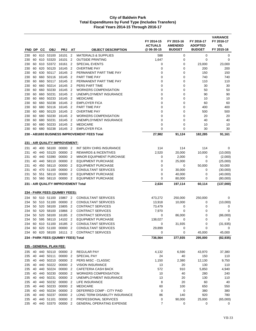|            |          |            |                         |                                       |                                  |                                              | FY 2014-15<br><b>ACTUALS</b> | FY 2015-16<br><b>AMENDED</b> | FY 2016-17<br><b>ADOPTED</b> | <b>VARIANCE</b><br>FY 2016-17<br>VS. |
|------------|----------|------------|-------------------------|---------------------------------------|----------------------------------|----------------------------------------------|------------------------------|------------------------------|------------------------------|--------------------------------------|
| FND DP     |          | CС         | <b>OBJ</b>              | <b>PRJ</b>                            | AT                               | <b>OBJECT DESCRIPTION</b>                    | @ 06-30-15                   | <b>BUDGET</b>                | <b>BUDGET</b>                | FY 2015-16                           |
| 230        | 60       |            | 610 53100               | 16101                                 | $\overline{2}$                   | <b>MATERIALS &amp; SUPPLIES</b>              | 588                          | 0                            | 0                            | 0                                    |
| 230        | 60       | 610        | 53320                   | 16101                                 | 2                                | <b>OUTSIDE PRINTING</b>                      | 1,647                        | 0                            | $\mathbf 0$                  | 0                                    |
| 230        | 60       | 610        | 53372                   | 16161                                 | $\overline{2}$                   | <b>SPECIAL EVENTS</b>                        | 0                            | 0                            | 23,000                       | 23,000                               |
| 230        | 60       | 620        | 50120                   | 16145                                 | $\overline{2}$                   | <b>OVERTIME PAY</b>                          | 0                            | 0                            | 200                          | 200                                  |
| 230        | 60       | 630        | 50117                   | 16145                                 | $\overline{2}$                   | PERMANENT PART TIME PAY                      | 0                            | 0                            | 150                          | 150                                  |
| 230        | 60       | 660        | 50116                   | 16145                                 | $\overline{2}$                   | PART TIME PAY                                | 0                            | 0                            | 740                          | 740                                  |
| 230        | 60       | 660<br>660 | 50117<br>50214          | 16145<br>16145                        | $\overline{2}$<br>$\overline{2}$ | PERMANENT PART TIME PAY<br>PERS PART TIME    | 0<br>0                       | 0<br>0                       | 110                          | 110<br>30                            |
| 230<br>230 | 60<br>60 | 660        | 50230                   | 16145                                 | $\overline{2}$                   | <b>WORKERS COMPENSATION</b>                  | 0                            | 0                            | 30<br>50                     | 50                                   |
| 230        | 60       | 660        | 50231                   | 16145                                 | $\overline{2}$                   | UNEMPLOYMENT INSURANCE                       | 0                            | 0                            | 90                           | 90                                   |
| 230        | 60       | 660        | 50233                   | 16145                                 | $\overline{2}$                   | <b>MEDICARE</b>                              | $\mathbf 0$                  | 0                            | 10                           | 10                                   |
| 230        | 60       | 660        | 50238                   | 16145                                 | $\overline{2}$                   | <b>EMPLOYER FICA</b>                         | $\mathbf 0$                  | 0                            | 60                           | 60                                   |
| 230        | 60       | 680        | 50116                   | 16145                                 | $\overline{2}$                   | PART TIME PAY                                | 0                            | 0                            | 400                          | 400                                  |
| 230        | 60       | 680        | 50120                   | 16145                                 | $\overline{2}$                   | <b>OVERTIME PAY</b>                          | $\mathbf 0$                  | 0                            | 500                          | 500                                  |
| 230        | 60       | 680        | 50230                   | 16145                                 | $\overline{2}$                   | <b>WORKERS COMPENSATION</b>                  | 0                            | 0                            | 20                           | 20                                   |
| 230        | 60       | 680        | 50231                   | 16145                                 | $\overline{2}$                   | UNEMPLOYMENT INSURANCE                       | 0                            | 0                            | 40                           | 40                                   |
| 230        | 60       | 680        | 50233                   | 16145                                 | $\overline{2}$                   | <b>MEDICARE</b>                              | 0                            | 0                            | 10                           | 10                                   |
| 230        | 60       | 680        | 50238                   | 16145 2                               |                                  | <b>EMPLOYER FICA</b>                         | $\mathbf 0$                  | 0                            | 30                           | 30                                   |
|            |          |            |                         |                                       |                                  | 230 - AB1693 BUSINESS IMPROVEMENT FEES Total | 27,982                       | 91,124                       | 182,285                      | 91,161                               |
|            |          |            |                         | 231 - AIR QUALITY IMPROVEMENT:        |                                  |                                              |                              |                              |                              |                                      |
| 231        | 40       |            | 400 56100               | 00000 2                               |                                  | INT SERV CHRG INSURANCE                      | 114                          | 114                          | 114                          | 0                                    |
| 231        | 40       |            | 440 53120               | 00000                                 | $\overline{2}$                   | <b>REWARDS &amp; INCENTIVES</b>              | 2,520                        | 20,000                       | 10,000                       | (10,000)                             |
| 231        | 40       |            | 440 53390               | 00000                                 | $\overline{2}$                   | <b>MINOR EQUIPMENT PURCHASE</b>              | 0                            | 2,000                        | 0                            | (2,000)                              |
| 231        | 40       | 440        | 58110                   | 00000                                 | $\overline{2}$                   | <b>EQUIPMENT PURCHASE</b>                    | 0                            | 25,000                       | 0                            | (25,000)                             |
| 231        | 40       | 450        | 58110                   | 00000                                 | $\overline{2}$                   | <b>EQUIPMENT PURCHASE</b>                    | $\mathbf 0$                  | 0                            | 50,000                       | 50,000                               |
| 231        | 40       | 470        | 51100                   | 00000                                 | $\overline{2}$                   | <b>CONSULTANT SERVICES</b>                   | 0                            | 30,000                       | 0                            | (30,000)                             |
| 231        | 50       | 551        | 58110                   | 00000                                 | $\overline{2}$                   | <b>EQUIPMENT PURCHASE</b>                    | 0                            | 40,000                       | 0                            | (40,000)                             |
| 231        | 50       |            |                         | 560 58110 00000 2                     |                                  | <b>EQUIPMENT PURCHASE</b>                    | $\mathbf 0$                  | 80,000                       | 0                            | (80,000)                             |
|            |          |            |                         | 231 - AIR QUALITY IMPROVEMENT Total   |                                  |                                              | 2,634                        | 197,114                      | 60,114                       | (137,000)                            |
|            |          |            |                         | <b>234 - PARK FEES (QUIMBY FEES):</b> |                                  |                                              |                              |                              |                              |                                      |
| 234        |          |            | 50 510 51100            | 15867 2                               |                                  | <b>CONSULTANT SERVICES</b>                   | 473,272                      | 250,000                      | 250,000                      | 0                                    |
| 234        | 50       |            | 510 51100               | 00000                                 | $\overline{2}$                   | <b>CONSULTANT SERVICES</b>                   | 13,918                       | 10,000                       | 0                            | (10,000)                             |
| 234        | 50       | 520        | 58100                   | 15805                                 | $\overline{2}$                   | <b>CONTRACT SERVICES</b>                     | 73,479                       | 0                            | 0                            | 0                                    |
| 234        | 50       | 520        | 58100                   | 15866                                 | $\overline{2}$                   | <b>CONTRACT SERVICES</b>                     | 7,970                        | 0                            | 0                            | 0                                    |
| 234        | 50       | 520        | 58100                   | 16185                                 | $\overline{2}$                   | <b>CONTRACT SERVICES</b>                     | 0                            | 86,000                       | 0                            | (86,000)                             |
| 234        | 50       | 595        | 58110                   | 14102                                 | $\overline{2}$                   | <b>EQUIPMENT PURCHASE</b>                    | 138,027                      | 0                            | 0                            | 0                                    |
| 234        |          |            |                         | 60 610 51100 16185 2                  |                                  | <b>CONSULTANT SERVICES</b>                   | 0                            | 31,935                       | 0                            | (31, 935)                            |
| 234        |          |            |                         | 60 620 51100 00000 2                  |                                  | <b>CONSULTANT SERVICES</b>                   | 29,899                       | 0                            | 0                            | 0                                    |
| 234        |          |            |                         | 60 620 58100 16111 2                  |                                  | <b>CONTRACT SERVICES</b>                     | 0                            | 0                            | 45,000                       | 45,000                               |
|            |          |            |                         | 234 - PARK FEES (QUIMBY FEES) Total   |                                  |                                              | 736,564                      | 377,935                      | 295,000                      | (82, 935)                            |
|            |          |            | 235 - GENERAL PLAN FEE: |                                       |                                  |                                              |                              |                              |                              |                                      |
| 235        |          |            |                         | 40 440 50110 00000 2                  |                                  | REGULAR PAY                                  | 4,132                        | 6,590                        | 43,970                       | 37,380                               |
|            |          |            | 235 40 440 50111        | 00000 2                               |                                  | SPECIAL PAY                                  | 24                           | 40                           | 150                          | 110                                  |
| 235 40     |          |            | 440 50210               | 00000                                 | $\overline{2}$                   | PERS MISC - CLASSIC                          | 1,150                        | 2,380                        | 12,130                       | 9,750                                |
|            |          |            | 235 40 440 50222 00000  |                                       | $\overline{2}$                   | <b>VISION INSURANCE</b>                      | 13                           | 20                           | 130                          | 110                                  |
|            |          |            | 235 40 440 50224        | 00000 2                               |                                  | CAFETERIA CASH BACK                          | 572                          | 910                          | 5,850                        | 4,940                                |
| 235 40     |          |            | 440 50230               | 00000 2                               |                                  | <b>WORKERS COMPENSATION</b>                  | 10                           | 40                           | 280                          | 240                                  |
| 235 40     |          |            | 440 50231               | 00000                                 | $\overline{2}$                   | UNEMPLOYMENT INSURANCE                       | 13                           | 20                           | 130                          | 110                                  |
|            |          |            | 235 40 440 50232        | 00000                                 | $\overline{2}$                   | LIFE INSURANCE                               | 8                            | 20                           | 60                           | 40                                   |
|            |          |            | 235 40 440 50233        | 00000 2                               |                                  | <b>MEDICARE</b>                              | 60                           | 100                          | 650                          | 550                                  |
| 235 40     |          |            | 440 50234               | 00000                                 | 2                                | DEFERRED COMP - CITY PAID                    | 0                            | 0                            | 380                          | 380                                  |
|            |          |            | 235 40 440 50237        | 00000                                 | $\overline{2}$                   | LONG TERM DISABILITY INSURANCE               | 86                           | 140                          | 920                          | 780                                  |
| 235 40     |          |            | 440 51101               | 00000                                 | $\overline{2}$                   | PROFESSIONAL SERVICES                        | 0                            | 90,000                       | 25,000                       | (65,000)                             |
|            |          |            | 235 40 440 53370        | 00000 2                               |                                  | <b>GENERAL OPERATING EXPENSE</b>             | 7                            | 0                            | 0                            | 0                                    |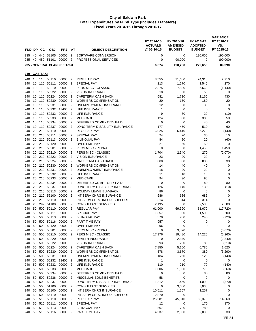| FND DP     |          | <b>CC</b>      | <b>OBJ</b>                   | <b>PRJ</b>                      | AT                               | <b>OBJECT DESCRIPTION</b>                      | FY 2014-15<br><b>ACTUALS</b><br>@ 06-30-15 | FY 2015-16<br><b>AMENDED</b><br><b>BUDGET</b> | FY 2016-17<br><b>ADOPTED</b><br><b>BUDGET</b> | <b>VARIANCE</b><br>FY 2016-17<br>VS.<br>FY 2015-16 |
|------------|----------|----------------|------------------------------|---------------------------------|----------------------------------|------------------------------------------------|--------------------------------------------|-----------------------------------------------|-----------------------------------------------|----------------------------------------------------|
| 235        |          |                | 40 440 58105                 | 00000                           | $\overline{2}$                   | SOFTWARE CONVERSION                            | 0                                          | 0                                             | 190,000                                       | 190,000                                            |
| 235        |          |                | 40 450 51101                 | 00000                           | $\overline{2}$                   | PROFESSIONAL SERVICES                          | 0                                          | 90,000                                        | $\mathbf 0$                                   | (90,000)                                           |
|            |          |                |                              | 235 - GENERAL PLAN FEE Total    |                                  |                                                | 6,074                                      | 190,260                                       | 279,650                                       | 89,390                                             |
|            |          |                |                              |                                 |                                  |                                                |                                            |                                               |                                               |                                                    |
|            |          | 240 - GAS TAX: |                              |                                 |                                  |                                                |                                            |                                               |                                               |                                                    |
| 240        |          |                | 10 110 50110                 | 00000                           | $\overline{2}$                   | <b>REGULAR PAY</b>                             | 8,555                                      | 21,600                                        | 24,310                                        | 2,710                                              |
| 240        |          |                | 10 110 50111                 | 00000                           | $\overline{2}$                   | <b>SPECIAL PAY</b>                             | 213                                        | 1,270                                         | 1,540                                         | 270                                                |
| 240        |          |                | 10 110 50210<br>10 110 50222 | 00000<br>00000                  | $\overline{2}$<br>$\overline{2}$ | PERS MISC - CLASSIC<br><b>VISION INSURANCE</b> | 2,375                                      | 7,800<br>50                                   | 6,660<br>50                                   | (1, 140)                                           |
| 240<br>240 |          |                | 10 110 50224                 | 00000                           | $\overline{2}$                   | CAFETERIA CASH BACK                            | 18<br>681                                  | 1,730                                         | 2,160                                         | 0<br>430                                           |
| 240        |          |                | 10 110 50230                 | 00000                           | -2                               | <b>WORKERS COMPENSATION</b>                    | 20                                         | 160                                           | 180                                           | 20                                                 |
| 240        |          |                | 10 110 50231                 | 00000                           | $\overline{2}$                   | UNEMPLOYMENT INSURANCE                         | 12                                         | 30                                            | 30                                            | 0                                                  |
| 240        |          | 10 110         | 50232                        | 13406                           | $\overline{2}$                   | LIFE INSURANCE                                 | 1                                          | 0                                             | 0                                             | 0                                                  |
| 240        |          |                | 10 110 50232                 | 00000                           | $\overline{2}$                   | LIFE INSURANCE                                 | 9                                          | 30                                            | 20                                            | (10)                                               |
| 240        |          |                | 10 110 50233                 | 00000                           | $\overline{2}$                   | <b>MEDICARE</b>                                | 124                                        | 330                                           | 380                                           | 50                                                 |
| 240        |          |                | 10 110 50234                 | 00000                           | $\overline{2}$                   | DEFERRED COMP - CITY PAID                      | 0                                          | 0                                             | 40                                            | 40                                                 |
| 240        | 10       | 110            | 50237                        | 00000                           | $\overline{2}$                   | LONG TERM DISABILITY INSURANCE                 | 177                                        | 450                                           | 510                                           | 60                                                 |
| 240<br>240 |          |                | 20 210 50110<br>20 210 50111 | 00000<br>00000                  | $\overline{2}$<br>$\overline{2}$ | REGULAR PAY<br>SPECIAL PAY                     | 6,025<br>24                                | 6,410<br>20                                   | 6,270<br>30                                   | (140)<br>10                                        |
| 240        | 20       |                | 210 50113                    | 00000                           | $\overline{2}$                   | <b>BILINGUAL PAY</b>                           | 84                                         | 80                                            | 20                                            | (60)                                               |
| 240        |          |                | 20 210 50120                 | 00000                           | $\overline{2}$                   | <b>OVERTIME PAY</b>                            | 21                                         | 50                                            | 50                                            | 0                                                  |
| 240        |          |                | 20 210 50201                 | 00000                           | $\overline{2}$                   | PERS MISC - PEPRA                              | 0                                          | 0                                             | 1,450                                         | 1,450                                              |
| 240        |          |                | 20 210 50210                 | 00000                           | $\overline{2}$                   | PERS MISC - CLASSIC                            | 1,704                                      | 2,340                                         | 270                                           | (2,070)                                            |
| 240        | 20       |                | 210 50222                    | 00000                           | $\overline{2}$                   | <b>VISION INSURANCE</b>                        | 23                                         | 20                                            | 20                                            | 0                                                  |
| 240        |          |                | 20 210 50224                 | 00000                           | $\overline{2}$                   | CAFETERIA CASH BACK                            | 800                                        | 800                                           | 830                                           | 30                                                 |
| 240        | 20       |                | 210 50230                    | 00000                           | $\overline{2}$                   | WORKERS COMPENSATION                           | 14                                         | 40                                            | 40                                            | 0                                                  |
| 240        |          |                | 20 210 50231                 | 00000                           | $\overline{2}$                   | UNEMPLOYMENT INSURANCE                         | 18                                         | 20                                            | 20                                            | 0                                                  |
| 240        |          |                | 20 210 50232                 | 00000                           | $\overline{2}$                   | LIFE INSURANCE                                 | 11                                         | 10                                            | 10                                            | 0                                                  |
| 240<br>240 |          |                | 20 210 50233<br>20 210 50234 | 00000<br>00000                  | $\overline{2}$<br>$\overline{2}$ | <b>MEDICARE</b><br>DEFERRED COMP - CITY PAID   | 94<br>0                                    | 90<br>0                                       | 90<br>80                                      | 0<br>80                                            |
| 240        | 20       |                | 210 50237                    | 00000                           | $\overline{2}$                   | LONG TERM DISABILITY INSURANCE                 | 126                                        | 140                                           | 130                                           | (10)                                               |
| 240        |          |                | 20 210 50313                 | 00000                           | $\overline{2}$                   | <b>HOLIDAY LEAVE BUY-BACK</b>                  | 86                                         | 0                                             | 0                                             | 0                                                  |
| 240        |          |                | 20 210 56100                 | 00000                           | 2                                | INT SERV CHRG INSURANCE                        | 686                                        | 686                                           | 686                                           | 0                                                  |
| 240        | 20       |                | 210 56110                    | 00000                           | $\overline{2}$                   | INT SERV CHRG INFO & SUPPORT                   | 314                                        | 314                                           | 314                                           | $\mathbf 0$                                        |
| 240        | 25       | 299            | 51100                        | 00000                           | $\overline{2}$                   | <b>CONSULTANT SERVICES</b>                     | 2,195                                      | 0                                             | 2,500                                         | 2,500                                              |
| 240        | 50       |                | 500 50110                    | 00000                           | -2                               | <b>REGULAR PAY</b>                             | 61,000                                     | 69,390                                        | 51,670                                        | (17, 720)                                          |
| 240        | 50       |                | 500 50111                    | 00000                           | $\overline{2}$                   | <b>SPECIAL PAY</b>                             | 1,357                                      | 900                                           | 1,500                                         | 600                                                |
| 240        | 50       |                | 500 50113                    | 00000<br>50 500 50116 00000 2   | $\overline{2}$                   | <b>BILINGUAL PAY</b>                           | 370                                        | 960                                           | 240                                           | (720)                                              |
| 240<br>240 |          |                |                              | 50 500 50120 00000 2            |                                  | PART TIME PAY<br><b>OVERTIME PAY</b>           | 957<br>96                                  | 0<br>$\mathbf 0$                              | $\mathbf 0$<br>$\pmb{0}$                      | 0<br>0                                             |
| 240        | 50       |                | 500 50201                    | 00000 2                         |                                  | PERS MISC - PEPRA                              | $\mathbf 0$                                | 3,870                                         | 0                                             | (3,870)                                            |
| 240        | 50       |                | 500 50210                    | 00000 2                         |                                  | PERS MISC - CLASSIC                            | 17,976                                     | 19,480                                        | 14,220                                        | (5,260)                                            |
| 240        |          |                | 50 500 50220                 | 00000 2                         |                                  | <b>HEALTH INSURANCE</b>                        | 0                                          | 2,340                                         | 0                                             | (2,340)                                            |
| 240        | 50       |                | 500 50222 00000              |                                 | $\overline{\phantom{a}}$         | <b>VISION INSURANCE</b>                        | 93                                         | 290                                           | 80                                            | (210)                                              |
| 240        | 50       |                | 500 50224                    | 00000                           | $\overline{2}$                   | CAFETERIA CASH BACK                            | 7,850                                      | 5,160                                         | 6,780                                         | 1,620                                              |
| 240        | 50       |                | 500 50230                    | 00000 2                         |                                  | <b>WORKERS COMPENSATION</b>                    | 578                                        | 3,670                                         | 380                                           | (3,290)                                            |
| 240        | 50       |                | 500 50231                    | 00000 2                         |                                  | UNEMPLOYMENT INSURANCE                         | 184                                        | 260                                           | 120                                           | (140)                                              |
| 240        |          |                |                              | 50 500 50232 13406 2<br>00000 2 |                                  | LIFE INSURANCE                                 | $\mathbf{1}$                               | $\pmb{0}$                                     | $\pmb{0}$                                     | 0                                                  |
| 240<br>240 | 50<br>50 |                | 500 50232<br>500 50233       | 00000 2                         |                                  | LIFE INSURANCE<br><b>MEDICARE</b>              | 110<br>1,006                               | 210<br>1,030                                  | 70<br>770                                     | (140)<br>(260)                                     |
| 240        | 50       |                | 500 50234                    | 00000                           | $\overline{2}$                   | DEFERRED COMP - CITY PAID                      | 0                                          | 0                                             | 80                                            | 80                                                 |
| 240        |          |                | 50 500 50236                 | 00000                           | $\overline{2}$                   | MISCELLANEOUS BENEFITS                         | 58                                         | $\mathbf 0$                                   | $\mathbf 0$                                   | 0                                                  |
| 240        | 50       |                | 500 50237                    | 00000 2                         |                                  | LONG TERM DISABILITY INSURANCE                 | 1,312                                      | 1,460                                         | 1,090                                         | (370)                                              |
| 240        | 50       |                | 500 51100                    | 00000 2                         |                                  | <b>CONSULTANT SERVICES</b>                     | 0                                          | 3,000                                         | 3,000                                         | 0                                                  |
| 240        |          |                | 50 500 56100                 | 00000 2                         |                                  | INT SERV CHRG INSURANCE                        | 10,511                                     | 1,257                                         | 1,257                                         | 0                                                  |
| 240        |          |                | 50 500 56110                 | 00000                           | $\overline{2}$                   | INT SERV CHRG INFO & SUPPORT                   | 2,870                                      | 0                                             | 0                                             | 0                                                  |
| 240        |          |                | 50 510 50110                 | 00000 2                         |                                  | <b>REGULAR PAY</b>                             | 26,581                                     | 45,810                                        | 60,370                                        | 14,560                                             |
| 240        |          |                | 50 510 50111                 | 00000                           | $\overline{2}$                   | SPECIAL PAY                                    | 12                                         | 0                                             | 170                                           | 170                                                |
| 240<br>240 |          |                | 50 510 50113<br>50 510 50116 | 00000<br>00000 2                | -2                               | <b>BILINGUAL PAY</b><br>PART TIME PAY          | 507<br>4,537                               | 780                                           | 780                                           | 0<br>30                                            |
|            |          |                |                              |                                 |                                  |                                                |                                            | 2,000                                         | 2,030                                         |                                                    |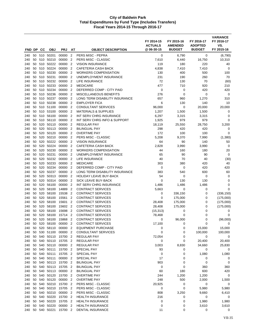| FND DP     |          | CС         | <b>OBJ</b>             | <b>PRJ</b>       | AT                               | <b>OBJECT DESCRIPTION</b>                                   | FY 2014-15<br><b>ACTUALS</b><br>@ 06-30-15 | FY 2015-16<br><b>AMENDED</b><br><b>BUDGET</b> | FY 2016-17<br><b>ADOPTED</b><br><b>BUDGET</b> | <b>VARIANCE</b><br>FY 2016-17<br>VS.<br>FY 2015-16 |
|------------|----------|------------|------------------------|------------------|----------------------------------|-------------------------------------------------------------|--------------------------------------------|-----------------------------------------------|-----------------------------------------------|----------------------------------------------------|
| 240        |          |            | 50 510 50201           | 00000            | $\overline{2}$                   | PERS MISC - PEPRA                                           | 0                                          | 6,790                                         | 0                                             | (6,790)                                            |
| 240        | 50       |            | 510 50210              | 00000            | $\overline{2}$                   | PERS MISC - CLASSIC                                         | 7,610                                      | 6,440                                         | 16,750                                        | 10,310                                             |
| 240        | 50       | 510        | 50222                  | 00000            | $\overline{2}$                   | <b>VISION INSURANCE</b>                                     | 119                                        | 180                                           | 220                                           | 40                                                 |
| 240        | 50       |            | 510 50224              | 00000            | $\overline{2}$                   | <b>CAFETERIA CASH BACK</b>                                  | 4,838                                      | 7,410                                         | 7,410                                         | 0                                                  |
| 240        | 50       | 510        | 50230                  | 00000            | $\overline{2}$                   | <b>WORKERS COMPENSATION</b>                                 | 130                                        | 400                                           | 500                                           | 100                                                |
| 240        | 50       |            | 510 50231              | 00000            | $\overline{2}$                   | UNEMPLOYMENT INSURANCE                                      | 231                                        | 190                                           | 260                                           | 70                                                 |
| 240        | 50       | 510        | 50232                  | 00000            | $\overline{2}$                   | LIFE INSURANCE                                              | 72                                         | 130                                           | 70                                            | (60)                                               |
| 240        | 50       | 510        | 50233                  | 00000            | $\overline{2}$                   | <b>MEDICARE</b>                                             | 477                                        | 710                                           | 920                                           | 210                                                |
| 240        | 50       | 510        | 50234                  | 00000            | $\overline{2}$                   | DEFERRED COMP - CITY PAID                                   | 0                                          | 0                                             | 420                                           | 420                                                |
| 240        | 50       | 510        | 50236                  | 00000            | $\overline{2}$                   | MISCELLANEOUS BENEFITS                                      | 276                                        | $\mathbf 0$                                   | 0                                             | 0                                                  |
| 240        | 50       |            | 510 50237              | 00000            | $\overline{2}$                   | LONG TERM DISABILITY INSURANCE                              | 657                                        | 960                                           | 1,270                                         | 310                                                |
| 240<br>240 | 50<br>50 | 510        | 510 50238<br>51100     | 00000<br>00000   | $\overline{2}$<br>$\overline{2}$ | <b>EMPLOYER FICA</b><br><b>CONSULTANT SERVICES</b>          | 6<br>96,000                                | 130<br>0                                      | 140<br>20,000                                 | 10                                                 |
| 240        | 50       | 510        | 53100                  | 00000            | $\overline{2}$                   | <b>MATERIALS &amp; SUPPLIES</b>                             | 1,207                                      | 1,500                                         | 1,500                                         | 20,000<br>0                                        |
| 240        | 50       | 510        | 56100                  | 00000            | $\overline{2}$                   | INT SERV CHRG INSURANCE                                     | 6,297                                      | 3,315                                         | 3,315                                         | $\mathbf 0$                                        |
| 240        | 50       | 510        | 56110                  | 00000            | $\overline{2}$                   | INT SERV CHRG INFO & SUPPORT                                | 1,925                                      | 979                                           | 979                                           | $\mathbf 0$                                        |
| 240        | 50       | 520        | 50110                  | 00000            | $\overline{2}$                   | <b>REGULAR PAY</b>                                          | 18,119                                     | 25,550                                        | 28,750                                        | 3,200                                              |
| 240        | 50       | 520        | 50113                  | 00000            | $\overline{2}$                   | <b>BILINGUAL PAY</b>                                        | 298                                        | 420                                           | 420                                           | 0                                                  |
| 240        | 50       |            | 520 50120              | 00000            | $\overline{2}$                   | <b>OVERTIME PAY</b>                                         | 172                                        | 100                                           | 100                                           | $\mathbf 0$                                        |
| 240        | 50       | 520        | 50210                  | 00000            | 2                                | PERS MISC - CLASSIC                                         | 5,208                                      | 9,370                                         | 7,990                                         | (1,380)                                            |
| 240        | 50       | 520        | 50222                  | 00000            | $\overline{2}$                   | <b>VISION INSURANCE</b>                                     | 64                                         | 90                                            | 140                                           | 50                                                 |
| 240        | 50       | 520        | 50224                  | 00000            | $\overline{2}$                   | CAFETERIA CASH BACK                                         | 2,828                                      | 3,990                                         | 3,990                                         | 0                                                  |
| 240        | 50       | 520        | 50230                  | 00000            | $\overline{2}$                   | <b>WORKERS COMPENSATION</b>                                 | 44                                         | 160                                           | 180                                           | 20                                                 |
| 240        | 50       | 520        | 50231                  | 00000            | $\overline{2}$                   | UNEMPLOYMENT INSURANCE                                      | 65                                         | 90                                            | 90                                            | 0                                                  |
| 240        | 50       | 520        | 50232                  | 00000            | $\overline{2}$                   | LIFE INSURANCE                                              | 40                                         | 70                                            | 40                                            | (30)                                               |
| 240        | 50       |            | 520 50233<br>50234     | 00000            | $\overline{2}$                   | <b>MEDICARE</b>                                             | 303                                        | 380                                           | 420                                           | 40                                                 |
| 240<br>240 | 50<br>50 | 520<br>520 | 50237                  | 00000<br>00000   | $\overline{2}$<br>$\overline{2}$ | DEFERRED COMP - CITY PAID<br>LONG TERM DISABILITY INSURANCE | 0<br>383                                   | 0<br>540                                      | 420<br>600                                    | 420<br>60                                          |
| 240        | 50       | 520        | 50313                  | 00000            | $\overline{2}$                   | <b>HOLIDAY LEAVE BUY-BACK</b>                               | 54                                         | 0                                             | 0                                             | $\mathbf 0$                                        |
| 240        | 50       | 520        | 50314                  | 00000            | $\overline{2}$                   | SICK LEAVE BUY-BACK                                         | $\mathbf 0$                                | 130                                           | 130                                           | 0                                                  |
| 240        | 50       | 520        | 56100                  | 00000            | $\overline{2}$                   | INT SERV CHRG INSURANCE                                     | 1,486                                      | 1,486                                         | 1,486                                         | 0                                                  |
| 240        | 50       | 520        | 58100                  | 14889            | $\overline{2}$                   | <b>CONTRACT SERVICES</b>                                    | 5,663                                      | 0                                             | 0                                             | $\mathbf 0$                                        |
| 240        | 50       | 520        | 58100                  | 15538            | $\overline{2}$                   | <b>CONTRACT SERVICES</b>                                    | 0                                          | 336,150                                       | 0                                             | (336, 150)                                         |
| 240        | 50       | 520        | 58100                  | 15561            | $\overline{2}$                   | <b>CONTRACT SERVICES</b>                                    | 0                                          | 175,000                                       | 0                                             | (175,000)                                          |
| 240        | 50       | 520        | 58100                  | 15601            | $\overline{2}$                   | <b>CONTRACT SERVICES</b>                                    | 28,408                                     | 175,000                                       | 0                                             | (175,000)                                          |
| 240        | 50       | 520        | 58100                  | 15602            | $\overline{2}$                   | <b>CONTRACT SERVICES</b>                                    | 28,408                                     | 175,000                                       | 0                                             | (175,000)                                          |
| 240        | 50       | 520        | 58100                  | 15698            | $\overline{2}$                   | <b>CONTRACT SERVICES</b>                                    | (15, 313)                                  | 0                                             | 0                                             | 0                                                  |
| 240        | 50       | 520        | 58100                  | 15714            | $\overline{2}$                   | <b>CONTRACT SERVICES</b>                                    | 78,468                                     | 0                                             | 0                                             | $\mathbf 0$                                        |
| 240        | 50       | 520        | 58100                  | 15868            | $\overline{2}$                   | <b>CONTRACT SERVICES</b>                                    | 0                                          | 96,000                                        | 0                                             | (96,000)                                           |
| 240        | 50       |            | 520 58100              | 00000            | $\overline{2}$                   | CONTRACT SERVICES                                           | 17,100                                     | 0                                             | 0                                             | 0                                                  |
| 240        | 50       |            | 520 58110<br>530 51100 | 00000<br>00000   | $\overline{2}$<br>$\overline{2}$ | <b>EQUIPMENT PURCHASE</b>                                   | 0<br>$\boldsymbol{0}$                      | 0                                             | 15,000                                        | 15,000                                             |
| 240<br>240 | 50<br>50 |            | 540 50110              | 15700 2          |                                  | CONSULTANT SERVICES<br>REGULAR PAY                          | 72,054                                     | 0<br>0                                        | 100,000<br>0                                  | 100,000<br>0                                       |
| 240        | 50       |            | 540 50110              | 15705 2          |                                  | REGULAR PAY                                                 | 0                                          | 0                                             | 20,400                                        | 20,400                                             |
| 240        |          |            | 50 540 50110           | 00000            | $\overline{2}$                   | <b>REGULAR PAY</b>                                          | 3,003                                      | 8,830                                         | 34,660                                        | 25,830                                             |
| 240        | 50       | 540        | 50111                  | 15700            | $\overline{2}$                   | SPECIAL PAY                                                 | 93                                         | 0                                             | 0                                             | 0                                                  |
| 240        | 50       |            | 540 50111              | 15705 2          |                                  | SPECIAL PAY                                                 | 0                                          | 0                                             | 1,080                                         | 1,080                                              |
| 240        | 50       |            | 540 50111              | 00000            | $\overline{2}$                   | <b>SPECIAL PAY</b>                                          | 17                                         | 0                                             | 0                                             | 0                                                  |
| 240        | 50       |            | 540 50113              | 15700            | $\overline{2}$                   | <b>BILINGUAL PAY</b>                                        | 903                                        | 0                                             | 0                                             | $\mathbf 0$                                        |
| 240        | 50       |            | 540 50113              | 15705 2          |                                  | <b>BILINGUAL PAY</b>                                        | 0                                          | 0                                             | 360                                           | 360                                                |
| 240        | 50       |            | 540 50113              | 00000            | $\overline{2}$                   | <b>BILINGUAL PAY</b>                                        | 60                                         | 180                                           | 600                                           | 420                                                |
| 240        | 50       |            | 540 50120              | 15700            | $\overline{2}$                   | <b>OVERTIME PAY</b>                                         | 244                                        | 1,200                                         | 1,200                                         | $\pmb{0}$                                          |
| 240        | 50       |            | 540 50120              | 00000            | $\overline{2}$                   | OVERTIME PAY                                                | 248                                        | 500                                           | 2,000                                         | 1,500                                              |
| 240        |          |            | 50 540 50210           | 15700 2          |                                  | PERS MISC - CLASSIC                                         | 20,925                                     | 0                                             | 0                                             | 0                                                  |
| 240        | 50       | 540        | 50210                  | 15705            | $\overline{2}$                   | PERS MISC - CLASSIC                                         | 0                                          | $\mathbf 0$                                   | 5,980                                         | 5,980                                              |
| 240        |          |            | 50 540 50210           | 00000            | $\overline{2}$                   | PERS MISC - CLASSIC                                         | 808                                        | 3,250                                         | 9,660                                         | 6,410                                              |
| 240        | 50<br>50 |            | 540 50220<br>540 50220 | 15700<br>15705 2 | $\overline{2}$                   | <b>HEALTH INSURANCE</b><br><b>HEALTH INSURANCE</b>          | 216                                        | 0<br>0                                        | 0<br>1,980                                    | 0<br>1,980                                         |
| 240<br>240 | 50       |            | 540 50220              | 00000            | $\overline{2}$                   | <b>HEALTH INSURANCE</b>                                     | 0<br>0                                     | 0                                             | 3,610                                         | 3,610                                              |
| 240        |          |            | 50 540 50221           | 15700 2          |                                  | DENTAL INSURANCE                                            | 11                                         | 0                                             | 0                                             | 0                                                  |
|            |          |            |                        |                  |                                  |                                                             |                                            |                                               |                                               |                                                    |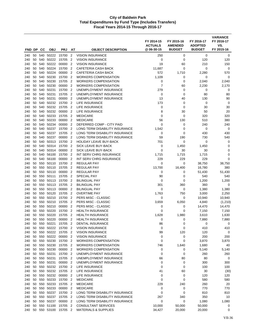|            |          |            |                        |                      |                                  |                                                             | FY 2014-15<br><b>ACTUALS</b> | FY 2015-16<br><b>AMENDED</b> | FY 2016-17<br><b>ADOPTED</b> | <b>VARIANCE</b><br>FY 2016-17<br>VS. |
|------------|----------|------------|------------------------|----------------------|----------------------------------|-------------------------------------------------------------|------------------------------|------------------------------|------------------------------|--------------------------------------|
| FND DP     |          | CС         | <b>OBJ</b>             | <b>PRJ</b>           | AT                               | <b>OBJECT DESCRIPTION</b>                                   | @06-30-15                    | <b>BUDGET</b>                | <b>BUDGET</b>                | FY 2015-16                           |
| 240        | 50       | 540        | 50222                  | 15700                | $\overline{2}$                   | <b>VISION INSURANCE</b>                                     | 250                          | 0                            | 0                            | 0                                    |
| 240        | 50       | 540        | 50222                  | 15705                | $\overline{2}$                   | <b>VISION INSURANCE</b>                                     | 0                            | 0                            | 120                          | 120                                  |
| 240<br>240 | 50<br>50 | 540<br>540 | 50222<br>50224         | 00000<br>15700       | $\overline{2}$<br>$\overline{2}$ | <b>VISION INSURANCE</b><br><b>CAFETERIA CASH BACK</b>       | 19<br>11,687                 | 60<br>$\mathbf 0$            | 210<br>0                     | 150<br>0                             |
| 240        | 50       | 540        | 50224                  | 00000                | $\overline{2}$                   | CAFETERIA CASH BACK                                         | 572                          | 1,710                        | 2,280                        | 570                                  |
| 240        | 50       | 540        | 50230                  | 15700                | $\overline{2}$                   | <b>WORKERS COMPENSATION</b>                                 | 1,109                        | 0                            | 0                            | 0                                    |
| 240        | 50       | 540        | 50230                  | 15705                | $\overline{2}$                   | <b>WORKERS COMPENSATION</b>                                 | 0                            | 0                            | 2,040                        | 2,040                                |
| 240        | 50       | 540        | 50230                  | 00000                | $\overline{2}$                   | WORKERS COMPENSATION                                        | 7                            | 60                           | 2,230                        | 2,170                                |
| 240        | 50       | 540        | 50231                  | 15700                | $\overline{2}$                   | UNEMPLOYMENT INSURANCE                                      | 279                          | 0                            | 0                            | 0                                    |
| 240        | 50       | 540        | 50231                  | 15705                | $\overline{2}$                   | UNEMPLOYMENT INSURANCE                                      | $\mathbf 0$                  | $\mathbf 0$                  | 80                           | 80                                   |
| 240        | 50       | 540        | 50231                  | 00000                | $\overline{2}$                   | UNEMPLOYMENT INSURANCE                                      | 13                           | 40                           | 130                          | 90                                   |
| 240        | 50       | 540        | 50232                  | 15700                | $\overline{2}$                   | LIFE INSURANCE                                              | 173                          | 0                            | 0                            | 0                                    |
| 240        | 50       | 540        | 50232                  | 15705                | $\overline{2}$                   | LIFE INSURANCE                                              | 0                            | 0                            | 30                           | 30                                   |
| 240        | 50       | 540        | 50232                  | 00000                | $\overline{2}$                   | LIFE INSURANCE                                              | 8                            | 30                           | 50                           | 20                                   |
| 240        | 50       | 540        | 50233                  | 15705                | $\overline{2}$                   | <b>MEDICARE</b>                                             | 0                            | 0                            | 320                          | 320                                  |
| 240        | 50       | 540        | 50233                  | 00000                | $\overline{2}$                   | <b>MEDICARE</b>                                             | 56                           | 130                          | 510                          | 380                                  |
| 240        | 50       | 540        | 50234<br>50237         | 00000                | $\overline{2}$<br>$\overline{2}$ | DEFERRED COMP - CITY PAID<br>LONG TERM DISABILITY INSURANCE | $\mathbf 0$                  | 0<br>$\mathbf 0$             | 240                          | 240                                  |
| 240<br>240 | 50<br>50 | 540<br>540 | 50237                  | 15700<br>15705       | $\overline{2}$                   | LONG TERM DISABILITY INSURANCE                              | 1,542<br>$\mathbf 0$         | $\mathbf 0$                  | 0<br>430                     | 0<br>430                             |
| 240        | 50       | 540        | 50237                  | 00000                | $\overline{2}$                   | LONG TERM DISABILITY INSURANCE                              | 59                           | 190                          | 730                          | 540                                  |
| 240        | 50       | 540        | 50313                  | 15700                | $\overline{2}$                   | <b>HOLIDAY LEAVE BUY-BACK</b>                               | 701                          | 0                            | $\mathbf 0$                  | 0                                    |
| 240        | 50       | 540        | 50314                  | 15700                | $\overline{2}$                   | SICK LEAVE BUY-BACK                                         | 0                            | 1,450                        | 1,450                        | 0                                    |
| 240        | 50       | 540        | 50314                  | 00000                | 2                                | <b>SICK LEAVE BUY-BACK</b>                                  | $\mathbf 0$                  | 30                           | 30                           | $\mathbf 0$                          |
| 240        | 50       | 540        | 56100                  | 15700                | $\overline{2}$                   | INT SERV CHRG INSURANCE                                     | 1,715                        | 1,715                        | 1,715                        | 0                                    |
| 240        | 50       | 540        | 56100                  | 00000                | $\overline{2}$                   | INT SERV CHRG INSURANCE                                     | 229                          | 229                          | 229                          | $\mathbf 0$                          |
| 240        | 50       | 550        | 50110                  | 15700                | $\overline{2}$                   | <b>REGULAR PAY</b>                                          | $\mathbf 0$                  | $\mathbf 0$                  | 38,750                       | 38,750                               |
| 240        | 50       | 550        | 50110                  | 15705                | $\overline{2}$                   | <b>REGULAR PAY</b>                                          | 13,700                       | 16,400                       | 16,780                       | 380                                  |
| 240        | 50       | 550        | 50110                  | 00000                | $\overline{2}$                   | <b>REGULAR PAY</b>                                          | 0                            | 0                            | 51,430                       | 51,430                               |
| 240        | 50       | 550        | 50111                  | 15705                | $\overline{2}$                   | <b>SPECIAL PAY</b>                                          | 90                           | $\mathbf 0$                  | 540                          | 540                                  |
| 240        | 50       | 550        | 50113                  | 15700                | $\overline{2}$                   | <b>BILINGUAL PAY</b>                                        | 0                            | $\mathbf 0$                  | 1,200                        | 1,200                                |
| 240        | 50       | 550        | 50113                  | 15705                | $\overline{2}$                   | <b>BILINGUAL PAY</b>                                        | 301                          | 360                          | 360                          | 0                                    |
| 240        | 50       | 550        | 50113                  | 00000                | $\overline{2}$<br>$\overline{2}$ | <b>BILINGUAL PAY</b>                                        | 0                            | 0                            | 1,380                        | 1,380                                |
| 240<br>240 | 50<br>50 | 550        | 550 50120<br>50210     | 15705<br>15700       | $\overline{2}$                   | <b>OVERTIME PAY</b><br>PERS MISC - CLASSIC                  | 1,763<br>0                   | 750<br>0                     | 3,000<br>10,940              | 2,250<br>10,940                      |
| 240        | 50       | 550        | 50210                  | 15705                | $\overline{2}$                   | PERS MISC - CLASSIC                                         | 3,659                        | 6,050                        | 4,840                        | (1,210)                              |
| 240        | 50       | 550        | 50210                  | 00000                | $\overline{2}$                   | <b>PERS MISC - CLASSIC</b>                                  | 0                            | 0                            | 14,470                       | 14,470                               |
| 240        | 50       | 550        | 50220                  | 15700                | $\overline{2}$                   | <b>HEALTH INSURANCE</b>                                     | $\mathbf 0$                  | 0                            | 7,150                        | 7,150                                |
| 240        | 50       | 550        | 50220                  | 15705                | $\overline{2}$                   | <b>HEALTH INSURANCE</b>                                     | 1,628                        | 1,980                        | 3,610                        | 1,630                                |
| 240        | 50       | 550        | 50220                  | 00000                | $\overline{2}$                   | <b>HEALTH INSURANCE</b>                                     | $\mathbf 0$                  | 0                            | 7,880                        | 7,880                                |
| 240        |          |            | 50 550 50221           | 15705 2              |                                  | DENTAL INSURANCE                                            | 86                           | 0                            | 0                            | 0                                    |
| 240        | 50       |            | 550 50222              | 15700 2              |                                  | <b>VISION INSURANCE</b>                                     | 0                            | 0                            | 410                          | 410                                  |
| 240        | 50       |            | 550 50222              | 15705                | $\overline{2}$                   | <b>VISION INSURANCE</b>                                     | 99                           | 120                          | 120                          | 0                                    |
| 240        | 50       | 550        | 50222                  | 00000 2              |                                  | <b>VISION INSURANCE</b>                                     | 0                            | 0                            | 200                          | 200                                  |
| 240        | 50       |            |                        | 550 50230 15700 2    |                                  | <b>WORKERS COMPENSATION</b>                                 | 0                            | 0                            | 3,870                        | 3,870                                |
| 240        | 50       |            | 550 50230              | 15705 2              |                                  | <b>WORKERS COMPENSATION</b>                                 | 746                          | 1,640                        | 1,680                        | 40                                   |
| 240        | 50       |            | 550 50230              | 00000 2              |                                  | <b>WORKERS COMPENSATION</b>                                 | 0                            | 0                            | 5,140                        | 5,140                                |
| 240        | 50<br>50 |            | 550 50231<br>550 50231 | 15700 2<br>15705     | $\overline{2}$                   | UNEMPLOYMENT INSURANCE<br>UNEMPLOYMENT INSURANCE            | 0<br>66                      | 0<br>80                      | 260<br>80                    | 260<br>0                             |
| 240<br>240 | 50       |            | 550 50231              | 00000 2              |                                  | UNEMPLOYMENT INSURANCE                                      | 0                            | 0                            | 300                          | 300                                  |
| 240        | 50       | 550        | 50232                  | 15700                | $\overline{2}$                   | LIFE INSURANCE                                              | 0                            | 0                            | 100                          | 100                                  |
| 240        | 50       |            | 550 50232              | 15705 2              |                                  | LIFE INSURANCE                                              | 41                           | 60                           | 30                           | (30)                                 |
| 240        | 50       |            | 550 50232              | 00000                | $\overline{2}$                   | LIFE INSURANCE                                              | 0                            | 0                            | 120                          | 120                                  |
| 240        | 50       |            | 550 50233              | 15700 2              |                                  | <b>MEDICARE</b>                                             | 0                            | 0                            | 580                          | 580                                  |
| 240        | 50       |            | 550 50233              | 15705 2              |                                  | <b>MEDICARE</b>                                             | 229                          | 240                          | 260                          | 20                                   |
| 240        | 50       |            | 550 50233              | 00000 2              |                                  | <b>MEDICARE</b>                                             | 0                            | 0                            | 770                          | 770                                  |
| 240        | 50       |            | 550 50237              | 15700 2              |                                  | LONG TERM DISABILITY INSURANCE                              | 0                            | 0                            | 810                          | 810                                  |
| 240        | 50       |            | 550 50237              | 15705 2              |                                  | LONG TERM DISABILITY INSURANCE                              | 267                          | 340                          | 350                          | 10                                   |
| 240        | 50       |            | 550 50237              | 00000 2              |                                  | LONG TERM DISABILITY INSURANCE                              | 0                            | 0                            | 1,080                        | 1,080                                |
| 240        | 50       |            | 550 51100              | 15705                | $\overline{2}$                   | <b>CONSULTANT SERVICES</b>                                  | 10,000                       | 50,000                       | 50,000                       | 0                                    |
| 240        |          |            |                        | 50 550 53100 15705 2 |                                  | <b>MATERIALS &amp; SUPPLIES</b>                             | 34,427                       | 20,000                       | 20,000                       | 0                                    |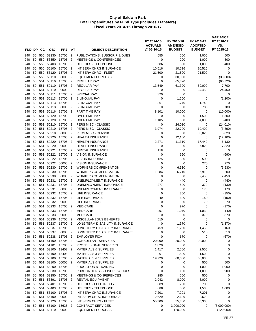|            |          |            |                       |                      |                                  |                                                                    | FY 2014-15<br><b>ACTUALS</b> | FY 2015-16<br><b>AMENDED</b> | FY 2016-17<br><b>ADOPTED</b> | <b>VARIANCE</b><br>FY 2016-17<br>VS. |
|------------|----------|------------|-----------------------|----------------------|----------------------------------|--------------------------------------------------------------------|------------------------------|------------------------------|------------------------------|--------------------------------------|
| FND DP     |          | CС         | <b>OBJ</b>            | <b>PRJ</b>           | AT                               | <b>OBJECT DESCRIPTION</b>                                          | @ 06-30-15                   | <b>BUDGET</b>                | <b>BUDGET</b>                | FY 2015-16                           |
| 240        | 50       | 550        | 53330                 | 15705                | $\overline{2}$                   | PUBLICATIONS, SUBSCRIP & DUES                                      | 555                          | 500                          | 1,000                        | 500                                  |
| 240        | 50       | 550        | 53350                 | 15705                | 2                                | <b>MEETINGS &amp; CONFERENCES</b>                                  | 0                            | 200                          | 1,000                        | 800                                  |
| 240        | 50       | 550        | 53403                 | 15705                | $\overline{2}$                   | UTILITIES - TELEPHONE                                              | 686                          | 600                          | 1,000                        | 400                                  |
| 240<br>240 | 50<br>50 | 550<br>550 | 56100<br>56120        | 15705<br>15705       | $\overline{2}$<br>$\overline{2}$ | INT SERV CHRG INSURANCE<br>INT SERV CHRG - FLEET                   | 10,516<br>21,500             | 10,516<br>21,500             | 10,516<br>21,500             | 0<br>$\mathbf 0$                     |
| 240        | 50       | 550        | 58110                 | 00000                | $\overline{2}$                   | <b>EQUIPMENT PURCHASE</b>                                          | 0                            | 30,000                       | 0                            | (30,000)                             |
| 240        | 50       | 551        | 50110                 | 15700                | $\overline{2}$                   | REGULAR PAY                                                        | 0                            | 65,320                       | 0                            | (65, 320)                            |
| 240        | 50       | 551        | 50110                 | 15705                | $\overline{2}$                   | <b>REGULAR PAY</b>                                                 | 13,549                       | 61,390                       | 69,090                       | 7,700                                |
| 240        | 50       | 551        | 50110                 | 00000                | $\overline{2}$                   | <b>REGULAR PAY</b>                                                 | 0                            | 0                            | 24,450                       | 24,450                               |
| 240        | 50       | 551        | 50111                 | 15705                | $\overline{2}$                   | <b>SPECIAL PAY</b>                                                 | 320                          | $\mathbf 0$                  | 0                            | 0                                    |
| 240        | 50       | 551        | 50113                 | 15700                | $\overline{2}$                   | <b>BILINGUAL PAY</b>                                               | 0                            | 1,200                        | 0                            | (1,200)                              |
| 240        | 50       | 551        | 50113                 | 15705                | $\overline{2}$                   | <b>BILINGUAL PAY</b>                                               | 361                          | 1,740                        | 1,740                        | 0                                    |
| 240        | 50       | 551        | 50113                 | 00000                | $\overline{2}$                   | <b>BILINGUAL PAY</b>                                               | 0                            | 0                            | 780                          | 780                                  |
| 240        | 50       | 551        | 50116                 | 15705                | $\overline{2}$                   | PART TIME PAY                                                      | 8,101                        | 10,000                       | 0                            | (10,000)                             |
| 240        | 50       | 551        | 50120                 | 15700                | $\overline{2}$                   | <b>OVERTIME PAY</b>                                                | 0                            | 0                            | 1,500                        | 1,500                                |
| 240        | 50       | 551        | 50120                 | 15705                | $\overline{2}$                   | <b>OVERTIME PAY</b>                                                | 1,105                        | 600                          | 4,000                        | 3,400                                |
| 240        | 50       | 551        | 50210                 | 15700                | $\overline{2}$                   | <b>PERS MISC - CLASSIC</b>                                         | 0                            | 24,010                       | 0                            | (24, 010)                            |
| 240<br>240 | 50<br>50 | 551<br>551 | 50210<br>50210        | 15705<br>00000       | $\overline{2}$<br>$\overline{2}$ | PERS MISC - CLASSIC<br>PERS MISC - CLASSIC                         | 3,974<br>0                   | 22,790<br>0                  | 19,400<br>3,020              | (3,390)<br>3,020                     |
| 240        | 50       | 551        | 50220                 | 15700                | $\overline{2}$                   | <b>HEALTH INSURANCE</b>                                            | 0                            | 12,100                       | 0                            | (12, 100)                            |
| 240        | 50       | 551        | 50220                 | 15705                | $\overline{2}$                   | <b>HEALTH INSURANCE</b>                                            | 2,271                        | 11,310                       | 17,440                       | 6,130                                |
| 240        | 50       | 551        | 50220                 | 00000                | $\overline{2}$                   | <b>HEALTH INSURANCE</b>                                            | 0                            | 0                            | 7,820                        | 7,820                                |
| 240        | 50       | 551        | 50221                 | 15705                | $\overline{2}$                   | DENTAL INSURANCE                                                   | 118                          | 0                            | 0                            | 0                                    |
| 240        | 50       | 551        | 50222                 | 15700                | $\overline{2}$                   | <b>VISION INSURANCE</b>                                            | 0                            | 690                          | 0                            | (690)                                |
| 240        | 50       | 551        | 50222                 | 15705                | $\overline{2}$                   | <b>VISION INSURANCE</b>                                            | 125                          | 590                          | 590                          | 0                                    |
| 240        | 50       | 551        | 50222                 | 00000                | $\overline{2}$                   | <b>VISION INSURANCE</b>                                            | 0                            | 0                            | 270                          | 270                                  |
| 240        | 50       | 551        | 50230                 | 15700                | $\overline{2}$                   | <b>WORKERS COMPENSATION</b>                                        | 0                            | 6,530                        | 0                            | (6, 530)                             |
| 240        | 50       | 551        | 50230                 | 15705                | $\overline{2}$                   | <b>WORKERS COMPENSATION</b>                                        | 1,284                        | 6,710                        | 6,910                        | 200                                  |
| 240        | 50       | 551        | 50230                 | 00000                | $\overline{2}$                   | <b>WORKERS COMPENSATION</b>                                        | 0                            | 0                            | 2,450                        | 2,450                                |
| 240        | 50       | 551        | 50231                 | 15700                | $\overline{2}$                   | UNEMPLOYMENT INSURANCE                                             | 0                            | 440                          | 0                            | (440)                                |
| 240        | 50       | 551        | 50231                 | 15705                | $\overline{2}$                   | UNEMPLOYMENT INSURANCE                                             | 277                          | 500                          | 370                          | (130)                                |
| 240        | 50       | 551        | 50231                 | 00000                | $\overline{2}$                   | UNEMPLOYMENT INSURANCE                                             | 0                            | 0                            | 170                          | 170                                  |
| 240<br>240 | 50<br>50 | 551<br>551 | 50232<br>50232        | 15700<br>15705       | $\overline{2}$<br>$\overline{2}$ | LIFE INSURANCE<br>LIFE INSURANCE                                   | $\mathbf 0$<br>49            | 350<br>300                   | 0<br>150                     | (350)<br>(150)                       |
| 240        | 50       | 551        | 50232                 | 00000                | $\overline{2}$                   | LIFE INSURANCE                                                     | 0                            | 0                            | 70                           | 70                                   |
| 240        | 50       | 551        | 50233                 | 15700                | $\overline{2}$                   | <b>MEDICARE</b>                                                    | 0                            | 970                          | 0                            | (970)                                |
| 240        | 50       | 551        | 50233                 | 15705                | $\overline{2}$                   | <b>MEDICARE</b>                                                    | 297                          | 1,070                        | 1,030                        | (40)                                 |
| 240        | 50       | 551        | 50233                 | 00000                | $\overline{2}$                   | <b>MEDICARE</b>                                                    | 0                            | 0                            | 370                          | 370                                  |
| 240        | 50       | 551        | 50236                 | 15705                | $\overline{2}$                   | <b>MISCELLANEOUS BENEFITS</b>                                      | 510                          | $\mathbf 0$                  | 0                            | 0                                    |
| 240        |          |            | 50 551 50237          | 15700 2              |                                  | LONG TERM DISABILITY INSURANCE                                     | 0                            | 1,370                        | 0                            | (1, 370)                             |
| 240        | 50       | 551        | 50237                 | 15705 2              |                                  | LONG TERM DISABILITY INSURANCE                                     | 459                          | 1,290                        | 1,450                        | 160                                  |
| 240        | 50       | 551        | 50237                 | 00000 2              |                                  | LONG TERM DISABILITY INSURANCE                                     | 0                            | 0                            | 510                          | 510                                  |
| 240        | 50       | 551        | 50238                 | 15705 2              |                                  | <b>EMPLOYER FICA</b>                                               | $\mathbf 0$                  | 670                          | 0                            | (670)                                |
| 240        |          |            |                       | 50 551 51100 15705 2 |                                  | <b>CONSULTANT SERVICES</b>                                         | 20,000                       | 20,000                       | 20,000                       | 0                                    |
| 240        | 50       |            | 551 51101             | 15705 2              |                                  | PROFESSIONAL SERVICES                                              | 1,820                        | 0                            | $\pmb{0}$                    | 0                                    |
| 240        |          |            | 50 551 53100<br>53100 | 13402 2              |                                  | <b>MATERIALS &amp; SUPPLIES</b>                                    | 1,417                        | 2,500                        | 2,500                        | 0                                    |
| 240<br>240 | 50<br>50 | 551        | 551 53100             | 13403 2<br>15705 2   |                                  | <b>MATERIALS &amp; SUPPLIES</b><br><b>MATERIALS &amp; SUPPLIES</b> | 201<br>19,720                | 1,500<br>60,000              | 1,500<br>60,000              | 0<br>0                               |
| 240        | 50       |            | 551 53100             | 00000 2              |                                  | <b>MATERIALS &amp; SUPPLIES</b>                                    | 0                            | 0                            | 500                          | 500                                  |
| 240        | 50       | 551        | 53200                 | 15705 2              |                                  | <b>EDUCATION &amp; TRAINING</b>                                    | $\mathbf 0$                  | 0                            | 1,000                        | 1,000                                |
| 240        |          |            | 50 551 53330          | 15705 2              |                                  | PUBLICATIONS, SUBSCRIP & DUES                                      | 0                            | 100                          | 1,000                        | 900                                  |
| 240        | 50       | 551        | 53350                 | 15705 2              |                                  | <b>MEETINGS &amp; CONFERENCES</b>                                  | 285                          | 500                          | 500                          | 0                                    |
| 240        | 50       | 551        | 53391                 | 15705                | $\overline{2}$                   | RENTAL EQUIPMENT                                                   | 2,942                        | 8,000                        | 8,000                        | 0                                    |
| 240        | 50       | 551        | 53401                 | 15705 2              |                                  | UTILITIES - ELECTRICITY                                            | 889                          | 700                          | 700                          | 0                                    |
| 240        | 50       | 551        | 53403                 | 15705 2              |                                  | UTILITIES - TELEPHONE                                              | 688                          | 500                          | 1,500                        | 1,000                                |
| 240        | 50       | 551        |                       | 56100 15705 2        |                                  | INT SERV CHRG INSURANCE                                            | 7,201                        | 7,201                        | 7,201                        | 0                                    |
| 240        | 50       | 551        | 56100                 | 00000 2              |                                  | INT SERV CHRG INSURANCE                                            | 2,629                        | 2,629                        | 2,629                        | 0                                    |
| 240        | 50       |            | 551 56120             | 15705 2              |                                  | INT SERV CHRG - FLEET                                              | 55,300                       | 55,300                       | 55,300                       | 0                                    |
| 240        | 50       | 551        | 58100                 | 15625                | $\overline{2}$                   | <b>CONTRACT SERVICES</b>                                           | 0                            | 3,000,000                    | 0                            | (3,000,000)                          |
| 240        |          |            |                       | 50 551 58110 00000 2 |                                  | <b>EQUIPMENT PURCHASE</b>                                          | $\mathbf 0$                  | 120,000                      | 0                            | (120,000)                            |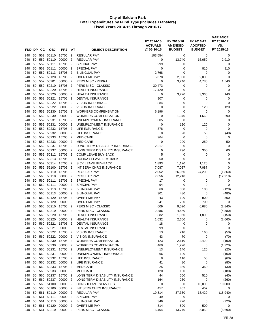| FND DP     |          | CС  | <b>OBJ</b>             | <b>PRJ</b>       | AT                               | <b>OBJECT DESCRIPTION</b>                             | FY 2014-15<br><b>ACTUALS</b><br>@ 06-30-15 | FY 2015-16<br><b>AMENDED</b><br><b>BUDGET</b> | FY 2016-17<br><b>ADOPTED</b><br><b>BUDGET</b> | <b>VARIANCE</b><br>FY 2016-17<br>VS.<br>FY 2015-16 |
|------------|----------|-----|------------------------|------------------|----------------------------------|-------------------------------------------------------|--------------------------------------------|-----------------------------------------------|-----------------------------------------------|----------------------------------------------------|
| 240        | 50       |     | 552 50110              | 15705            | $\overline{2}$                   | <b>REGULAR PAY</b>                                    | 103,554                                    | 0                                             | 0                                             | 0                                                  |
| 240        | 50       | 552 | 50110                  | 00000            | $\overline{2}$                   | <b>REGULAR PAY</b>                                    | 0                                          | 13,740                                        | 16,650                                        | 2,910                                              |
| 240        | 50       |     | 552 50111              | 15705            | $\overline{2}$                   | <b>SPECIAL PAY</b>                                    | 299                                        | 0                                             | 0                                             | 0                                                  |
| 240        | 50       |     | 552 50111              | 00000            | $\overline{2}$                   | <b>SPECIAL PAY</b>                                    | 0                                          | 0                                             | 810                                           | 810                                                |
| 240        | 50       |     | 552 50113              | 15705            | $\overline{2}$                   | <b>BILINGUAL PAY</b>                                  | 2,768                                      | 0                                             | 0                                             | 0                                                  |
| 240        | 50       |     | 552 50120              | 15705            | $\overline{2}$                   | <b>OVERTIME PAY</b>                                   | 5,678                                      | 2,000                                         | 2,000                                         | 0                                                  |
| 240        | 50       |     | 552 50201              | 00000            | $\overline{2}$                   | PERS MISC - PEPRA                                     | 0                                          | 3,240                                         | 4,780                                         | 1,540                                              |
| 240        | 50       |     | 552 50210              | 15705            | $\overline{2}$                   | PERS MISC - CLASSIC                                   | 30,473                                     | 0                                             | 0                                             | 0                                                  |
| 240        | 50       |     | 552 50220              | 15705            | $\overline{2}$                   | <b>HEALTH INSURANCE</b>                               | 17,420                                     | $\mathbf 0$                                   | 0                                             | $\mathbf 0$                                        |
| 240        | 50       | 552 | 50220                  | 00000            | $\overline{2}$                   | <b>HEALTH INSURANCE</b>                               | 0                                          | 3,220                                         | 3,360                                         | 140                                                |
| 240        | 50       |     | 552 50221              | 15705            | $\overline{2}$                   | <b>DENTAL INSURANCE</b>                               | 907                                        | 0                                             | 0                                             | 0                                                  |
| 240        | 50       |     | 552 50222              | 15705            | $\overline{2}$                   | <b>VISION INSURANCE</b>                               | 884                                        | 0                                             | 0                                             | 0                                                  |
| 240        | 50       | 552 | 50222                  | 00000            | $\overline{2}$                   | <b>VISION INSURANCE</b>                               | 0                                          | 0                                             | 120                                           | 120                                                |
| 240        | 50       |     | 552 50230              | 15705            | $\overline{2}$                   | <b>WORKERS COMPENSATION</b>                           | 6,196                                      | 0                                             | 0                                             | 0                                                  |
| 240        | 50       |     | 552 50230<br>552 50231 | 00000            | $\overline{2}$                   | <b>WORKERS COMPENSATION</b><br>UNEMPLOYMENT INSURANCE | 0                                          | 1,370                                         | 1,660                                         | 290                                                |
| 240<br>240 | 50<br>50 | 552 | 50231                  | 15705<br>00000   | $\overline{2}$<br>$\overline{2}$ | UNEMPLOYMENT INSURANCE                                | 605<br>0                                   | 0<br>120                                      | 0<br>120                                      | 0<br>0                                             |
| 240        | 50       |     | 552 50232              | 15705            | $\overline{2}$                   | LIFE INSURANCE                                        | 378                                        | 0                                             | 0                                             | $\mathbf 0$                                        |
| 240        | 50       |     | 552 50232              | 00000            | $\overline{2}$                   | LIFE INSURANCE                                        | 0                                          | 90                                            | 50                                            | (40)                                               |
| 240        | 50       |     | 552 50233              | 15705            | $\overline{2}$                   | <b>MEDICARE</b>                                       | 964                                        | 0                                             | 0                                             | 0                                                  |
| 240        | 50       | 552 | 50233                  | 00000            | $\overline{2}$                   | <b>MEDICARE</b>                                       | 0                                          | 200                                           | 250                                           | 50                                                 |
| 240        | 50       |     | 552 50237              | 15705            | $\overline{2}$                   | LONG TERM DISABILITY INSURANCE                        | 2,217                                      | 0                                             | 0                                             | 0                                                  |
| 240        | 50       |     | 552 50237              | 00000            | $\overline{2}$                   | LONG TERM DISABILITY INSURANCE                        | 0                                          | 290                                           | 350                                           | 60                                                 |
| 240        | 50       |     | 552 50312              | 15705            | $\overline{2}$                   | <b>COMP LEAVE BUY-BACK</b>                            | 5                                          | 0                                             | 0                                             | 0                                                  |
| 240        | 50       |     | 552 50313              | 15705            | $\overline{2}$                   | <b>HOLIDAY LEAVE BUY-BACK</b>                         | 50                                         | 0                                             | 0                                             | $\mathbf 0$                                        |
| 240        | 50       |     | 552 50314              | 15705            | $\overline{2}$                   | <b>SICK LEAVE BUY-BACK</b>                            | 1,893                                      | 1,120                                         | 1,120                                         | 0                                                  |
| 240        | 50       |     | 552 56100              | 15705            | $\overline{2}$                   | INT SERV CHRG INSURANCE                               | 7,087                                      | 7,087                                         | 7,087                                         | $\mathbf 0$                                        |
| 240        | 50       | 560 | 50110                  | 15705            | $\overline{2}$                   | <b>REGULAR PAY</b>                                    | 2,052                                      | 26,060                                        | 24,200                                        | (1,860)                                            |
| 240        | 50       | 560 | 50110                  | 00000            | $\overline{2}$                   | <b>REGULAR PAY</b>                                    | 7,656                                      | 12,210                                        | 0                                             | (12, 210)                                          |
| 240        | 50       | 560 | 50111                  | 15705            | $\overline{2}$                   | <b>SPECIAL PAY</b>                                    | 17                                         | 0                                             | 0                                             | 0<br>$\mathbf 0$                                   |
| 240<br>240 | 50<br>50 | 560 | 50111<br>560 50113     | 00000<br>15705   | $\overline{2}$<br>$\overline{2}$ | <b>SPECIAL PAY</b><br><b>BILINGUAL PAY</b>            | 94<br>60                                   | 0<br>300                                      | 0<br>180                                      | (120)                                              |
| 240        | 50       |     | 560 50113              | 00000            | $\overline{2}$                   | <b>BILINGUAL PAY</b>                                  | 301                                        | 480                                           | 0                                             | (480)                                              |
| 240        | 50       | 560 | 50120                  | 15705            | $\overline{2}$                   | <b>OVERTIME PAY</b>                                   | 43                                         | 100                                           | 900                                           | 800                                                |
| 240        | 50       | 560 | 50120                  | 00000            | $\overline{2}$                   | <b>OVERTIME PAY</b>                                   | 241                                        | 700                                           | 700                                           | 0                                                  |
| 240        | 50       | 560 | 50210                  | 15705            | $\overline{2}$                   | <b>PERS MISC - CLASSIC</b>                            | 609                                        | 9,520                                         | 6,680                                         | (2,840)                                            |
| 240        | 50       | 560 | 50210                  | 00000            | $\overline{2}$                   | PERS MISC - CLASSIC                                   | 2,286                                      | 4,580                                         | 0                                             | (4,580)                                            |
| 240        | 50       | 560 | 50220                  | 15705            | $\overline{2}$                   | <b>HEALTH INSURANCE</b>                               | 382                                        | 1,950                                         | 1,800                                         | (150)                                              |
| 240        | 50       | 560 | 50220                  | 00000            | $\overline{2}$                   | <b>HEALTH INSURANCE</b>                               | 1,632                                      | 2,660                                         | 0                                             | (2,660)                                            |
| 240        | 50       | 560 | 50221                  | 15705            | 2                                | DENTAL INSURANCE                                      | 18                                         | 0                                             | 0                                             | 0                                                  |
| 240        |          |     | 50 560 50221           | 00000 2          |                                  | DENTAL INSURANCE                                      | 99                                         | 0                                             | 0                                             | 0                                                  |
| 240        | 50       | 560 | 50222                  | 15705 2          |                                  | <b>VISION INSURANCE</b>                               | 13                                         | 210                                           | 160                                           | (50)                                               |
| 240        | 50       |     | 560 50222              | 00000 2          |                                  | <b>VISION INSURANCE</b>                               | 43                                         | 70                                            | 0                                             | (70)                                               |
| 240        | 50       |     | 560 50230              | 15705 2          |                                  | <b>WORKERS COMPENSATION</b>                           | 123                                        | 2,610                                         | 2,420                                         | (190)                                              |
| 240<br>240 | 50<br>50 |     | 560 50230<br>560 50231 | 00000<br>15705 2 | $\overline{2}$                   | <b>WORKERS COMPENSATION</b><br>UNEMPLOYMENT INSURANCE | 460<br>13                                  | 1,220<br>140                                  | 0<br>120                                      | (1,220)<br>(20)                                    |
| 240        | 50       |     | 560 50231              | 00000 2          |                                  | UNEMPLOYMENT INSURANCE                                | 66                                         | 100                                           | 0                                             | (100)                                              |
| 240        | 50       |     |                        | 560 50232 15705  | $\overline{2}$                   | LIFE INSURANCE                                        | 8                                          | 110                                           | 50                                            | (60)                                               |
| 240        | 50       |     | 560 50232              | 00000            | $\overline{2}$                   | <b>LIFE INSURANCE</b>                                 | 41                                         | 80                                            | 0                                             | (80)                                               |
| 240        | 50       |     | 560 50233              | 15705 2          |                                  | <b>MEDICARE</b>                                       | 25                                         | 380                                           | 350                                           | (30)                                               |
| 240        | 50       |     | 560 50233              | 00000 2          |                                  | <b>MEDICARE</b>                                       | 120                                        | 180                                           | 0                                             | (180)                                              |
| 240        | 50       |     | 560 50237              | 15705            | $\overline{2}$                   | LONG TERM DISABILITY INSURANCE                        | 44                                         | 550                                           | 510                                           | (40)                                               |
| 240        | 50       |     | 560 50237              | 00000 2          |                                  | LONG TERM DISABILITY INSURANCE                        | 164                                        | 260                                           | 0                                             | (260)                                              |
| 240        | 50       |     | 560 51100              | 00000 2          |                                  | <b>CONSULTANT SERVICES</b>                            | 0                                          | 0                                             | 10,000                                        | 10,000                                             |
| 240        | 50       |     | 560 56100              | 00000            | $\overline{2}$                   | INT SERV CHRG INSURANCE                               | 457                                        | 457                                           | 457                                           | 0                                                  |
| 240        |          |     | 50 561 50110           | 00000 2          |                                  | <b>REGULAR PAY</b>                                    | 19,814                                     | 37,360                                        | 18,420                                        | (18, 940)                                          |
| 240        |          |     | 50 561 50111           | 00000 2          |                                  | SPECIAL PAY                                           | 49                                         | 0                                             | 0                                             | 0                                                  |
| 240        | 50       |     | 561 50113              | 00000            | $\overline{2}$                   | <b>BILINGUAL PAY</b>                                  | 346                                        | 720                                           | 0                                             | (720)                                              |
| 240        | 50       |     | 561 50120              | 00000            | $\overline{2}$                   | <b>OVERTIME PAY</b>                                   | 814                                        | 500                                           | 500                                           | 0                                                  |
| 240        | 50       | 561 | 50210                  | 00000 2          |                                  | PERS MISC - CLASSIC                                   | 5,464                                      | 13,740                                        | 5,050                                         | (8,690)                                            |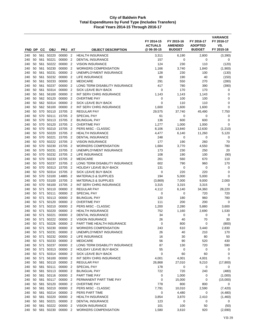| FND DP     |          | СC         | <b>OBJ</b>             | <b>PRJ</b>                      | AT                               | <b>OBJECT DESCRIPTION</b>                              | FY 2014-15<br><b>ACTUALS</b><br>@ 06-30-15 | FY 2015-16<br><b>AMENDED</b><br><b>BUDGET</b> | FY 2016-17<br><b>ADOPTED</b><br><b>BUDGET</b> | <b>VARIANCE</b><br>FY 2016-17<br>VS.<br>FY 2015-16 |
|------------|----------|------------|------------------------|---------------------------------|----------------------------------|--------------------------------------------------------|--------------------------------------------|-----------------------------------------------|-----------------------------------------------|----------------------------------------------------|
| 240        | 50       |            | 561 50220              | 00000                           | $\overline{2}$                   | <b>HEALTH INSURANCE</b>                                | 3,311                                      | 6,190                                         | 2,800                                         | (3,390)                                            |
| 240        | 50       | 561        | 50221                  | 00000                           | $\overline{2}$                   | <b>DENTAL INSURANCE</b>                                | 157                                        | 0                                             | 0                                             | 0                                                  |
| 240        | 50       | 561        | 50222                  | 00000                           | $\overline{2}$                   | <b>VISION INSURANCE</b>                                | 124                                        | 230                                           | 110                                           | (120)                                              |
| 240        | 50       | 561        | 50230                  | 00000                           | $\overline{2}$                   | <b>WORKERS COMPENSATION</b>                            | 1,166                                      | 3,740                                         | 1,840                                         | (1,900)                                            |
| 240        | 50       | 561        | 50231                  | 00000                           | $\overline{2}$                   | UNEMPLOYMENT INSURANCE                                 | 128                                        | 230                                           | 100                                           | (130)                                              |
| 240        | 50       | 561        | 50232                  | 00000                           | 2                                | <b>LIFE INSURANCE</b>                                  | 80                                         | 190                                           | 40                                            | (150)                                              |
| 240        | 50       | 561        | 50233                  | 00000                           | $\overline{2}$                   | <b>MEDICARE</b>                                        | 291                                        | 550                                           | 270                                           | (280)                                              |
| 240        | 50       | 561        | 50237                  | 00000                           | $\overline{2}$                   | LONG TERM DISABILITY INSURANCE                         | 417                                        | 780                                           | 390                                           | (390)                                              |
| 240        | 50       | 561        | 50314                  | 00000                           | $\overline{2}$                   | <b>SICK LEAVE BUY-BACK</b>                             | 0                                          | 170                                           | 170                                           | 0                                                  |
| 240        | 50       | 561        | 56100                  | 00000                           | $\overline{2}$                   | INT SERV CHRG INSURANCE                                | 1,143                                      | 1,143                                         | 1,143                                         | 0                                                  |
| 240        | 50       | 562        | 50120                  | 00000                           | $\overline{2}$                   | <b>OVERTIME PAY</b>                                    | 0                                          | 100                                           | 100                                           | $\mathbf 0$                                        |
| 240        | 50       |            | 562 50314              | 00000                           | $\overline{2}$                   | SICK LEAVE BUY-BACK                                    | $\mathbf 0$                                | 110                                           | 110                                           | 0                                                  |
| 240<br>240 | 50<br>50 | 570        | 562 56100<br>50110     | 00000<br>15705                  | $\overline{2}$<br>$\overline{2}$ | INT SERV CHRG INSURANCE<br><b>REGULAR PAY</b>          | 1,600<br>29,575                            | 1,600<br>37,740                               | 1,600<br>45,490                               | $\mathbf 0$<br>7,750                               |
| 240        | 50       | 570        | 50111                  | 15705                           | $\overline{2}$                   | <b>SPECIAL PAY</b>                                     | 61                                         | 0                                             | 0                                             | 0                                                  |
| 240        | 50       | 570        | 50113                  | 15705                           | $\overline{2}$                   | <b>BILINGUAL PAY</b>                                   | 136                                        | 600                                           | 600                                           | 0                                                  |
| 240        | 50       | 570        | 50120                  | 15705                           | $\overline{2}$                   | <b>OVERTIME PAY</b>                                    | 1,277                                      | 1,000                                         | 1,000                                         | $\mathbf 0$                                        |
| 240        | 50       | 570        | 50210                  | 15705                           | $\overline{2}$                   | PERS MISC - CLASSIC                                    | 8,106                                      | 13,840                                        | 12,630                                        | (1,210)                                            |
| 240        | 50       | 570        | 50220                  | 15705                           | $\overline{2}$                   | <b>HEALTH INSURANCE</b>                                | 4,477                                      | 6,140                                         | 11,260                                        | 5,120                                              |
| 240        | 50       | 570        | 50221                  | 15705                           | $\overline{2}$                   | <b>DENTAL INSURANCE</b>                                | 248                                        | 0                                             | 0                                             | 0                                                  |
| 240        | 50       | 570        | 50222                  | 15705                           | $\overline{2}$                   | <b>VISION INSURANCE</b>                                | 177                                        | 190                                           | 260                                           | 70                                                 |
| 240        | 50       | 570        | 50230                  | 15705                           | $\overline{2}$                   | <b>WORKERS COMPENSATION</b>                            | 1,684                                      | 3,770                                         | 4,550                                         | 780                                                |
| 240        | 50       | 570        | 50231                  | 15705                           | $\overline{2}$                   | UNEMPLOYMENT INSURANCE                                 | 173                                        | 230                                           | 250                                           | 20                                                 |
| 240        | 50       | 570        | 50232                  | 15705                           | $\overline{2}$                   | LIFE INSURANCE                                         | 108                                        | 190                                           | 100                                           | (90)                                               |
| 240        | 50       |            | 570 50233              | 15705                           | $\overline{2}$                   | <b>MEDICARE</b>                                        | 261                                        | 560                                           | 670                                           | 110                                                |
| 240        | 50       | 570        | 50237                  | 15705                           | $\overline{2}$                   | LONG TERM DISABILITY INSURANCE                         | 602                                        | 790                                           | 960                                           | 170                                                |
| 240        | 50<br>50 | 570        | 50313<br>50314         | 15705                           | $\overline{2}$<br>$\overline{2}$ | <b>HOLIDAY LEAVE BUY-BACK</b>                          | 131                                        | 0<br>220                                      | 0<br>220                                      | 0<br>$\mathbf 0$                                   |
| 240<br>240 | 50       | 570<br>570 | 53100                  | 15705<br>14885                  | $\overline{2}$                   | SICK LEAVE BUY-BACK<br><b>MATERIALS &amp; SUPPLIES</b> | 0<br>194                                   | 5,000                                         | 5,000                                         | $\mathbf 0$                                        |
| 240        | 50       | 570        | 53100                  | 15705                           | $\overline{2}$                   | <b>MATERIALS &amp; SUPPLIES</b>                        | (3,869)                                    | 7,000                                         | 9,000                                         | 2,000                                              |
| 240        | 50       | 570        | 56100                  | 15705                           | $\overline{2}$                   | INT SERV CHRG INSURANCE                                | 3,315                                      | 3,315                                         | 3,315                                         | $\mathbf 0$                                        |
| 240        | 50       | 571        | 50110                  | 00000                           | $\overline{2}$                   | <b>REGULAR PAY</b>                                     | 4,112                                      | 6,140                                         | 34,360                                        | 28,220                                             |
| 240        | 50       | 571        | 50111                  | 00000                           | $\overline{2}$                   | <b>SPECIAL PAY</b>                                     | 0                                          | 0                                             | 720                                           | 720                                                |
| 240        | 50       | 571        | 50113                  | 00000                           | $\overline{2}$                   | <b>BILINGUAL PAY</b>                                   | 120                                        | 180                                           | 960                                           | 780                                                |
| 240        | 50       | 571        | 50120                  | 00000                           | $\overline{2}$                   | <b>OVERTIME PAY</b>                                    | 111                                        | 200                                           | 200                                           | 0                                                  |
| 240        | 50       | 571        | 50210                  | 00000                           | $\overline{2}$                   | <b>PERS MISC - CLASSIC</b>                             | 1,200                                      | 2,280                                         | 5,880                                         | 3,600                                              |
| 240        | 50       | 571        | 50220                  | 00000                           | $\overline{2}$                   | <b>HEALTH INSURANCE</b>                                | 752                                        | 1,160                                         | 2,690                                         | 1,530                                              |
| 240        | 50       | 571        | 50221                  | 00000                           | $\overline{2}$                   | <b>DENTAL INSURANCE</b>                                | 34                                         | $\mathbf 0$                                   | 0                                             | 0                                                  |
| 240        | 50       | 571        | 50222                  | 00000                           | $\overline{2}$                   | <b>VISION INSURANCE</b>                                | 26                                         | 40                                            | 70                                            | 30                                                 |
| 240        |          | 50 571     | 50226                  | 00000                           | $\overline{2}$                   | PART TIME HEALTH INSURANCE                             | 0                                          | 800                                           | 0                                             | (800)                                              |
| 240        |          | 50 571     | 50230                  | 00000 2                         |                                  | <b>WORKERS COMPENSATION</b>                            | 243                                        | 610                                           | 3,440                                         | 2,830                                              |
| 240        |          | 50 571     | 50231                  | 00000 2<br>50 571 50232 00000 2 |                                  | UNEMPLOYMENT INSURANCE                                 | 26                                         | 40                                            | 210                                           | 170                                                |
| 240<br>240 |          |            | 50 571 50233           | 00000                           | $\overline{2}$                   | LIFE INSURANCE<br><b>MEDICARE</b>                      | 16<br>56                                   | 30<br>90                                      | 80<br>520                                     | 50<br>430                                          |
| 240        |          |            | 50 571 50237           | 00000                           | $\overline{2}$                   | LONG TERM DISABILITY INSURANCE                         | 87                                         | 130                                           | 720                                           | 590                                                |
| 240        |          | 50 571     | 50313                  | 00000 2                         |                                  | HOLIDAY LEAVE BUY-BACK                                 | 55                                         | 0                                             | 0                                             | 0                                                  |
| 240        |          |            | 50 571 50314           | 00000 2                         |                                  | SICK LEAVE BUY-BACK                                    | 0                                          | 60                                            | 60                                            | 0                                                  |
| 240        |          | 50 571     | 56100                  | 00000 2                         |                                  | INT SERV CHRG INSURANCE                                | 4,001                                      | 4,001                                         | 4,001                                         | 0                                                  |
| 240        |          |            | 50 581 50110           | 00000 2                         |                                  | <b>REGULAR PAY</b>                                     | 26,868                                     | 27,010                                        | 9,210                                         | (17,800)                                           |
| 240        |          |            | 50 581 50111           | 00000 2                         |                                  | SPECIAL PAY                                            | 178                                        | 0                                             | 0                                             | 0                                                  |
| 240        |          |            | 50 581 50113           | 00000 2                         |                                  | <b>BILINGUAL PAY</b>                                   | 722                                        | 720                                           | 240                                           | (480)                                              |
| 240        |          |            |                        | 50 581 50116 00000              | $\overline{2}$                   | PART TIME PAY                                          | $\mathbf 0$                                | 1,000                                         | 0                                             | (1,000)                                            |
| 240        | 50       | 581        | 50117                  | 00000                           | $\overline{2}$                   | PERMANENT PART TIME PAY                                | $\mathbf 0$                                | 15,000                                        | 0                                             | (15,000)                                           |
| 240        |          |            | 50 581 50120           | 00000 2                         |                                  | <b>OVERTIME PAY</b>                                    | 778                                        | 800                                           | 800                                           | 0                                                  |
| 240        | 50       |            | 581 50210              | 00000                           | $\overline{2}$                   | PERS MISC - CLASSIC                                    | 7,791                                      | 10,010                                        | 2,590                                         | (7, 420)                                           |
| 240        |          |            | 50 581 50214           | 00000                           | $\overline{2}$                   | PERS PART TIME                                         | $\mathbf 0$                                | 4,480                                         | 0                                             | (4,480)                                            |
| 240        |          |            | 50 581 50220           | 00000 2                         |                                  | <b>HEALTH INSURANCE</b>                                | 3,854                                      | 3,870                                         | 2,410                                         | (1,460)                                            |
| 240        | 50<br>50 |            | 581 50221<br>581 50222 | 00000 2<br>00000                | $\overline{2}$                   | DENTAL INSURANCE                                       | 123                                        | 0                                             | 0                                             | 0                                                  |
| 240<br>240 |          |            | 50 581 50230           | 00000 2                         |                                  | <b>VISION INSURANCE</b><br><b>WORKERS COMPENSATION</b> | 101<br>1,580                               | 100<br>3,610                                  | 50<br>920                                     | (50)<br>(2,690)                                    |
|            |          |            |                        |                                 |                                  |                                                        |                                            |                                               |                                               |                                                    |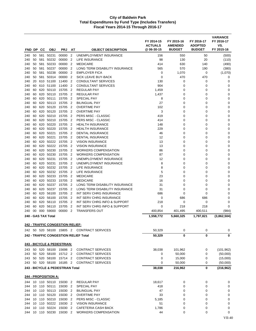| FND DP     |          | CС         | <b>OBJ</b>           | <b>PRJ</b>                       | AT                               | <b>OBJECT DESCRIPTION</b>                                 | FY 2014-15<br><b>ACTUALS</b><br>@ 06-30-15 | FY 2015-16<br><b>AMENDED</b><br><b>BUDGET</b> | FY 2016-17<br><b>ADOPTED</b><br><b>BUDGET</b> | <b>VARIANCE</b><br>FY 2016-17<br>VS.<br>FY 2015-16 |
|------------|----------|------------|----------------------|----------------------------------|----------------------------------|-----------------------------------------------------------|--------------------------------------------|-----------------------------------------------|-----------------------------------------------|----------------------------------------------------|
|            |          |            |                      |                                  |                                  |                                                           |                                            |                                               |                                               |                                                    |
| 240<br>240 | 50<br>50 | 581<br>581 | 50231<br>50232       | 00000<br>00000                   | $\overline{2}$<br>$\overline{2}$ | <b>UNEMPLOYMENT INSURANCE</b><br><b>LIFE INSURANCE</b>    | 156<br>98                                  | 550<br>130                                    | 50<br>20                                      | (500)<br>(110)                                     |
| 240        | 50       | 581        | 50233                | 00000                            | $\overline{2}$                   | <b>MEDICARE</b>                                           | 414                                        | 630                                           | 140                                           | (490)                                              |
| 240        | 50       | 581        | 50237                | 00000                            | $\overline{2}$                   | LONG TERM DISABILITY INSURANCE                            | 565                                        | 570                                           | 190                                           | (380)                                              |
| 240        | 50       | 581        | 50238                | 00000                            | $\overline{2}$                   | <b>EMPLOYER FICA</b>                                      | $\mathbf 0$                                | 1,070                                         | 0                                             | (1,070)                                            |
| 240        | 50       | 581        | 50314                | 00000                            | $\overline{2}$                   | SICK LEAVE BUY-BACK                                       | $\mathbf 0$                                | 470                                           | 470                                           | 0                                                  |
| 240        | 20       | 610        | 51100                | 11400                            | $\overline{2}$                   | <b>CONSULTANT SERVICES</b>                                | 130                                        | 0                                             | 0                                             | 0                                                  |
| 240        | 60       | 610        | 51100                | 11400                            | $\overline{2}$                   | <b>CONSULTANT SERVICES</b>                                | 904                                        | 0                                             | 0                                             | 0                                                  |
| 240        | 60       | 620        | 50110                | 15705                            | $\overline{2}$                   | <b>REGULAR PAY</b>                                        | 1,459                                      | 0                                             | 0                                             | 0                                                  |
| 240        | 60       | 620        | 50110                | 15705                            | $\overline{2}$                   | <b>REGULAR PAY</b>                                        | 1,437                                      | 0                                             | 0                                             | 0                                                  |
| 240        | 60       | 620        | 50111                | 15705                            | $\overline{2}$                   | <b>SPECIAL PAY</b>                                        | 8                                          | 0                                             | 0                                             | 0                                                  |
| 240        | 60       | 620        | 50113                | 15705                            | $\overline{2}$                   | <b>BILINGUAL PAY</b>                                      | 27                                         | 0                                             | 0                                             | 0                                                  |
| 240        | 60       | 620        | 50120                | 15705                            | $\overline{2}$                   | <b>OVERTIME PAY</b>                                       | 102                                        | 0                                             | 0                                             | 0                                                  |
| 240        | 60       | 620        | 50120                | 15705                            | $\overline{2}$                   | <b>OVERTIME PAY</b>                                       | 3                                          | 0                                             | 0                                             | 0                                                  |
| 240        | 60       | 620        | 50210                | 15705                            | $\overline{2}$                   | PERS MISC - CLASSIC                                       | 419                                        | 0                                             | 0                                             | 0                                                  |
| 240<br>240 | 60<br>60 | 620<br>620 | 50210<br>50220       | 15705<br>15705                   | $\overline{2}$<br>$\overline{2}$ | PERS MISC - CLASSIC<br><b>HEALTH INSURANCE</b>            | 414<br>148                                 | 0<br>0                                        | 0<br>0                                        | 0<br>$\mathbf 0$                                   |
| 240        | 60       | 620        | 50220                | 15705                            | $\overline{2}$                   | <b>HEALTH INSURANCE</b>                                   | 229                                        | 0                                             | 0                                             | 0                                                  |
| 240        | 60       | 620        | 50221                | 15705                            | $\overline{2}$                   | <b>DENTAL INSURANCE</b>                                   | 46                                         | $\Omega$                                      | 0                                             | 0                                                  |
| 240        | 60       | 620        | 50221                | 15705                            | $\overline{2}$                   | <b>DENTAL INSURANCE</b>                                   | 12                                         | 0                                             | 0                                             | 0                                                  |
| 240        | 60       | 620        | 50222                | 15705                            | $\overline{2}$                   | <b>VISION INSURANCE</b>                                   | 13                                         | 0                                             | 0                                             | 0                                                  |
| 240        | 60       | 620        | 50222                | 15705                            | $\overline{2}$                   | <b>VISION INSURANCE</b>                                   | 13                                         | 0                                             | 0                                             | 0                                                  |
| 240        | 60       | 620        | 50230                | 15705                            | $\overline{2}$                   | <b>WORKERS COMPENSATION</b>                               | 86                                         | 0                                             | 0                                             | 0                                                  |
| 240        | 60       | 620        | 50230                | 15705                            | $\overline{2}$                   | <b>WORKERS COMPENSATION</b>                               | 87                                         | 0                                             | 0                                             | 0                                                  |
| 240        | 60       | 620        | 50231                | 15705                            | $\overline{2}$                   | UNEMPLOYMENT INSURANCE                                    | 12                                         | 0                                             | 0                                             | 0                                                  |
| 240        | 60       | 620        | 50231                | 15705                            | $\overline{2}$                   | UNEMPLOYMENT INSURANCE                                    | 8                                          | 0                                             | 0                                             | 0                                                  |
| 240        | 60       | 620        | 50232                | 15705                            | $\overline{2}$                   | LIFE INSURANCE                                            | 8                                          | 0                                             | 0                                             | 0                                                  |
| 240        | 60       | 620        | 50232                | 15705                            | $\overline{2}$                   | LIFE INSURANCE                                            | 5                                          | 0                                             | 0                                             | 0                                                  |
| 240        | 60       | 620        | 50233                | 15705                            | $\overline{2}$                   | <b>MEDICARE</b>                                           | 23                                         | 0                                             | 0                                             | 0                                                  |
| 240        | 60       | 620        | 50233                | 15705                            | $\overline{2}$                   | <b>MEDICARE</b>                                           | 16                                         | 0                                             | 0                                             | 0                                                  |
| 240        | 60       | 620        | 50237                | 15705                            | $\overline{2}$                   | LONG TERM DISABILITY INSURANCE                            | 31                                         | 0                                             | 0                                             | 0                                                  |
| 240<br>240 | 60<br>60 | 620<br>620 | 50237<br>56100       | 15705<br>15705                   | $\overline{2}$<br>$\overline{2}$ | LONG TERM DISABILITY INSURANCE<br>INT SERV CHRG INSURANCE | 31<br>686                                  | 0<br>0                                        | 0<br>0                                        | 0<br>0                                             |
| 240        | 60       | 620        | 56100                | 15705                            | $\overline{2}$                   | INT SERV CHRG INSURANCE                                   | 0                                          | 686                                           | 686                                           | 0                                                  |
| 240        | 60       | 620        | 56110                | 15705                            | $\overline{2}$                   | INT SERV CHRG INFO & SUPPORT                              | 218                                        | 0                                             | 0                                             | 0                                                  |
| 240        | 60       | 620        | 56110                | 15705                            | $\overline{2}$                   | INT SERV CHRG INFO & SUPPORT                              | $\mathbf 0$                                | 218                                           | 218                                           | 0                                                  |
| 240        | 00       | 000        | 59000                | 00000                            | $\overline{2}$                   | <b>TRANSFERS OUT</b>                                      | 400,854                                    | 401,495                                       | 400,511                                       | (984)                                              |
|            |          |            | 240 - GAS TAX Total  |                                  |                                  |                                                           | 1,558,772                                  | 5,660,325                                     | 1,797,821                                     | (3,862,504)                                        |
|            |          |            |                      |                                  |                                  |                                                           |                                            |                                               |                                               |                                                    |
|            |          |            |                      | 242 - TRAFFIC CONGESTION RELIEF: |                                  |                                                           |                                            |                                               |                                               |                                                    |
|            |          |            |                      | 242 50 520 58100 15805 2         |                                  | <b>CONTRACT SERVICES</b>                                  | 50,329                                     | 0                                             | 0                                             | 0                                                  |
|            |          |            |                      |                                  |                                  | 242 - TRAFFIC CONGESTION RELIEF Total                     | 50,329                                     | 0                                             | 0                                             | 0                                                  |
|            |          |            |                      | 243 - BICYCLE & PEDESTRIAN:      |                                  |                                                           |                                            |                                               |                                               |                                                    |
| 243        |          |            |                      | 50 520 58100 15698 2             |                                  | <b>CONTRACT SERVICES</b>                                  | 38,038                                     | 101,962                                       | 0                                             | (101, 962)                                         |
| 243        | 50       |            | 520 58100            | 15712 2                          |                                  | <b>CONTRACT SERVICES</b>                                  | 0                                          | 50,000                                        | 0                                             | (50,000)                                           |
| 243        |          |            |                      | 50 520 58100 15714 2             |                                  | <b>CONTRACT SERVICES</b>                                  | 0                                          | 15,000                                        | 0                                             | (15,000)                                           |
| 243        |          |            |                      | 50 520 58100 16185 2             |                                  | <b>CONTRACT SERVICES</b>                                  | 0                                          | 50,000                                        | 0                                             | (50,000)                                           |
|            |          |            |                      | 243 - BICYCLE & PEDESTRIAN Total |                                  |                                                           | 38,038                                     | 216,962                                       | 0                                             | (216,962)                                          |
|            |          |            | 244 - PROPOSITION A: |                                  |                                  |                                                           |                                            |                                               |                                               |                                                    |
| 244        |          |            |                      | 10 110 50110 15030 2             |                                  | <b>REGULAR PAY</b>                                        | 18,617                                     | 0                                             | 0                                             | 0                                                  |
| 244        |          |            | 10 110 50111         | 15030 2                          |                                  | SPECIAL PAY                                               | 418                                        | 0                                             | 0                                             | 0                                                  |
| 244        |          |            |                      | 10 110 50113 15030 2             |                                  | <b>BILINGUAL PAY</b>                                      | 47                                         | 0                                             | 0                                             | 0                                                  |
| 244        |          |            | 10 110 50120         | 15030                            | $\overline{2}$                   | <b>OVERTIME PAY</b>                                       | 33                                         | 0                                             | 0                                             | 0                                                  |
| 244        |          |            | 10 110 50210         | 15030                            | $\overline{2}$                   | PERS MISC - CLASSIC                                       | 5,185                                      | 0                                             | 0                                             | 0                                                  |
| 244        |          |            |                      | 10 110 50222 15030 2             |                                  | <b>VISION INSURANCE</b>                                   | 51                                         | $\mathbf 0$                                   | 0                                             | $\pmb{0}$                                          |
| 244        | 10       |            | 110 50224            | 15030                            | 2                                | CAFETERIA CASH BACK                                       | 1,786                                      | 0                                             | 0                                             | 0                                                  |
| 244        |          |            | 10 110 50230         | 15030 2                          |                                  | <b>WORKERS COMPENSATION</b>                               | 44                                         | 0                                             | 0                                             | 0                                                  |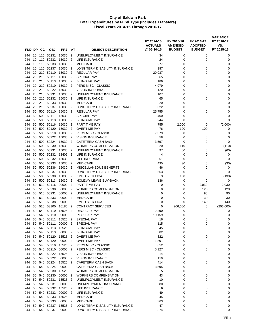|            |          |           |                           |                |                                  |                                                       | FY 2014-15<br><b>ACTUALS</b> | FY 2015-16<br><b>AMENDED</b> | FY 2016-17<br><b>ADOPTED</b> | <b>VARIANCE</b><br>FY 2016-17<br>VS. |
|------------|----------|-----------|---------------------------|----------------|----------------------------------|-------------------------------------------------------|------------------------------|------------------------------|------------------------------|--------------------------------------|
| FND DP     |          | <b>CC</b> | <b>OBJ</b>                | <b>PRJ</b>     | <b>AT</b>                        | <b>OBJECT DESCRIPTION</b>                             | @ 06-30-15                   | <b>BUDGET</b>                | <b>BUDGET</b>                | FY 2015-16                           |
| 244        | 10       |           | 110 50231                 | 15030          | $\overline{2}$                   | UNEMPLOYMENT INSURANCE                                | 34                           | 0                            | 0                            | 0                                    |
| 244        | 10       | 110       | 50232                     | 15030          | $\overline{2}$                   | LIFE INSURANCE                                        | 24                           | $\mathbf 0$                  | $\mathbf 0$                  | 0                                    |
| 244        | 10       | 110       | 50233                     | 15030          | $\overline{2}$                   | <b>MEDICARE</b>                                       | 277                          | 0                            | 0                            | 0                                    |
| 244<br>244 | 10<br>20 | 110       | 50237<br>210 50110        | 15030<br>15030 | $\overline{2}$<br>$\overline{2}$ | LONG TERM DISABILITY INSURANCE<br><b>REGULAR PAY</b>  | 387<br>20,037                | 0<br>0                       | 0<br>0                       | 0<br>0                               |
| 244        | 20       |           | 210 50111                 | 15030          | $\overline{2}$                   | <b>SPECIAL PAY</b>                                    | 65                           | 0                            | 0                            | 0                                    |
| 244        | 20       |           | 210 50113                 | 15030          | $\overline{2}$                   | <b>BILINGUAL PAY</b>                                  | 186                          | 0                            | 0                            | 0                                    |
| 244        | 20       |           | 210 50210                 | 15030          | $\overline{2}$                   | PERS MISC - CLASSIC                                   | 4,079                        | $\mathbf 0$                  | 0                            | $\mathbf 0$                          |
| 244        | 20       |           | 210 50222                 | 15030          | $\overline{2}$                   | <b>VISION INSURANCE</b>                               | 120                          | 0                            | 0                            | 0                                    |
| 244        | 20       |           | 210 50231                 | 15030          | $\overline{2}$                   | UNEMPLOYMENT INSURANCE                                | 107                          | 0                            | 0                            | 0                                    |
| 244        | 20       | 210       | 50232                     | 15030          | $\overline{2}$                   | LIFE INSURANCE                                        | 65                           | 0                            | 0                            | 0                                    |
| 244        | 20       |           | 210 50233                 | 15030          | $\overline{2}$                   | <b>MEDICARE</b>                                       | 220                          | 0                            | 0                            | $\mathbf 0$                          |
| 244        | 20       |           | 210 50237                 | 15030          | $\overline{2}$                   | LONG TERM DISABILITY INSURANCE                        | 322                          | 0                            | 0                            | 0                                    |
| 244        | 50       |           | 500 50110                 | 15030          | 2                                | <b>REGULAR PAY</b>                                    | 25,755                       | 0                            | 0                            | 0                                    |
| 244        | 50<br>50 |           | 500 50111                 | 15030<br>15030 | $\overline{2}$<br>2              | <b>SPECIAL PAY</b><br><b>BILINGUAL PAY</b>            | 400                          | 0<br>0                       | 0<br>0                       | $\mathbf 0$<br>0                     |
| 244<br>244 | 50       |           | 500 50113<br>500 50116    | 15030          | $\overline{2}$                   | PART TIME PAY                                         | 244<br>755                   | 2,000                        | 0                            | (2,000)                              |
| 244        | 50       | 500       | 50120                     | 15030          | $\overline{2}$                   | <b>OVERTIME PAY</b>                                   | 76                           | 100                          | 100                          | 0                                    |
| 244        | 50       |           | 500 50210                 | 15030          | $\overline{2}$                   | PERS MISC - CLASSIC                                   | 7,379                        | 0                            | 0                            | $\mathbf 0$                          |
| 244        | 50       |           | 500 50222                 | 15030          | $\overline{2}$                   | <b>VISION INSURANCE</b>                               | 58                           | 0                            | 0                            | 0                                    |
| 244        | 50       |           | 500 50224                 | 15030          | $\overline{2}$                   | <b>CAFETERIA CASH BACK</b>                            | 3,597                        | 0                            | 0                            | 0                                    |
| 244        | 50       |           | 500 50230                 | 15030          | $\overline{2}$                   | <b>WORKERS COMPENSATION</b>                           | 220                          | 110                          | 0                            | (110)                                |
| 244        | 50       |           | 500 50231                 | 15030          | 2                                | UNEMPLOYMENT INSURANCE                                | 97                           | 60                           | 0                            | (60)                                 |
| 244        | 50       |           | 500 50232                 | 13406          | $\overline{2}$                   | LIFE INSURANCE                                        | 4                            | 0                            | 0                            | 0                                    |
| 244        | 50       | 500       | 50232                     | 15030          | 2                                | LIFE INSURANCE                                        | 51                           | $\mathbf 0$                  | 0                            | 0                                    |
| 244        | 50       |           | 500 50233                 | 15030          | $\overline{2}$                   | <b>MEDICARE</b>                                       | 435                          | 30                           | 0                            | (30)                                 |
| 244        | 50       |           | 500 50236                 | 15030          | $\overline{2}$                   | <b>MISCELLANEOUS BENEFITS</b>                         | 46                           | 0                            | 0                            | 0                                    |
| 244        | 50       |           | 500 50237                 | 15030          | $\overline{2}$                   | LONG TERM DISABILITY INSURANCE                        | 563                          | 0                            | 0                            | $\mathbf 0$                          |
| 244<br>244 | 50<br>50 | 500       | 50238<br>500 50313        | 15030<br>15030 | $\overline{2}$<br>2              | <b>EMPLOYER FICA</b><br><b>HOLIDAY LEAVE BUY-BACK</b> | 3<br>136                     | 130<br>0                     | 0<br>0                       | (130)<br>0                           |
| 244        | 50       |           | 510 50116                 | 00000          | 2                                | PART TIME PAY                                         | 0                            | 0                            | 2,030                        | 2,030                                |
| 244        | 50       |           | 510 50230                 | 00000          | $\overline{2}$                   | WORKERS COMPENSATION                                  | 0                            | 0                            | 120                          | 120                                  |
| 244        | 50       |           | 510 50231                 | 00000          | $\overline{2}$                   | UNEMPLOYMENT INSURANCE                                | 0                            | 0                            | 90                           | 90                                   |
| 244        | 50       |           | 510 50233                 | 00000          | 2                                | <b>MEDICARE</b>                                       | 0                            | 0                            | 30                           | 30                                   |
| 244        | 50       |           | 510 50238                 | 00000          | $\overline{2}$                   | <b>EMPLOYER FICA</b>                                  | 0                            | 0                            | 140                          | 140                                  |
| 244        | 50       | 520       | 58100                     | 16185          | $\overline{2}$                   | <b>CONTRACT SERVICES</b>                              | 0                            | 206,000                      | 0                            | (206,000)                            |
| 244        | 50       |           | 540 50110                 | 15525          | $\overline{2}$                   | <b>REGULAR PAY</b>                                    | 2,290                        | 0                            | 0                            | 0                                    |
| 244        | 50       | 540       | 50110                     | 00000          | 2                                | <b>REGULAR PAY</b>                                    | 19,159                       | 0                            | 0                            | 0                                    |
| 244        | 50       |           | 540 50111                 | 15525          | $\overline{2}$                   | <b>SPECIAL PAY</b>                                    | 16                           | 0                            | 0                            | 0                                    |
| 244        |          |           | 50 540 50111<br>540 50113 | 00000          | $\overline{2}$                   | SPECIAL PAY<br><b>BILINGUAL PAY</b>                   | 115                          | 0                            | 0                            | 0                                    |
| 244<br>244 | 50<br>50 |           | 540 50113                 | 15525<br>00000 | 2<br>$\overline{2}$              | <b>BILINGUAL PAY</b>                                  | 45<br>382                    | 0<br>0                       | 0<br>0                       | 0<br>0                               |
| 244        | 50       |           | 540 50120                 | 15525          | $\overline{2}$                   | <b>OVERTIME PAY</b>                                   | 322                          | 0                            | 0                            | 0                                    |
| 244        | 50       |           | 540 50120                 | 00000          | $\overline{2}$                   | <b>OVERTIME PAY</b>                                   | 1,801                        | 0                            | 0                            | 0                                    |
| 244        | 50       |           | 540 50210                 | 15525          | $\overline{2}$                   | PERS MISC - CLASSIC                                   | 652                          | 0                            | 0                            | 0                                    |
| 244        | 50       |           | 540 50210                 | 00000          | $\overline{2}$                   | PERS MISC - CLASSIC                                   | 5,127                        | 0                            | 0                            | 0                                    |
| 244        | 50       |           | 540 50222                 | 15525          | $\overline{2}$                   | <b>VISION INSURANCE</b>                               | 14                           | 0                            | 0                            | 0                                    |
| 244        | 50       |           | 540 50222                 | 00000          | $\overline{2}$                   | <b>VISION INSURANCE</b>                               | 119                          | 0                            | 0                            | 0                                    |
| 244        | 50       |           | 540 50224                 | 15525          | $\overline{2}$                   | <b>CAFETERIA CASH BACK</b>                            | 414                          | 0                            | 0                            | 0                                    |
| 244        | 50       | 540       | 50224                     | 00000          | $\overline{2}$                   | CAFETERIA CASH BACK                                   | 3,595                        | 0                            | 0                            | 0                                    |
| 244        | 50       |           | 540 50230                 | 15525          | 2                                | <b>WORKERS COMPENSATION</b>                           | 5                            | 0                            | 0                            | 0                                    |
| 244        | 50       |           | 540 50230                 | 00000          | $\overline{2}$                   | <b>WORKERS COMPENSATION</b>                           | 43                           | 0                            | 0                            | 0                                    |
| 244        | 50       |           | 540 50231                 | 15525          | $\overline{2}$                   | UNEMPLOYMENT INSURANCE                                | 10                           | 0                            | 0                            | 0                                    |
| 244<br>244 | 50<br>50 |           | 540 50231<br>540 50232    | 00000<br>15525 | $\overline{2}$<br>2              | UNEMPLOYMENT INSURANCE<br>LIFE INSURANCE              | 80<br>6                      | 0<br>0                       | 0<br>0                       | 0<br>$\mathbf 0$                     |
| 244        | 50       |           | 540 50232                 | 00000          | $\overline{2}$                   | LIFE INSURANCE                                        | 49                           | 0                            | 0                            | 0                                    |
| 244        | 50       |           | 540 50233                 | 15525          | 2                                | <b>MEDICARE</b>                                       | 45                           | 0                            | 0                            | 0                                    |
| 244        | 50       |           | 540 50233                 | 00000          | $\overline{2}$                   | <b>MEDICARE</b>                                       | 363                          | 0                            | 0                            | 0                                    |
| 244        | 50       |           | 540 50237                 | 15525          | $\overline{2}$                   | LONG TERM DISABILITY INSURANCE                        | 47                           | 0                            | 0                            | 0                                    |
| 244        | 50       |           | 540 50237                 | 00000 2        |                                  | LONG TERM DISABILITY INSURANCE                        | 374                          | 0                            | 0                            | 0                                    |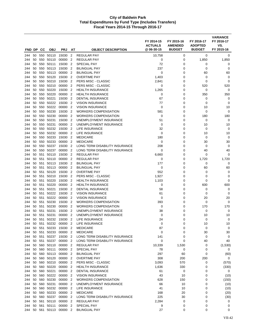| FND DP     |          | СC         | <b>OBJ</b>             |                        |                                  |                                                   | FY 2014-15<br><b>ACTUALS</b><br>@ 06-30-15 | FY 2015-16<br><b>AMENDED</b><br><b>BUDGET</b> | FY 2016-17<br><b>ADOPTED</b><br><b>BUDGET</b> | <b>VARIANCE</b><br>FY 2016-17<br>VS.<br>FY 2015-16 |
|------------|----------|------------|------------------------|------------------------|----------------------------------|---------------------------------------------------|--------------------------------------------|-----------------------------------------------|-----------------------------------------------|----------------------------------------------------|
|            |          |            |                        | <b>PRJ</b>             | AT                               | <b>OBJECT DESCRIPTION</b>                         |                                            |                                               |                                               |                                                    |
| 244        | 50       | 550        | 50110                  | 15030                  | $\overline{2}$                   | <b>REGULAR PAY</b>                                | 10,758                                     | 0                                             | $\mathbf 0$                                   | 0                                                  |
| 244        | 50       | 550        | 50110                  | 00000                  | $\overline{2}$                   | <b>REGULAR PAY</b><br><b>SPECIAL PAY</b>          | 0                                          | 0                                             | 1,850                                         | 1,850                                              |
| 244<br>244 | 50<br>50 | 550<br>550 | 50111<br>50113         | 15030<br>15030         | $\overline{2}$<br>$\overline{2}$ | <b>BILINGUAL PAY</b>                              | 72<br>237                                  | 0<br>$\mathbf 0$                              | 0<br>$\mathbf 0$                              | 0<br>0                                             |
| 244        | 50       | 550        | 50113                  | 00000                  | $\overline{2}$                   | BILINGUAL PAY                                     | 0                                          | 0                                             | 60                                            | 60                                                 |
| 244        | 50       | 550        | 50120                  | 15030                  | $\overline{2}$                   | <b>OVERTIME PAY</b>                               | 1,403                                      | 0                                             | 0                                             | 0                                                  |
| 244        | 50       | 550        | 50210                  | 15030                  | $\overline{2}$                   | PERS MISC - CLASSIC                               | 2,841                                      | $\mathbf 0$                                   | 0                                             | 0                                                  |
| 244        | 50       | 550        | 50210                  | 00000                  | $\overline{2}$                   | PERS MISC - CLASSIC                               | 0                                          | $\mathbf 0$                                   | 520                                           | 520                                                |
| 244        | 50       | 550        | 50220                  | 15030                  | 2                                | <b>HEALTH INSURANCE</b>                           | 1,265                                      | 0                                             | 0                                             | 0                                                  |
| 244        | 50       | 550        | 50220                  | 00000                  | $\overline{2}$                   | <b>HEALTH INSURANCE</b>                           | $\mathbf 0$                                | $\mathbf 0$                                   | 350                                           | 350                                                |
| 244        | 50       | 550        | 50221                  | 15030                  | $\overline{2}$                   | <b>DENTAL INSURANCE</b>                           | 67                                         | $\mathbf 0$                                   | 0                                             | 0                                                  |
| 244        | 50       | 550        | 50222                  | 15030                  | $\overline{2}$                   | <b>VISION INSURANCE</b>                           | 77                                         | 0                                             | $\mathbf 0$                                   | $\mathbf 0$                                        |
| 244        | 50       | 550        | 50222                  | 00000                  | $\overline{2}$                   | <b>VISION INSURANCE</b>                           | 0                                          | 0                                             | 10                                            | 10                                                 |
| 244        | 50       | 550        | 50230                  | 15030                  | $\overline{2}$                   | <b>WORKERS COMPENSATION</b>                       | 581                                        | 0                                             | 0                                             | 0                                                  |
| 244        | 50       | 550        | 50230                  | 00000                  | $\overline{2}$                   | <b>WORKERS COMPENSATION</b>                       | $\mathbf 0$                                | $\mathbf 0$                                   | 180                                           | 180                                                |
| 244        | 50       | 550        | 50231                  | 15030                  | 2                                | UNEMPLOYMENT INSURANCE                            | 51                                         | 0                                             | 0                                             | 0                                                  |
| 244        | 50       | 550        | 50231                  | 00000                  | $\overline{2}$                   | UNEMPLOYMENT INSURANCE                            | $\mathbf 0$                                | 0                                             | 10                                            | 10                                                 |
| 244        | 50       | 550        | 50232                  | 15030                  | $\overline{2}$                   | LIFE INSURANCE                                    | 32                                         | $\mathbf 0$                                   | $\mathbf 0$                                   | $\mathbf 0$                                        |
| 244        | 50       | 550        | 50232                  | 00000                  | $\overline{2}$                   | <b>LIFE INSURANCE</b>                             | 0                                          | 0                                             | 10                                            | 10                                                 |
| 244        | 50<br>50 | 550        | 50233<br>50233         | 15030<br>00000         | $\overline{2}$<br>$\overline{2}$ | <b>MEDICARE</b>                                   | 180<br>0                                   | 0<br>0                                        | 0                                             | 0                                                  |
| 244<br>244 | 50       | 550<br>550 | 50237                  | 15030                  | $\overline{2}$                   | <b>MEDICARE</b><br>LONG TERM DISABILITY INSURANCE | 208                                        | $\mathbf 0$                                   | 30<br>$\mathbf 0$                             | 30<br>0                                            |
| 244        | 50       | 550        | 50237                  | 00000                  | 2                                | LONG TERM DISABILITY INSURANCE                    | 0                                          | 0                                             | 40                                            | 40                                                 |
| 244        | 50       | 551        | 50110                  | 15030                  | $\overline{2}$                   | <b>REGULAR PAY</b>                                | 6,660                                      | $\mathbf 0$                                   | $\mathbf 0$                                   | $\mathbf 0$                                        |
| 244        | 50       | 551        | 50110                  | 00000                  | $\overline{2}$                   | <b>REGULAR PAY</b>                                | 0                                          | $\mathbf 0$                                   | 1,720                                         | 1,720                                              |
| 244        | 50       | 551        | 50113                  | 15030                  | $\overline{2}$                   | <b>BILINGUAL PAY</b>                              | 177                                        | $\mathbf 0$                                   | 0                                             | $\mathbf 0$                                        |
| 244        | 50       | 551        | 50113                  | 00000                  | $\overline{2}$                   | <b>BILINGUAL PAY</b>                              | 0                                          | 0                                             | 60                                            | 60                                                 |
| 244        | 50       | 551        | 50120                  | 15030                  | $\overline{2}$                   | <b>OVERTIME PAY</b>                               | 552                                        | $\mathbf 0$                                   | 0                                             | 0                                                  |
| 244        | 50       | 551        | 50210                  | 15030                  | $\overline{2}$                   | PERS MISC - CLASSIC                               | 1,927                                      | $\mathbf 0$                                   | 0                                             | $\mathbf 0$                                        |
| 244        | 50       | 551        | 50220                  | 15030                  | 2                                | <b>HEALTH INSURANCE</b>                           | 1,103                                      | 0                                             | 0                                             | $\mathbf 0$                                        |
| 244        | 50       | 551        | 50220                  | 00000                  | $\overline{2}$                   | <b>HEALTH INSURANCE</b>                           | 0                                          | 0                                             | 600                                           | 600                                                |
| 244        | 50       | 551        | 50221                  | 15030                  | $\overline{2}$                   | <b>DENTAL INSURANCE</b>                           | 58                                         | 0                                             | 0                                             | 0                                                  |
| 244        | 50       | 551        | 50222                  | 15030                  | $\overline{2}$                   | <b>VISION INSURANCE</b>                           | 61                                         | $\mathbf 0$                                   | $\mathbf 0$                                   | $\mathbf 0$                                        |
| 244        | 50       | 551        | 50222                  | 00000                  | 2                                | <b>VISION INSURANCE</b>                           | $\mathbf 0$                                | 0                                             | 20                                            | 20                                                 |
| 244        | 50       | 551        | 50230                  | 15030                  | $\overline{2}$                   | <b>WORKERS COMPENSATION</b>                       | 393                                        | 0                                             | 0                                             | $\mathbf 0$                                        |
| 244        | 50       | 551        | 50230                  | 00000                  | $\overline{2}$                   | <b>WORKERS COMPENSATION</b>                       | 0                                          | 0                                             | 170                                           | 170                                                |
| 244        | 50       | 551        | 50231                  | 15030                  | 2                                | UNEMPLOYMENT INSURANCE                            | 38                                         | 0                                             | 0                                             | 0                                                  |
| 244        | 50       | 551        | 50231                  | 00000                  | $\overline{2}$                   | UNEMPLOYMENT INSURANCE                            | 0                                          | 0                                             | 10                                            | 10                                                 |
| 244        | 50       | 551        | 50232                  | 15030                  | 2                                | LIFE INSURANCE                                    | 24                                         | 0                                             | 0                                             | 0                                                  |
| 244        |          | 50 551     | 50233                  | 50232 00000 2<br>15030 |                                  | LIFE INSURANCE<br><b>MEDICARE</b>                 | $\mathbf 0$                                | 0                                             | 10                                            | 10                                                 |
| 244<br>244 | 50       | 551        | 50 551 50233           | 00000 2                | $\overline{2}$                   | <b>MEDICARE</b>                                   | 87<br>0                                    | 0<br>0                                        | 0<br>30                                       | 0<br>30                                            |
| 244        | 50       | 551        | 50237                  | 15030 2                |                                  | LONG TERM DISABILITY INSURANCE                    | 141                                        | 0                                             | 0                                             | 0                                                  |
| 244        |          |            | 50 551 50237           | 00000 2                |                                  | LONG TERM DISABILITY INSURANCE                    | 0                                          | $\mathbf 0$                                   | 40                                            | 40                                                 |
| 244        | 50       |            |                        | 560 50110 00000 2      |                                  | <b>REGULAR PAY</b>                                | 10,339                                     | 1,530                                         | 0                                             | (1,530)                                            |
| 244        | 50       |            | 560 50111              | 00000 2                |                                  | <b>SPECIAL PAY</b>                                | 78                                         | 0                                             | 0                                             | 0                                                  |
| 244        | 50       |            | 560 50113              | 00000 2                |                                  | <b>BILINGUAL PAY</b>                              | 297                                        | 60                                            | 0                                             | (60)                                               |
| 244        | 50       |            | 560 50120              | 00000                  | $\overline{2}$                   | <b>OVERTIME PAY</b>                               | 308                                        | 200                                           | 200                                           | 0                                                  |
| 244        | 50       |            | 560 50210              | 00000 2                |                                  | PERS MISC - CLASSIC                               | 3,093                                      | 570                                           | 0                                             | (570)                                              |
| 244        | 50       |            | 560 50220              | 00000 2                |                                  | <b>HEALTH INSURANCE</b>                           | 1,636                                      | 330                                           | 0                                             | (330)                                              |
| 244        | 50       |            | 560 50221              | 00000 2                |                                  | <b>DENTAL INSURANCE</b>                           | 61                                         | 0                                             | 0                                             | 0                                                  |
| 244        | 50       |            | 560 50222 00000        |                        | $\overline{2}$                   | <b>VISION INSURANCE</b>                           | 43                                         | 10                                            | 0                                             | (10)                                               |
| 244        | 50       |            | 560 50230              | 00000 2                |                                  | <b>WORKERS COMPENSATION</b>                       | 628                                        | 150                                           | 0                                             | (150)                                              |
| 244        | 50       |            | 560 50231              | 00000 2                |                                  | UNEMPLOYMENT INSURANCE                            | 66                                         | 10                                            | 0                                             | (10)                                               |
| 244        | 50       |            | 560 50232              | 00000                  | $\overline{2}$                   | LIFE INSURANCE                                    | 41                                         | 10                                            | 0                                             | (10)                                               |
| 244        | 50       |            |                        | 560 50233 00000 2      |                                  | <b>MEDICARE</b>                                   | 168                                        | 20                                            | 0                                             | (20)                                               |
| 244        | 50       | 560        | 50237                  | 00000 2                |                                  | LONG TERM DISABILITY INSURANCE                    | 225                                        | 30                                            | 0                                             | (30)                                               |
| 244<br>244 | 50<br>50 |            | 561 50110<br>561 50111 | 00000 2<br>00000       | $\overline{2}$                   | <b>REGULAR PAY</b><br><b>SPECIAL PAY</b>          | 2,284<br>9                                 | 0<br>0                                        | 0<br>0                                        | 0<br>0                                             |
| 244        |          |            |                        | 50 561 50113 00000 2   |                                  | <b>BILINGUAL PAY</b>                              | 27                                         | 0                                             | 0                                             | 0                                                  |
|            |          |            |                        |                        |                                  |                                                   |                                            |                                               |                                               |                                                    |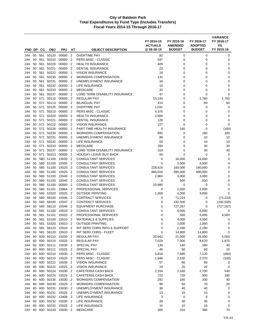| FND DP     |          | CС         | <b>OBJ</b>             | <b>PRJ</b>                         | AT                               | <b>OBJECT DESCRIPTION</b>                             | FY 2014-15<br><b>ACTUALS</b><br>@06-30-15 | FY 2015-16<br><b>AMENDED</b><br><b>BUDGET</b> | FY 2016-17<br><b>ADOPTED</b><br><b>BUDGET</b> | <b>VARIANCE</b><br>FY 2016-17<br>VS.<br>FY 2015-16 |
|------------|----------|------------|------------------------|------------------------------------|----------------------------------|-------------------------------------------------------|-------------------------------------------|-----------------------------------------------|-----------------------------------------------|----------------------------------------------------|
|            |          |            |                        |                                    |                                  |                                                       |                                           |                                               |                                               |                                                    |
| 244<br>244 | 50<br>50 | 561<br>561 | 50120<br>50210         | 00000                              | $\overline{2}$<br>$\overline{2}$ | <b>OVERTIME PAY</b><br>PERS MISC - CLASSIC            | 82<br>597                                 | 0<br>0                                        | 0<br>0                                        | 0<br>0                                             |
| 244        | 50       | 561        | 50220                  | 00000<br>00000                     | $\overline{2}$                   | <b>HEALTH INSURANCE</b>                               | 409                                       | 0                                             | 0                                             | 0                                                  |
| 244        | 50       | 561        | 50221                  | 00000                              | $\overline{2}$                   | <b>DENTAL INSURANCE</b>                               | 23                                        | 0                                             | 0                                             | 0                                                  |
| 244        | 50       | 561        | 50222                  | 00000                              | $\overline{2}$                   | <b>VISION INSURANCE</b>                               | 18                                        | $\mathbf 0$                                   | 0                                             | 0                                                  |
| 244        | 50       | 561        | 50230                  | 00000                              | $\overline{2}$                   | <b>WORKERS COMPENSATION</b>                           | 132                                       | 0                                             | 0                                             | 0                                                  |
| 244        | 50       | 561        | 50231                  | 00000                              | $\overline{2}$                   | UNEMPLOYMENT INSURANCE                                | 16                                        | 0                                             | 0                                             | 0                                                  |
| 244        | 50       | 561        | 50232                  | 00000                              | $\overline{2}$                   | LIFE INSURANCE                                        | 10                                        | 0                                             | 0                                             | 0                                                  |
| 244        | 50       | 561        | 50233                  | 00000                              | 2                                | <b>MEDICARE</b>                                       | 32                                        | 0                                             | 0                                             | 0                                                  |
| 244        | 50       | 561        | 50237                  | 00000                              | 2                                | LONG TERM DISABILITY INSURANCE                        | 47                                        | 0                                             | 0                                             | $\mathbf 0$                                        |
| 244        | 50       | 571        | 50110                  | 00000                              | $\overline{2}$                   | REGULAR PAY                                           | 15,144                                    | 0                                             | 1,760                                         | 1,760                                              |
| 244        | 50       | 571        | 50113                  | 00000                              | $\overline{2}$                   | <b>BILINGUAL PAY</b>                                  | 414                                       | 0                                             | 60                                            | 60                                                 |
| 244        | 50       | 571        | 50120                  | 00000                              | 2                                | <b>OVERTIME PAY</b>                                   | 1,031                                     | 0                                             | 0                                             | 0                                                  |
| 244        | 50       | 571        | 50210                  | 00000                              | $\overline{2}$                   | PERS MISC - CLASSIC                                   | 4,376                                     | 0                                             | 0                                             | 0                                                  |
| 244        | 50       | 571        | 50220                  | 00000                              | $\overline{2}$                   | <b>HEALTH INSURANCE</b>                               | 2,568                                     | 0                                             | 0                                             | 0                                                  |
| 244        | 50       | 571        | 50221                  | 00000                              | $\overline{2}$                   | <b>DENTAL INSURANCE</b>                               | 128                                       | 0                                             | 0                                             | 0                                                  |
| 244        | 50       | 571        | 50222                  | 00000                              | $\overline{2}$                   | <b>VISION INSURANCE</b>                               | 127                                       | 0                                             | 0                                             | $\mathbf 0$                                        |
| 244        | 50       | 571        | 50226                  | 00000                              | $\overline{2}$                   | PART TIME HEALTH INSURANCE                            | 0                                         | 160                                           | 0                                             | (160)                                              |
| 244        | 50       | 571        | 50230                  | 00000                              | $\overline{2}$                   | <b>WORKERS COMPENSATION</b>                           | 892                                       | $\mathbf 0$                                   | 180                                           | 180                                                |
| 244        | 50       | 571        | 50231                  | 00000                              | $\overline{2}$                   | UNEMPLOYMENT INSURANCE                                | 89                                        | 0                                             | 10                                            | 10                                                 |
| 244        | 50       | 571        | 50232                  | 00000                              | $\overline{2}$                   | LIFE INSURANCE                                        | 55                                        | 0                                             | 10                                            | 10                                                 |
| 244        | 50       | 571        | 50233                  | 00000<br>00000                     | $\overline{2}$                   | <b>MEDICARE</b><br>LONG TERM DISABILITY INSURANCE     | 200                                       | 0                                             | 30                                            | 30                                                 |
| 244<br>244 | 50<br>50 | 571<br>571 | 50237<br>50313         | 00000                              | $\overline{2}$<br>$\overline{2}$ | <b>HOLIDAY LEAVE BUY-BACK</b>                         | 319<br>55                                 | $\mathbf 0$<br>0                              | 40<br>$\mathbf 0$                             | 40<br>$\mathbf 0$                                  |
| 244        | 50       | 580        | 51100                  | 15030                              | 2                                | <b>CONSULTANT SERVICES</b>                            | 0                                         | 16,000                                        | 16,000                                        | 0                                                  |
| 244        | 50       |            | 580 51100              | 15505                              | $\overline{2}$                   | <b>CONSULTANT SERVICES</b>                            | $\mathbf 0$                               | 5,000                                         | 5,000                                         | 0                                                  |
| 244        | 50       | 580        | 51100                  | 15520                              | $\overline{2}$                   | <b>CONSULTANT SERVICES</b>                            | 228,416                                   | 160,000                                       | 160,000                                       | 0                                                  |
| 244        | 50       | 580        | 51100                  | 15525                              | $\overline{2}$                   | <b>CONSULTANT SERVICES</b>                            | 865,016                                   | 990,000                                       | 990,000                                       | 0                                                  |
| 244        | 50       | 580        | 51100                  | 15540                              | $\overline{2}$                   | <b>CONSULTANT SERVICES</b>                            | 2,960                                     | 3,000                                         | 3,000                                         | 0                                                  |
| 244        | 50       | 580        | 51100                  | 15545                              | $\overline{2}$                   | <b>CONSULTANT SERVICES</b>                            | 0                                         | 500                                           | 500                                           | 0                                                  |
| 244        | 50       | 580        | 51100                  | 00000                              | $\overline{2}$                   | <b>CONSULTANT SERVICES</b>                            | 10,980                                    | 0                                             | $\mathbf 0$                                   | 0                                                  |
| 244        | 50       | 580        | 51101                  | 15864                              | 2                                | PROFESSIONAL SERVICES                                 | 0                                         | 2,000                                         | 2,000                                         | 0                                                  |
| 244        | 50       | 580        | 53320                  | 15525                              | $\overline{2}$                   | <b>OUTSIDE PRINTING</b>                               | 1,308                                     | 4,000                                         | 4,000                                         | 0                                                  |
| 244        | 50       |            | 580 58100              | 15546                              | 2                                | <b>CONTRACT SERVICES</b>                              | 0                                         | 71,224                                        | 0                                             | (71, 224)                                          |
| 244        | 50       | 580        | 58100                  | 15547                              | $\overline{2}$                   | <b>CONTRACT SERVICES</b>                              | 0                                         | 192,500                                       | 0                                             | (192, 500)                                         |
| 244        | 50       | 580        | 58110                  | 15546                              | $\overline{2}$                   | <b>EQUIPMENT PURCHASE</b>                             | 0                                         | 727,267                                       | 0                                             | (727, 267)                                         |
| 244        | 50       | 581        | 51100                  | 15510                              | $\overline{2}$                   | <b>CONSULTANT SERVICES</b>                            | $\mathbf 0$                               | 6,000                                         | 6,000                                         | 0                                                  |
| 244        | 50       | 581        | 51101                  | 15510                              | $\overline{2}$                   | PROFESSIONAL SERVICES                                 | 0                                         | 500                                           | 5,000                                         | 4,500                                              |
| 244        | 50       | 581        | 53100                  | 15510                              | $\overline{2}$                   | <b>MATERIALS &amp; SUPPLIES</b>                       | $\mathbf 0$                               | 4,000                                         | 4,000                                         | 0                                                  |
| 244        | 50       | 581        | 53320                  | 15510 2                            |                                  | <b>OUTSIDE PRINTING</b>                               | 0                                         | 1,000                                         | 1,000                                         | 0                                                  |
| 244<br>244 | 50<br>50 | 581        |                        | 56110 15510 2<br>581 56120 15510 2 |                                  | INT SERV CHRG INFO & SUPPORT<br>INT SERV CHRG - FLEET | 0<br>0                                    | 2,190<br>14,800                               | 2,190<br>14,800                               | 0<br>0                                             |
| 244        | 60       |            | 600 50110              | 15030 2                            |                                  | <b>REGULAR PAY</b>                                    | 20,942                                    | 21,000                                        | 26,000                                        | 5,000                                              |
| 244        | 60       |            |                        | 600 50110 15525 2                  |                                  | REGULAR PAY                                           | 7,019                                     | 7,000                                         | 8,670                                         | 1,670                                              |
| 244        | 60       |            | 600 50111              | 15030                              | $\overline{2}$                   | SPECIAL PAY                                           | 135                                       | 140                                           | 180                                           | 40                                                 |
| 244        | 60       |            | 600 50111              | 15525                              | $\overline{2}$                   | <b>SPECIAL PAY</b>                                    | 45                                        | 50                                            | 60                                            | 10                                                 |
| 244        | 60       |            | 600 50210              | 15030 2                            |                                  | PERS MISC - CLASSIC                                   | 5,816                                     | 7,580                                         | 7,120                                         | (460)                                              |
| 244        | 60       |            |                        | 600 50210 15525 2                  |                                  | PERS MISC - CLASSIC                                   | 1,946                                     | 2,530                                         | 2,370                                         | (160)                                              |
| 244        | 60       |            | 600 50222              | 15030 2                            |                                  | <b>VISION INSURANCE</b>                               | 57                                        | 60                                            | 60                                            | 0                                                  |
| 244        | 60       |            | 600 50222              | 15525 2                            |                                  | <b>VISION INSURANCE</b>                               | 19                                        | 20                                            | 20                                            | 0                                                  |
| 244        | 60       |            |                        | 600 50224 15030 2                  |                                  | CAFETERIA CASH BACK                                   | 2,154                                     | 2,160                                         | 2,700                                         | 540                                                |
| 244        | 60       |            | 600 50224              | 15525 2                            |                                  | CAFETERIA CASH BACK                                   | 722                                       | 720                                           | 900                                           | 180                                                |
| 244        | 60       |            | 600 50230              | 15030 2                            |                                  | <b>WORKERS COMPENSATION</b>                           | 292                                       | 160                                           | 200                                           | 40                                                 |
| 244        | 60       | 600        | 50230                  | 15525 2                            |                                  | <b>WORKERS COMPENSATION</b>                           | 98                                        | 50                                            | 70                                            | 20                                                 |
| 244        | 60       |            | 600 50231              | 15030 2                            |                                  | UNEMPLOYMENT INSURANCE                                | 38                                        | 40                                            | 40                                            | 0                                                  |
| 244        | 60       |            | 600 50231              | 15525                              | $\overline{2}$                   | UNEMPLOYMENT INSURANCE                                | 13                                        | 10                                            | 10                                            | 0                                                  |
| 244        | 60       |            | 600 50232<br>600 50232 | 13406<br>15030 2                   | $\overline{2}$                   | LIFE INSURANCE                                        | 3                                         | 0                                             | 0                                             | 0                                                  |
| 244<br>244 | 60<br>60 |            | 600 50232              | 15525                              | 2                                | LIFE INSURANCE<br>LIFE INSURANCE                      | 28<br>10                                  | 30<br>10                                      | 30<br>10                                      | 0<br>0                                             |
| 244        | 60       |            |                        | 600 50233 15030 2                  |                                  | <b>MEDICARE</b>                                       | 305                                       | 310                                           | 380                                           | 70                                                 |
|            |          |            |                        |                                    |                                  |                                                       |                                           |                                               |                                               |                                                    |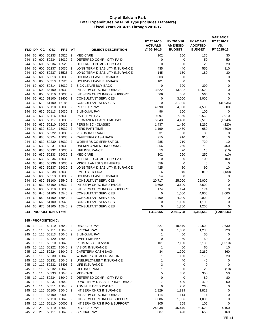|            |          |            |                                      |                    |                                  |                                                          | FY 2014-15<br><b>ACTUALS</b> | FY 2015-16<br><b>AMENDED</b> | FY 2016-17<br><b>ADOPTED</b> | <b>VARIANCE</b><br>FY 2016-17<br>VS. |
|------------|----------|------------|--------------------------------------|--------------------|----------------------------------|----------------------------------------------------------|------------------------------|------------------------------|------------------------------|--------------------------------------|
| FND DP     |          | <b>CC</b>  | <b>OBJ</b>                           | <b>PRJ</b>         | AT                               | <b>OBJECT DESCRIPTION</b>                                | @ 06-30-15                   | <b>BUDGET</b>                | <b>BUDGET</b>                | FY 2015-16                           |
| 244        | 60       | 600        | 50233<br>50234                       | 15525              | $\overline{2}$                   | <b>MEDICARE</b><br>DEFERRED COMP - CITY PAID             | 102                          | 100                          | 130                          | 30                                   |
| 244<br>244 | 60<br>60 | 600<br>600 | 50234                                | 15030<br>15525     | $\overline{2}$<br>$\overline{2}$ | DEFERRED COMP - CITY PAID                                | 0<br>0                       | 0<br>0                       | 50<br>20                     | 50<br>20                             |
| 244        | 60       | 600        | 50237                                | 15030              | $\overline{2}$                   | LONG TERM DISABILITY INSURANCE                           | 435                          | 440                          | 550                          | 110                                  |
| 244        | 60       | 600        | 50237                                | 15525              | 2                                | LONG TERM DISABILITY INSURANCE                           | 145                          | 150                          | 180                          | 30                                   |
| 244        | 60       |            | 600 50313                            | 15030              | $\overline{2}$                   | <b>HOLIDAY LEAVE BUY-BACK</b>                            | 303                          | 0                            | 0                            | 0                                    |
| 244        | 60       | 600        | 50313                                | 15525              | $\overline{2}$                   | <b>HOLIDAY LEAVE BUY-BACK</b>                            | 101                          | 0                            | 0                            | 0                                    |
| 244        | 60       | 600        | 50314                                | 15030              | $\overline{2}$                   | SICK LEAVE BUY-BACK                                      | $\mathbf 0$                  | 390                          | 390                          | $\mathbf 0$                          |
| 244        | 60       | 600        | 56100                                | 15030              | $\overline{2}$                   | INT SERV CHRG INSURANCE                                  | 13,522                       | 13,522                       | 13,522                       | $\mathbf 0$                          |
| 244        | 60       | 600        | 56110                                | 15030              | $\overline{2}$                   | INT SERV CHRG INFO & SUPPORT                             | 566                          | 566                          | 566                          | $\mathbf 0$                          |
| 244        | 60       |            | 610 51100                            | 11400              | $\overline{2}$                   | <b>CONSULTANT SERVICES</b>                               | 0                            | 3,000                        | 3,000                        | $\mathbf 0$                          |
| 244        | 60       |            | 610 51100                            | 16185              | $\overline{2}$                   | <b>CONSULTANT SERVICES</b>                               | 0                            | 31,935                       | 0                            | (31, 935)                            |
| 244        | 60       | 630        | 50110                                | 15030              | $\overline{2}$                   | <b>REGULAR PAY</b>                                       | 4,090                        | 4,000                        | 4,500                        | 500                                  |
| 244        | 60       | 630        | 50113                                | 15030              | $\overline{2}$                   | <b>BILINGUAL PAY</b>                                     | 96                           | 100                          | 100                          | 0                                    |
| 244        | 60       |            | 630 50116                            | 15030              | $\overline{2}$                   | PART TIME PAY                                            | 9,097                        | 7,550                        | 9,560                        | 2,010                                |
| 244<br>244 | 60<br>60 | 630        | 630 50117<br>50210                   | 15030<br>15030     | 2<br>$\overline{2}$              | PERMANENT PART TIME PAY<br>PERS MISC - CLASSIC           | 6,643<br>1,437               | 4,450<br>1,480               | 2,510<br>1,260               | (1,940)<br>(220)                     |
| 244        | 60       | 630        | 50214                                | 15030              | $\overline{2}$                   | PERS PART TIME                                           | 1,199                        | 1,480                        | 680                          | (800)                                |
| 244        | 60       |            | 630 50222                            | 15030              | $\overline{2}$                   | <b>VISION INSURANCE</b>                                  | 31                           | 30                           | 30                           | 0                                    |
| 244        | 60       | 630        | 50224                                | 15030              | $\overline{2}$                   | CAFETERIA CASH BACK                                      | 915                          | 910                          | 910                          | 0                                    |
| 244        | 60       | 630        | 50230                                | 15030              | $\overline{2}$                   | <b>WORKERS COMPENSATION</b>                              | 285                          | 710                          | 720                          | 10                                   |
| 244        | 60       | 630        | 50231                                | 15030              | $\overline{2}$                   | UNEMPLOYMENT INSURANCE                                   | 356                          | 250                          | 710                          | 460                                  |
| 244        | 60       | 630        | 50232                                | 15030              | 2                                | LIFE INSURANCE                                           | 13                           | 20                           | 10                           | (10)                                 |
| 244        | 60       | 630        | 50233                                | 15030              | $\overline{2}$                   | <b>MEDICARE</b>                                          | 302                          | 260                          | 250                          | (10)                                 |
| 244        | 60       | 630        | 50234                                | 15030              | $\overline{2}$                   | DEFERRED COMP - CITY PAID                                | 0                            | 0                            | 100                          | 100                                  |
| 244        | 60       | 630        | 50236                                | 15030              | $\overline{2}$                   | MISCELLANEOUS BENEFITS                                   | 559                          | 0                            | 0                            | $\mathbf 0$                          |
| 244        | 60       | 630        | 50237                                | 15030              | $\overline{2}$                   | LONG TERM DISABILITY INSURANCE                           | 425                          | 80                           | 90                           | 10                                   |
| 244        | 60       | 630        | 50238                                | 15030              | $\overline{2}$                   | <b>EMPLOYER FICA</b>                                     | 6                            | 940                          | 810                          | (130)                                |
| 244        | 60       | 630        | 50313                                | 15030              | $\overline{2}$                   | HOLIDAY LEAVE BUY-BACK                                   | 54                           | 0                            | 0                            | 0                                    |
| 244        | 60       | 630        | 51100                                | 15540              | 2                                | <b>CONSULTANT SERVICES</b>                               | 20,717                       | 25,000                       | 25,000                       | 0                                    |
| 244        | 60       | 630        | 56100                                | 15030              | $\overline{2}$                   | INT SERV CHRG INSURANCE                                  | 3,600                        | 3,600                        | 3,600                        | 0                                    |
| 244        | 60       | 630        | 56110                                | 15030              | $\overline{2}$                   | INT SERV CHRG INFO & SUPPORT                             | 174                          | 174                          | 174                          | 0                                    |
| 244        | 60<br>60 |            | 640 51100                            | 15540              | $\overline{2}$                   | <b>CONSULTANT SERVICES</b>                               | 0                            | 1,000                        | 4,000                        | 3,000                                |
| 244<br>244 | 60       | 650<br>660 | 51100<br>51100                       | 15540<br>15540     | $\overline{2}$<br>$\overline{2}$ | <b>CONSULTANT SERVICES</b><br><b>CONSULTANT SERVICES</b> | 1,409<br>0                   | 4,000<br>1,100               | 4,000<br>1,100               | 0<br>0                               |
| 244        | 60       |            | 670 51100                            | 15540              | $\overline{2}$                   | <b>CONSULTANT SERVICES</b>                               | 0                            | 1,200                        | 1,200                        | $\mathbf 0$                          |
|            |          |            |                                      |                    |                                  |                                                          |                              |                              |                              |                                      |
|            |          |            | 244 - PROPOSITION A Total            |                    |                                  |                                                          | 1,416,955                    | 2,561,798                    | 1,352,552                    | (1,209,246)                          |
| 245        |          |            | 245 - PROPOSITION C:<br>10 110 50110 | 15040 2            |                                  | <b>REGULAR PAY</b>                                       | 327                          | 19,870                       | 22,500                       | 2,630                                |
| 245        |          |            | 10 110 50111                         | 15040              | $\overline{2}$                   | SPECIAL PAY                                              | 8                            | 1,060                        | 1,280                        | 220                                  |
| 245        |          |            | 10 110 50113                         | 15040 2            |                                  | <b>BILINGUAL PAY</b>                                     | 1                            | 50                           | 50                           | 0                                    |
| 245        |          |            | 10 110 50120                         | 15040 2            |                                  | <b>OVERTIME PAY</b>                                      | 0                            | 50                           | 50                           | 0                                    |
| 245        |          |            | 10 110 50210                         | 15040 2            |                                  | PERS MISC - CLASSIC                                      | 101                          | 7,190                        | 6,180                        | (1,010)                              |
| 245        |          |            | 10 110 50222                         | 15040 2            |                                  | <b>VISION INSURANCE</b>                                  | $\mathbf{1}$                 | 50                           | 60                           | 10                                   |
| 245        |          |            | 10 110 50224                         | 15040 2            |                                  | CAFETERIA CASH BACK                                      | 34                           | 1,900                        | 2,260                        | 360                                  |
| 245        |          |            | 10 110 50230                         | 15040 2            |                                  | <b>WORKERS COMPENSATION</b>                              | 1                            | 150                          | 170                          | 20                                   |
| 245        |          |            | 10 110 50231                         | 15040              | $\overline{2}$                   | UNEMPLOYMENT INSURANCE                                   | 1                            | 40                           | 40                           | 0                                    |
| 245        |          |            | 10 110 50232                         | 13406              | $\overline{2}$                   | LIFE INSURANCE                                           | 3                            | 0                            | 0                            | 0                                    |
| 245        |          |            | 10 110 50232                         | 15040 2            |                                  | LIFE INSURANCE                                           | 1                            | 30                           | 20                           | (10)                                 |
| 245        |          |            | 10 110 50233                         | 15040 2            |                                  | <b>MEDICARE</b>                                          | 5                            | 300                          | 350                          | 50                                   |
| 245        |          |            | 10 110 50234                         | 15040 2            |                                  | DEFERRED COMP - CITY PAID                                | 0                            | 0                            | 80                           | 80                                   |
| 245        |          |            | 10 110 50237                         | 15040 2            |                                  | LONG TERM DISABILITY INSURANCE                           | 7                            | 420                          | 470                          | 50                                   |
| 245<br>245 |          |            | 10 110 50311<br>10 110 56100         | 15040 2<br>15040 2 |                                  | ADMIN LEAVE BUY-BACK<br>INT SERV CHRG INSURANCE          | 0<br>1,829                   | 260<br>1,829                 | 260<br>1,829                 | 0<br>0                               |
| 245        |          |            | 10 110 56100                         | 00000 2            |                                  | INT SERV CHRG INSURANCE                                  | 114                          | 114                          | 114                          | 0                                    |
| 245        |          |            | 10 110 56110                         | 15040 2            |                                  | INT SERV CHRG INFO & SUPPORT                             | 1,086                        | 1,086                        | 1,086                        | 0                                    |
| 245        |          |            | 10 110 56110                         | 00000 2            |                                  | INT SERV CHRG INFO & SUPPORT                             | 105                          | 105                          | 105                          | 0                                    |
| 245        |          |            | 20 210 50110                         | 15040              | $\overline{2}$                   | <b>REGULAR PAY</b>                                       | 24,038                       | 46,470                       | 50,620                       | 4,150                                |
| 245        |          |            | 20 210 50111                         | 15040 2            |                                  | SPECIAL PAY                                              | 387                          | 490                          | 650                          | 160                                  |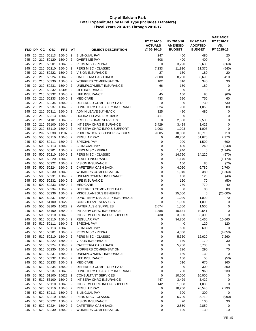|            |          | FND DP CC  | <b>OBJ</b>                   | <b>PRJ</b>                      | AΤ                               | <b>OBJECT DESCRIPTION</b>                      | FY 2014-15<br><b>ACTUALS</b><br>@ 06-30-15 | FY 2015-16<br><b>AMENDED</b><br><b>BUDGET</b> | FY 2016-17<br><b>ADOPTED</b><br><b>BUDGET</b> | <b>VARIANCE</b><br>FY 2016-17<br>VS.<br>FY 2015-16 |
|------------|----------|------------|------------------------------|---------------------------------|----------------------------------|------------------------------------------------|--------------------------------------------|-----------------------------------------------|-----------------------------------------------|----------------------------------------------------|
|            |          |            |                              |                                 |                                  |                                                |                                            |                                               |                                               |                                                    |
| 245        | 20       |            | 20 210 50113<br>50120        | 15040                           | $\overline{2}$<br>$\overline{2}$ | <b>BILINGUAL PAY</b><br><b>OVERTIME PAY</b>    | 247<br>508                                 | 460<br>400                                    | 480<br>400                                    | 20<br>0                                            |
| 245<br>245 | 20       | 210<br>210 | 50201                        | 15040<br>15040                  | $\overline{2}$                   | PERS MISC - PEPRA                              | 0                                          | 3,290                                         | 2,630                                         | (660)                                              |
| 245        | 20       | 210        | 50210                        | 15040                           | $\overline{2}$                   | PERS MISC - CLASSIC                            | 7,233                                      | 11,910                                        | 11,370                                        | (540)                                              |
| 245        | 20       |            | 210 50222                    | 15040                           | $\overline{2}$                   | <b>VISION INSURANCE</b>                        | 27                                         | 160                                           | 180                                           | 20                                                 |
| 245        | 20       |            | 210 50224                    | 15040                           | $\overline{2}$                   | <b>CAFETERIA CASH BACK</b>                     | 7,808                                      | 8,280                                         | 8,690                                         | 410                                                |
| 245        | 20       | 210        | 50230                        | 15040                           | $\overline{2}$                   | <b>WORKERS COMPENSATION</b>                    | 102                                        | 310                                           | 340                                           | 30                                                 |
| 245        | 20       |            | 210 50231                    | 15040                           | $\overline{2}$                   | UNEMPLOYMENT INSURANCE                         | 66                                         | 180                                           | 180                                           | 0                                                  |
| 245        | 20       | 210        | 50232                        | 13406                           | 2                                | LIFE INSURANCE                                 | 7                                          | 0                                             | 0                                             | 0                                                  |
| 245        | 20       | 210        | 50232                        | 15040                           | $\overline{2}$                   | <b>LIFE INSURANCE</b>                          | 45                                         | 150                                           | 90                                            | (60)                                               |
| 245        | 20       | 210        | 50233                        | 15040                           | $\overline{2}$                   | <b>MEDICARE</b>                                | 433                                        | 690                                           | 750                                           | 60                                                 |
| 245        | 20       |            | 210 50234                    | 15040                           | $\overline{2}$                   | DEFERRED COMP - CITY PAID                      | 0                                          | 0                                             | 730                                           | 730                                                |
| 245        | 20       |            | 210 50237                    | 15040                           | $\overline{2}$                   | LONG TERM DISABILITY INSURANCE                 | 324                                        | 980                                           | 1,060                                         | 80                                                 |
| 245        | 20       | 210        | 50311                        | 15040                           | $\overline{2}$                   | ADMIN LEAVE BUY-BACK                           | 325                                        | 480                                           | 480                                           | 0                                                  |
| 245        | 20       |            | 210 50313                    | 15040                           | $\overline{2}$                   | <b>HOLIDAY LEAVE BUY-BACK</b>                  | 411                                        | 0                                             | 0                                             | $\mathbf 0$                                        |
| 245        | 20       | 210        | 51101                        | 15040                           | $\overline{2}$                   | PROFESSIONAL SERVICES                          | 0                                          | 2,500                                         | 2,500                                         | 0                                                  |
| 245        | 20       | 210        | 56100                        | 15040                           | $\overline{2}$                   | INT SERV CHRG INSURANCE                        | 3,429                                      | 3,429                                         | 3,429                                         | 0                                                  |
| 245        | 20       | 210        | 56110                        | 15040                           | $\overline{2}$                   | INT SERV CHRG INFO & SUPPORT                   | 1,003                                      | 1,003                                         | 1,003                                         | $\mathbf 0$                                        |
| 245        | 25       | 299        | 53330                        | 11107                           | $\overline{2}$                   | PUBLICATIONS, SUBSCRIP & DUES                  | 9,805                                      | 10,000                                        | 10,710                                        | 710                                                |
| 245        | 50       |            | 500 50110                    | 15040                           | $\overline{2}$                   | <b>REGULAR PAY</b>                             | 0                                          | 48,700                                        | 51,670                                        | 2,970                                              |
| 245        | 50       | 500        | 50111                        | 15040                           | $\overline{2}$                   | <b>SPECIAL PAY</b>                             | 0                                          | 900                                           | 1,500                                         | 600                                                |
| 245        | 50       |            | 500 50113                    | 15040                           | $\overline{2}$                   | <b>BILINGUAL PAY</b>                           | 0                                          | 480                                           | 240                                           | (240)                                              |
| 245<br>245 | 50<br>50 | 500<br>500 | 50201<br>50210               | 15040<br>15040                  | $\overline{2}$<br>$\overline{2}$ | PERS MISC - PEPRA<br>PERS MISC - CLASSIC       | 0<br>0                                     | 1,940                                         | 0                                             | (1,940)                                            |
| 245        | 50       | 500        | 50220                        | 15040                           | $\overline{2}$                   | <b>HEALTH INSURANCE</b>                        | 0                                          | 14,790<br>1,170                               | 14,220<br>0                                   | (570)<br>(1, 170)                                  |
| 245        | 50       |            | 500 50222                    | 15040                           | $\overline{2}$                   | <b>VISION INSURANCE</b>                        | 0                                          | 150                                           | 80                                            | (70)                                               |
| 245        | 50       | 500        | 50224                        | 15040                           | $\overline{2}$                   | <b>CAFETERIA CASH BACK</b>                     | 0                                          | 4,020                                         | 6,780                                         | 2,760                                              |
| 245        | 50       | 500        | 50230                        | 15040                           | $\overline{2}$                   | <b>WORKERS COMPENSATION</b>                    | 0                                          | 1,940                                         | 380                                           | (1,560)                                            |
| 245        | 50       | 500        | 50231                        | 15040                           | $\overline{2}$                   | UNEMPLOYMENT INSURANCE                         | 0                                          | 160                                           | 120                                           | (40)                                               |
| 245        | 50       | 500        | 50232                        | 15040                           | $\overline{2}$                   | LIFE INSURANCE                                 | 0                                          | 120                                           | 70                                            | (50)                                               |
| 245        | 50       |            | 500 50233                    | 15040                           | $\overline{2}$                   | <b>MEDICARE</b>                                | 0                                          | 730                                           | 770                                           | 40                                                 |
| 245        | 50       | 500        | 50234                        | 15040                           | $\overline{2}$                   | DEFERRED COMP - CITY PAID                      | 0                                          | 0                                             | 80                                            | 80                                                 |
| 245        | 50       | 500        | 50236                        | 15040                           | $\overline{2}$                   | <b>MISCELLANEOUS BENEFITS</b>                  | 0                                          | 25,000                                        | 0                                             | (25,000)                                           |
| 245        | 50       | 500        | 50237                        | 15040                           | $\overline{2}$                   | LONG TERM DISABILITY INSURANCE                 | 0                                          | 1,020                                         | 1,090                                         | 70                                                 |
| 245        | 50       | 500        | 51100                        | 15622                           | $\overline{2}$                   | <b>CONSULTANT SERVICES</b>                     | 0                                          | 1,000                                         | 1,000                                         | 0                                                  |
| 245        | 50       | 500        | 53100                        | 15622                           | $\overline{2}$                   | <b>MATERIALS &amp; SUPPLIES</b>                | 2,674                                      | 1,500                                         | 1,500                                         | 0                                                  |
| 245        | 50       | 500        | 56100                        | 15040                           | 2                                | INT SERV CHRG INSURANCE                        | 1,388                                      | 10,641                                        | 10,641                                        | 0                                                  |
| 245        | 50       | 500        | 56110                        | 15040                           | $\overline{2}$                   | INT SERV CHRG INFO & SUPPORT                   | 430                                        | 3,300                                         | 3,300                                         | $\mathbf 0$                                        |
| 245        | 50       | 510        | 50110                        | 15040                           | $\overline{2}$                   | <b>REGULAR PAY</b>                             | 0                                          | 34,800                                        | 45,460                                        | 10,660                                             |
| 245        |          |            | 50 510 50111                 | 15040 2                         |                                  | SPECIAL PAY                                    | 0                                          | 0<br>600                                      | 120<br>600                                    | 120                                                |
| 245<br>245 |          |            | 50 510 50113<br>50 510 50201 | 15040 2<br>15040 2              |                                  | <b>BILINGUAL PAY</b><br>PERS MISC - PEPRA      | 0<br>0                                     | 4,850                                         | 0                                             | 0<br>(4, 850)                                      |
| 245        |          |            | 50 510 50210                 | 15040 2                         |                                  | PERS MISC - CLASSIC                            | 0                                          | 5,360                                         | 12,620                                        | 7,260                                              |
| 245        |          |            | 50 510 50222                 | 15040 2                         |                                  | <b>VISION INSURANCE</b>                        | 0                                          | 140                                           | 170                                           | 30                                                 |
| 245        |          |            | 50 510 50224                 | 15040 2                         |                                  | CAFETERIA CASH BACK                            | 0                                          | 5,700                                         | 5,700                                         | 0                                                  |
| 245        |          |            | 50 510 50230                 | 15040 2                         |                                  | <b>WORKERS COMPENSATION</b>                    | 0                                          | 220                                           | 290                                           | 70                                                 |
| 245        |          |            | 50 510 50231                 | 15040 2                         |                                  | UNEMPLOYMENT INSURANCE                         | 0                                          | 130                                           | 130                                           | 0                                                  |
| 245        |          |            | 50 510 50232                 | 15040                           | $\overline{2}$                   | LIFE INSURANCE                                 | 0                                          | 100                                           | 50                                            | (50)                                               |
| 245        |          |            | 50 510 50233                 | 15040 2                         |                                  | <b>MEDICARE</b>                                | 0                                          | 510                                           | 670                                           | 160                                                |
| 245        |          |            | 50 510 50234                 | 15040 2                         |                                  | DEFERRED COMP - CITY PAID                      | 0                                          | 0                                             | 300                                           | 300                                                |
| 245        |          |            | 50 510 50237                 | 15040 2                         |                                  | LONG TERM DISABILITY INSURANCE                 | 0                                          | 730                                           | 960                                           | 230                                                |
| 245        |          |            | 50 510 51100                 | 15622 2                         |                                  | <b>CONSULTANT SERVICES</b>                     | 0                                          | 10,000                                        | 10,000                                        | 0                                                  |
| 245        |          |            | 50 510 56100                 | 15040 2                         |                                  | INT SERV CHRG INSURANCE                        | 447                                        | 3,429                                         | 3,429                                         | 0                                                  |
| 245        |          |            |                              | 50 510 56110 15040 2            |                                  | INT SERV CHRG INFO & SUPPORT                   | 142                                        | 1,088                                         | 1,088                                         | 0                                                  |
| 245        |          |            |                              | 50 520 50110 15040 2            |                                  | <b>REGULAR PAY</b>                             | 0                                          | 18,250                                        | 20,540                                        | 2,290                                              |
| 245        |          |            |                              | 50 520 50113 15040 2            |                                  | <b>BILINGUAL PAY</b>                           | 0                                          | 300                                           | 300                                           | 0                                                  |
| 245        | 50       |            | 520 50210                    | 15040 2<br>50 520 50222 15040 2 |                                  | PERS MISC - CLASSIC                            | 0                                          | 6,700                                         | 5,710                                         | (990)                                              |
| 245<br>245 | 50       |            | 520 50224                    | 15040                           | $\overline{2}$                   | <b>VISION INSURANCE</b><br>CAFETERIA CASH BACK | 0<br>0                                     | 70<br>2,850                                   | 100<br>2,850                                  | 30<br>0                                            |
|            |          |            |                              | 245 50 520 50230 15040 2        |                                  | WORKERS COMPENSATION                           | 0                                          | 120                                           | 130                                           | 10                                                 |
|            |          |            |                              |                                 |                                  |                                                |                                            |                                               |                                               |                                                    |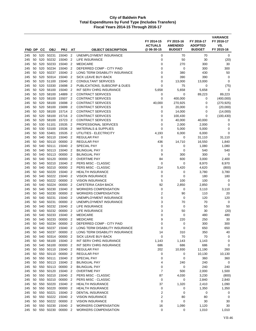| FND DP     |          | <b>CC</b>  | <b>OBJ</b>                | <b>PRJ</b>         | AΤ                               | <b>OBJECT DESCRIPTION</b>                   | FY 2014-15<br><b>ACTUALS</b><br>@06-30-15 | FY 2015-16<br><b>AMENDED</b><br><b>BUDGET</b> | FY 2016-17<br><b>ADOPTED</b><br><b>BUDGET</b> | <b>VARIANCE</b><br>FY 2016-17<br>VS.<br>FY 2015-16 |
|------------|----------|------------|---------------------------|--------------------|----------------------------------|---------------------------------------------|-------------------------------------------|-----------------------------------------------|-----------------------------------------------|----------------------------------------------------|
| 245        | 50       | 520        | 50231                     | 15040              | $\overline{2}$                   | UNEMPLOYMENT INSURANCE                      | 0                                         | 70                                            | 70                                            | 0                                                  |
| 245        | 50       | 520        | 50232                     | 15040              | $\overline{2}$                   | <b>LIFE INSURANCE</b>                       | 0                                         | 50                                            | 30                                            | (20)                                               |
| 245        | 50       | 520        | 50233                     | 15040              | $\overline{2}$                   | <b>MEDICARE</b>                             | 0                                         | 270                                           | 300                                           | 30                                                 |
| 245        | 50       | 520        | 50234                     | 15040              | $\overline{2}$                   | DEFERRED COMP - CITY PAID                   | 0                                         | 0                                             | 300                                           | 300                                                |
| 245        | 50       | 520        | 50237                     | 15040              | $\overline{2}$                   | LONG TERM DISABILITY INSURANCE              | 0                                         | 380                                           | 430                                           | 50                                                 |
| 245        | 50       | 520        | 50314                     | 15040              | $\overline{2}$                   | SICK LEAVE BUY-BACK                         | 0                                         | 390                                           | 390                                           | 0                                                  |
| 245        | 50       | 520        | 51100                     | 15040              | $\overline{2}$                   | <b>CONSULTANT SERVICES</b>                  | 0                                         | 13,000                                        | 13,000                                        | 0                                                  |
| 245        | 50       | 520        | 53330                     | 15698              | $\overline{2}$                   | PUBLICATIONS, SUBSCRIP & DUES               | 0                                         | 75                                            | 0                                             | (75)                                               |
| 245        | 50       | 520        | 56100                     | 15040              | $\overline{2}$                   | INT SERV CHRG INSURANCE                     | 5,658                                     | 5,658                                         | 5,658                                         | 0                                                  |
| 245        | 50       | 520        | 58100                     | 14889              | $\overline{2}$                   | <b>CONTRACT SERVICES</b>                    | 0                                         | 0                                             | 89,223                                        | 89,223                                             |
| 245        | 50       | 520        | 58100                     | 15507              | $\overline{2}$                   | <b>CONTRACT SERVICES</b>                    | 0                                         | 400,000                                       | 0                                             | (400,000)                                          |
| 245        | 50       | 520        | 58100                     | 15698              | $\overline{2}$                   | <b>CONTRACT SERVICES</b>                    | 40,000                                    | 270,925                                       | 0                                             | (270, 925)                                         |
| 245        | 50       | 520        | 58100                     | 15699              | $\overline{2}$                   | <b>CONTRACT SERVICES</b>                    | 0                                         | 20,000                                        | 0                                             | (20,000)                                           |
| 245        | 50       | 520        | 58100                     | 15714              | $\overline{2}$                   | <b>CONTRACT SERVICES</b>                    | 0                                         | 14,000                                        | 0                                             | (14,000)                                           |
| 245        | 50       | 520        | 58100                     | 15716              | $\overline{2}$                   | <b>CONTRACT SERVICES</b>                    | 0                                         | 100,430                                       | 0                                             | (100, 430)                                         |
| 245        | 50       | 520        | 58100                     | 15723              | $\overline{2}$                   | <b>CONTRACT SERVICES</b>                    | 0                                         | 40,000                                        | 40,000                                        | 0                                                  |
| 245        | 50       | 530        | 51101                     | 15535              | $\overline{2}$                   | PROFESSIONAL SERVICES                       | 0                                         | 2,000                                         | 2,000                                         | 0                                                  |
| 245        | 50       | 530        | 53100                     | 15536              | $\overline{2}$                   | <b>MATERIALS &amp; SUPPLIES</b>             | 0                                         | 5,000                                         | 5,000                                         | 0                                                  |
| 245        | 50       |            | 530 53401                 | 15535              | $\overline{2}$                   | UTILITIES - ELECTRICITY                     | 4,193                                     | 6,000                                         | 6,000                                         | $\mathbf 0$                                        |
| 245        | 50       | 540        | 50110                     | 15040              | $\overline{2}$                   | <b>REGULAR PAY</b>                          | 0                                         | 0                                             | 31,110                                        | 31,110                                             |
| 245        | 50       | 540        | 50110                     | 00000              | $\overline{2}$                   | <b>REGULAR PAY</b>                          | 436                                       | 14,710                                        | 16,550                                        | 1,840                                              |
| 245        | 50       | 540        | 50111                     | 15040              | $\overline{2}$                   | <b>SPECIAL PAY</b>                          | 0                                         | 0                                             | 1,080                                         | 1,080                                              |
| 245        | 50       | 540        | 50113<br>50113            | 15040              | $\overline{2}$                   | <b>BILINGUAL PAY</b>                        | 0                                         | 0                                             | 540                                           | 540                                                |
| 245<br>245 | 50<br>50 | 540<br>540 | 50120                     | 00000<br>00000     | $\overline{2}$<br>$\overline{2}$ | <b>BILINGUAL PAY</b><br><b>OVERTIME PAY</b> | 9<br>84                                   | 300<br>600                                    | 300<br>3,000                                  | 0<br>2,400                                         |
| 245        | 50       | 540        | 50210                     | 15040              | $\overline{2}$                   | PERS MISC - CLASSIC                         | 0                                         | 0                                             | 8,970                                         | 8,970                                              |
| 245        | 50       | 540        | 50210                     | 00000              | $\overline{2}$                   | PERS MISC - CLASSIC                         | 214                                       | 5,420                                         | 4,620                                         | (800)                                              |
| 245        | 50       | 540        | 50220                     | 15040              | $\overline{2}$                   | <b>HEALTH INSURANCE</b>                     | 0                                         | 0                                             | 3,780                                         | 3,780                                              |
| 245        | 50       | 540        | 50222                     | 15040              | $\overline{2}$                   | <b>VISION INSURANCE</b>                     | 0                                         | 0                                             | 180                                           | 180                                                |
| 245        | 50       | 540        | 50222                     | 00000              | $\overline{2}$                   | <b>VISION INSURANCE</b>                     | 5                                         | 100                                           | 100                                           | 0                                                  |
| 245        | 50       | 540        | 50224                     | 00000              | $\overline{2}$                   | <b>CAFETERIA CASH BACK</b>                  | 92                                        | 2,850                                         | 2,850                                         | $\mathbf 0$                                        |
| 245        | 50       | 540        | 50230                     | 15040              | $\overline{2}$                   | <b>WORKERS COMPENSATION</b>                 | 0                                         | 0                                             | 3,110                                         | 3,110                                              |
| 245        | 50       | 540        | 50230                     | 00000              | $\overline{2}$                   | <b>WORKERS COMPENSATION</b>                 | 2                                         | 90                                            | 110                                           | 20                                                 |
| 245        | 50       | 540        | 50231                     | 15040              | $\overline{2}$                   | UNEMPLOYMENT INSURANCE                      | 0                                         | 0                                             | 120                                           | 120                                                |
| 245        | 50       | 540        | 50231                     | 00000              | $\overline{2}$                   | UNEMPLOYMENT INSURANCE                      | 3                                         | 70                                            | 70                                            | 0                                                  |
| 245        | 50       | 540        | 50232                     | 15040              | $\overline{2}$                   | LIFE INSURANCE                              | 0                                         | 0                                             | 50                                            | 50                                                 |
| 245        | 50       | 540        | 50232                     | 00000              | $\overline{2}$                   | LIFE INSURANCE                              | 3                                         | 50                                            | 30                                            | (20)                                               |
| 245        | 50       | 540        | 50233                     | 15040              | $\overline{2}$                   | <b>MEDICARE</b>                             | 0                                         | 0                                             | 480                                           | 480                                                |
| 245        | 50       | 540        | 50233                     | 00000              | $\overline{2}$                   | <b>MEDICARE</b>                             | 9                                         | 220                                           | 250                                           | 30                                                 |
| 245        |          | 50 540     | 50234                     | 00000              | $\overline{2}$                   | DEFERRED COMP - CITY PAID                   | 0                                         | 0                                             | 300                                           | 300                                                |
| 245        | 50       | 540        | 50237                     | 15040              | $\overline{2}$                   | LONG TERM DISABILITY INSURANCE              | 0                                         | 0                                             | 650                                           | 650                                                |
| 245        |          |            | 50 540 50237              | 00000 2            |                                  | LONG TERM DISABILITY INSURANCE              | 14                                        | 310                                           | 350                                           | 40                                                 |
| 245        | 50       |            | 540 50314                 | 00000 2            |                                  | SICK LEAVE BUY-BACK                         | 0                                         | 70                                            | 70                                            | 0                                                  |
| 245        |          |            | 50 540 56100              | 15040 2            |                                  | INT SERV CHRG INSURANCE                     | 1,143                                     | 1,143                                         | 1,143                                         | 0                                                  |
| 245        | 50       |            | 50 540 56100<br>550 50110 | 00000 2<br>15040 2 |                                  | INT SERV CHRG INSURANCE                     | 686<br>202                                | 686<br>10,930                                 | 686                                           | 0                                                  |
| 245<br>245 | 50       |            | 550 50110                 | 00000 2            |                                  | <b>REGULAR PAY</b><br><b>REGULAR PAY</b>    | 0                                         | 0                                             | 11,190<br>10,130                              | 260<br>10,130                                      |
| 245        | 50       |            | 550 50111                 | 15040              | $\overline{2}$                   | SPECIAL PAY                                 | 0                                         | 0                                             | 360                                           | 360                                                |
| 245        | 50       |            | 550 50113                 | 15040              | $\overline{2}$                   | <b>BILINGUAL PAY</b>                        | 4                                         | 240                                           | 240                                           | 0                                                  |
| 245        | 50       |            | 550 50113                 | 00000 2            |                                  | <b>BILINGUAL PAY</b>                        | 0                                         | 0                                             | 240                                           | 240                                                |
| 245        | 50       |            | 550 50120                 | 15040 2            |                                  | <b>OVERTIME PAY</b>                         | 7                                         | 500                                           | 2,000                                         | 1,500                                              |
| 245        | 50       |            | 550 50210                 | 15040              | $\overline{2}$                   | PERS MISC - CLASSIC                         | 87                                        | 4,030                                         | 3,230                                         | (800)                                              |
| 245        | 50       |            | 550 50210                 | 00000              | $\overline{2}$                   | PERS MISC - CLASSIC                         | $\pmb{0}$                                 | $\mathbf 0$                                   | 2,840                                         | 2,840                                              |
| 245        | 50       |            | 550 50220                 | 15040 2            |                                  | <b>HEALTH INSURANCE</b>                     | 37                                        | 1,320                                         | 2,410                                         | 1,090                                              |
| 245        | 50       |            | 550 50220                 | 00000              | $\overline{2}$                   | <b>HEALTH INSURANCE</b>                     | 0                                         | 0                                             | 1,350                                         | 1,350                                              |
| 245        | 50       |            | 550 50221                 | 15040              | $\overline{2}$                   | DENTAL INSURANCE                            | 2                                         | 0                                             | 0                                             | 0                                                  |
| 245        | 50       |            | 550 50222                 | 15040 2            |                                  | <b>VISION INSURANCE</b>                     | 2                                         | 80                                            | 80                                            | 0                                                  |
| 245        | 50       |            | 550 50222                 | 00000 2            |                                  | <b>VISION INSURANCE</b>                     | 0                                         | 0                                             | 30                                            | 30                                                 |
| 245        | 50       |            | 550 50230                 | 15040              | $\overline{2}$                   | <b>WORKERS COMPENSATION</b>                 | 16                                        | 1,090                                         | 1,120                                         | 30                                                 |
| 245        |          |            | 50 550 50230              | 00000 2            |                                  | <b>WORKERS COMPENSATION</b>                 | 0                                         | 0                                             | 1,010                                         | 1,010                                              |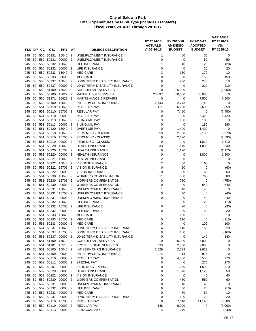| FND DP     |          | СC            | <b>OBJ</b>     | <b>PRJ</b>                 | AT                               | <b>OBJECT DESCRIPTION</b>                                        | FY 2014-15<br><b>ACTUALS</b><br>@06-30-15 | FY 2015-16<br><b>AMENDED</b><br><b>BUDGET</b> | FY 2016-17<br><b>ADOPTED</b><br><b>BUDGET</b> | <b>VARIANCE</b><br>FY 2016-17<br>VS.<br>FY 2015-16 |
|------------|----------|---------------|----------------|----------------------------|----------------------------------|------------------------------------------------------------------|-------------------------------------------|-----------------------------------------------|-----------------------------------------------|----------------------------------------------------|
|            |          |               |                |                            |                                  |                                                                  |                                           |                                               |                                               |                                                    |
| 245<br>245 | 50<br>50 | 550<br>550    | 50231<br>50231 | 15040<br>00000             | $\overline{2}$<br>$\overline{2}$ | UNEMPLOYMENT INSURANCE<br>UNEMPLOYMENT INSURANCE                 | 1<br>0                                    | 50<br>$\mathbf 0$                             | 50<br>50                                      | 0<br>50                                            |
| 245        | 50       | 550           | 50232          | 15040                      | $\overline{2}$                   | LIFE INSURANCE                                                   | 1                                         | 40                                            | 20                                            | (20)                                               |
| 245        | 50       | 550           | 50232          | 00000                      | $\overline{2}$                   | LIFE INSURANCE                                                   | 0                                         | 0                                             | 20                                            | 20                                                 |
| 245        | 50       | 550           | 50233          | 15040                      | $\overline{2}$                   | <b>MEDICARE</b>                                                  | 3                                         | 160                                           | 170                                           | 10                                                 |
| 245        | 50       | 550           | 50233          | 00000                      | $\overline{2}$                   | <b>MEDICARE</b>                                                  | 0                                         | 0                                             | 150                                           | 150                                                |
| 245        | 50       | 550           | 50237          | 15040                      | $\overline{2}$                   | LONG TERM DISABILITY INSURANCE                                   | 6                                         | 230                                           | 240                                           | 10                                                 |
| 245        | 50       |               | 550 50237      | 00000                      | $\overline{2}$                   | LONG TERM DISABILITY INSURANCE                                   | 0                                         | 0                                             | 210                                           | 210                                                |
| 245        | 50       | 550           | 51100          | 15622                      | $\overline{2}$                   | <b>CONSULTANT SERVICES</b>                                       | 0                                         | 5,000                                         | 0                                             | (5,000)                                            |
| 245        | 50       | 550           | 53100          | 15622                      | $\overline{2}$                   | <b>MATERIALS &amp; SUPPLIES</b>                                  | 25,897                                    | 50,000                                        | 50,000                                        | 0                                                  |
| 245        | 50       | 550           | 53371          | 15622                      | $\overline{2}$                   | <b>MAINTENANCE &amp; REPAIRS</b>                                 | 0                                         | 0                                             | 7,500                                         | 7,500                                              |
| 245        | 50       | 550           | 56100          | 15040                      | $\overline{2}$                   | INT SERV CHRG INSURANCE                                          | 2,743                                     | 2,743                                         | 2,743                                         | 0                                                  |
| 245        | 50       | 551           | 50110          | 15040                      | $\overline{2}$                   | <b>REGULAR PAY</b>                                               | 111                                       | 6,750                                         | 7,600                                         | 850                                                |
| 245        | 50       | 551           | 50110          | 15705                      | $\overline{2}$                   | <b>REGULAR PAY</b>                                               | 0                                         | 7,450                                         | 0                                             | (7, 450)                                           |
| 245        | 50       | 551           | 50110          | 00000                      | $\overline{2}$                   | <b>REGULAR PAY</b>                                               | 0                                         | 0                                             | 6,420                                         | 6,420                                              |
| 245        | 50       | 551           | 50113          | 15040                      | $\overline{2}$                   | <b>BILINGUAL PAY</b>                                             | 3                                         | 180                                           | 180                                           | 0                                                  |
| 245        | 50       | 551           | 50113          | 00000                      | $\overline{2}$                   | <b>BILINGUAL PAY</b>                                             | 0                                         | 0                                             | 180                                           | 180                                                |
| 245        | 50       | 551           | 50120          | 15040                      | $\overline{2}$                   | <b>OVERTIME PAY</b>                                              | 0                                         | 1,400                                         | 1,400                                         | 0                                                  |
| 245        | 50       | 551           | 50210          | 15040                      | $\overline{2}$                   | PERS MISC - CLASSIC                                              | 59                                        | 2,500                                         | 2,130                                         | (370)                                              |
| 245        | 50       | 551           | 50210          | 15705                      | $\overline{2}$                   | PERS MISC - CLASSIC                                              | 0                                         | 2,690                                         | 0                                             | (2,690)                                            |
| 245        | 50       | 551           | 50210          | 00000                      | $\overline{2}$                   | PERS MISC - CLASSIC                                              | 0                                         | 0                                             | 1,810                                         | 1,810                                              |
| 245        | 50       | 551           | 50220          | 15040<br>15705             | $\overline{2}$                   | <b>HEALTH INSURANCE</b>                                          | 33                                        | 1,170                                         | 1,800                                         | 630                                                |
| 245<br>245 | 50<br>50 | 551<br>551    | 50220<br>50220 | 00000                      | $\overline{2}$<br>$\overline{2}$ | <b>HEALTH INSURANCE</b><br><b>HEALTH INSURANCE</b>               | 0<br>0                                    | 1,170<br>0                                    | 0<br>1,800                                    | (1, 170)<br>1,800                                  |
| 245        | 50       | 551           | 50221          | 15040                      | $\overline{2}$                   | <b>DENTAL INSURANCE</b>                                          | 2                                         | 0                                             | 0                                             | 0                                                  |
| 245        | 50       | 551           | 50222          | 15040                      | $\overline{2}$                   | <b>VISION INSURANCE</b>                                          | 2                                         | 60                                            | 60                                            | $\mathbf 0$                                        |
| 245        | 50       | 551           | 50222          | 15705                      | $\overline{2}$                   | <b>VISION INSURANCE</b>                                          | 0                                         | 60                                            | 0                                             | (60)                                               |
| 245        | 50       | 551           | 50222          | 00000                      | $\overline{2}$                   | <b>VISION INSURANCE</b>                                          | 0                                         | 0                                             | 60                                            | 60                                                 |
| 245        | 50       | 551           | 50230          | 15040                      | $\overline{2}$                   | <b>WORKERS COMPENSATION</b>                                      | 11                                        | 680                                           | 760                                           | 80                                                 |
| 245        | 50       | 551           | 50230          | 15705                      | $\overline{2}$                   | <b>WORKERS COMPENSATION</b>                                      | 0                                         | 750                                           | 0                                             | (750)                                              |
| 245        | 50       | 551           | 50230          | 00000                      | $\overline{2}$                   | <b>WORKERS COMPENSATION</b>                                      | 0                                         | 0                                             | 640                                           | 640                                                |
| 245        | 50       | 551           | 50231          | 15040                      | $\overline{2}$                   | UNEMPLOYMENT INSURANCE                                           | 1                                         | 40                                            | 40                                            | 0                                                  |
| 245        | 50       | 551           | 50231          | 15705                      | $\overline{2}$                   | UNEMPLOYMENT INSURANCE                                           | 0                                         | 40                                            | 0                                             | (40)                                               |
| 245        | 50       | 551           | 50231          | 00000                      | $\overline{2}$                   | UNEMPLOYMENT INSURANCE                                           | 0                                         | 0                                             | 40                                            | 40                                                 |
| 245        | 50       | 551           | 50232          | 15040                      | $\overline{2}$                   | <b>LIFE INSURANCE</b>                                            | 1                                         | 30                                            | 20                                            | (10)                                               |
| 245        | 50       | 551           | 50232          | 15705                      | $\overline{2}$                   | LIFE INSURANCE                                                   | 0                                         | 30                                            | 0                                             | (30)                                               |
| 245        | 50       | 551           | 50232          | 00000                      | $\overline{2}$                   | <b>LIFE INSURANCE</b>                                            | 0                                         | 0                                             | 20                                            | 20                                                 |
| 245        | 50       | 551           | 50233          | 15040                      | $\overline{2}$                   | <b>MEDICARE</b>                                                  | 1                                         | 100                                           | 110                                           | 10                                                 |
| 245        | 50       | 551           | 50233          | 15705                      | $\overline{2}$                   | <b>MEDICARE</b>                                                  | 0                                         | 110                                           | 0                                             | (110)                                              |
| 245        |          |               | 50 551 50233   | 00000 2<br>15040 2         |                                  | <b>MEDICARE</b>                                                  | 0                                         | 0                                             | 100                                           | 100                                                |
| 245<br>245 | 50       | 551<br>50 551 | 50237<br>50237 | 15705 2                    |                                  | LONG TERM DISABILITY INSURANCE<br>LONG TERM DISABILITY INSURANCE | 4<br>0                                    | 140<br>160                                    | 160<br>0                                      | 20<br>(160)                                        |
| 245        | 50       | 551           | 50237          | 00000 2                    |                                  | LONG TERM DISABILITY INSURANCE                                   | 0                                         | 0                                             | 140                                           | 140                                                |
| 245        |          |               |                | 50 551 51100 15510 2       |                                  | <b>CONSULTANT SERVICES</b>                                       | 0                                         | 5,000                                         | 5,000                                         | 0                                                  |
| 245        | 50       |               | 551 51101      | 15510 2                    |                                  | PROFESSIONAL SERVICES                                            | 533                                       | 2,000                                         | 2,000                                         | 0                                                  |
| 245        |          |               | 50 551 56100   | 15040 2                    |                                  | INT SERV CHRG INSURANCE                                          | 2,629                                     | 2,629                                         | 2,629                                         | 0                                                  |
| 245        | 50       |               | 551 56100      | 00000 2                    |                                  | INT SERV CHRG INSURANCE                                          | 914                                       | 914                                           | 914                                           | 0                                                  |
| 245        |          |               | 50 552 50110   | 00000                      | $\overline{2}$                   | REGULAR PAY                                                      | 0                                         | 4,580                                         | 5,550                                         | 970                                                |
| 245        |          |               | 50 552 50111   | 00000                      | $\overline{2}$                   | SPECIAL PAY                                                      | 0                                         | 0                                             | 270                                           | 270                                                |
| 245        | 50       |               | 552 50201      | 00000                      | $\overline{2}$                   | PERS MISC - PEPRA                                                | 0                                         | 1,080                                         | 1,590                                         | 510                                                |
| 245        |          |               | 50 552 50220   | 00000 2                    |                                  | <b>HEALTH INSURANCE</b>                                          | 0                                         | 1,070                                         | 1,120                                         | 50                                                 |
| 245        | 50       |               | 552 50222      | 00000                      | $\overline{2}$                   | <b>VISION INSURANCE</b>                                          | 0                                         | 0                                             | 40                                            | 40                                                 |
| 245        |          |               | 50 552 50230   | 00000                      | $\overline{2}$                   | <b>WORKERS COMPENSATION</b>                                      | 0                                         | 460                                           | 550                                           | 90                                                 |
| 245        | 50       |               | 552 50231      | 00000 2                    |                                  | UNEMPLOYMENT INSURANCE                                           | 0                                         | 40                                            | 40                                            | 0                                                  |
| 245        |          |               | 50 552 50232   | 00000 2                    |                                  | LIFE INSURANCE                                                   | 0                                         | 30                                            | 20                                            | (10)                                               |
| 245        |          |               | 50 552 50233   | 00000                      | $\overline{2}$                   | <b>MEDICARE</b>                                                  | 0                                         | 70                                            | 80                                            | 10                                                 |
| 245        |          |               | 50 552 50237   | 00000                      | $\overline{2}$                   | LONG TERM DISABILITY INSURANCE                                   | 0                                         | 100                                           | 120                                           | 20                                                 |
| 245        | 50       |               | 560 50110      | 560 50110 15705 2<br>00000 |                                  | <b>REGULAR PAY</b>                                               | 0                                         | 7,610                                         | 11,190                                        | 3,580                                              |
| 245<br>245 | 50       |               |                | 50 560 50113 00000 2       | $\overline{2}$                   | REGULAR PAY<br><b>BILINGUAL PAY</b>                              | 148<br>4                                  | 9,000<br>240                                  | 0<br>0                                        | (9,000)<br>(240)                                   |
|            |          |               |                |                            |                                  |                                                                  |                                           |                                               |                                               |                                                    |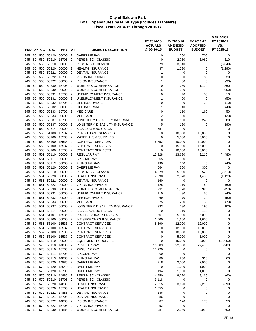| <b>FND DP</b> |          | CС         | <b>OBJ</b>         | <b>PRJ</b>     | AT                               | <b>OBJECT DESCRIPTION</b>                               | FY 2014-15<br><b>ACTUALS</b><br>@ 06-30-15 | FY 2015-16<br><b>AMENDED</b><br><b>BUDGET</b> | FY 2016-17<br><b>ADOPTED</b><br><b>BUDGET</b> | <b>VARIANCE</b><br>FY 2016-17<br>VS.<br>FY 2015-16 |
|---------------|----------|------------|--------------------|----------------|----------------------------------|---------------------------------------------------------|--------------------------------------------|-----------------------------------------------|-----------------------------------------------|----------------------------------------------------|
|               |          |            |                    |                |                                  |                                                         |                                            |                                               |                                               |                                                    |
| 245           | 50<br>50 | 560        | 560 50120<br>50210 | 00000<br>15705 | $\overline{2}$<br>$\overline{2}$ | <b>OVERTIME PAY</b><br><b>PERS MISC - CLASSIC</b>       | 0<br>$\mathbf 0$                           | 700<br>2,750                                  | 700<br>3,060                                  | 0<br>310                                           |
| 245<br>245    | 50       | 560        | 50210              | 00000          | $\overline{2}$                   | PERS MISC - CLASSIC                                     | 79                                         | 3,340                                         | 0                                             | (3,340)                                            |
| 245           | 50       | 560        | 50220              | 00000          | $\overline{2}$                   | <b>HEALTH INSURANCE</b>                                 | 37                                         | 1,290                                         | 0                                             | (1,290)                                            |
| 245           | 50       | 560        | 50221              | 00000          | $\overline{2}$                   | <b>DENTAL INSURANCE</b>                                 | 1                                          | 0                                             | 0                                             | 0                                                  |
| 245           | 50       | 560        | 50222              | 15705          | $\overline{2}$                   | <b>VISION INSURANCE</b>                                 | 0                                          | 60                                            | 80                                            | 20                                                 |
| 245           | 50       | 560        | 50222              | 00000          | $\overline{2}$                   | <b>VISION INSURANCE</b>                                 | 1                                          | 30                                            | 0                                             | (30)                                               |
| 245           | 50       | 560        | 50230              | 15705          | $\overline{2}$                   | <b>WORKERS COMPENSATION</b>                             | 0                                          | 760                                           | 1,120                                         | 360                                                |
| 245           | 50       | 560        | 50230              | 00000          | $\overline{2}$                   | <b>WORKERS COMPENSATION</b>                             | 15                                         | 900                                           | 0                                             | (900)                                              |
| 245           | 50       | 560        | 50231              | 15705          | $\overline{2}$                   | UNEMPLOYMENT INSURANCE                                  | 0                                          | 40                                            | 50                                            | 10                                                 |
| 245           | 50       | 560        | 50231              | 00000          | $\overline{2}$                   | UNEMPLOYMENT INSURANCE                                  | 1                                          | 50                                            | 0                                             | (50)                                               |
| 245           | 50       | 560        | 50232              | 15705          | $\overline{2}$                   | LIFE INSURANCE                                          | 0                                          | 30                                            | 20                                            | (10)                                               |
| 245           | 50       | 560        | 50232              | 00000          | $\overline{2}$                   | LIFE INSURANCE                                          | 1                                          | 40                                            | 0                                             | (40)                                               |
| 245           | 50       | 560        | 50233              | 15705          | $\overline{2}$                   | <b>MEDICARE</b>                                         | 0                                          | 110                                           | 160                                           | 50                                                 |
| 245           | 50       | 560        | 50233              | 00000          | $\overline{2}$                   | <b>MEDICARE</b>                                         | $\overline{2}$                             | 130                                           | 0                                             | (130)                                              |
| 245           | 50       | 560        | 50237              | 15705          | $\overline{2}$                   | LONG TERM DISABILITY INSURANCE                          | 0                                          | 160                                           | 240                                           | 80                                                 |
| 245           | 50       | 560        | 50237              | 00000          | $\overline{2}$                   | LONG TERM DISABILITY INSURANCE                          | 5                                          | 190                                           | 0                                             | (190)                                              |
| 245           | 50       | 560        | 50314              | 00000          | $\overline{2}$                   | <b>SICK LEAVE BUY-BACK</b>                              | 557                                        | 0                                             | 0                                             | 0                                                  |
| 245           | 50       |            | 560 51100          | 15537 2        |                                  | <b>CONSULTANT SERVICES</b>                              | 0                                          | 10,000                                        | 10,000                                        | 0                                                  |
| 245           | 50       |            | 560 53100          | 15536          | $\overline{2}$                   | <b>MATERIALS &amp; SUPPLIES</b>                         | 0                                          | 5,000                                         | 5,000                                         | 0                                                  |
| 245           | 50       | 560        | 58100              | 15536          | $\overline{2}$                   | <b>CONTRACT SERVICES</b>                                | 6,752                                      | 10,000                                        | 10,000                                        | 0                                                  |
| 245           | 50       | 560        | 58100<br>58100     | 15537<br>15706 | $\overline{2}$<br>$\overline{2}$ | <b>CONTRACT SERVICES</b><br><b>CONTRACT SERVICES</b>    | 0<br>0                                     | 15,000                                        | 15,000                                        | $\mathbf 0$<br>$\mathbf 0$                         |
| 245<br>245    | 50<br>50 | 560<br>561 | 50110              | 00000          | $\overline{2}$                   | <b>REGULAR PAY</b>                                      | 15,928                                     | 10,000<br>13,690                              | 10,000<br>9,210                               | (4, 480)                                           |
| 245           | 50       | 561        | 50111              | 00000          | $\overline{2}$                   | <b>SPECIAL PAY</b>                                      | 65                                         | 0                                             | 0                                             | 0                                                  |
| 245           | 50       | 561        | 50113              | 00000          | $\overline{2}$                   | <b>BILINGUAL PAY</b>                                    | 190                                        | 240                                           | 0                                             | (240)                                              |
| 245           | 50       | 561        | 50120              | 00000          | $\overline{2}$                   | <b>OVERTIME PAY</b>                                     | 564                                        | 300                                           | 300                                           | 0                                                  |
| 245           | 50       | 561        | 50210              | 00000          | $\overline{2}$                   | PERS MISC - CLASSIC                                     | 4,229                                      | 5,030                                         | 2,520                                         | (2,510)                                            |
| 245           | 50       | 561        | 50220              | 00000          | $\overline{2}$                   | <b>HEALTH INSURANCE</b>                                 | 2,898                                      | 2,520                                         | 1,400                                         | (1, 120)                                           |
| 245           | 50       | 561        | 50221              | 00000          | $\overline{2}$                   | <b>DENTAL INSURANCE</b>                                 | 160                                        | 0                                             | 0                                             | 0                                                  |
| 245           | 50       | 561        | 50222              | 00000          | $\overline{2}$                   | <b>VISION INSURANCE</b>                                 | 125                                        | 110                                           | 50                                            | (60)                                               |
| 245           | 50       | 561        | 50230              | 00000          | $\overline{2}$                   | <b>WORKERS COMPENSATION</b>                             | 931                                        | 1,370                                         | 920                                           | (450)                                              |
| 245           | 50       | 561        | 50231              | 00000          | $\overline{2}$                   | UNEMPLOYMENT INSURANCE                                  | 110                                        | 90                                            | 50                                            | (40)                                               |
| 245           | 50       | 561        | 50232              | 00000          | $\overline{2}$                   | <b>LIFE INSURANCE</b>                                   | 69                                         | 70                                            | 20                                            | (50)                                               |
| 245           | 50       | 561        | 50233              | 00000          | $\overline{2}$                   | <b>MEDICARE</b>                                         | 225                                        | 200                                           | 130                                           | (70)                                               |
| 245           | 50       | 561        | 50237              | 00000          | $\overline{2}$                   | LONG TERM DISABILITY INSURANCE                          | 333                                        | 290                                           | 190                                           | (100)                                              |
| 245           | 50       | 561        | 50314              | 00000          | $\overline{2}$                   | <b>SICK LEAVE BUY-BACK</b>                              | 0                                          | 110                                           | 110                                           | 0                                                  |
| 245           | 50       | 561        | 51101              | 15536          | $\overline{2}$<br>$\overline{2}$ | PROFESSIONAL SERVICES<br><b>INT SERV CHRG INSURANCE</b> | 501                                        | 5,000                                         | 5,000                                         | 0                                                  |
| 245<br>245    | 50       | 561        | 56100              | 00000<br>15536 |                                  | <b>CONTRACT SERVICES</b>                                | 1,600                                      | 1,600<br>12,000                               | 1,600<br>12,000                               | $\mathbf 0$<br>0                                   |
| 245           | 50<br>50 | 561<br>561 | 58100<br>58100     | 15537 2        | $\overline{2}$                   | <b>CONTRACT SERVICES</b>                                | 8,890<br>0                                 | 12,000                                        | 12,000                                        | 0                                                  |
| 245           | 50       |            | 562 58100          | 15536          | $\overline{2}$                   | <b>CONTRACT SERVICES</b>                                | 0                                          | 10,000                                        | 10,000                                        | 0                                                  |
| 245           | 50       |            | 562 58100          | 15537 2        |                                  | <b>CONTRACT SERVICES</b>                                | 0                                          | 5,000                                         | 5,000                                         | 0                                                  |
| 245           | 50       |            | 562 58110          | 00000 2        |                                  | <b>EQUIPMENT PURCHASE</b>                               | 0                                          | 15,000                                        | 2,000                                         | (13,000)                                           |
| 245           | 50       |            | 570 50110          | 14885          | $\overline{2}$                   | <b>REGULAR PAY</b>                                      | 16,603                                     | 22,500                                        | 29,480                                        | 6,980                                              |
| 245           | 50       |            | 570 50110          | 15705          | $\overline{2}$                   | <b>REGULAR PAY</b>                                      | 12,220                                     | 0                                             | 0                                             | 0                                                  |
| 245           | 50       |            | 570 50111          | 15705          | $\overline{2}$                   | SPECIAL PAY                                             | 60                                         | 0                                             | 0                                             | 0                                                  |
| 245           |          |            | 50 570 50113       | 14885          | $\overline{2}$                   | <b>BILINGUAL PAY</b>                                    | 80                                         | 250                                           | 310                                           | 60                                                 |
| 245           | 50       |            | 570 50120          | 14885          | $\overline{c}$                   | <b>OVERTIME PAY</b>                                     | 718                                        | 2,000                                         | 2,000                                         | 0                                                  |
| 245           | 50       |            | 570 50120          | 15040          | $\overline{2}$                   | <b>OVERTIME PAY</b>                                     | 0                                          | 1,000                                         | 1,000                                         | 0                                                  |
| 245           | 50       |            | 570 50120          | 15705 2        |                                  | <b>OVERTIME PAY</b>                                     | 194                                        | 1,000                                         | 1,000                                         | 0                                                  |
| 245           | 50       |            | 570 50210          | 14885 2        |                                  | PERS MISC - CLASSIC                                     | 4,750                                      | 8,220                                         | 8,160                                         | (60)                                               |
| 245           | 50       |            | 570 50210          | 15705          | $\overline{2}$                   | PERS MISC - CLASSIC                                     | 3,118                                      | $\mathbf 0$                                   | 0                                             | 0                                                  |
| 245           | 50       | 570        | 50220              | 14885 2        |                                  | <b>HEALTH INSURANCE</b>                                 | 2,615                                      | 3,620                                         | 7,210                                         | 3,590                                              |
| 245           |          |            | 50 570 50220       | 15705          | $\overline{2}$                   | <b>HEALTH INSURANCE</b>                                 | 1,655                                      | 0                                             | 0                                             | 0                                                  |
| 245           | 50       | 50 570     | 570 50221<br>50221 | 14885<br>15705 | $\overline{2}$<br>$\overline{2}$ | DENTAL INSURANCE<br>DENTAL INSURANCE                    | 136<br>86                                  | 0<br>0                                        | 0<br>0                                        | 0<br>0                                             |
| 245<br>245    | 50       |            | 570 50222          | 14885          | $\overline{2}$                   | <b>VISION INSURANCE</b>                                 | 87                                         | 120                                           | 170                                           | 50                                                 |
| 245           | 50       |            | 570 50222          | 15705          | $\overline{2}$                   | <b>VISION INSURANCE</b>                                 | 92                                         | 0                                             | 0                                             | 0                                                  |
| 245           |          |            | 50 570 50230       | 14885 2        |                                  | <b>WORKERS COMPENSATION</b>                             | 987                                        | 2,250                                         | 2,950                                         | 700                                                |
|               |          |            |                    |                |                                  |                                                         |                                            |                                               |                                               |                                                    |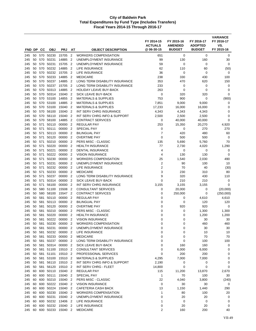|            |          |            |                |                                 |                                  |                                                | FY 2014-15<br><b>ACTUALS</b><br>@06-30-15 | FY 2015-16<br><b>AMENDED</b><br><b>BUDGET</b> | FY 2016-17<br><b>ADOPTED</b><br><b>BUDGET</b> | <b>VARIANCE</b><br>FY 2016-17<br>VS.<br>FY 2015-16 |
|------------|----------|------------|----------------|---------------------------------|----------------------------------|------------------------------------------------|-------------------------------------------|-----------------------------------------------|-----------------------------------------------|----------------------------------------------------|
| FND DP     |          | CС         | <b>OBJ</b>     | <b>PRJ</b>                      | AT                               | <b>OBJECT DESCRIPTION</b>                      |                                           |                                               |                                               |                                                    |
| 245        | 50       |            | 570 50230      | 15705                           | $\overline{2}$                   | <b>WORKERS COMPENSATION</b>                    | 651                                       | 0                                             | 0                                             | 0                                                  |
| 245        | 50       | 570        | 50231          | 14885                           | 2                                | UNEMPLOYMENT INSURANCE                         | 99                                        | 130                                           | 160                                           | 30                                                 |
| 245<br>245 | 50<br>50 | 570<br>570 | 50231<br>50232 | 15705<br>14885                  | $\overline{2}$<br>$\overline{2}$ | UNEMPLOYMENT INSURANCE<br>LIFE INSURANCE       | 59<br>62                                  | 0<br>110                                      | 0<br>60                                       | 0<br>(50)                                          |
| 245        | 50       | 570        | 50232          | 15705                           | $\overline{2}$                   | LIFE INSURANCE                                 | 36                                        | 0                                             | 0                                             | 0                                                  |
| 245        | 50       | 570        | 50233          | 14885                           | $\overline{2}$                   | <b>MEDICARE</b>                                | 238                                       | 330                                           | 430                                           | 100                                                |
| 245        | 50       | 570        | 50237          | 14885                           | $\overline{2}$                   | LONG TERM DISABILITY INSURANCE                 | 353                                       | 470                                           | 620                                           | 150                                                |
| 245        | 50       | 570        | 50237          | 15705                           | $\overline{2}$                   | LONG TERM DISABILITY INSURANCE                 | 233                                       | 0                                             | 0                                             | 0                                                  |
| 245        | 50       |            | 570 50313      | 14885                           | 2                                | <b>HOLIDAY LEAVE BUY-BACK</b>                  | 263                                       | 0                                             | $\mathbf 0$                                   | 0                                                  |
| 245        | 50       | 570        | 50314          | 15040                           | 2                                | SICK LEAVE BUY-BACK                            | 0                                         | 320                                           | 320                                           | 0                                                  |
| 245        | 50       | 570        | 53100          | 14855                           | $\overline{2}$                   | <b>MATERIALS &amp; SUPPLIES</b>                | 753                                       | 900                                           | 0                                             | (900)                                              |
| 245        | 50       | 570        | 53100          | 14885                           | $\overline{2}$                   | <b>MATERIALS &amp; SUPPLIES</b>                | 7,851                                     | 9,000                                         | 9,000                                         | 0                                                  |
| 245        | 50       | 570        | 53100          | 15040                           | $\overline{2}$                   | <b>MATERIALS &amp; SUPPLIES</b>                | 17,233                                    | 16,000                                        | 16,000                                        | 0                                                  |
| 245        | 50       | 570        | 56100          | 15040                           | $\overline{2}$                   | INT SERV CHRG INSURANCE                        | 4,343                                     | 4,343                                         | 4,343                                         | 0                                                  |
| 245        | 50       | 570        | 56110          | 15040                           | $\overline{2}$                   | INT SERV CHRG INFO & SUPPORT                   | 2,500                                     | 2,500                                         | 2,500                                         | 0                                                  |
| 245        | 50       | 570        | 58100          | 14885                           | $\overline{2}$                   | <b>CONTRACT SERVICES</b>                       | 0                                         | 40,000                                        | 40,000                                        | $\mathbf 0$                                        |
| 245        | 50       | 571        | 50110          | 00000                           | $\overline{2}$                   | <b>REGULAR PAY</b>                             | 253                                       | 15,350                                        | 20,270                                        | 4,920                                              |
| 245        | 50       | 571        | 50111          | 00000                           | 2                                | <b>SPECIAL PAY</b>                             | 0                                         | 0                                             | 270                                           | 270                                                |
| 245        | 50       | 571        | 50113          | 00000                           | $\overline{2}$                   | <b>BILINGUAL PAY</b>                           | 7                                         | 420                                           | 480                                           | 60                                                 |
| 245        | 50<br>50 | 571        | 50120          | 00000<br>00000                  | $\overline{2}$                   | <b>OVERTIME PAY</b>                            | $\mathbf 0$                               | 500                                           | 500                                           | 0                                                  |
| 245<br>245 | 50       | 571<br>571 | 50210<br>50220 | 00000                           | $\overline{2}$<br>$\overline{2}$ | PERS MISC - CLASSIC<br><b>HEALTH INSURANCE</b> | 135<br>77                                 | 5,690                                         | 5,760                                         | 70<br>1,290                                        |
| 245        | 50       | 571        | 50221          | 00000                           | $\overline{2}$                   | <b>DENTAL INSURANCE</b>                        | 4                                         | 2,730<br>0                                    | 4,020<br>0                                    | 0                                                  |
| 245        | 50       | 571        | 50222          | 00000                           | $\overline{2}$                   | <b>VISION INSURANCE</b>                        | $\overline{4}$                            | 130                                           | 130                                           | 0                                                  |
| 245        | 50       | 571        | 50230          | 00000                           | $\overline{2}$                   | <b>WORKERS COMPENSATION</b>                    | 25                                        | 1,540                                         | 2,030                                         | 490                                                |
| 245        | 50       | 571        | 50231          | 00000                           | $\overline{2}$                   | UNEMPLOYMENT INSURANCE                         | $\overline{2}$                            | 90                                            | 100                                           | 10                                                 |
| 245        | 50       | 571        | 50232          | 00000                           | $\overline{2}$                   | LIFE INSURANCE                                 | $\overline{2}$                            | 70                                            | 40                                            | (30)                                               |
| 245        | 50       | 571        | 50233          | 00000                           | $\overline{2}$                   | <b>MEDICARE</b>                                | 3                                         | 230                                           | 310                                           | 80                                                 |
| 245        | 50       | 571        | 50237          | 00000                           | $\overline{2}$                   | LONG TERM DISABILITY INSURANCE                 | 9                                         | 320                                           | 430                                           | 110                                                |
| 245        | 50       | 571        | 50314          | 00000                           | $\overline{2}$                   | <b>SICK LEAVE BUY-BACK</b>                     | $\mathbf 0$                               | 210                                           | 210                                           | 0                                                  |
| 245        | 50       | 571        | 56100          | 00000                           | $\overline{2}$                   | INT SERV CHRG INSURANCE                        | 3,155                                     | 3,155                                         | 3,155                                         | $\mathbf 0$                                        |
| 245        | 50       | 580        | 51100          | 15508                           | $\overline{2}$                   | <b>CONSULTANT SERVICES</b>                     | 0                                         | 20,000                                        | 0                                             | (20,000)                                           |
| 245        | 50       | 580        | 58100          | 15547                           | $\overline{2}$                   | <b>CONTRACT SERVICES</b>                       | 0                                         | 250,000                                       | 0                                             | (250,000)                                          |
| 245        | 50       |            | 581 50110      | 00000                           | 2                                | REGULAR PAY                                    | 0                                         | 0                                             | 4,610                                         | 4,610                                              |
| 245        | 50       | 581        | 50113          | 00000                           | $\overline{2}$                   | <b>BILINGUAL PAY</b>                           | 0                                         | 0                                             | 120                                           | 120                                                |
| 245        | 50       | 581        | 50120          | 00000                           | $\overline{2}$                   | <b>OVERTIME PAY</b>                            | 0                                         | 920                                           | 920                                           | 0                                                  |
| 245        | 50       | 581        | 50210          | 00000                           | $\overline{2}$                   | PERS MISC - CLASSIC                            | $\mathbf 0$                               | 0                                             | 1,300                                         | 1,300                                              |
| 245        | 50       | 581        | 50220          | 00000                           | 2                                | <b>HEALTH INSURANCE</b>                        | 0                                         | 0                                             | 1,200                                         | 1,200                                              |
| 245        | 50       | 581        | 50222          | 00000                           | $\overline{2}$                   | <b>VISION INSURANCE</b>                        | $\mathbf 0$                               | 0                                             | 30                                            | 30                                                 |
| 245        |          | 50 581     | 50230          | 00000 2                         |                                  | <b>WORKERS COMPENSATION</b>                    | 0                                         | 0                                             | 460                                           | 460                                                |
| 245<br>245 | 50       | 581        | 50231          | 00000 2<br>50 581 50232 00000 2 |                                  | UNEMPLOYMENT INSURANCE<br>LIFE INSURANCE       | 0<br>0                                    | 0<br>0                                        | 30<br>10                                      | 30<br>10                                           |
| 245        |          |            | 50 581 50233   | 00000 2                         |                                  | <b>MEDICARE</b>                                | 0                                         | 0                                             | 70                                            | 70                                                 |
| 245        | 50       |            | 581 50237      | 00000 2                         |                                  | LONG TERM DISABILITY INSURANCE                 | $\mathbf 0$                               | 0                                             | 100                                           | 100                                                |
| 245        | 50       |            | 581 50314      | 00000 2                         |                                  | SICK LEAVE BUY-BACK                            | 0                                         | 160                                           | 160                                           | 0                                                  |
| 245        |          |            |                | 50 581 51100 15510 2            |                                  | <b>CONSULTANT SERVICES</b>                     | 0                                         | 6,000                                         | 6,000                                         | 0                                                  |
| 245        | 50       |            | 581 51101      | 15510 2                         |                                  | PROFESSIONAL SERVICES                          | 0                                         | 200                                           | 200                                           | 0                                                  |
| 245        | 50       |            |                | 581 53100 15510 2               |                                  | <b>MATERIALS &amp; SUPPLIES</b>                | 4,295                                     | 7,000                                         | 7,000                                         | 0                                                  |
| 245        |          |            |                | 50 581 56110 15510 2            |                                  | INT SERV CHRG INFO & SUPPORT                   | 2,190                                     | 0                                             | 0                                             | 0                                                  |
| 245        |          |            | 50 581 56120   | 15510 2                         |                                  | INT SERV CHRG - FLEET                          | 14,800                                    | 0                                             | $\mathbf 0$                                   | 0                                                  |
| 245        | 60       |            |                | 600 50110 15040 2               |                                  | <b>REGULAR PAY</b>                             | 115                                       | 11,200                                        | 13,870                                        | 2,670                                              |
| 245        | 60       |            | 600 50111      | 15040 2                         |                                  | SPECIAL PAY                                    | $\mathbf{1}$                              | 70                                            | 100                                           | 30                                                 |
| 245        | 60       |            | 600 50210      | 15040 2                         |                                  | PERS MISC - CLASSIC                            | 22                                        | 4,040                                         | 3,800                                         | (240)                                              |
| 245        | 60       |            | 600 50222      | 15040 2                         |                                  | <b>VISION INSURANCE</b>                        | 0                                         | 30                                            | 30                                            | 0                                                  |
| 245        | 60       |            | 600 50224      | 15040 2                         |                                  | CAFETERIA CASH BACK                            | 13                                        | 1,150                                         | 1,440                                         | 290                                                |
| 245        | 60       |            | 600 50230      | 15040 2                         |                                  | <b>WORKERS COMPENSATION</b>                    | 1                                         | 80                                            | 100                                           | 20                                                 |
| 245        | 60       |            | 600 50231      | 15040 2                         |                                  | UNEMPLOYMENT INSURANCE                         | 0                                         | 20                                            | 20                                            | 0                                                  |
| 245        | 60       |            | 600 50232      | 13406 2                         |                                  | LIFE INSURANCE                                 | 1                                         | 0                                             | 0                                             | 0                                                  |
| 245        | 60       |            |                | 600 50232 15040                 | $\overline{2}$                   | LIFE INSURANCE                                 | 0                                         | 20                                            | 20                                            | 0                                                  |
| 245        |          |            |                | 60 600 50233 15040 2            |                                  | <b>MEDICARE</b>                                | 2                                         | 160                                           | 200                                           | 40                                                 |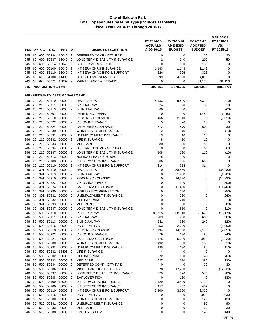| $\overline{2}$<br>60<br>600<br>50234<br>15040<br>DEFERRED COMP - CITY PAID<br>0<br>0<br>20<br>20<br>245<br>50237<br>$\overline{2}$<br>290<br>60<br>600<br>15040<br>$\overline{2}$<br>LONG TERM DISABILITY INSURANCE<br>240<br>50<br>245<br>60<br>600<br>50314<br>15040<br>$\overline{2}$<br>SICK LEAVE BUY-BACK<br>0<br>130<br>130<br>0<br>245<br>56100<br>15040<br>60<br>600<br>$\overline{2}$<br>INT SERV CHRG INSURANCE<br>1,143<br>1,143<br>1,143<br>0<br>245<br>600 56110<br>15040<br>INT SERV CHRG INFO & SUPPORT<br>326<br>326<br>326<br>$\mathbf 0$<br>60<br>2<br>245<br>610 51100<br>11400<br>2<br><b>CONSULTANT SERVICES</b><br>3,699<br>4,000<br>4,000<br>$\mathbf 0$<br>245<br>60<br>53371<br>15882<br>$\overline{2}$<br><b>MAINTENANCE &amp; REPAIRS</b><br>0<br>60<br>620<br>0<br>31,150<br>31,150<br>245<br>245 - PROPOSITION C Total<br>303,551<br>1,978,395<br>1,094,918<br>(883, 477)<br><b>246 - AB939 INT WASTE MANAGEMENT:</b><br>20 210 50110 00000 2<br><b>REGULAR PAY</b><br>5,183<br>5,520<br>5,310<br>(210)<br>246<br>00000<br>$\overline{2}$<br><b>SPECIAL PAY</b><br>30<br>20 210 50111<br>24<br>20<br>10<br>246<br>20 210 50113<br>00000<br>$\overline{2}$<br><b>BILINGUAL PAY</b><br>60<br>60<br>0<br>246<br>(60)<br>00000<br>20<br>210<br>50201<br>$\overline{2}$<br>PERS MISC - PEPRA<br>$\mathbf 0$<br>$\mathbf 0$<br>1,450<br>1,450<br>246<br>20 210 50210<br>00000<br>PERS MISC - CLASSIC<br>1,466<br>2,010<br>(2,010)<br>2<br>0<br>246<br>20 210 50222<br>00000<br>$\overline{2}$<br><b>VISION INSURANCE</b><br>19<br>20<br>20<br>0<br>246<br>20<br>210 50224<br>00000<br>$\overline{2}$<br><b>CAFETERIA CASH BACK</b><br>572<br>570<br>600<br>30<br>246<br>20 210 50230<br>00000<br>$\overline{2}$<br><b>WORKERS COMPENSATION</b><br>12<br>40<br>30<br>(10)<br>246<br>20 210 50231<br>00000<br>13<br>10<br>2<br>UNEMPLOYMENT INSURANCE<br>10<br>0<br>246<br>20 210 50232<br>8<br>00000<br>$\overline{2}$<br><b>LIFE INSURANCE</b><br>10<br>0<br>246<br>10<br>50233<br>20<br>210<br>00000<br>$\overline{2}$<br><b>MEDICARE</b><br>80<br>80<br>80<br>0<br>246<br>20 210 50234<br>DEFERRED COMP - CITY PAID<br>00000<br>$\overline{2}$<br>$\mathbf 0$<br>0<br>60<br>60<br>246<br>20 210 50237<br>00000<br>$\overline{2}$<br>LONG TERM DISABILITY INSURANCE<br>108<br>120<br>110<br>(10)<br>246<br>20<br>210 50313<br>00000<br>$\overline{2}$<br><b>HOLIDAY LEAVE BUY-BACK</b><br>75<br>$\mathbf 0$<br>0<br>0<br>246<br>20 210 56100<br>00000<br>$\overline{2}$<br>INT SERV CHRG INSURANCE<br>686<br>686<br>686<br>246<br>0<br>210 56110<br>00000<br>INT SERV CHRG INFO & SUPPORT<br>314<br>314<br>314<br>$\mathbf 0$<br>246<br>20<br>2<br>30<br>391<br>50110<br>00000<br>2<br><b>REGULAR PAY</b><br>0<br>246<br>38,480<br>0<br>(38, 480)<br>391 50113<br>00000<br>$\overline{2}$<br><b>BILINGUAL PAY</b><br>0<br>246<br>30<br>1,200<br>0<br>(1,200)<br>00000<br>391<br>50210<br>$\overline{2}$<br>PERS MISC - CLASSIC<br>0<br>0<br>246<br>30<br>14,320<br>(14, 320)<br>50222<br>00000<br>30<br>391<br>2<br>0<br>300<br>0<br>246<br><b>VISION INSURANCE</b><br>(300)<br>50224<br>30<br>391<br>00000<br>$\overline{2}$<br>CAFETERIA CASH BACK<br>0<br>11,400<br>0<br>246<br>(11,400)<br>50230<br>30<br>391<br>00000<br>$\overline{2}$<br><b>WORKERS COMPENSATION</b><br>0<br>250<br>0<br>246<br>(250)<br>50231<br>0<br>30<br>391<br>00000<br>$\overline{2}$<br>UNEMPLOYMENT INSURANCE<br>260<br>0<br>246<br>(260)<br>30<br>391<br>50232<br>00000<br>$\overline{2}$<br>LIFE INSURANCE<br>0<br>210<br>0<br>(210)<br>246<br>391<br>50233<br>00000<br>$\overline{2}$<br><b>MEDICARE</b><br>0<br>580<br>0<br>(580)<br>246<br>30<br>391 50237<br>00000<br>$\overline{2}$<br>LONG TERM DISABILITY INSURANCE<br>0<br>810<br>0<br>(810)<br>246<br>30<br>50<br>500 50110<br>00000<br>$\overline{2}$<br><b>REGULAR PAY</b><br>35,715<br>(13, 170)<br>246<br>38,840<br>25,670<br><b>SPECIAL PAY</b><br>50 500 50111<br>00000<br>$\overline{2}$<br>903<br>900<br>600<br>(300)<br>246<br>50 500 50113 00000 2<br>241<br>360<br>240<br>(120)<br>246<br><b>BILINGUAL PAY</b><br>50 500 50116 00000 2<br>1,253<br>2,000<br>0<br>(2,000)<br>PART TIME PAY<br>246<br>500 50210<br>00000 2<br>10,134<br>50<br>PERS MISC - CLASSIC<br>14,150<br>7,100<br>(7,050)<br>246<br>79<br>50 500 50222 00000 2<br><b>VISION INSURANCE</b><br>120<br>80<br>(40)<br>246<br>500 50224 00000 2<br>50<br>CAFETERIA CASH BACK<br>5,175<br>6,300<br>4,080<br>(2,220)<br>246<br>500 50230<br>00000 2<br><b>WORKERS COMPENSATION</b><br>246<br>50<br>492<br>390<br>180<br>(210)<br>50 500 50231<br>00000 2<br>UNEMPLOYMENT INSURANCE<br>135<br>80<br>246<br>190<br>(110)<br>500 50232<br>4<br>50<br>13406 2<br>0<br>0<br>246<br>LIFE INSURANCE<br>0<br>50 500 50232 00000 2<br>LIFE INSURANCE<br>72<br>100<br>40<br>246<br>(60)<br>500 50233<br>00000<br>50<br><b>MEDICARE</b><br>627<br>610<br>380<br>$\overline{2}$<br>(230)<br>246<br>50 500 50234<br>$\mathbf 0$<br>00000<br>DEFERRED COMP - CITY PAID<br>0<br>30<br>30<br>246<br>$\overline{2}$<br>500 50236<br>00000 2<br>50<br>MISCELLANEOUS BENEFITS<br>78<br>17,230<br>(17, 230)<br>246<br>0<br>500 50237<br>00000 2<br>LONG TERM DISABILITY INSURANCE<br>779<br>820<br>246<br>50<br>540<br>(280)<br>50 500 50238<br>00000 2<br><b>EMPLOYER FICA</b><br>0<br>130<br>246<br>0<br>(130)<br>50 500 56100<br>15005 2<br>INT SERV CHRG INSURANCE<br>3,429<br>3,429<br>246<br>3,429<br>0<br>00000 2<br>50 500 56100<br>INT SERV CHRG INSURANCE<br>457<br>457<br>457<br>0<br>246<br>00000 2<br>50<br>500 56110<br>INT SERV CHRG INFO & SUPPORT<br>3,300<br>3,300<br>3,300<br>246<br>0<br>00000<br>50 510 50116<br>PART TIME PAY<br>2,030<br>246<br>$\overline{2}$<br>0<br>0<br>2,030<br>50 510 50230<br>00000 2<br><b>WORKERS COMPENSATION</b><br>0<br>0<br>120<br>120<br>246<br>50 510 50231<br>00000 2<br>UNEMPLOYMENT INSURANCE<br>0<br>0<br>90<br>90<br>246<br>50 510 50233<br>00000<br><b>MEDICARE</b><br>30<br>246<br>$\overline{2}$<br>0<br>0<br>30<br>50 510 50238<br>00000 2<br><b>EMPLOYER FICA</b><br>0<br>0<br>140<br>140<br>246 | FND DP | CС | <b>OBJ</b> | <b>PRJ</b> | AT | <b>OBJECT DESCRIPTION</b> | FY 2014-15<br><b>ACTUALS</b><br>@ 06-30-15 | FY 2015-16<br><b>AMENDED</b><br><b>BUDGET</b> | FY 2016-17<br><b>ADOPTED</b><br><b>BUDGET</b> | <b>VARIANCE</b><br>FY 2016-17<br>VS.<br>FY 2015-16 |
|-----------------------------------------------------------------------------------------------------------------------------------------------------------------------------------------------------------------------------------------------------------------------------------------------------------------------------------------------------------------------------------------------------------------------------------------------------------------------------------------------------------------------------------------------------------------------------------------------------------------------------------------------------------------------------------------------------------------------------------------------------------------------------------------------------------------------------------------------------------------------------------------------------------------------------------------------------------------------------------------------------------------------------------------------------------------------------------------------------------------------------------------------------------------------------------------------------------------------------------------------------------------------------------------------------------------------------------------------------------------------------------------------------------------------------------------------------------------------------------------------------------------------------------------------------------------------------------------------------------------------------------------------------------------------------------------------------------------------------------------------------------------------------------------------------------------------------------------------------------------------------------------------------------------------------------------------------------------------------------------------------------------------------------------------------------------------------------------------------------------------------------------------------------------------------------------------------------------------------------------------------------------------------------------------------------------------------------------------------------------------------------------------------------------------------------------------------------------------------------------------------------------------------------------------------------------------------------------------------------------------------------------------------------------------------------------------------------------------------------------------------------------------------------------------------------------------------------------------------------------------------------------------------------------------------------------------------------------------------------------------------------------------------------------------------------------------------------------------------------------------------------------------------------------------------------------------------------------------------------------------------------------------------------------------------------------------------------------------------------------------------------------------------------------------------------------------------------------------------------------------------------------------------------------------------------------------------------------------------------------------------------------------------------------------------------------------------------------------------------------------------------------------------------------------------------------------------------------------------------------------------------------------------------------------------------------------------------------------------------------------------------------------------------------------------------------------------------------------------------------------------------------------------------------------------------------------------------------------------------------------------------------------------------------------------------------------------------------------------------------------------------------------------------------------------------------------------------------------------------------------------------------------------------------------------------------------------------------------------------------------------------------------------------------------------------------------------------------------------------------------------------------------------------------------------------------------------------------------------------------------------------------------------------------------------------------------------------------------------------------------------------------------------------------------------------------------------------------------------------------------------------------------------------------------------------------------------------------------------------------------------------------------------------------------------------------------------------------------------------------------------------------------------------------------------------------------------------------------------------------------------------------------------------------------------------------------------------------------------------------------------------------------------------------------------------------------------------------------------------------------------------------------------------------------------------------------------------------------------------------------------------------------------------------------------------------------------------------------------------------------------------------------------------------------------------------------------------------|--------|----|------------|------------|----|---------------------------|--------------------------------------------|-----------------------------------------------|-----------------------------------------------|----------------------------------------------------|
|                                                                                                                                                                                                                                                                                                                                                                                                                                                                                                                                                                                                                                                                                                                                                                                                                                                                                                                                                                                                                                                                                                                                                                                                                                                                                                                                                                                                                                                                                                                                                                                                                                                                                                                                                                                                                                                                                                                                                                                                                                                                                                                                                                                                                                                                                                                                                                                                                                                                                                                                                                                                                                                                                                                                                                                                                                                                                                                                                                                                                                                                                                                                                                                                                                                                                                                                                                                                                                                                                                                                                                                                                                                                                                                                                                                                                                                                                                                                                                                                                                                                                                                                                                                                                                                                                                                                                                                                                                                                                                                                                                                                                                                                                                                                                                                                                                                                                                                                                                                                                                                                                                                                                                                                                                                                                                                                                                                                                                                                                                                                                                                                                                                                                                                                                                                                                                                                                                                                                                                                                                                                                         |        |    |            |            |    |                           |                                            |                                               |                                               |                                                    |
|                                                                                                                                                                                                                                                                                                                                                                                                                                                                                                                                                                                                                                                                                                                                                                                                                                                                                                                                                                                                                                                                                                                                                                                                                                                                                                                                                                                                                                                                                                                                                                                                                                                                                                                                                                                                                                                                                                                                                                                                                                                                                                                                                                                                                                                                                                                                                                                                                                                                                                                                                                                                                                                                                                                                                                                                                                                                                                                                                                                                                                                                                                                                                                                                                                                                                                                                                                                                                                                                                                                                                                                                                                                                                                                                                                                                                                                                                                                                                                                                                                                                                                                                                                                                                                                                                                                                                                                                                                                                                                                                                                                                                                                                                                                                                                                                                                                                                                                                                                                                                                                                                                                                                                                                                                                                                                                                                                                                                                                                                                                                                                                                                                                                                                                                                                                                                                                                                                                                                                                                                                                                                         |        |    |            |            |    |                           |                                            |                                               |                                               |                                                    |
|                                                                                                                                                                                                                                                                                                                                                                                                                                                                                                                                                                                                                                                                                                                                                                                                                                                                                                                                                                                                                                                                                                                                                                                                                                                                                                                                                                                                                                                                                                                                                                                                                                                                                                                                                                                                                                                                                                                                                                                                                                                                                                                                                                                                                                                                                                                                                                                                                                                                                                                                                                                                                                                                                                                                                                                                                                                                                                                                                                                                                                                                                                                                                                                                                                                                                                                                                                                                                                                                                                                                                                                                                                                                                                                                                                                                                                                                                                                                                                                                                                                                                                                                                                                                                                                                                                                                                                                                                                                                                                                                                                                                                                                                                                                                                                                                                                                                                                                                                                                                                                                                                                                                                                                                                                                                                                                                                                                                                                                                                                                                                                                                                                                                                                                                                                                                                                                                                                                                                                                                                                                                                         |        |    |            |            |    |                           |                                            |                                               |                                               |                                                    |
|                                                                                                                                                                                                                                                                                                                                                                                                                                                                                                                                                                                                                                                                                                                                                                                                                                                                                                                                                                                                                                                                                                                                                                                                                                                                                                                                                                                                                                                                                                                                                                                                                                                                                                                                                                                                                                                                                                                                                                                                                                                                                                                                                                                                                                                                                                                                                                                                                                                                                                                                                                                                                                                                                                                                                                                                                                                                                                                                                                                                                                                                                                                                                                                                                                                                                                                                                                                                                                                                                                                                                                                                                                                                                                                                                                                                                                                                                                                                                                                                                                                                                                                                                                                                                                                                                                                                                                                                                                                                                                                                                                                                                                                                                                                                                                                                                                                                                                                                                                                                                                                                                                                                                                                                                                                                                                                                                                                                                                                                                                                                                                                                                                                                                                                                                                                                                                                                                                                                                                                                                                                                                         |        |    |            |            |    |                           |                                            |                                               |                                               |                                                    |
|                                                                                                                                                                                                                                                                                                                                                                                                                                                                                                                                                                                                                                                                                                                                                                                                                                                                                                                                                                                                                                                                                                                                                                                                                                                                                                                                                                                                                                                                                                                                                                                                                                                                                                                                                                                                                                                                                                                                                                                                                                                                                                                                                                                                                                                                                                                                                                                                                                                                                                                                                                                                                                                                                                                                                                                                                                                                                                                                                                                                                                                                                                                                                                                                                                                                                                                                                                                                                                                                                                                                                                                                                                                                                                                                                                                                                                                                                                                                                                                                                                                                                                                                                                                                                                                                                                                                                                                                                                                                                                                                                                                                                                                                                                                                                                                                                                                                                                                                                                                                                                                                                                                                                                                                                                                                                                                                                                                                                                                                                                                                                                                                                                                                                                                                                                                                                                                                                                                                                                                                                                                                                         |        |    |            |            |    |                           |                                            |                                               |                                               |                                                    |
|                                                                                                                                                                                                                                                                                                                                                                                                                                                                                                                                                                                                                                                                                                                                                                                                                                                                                                                                                                                                                                                                                                                                                                                                                                                                                                                                                                                                                                                                                                                                                                                                                                                                                                                                                                                                                                                                                                                                                                                                                                                                                                                                                                                                                                                                                                                                                                                                                                                                                                                                                                                                                                                                                                                                                                                                                                                                                                                                                                                                                                                                                                                                                                                                                                                                                                                                                                                                                                                                                                                                                                                                                                                                                                                                                                                                                                                                                                                                                                                                                                                                                                                                                                                                                                                                                                                                                                                                                                                                                                                                                                                                                                                                                                                                                                                                                                                                                                                                                                                                                                                                                                                                                                                                                                                                                                                                                                                                                                                                                                                                                                                                                                                                                                                                                                                                                                                                                                                                                                                                                                                                                         |        |    |            |            |    |                           |                                            |                                               |                                               |                                                    |
|                                                                                                                                                                                                                                                                                                                                                                                                                                                                                                                                                                                                                                                                                                                                                                                                                                                                                                                                                                                                                                                                                                                                                                                                                                                                                                                                                                                                                                                                                                                                                                                                                                                                                                                                                                                                                                                                                                                                                                                                                                                                                                                                                                                                                                                                                                                                                                                                                                                                                                                                                                                                                                                                                                                                                                                                                                                                                                                                                                                                                                                                                                                                                                                                                                                                                                                                                                                                                                                                                                                                                                                                                                                                                                                                                                                                                                                                                                                                                                                                                                                                                                                                                                                                                                                                                                                                                                                                                                                                                                                                                                                                                                                                                                                                                                                                                                                                                                                                                                                                                                                                                                                                                                                                                                                                                                                                                                                                                                                                                                                                                                                                                                                                                                                                                                                                                                                                                                                                                                                                                                                                                         |        |    |            |            |    |                           |                                            |                                               |                                               |                                                    |
|                                                                                                                                                                                                                                                                                                                                                                                                                                                                                                                                                                                                                                                                                                                                                                                                                                                                                                                                                                                                                                                                                                                                                                                                                                                                                                                                                                                                                                                                                                                                                                                                                                                                                                                                                                                                                                                                                                                                                                                                                                                                                                                                                                                                                                                                                                                                                                                                                                                                                                                                                                                                                                                                                                                                                                                                                                                                                                                                                                                                                                                                                                                                                                                                                                                                                                                                                                                                                                                                                                                                                                                                                                                                                                                                                                                                                                                                                                                                                                                                                                                                                                                                                                                                                                                                                                                                                                                                                                                                                                                                                                                                                                                                                                                                                                                                                                                                                                                                                                                                                                                                                                                                                                                                                                                                                                                                                                                                                                                                                                                                                                                                                                                                                                                                                                                                                                                                                                                                                                                                                                                                                         |        |    |            |            |    |                           |                                            |                                               |                                               |                                                    |
|                                                                                                                                                                                                                                                                                                                                                                                                                                                                                                                                                                                                                                                                                                                                                                                                                                                                                                                                                                                                                                                                                                                                                                                                                                                                                                                                                                                                                                                                                                                                                                                                                                                                                                                                                                                                                                                                                                                                                                                                                                                                                                                                                                                                                                                                                                                                                                                                                                                                                                                                                                                                                                                                                                                                                                                                                                                                                                                                                                                                                                                                                                                                                                                                                                                                                                                                                                                                                                                                                                                                                                                                                                                                                                                                                                                                                                                                                                                                                                                                                                                                                                                                                                                                                                                                                                                                                                                                                                                                                                                                                                                                                                                                                                                                                                                                                                                                                                                                                                                                                                                                                                                                                                                                                                                                                                                                                                                                                                                                                                                                                                                                                                                                                                                                                                                                                                                                                                                                                                                                                                                                                         |        |    |            |            |    |                           |                                            |                                               |                                               |                                                    |
|                                                                                                                                                                                                                                                                                                                                                                                                                                                                                                                                                                                                                                                                                                                                                                                                                                                                                                                                                                                                                                                                                                                                                                                                                                                                                                                                                                                                                                                                                                                                                                                                                                                                                                                                                                                                                                                                                                                                                                                                                                                                                                                                                                                                                                                                                                                                                                                                                                                                                                                                                                                                                                                                                                                                                                                                                                                                                                                                                                                                                                                                                                                                                                                                                                                                                                                                                                                                                                                                                                                                                                                                                                                                                                                                                                                                                                                                                                                                                                                                                                                                                                                                                                                                                                                                                                                                                                                                                                                                                                                                                                                                                                                                                                                                                                                                                                                                                                                                                                                                                                                                                                                                                                                                                                                                                                                                                                                                                                                                                                                                                                                                                                                                                                                                                                                                                                                                                                                                                                                                                                                                                         |        |    |            |            |    |                           |                                            |                                               |                                               |                                                    |
|                                                                                                                                                                                                                                                                                                                                                                                                                                                                                                                                                                                                                                                                                                                                                                                                                                                                                                                                                                                                                                                                                                                                                                                                                                                                                                                                                                                                                                                                                                                                                                                                                                                                                                                                                                                                                                                                                                                                                                                                                                                                                                                                                                                                                                                                                                                                                                                                                                                                                                                                                                                                                                                                                                                                                                                                                                                                                                                                                                                                                                                                                                                                                                                                                                                                                                                                                                                                                                                                                                                                                                                                                                                                                                                                                                                                                                                                                                                                                                                                                                                                                                                                                                                                                                                                                                                                                                                                                                                                                                                                                                                                                                                                                                                                                                                                                                                                                                                                                                                                                                                                                                                                                                                                                                                                                                                                                                                                                                                                                                                                                                                                                                                                                                                                                                                                                                                                                                                                                                                                                                                                                         |        |    |            |            |    |                           |                                            |                                               |                                               |                                                    |
|                                                                                                                                                                                                                                                                                                                                                                                                                                                                                                                                                                                                                                                                                                                                                                                                                                                                                                                                                                                                                                                                                                                                                                                                                                                                                                                                                                                                                                                                                                                                                                                                                                                                                                                                                                                                                                                                                                                                                                                                                                                                                                                                                                                                                                                                                                                                                                                                                                                                                                                                                                                                                                                                                                                                                                                                                                                                                                                                                                                                                                                                                                                                                                                                                                                                                                                                                                                                                                                                                                                                                                                                                                                                                                                                                                                                                                                                                                                                                                                                                                                                                                                                                                                                                                                                                                                                                                                                                                                                                                                                                                                                                                                                                                                                                                                                                                                                                                                                                                                                                                                                                                                                                                                                                                                                                                                                                                                                                                                                                                                                                                                                                                                                                                                                                                                                                                                                                                                                                                                                                                                                                         |        |    |            |            |    |                           |                                            |                                               |                                               |                                                    |
|                                                                                                                                                                                                                                                                                                                                                                                                                                                                                                                                                                                                                                                                                                                                                                                                                                                                                                                                                                                                                                                                                                                                                                                                                                                                                                                                                                                                                                                                                                                                                                                                                                                                                                                                                                                                                                                                                                                                                                                                                                                                                                                                                                                                                                                                                                                                                                                                                                                                                                                                                                                                                                                                                                                                                                                                                                                                                                                                                                                                                                                                                                                                                                                                                                                                                                                                                                                                                                                                                                                                                                                                                                                                                                                                                                                                                                                                                                                                                                                                                                                                                                                                                                                                                                                                                                                                                                                                                                                                                                                                                                                                                                                                                                                                                                                                                                                                                                                                                                                                                                                                                                                                                                                                                                                                                                                                                                                                                                                                                                                                                                                                                                                                                                                                                                                                                                                                                                                                                                                                                                                                                         |        |    |            |            |    |                           |                                            |                                               |                                               |                                                    |
|                                                                                                                                                                                                                                                                                                                                                                                                                                                                                                                                                                                                                                                                                                                                                                                                                                                                                                                                                                                                                                                                                                                                                                                                                                                                                                                                                                                                                                                                                                                                                                                                                                                                                                                                                                                                                                                                                                                                                                                                                                                                                                                                                                                                                                                                                                                                                                                                                                                                                                                                                                                                                                                                                                                                                                                                                                                                                                                                                                                                                                                                                                                                                                                                                                                                                                                                                                                                                                                                                                                                                                                                                                                                                                                                                                                                                                                                                                                                                                                                                                                                                                                                                                                                                                                                                                                                                                                                                                                                                                                                                                                                                                                                                                                                                                                                                                                                                                                                                                                                                                                                                                                                                                                                                                                                                                                                                                                                                                                                                                                                                                                                                                                                                                                                                                                                                                                                                                                                                                                                                                                                                         |        |    |            |            |    |                           |                                            |                                               |                                               |                                                    |
|                                                                                                                                                                                                                                                                                                                                                                                                                                                                                                                                                                                                                                                                                                                                                                                                                                                                                                                                                                                                                                                                                                                                                                                                                                                                                                                                                                                                                                                                                                                                                                                                                                                                                                                                                                                                                                                                                                                                                                                                                                                                                                                                                                                                                                                                                                                                                                                                                                                                                                                                                                                                                                                                                                                                                                                                                                                                                                                                                                                                                                                                                                                                                                                                                                                                                                                                                                                                                                                                                                                                                                                                                                                                                                                                                                                                                                                                                                                                                                                                                                                                                                                                                                                                                                                                                                                                                                                                                                                                                                                                                                                                                                                                                                                                                                                                                                                                                                                                                                                                                                                                                                                                                                                                                                                                                                                                                                                                                                                                                                                                                                                                                                                                                                                                                                                                                                                                                                                                                                                                                                                                                         |        |    |            |            |    |                           |                                            |                                               |                                               |                                                    |
|                                                                                                                                                                                                                                                                                                                                                                                                                                                                                                                                                                                                                                                                                                                                                                                                                                                                                                                                                                                                                                                                                                                                                                                                                                                                                                                                                                                                                                                                                                                                                                                                                                                                                                                                                                                                                                                                                                                                                                                                                                                                                                                                                                                                                                                                                                                                                                                                                                                                                                                                                                                                                                                                                                                                                                                                                                                                                                                                                                                                                                                                                                                                                                                                                                                                                                                                                                                                                                                                                                                                                                                                                                                                                                                                                                                                                                                                                                                                                                                                                                                                                                                                                                                                                                                                                                                                                                                                                                                                                                                                                                                                                                                                                                                                                                                                                                                                                                                                                                                                                                                                                                                                                                                                                                                                                                                                                                                                                                                                                                                                                                                                                                                                                                                                                                                                                                                                                                                                                                                                                                                                                         |        |    |            |            |    |                           |                                            |                                               |                                               |                                                    |
|                                                                                                                                                                                                                                                                                                                                                                                                                                                                                                                                                                                                                                                                                                                                                                                                                                                                                                                                                                                                                                                                                                                                                                                                                                                                                                                                                                                                                                                                                                                                                                                                                                                                                                                                                                                                                                                                                                                                                                                                                                                                                                                                                                                                                                                                                                                                                                                                                                                                                                                                                                                                                                                                                                                                                                                                                                                                                                                                                                                                                                                                                                                                                                                                                                                                                                                                                                                                                                                                                                                                                                                                                                                                                                                                                                                                                                                                                                                                                                                                                                                                                                                                                                                                                                                                                                                                                                                                                                                                                                                                                                                                                                                                                                                                                                                                                                                                                                                                                                                                                                                                                                                                                                                                                                                                                                                                                                                                                                                                                                                                                                                                                                                                                                                                                                                                                                                                                                                                                                                                                                                                                         |        |    |            |            |    |                           |                                            |                                               |                                               |                                                    |
|                                                                                                                                                                                                                                                                                                                                                                                                                                                                                                                                                                                                                                                                                                                                                                                                                                                                                                                                                                                                                                                                                                                                                                                                                                                                                                                                                                                                                                                                                                                                                                                                                                                                                                                                                                                                                                                                                                                                                                                                                                                                                                                                                                                                                                                                                                                                                                                                                                                                                                                                                                                                                                                                                                                                                                                                                                                                                                                                                                                                                                                                                                                                                                                                                                                                                                                                                                                                                                                                                                                                                                                                                                                                                                                                                                                                                                                                                                                                                                                                                                                                                                                                                                                                                                                                                                                                                                                                                                                                                                                                                                                                                                                                                                                                                                                                                                                                                                                                                                                                                                                                                                                                                                                                                                                                                                                                                                                                                                                                                                                                                                                                                                                                                                                                                                                                                                                                                                                                                                                                                                                                                         |        |    |            |            |    |                           |                                            |                                               |                                               |                                                    |
|                                                                                                                                                                                                                                                                                                                                                                                                                                                                                                                                                                                                                                                                                                                                                                                                                                                                                                                                                                                                                                                                                                                                                                                                                                                                                                                                                                                                                                                                                                                                                                                                                                                                                                                                                                                                                                                                                                                                                                                                                                                                                                                                                                                                                                                                                                                                                                                                                                                                                                                                                                                                                                                                                                                                                                                                                                                                                                                                                                                                                                                                                                                                                                                                                                                                                                                                                                                                                                                                                                                                                                                                                                                                                                                                                                                                                                                                                                                                                                                                                                                                                                                                                                                                                                                                                                                                                                                                                                                                                                                                                                                                                                                                                                                                                                                                                                                                                                                                                                                                                                                                                                                                                                                                                                                                                                                                                                                                                                                                                                                                                                                                                                                                                                                                                                                                                                                                                                                                                                                                                                                                                         |        |    |            |            |    |                           |                                            |                                               |                                               |                                                    |
|                                                                                                                                                                                                                                                                                                                                                                                                                                                                                                                                                                                                                                                                                                                                                                                                                                                                                                                                                                                                                                                                                                                                                                                                                                                                                                                                                                                                                                                                                                                                                                                                                                                                                                                                                                                                                                                                                                                                                                                                                                                                                                                                                                                                                                                                                                                                                                                                                                                                                                                                                                                                                                                                                                                                                                                                                                                                                                                                                                                                                                                                                                                                                                                                                                                                                                                                                                                                                                                                                                                                                                                                                                                                                                                                                                                                                                                                                                                                                                                                                                                                                                                                                                                                                                                                                                                                                                                                                                                                                                                                                                                                                                                                                                                                                                                                                                                                                                                                                                                                                                                                                                                                                                                                                                                                                                                                                                                                                                                                                                                                                                                                                                                                                                                                                                                                                                                                                                                                                                                                                                                                                         |        |    |            |            |    |                           |                                            |                                               |                                               |                                                    |
|                                                                                                                                                                                                                                                                                                                                                                                                                                                                                                                                                                                                                                                                                                                                                                                                                                                                                                                                                                                                                                                                                                                                                                                                                                                                                                                                                                                                                                                                                                                                                                                                                                                                                                                                                                                                                                                                                                                                                                                                                                                                                                                                                                                                                                                                                                                                                                                                                                                                                                                                                                                                                                                                                                                                                                                                                                                                                                                                                                                                                                                                                                                                                                                                                                                                                                                                                                                                                                                                                                                                                                                                                                                                                                                                                                                                                                                                                                                                                                                                                                                                                                                                                                                                                                                                                                                                                                                                                                                                                                                                                                                                                                                                                                                                                                                                                                                                                                                                                                                                                                                                                                                                                                                                                                                                                                                                                                                                                                                                                                                                                                                                                                                                                                                                                                                                                                                                                                                                                                                                                                                                                         |        |    |            |            |    |                           |                                            |                                               |                                               |                                                    |
|                                                                                                                                                                                                                                                                                                                                                                                                                                                                                                                                                                                                                                                                                                                                                                                                                                                                                                                                                                                                                                                                                                                                                                                                                                                                                                                                                                                                                                                                                                                                                                                                                                                                                                                                                                                                                                                                                                                                                                                                                                                                                                                                                                                                                                                                                                                                                                                                                                                                                                                                                                                                                                                                                                                                                                                                                                                                                                                                                                                                                                                                                                                                                                                                                                                                                                                                                                                                                                                                                                                                                                                                                                                                                                                                                                                                                                                                                                                                                                                                                                                                                                                                                                                                                                                                                                                                                                                                                                                                                                                                                                                                                                                                                                                                                                                                                                                                                                                                                                                                                                                                                                                                                                                                                                                                                                                                                                                                                                                                                                                                                                                                                                                                                                                                                                                                                                                                                                                                                                                                                                                                                         |        |    |            |            |    |                           |                                            |                                               |                                               |                                                    |
|                                                                                                                                                                                                                                                                                                                                                                                                                                                                                                                                                                                                                                                                                                                                                                                                                                                                                                                                                                                                                                                                                                                                                                                                                                                                                                                                                                                                                                                                                                                                                                                                                                                                                                                                                                                                                                                                                                                                                                                                                                                                                                                                                                                                                                                                                                                                                                                                                                                                                                                                                                                                                                                                                                                                                                                                                                                                                                                                                                                                                                                                                                                                                                                                                                                                                                                                                                                                                                                                                                                                                                                                                                                                                                                                                                                                                                                                                                                                                                                                                                                                                                                                                                                                                                                                                                                                                                                                                                                                                                                                                                                                                                                                                                                                                                                                                                                                                                                                                                                                                                                                                                                                                                                                                                                                                                                                                                                                                                                                                                                                                                                                                                                                                                                                                                                                                                                                                                                                                                                                                                                                                         |        |    |            |            |    |                           |                                            |                                               |                                               |                                                    |
|                                                                                                                                                                                                                                                                                                                                                                                                                                                                                                                                                                                                                                                                                                                                                                                                                                                                                                                                                                                                                                                                                                                                                                                                                                                                                                                                                                                                                                                                                                                                                                                                                                                                                                                                                                                                                                                                                                                                                                                                                                                                                                                                                                                                                                                                                                                                                                                                                                                                                                                                                                                                                                                                                                                                                                                                                                                                                                                                                                                                                                                                                                                                                                                                                                                                                                                                                                                                                                                                                                                                                                                                                                                                                                                                                                                                                                                                                                                                                                                                                                                                                                                                                                                                                                                                                                                                                                                                                                                                                                                                                                                                                                                                                                                                                                                                                                                                                                                                                                                                                                                                                                                                                                                                                                                                                                                                                                                                                                                                                                                                                                                                                                                                                                                                                                                                                                                                                                                                                                                                                                                                                         |        |    |            |            |    |                           |                                            |                                               |                                               |                                                    |
|                                                                                                                                                                                                                                                                                                                                                                                                                                                                                                                                                                                                                                                                                                                                                                                                                                                                                                                                                                                                                                                                                                                                                                                                                                                                                                                                                                                                                                                                                                                                                                                                                                                                                                                                                                                                                                                                                                                                                                                                                                                                                                                                                                                                                                                                                                                                                                                                                                                                                                                                                                                                                                                                                                                                                                                                                                                                                                                                                                                                                                                                                                                                                                                                                                                                                                                                                                                                                                                                                                                                                                                                                                                                                                                                                                                                                                                                                                                                                                                                                                                                                                                                                                                                                                                                                                                                                                                                                                                                                                                                                                                                                                                                                                                                                                                                                                                                                                                                                                                                                                                                                                                                                                                                                                                                                                                                                                                                                                                                                                                                                                                                                                                                                                                                                                                                                                                                                                                                                                                                                                                                                         |        |    |            |            |    |                           |                                            |                                               |                                               |                                                    |
|                                                                                                                                                                                                                                                                                                                                                                                                                                                                                                                                                                                                                                                                                                                                                                                                                                                                                                                                                                                                                                                                                                                                                                                                                                                                                                                                                                                                                                                                                                                                                                                                                                                                                                                                                                                                                                                                                                                                                                                                                                                                                                                                                                                                                                                                                                                                                                                                                                                                                                                                                                                                                                                                                                                                                                                                                                                                                                                                                                                                                                                                                                                                                                                                                                                                                                                                                                                                                                                                                                                                                                                                                                                                                                                                                                                                                                                                                                                                                                                                                                                                                                                                                                                                                                                                                                                                                                                                                                                                                                                                                                                                                                                                                                                                                                                                                                                                                                                                                                                                                                                                                                                                                                                                                                                                                                                                                                                                                                                                                                                                                                                                                                                                                                                                                                                                                                                                                                                                                                                                                                                                                         |        |    |            |            |    |                           |                                            |                                               |                                               |                                                    |
|                                                                                                                                                                                                                                                                                                                                                                                                                                                                                                                                                                                                                                                                                                                                                                                                                                                                                                                                                                                                                                                                                                                                                                                                                                                                                                                                                                                                                                                                                                                                                                                                                                                                                                                                                                                                                                                                                                                                                                                                                                                                                                                                                                                                                                                                                                                                                                                                                                                                                                                                                                                                                                                                                                                                                                                                                                                                                                                                                                                                                                                                                                                                                                                                                                                                                                                                                                                                                                                                                                                                                                                                                                                                                                                                                                                                                                                                                                                                                                                                                                                                                                                                                                                                                                                                                                                                                                                                                                                                                                                                                                                                                                                                                                                                                                                                                                                                                                                                                                                                                                                                                                                                                                                                                                                                                                                                                                                                                                                                                                                                                                                                                                                                                                                                                                                                                                                                                                                                                                                                                                                                                         |        |    |            |            |    |                           |                                            |                                               |                                               |                                                    |
|                                                                                                                                                                                                                                                                                                                                                                                                                                                                                                                                                                                                                                                                                                                                                                                                                                                                                                                                                                                                                                                                                                                                                                                                                                                                                                                                                                                                                                                                                                                                                                                                                                                                                                                                                                                                                                                                                                                                                                                                                                                                                                                                                                                                                                                                                                                                                                                                                                                                                                                                                                                                                                                                                                                                                                                                                                                                                                                                                                                                                                                                                                                                                                                                                                                                                                                                                                                                                                                                                                                                                                                                                                                                                                                                                                                                                                                                                                                                                                                                                                                                                                                                                                                                                                                                                                                                                                                                                                                                                                                                                                                                                                                                                                                                                                                                                                                                                                                                                                                                                                                                                                                                                                                                                                                                                                                                                                                                                                                                                                                                                                                                                                                                                                                                                                                                                                                                                                                                                                                                                                                                                         |        |    |            |            |    |                           |                                            |                                               |                                               |                                                    |
|                                                                                                                                                                                                                                                                                                                                                                                                                                                                                                                                                                                                                                                                                                                                                                                                                                                                                                                                                                                                                                                                                                                                                                                                                                                                                                                                                                                                                                                                                                                                                                                                                                                                                                                                                                                                                                                                                                                                                                                                                                                                                                                                                                                                                                                                                                                                                                                                                                                                                                                                                                                                                                                                                                                                                                                                                                                                                                                                                                                                                                                                                                                                                                                                                                                                                                                                                                                                                                                                                                                                                                                                                                                                                                                                                                                                                                                                                                                                                                                                                                                                                                                                                                                                                                                                                                                                                                                                                                                                                                                                                                                                                                                                                                                                                                                                                                                                                                                                                                                                                                                                                                                                                                                                                                                                                                                                                                                                                                                                                                                                                                                                                                                                                                                                                                                                                                                                                                                                                                                                                                                                                         |        |    |            |            |    |                           |                                            |                                               |                                               |                                                    |
|                                                                                                                                                                                                                                                                                                                                                                                                                                                                                                                                                                                                                                                                                                                                                                                                                                                                                                                                                                                                                                                                                                                                                                                                                                                                                                                                                                                                                                                                                                                                                                                                                                                                                                                                                                                                                                                                                                                                                                                                                                                                                                                                                                                                                                                                                                                                                                                                                                                                                                                                                                                                                                                                                                                                                                                                                                                                                                                                                                                                                                                                                                                                                                                                                                                                                                                                                                                                                                                                                                                                                                                                                                                                                                                                                                                                                                                                                                                                                                                                                                                                                                                                                                                                                                                                                                                                                                                                                                                                                                                                                                                                                                                                                                                                                                                                                                                                                                                                                                                                                                                                                                                                                                                                                                                                                                                                                                                                                                                                                                                                                                                                                                                                                                                                                                                                                                                                                                                                                                                                                                                                                         |        |    |            |            |    |                           |                                            |                                               |                                               |                                                    |
|                                                                                                                                                                                                                                                                                                                                                                                                                                                                                                                                                                                                                                                                                                                                                                                                                                                                                                                                                                                                                                                                                                                                                                                                                                                                                                                                                                                                                                                                                                                                                                                                                                                                                                                                                                                                                                                                                                                                                                                                                                                                                                                                                                                                                                                                                                                                                                                                                                                                                                                                                                                                                                                                                                                                                                                                                                                                                                                                                                                                                                                                                                                                                                                                                                                                                                                                                                                                                                                                                                                                                                                                                                                                                                                                                                                                                                                                                                                                                                                                                                                                                                                                                                                                                                                                                                                                                                                                                                                                                                                                                                                                                                                                                                                                                                                                                                                                                                                                                                                                                                                                                                                                                                                                                                                                                                                                                                                                                                                                                                                                                                                                                                                                                                                                                                                                                                                                                                                                                                                                                                                                                         |        |    |            |            |    |                           |                                            |                                               |                                               |                                                    |
|                                                                                                                                                                                                                                                                                                                                                                                                                                                                                                                                                                                                                                                                                                                                                                                                                                                                                                                                                                                                                                                                                                                                                                                                                                                                                                                                                                                                                                                                                                                                                                                                                                                                                                                                                                                                                                                                                                                                                                                                                                                                                                                                                                                                                                                                                                                                                                                                                                                                                                                                                                                                                                                                                                                                                                                                                                                                                                                                                                                                                                                                                                                                                                                                                                                                                                                                                                                                                                                                                                                                                                                                                                                                                                                                                                                                                                                                                                                                                                                                                                                                                                                                                                                                                                                                                                                                                                                                                                                                                                                                                                                                                                                                                                                                                                                                                                                                                                                                                                                                                                                                                                                                                                                                                                                                                                                                                                                                                                                                                                                                                                                                                                                                                                                                                                                                                                                                                                                                                                                                                                                                                         |        |    |            |            |    |                           |                                            |                                               |                                               |                                                    |
|                                                                                                                                                                                                                                                                                                                                                                                                                                                                                                                                                                                                                                                                                                                                                                                                                                                                                                                                                                                                                                                                                                                                                                                                                                                                                                                                                                                                                                                                                                                                                                                                                                                                                                                                                                                                                                                                                                                                                                                                                                                                                                                                                                                                                                                                                                                                                                                                                                                                                                                                                                                                                                                                                                                                                                                                                                                                                                                                                                                                                                                                                                                                                                                                                                                                                                                                                                                                                                                                                                                                                                                                                                                                                                                                                                                                                                                                                                                                                                                                                                                                                                                                                                                                                                                                                                                                                                                                                                                                                                                                                                                                                                                                                                                                                                                                                                                                                                                                                                                                                                                                                                                                                                                                                                                                                                                                                                                                                                                                                                                                                                                                                                                                                                                                                                                                                                                                                                                                                                                                                                                                                         |        |    |            |            |    |                           |                                            |                                               |                                               |                                                    |
|                                                                                                                                                                                                                                                                                                                                                                                                                                                                                                                                                                                                                                                                                                                                                                                                                                                                                                                                                                                                                                                                                                                                                                                                                                                                                                                                                                                                                                                                                                                                                                                                                                                                                                                                                                                                                                                                                                                                                                                                                                                                                                                                                                                                                                                                                                                                                                                                                                                                                                                                                                                                                                                                                                                                                                                                                                                                                                                                                                                                                                                                                                                                                                                                                                                                                                                                                                                                                                                                                                                                                                                                                                                                                                                                                                                                                                                                                                                                                                                                                                                                                                                                                                                                                                                                                                                                                                                                                                                                                                                                                                                                                                                                                                                                                                                                                                                                                                                                                                                                                                                                                                                                                                                                                                                                                                                                                                                                                                                                                                                                                                                                                                                                                                                                                                                                                                                                                                                                                                                                                                                                                         |        |    |            |            |    |                           |                                            |                                               |                                               |                                                    |
|                                                                                                                                                                                                                                                                                                                                                                                                                                                                                                                                                                                                                                                                                                                                                                                                                                                                                                                                                                                                                                                                                                                                                                                                                                                                                                                                                                                                                                                                                                                                                                                                                                                                                                                                                                                                                                                                                                                                                                                                                                                                                                                                                                                                                                                                                                                                                                                                                                                                                                                                                                                                                                                                                                                                                                                                                                                                                                                                                                                                                                                                                                                                                                                                                                                                                                                                                                                                                                                                                                                                                                                                                                                                                                                                                                                                                                                                                                                                                                                                                                                                                                                                                                                                                                                                                                                                                                                                                                                                                                                                                                                                                                                                                                                                                                                                                                                                                                                                                                                                                                                                                                                                                                                                                                                                                                                                                                                                                                                                                                                                                                                                                                                                                                                                                                                                                                                                                                                                                                                                                                                                                         |        |    |            |            |    |                           |                                            |                                               |                                               |                                                    |
|                                                                                                                                                                                                                                                                                                                                                                                                                                                                                                                                                                                                                                                                                                                                                                                                                                                                                                                                                                                                                                                                                                                                                                                                                                                                                                                                                                                                                                                                                                                                                                                                                                                                                                                                                                                                                                                                                                                                                                                                                                                                                                                                                                                                                                                                                                                                                                                                                                                                                                                                                                                                                                                                                                                                                                                                                                                                                                                                                                                                                                                                                                                                                                                                                                                                                                                                                                                                                                                                                                                                                                                                                                                                                                                                                                                                                                                                                                                                                                                                                                                                                                                                                                                                                                                                                                                                                                                                                                                                                                                                                                                                                                                                                                                                                                                                                                                                                                                                                                                                                                                                                                                                                                                                                                                                                                                                                                                                                                                                                                                                                                                                                                                                                                                                                                                                                                                                                                                                                                                                                                                                                         |        |    |            |            |    |                           |                                            |                                               |                                               |                                                    |
|                                                                                                                                                                                                                                                                                                                                                                                                                                                                                                                                                                                                                                                                                                                                                                                                                                                                                                                                                                                                                                                                                                                                                                                                                                                                                                                                                                                                                                                                                                                                                                                                                                                                                                                                                                                                                                                                                                                                                                                                                                                                                                                                                                                                                                                                                                                                                                                                                                                                                                                                                                                                                                                                                                                                                                                                                                                                                                                                                                                                                                                                                                                                                                                                                                                                                                                                                                                                                                                                                                                                                                                                                                                                                                                                                                                                                                                                                                                                                                                                                                                                                                                                                                                                                                                                                                                                                                                                                                                                                                                                                                                                                                                                                                                                                                                                                                                                                                                                                                                                                                                                                                                                                                                                                                                                                                                                                                                                                                                                                                                                                                                                                                                                                                                                                                                                                                                                                                                                                                                                                                                                                         |        |    |            |            |    |                           |                                            |                                               |                                               |                                                    |
|                                                                                                                                                                                                                                                                                                                                                                                                                                                                                                                                                                                                                                                                                                                                                                                                                                                                                                                                                                                                                                                                                                                                                                                                                                                                                                                                                                                                                                                                                                                                                                                                                                                                                                                                                                                                                                                                                                                                                                                                                                                                                                                                                                                                                                                                                                                                                                                                                                                                                                                                                                                                                                                                                                                                                                                                                                                                                                                                                                                                                                                                                                                                                                                                                                                                                                                                                                                                                                                                                                                                                                                                                                                                                                                                                                                                                                                                                                                                                                                                                                                                                                                                                                                                                                                                                                                                                                                                                                                                                                                                                                                                                                                                                                                                                                                                                                                                                                                                                                                                                                                                                                                                                                                                                                                                                                                                                                                                                                                                                                                                                                                                                                                                                                                                                                                                                                                                                                                                                                                                                                                                                         |        |    |            |            |    |                           |                                            |                                               |                                               |                                                    |
|                                                                                                                                                                                                                                                                                                                                                                                                                                                                                                                                                                                                                                                                                                                                                                                                                                                                                                                                                                                                                                                                                                                                                                                                                                                                                                                                                                                                                                                                                                                                                                                                                                                                                                                                                                                                                                                                                                                                                                                                                                                                                                                                                                                                                                                                                                                                                                                                                                                                                                                                                                                                                                                                                                                                                                                                                                                                                                                                                                                                                                                                                                                                                                                                                                                                                                                                                                                                                                                                                                                                                                                                                                                                                                                                                                                                                                                                                                                                                                                                                                                                                                                                                                                                                                                                                                                                                                                                                                                                                                                                                                                                                                                                                                                                                                                                                                                                                                                                                                                                                                                                                                                                                                                                                                                                                                                                                                                                                                                                                                                                                                                                                                                                                                                                                                                                                                                                                                                                                                                                                                                                                         |        |    |            |            |    |                           |                                            |                                               |                                               |                                                    |
|                                                                                                                                                                                                                                                                                                                                                                                                                                                                                                                                                                                                                                                                                                                                                                                                                                                                                                                                                                                                                                                                                                                                                                                                                                                                                                                                                                                                                                                                                                                                                                                                                                                                                                                                                                                                                                                                                                                                                                                                                                                                                                                                                                                                                                                                                                                                                                                                                                                                                                                                                                                                                                                                                                                                                                                                                                                                                                                                                                                                                                                                                                                                                                                                                                                                                                                                                                                                                                                                                                                                                                                                                                                                                                                                                                                                                                                                                                                                                                                                                                                                                                                                                                                                                                                                                                                                                                                                                                                                                                                                                                                                                                                                                                                                                                                                                                                                                                                                                                                                                                                                                                                                                                                                                                                                                                                                                                                                                                                                                                                                                                                                                                                                                                                                                                                                                                                                                                                                                                                                                                                                                         |        |    |            |            |    |                           |                                            |                                               |                                               |                                                    |
|                                                                                                                                                                                                                                                                                                                                                                                                                                                                                                                                                                                                                                                                                                                                                                                                                                                                                                                                                                                                                                                                                                                                                                                                                                                                                                                                                                                                                                                                                                                                                                                                                                                                                                                                                                                                                                                                                                                                                                                                                                                                                                                                                                                                                                                                                                                                                                                                                                                                                                                                                                                                                                                                                                                                                                                                                                                                                                                                                                                                                                                                                                                                                                                                                                                                                                                                                                                                                                                                                                                                                                                                                                                                                                                                                                                                                                                                                                                                                                                                                                                                                                                                                                                                                                                                                                                                                                                                                                                                                                                                                                                                                                                                                                                                                                                                                                                                                                                                                                                                                                                                                                                                                                                                                                                                                                                                                                                                                                                                                                                                                                                                                                                                                                                                                                                                                                                                                                                                                                                                                                                                                         |        |    |            |            |    |                           |                                            |                                               |                                               |                                                    |
|                                                                                                                                                                                                                                                                                                                                                                                                                                                                                                                                                                                                                                                                                                                                                                                                                                                                                                                                                                                                                                                                                                                                                                                                                                                                                                                                                                                                                                                                                                                                                                                                                                                                                                                                                                                                                                                                                                                                                                                                                                                                                                                                                                                                                                                                                                                                                                                                                                                                                                                                                                                                                                                                                                                                                                                                                                                                                                                                                                                                                                                                                                                                                                                                                                                                                                                                                                                                                                                                                                                                                                                                                                                                                                                                                                                                                                                                                                                                                                                                                                                                                                                                                                                                                                                                                                                                                                                                                                                                                                                                                                                                                                                                                                                                                                                                                                                                                                                                                                                                                                                                                                                                                                                                                                                                                                                                                                                                                                                                                                                                                                                                                                                                                                                                                                                                                                                                                                                                                                                                                                                                                         |        |    |            |            |    |                           |                                            |                                               |                                               |                                                    |
|                                                                                                                                                                                                                                                                                                                                                                                                                                                                                                                                                                                                                                                                                                                                                                                                                                                                                                                                                                                                                                                                                                                                                                                                                                                                                                                                                                                                                                                                                                                                                                                                                                                                                                                                                                                                                                                                                                                                                                                                                                                                                                                                                                                                                                                                                                                                                                                                                                                                                                                                                                                                                                                                                                                                                                                                                                                                                                                                                                                                                                                                                                                                                                                                                                                                                                                                                                                                                                                                                                                                                                                                                                                                                                                                                                                                                                                                                                                                                                                                                                                                                                                                                                                                                                                                                                                                                                                                                                                                                                                                                                                                                                                                                                                                                                                                                                                                                                                                                                                                                                                                                                                                                                                                                                                                                                                                                                                                                                                                                                                                                                                                                                                                                                                                                                                                                                                                                                                                                                                                                                                                                         |        |    |            |            |    |                           |                                            |                                               |                                               |                                                    |
|                                                                                                                                                                                                                                                                                                                                                                                                                                                                                                                                                                                                                                                                                                                                                                                                                                                                                                                                                                                                                                                                                                                                                                                                                                                                                                                                                                                                                                                                                                                                                                                                                                                                                                                                                                                                                                                                                                                                                                                                                                                                                                                                                                                                                                                                                                                                                                                                                                                                                                                                                                                                                                                                                                                                                                                                                                                                                                                                                                                                                                                                                                                                                                                                                                                                                                                                                                                                                                                                                                                                                                                                                                                                                                                                                                                                                                                                                                                                                                                                                                                                                                                                                                                                                                                                                                                                                                                                                                                                                                                                                                                                                                                                                                                                                                                                                                                                                                                                                                                                                                                                                                                                                                                                                                                                                                                                                                                                                                                                                                                                                                                                                                                                                                                                                                                                                                                                                                                                                                                                                                                                                         |        |    |            |            |    |                           |                                            |                                               |                                               |                                                    |
|                                                                                                                                                                                                                                                                                                                                                                                                                                                                                                                                                                                                                                                                                                                                                                                                                                                                                                                                                                                                                                                                                                                                                                                                                                                                                                                                                                                                                                                                                                                                                                                                                                                                                                                                                                                                                                                                                                                                                                                                                                                                                                                                                                                                                                                                                                                                                                                                                                                                                                                                                                                                                                                                                                                                                                                                                                                                                                                                                                                                                                                                                                                                                                                                                                                                                                                                                                                                                                                                                                                                                                                                                                                                                                                                                                                                                                                                                                                                                                                                                                                                                                                                                                                                                                                                                                                                                                                                                                                                                                                                                                                                                                                                                                                                                                                                                                                                                                                                                                                                                                                                                                                                                                                                                                                                                                                                                                                                                                                                                                                                                                                                                                                                                                                                                                                                                                                                                                                                                                                                                                                                                         |        |    |            |            |    |                           |                                            |                                               |                                               |                                                    |
|                                                                                                                                                                                                                                                                                                                                                                                                                                                                                                                                                                                                                                                                                                                                                                                                                                                                                                                                                                                                                                                                                                                                                                                                                                                                                                                                                                                                                                                                                                                                                                                                                                                                                                                                                                                                                                                                                                                                                                                                                                                                                                                                                                                                                                                                                                                                                                                                                                                                                                                                                                                                                                                                                                                                                                                                                                                                                                                                                                                                                                                                                                                                                                                                                                                                                                                                                                                                                                                                                                                                                                                                                                                                                                                                                                                                                                                                                                                                                                                                                                                                                                                                                                                                                                                                                                                                                                                                                                                                                                                                                                                                                                                                                                                                                                                                                                                                                                                                                                                                                                                                                                                                                                                                                                                                                                                                                                                                                                                                                                                                                                                                                                                                                                                                                                                                                                                                                                                                                                                                                                                                                         |        |    |            |            |    |                           |                                            |                                               |                                               |                                                    |
|                                                                                                                                                                                                                                                                                                                                                                                                                                                                                                                                                                                                                                                                                                                                                                                                                                                                                                                                                                                                                                                                                                                                                                                                                                                                                                                                                                                                                                                                                                                                                                                                                                                                                                                                                                                                                                                                                                                                                                                                                                                                                                                                                                                                                                                                                                                                                                                                                                                                                                                                                                                                                                                                                                                                                                                                                                                                                                                                                                                                                                                                                                                                                                                                                                                                                                                                                                                                                                                                                                                                                                                                                                                                                                                                                                                                                                                                                                                                                                                                                                                                                                                                                                                                                                                                                                                                                                                                                                                                                                                                                                                                                                                                                                                                                                                                                                                                                                                                                                                                                                                                                                                                                                                                                                                                                                                                                                                                                                                                                                                                                                                                                                                                                                                                                                                                                                                                                                                                                                                                                                                                                         |        |    |            |            |    |                           |                                            |                                               |                                               |                                                    |
|                                                                                                                                                                                                                                                                                                                                                                                                                                                                                                                                                                                                                                                                                                                                                                                                                                                                                                                                                                                                                                                                                                                                                                                                                                                                                                                                                                                                                                                                                                                                                                                                                                                                                                                                                                                                                                                                                                                                                                                                                                                                                                                                                                                                                                                                                                                                                                                                                                                                                                                                                                                                                                                                                                                                                                                                                                                                                                                                                                                                                                                                                                                                                                                                                                                                                                                                                                                                                                                                                                                                                                                                                                                                                                                                                                                                                                                                                                                                                                                                                                                                                                                                                                                                                                                                                                                                                                                                                                                                                                                                                                                                                                                                                                                                                                                                                                                                                                                                                                                                                                                                                                                                                                                                                                                                                                                                                                                                                                                                                                                                                                                                                                                                                                                                                                                                                                                                                                                                                                                                                                                                                         |        |    |            |            |    |                           |                                            |                                               |                                               |                                                    |
|                                                                                                                                                                                                                                                                                                                                                                                                                                                                                                                                                                                                                                                                                                                                                                                                                                                                                                                                                                                                                                                                                                                                                                                                                                                                                                                                                                                                                                                                                                                                                                                                                                                                                                                                                                                                                                                                                                                                                                                                                                                                                                                                                                                                                                                                                                                                                                                                                                                                                                                                                                                                                                                                                                                                                                                                                                                                                                                                                                                                                                                                                                                                                                                                                                                                                                                                                                                                                                                                                                                                                                                                                                                                                                                                                                                                                                                                                                                                                                                                                                                                                                                                                                                                                                                                                                                                                                                                                                                                                                                                                                                                                                                                                                                                                                                                                                                                                                                                                                                                                                                                                                                                                                                                                                                                                                                                                                                                                                                                                                                                                                                                                                                                                                                                                                                                                                                                                                                                                                                                                                                                                         |        |    |            |            |    |                           |                                            |                                               |                                               |                                                    |
|                                                                                                                                                                                                                                                                                                                                                                                                                                                                                                                                                                                                                                                                                                                                                                                                                                                                                                                                                                                                                                                                                                                                                                                                                                                                                                                                                                                                                                                                                                                                                                                                                                                                                                                                                                                                                                                                                                                                                                                                                                                                                                                                                                                                                                                                                                                                                                                                                                                                                                                                                                                                                                                                                                                                                                                                                                                                                                                                                                                                                                                                                                                                                                                                                                                                                                                                                                                                                                                                                                                                                                                                                                                                                                                                                                                                                                                                                                                                                                                                                                                                                                                                                                                                                                                                                                                                                                                                                                                                                                                                                                                                                                                                                                                                                                                                                                                                                                                                                                                                                                                                                                                                                                                                                                                                                                                                                                                                                                                                                                                                                                                                                                                                                                                                                                                                                                                                                                                                                                                                                                                                                         |        |    |            |            |    |                           |                                            |                                               |                                               |                                                    |
|                                                                                                                                                                                                                                                                                                                                                                                                                                                                                                                                                                                                                                                                                                                                                                                                                                                                                                                                                                                                                                                                                                                                                                                                                                                                                                                                                                                                                                                                                                                                                                                                                                                                                                                                                                                                                                                                                                                                                                                                                                                                                                                                                                                                                                                                                                                                                                                                                                                                                                                                                                                                                                                                                                                                                                                                                                                                                                                                                                                                                                                                                                                                                                                                                                                                                                                                                                                                                                                                                                                                                                                                                                                                                                                                                                                                                                                                                                                                                                                                                                                                                                                                                                                                                                                                                                                                                                                                                                                                                                                                                                                                                                                                                                                                                                                                                                                                                                                                                                                                                                                                                                                                                                                                                                                                                                                                                                                                                                                                                                                                                                                                                                                                                                                                                                                                                                                                                                                                                                                                                                                                                         |        |    |            |            |    |                           |                                            |                                               |                                               |                                                    |
|                                                                                                                                                                                                                                                                                                                                                                                                                                                                                                                                                                                                                                                                                                                                                                                                                                                                                                                                                                                                                                                                                                                                                                                                                                                                                                                                                                                                                                                                                                                                                                                                                                                                                                                                                                                                                                                                                                                                                                                                                                                                                                                                                                                                                                                                                                                                                                                                                                                                                                                                                                                                                                                                                                                                                                                                                                                                                                                                                                                                                                                                                                                                                                                                                                                                                                                                                                                                                                                                                                                                                                                                                                                                                                                                                                                                                                                                                                                                                                                                                                                                                                                                                                                                                                                                                                                                                                                                                                                                                                                                                                                                                                                                                                                                                                                                                                                                                                                                                                                                                                                                                                                                                                                                                                                                                                                                                                                                                                                                                                                                                                                                                                                                                                                                                                                                                                                                                                                                                                                                                                                                                         |        |    |            |            |    |                           |                                            |                                               |                                               |                                                    |
|                                                                                                                                                                                                                                                                                                                                                                                                                                                                                                                                                                                                                                                                                                                                                                                                                                                                                                                                                                                                                                                                                                                                                                                                                                                                                                                                                                                                                                                                                                                                                                                                                                                                                                                                                                                                                                                                                                                                                                                                                                                                                                                                                                                                                                                                                                                                                                                                                                                                                                                                                                                                                                                                                                                                                                                                                                                                                                                                                                                                                                                                                                                                                                                                                                                                                                                                                                                                                                                                                                                                                                                                                                                                                                                                                                                                                                                                                                                                                                                                                                                                                                                                                                                                                                                                                                                                                                                                                                                                                                                                                                                                                                                                                                                                                                                                                                                                                                                                                                                                                                                                                                                                                                                                                                                                                                                                                                                                                                                                                                                                                                                                                                                                                                                                                                                                                                                                                                                                                                                                                                                                                         |        |    |            |            |    |                           |                                            |                                               |                                               |                                                    |
|                                                                                                                                                                                                                                                                                                                                                                                                                                                                                                                                                                                                                                                                                                                                                                                                                                                                                                                                                                                                                                                                                                                                                                                                                                                                                                                                                                                                                                                                                                                                                                                                                                                                                                                                                                                                                                                                                                                                                                                                                                                                                                                                                                                                                                                                                                                                                                                                                                                                                                                                                                                                                                                                                                                                                                                                                                                                                                                                                                                                                                                                                                                                                                                                                                                                                                                                                                                                                                                                                                                                                                                                                                                                                                                                                                                                                                                                                                                                                                                                                                                                                                                                                                                                                                                                                                                                                                                                                                                                                                                                                                                                                                                                                                                                                                                                                                                                                                                                                                                                                                                                                                                                                                                                                                                                                                                                                                                                                                                                                                                                                                                                                                                                                                                                                                                                                                                                                                                                                                                                                                                                                         |        |    |            |            |    |                           |                                            |                                               |                                               |                                                    |
|                                                                                                                                                                                                                                                                                                                                                                                                                                                                                                                                                                                                                                                                                                                                                                                                                                                                                                                                                                                                                                                                                                                                                                                                                                                                                                                                                                                                                                                                                                                                                                                                                                                                                                                                                                                                                                                                                                                                                                                                                                                                                                                                                                                                                                                                                                                                                                                                                                                                                                                                                                                                                                                                                                                                                                                                                                                                                                                                                                                                                                                                                                                                                                                                                                                                                                                                                                                                                                                                                                                                                                                                                                                                                                                                                                                                                                                                                                                                                                                                                                                                                                                                                                                                                                                                                                                                                                                                                                                                                                                                                                                                                                                                                                                                                                                                                                                                                                                                                                                                                                                                                                                                                                                                                                                                                                                                                                                                                                                                                                                                                                                                                                                                                                                                                                                                                                                                                                                                                                                                                                                                                         |        |    |            |            |    |                           |                                            |                                               |                                               |                                                    |
|                                                                                                                                                                                                                                                                                                                                                                                                                                                                                                                                                                                                                                                                                                                                                                                                                                                                                                                                                                                                                                                                                                                                                                                                                                                                                                                                                                                                                                                                                                                                                                                                                                                                                                                                                                                                                                                                                                                                                                                                                                                                                                                                                                                                                                                                                                                                                                                                                                                                                                                                                                                                                                                                                                                                                                                                                                                                                                                                                                                                                                                                                                                                                                                                                                                                                                                                                                                                                                                                                                                                                                                                                                                                                                                                                                                                                                                                                                                                                                                                                                                                                                                                                                                                                                                                                                                                                                                                                                                                                                                                                                                                                                                                                                                                                                                                                                                                                                                                                                                                                                                                                                                                                                                                                                                                                                                                                                                                                                                                                                                                                                                                                                                                                                                                                                                                                                                                                                                                                                                                                                                                                         |        |    |            |            |    |                           |                                            |                                               |                                               |                                                    |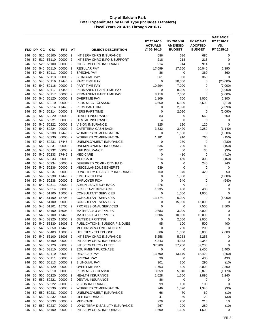|            |          |            |                        |                      |                                  |                                                            | FY 2014-15<br><b>ACTUALS</b> | FY 2015-16<br><b>AMENDED</b> | FY 2016-17<br><b>ADOPTED</b> | <b>VARIANCE</b><br>FY 2016-17<br>VS. |
|------------|----------|------------|------------------------|----------------------|----------------------------------|------------------------------------------------------------|------------------------------|------------------------------|------------------------------|--------------------------------------|
| FND DP     |          | CС         | <b>OBJ</b>             | <b>PRJ</b>           | AT                               | <b>OBJECT DESCRIPTION</b>                                  | @ 06-30-15                   | <b>BUDGET</b>                | <b>BUDGET</b>                | FY 2015-16                           |
| 246        | 50       |            | 510 56100              | 00000                | $\overline{2}$                   | INT SERV CHRG INSURANCE                                    | 686                          | 686                          | 686                          | 0                                    |
| 246        | 50       | 510        | 56110                  | 00000                | 2                                | INT SERV CHRG INFO & SUPPORT                               | 218<br>914                   | 218                          | 218<br>914                   | 0<br>$\mathbf 0$                     |
| 246<br>246 | 50<br>50 | 520<br>540 | 56100<br>50110         | 00000<br>00000       | $\overline{2}$<br>$\overline{2}$ | INT SERV CHRG INSURANCE<br>REGULAR PAY                     | 17,699                       | 914<br>17,650                | 20,040                       | 2,390                                |
| 246        | 50       | 540        | 50111                  | 00000                | $\overline{2}$                   | <b>SPECIAL PAY</b>                                         | 86                           | 0                            | 360                          | 360                                  |
| 246        | 50       | 540        | 50113                  | 00000                | $\overline{2}$                   | <b>BILINGUAL PAY</b>                                       | 361                          | 360                          | 360                          | 0                                    |
| 246        | 50       | 540        | 50116                  | 17445                | $\overline{2}$                   | PART TIME PAY                                              | 0                            | 20,000                       | 0                            | (20,000)                             |
| 246        | 50       | 540        | 50116                  | 00000                | $\overline{2}$                   | PART TIME PAY                                              | 10,294                       | 7,000                        | $\mathbf 0$                  | (7,000)                              |
| 246        | 50       | 540        | 50117                  | 17445                | 2                                | PERMANENT PART TIME PAY                                    | 0                            | 8,000                        | 0                            | (8,000)                              |
| 246        | 50       | 540        | 50117                  | 00000                | 2                                | PERMANENT PART TIME PAY                                    | 8,118                        | 7,000                        | $\mathbf 0$                  | (7,000)                              |
| 246        | 50       | 540        | 50120                  | 00000                | $\overline{2}$                   | <b>OVERTIME PAY</b>                                        | 1,109                        | 700                          | 3,000                        | 2,300                                |
| 246        | 50       | 540        | 50210                  | 00000                | $\overline{2}$                   | PERS MISC - CLASSIC                                        | 6,650                        | 6,500                        | 5,690                        | (810)                                |
| 246        | 50       | 540        | 50214                  | 17445                | 2                                | PERS PART TIME                                             | 0                            | 2,390                        | 0                            | (2,390)                              |
| 246        | 50       | 540        | 50214                  | 00000                | $\overline{2}$                   | PERS PART TIME                                             | $\mathbf 0$                  | 2,090                        | $\mathbf 0$                  | (2,090)                              |
| 246        | 50       | 540        | 50220                  | 00000                | $\overline{2}$                   | <b>HEALTH INSURANCE</b>                                    | 83                           | 0                            | 660                          | 660                                  |
| 246        | 50       | 540        | 50221                  | 00000                | $\overline{2}$                   | <b>DENTAL INSURANCE</b>                                    | $\overline{4}$               | 0                            | 0                            | 0                                    |
| 246        | 50       | 540        | 50222                  | 00000                | $\overline{2}$                   | <b>VISION INSURANCE</b>                                    | 125                          | 120                          | 120                          | $\mathbf 0$                          |
| 246        | 50       | 540        | 50224                  | 00000                | $\overline{2}$                   | <b>CAFETERIA CASH BACK</b>                                 | 3,332                        | 3,420                        | 2,280                        | (1, 140)                             |
| 246        | 50       | 540        | 50230                  | 17445                | $\overline{2}$                   | <b>WORKERS COMPENSATION</b>                                | 0                            | 1,600                        | 0                            | (1,600)                              |
| 246        | 50       | 540        | 50230<br>50231         | 00000<br>17445       | $\overline{2}$                   | <b>WORKERS COMPENSATION</b><br>UNEMPLOYMENT INSURANCE      | 1,181<br>$\mathbf 0$         | 910                          | 760<br>$\mathbf 0$           | (150)                                |
| 246        | 50<br>50 | 540        | 50231                  | 00000                | $\overline{2}$<br>$\overline{2}$ | UNEMPLOYMENT INSURANCE                                     |                              | 230<br>230                   |                              | (230)                                |
| 246<br>246 | 50       | 540<br>540 | 50232                  | 00000                | $\overline{2}$                   | <b>LIFE INSURANCE</b>                                      | 536<br>52                    | 60                           | 80<br>30                     | (150)<br>(30)                        |
| 246        | 50       | 540        | 50233                  | 17445                | $\overline{2}$                   | <b>MEDICARE</b>                                            | 0                            | 410                          | 0                            | (410)                                |
| 246        | 50       | 540        | 50233                  | 00000                | $\overline{2}$                   | <b>MEDICARE</b>                                            | 614                          | 460                          | 300                          | (160)                                |
| 246        | 50       |            | 540 50234              | 00000                | $\overline{2}$                   | DEFERRED COMP - CITY PAID                                  | 0                            | 0                            | 240                          | 240                                  |
| 246        | 50       | 540        | 50236                  | 00000                | $\overline{2}$                   | MISCELLANEOUS BENEFITS                                     | 639                          | 0                            | 0                            | 0                                    |
| 246        | 50       | 540        | 50237                  | 00000                | $\overline{2}$                   | LONG TERM DISABILITY INSURANCE                             | 760                          | 370                          | 420                          | 50                                   |
| 246        | 50       | 540        | 50238                  | 17445                | $\overline{2}$                   | <b>EMPLOYER FICA</b>                                       | 0                            | 1,880                        | 0                            | (1,880)                              |
| 246        | 50       | 540        | 50238                  | 00000                | $\overline{2}$                   | <b>EMPLOYER FICA</b>                                       | $\mathbf 0$                  | 940                          | 0                            | (940)                                |
| 246        | 50       | 540        | 50311                  | 00000                | $\overline{2}$                   | ADMIN LEAVE BUY-BACK                                       | 276                          | 0                            | 0                            | 0                                    |
| 246        | 50       | 540        | 50314                  | 00000                | $\overline{2}$                   | SICK LEAVE BUY-BACK                                        | 1,235                        | 480                          | 480                          | 0                                    |
| 246        | 50       | 540        | 51100                  | 15005                | $\overline{2}$                   | <b>CONSULTANT SERVICES</b>                                 | 0                            | 1,000                        | 1,000                        | 0                                    |
| 246        | 50       |            | 540 51100              | 15705                | $\overline{2}$                   | CONSULTANT SERVICES                                        | 13,474                       | 6,000                        | 0                            | (6,000)                              |
| 246        | 50       |            | 540 51100              | 00000                | $\overline{2}$                   | <b>CONSULTANT SERVICES</b>                                 | 0                            | 15,000                       | 15,000                       | $\mathbf 0$                          |
| 246        | 50       | 540        | 51101                  | 15705                | $\overline{2}$                   | PROFESSIONAL SERVICES                                      | $\mathbf 0$                  | 0                            | 7,500                        | 7,500                                |
| 246        | 50       | 540        | 53100                  | 15005                | $\overline{2}$                   | <b>MATERIALS &amp; SUPPLIES</b>                            | 2,683                        | 3,000                        | 3,000                        | 0                                    |
| 246        | 50       | 540        | 53100                  | 17445                | $\overline{2}$                   | <b>MATERIALS &amp; SUPPLIES</b>                            | 1,606                        | 10,000                       | 10,000                       | 0                                    |
| 246        | 50       | 540        | 53320                  | 15005                | $\overline{2}$                   | <b>OUTSIDE PRINTING</b><br>PUBLICATIONS, SUBSCRIP & DUES   | $\mathbf 0$                  | 2,000                        | 2,000                        | 0                                    |
| 246        | 50<br>50 | 540        | 53330                  | 15005 2<br>17445 2   |                                  |                                                            | 95<br>0                      | 100                          | 500                          | 400                                  |
| 246<br>246 |          | 540        | 53350<br>50 540 53403  | 15005 2              |                                  | <b>MEETINGS &amp; CONFERENCES</b><br>UTILITIES - TELEPHONE | 686                          | 200<br>1,000                 | 200<br>3,000                 | 0<br>2,000                           |
| 246        |          |            | 50 540 56100           | 15005 2              |                                  | INT SERV CHRG INSURANCE                                    | 5,258                        | 5,258                        | 5,258                        | 0                                    |
| 246        | 50       |            | 540 56100              | 00000 2              |                                  | INT SERV CHRG INSURANCE                                    | 4,343                        | 4,343                        | 4,343                        | 0                                    |
| 246        | 50       |            | 540 56120              | 00000                | $\overline{2}$                   | INT SERV CHRG - FLEET                                      | 37,200                       | 37,200                       | 37,200                       | 0                                    |
| 246        | 50       |            | 540 58110              | 00000 2              |                                  | <b>EQUIPMENT PURCHASE</b>                                  | 0                            | 0                            | 2,400                        | 2,400                                |
| 246        | 50       |            | 550 50110              | 00000 2              |                                  | REGULAR PAY                                                | 13,700                       | 13,670                       | 13,420                       | (250)                                |
| 246        | 50       |            | 550 50111              | 00000 2              |                                  | SPECIAL PAY                                                | 90                           | 0                            | 430                          | 430                                  |
| 246        | 50       |            | 550 50113              | 00000 2              |                                  | <b>BILINGUAL PAY</b>                                       | 301                          | 300                          | 290                          | (10)                                 |
| 246        | 50       |            | 550 50120              | 00000 2              |                                  | <b>OVERTIME PAY</b>                                        | 1,763                        | 500                          | 3,000                        | 2,500                                |
| 246        | 50       |            | 550 50210              | 00000 2              |                                  | PERS MISC - CLASSIC                                        | 3,659                        | 5,040                        | 3,870                        | (1, 170)                             |
| 246        | 50       |            | 550 50220              | 00000 2              |                                  | <b>HEALTH INSURANCE</b>                                    | 1,628                        | 1,650                        | 2,890                        | 1,240                                |
| 246        | 50       |            | 550 50221              | 00000 2              |                                  | DENTAL INSURANCE                                           | 86                           | 0                            | 0                            | 0                                    |
| 246        | 50       | 550        | 50222                  | 00000 2              |                                  | <b>VISION INSURANCE</b>                                    | 99                           | 100                          | 100                          | 0                                    |
| 246        | 50       |            | 550 50230              | 00000 2              |                                  | <b>WORKERS COMPENSATION</b>                                | 746                          | 1,370                        | 1,340                        | (30)                                 |
| 246        | 50       |            | 550 50231              | 00000                | $\overline{2}$                   | UNEMPLOYMENT INSURANCE                                     | 66                           | 70                           | 60                           | (10)                                 |
| 246        | 50       |            | 550 50232<br>550 50233 | 00000<br>00000 2     | $\overline{2}$                   | LIFE INSURANCE                                             | 41                           | 50                           | 20                           | (30)                                 |
| 246<br>246 | 50<br>50 |            | 550 50237              | 00000                | $\overline{2}$                   | <b>MEDICARE</b><br>LONG TERM DISABILITY INSURANCE          | 229<br>267                   | 200<br>290                   | 210<br>280                   | 10<br>(10)                           |
| 246        |          |            |                        | 50 550 56100 00000 2 |                                  | INT SERV CHRG INSURANCE                                    | 1,600                        | 1,600                        | 1,600                        | 0                                    |
|            |          |            |                        |                      |                                  |                                                            |                              |                              |                              |                                      |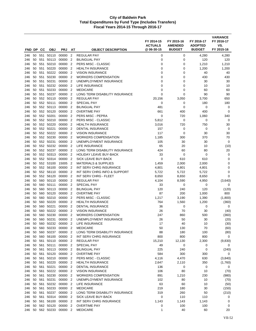| FND DP     |          | CС     | <b>OBJ</b>                | <b>PRJ</b>               | АТ                               | <b>OBJECT DESCRIPTION</b>                             | FY 2014-15<br><b>ACTUALS</b><br>@06-30-15 | FY 2015-16<br><b>AMENDED</b><br><b>BUDGET</b> | FY 2016-17<br><b>ADOPTED</b><br><b>BUDGET</b> | <b>VARIANCE</b><br>FY 2016-17<br>VS.<br>FY 2015-16 |
|------------|----------|--------|---------------------------|--------------------------|----------------------------------|-------------------------------------------------------|-------------------------------------------|-----------------------------------------------|-----------------------------------------------|----------------------------------------------------|
|            |          |        |                           |                          | $\overline{2}$                   |                                                       |                                           |                                               |                                               |                                                    |
| 246<br>246 | 50<br>50 | 551    | 551 50110<br>50113        | 00000<br>00000           | $\overline{2}$                   | <b>REGULAR PAY</b><br><b>BILINGUAL PAY</b>            | 0<br>0                                    | 0<br>0                                        | 4,280<br>120                                  | 4,280<br>120                                       |
| 246        | 50       | 551    | 50210                     | 00000                    | $\overline{2}$                   | PERS MISC - CLASSIC                                   | 0                                         | 0                                             | 1,210                                         | 1,210                                              |
| 246        | 50       | 551    | 50220                     | 00000                    | $\overline{2}$                   | <b>HEALTH INSURANCE</b>                               | 0                                         | 0                                             | 1,200                                         | 1,200                                              |
| 246        | 50       | 551    | 50222                     | 00000                    | $\overline{2}$                   | <b>VISION INSURANCE</b>                               | 0                                         | 0                                             | 40                                            | 40                                                 |
| 246        | 50       | 551    | 50230                     | 00000                    | $\overline{2}$                   | <b>WORKERS COMPENSATION</b>                           | 0                                         | 0                                             | 430                                           | 430                                                |
| 246        | 50       | 551    | 50231                     | 00000                    | $\overline{2}$                   | UNEMPLOYMENT INSURANCE                                | 0                                         | 0                                             | 30                                            | 30                                                 |
| 246        | 50       | 551    | 50232                     | 00000                    | $\overline{2}$                   | LIFE INSURANCE                                        | 0                                         | 0                                             | 10                                            | 10                                                 |
| 246        | 50       | 551    | 50233                     | 00000                    | 2                                | <b>MEDICARE</b>                                       | 0                                         | 0                                             | 60                                            | 60                                                 |
| 246        | 50       | 551    | 50237                     | 00000                    | $\overline{2}$                   | LONG TERM DISABILITY INSURANCE                        | 0                                         | 0                                             | 90                                            | 90                                                 |
| 246        | 50       |        | 552 50110                 | 00000                    | $\overline{2}$                   | <b>REGULAR PAY</b>                                    | 20,156                                    | 3,050                                         | 3,700                                         | 650                                                |
| 246        | 50       |        | 552 50111                 | 00000                    | $\overline{2}$                   | <b>SPECIAL PAY</b>                                    | 0                                         | 0                                             | 180                                           | 180                                                |
| 246        | 50       |        | 552 50113                 | 00000                    | $\overline{2}$                   | <b>BILINGUAL PAY</b>                                  | 481                                       | 0                                             | 0                                             | 0                                                  |
| 246        | 50       |        | 552 50120                 | 00000                    | $\overline{2}$                   | <b>OVERTIME PAY</b>                                   | 661                                       | 400                                           | 400                                           | 0                                                  |
| 246        | 50       |        | 552 50201                 | 00000                    | $\overline{2}$                   | PERS MISC - PEPRA                                     | 0                                         | 720                                           | 1,060                                         | 340                                                |
| 246        | 50       | 552    | 50210                     | 00000                    | 2                                | PERS MISC - CLASSIC                                   | 5,812                                     | 0                                             | 0                                             | 0                                                  |
| 246        | 50       |        | 552 50220                 | 00000                    | $\overline{2}$                   | <b>HEALTH INSURANCE</b>                               | 3,016                                     | 720                                           | 750                                           | 30                                                 |
| 246        | 50       |        | 552 50221                 | 00000                    | $\overline{2}$                   | <b>DENTAL INSURANCE</b>                               | 157                                       | 0                                             | 0                                             | 0                                                  |
| 246        | 50       |        | 552 50222                 | 00000                    | $\overline{2}$                   | <b>VISION INSURANCE</b>                               | 117                                       | 0                                             | 30                                            | 30                                                 |
| 246        | 50       |        | 552 50230                 | 00000                    | $\overline{2}$                   | <b>WORKERS COMPENSATION</b>                           | 1,185                                     | 300                                           | 370                                           | 70                                                 |
| 246        | 50       |        | 552 50231                 | 00000                    | $\overline{2}$                   | UNEMPLOYMENT INSURANCE                                | 105                                       | 30                                            | 30                                            | 0                                                  |
| 246        | 50       |        | 552 50232                 | 00000                    | $\overline{2}$                   | LIFE INSURANCE                                        | 65                                        | 20                                            | 10                                            | (10)                                               |
| 246        | 50       | 552    | 50237                     | 00000                    | 2                                | LONG TERM DISABILITY INSURANCE                        | 424                                       | 60                                            | 80                                            | 20                                                 |
| 246        | 50       |        | 552 50313                 | 00000                    | $\overline{2}$                   | <b>HOLIDAY LEAVE BUY-BACK</b>                         | 33                                        | 0                                             | 0                                             | 0                                                  |
| 246        | 50       |        | 552 50314                 | 00000                    | $\overline{2}$                   | SICK LEAVE BUY-BACK                                   | 0                                         | 610                                           | 610                                           | 0                                                  |
| 246        | 50       |        | 552 53100                 | 15005                    | $\overline{2}$                   | <b>MATERIALS &amp; SUPPLIES</b>                       | 1,459                                     | 2,000                                         | 2,000                                         | $\mathbf 0$                                        |
| 246        | 50       |        | 552 56100                 | 00000                    | $\overline{2}$                   | INT SERV CHRG INSURANCE                               | 4,801                                     | 4,801                                         | 4,801                                         | 0<br>$\mathbf 0$                                   |
| 246<br>246 | 50<br>50 | 552    | 552 56110<br>56120        | 00000<br>00000           | $\overline{2}$<br>$\overline{2}$ | INT SERV CHRG INFO & SUPPORT<br>INT SERV CHRG - FLEET | 5,722<br>8,650                            | 5,722<br>8,650                                | 5,722<br>8,650                                | $\mathbf 0$                                        |
| 246        | 50       |        | 560 50110                 | 00000                    | 2                                | <b>REGULAR PAY</b>                                    | 4,104                                     | 8,590                                         | 4,950                                         | (3,640)                                            |
| 246        | 50       | 560    | 50111                     | 00000                    | $\overline{2}$                   | <b>SPECIAL PAY</b>                                    | 33                                        | 0                                             | 0                                             | 0                                                  |
| 246        | 50       | 560    | 50113                     | 00000                    | $\overline{2}$                   | <b>BILINGUAL PAY</b>                                  | 120                                       | 240                                           | 120                                           | (120)                                              |
| 246        | 50       | 560    | 50120                     | 00000                    | $\overline{2}$                   | <b>OVERTIME PAY</b>                                   | 87                                        | 200                                           | 1,000                                         | 800                                                |
| 246        | 50       | 560    | 50210                     | 00000                    | 2                                | PERS MISC - CLASSIC                                   | 1,217                                     | 3,190                                         | 1,390                                         | (1,800)                                            |
| 246        | 50       | 560    | 50220                     | 00000                    | $\overline{2}$                   | <b>HEALTH INSURANCE</b>                               | 764                                       | 1,560                                         | 1,200                                         | (360)                                              |
| 246        | 50       | 560    | 50221                     | 00000                    | $\overline{2}$                   | <b>DENTAL INSURANCE</b>                               | 36                                        | 0                                             | 0                                             | 0                                                  |
| 246        | 50       | 560    | 50222                     | 00000                    | $\overline{2}$                   | <b>VISION INSURANCE</b>                               | 26                                        | 70                                            | 30                                            | (40)                                               |
| 246        | 50       | 560    | 50230                     | 00000                    | $\overline{2}$                   | <b>WORKERS COMPENSATION</b>                           | 247                                       | 860                                           | 500                                           | (360)                                              |
| 246        | 50       | 560    | 50231                     | 00000                    | 2                                | UNEMPLOYMENT INSURANCE                                | 26                                        | 50                                            | 30                                            | (20)                                               |
| 246        |          |        |                           | 50 560 50232 00000 2     |                                  | LIFE INSURANCE                                        | 17                                        | 40                                            | 10                                            | (30)                                               |
| 246        | 50       |        | 560 50233                 | 00000                    | $\overline{2}$                   | <b>MEDICARE</b>                                       | 50                                        | 130                                           | 70                                            | (60)                                               |
| 246        |          |        | 50 560 50237              | 00000 2                  |                                  | LONG TERM DISABILITY INSURANCE                        | 88                                        | 180                                           | 100                                           | (80)                                               |
| 246        | 50       |        | 560 56100                 | 00000 2                  |                                  | INT SERV CHRG INSURANCE                               | 800                                       | 800                                           | 800                                           | 0                                                  |
| 246        |          |        |                           | 50 561 50110 00000 2     |                                  | <b>REGULAR PAY</b>                                    | 15,210                                    | 12,130                                        | 2,300                                         | (9,830)                                            |
| 246        |          |        | 50 561 50111              | 00000                    | $\overline{2}$                   | SPECIAL PAY                                           | 49                                        | 0                                             | 0                                             | 0                                                  |
| 246        |          |        | 50 561 50113              | 00000 2                  |                                  | <b>BILINGUAL PAY</b>                                  | 225                                       | 240                                           | 0                                             | (240)                                              |
| 246        |          |        | 50 561 50120              | 00000 2<br>00000         | $\overline{2}$                   | <b>OVERTIME PAY</b>                                   | 584<br>4,116                              | 300                                           | 300                                           | 0                                                  |
| 246        | 50       |        | 561 50210<br>50 561 50220 | 00000 2                  |                                  | PERS MISC - CLASSIC<br><b>HEALTH INSURANCE</b>        | 2,647                                     | 4,470<br>2,110                                | 630<br>350                                    | (3,840)<br>(1,760)                                 |
| 246<br>246 |          | 50 561 | 50221                     | 00000 2                  |                                  | <b>DENTAL INSURANCE</b>                               | 136                                       | 0                                             | 0                                             | 0                                                  |
| 246        |          |        | 50 561 50222              | 00000 2                  |                                  | <b>VISION INSURANCE</b>                               | 106                                       | 80                                            | 10                                            | (70)                                               |
| 246        |          |        | 50 561 50230              | 00000                    | $\overline{2}$                   | <b>WORKERS COMPENSATION</b>                           | 891                                       | 1,210                                         | 230                                           | (980)                                              |
| 246        |          |        | 50 561 50231              | 00000 2                  |                                  | UNEMPLOYMENT INSURANCE                                | 102                                       | 80                                            | 10                                            | (70)                                               |
| 246        | 50       | 561    | 50232                     | 00000 2                  |                                  | LIFE INSURANCE                                        | 63                                        | 60                                            | 10                                            | (50)                                               |
| 246        |          |        | 50 561 50233              | 00000 2                  |                                  | <b>MEDICARE</b>                                       | 219                                       | 180                                           | 30                                            | (150)                                              |
| 246        |          |        | 50 561 50237              | 00000 2                  |                                  | LONG TERM DISABILITY INSURANCE                        | 319                                       | 260                                           | 50                                            | (210)                                              |
| 246        | 50       | 561    | 50314                     | 00000 2                  |                                  | SICK LEAVE BUY-BACK                                   | 0                                         | 110                                           | 110                                           | 0                                                  |
| 246        |          |        | 50 561 56100              | 00000 2                  |                                  | INT SERV CHRG INSURANCE                               | 1,143                                     | 1,143                                         | 1,143                                         | 0                                                  |
| 246        | 50       |        | 562 50120                 | 00000                    | $\overline{2}$                   | <b>OVERTIME PAY</b>                                   | 0                                         | 100                                           | 100                                           | 0                                                  |
|            |          |        |                           | 246 50 562 50233 00000 2 |                                  | <b>MEDICARE</b>                                       | $\mathbf{1}$                              | 40                                            | 60                                            | 20                                                 |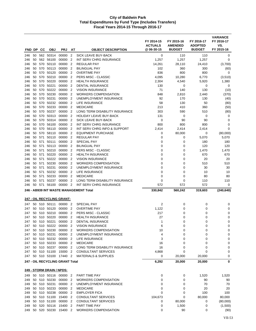|            |          |        |                           |                                 |                                  |                                                    | FY 2014-15<br><b>ACTUALS</b> | FY 2015-16<br><b>AMENDED</b> | FY 2016-17<br><b>ADOPTED</b> | <b>VARIANCE</b><br>FY 2016-17<br>VS. |
|------------|----------|--------|---------------------------|---------------------------------|----------------------------------|----------------------------------------------------|------------------------------|------------------------------|------------------------------|--------------------------------------|
| FND DP     |          | CС     | <b>OBJ</b>                | <b>PRJ</b>                      | AT                               | <b>OBJECT DESCRIPTION</b>                          | @ 06-30-15                   | <b>BUDGET</b>                | <b>BUDGET</b>                | FY 2015-16                           |
| 246        | 50       |        | 562 50314                 | 00000                           | $\overline{2}$                   | <b>SICK LEAVE BUY-BACK</b>                         | 0                            | 110                          | 110                          | 0                                    |
| 246        | 50       |        | 562 56100                 | 00000                           | $\overline{2}$                   | INT SERV CHRG INSURANCE                            | 1,257                        | 1,257                        | 1,257                        | 0                                    |
| 246        | 50       | 570    | 50110                     | 00000                           | $\overline{2}$                   | <b>REGULAR PAY</b>                                 | 14,261                       | 28,110                       | 24,410                       | (3,700)                              |
| 246        | 50       | 570    | 50113                     | 00000                           | $\overline{2}$                   | <b>BILINGUAL PAY</b>                               | 102                          | 360                          | 300                          | (60)                                 |
| 246        | 50       |        | 570 50120                 | 00000                           | $\overline{2}$                   | <b>OVERTIME PAY</b>                                | 836                          | 800                          | 800                          | 0                                    |
| 246        | 50       |        | 570 50210<br>50220        | 00000                           | $\overline{2}$                   | <b>PERS MISC - CLASSIC</b>                         | 4,095                        | 10,280                       | 6,770                        | (3,510)                              |
| 246        | 50<br>50 | 570    | 570 50221                 | 00000<br>00000                  | $\overline{2}$<br>$\overline{2}$ | <b>HEALTH INSURANCE</b><br><b>DENTAL INSURANCE</b> | 2,304                        | 4,540                        | 5,920                        | 1,380                                |
| 246<br>246 | 50       | 570    | 50222                     | 00000                           | $\overline{2}$                   | <b>VISION INSURANCE</b>                            | 130<br>71                    | 0<br>140                     | 0<br>130                     | 0<br>(10)                            |
| 246        | 50       | 570    | 50230                     | 00000                           | $\overline{2}$                   | <b>WORKERS COMPENSATION</b>                        | 848                          | 2,810                        | 2,440                        | (370)                                |
| 246        | 50       | 570    | 50231                     | 00000                           | $\overline{2}$                   | UNEMPLOYMENT INSURANCE                             | 92                           | 170                          | 130                          | (40)                                 |
| 246        | 50       |        | 570 50232                 | 00000                           | $\overline{2}$                   | LIFE INSURANCE                                     | 58                           | 130                          | 50                           | (80)                                 |
| 246        | 50       |        | 570 50233                 | 00000                           | $\overline{2}$                   | <b>MEDICARE</b>                                    | 213                          | 410                          | 360                          | (50)                                 |
| 246        | 50       | 570    | 50237                     | 00000                           | $\overline{2}$                   | LONG TERM DISABILITY INSURANCE                     | 303                          | 590                          | 510                          | (80)                                 |
| 246        | 50       |        | 570 50313                 | 00000                           | $\overline{2}$                   | <b>HOLIDAY LEAVE BUY-BACK</b>                      | 131                          | 0                            | 0                            | 0                                    |
| 246        | 50       |        | 570 50314                 | 00000                           | $\overline{2}$                   | SICK LEAVE BUY-BACK                                | 0                            | 90                           | 90                           | 0                                    |
| 246        | 50       | 570    | 56100                     | 00000                           | $\overline{2}$                   | <b>INT SERV CHRG INSURANCE</b>                     | 800                          | 800                          | 800                          | 0                                    |
| 246        | 50       | 570    | 56110                     | 00000                           | $\overline{2}$                   | INT SERV CHRG INFO & SUPPORT                       | 2,414                        | 2,414                        | 2,414                        | 0                                    |
| 246        | 50       |        | 570 58110                 | 00000                           | 2                                | <b>EQUIPMENT PURCHASE</b>                          | 0                            | 80,000                       | 0                            | (80,000)                             |
| 246        | 50       | 571    | 50110                     | 00000                           | $\overline{2}$                   | <b>REGULAR PAY</b>                                 | 0                            | 0                            | 5,070                        | 5,070                                |
| 246        | 50       | 571    | 50111                     | 00000                           | $\overline{2}$                   | <b>SPECIAL PAY</b>                                 | 0                            | 0                            | 180                          | 180                                  |
| 246        | 50       | 571    | 50113                     | 00000                           | $\overline{2}$                   | <b>BILINGUAL PAY</b>                               | 0                            | 0                            | 120                          | 120                                  |
| 246        |          | 50 571 | 50210                     | 00000                           | $\overline{2}$                   | PERS MISC - CLASSIC                                | 0                            | 0                            | 1,470                        | 1,470                                |
| 246        | 50       | 571    | 50220                     | 00000                           | $\overline{2}$                   | <b>HEALTH INSURANCE</b>                            | 0                            | 0                            | 670                          | 670                                  |
| 246        | 50       | 571    | 50222                     | 00000                           | $\overline{2}$                   | <b>VISION INSURANCE</b>                            | $\mathbf 0$                  | 0                            | 20                           | 20                                   |
| 246        |          | 50 571 | 50230                     | 00000                           | 2                                | <b>WORKERS COMPENSATION</b>                        | $\mathbf 0$                  | $\mathbf 0$                  | 510                          | 510                                  |
| 246        | 50       | 571    | 50231                     | 00000                           | $\overline{2}$                   | UNEMPLOYMENT INSURANCE                             | $\mathbf 0$                  | 0                            | 30                           | 30                                   |
| 246        | 50       | 571    | 50232                     | 00000                           | $\overline{2}$                   | LIFE INSURANCE                                     | $\mathbf 0$                  | 0                            | 10                           | 10                                   |
| 246        | 50       | 571    | 50233                     | 00000                           | $\overline{2}$                   | <b>MEDICARE</b>                                    | $\mathbf 0$                  | $\mathbf 0$                  | 80                           | 80                                   |
| 246        |          | 50 571 | 50237                     | 00000                           | 2                                | LONG TERM DISABILITY INSURANCE                     | 0                            | $\mathbf 0$                  | 110                          | 110                                  |
| 246        |          | 50 571 | 56100                     | 00000                           | $\overline{2}$                   | INT SERV CHRG INSURANCE                            | 572                          | 572                          | 572                          | 0                                    |
|            |          |        |                           |                                 |                                  | 246 - AB939 INT WASTE MANAGEMENT Total             | 330,842                      | 560,242                      | 319,603                      | (240, 640)                           |
|            |          |        |                           | 247 - OIL RECYCLING GRANT:      |                                  |                                                    |                              |                              |                              |                                      |
| 247        |          |        | 50 510 50111              | 00000 2                         |                                  | <b>SPECIAL PAY</b>                                 | 2                            | 0                            | 0                            | 0                                    |
| 247        |          |        | 50 510 50120              | 00000                           | $\overline{2}$                   | <b>OVERTIME PAY</b>                                | 1,122                        | 0                            | 0                            | 0                                    |
| 247        |          |        | 50 510 50210              | 00000                           | $\overline{2}$                   | PERS MISC - CLASSIC                                | 217                          | 0                            | 0                            | 0                                    |
| 247        |          |        | 50 510 50220              | 00000                           | $\overline{2}$                   | <b>HEALTH INSURANCE</b>                            | 27                           | 0                            | 0                            | 0                                    |
| 247        |          |        |                           | 50 510 50221 00000 2            |                                  | DENTAL INSURANCE                                   | $\mathbf{1}$                 | $\Omega$                     | 0                            | $\Omega$                             |
| 247        |          |        |                           | 50 510 50222 00000 2            |                                  | <b>VISION INSURANCE</b>                            | 6                            | 0                            | 0                            | 0                                    |
| 247        | 50       |        | 510 50230                 | 00000                           | $\overline{2}$                   | <b>WORKERS COMPENSATION</b>                        | 10                           | 0                            | 0                            | 0                                    |
| 247        |          |        | 50 510 50231              | 00000                           | $\overline{2}$                   | UNEMPLOYMENT INSURANCE                             | 4                            | 0                            | 0                            | 0                                    |
| 247        |          |        |                           | 50 510 50232 00000 2            |                                  | <b>LIFE INSURANCE</b>                              | 3                            | 0                            | 0                            | 0                                    |
| 247        |          |        | 50 510 50233              | 00000                           | $\overline{2}$                   | <b>MEDICARE</b>                                    | 16                           | 0                            | 0                            | 0                                    |
| 247        |          |        | 50 510 50237 00000        |                                 | 2                                | LONG TERM DISABILITY INSURANCE                     | 16                           | 0                            | 0                            | 0                                    |
| 247        |          |        | 50 510 51100              | 15000                           | $\overline{2}$                   | <b>CONSULTANT SERVICES</b>                         | 4,868                        | 0                            | 0                            | 0                                    |
| 247        |          |        |                           | 50 510 53100 17440 2            |                                  | <b>MATERIALS &amp; SUPPLIES</b>                    | 0                            | 20,000                       | 20,000                       | 0                                    |
|            |          |        |                           | 247 - OIL RECYCLING GRANT Total |                                  |                                                    | 6,292                        | 20,000                       | 20,000                       | 0                                    |
|            |          |        | 249 - STORM DRAIN / NPDS: |                                 |                                  |                                                    |                              |                              |                              |                                      |
| 249        |          |        | 50 510 50116 00000        |                                 | $\overline{2}$                   | PART TIME PAY                                      | 0                            | 0                            | 1,520                        | 1,520                                |
| 249        |          |        | 50 510 50230              | 00000                           | -2                               | <b>WORKERS COMPENSATION</b>                        | 0                            | 0                            | 90                           | 90                                   |
| 249        |          |        | 50 510 50231              | 00000 2                         |                                  | UNEMPLOYMENT INSURANCE                             | 0                            | 0                            | 70                           | 70                                   |
| 249        |          |        | 50 510 50233              | 00000                           | $\overline{2}$                   | <b>MEDICARE</b>                                    | 0                            | 0                            | 20                           | 20                                   |
| 249        |          |        | 50 510 50238              | 00000                           | 2                                | <b>EMPLOYER FICA</b>                               | 0                            | 0                            | 100                          | 100                                  |
| 249        |          |        | 50 510 51100              | 15400                           | 2                                | <b>CONSULTANT SERVICES</b>                         | 104,673                      | 0                            | 80,000                       | 80,000                               |
| 249        |          |        | 50 510 51100              | 00000                           | $\overline{2}$                   | <b>CONSULTANT SERVICES</b>                         | 0                            | 80,000                       | 0                            | (80,000)                             |
| 249        | 50       |        | 520 50116                 | 15400                           | 2                                | PART TIME PAY                                      | 0                            | 1,500                        | 0                            | (1,500)                              |
| 249        |          |        | 50 520 50230              | 15400 2                         |                                  | WORKERS COMPENSATION                               | 0                            | 90                           | 0                            | (90)                                 |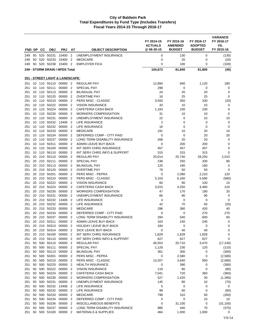| FND DP CC  |          | <b>OBJ</b>                   | <b>PRJ</b>                                  | AT                               | <b>OBJECT DESCRIPTION</b>                                      | FY 2014-15<br><b>ACTUALS</b><br>@ 06-30-15 | FY 2015-16<br><b>AMENDED</b><br><b>BUDGET</b> | FY 2016-17<br><b>ADOPTED</b><br><b>BUDGET</b> | <b>VARIANCE</b><br>FY 2016-17<br>VS.<br>FY 2015-16 |
|------------|----------|------------------------------|---------------------------------------------|----------------------------------|----------------------------------------------------------------|--------------------------------------------|-----------------------------------------------|-----------------------------------------------|----------------------------------------------------|
| 249        |          | 50 520 50231                 | 15400                                       | $\overline{2}$                   | UNEMPLOYMENT INSURANCE                                         | 0                                          | 130                                           | 0                                             | (130)                                              |
| 249        | 50       | 520 50233                    | 15400                                       | $\overline{2}$                   | <b>MEDICARE</b>                                                | 0                                          | 20                                            | 0                                             | (20)                                               |
| 249        |          | 50 520 50238                 | 15400 2                                     |                                  | <b>EMPLOYER FICA</b>                                           | 0                                          | 100                                           | 0                                             | (100)                                              |
|            |          |                              | 249 - STORM DRAIN / NPDS Total              |                                  |                                                                | 104,673                                    | 81,840                                        | 81,800                                        | (40)                                               |
|            |          |                              |                                             |                                  |                                                                |                                            |                                               |                                               |                                                    |
|            |          |                              | <u> 251 - STREET LIGHT &amp; LANDSCAPE:</u> |                                  |                                                                |                                            |                                               |                                               |                                                    |
| 251        |          |                              | 10 110 50110 00000 2                        |                                  | <b>REGULAR PAY</b>                                             | 12,894                                     | 940                                           | 1,120                                         | 180                                                |
| 251        |          | 10 110 50111                 | 00000                                       | $\overline{2}$                   | <b>SPECIAL PAY</b>                                             | 298                                        | 0                                             | 0                                             | 0                                                  |
| 251<br>251 | 10<br>10 | 110 50113<br>110 50120       | 00000<br>00000                              | $\overline{2}$<br>$\overline{2}$ | <b>BILINGUAL PAY</b><br><b>OVERTIME PAY</b>                    | 24<br>16                                   | 20<br>25                                      | 20<br>25                                      | 0<br>0                                             |
| 251        |          | 10 110 50210                 | 00000                                       | - 2                              | PERS MISC - CLASSIC                                            | 3,593                                      | 350                                           | 330                                           | (20)                                               |
| 251        | 10       | 110 50222                    | 00000                                       | $\overline{2}$                   | <b>VISION INSURANCE</b>                                        | 33                                         | 10                                            | 10                                            | 0                                                  |
| 251        |          | 10 110 50224                 | 00000                                       | $\overline{2}$                   | CAFETERIA CASH BACK                                            | 1,183                                      | 230                                           | 230                                           | 0                                                  |
| 251        | 10       | 110 50230                    | 00000                                       | $\overline{2}$                   | <b>WORKERS COMPENSATION</b>                                    | 31                                         | 10                                            | 10                                            | $\mathbf 0$                                        |
| 251        |          | 10 110 50231                 | 00000                                       | $\overline{2}$                   | UNEMPLOYMENT INSURANCE                                         | 22                                         | 0                                             | 10                                            | 10                                                 |
| 251        | 10       | 110 50232                    | 13406                                       | 2                                | LIFE INSURANCE                                                 | $\overline{2}$                             | 0                                             | 0                                             | 0                                                  |
| 251        | 10       | 110 50232                    | 00000                                       | $\overline{2}$                   | LIFE INSURANCE                                                 | 16                                         | 0                                             | 0                                             | 0                                                  |
| 251        |          | 10 110 50233                 | 00000                                       | $\overline{2}$                   | <b>MEDICARE</b>                                                | 191                                        | 10                                            | 20                                            | 10                                                 |
| 251<br>251 | 10<br>10 | 110 50234<br>110 50237       | 00000<br>00000                              | $\overline{2}$<br>$\overline{2}$ | DEFERRED COMP - CITY PAID<br>LONG TERM DISABILITY INSURANCE    | 0<br>268                                   | 0<br>20                                       | 20<br>20                                      | 20<br>0                                            |
| 251        | 10       | 110 50311                    | 00000                                       | $\overline{2}$                   | ADMIN LEAVE BUY-BACK                                           | 0                                          | 200                                           | 200                                           | 0                                                  |
| 251        |          | 10 110 56100                 | 00000                                       | -2                               | INT SERV CHRG INSURANCE                                        | 457                                        | 457                                           | 457                                           | 0                                                  |
| 251        | 10       | 110 56110                    | 00000                                       | $\overline{2}$                   | INT SERV CHRG INFO & SUPPORT                                   | 315                                        | 315                                           | 315                                           | 0                                                  |
| 251        | 20       | 210 50110                    | 00000                                       | $\overline{2}$                   | <b>REGULAR PAY</b>                                             | 20,014                                     | 25,740                                        | 28,250                                        | 2,510                                              |
| 251        |          | 20 210 50111                 | 00000                                       | $\overline{2}$                   | <b>SPECIAL PAY</b>                                             | 238                                        | 250                                           | 330                                           | 80                                                 |
| 251        |          | 20 210 50113                 | 00000                                       | 2                                | <b>BILINGUAL PAY</b>                                           | 120                                        | 180                                           | 180                                           | 0                                                  |
| 251        |          | 20 210 50120                 | 00000                                       | $\overline{2}$                   | <b>OVERTIME PAY</b>                                            | 79                                         | 50                                            | 50                                            | 0                                                  |
| 251        | 20       | 210 50201                    | 00000                                       | $\overline{2}$                   | PERS MISC - PEPRA                                              | 0                                          | 2,090                                         | 2,210                                         | 120                                                |
| 251<br>251 |          | 20 210 50210<br>20 210 50222 | 00000<br>00000                              | $\overline{2}$<br>2              | PERS MISC - CLASSIC<br><b>VISION INSURANCE</b>                 | 5,103<br>60                                | 6,160<br>90                                   | 5,580<br>100                                  | (580)<br>10                                        |
| 251        |          | 20 210 50224                 | 00000                                       | $\overline{2}$                   | CAFETERIA CASH BACK                                            | 3,015                                      | 4,250                                         | 4,460                                         | 210                                                |
| 251        |          | 20 210 50230                 | 00000                                       | $\overline{2}$                   | <b>WORKERS COMPENSATION</b>                                    | 47                                         | 170                                           | 190                                           | 20                                                 |
| 251        |          | 20 210 50231                 | 00000                                       | -2                               | UNEMPLOYMENT INSURANCE                                         | 66                                         | 90                                            | 90                                            | 0                                                  |
| 251        |          | 20 210 50232                 | 13406                                       | 2                                | LIFE INSURANCE                                                 | 4                                          | 0                                             | 0                                             | 0                                                  |
| 251        | 20       | 210 50232                    | 00000                                       | $\overline{2}$                   | LIFE INSURANCE                                                 | 42                                         | 70                                            | 50                                            | (20)                                               |
| 251        |          | 20 210 50233                 | 00000                                       | -2                               | <b>MEDICARE</b>                                                | 296                                        | 380                                           | 420                                           | 40                                                 |
| 251        | 20       | 210 50234                    | 00000                                       | $\overline{2}$                   | DEFERRED COMP - CITY PAID                                      | 0                                          | 0                                             | 270                                           | 270                                                |
| 251<br>251 |          | 20 210 50237<br>20 210 50311 | 00000 2                                     |                                  | LONG TERM DISABILITY INSURANCE<br>00000 2 ADMIN LEAVE BUY-BACK | 284                                        | 540                                           | 600                                           | 60                                                 |
| 251        |          | 20 210 50313                 | 00000 2                                     |                                  | HOLIDAY LEAVE BUY-BACK                                         | 163<br>184                                 | 240<br>0                                      | 240<br>0                                      | $\Omega$<br>0                                      |
| 251        | 20       | 210 50314                    | 00000 2                                     |                                  | SICK LEAVE BUY-BACK                                            | 0                                          | 40                                            | 40                                            | 0                                                  |
| 251        |          | 20 210 56100                 | 00000 2                                     |                                  | INT SERV CHRG INSURANCE                                        | 1,829                                      | 1,828                                         | 1,828                                         | 0                                                  |
| 251        |          | 20 210 56110                 | 00000 2                                     |                                  | INT SERV CHRG INFO & SUPPORT                                   | 627                                        | 627                                           | 627                                           | 0                                                  |
| 251        | 50       | 500 50110                    | 00000                                       | $\overline{2}$                   | <b>REGULAR PAY</b>                                             | 46,553                                     | 20,710                                        | 3,470                                         | (17, 240)                                          |
| 251        |          | 50 500 50111                 | 00000 2                                     |                                  | SPECIAL PAY                                                    | 1,128                                      | 230                                           | 120                                           | (110)                                              |
| 251        | 50       | 500 50113                    | 00000 2                                     |                                  | <b>BILINGUAL PAY</b>                                           | 361                                        | 300                                           | 0                                             | (300)                                              |
| 251        |          | 50 500 50201                 | 00000 2                                     |                                  | PERS MISC - PEPRA                                              | 0                                          | 2,580                                         | 0                                             | (2,580)                                            |
| 251        | 50       | 500 50210<br>50 500 50220    | 00000<br>00000 2                            | $\overline{2}$                   | PERS MISC - CLASSIC                                            | 13,207<br>0                                | 3,640                                         | 950<br>0                                      | (2,690)                                            |
| 251<br>251 | 50       | 500 50222                    | 00000 2                                     |                                  | <b>HEALTH INSURANCE</b><br><b>VISION INSURANCE</b>             | 119                                        | 390<br>80                                     | 0                                             | (390)<br>(80)                                      |
| 251        | 50       | 500 50224                    | 00000 2                                     |                                  | CAFETERIA CASH BACK                                            | 7,041                                      | 720                                           | 360                                           | (360)                                              |
| 251        | 50       | 500 50230                    | 00000                                       | $\overline{2}$                   | <b>WORKERS COMPENSATION</b>                                    | 527                                        | 1,420                                         | 30                                            | (1,390)                                            |
| 251        | 50       | 500 50231                    | 00000 2                                     |                                  | UNEMPLOYMENT INSURANCE                                         | 145                                        | 80                                            | 10                                            | (70)                                               |
| 251        | 50       | 500 50232                    | 13406 2                                     |                                  | LIFE INSURANCE                                                 | 5                                          | 0                                             | 0                                             | 0                                                  |
| 251        | 50       | 500 50232                    | 00000                                       | $\overline{2}$                   | LIFE INSURANCE                                                 | 99                                         | 60                                            | 0                                             | (60)                                               |
| 251        | 50       | 500 50233                    | 00000                                       | $\overline{2}$                   | <b>MEDICARE</b>                                                | 798                                        | 310                                           | 50                                            | (260)                                              |
| 251        | 50       | 500 50234                    | 00000 2                                     |                                  | DEFERRED COMP - CITY PAID                                      | 0                                          | 0                                             | 10                                            | 10                                                 |
| 251<br>251 | 50<br>50 | 500 50236<br>500 50237       | 00000 2<br>00000                            | $\overline{2}$                   | MISCELLANEOUS BENEFITS<br>LONG TERM DISABILITY INSURANCE       | 0<br>980                                   | 31,100<br>440                                 | 0<br>70                                       | (31, 100)<br>(370)                                 |
| 251        | 50       | 500 53100                    | 00000 2                                     |                                  | <b>MATERIALS &amp; SUPPLIES</b>                                | 464                                        | 1,000                                         | 1,000                                         | 0                                                  |
|            |          |                              |                                             |                                  |                                                                |                                            |                                               |                                               |                                                    |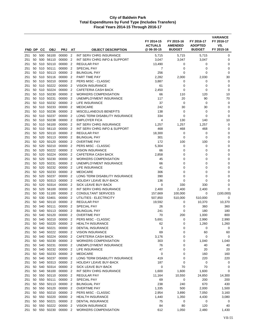|            | FND DP   | CC         | <b>OBJ</b>                | <b>PRJ</b>           | AT                               | <b>OBJECT DESCRIPTION</b>                                       | FY 2014-15<br><b>ACTUALS</b><br>@ 06-30-15 | FY 2015-16<br><b>AMENDED</b><br><b>BUDGET</b> | FY 2016-17<br><b>ADOPTED</b><br><b>BUDGET</b> | FY 2016-17<br>VS.<br>FY 2015-16 |
|------------|----------|------------|---------------------------|----------------------|----------------------------------|-----------------------------------------------------------------|--------------------------------------------|-----------------------------------------------|-----------------------------------------------|---------------------------------|
|            |          |            |                           |                      |                                  |                                                                 |                                            |                                               |                                               |                                 |
| 251<br>251 | 50<br>50 | 500        | 500 56100<br>56110        | 00000<br>00000       | $\overline{2}$<br>$\overline{2}$ | INT SERV CHRG INSURANCE<br>INT SERV CHRG INFO & SUPPORT         | 5,715<br>3,047                             | 5,715<br>3,047                                | 5,715<br>3,047                                | 0<br>0                          |
| 251        | 50       | 510        | 50110                     | 00000                | $\overline{2}$                   | <b>REGULAR PAY</b>                                              | 13,490                                     | 0                                             | 0                                             | 0                               |
| 251        | 50       | 510        | 50111                     | 00000                | $\overline{2}$                   | <b>SPECIAL PAY</b>                                              | 7                                          | $\mathbf 0$                                   | 0                                             | 0                               |
| 251        | 50       |            | 510 50113                 | 00000                | $\overline{2}$                   | <b>BILINGUAL PAY</b>                                            | 256                                        | 0                                             | 0                                             | 0                               |
| 251        | 50       |            | 510 50116                 | 00000                | $\overline{2}$                   | PART TIME PAY                                                   | 2,282                                      | 2,000                                         | 2,030                                         | 30                              |
| 251        | 50       | 510        | 50210                     | 00000                | $\overline{2}$                   | PERS MISC - CLASSIC                                             | 3,887                                      | 0                                             | 0                                             | 0                               |
| 251        | 50       |            | 510 50222                 | 00000                | $\overline{2}$                   | <b>VISION INSURANCE</b>                                         | 61                                         | 0                                             | 0                                             | 0                               |
| 251        | 50       |            | 510 50224                 | 00000                | 2                                | CAFETERIA CASH BACK                                             | 2,450                                      | 0                                             | 0                                             | 0                               |
| 251        | 50       |            | 510 50230                 | 00000                | $\overline{2}$                   | <b>WORKERS COMPENSATION</b>                                     | 66                                         | 110                                           | 120                                           | 10                              |
| 251        | 50       | 510        | 50231                     | 00000                | $\overline{2}$                   | UNEMPLOYMENT INSURANCE                                          | 117                                        | 20                                            | 90                                            | 70                              |
| 251        | 50       |            | 510 50232                 | 00000                | $\overline{2}$                   | LIFE INSURANCE                                                  | 37                                         | $\mathbf 0$                                   | $\mathbf 0$                                   | 0                               |
| 251        | 50       |            | 510 50233                 | 00000                | $\overline{2}$                   | <b>MEDICARE</b>                                                 | 242                                        | 30                                            | 30                                            | 0                               |
| 251        | 50       | 510        | 50236                     | 00000                | $\overline{2}$                   | <b>MISCELLANEOUS BENEFITS</b>                                   | 138                                        | $\mathbf 0$                                   | 0                                             | 0                               |
| 251        | 50       | 510        | 50237                     | 00000                | $\overline{2}$                   | LONG TERM DISABILITY INSURANCE                                  | 334                                        | 0                                             | 0                                             | 0                               |
| 251        | 50       |            | 510 50238                 | 00000                | $\overline{2}$                   | <b>EMPLOYER FICA</b>                                            | 4                                          | 130                                           | 140                                           | 10                              |
| 251        | 50       |            | 510 56100                 | 00000                | $\overline{2}$                   | INT SERV CHRG INSURANCE                                         | 1,257                                      | 1,257                                         | 1,257                                         | $\mathbf 0$                     |
| 251        | 50       | 510        | 56110                     | 00000                | $\overline{2}$                   | INT SERV CHRG INFO & SUPPORT                                    | 468                                        | 468                                           | 468                                           | 0                               |
| 251        | 50       | 520        | 50110                     | 00000                | $\overline{2}$                   | <b>REGULAR PAY</b>                                              | 18,300                                     | 0                                             | $\mathbf 0$                                   | 0                               |
| 251        | 50       | 520        | 50113                     | 00000                | 2                                | <b>BILINGUAL PAY</b>                                            | 301                                        | $\mathbf 0$                                   | 0                                             | $\mathbf 0$                     |
| 251        | 50       | 520        | 50120                     | 00000                | $\overline{2}$                   | <b>OVERTIME PAY</b>                                             | 172                                        | 100                                           | 100                                           | 0                               |
| 251        | 50       | 520        | 50210                     | 00000                | $\overline{2}$                   | PERS MISC - CLASSIC                                             | 5,304                                      | $\mathbf 0$                                   | $\mathbf 0$                                   | 0                               |
| 251        | 50       | 520        | 50222                     | 00000                | $\overline{2}$                   | <b>VISION INSURANCE</b>                                         | 66                                         | $\mathbf 0$                                   | 0                                             | $\mathbf 0$                     |
| 251        | 50       | 520        | 50224                     | 00000                | $\overline{2}$                   | <b>CAFETERIA CASH BACK</b>                                      | 2,858                                      | 0                                             | 0                                             | 0                               |
| 251        | 50       | 520        | 50230                     | 00000                | $\overline{2}$                   | WORKERS COMPENSATION                                            | 45                                         | 0                                             | 0                                             | 0                               |
| 251        | 50       |            | 520 50231                 | 00000                | $\overline{2}$                   | UNEMPLOYMENT INSURANCE                                          | 66                                         | $\mathbf 0$                                   | 0                                             | 0                               |
| 251        | 50       | 520        | 50232                     | 00000                | $\overline{2}$                   | LIFE INSURANCE                                                  | 41                                         | 0                                             | 0                                             | 0                               |
| 251        | 50<br>50 | 520        | 50233<br>50237            | 00000<br>00000       | $\overline{2}$                   | <b>MEDICARE</b>                                                 | 306                                        | 0                                             | 0                                             | $\mathbf 0$                     |
| 251<br>251 | 50       | 520<br>520 | 50313                     | 00000                | $\overline{2}$<br>$\overline{2}$ | LONG TERM DISABILITY INSURANCE<br><b>HOLIDAY LEAVE BUY-BACK</b> | 390<br>136                                 | 0<br>0                                        | 0<br>0                                        | 0<br>0                          |
| 251        | 50       | 520        | 50314                     | 00000                | $\overline{2}$                   | SICK LEAVE BUY-BACK                                             | 0                                          | 330                                           | 330                                           | 0                               |
| 251        | 50       | 520        | 56100                     | 00000                | $\overline{2}$                   | INT SERV CHRG INSURANCE                                         | 2,400                                      | 2,400                                         | 2,400                                         | 0                               |
| 251        | 50       | 530        | 51100                     | 00000                | $\overline{2}$                   | <b>CONSULTANT SERVICES</b>                                      | 157,669                                    | 100,000                                       | 0                                             | (100,000)                       |
| 251        | 50       |            | 530 53401                 | 00000                | 2                                | UTILITIES - ELECTRICITY                                         | 507,850                                    | 510,000                                       | 510,000                                       | 0                               |
| 251        | 50       |            | 540 50110                 | 00000                | $\overline{2}$                   | <b>REGULAR PAY</b>                                              | 19,592                                     | 0                                             | 10,370                                        | 10,370                          |
| 251        | 50       | 540        | 50111                     | 00000                | $\overline{2}$                   | <b>SPECIAL PAY</b>                                              | 26                                         | 0                                             | 360                                           | 360                             |
| 251        | 50       | 540        | 50113                     | 00000                | $\overline{2}$                   | <b>BILINGUAL PAY</b>                                            | 241                                        | 0                                             | 180                                           | 180                             |
| 251        | 50       | 540        | 50120                     | 00000                | 2                                | <b>OVERTIME PAY</b>                                             | 70                                         | 200                                           | 1,000                                         | 800                             |
| 251        | 50       | 540        | 50210                     | 00000                | $\overline{2}$                   | PERS MISC - CLASSIC                                             | 5,691                                      | 0                                             | 2,990                                         | 2,990                           |
| 251        | 50       | 540        | 50220                     | 00000 2              |                                  | <b>HEALTH INSURANCE</b>                                         | 62                                         | 0                                             | 1,260                                         | 1,260                           |
| 251        | 50       | 540        | 50221                     | 00000 2              |                                  | <b>DENTAL INSURANCE</b>                                         | 3                                          | 0                                             | 0                                             | 0                               |
| 251        | 50       |            | 540 50222                 | 00000 2              |                                  | <b>VISION INSURANCE</b>                                         | 69                                         | 0                                             | 60                                            | 60                              |
| 251        |          |            | 50 540 50224              | 00000 2              |                                  | CAFETERIA CASH BACK                                             | 3,176                                      | 0                                             | 0                                             | 0                               |
| 251        | 50       |            | 540 50230                 | 00000 2              |                                  | <b>WORKERS COMPENSATION</b>                                     | 303                                        | 0                                             | 1,040                                         | 1,040                           |
| 251        | 50       | 540        | 50231                     | 00000                | $\overline{2}$                   | UNEMPLOYMENT INSURANCE                                          | 76                                         | 0                                             | 40                                            | 40                              |
| 251        | 50       |            | 540 50232                 | 00000                | $\overline{2}$                   | <b>LIFE INSURANCE</b>                                           | 47                                         | 0                                             | 20                                            | 20                              |
| 251        | 50       | 540        | 50233                     | 00000 2              |                                  | <b>MEDICARE</b>                                                 | 0                                          | 0                                             | 160                                           | 160                             |
| 251        | 50       |            | 540 50237                 | 00000 2              |                                  | LONG TERM DISABILITY INSURANCE                                  | 419                                        | 0                                             | 220                                           | 220                             |
| 251        | 50       |            | 540 50313<br>50 540 50314 | 00000 2              |                                  | <b>HOLIDAY LEAVE BUY-BACK</b>                                   | 187                                        | 0                                             | 0                                             | 0                               |
| 251        |          |            |                           | 00000 2              |                                  | SICK LEAVE BUY-BACK                                             | $\mathbf 0$                                | 70                                            | 70                                            | 0                               |
| 251        | 50       |            | 50 540 56100<br>550 50110 | 00000 2<br>00000 2   |                                  | INT SERV CHRG INSURANCE                                         | 1,600                                      | 1,600                                         | 1,600                                         | $\mathbf 0$                     |
| 251        | 50       |            | 550 50111                 | 00000 2              |                                  | REGULAR PAY<br>SPECIAL PAY                                      | 11,164<br>69                               | 10,550<br>0                                   | 24,850<br>200                                 | 14,300<br>200                   |
| 251<br>251 | 50       | 550        | 50113                     | 00000                | $\overline{2}$                   | <b>BILINGUAL PAY</b>                                            | 238                                        | 240                                           | 670                                           | 430                             |
| 251        | 50       |            | 550 50120                 | 00000 2              |                                  | <b>OVERTIME PAY</b>                                             | 1,335                                      | 500                                           | 2,000                                         | 1,500                           |
| 251        | 50       |            | 550 50210                 | 00000 2              |                                  | PERS MISC - CLASSIC                                             | 2,954                                      | 3,890                                         | 7,050                                         | 3,160                           |
| 251        | 50       |            | 550 50220                 | 00000 2              |                                  | <b>HEALTH INSURANCE</b>                                         | 1,440                                      | 1,350                                         | 4,430                                         | 3,080                           |
| 251        | 50       |            | 550 50221                 | 00000 2              |                                  | DENTAL INSURANCE                                                | 75                                         | 0                                             | 0                                             | 0                               |
| 251        | 50       |            | 550 50222                 | 00000                | $\overline{2}$                   | <b>VISION INSURANCE</b>                                         | 84                                         | 80                                            | 120                                           | 40                              |
| 251        |          |            |                           | 50 550 50230 00000 2 |                                  | <b>WORKERS COMPENSATION</b>                                     | 612                                        | 1,050                                         | 2,480                                         | 1,430                           |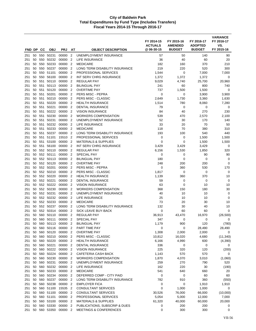|            |          |     |                        |                    |                                  |                                               | FY 2014-15<br><b>ACTUALS</b> | FY 2015-16<br><b>AMENDED</b> | FY 2016-17<br><b>ADOPTED</b> | <b>VARIANCE</b><br>FY 2016-17<br>VS. |
|------------|----------|-----|------------------------|--------------------|----------------------------------|-----------------------------------------------|------------------------------|------------------------------|------------------------------|--------------------------------------|
| FND DP     |          | CС  | <b>OBJ</b>             | <b>PRJ</b>         | AT                               | <b>OBJECT DESCRIPTION</b>                     | @06-30-15                    | <b>BUDGET</b>                | <b>BUDGET</b>                | FY 2015-16                           |
| 251        | 50       | 550 | 50231                  | 00000              | $\overline{2}$                   | UNEMPLOYMENT INSURANCE                        | 57                           | 50                           | 140                          | 90                                   |
| 251        | 50       | 550 | 50232                  | 00000              | $\overline{2}$                   | <b>LIFE INSURANCE</b>                         | 36                           | 40                           | 60                           | 20                                   |
| 251        | 50       | 550 | 50233                  | 00000              | $\overline{2}$                   | <b>MEDICARE</b>                               | 182                          | 160                          | 370                          | 210                                  |
| 251        | 50       | 550 | 50237                  | 00000              | $\overline{2}$                   | LONG TERM DISABILITY INSURANCE                | 219                          | 220                          | 520                          | 300                                  |
| 251        | 50       |     | 550 51101              | 00000              | $\overline{2}$                   | PROFESSIONAL SERVICES                         | 1,544                        | 0                            | 7,000                        | 7,000                                |
| 251<br>251 | 50<br>50 | 551 | 550 56100<br>50110     | 00000<br>00000     | $\overline{2}$<br>$\overline{2}$ | INT SERV CHRG INSURANCE<br><b>REGULAR PAY</b> | 1,372<br>9,029               | 1,372                        | 1,372<br>25,700              | 0<br>20,960                          |
| 251        | 50       | 551 | 50113                  | 00000              | $\overline{2}$                   | <b>BILINGUAL PAY</b>                          | 241                          | 4,740<br>60                  | 800                          | 740                                  |
| 251        | 50       | 551 | 50120                  | 00000              | $\overline{2}$                   | <b>OVERTIME PAY</b>                           | 737                          | 1,500                        | 1,500                        | 0                                    |
| 251        | 50       | 551 | 50201                  | 00000              | $\overline{2}$                   | PERS MISC - PEPRA                             | 0                            | $\mathbf 0$                  | 3,900                        | 3,900                                |
| 251        | 50       | 551 | 50210                  | 00000              | $\overline{2}$                   | PERS MISC - CLASSIC                           | 2,649                        | 1,730                        | 3,360                        | 1,630                                |
| 251        | 50       | 551 | 50220                  | 00000              | $\overline{2}$                   | <b>HEALTH INSURANCE</b>                       | 1,514                        | 780                          | 8,060                        | 7,280                                |
| 251        | 50       | 551 | 50221                  | 00000              | $\overline{2}$                   | <b>DENTAL INSURANCE</b>                       | 79                           | 0                            | 0                            | 0                                    |
| 251        | 50       | 551 | 50222                  | 00000              | $\overline{2}$                   | <b>VISION INSURANCE</b>                       | 84                           | 40                           | 270                          | 230                                  |
| 251        | 50       | 551 | 50230                  | 00000              | $\overline{2}$                   | <b>WORKERS COMPENSATION</b>                   | 539                          | 470                          | 2,570                        | 2,100                                |
| 251        | 50       | 551 | 50231                  | 00000              | $\overline{2}$                   | UNEMPLOYMENT INSURANCE                        | 52                           | 30                           | 170                          | 140                                  |
| 251        | 50       | 551 | 50232                  | 00000              | $\overline{2}$                   | LIFE INSURANCE                                | 33                           | 20                           | 70                           | 50                                   |
| 251        | 50       | 551 | 50233                  | 00000              | $\overline{2}$                   | <b>MEDICARE</b>                               | 118                          | 70                           | 380                          | 310                                  |
| 251        | 50       |     | 551 50237              | 00000              | $\overline{2}$                   | LONG TERM DISABILITY INSURANCE                | 193                          | 100                          | 540                          | 440                                  |
| 251        | 50       | 551 | 51101                  | 15510              | $\overline{2}$                   | PROFESSIONAL SERVICES                         | 0                            | 0                            | 1,500                        | 1,500                                |
| 251        | 50       | 551 | 53100                  | 00000              | $\overline{2}$                   | <b>MATERIALS &amp; SUPPLIES</b>               | $\mathbf 0$                  | $\mathbf 0$                  | 1,500                        | 1,500                                |
| 251        | 50       | 551 | 56100                  | 00000              | $\overline{2}$                   | INT SERV CHRG INSURANCE                       | 3,429                        | 3,429                        | 3,429                        | 0                                    |
| 251        | 50       |     | 552 50110              | 00000              | $\overline{2}$                   | <b>REGULAR PAY</b>                            | 6,156                        | 1,530                        | 1,850                        | 320                                  |
| 251<br>251 | 50<br>50 |     | 552 50111<br>552 50113 | 00000<br>00000     | $\overline{2}$<br>$\overline{2}$ | <b>SPECIAL PAY</b><br><b>BILINGUAL PAY</b>    | 0<br>180                     | 0<br>$\mathbf 0$             | 90<br>0                      | 90<br>0                              |
| 251        | 50       |     | 552 50120              | 00000              | $\overline{2}$                   | <b>OVERTIME PAY</b>                           | 248                          | 200                          | 200                          | $\mathbf 0$                          |
| 251        | 50       |     | 552 50201              | 00000              | $\overline{2}$                   | PERS MISC - PEPRA                             | 0                            | 360                          | 530                          | 170                                  |
| 251        | 50       |     | 552 50210              | 00000              | $\overline{2}$                   | PERS MISC - CLASSIC                           | 1,817                        | 0                            | 0                            | 0                                    |
| 251        | 50       |     | 552 50220              | 00000              | $\overline{2}$                   | <b>HEALTH INSURANCE</b>                       | 1,139                        | 360                          | 370                          | 10                                   |
| 251        | 50       |     | 552 50221              | 00000              | $\overline{2}$                   | <b>DENTAL INSURANCE</b>                       | 59                           | 0                            | 0                            | 0                                    |
| 251        | 50       |     | 552 50222              | 00000              | $\overline{2}$                   | <b>VISION INSURANCE</b>                       | 63                           | $\mathbf 0$                  | 10                           | 10                                   |
| 251        | 50       |     | 552 50230              | 00000              | $\overline{2}$                   | <b>WORKERS COMPENSATION</b>                   | 368                          | 150                          | 180                          | 30                                   |
| 251        | 50       |     | 552 50231              | 00000              | $\overline{2}$                   | UNEMPLOYMENT INSURANCE                        | 40                           | 10                           | 10                           | $\mathbf 0$                          |
| 251        | 50       |     | 552 50232              | 00000              | $\overline{2}$                   | LIFE INSURANCE                                | 25                           | 10                           | 10                           | 0                                    |
| 251        | 50       |     | 552 50233              | 00000              | $\overline{2}$                   | <b>MEDICARE</b>                               | 73                           | 20                           | 30                           | 10                                   |
| 251        | 50       |     | 552 50237              | 00000              | $\overline{2}$                   | LONG TERM DISABILITY INSURANCE                | 132                          | 30                           | 40                           | 10                                   |
| 251        | 50       |     | 552 50314              | 00000              | $\overline{2}$                   | <b>SICK LEAVE BUY-BACK</b>                    | 0                            | 60                           | 60                           | 0                                    |
| 251        | 50<br>50 | 560 | 560 50110<br>50111     | 00000<br>00000     | 2<br>$\overline{2}$              | <b>REGULAR PAY</b><br><b>SPECIAL PAY</b>      | 36,913<br>347                | 43,470<br>0                  | 16,970<br>$\mathbf 0$        | (26, 500)<br>0                       |
| 251<br>251 |          |     | 50 560 50113           | 00000 2            |                                  | <b>BILINGUAL PAY</b>                          | 1,179                        | 900                          | 120                          | (780)                                |
| 251        | 50       |     | 560 50116              | 00000 2            |                                  | PART TIME PAY                                 | 0                            | 0                            | 28,490                       | 28,490                               |
| 251        | 50       |     | 560 50120              | 00000 2            |                                  | <b>OVERTIME PAY</b>                           | 1,308                        | 2,000                        | 2,000                        | 0                                    |
| 251        | 50       | 560 | 50210                  | 00000 2            |                                  | PERS MISC - CLASSIC                           | 10,812                       | 16,020                       | 4,680                        | (11, 340)                            |
| 251        | 50       |     | 560 50220              | 00000 2            |                                  | <b>HEALTH INSURANCE</b>                       | 6,166                        | 4,990                        | 600                          | (4,390)                              |
| 251        | 50       |     | 560 50221              | 00000 2            |                                  | <b>DENTAL INSURANCE</b>                       | 336                          | 0                            | 0                            | 0                                    |
| 251        | 50       |     | 560 50222              | 00000 2            |                                  | <b>VISION INSURANCE</b>                       | 225                          | 320                          | 120                          | (200)                                |
| 251        | 50       |     | 560 50224              | 00000 2            |                                  | CAFETERIA CASH BACK                           | 1,143                        | 570                          | 570                          | 0                                    |
| 251        | 50       |     | 560 50230              | 00000 2            |                                  | <b>WORKERS COMPENSATION</b>                   | 1,870                        | 4,070                        | 3,010                        | (1,060)                              |
| 251        | 50       |     | 560 50231              | 00000 2            |                                  | UNEMPLOYMENT INSURANCE                        | 259                          | 270                          | 790                          | 520                                  |
| 251        | 50       | 560 | 50232                  | 00000 2            |                                  | LIFE INSURANCE                                | 162                          | 220                          | 30                           | (190)                                |
| 251        | 50       |     | 560 50233              | 00000 2            |                                  | <b>MEDICARE</b>                               | 541                          | 640                          | 660                          | 20                                   |
| 251        | 50       |     | 560 50234              | 00000              | $\overline{2}$                   | DEFERRED COMP - CITY PAID                     | $\pmb{0}$                    | 0                            | 60                           | 60                                   |
| 251        | 50       |     | 560 50237              | 00000              | $\overline{2}$                   | LONG TERM DISABILITY INSURANCE                | 782                          | 910                          | 360                          | (550)                                |
| 251        | 50<br>50 |     | 560 50238<br>560 51100 | 00000 2<br>15535 2 |                                  | <b>EMPLOYER FICA</b><br>CONSULTANT SERVICES   | 0<br>$\mathbf 0$             | 0<br>1,000                   | 1,910<br>1,000               | 1,910<br>0                           |
| 251<br>251 | 50       |     | 560 51100              | 00000 2            |                                  | <b>CONSULTANT SERVICES</b>                    | 30,526                       | 76,000                       | 66,000                       | (10,000)                             |
| 251        | 50       |     | 560 51101              | 00000 2            |                                  | PROFESSIONAL SERVICES                         | 5,054                        | 5,000                        | 12,000                       | 7,000                                |
| 251        | 50       |     | 560 53100              | 00000 2            |                                  | <b>MATERIALS &amp; SUPPLIES</b>               | 61,320                       | 40,000                       | 60,000                       | 20,000                               |
| 251        | 50       |     | 560 53330              | 00000              | $\overline{2}$                   | PUBLICATIONS, SUBSCRIP & DUES                 | 0                            | 200                          | 200                          | 0                                    |
| 251        |          |     | 50 560 53350           | 00000 2            |                                  | <b>MEETINGS &amp; CONFERENCES</b>             | 0                            | 300                          | 300                          | 0                                    |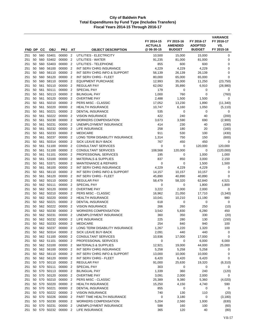| FND DP     |          | CC         | <b>OBJ</b>                | <b>PRJ</b>         | AΤ                               | <b>OBJECT DESCRIPTION</b>                                 | FY 2014-15<br><b>ACTUALS</b><br>@ 06-30-15 | FY 2015-16<br><b>AMENDED</b><br><b>BUDGET</b> | FY 2016-17<br><b>ADOPTED</b><br><b>BUDGET</b> | <b>VARIANCE</b><br>FY 2016-17<br>VS.<br>FY 2015-16 |
|------------|----------|------------|---------------------------|--------------------|----------------------------------|-----------------------------------------------------------|--------------------------------------------|-----------------------------------------------|-----------------------------------------------|----------------------------------------------------|
|            |          |            |                           |                    |                                  |                                                           |                                            |                                               |                                               |                                                    |
| 251<br>251 | 50<br>50 |            | 560 53401<br>560 53402    | 00000<br>00000     | $\overline{2}$<br>$\overline{2}$ | UTILITIES - ELECTRICITY<br>UTILITIES - WATER              | 10,500<br>91,235                           | 15,000<br>81,000                              | 15,000<br>81,000                              | 0<br>0                                             |
| 251        | 50       |            | 560 53403                 | 00000              | $\overline{2}$                   | UTILITIES - TELEPHONE                                     | 855                                        | 600                                           | 600                                           | 0                                                  |
| 251        | 50       |            | 560 56100                 | 00000              | $\overline{2}$                   | INT SERV CHRG INSURANCE                                   | 4,229                                      | 4,229                                         | 4,229                                         | 0                                                  |
| 251        | 50       |            | 560 56110                 | 00000              | $\overline{2}$                   | INT SERV CHRG INFO & SUPPORT                              | 56,139                                     | 26,139                                        | 26,139                                        | 0                                                  |
| 251        | 50       |            | 560 56120                 | 00000              | $\overline{2}$                   | <b>INT SERV CHRG - FLEET</b>                              | 80,000                                     | 65,000                                        | 65,000                                        | 0                                                  |
| 251        | 50       | 560        | 58110                     | 00000              | $\overline{2}$                   | <b>EQUIPMENT PURCHASE</b>                                 | 12,993                                     | 35,000                                        | 11,250                                        | (23, 750)                                          |
| 251        | 50       | 561        | 50110                     | 00000              | $\overline{2}$                   | REGULAR PAY                                               | 62,092                                     | 35,890                                        | 6,910                                         | (28,980)                                           |
| 251        | 50       | 561        | 50111                     | 00000              | 2                                | SPECIAL PAY                                               | 179                                        | 0                                             | 0                                             | 0                                                  |
| 251        | 50       | 561        | 50113                     | 00000              | $\overline{2}$                   | <b>BILINGUAL PAY</b>                                      | 1,000                                      | 760                                           | $\mathbf 0$                                   | (760)                                              |
| 251        | 50       | 561        | 50120                     | 00000              | $\overline{2}$                   | <b>OVERTIME PAY</b>                                       | 2,488                                      | 1,500                                         | 1,500                                         | 0                                                  |
| 251        | 50       |            | 561 50210                 | 00000              | $\overline{2}$                   | PERS MISC - CLASSIC                                       | 17,052                                     | 13,230                                        | 1,890                                         | (11, 340)                                          |
| 251        | 50       |            | 561 50220                 | 00000              | $\overline{2}$                   | <b>HEALTH INSURANCE</b>                                   | 10,747                                     | 6,160                                         | 1,050                                         | (5, 110)                                           |
| 251        | 50<br>50 | 561<br>561 | 50221<br>50222            | 00000<br>00000     | $\overline{2}$<br>$\overline{2}$ | <b>DENTAL INSURANCE</b>                                   | 535<br>422                                 | 0<br>240                                      | $\mathbf 0$<br>40                             | 0                                                  |
| 251<br>251 | 50       | 561        | 50230                     | 00000              | $\overline{2}$                   | <b>VISION INSURANCE</b><br><b>WORKERS COMPENSATION</b>    | 3,673                                      | 3,590                                         | 690                                           | (200)<br>(2,900)                                   |
| 251        | 50       | 561        | 50231                     | 00000              | $\overline{2}$                   | UNEMPLOYMENT INSURANCE                                    | 414                                        | 230                                           | 40                                            | (190)                                              |
| 251        | 50       | 561        | 50232                     | 00000              | $\overline{2}$                   | LIFE INSURANCE                                            | 258                                        | 180                                           | 20                                            | (160)                                              |
| 251        | 50       | 561        | 50233                     | 00000              | $\overline{2}$                   | <b>MEDICARE</b>                                           | 911                                        | 530                                           | 100                                           | (430)                                              |
| 251        | 50       | 561        | 50237                     | 00000              | $\overline{2}$                   | LONG TERM DISABILITY INSURANCE                            | 1,314                                      | 750                                           | 150                                           | (600)                                              |
| 251        | 50       | 561        | 50314                     | 00000              | $\overline{2}$                   | <b>SICK LEAVE BUY-BACK</b>                                | 767                                        | 450                                           | 450                                           | 0                                                  |
| 251        | 50       |            | 561 51100                 | 00000              | $\overline{2}$                   | <b>CONSULTANT SERVICES</b>                                | $\mathbf 0$                                | 0                                             | 120,000                                       | 120,000                                            |
| 251        | 50       | 561        | 51100                     | 00000              | $\overline{2}$                   | <b>CONSULTANT SERVICES</b>                                | 108,568                                    | 120,000                                       | 0                                             | (120,000)                                          |
| 251        | 50       | 561        | 51101                     | 00000              | $\overline{2}$                   | PROFESSIONAL SERVICES                                     | 195                                        | 0                                             | 1,000                                         | 1,000                                              |
| 251        | 50       |            | 561 53100                 | 00000              | $\overline{2}$                   | <b>MATERIALS &amp; SUPPLIES</b>                           | 837                                        | 850                                           | 3,000                                         | 2,150                                              |
| 251        | 50       |            | 561 53371                 | 00000              | $\overline{2}$                   | <b>MAINTENANCE &amp; REPAIRS</b>                          | 0                                          | 0                                             | 1,500                                         | 1,500                                              |
| 251        | 50       | 561        | 56100                     | 00000              | $\overline{2}$                   | INT SERV CHRG INSURANCE                                   | 4,229                                      | 4,229                                         | 4,229                                         | 0                                                  |
| 251        | 50       | 561        | 56110                     | 00000              | $\overline{2}$                   | INT SERV CHRG INFO & SUPPORT                              | 14,157                                     | 10,157                                        | 10,157                                        | 0                                                  |
| 251<br>251 | 50<br>50 | 561        | 56120<br>562 50110        | 00000<br>00000     | $\overline{2}$<br>2              | INT SERV CHRG - FLEET<br>REGULAR PAY                      | 45,890                                     | 40,890                                        | 40,890                                        | $\mathbf 0$<br>4,521                               |
| 251        | 50       |            | 562 50111                 | 00000              | $\overline{2}$                   | <b>SPECIAL PAY</b>                                        | 58,479<br>0                                | 58,320<br>0                                   | 62,840<br>1,800                               | 1,800                                              |
| 251        | 50       |            | 562 50120                 | 00000              | $\overline{2}$                   | <b>OVERTIME PAY</b>                                       | 3,222                                      | 2,000                                         | 2,000                                         | 0                                                  |
| 251        | 50       |            | 562 50210                 | 00000              | $\overline{2}$                   | PERS MISC - CLASSIC                                       | 16,962                                     | 21,050                                        | 17,710                                        | (3,340)                                            |
| 251        | 50       |            | 562 50220                 | 00000              | 2                                | <b>HEALTH INSURANCE</b>                                   | 10,041                                     | 10,210                                        | 11,190                                        | 980                                                |
| 251        | 50       |            | 562 50221                 | 00000              | $\overline{2}$                   | <b>DENTAL INSURANCE</b>                                   | 618                                        | 0                                             | 0                                             | 0                                                  |
| 251        | 50       |            | 562 50222                 | 00000              | $\overline{2}$                   | <b>VISION INSURANCE</b>                                   | 266                                        | 260                                           | 250                                           | (10)                                               |
| 251        | 50       |            | 562 50230                 | 00000              | $\overline{2}$                   | <b>WORKERS COMPENSATION</b>                               | 3,542                                      | 5,830                                         | 6,280                                         | 450                                                |
| 251        | 50       |            | 562 50231                 | 00000              | 2                                | UNEMPLOYMENT INSURANCE                                    | 360                                        | 350                                           | 330                                           | (20)                                               |
| 251        | 50       |            | 562 50232                 | 00000              | $\overline{2}$                   | LIFE INSURANCE                                            | 225                                        | 280                                           | 130                                           | (150)                                              |
| 251        |          |            | 50 562 50233              | 00000 2            |                                  | <b>MEDICARE</b>                                           | 254                                        | 840                                           | 940                                           | 100                                                |
| 251        | 50       |            | 562 50237                 | 00000              | $\overline{2}$                   | LONG TERM DISABILITY INSURANCE                            | 1,267                                      | 1,220                                         | 1,320                                         | 100                                                |
| 251        |          |            | 50 562 50314<br>562 51100 | 00000 2<br>00000 2 |                                  | SICK LEAVE BUY-BACK                                       | 2,091                                      | 440                                           | 440<br>17,000                                 | 0                                                  |
| 251<br>251 | 50<br>50 |            | 562 51101                 | 00000 2            |                                  | <b>CONSULTANT SERVICES</b><br>PROFESSIONAL SERVICES       | 10,936<br>0                                | 17,000<br>0                                   | 6,000                                         | 0<br>6,000                                         |
| 251        | 50       |            | 562 53100                 | 00000 2            |                                  | <b>MATERIALS &amp; SUPPLIES</b>                           | 12,921                                     | 19,000                                        | 44,000                                        | 25,000                                             |
| 251        |          |            | 50 562 56100              | 00000 2            |                                  | INT SERV CHRG INSURANCE                                   | 5,258                                      | 5,258                                         | 5,258                                         | 0                                                  |
| 251        | 50       |            | 562 56110                 | 00000 2            |                                  | INT SERV CHRG INFO & SUPPORT                              | 13,000                                     | 10,000                                        | 10,000                                        | 0                                                  |
| 251        | 50       |            | 562 56120                 | 00000              | $\overline{2}$                   | INT SERV CHRG - FLEET                                     | 6,420                                      | 6,420                                         | 6,420                                         | 0                                                  |
| 251        |          |            | 50 570 50110              | 00000 2            |                                  | REGULAR PAY                                               | 91,000                                     | 25,630                                        | 19,320                                        | (6, 310)                                           |
| 251        | 50       |            | 570 50111                 | 00000 2            |                                  | SPECIAL PAY                                               | 303                                        | 0                                             | 0                                             | 0                                                  |
| 251        |          |            | 50 570 50113              | 00000 2            |                                  | <b>BILINGUAL PAY</b>                                      | 1,339                                      | 360                                           | 240                                           | (120)                                              |
| 251        |          |            | 50 570 50120              | 00000 2            |                                  | <b>OVERTIME PAY</b>                                       | 3,091                                      | 2,000                                         | 2,000                                         | 0                                                  |
| 251        |          |            | 50 570 50210              | 00000 2            |                                  | PERS MISC - CLASSIC                                       | 25,389                                     | 9,380                                         | 5,360                                         | (4,020)                                            |
| 251        | 50       |            | 570 50220                 | 00000 2            |                                  | <b>HEALTH INSURANCE</b>                                   | 15,250                                     | 4,150                                         | 4,740                                         | 590                                                |
| 251        |          |            | 50 570 50221              | 00000 2            |                                  | DENTAL INSURANCE                                          | 855                                        | 0                                             | 0                                             | 0                                                  |
| 251        |          |            | 50 570 50222              | 00000 2            |                                  | <b>VISION INSURANCE</b>                                   | 740                                        | 130                                           | 110                                           | (20)                                               |
| 251        | 50       | 570        | 50226<br>50 570 50230     | 00000 2<br>00000 2 |                                  | PART TIME HEALTH INSURANCE<br><b>WORKERS COMPENSATION</b> | 0<br>5,204                                 | 3,180<br>2,560                                | 0<br>1,930                                    | (3, 180)<br>(630)                                  |
| 251<br>251 | 50       |            | 570 50231                 | 00000              | $\overline{2}$                   | UNEMPLOYMENT INSURANCE                                    | 588                                        | 160                                           | 100                                           | (60)                                               |
| 251        |          |            | 50 570 50232              | 00000 2            |                                  | LIFE INSURANCE                                            | 365                                        | 120                                           | 40                                            | (80)                                               |
|            |          |            |                           |                    |                                  |                                                           |                                            |                                               |                                               |                                                    |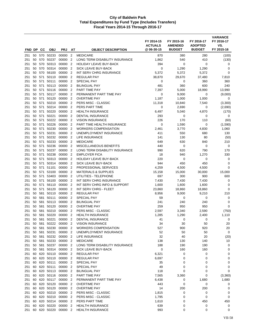| FND DP     |          | CС         | <b>OBJ</b>                | <b>PRJ</b>           | AT                               | <b>OBJECT DESCRIPTION</b>                               | FY 2014-15<br><b>ACTUALS</b><br>@ 06-30-15 | FY 2015-16<br><b>AMENDED</b><br><b>BUDGET</b> | FY 2016-17<br><b>ADOPTED</b><br><b>BUDGET</b> | <b>VARIANCE</b><br>FY 2016-17<br>VS.<br>FY 2015-16 |
|------------|----------|------------|---------------------------|----------------------|----------------------------------|---------------------------------------------------------|--------------------------------------------|-----------------------------------------------|-----------------------------------------------|----------------------------------------------------|
|            |          |            |                           |                      |                                  |                                                         |                                            |                                               |                                               |                                                    |
| 251<br>251 | 50<br>50 | 570        | 570 50233<br>50237        | 00000<br>00000       | $\overline{2}$<br>$\overline{2}$ | <b>MEDICARE</b><br>LONG TERM DISABILITY INSURANCE       | 870<br>1,862                               | 380<br>540                                    | 280<br>410                                    | (100)<br>(130)                                     |
| 251        | 50       | 570        | 50313                     | 00000                | $\overline{2}$                   | <b>HOLIDAY LEAVE BUY-BACK</b>                           | 394                                        | $\mathbf 0$                                   | $\mathbf 0$                                   | 0                                                  |
| 251        | 50       | 570        | 50314                     | 00000                | $\overline{2}$                   | SICK LEAVE BUY-BACK                                     | 0                                          | 1,290                                         | 1,290                                         | 0                                                  |
| 251        | 50       | 570        | 56100                     | 00000                | $\overline{2}$                   | INT SERV CHRG INSURANCE                                 | 5,372                                      | 5,372                                         | 5,372                                         | $\mathbf 0$                                        |
| 251        | 50       | 571        | 50110                     | 00000                | $\overline{2}$                   | <b>REGULAR PAY</b>                                      | 38,870                                     | 29,670                                        | 37,480                                        | 7,810                                              |
| 251        | 50       | 571        | 50111                     | 00000                | $\overline{2}$                   | <b>SPECIAL PAY</b>                                      | 0                                          | 0                                             | 360                                           | 360                                                |
| 251        | 50       | 571        | 50113                     | 00000                | $\overline{2}$                   | <b>BILINGUAL PAY</b>                                    | 481                                        | 360                                           | 600                                           | 240                                                |
| 251        | 50       | 571        | 50116                     | 00000                | $\overline{2}$                   | PART TIME PAY                                           | 7,397                                      | 5,000                                         | 18,990                                        | 13,990                                             |
| 251        | 50       | 571        | 50117                     | 00000                | $\overline{2}$                   | PERMANENT PART TIME PAY                                 | 0                                          | 9,000                                         | $\mathbf 0$                                   | (9,000)                                            |
| 251        | 50       | 571        | 50120                     | 00000                | $\overline{2}$                   | <b>OVERTIME PAY</b>                                     | 1,187                                      | 1,000                                         | 1,000                                         | 0                                                  |
| 251        | 50       | 571        | 50210                     | 00000                | $\overline{2}$                   | PERS MISC - CLASSIC                                     | 11,318                                     | 10,840                                        | 7,540                                         | (3,300)                                            |
| 251        | 50       | 571        | 50214                     | 00000                | 2                                | PERS PART TIME                                          | 0                                          | 2,690                                         | 0                                             | (2,690)                                            |
| 251        | 50       | 571        | 50220<br>50221            | 00000                | $\overline{2}$                   | <b>HEALTH INSURANCE</b>                                 | 6,497                                      | 5,040                                         | 4,870                                         | (170)                                              |
| 251<br>251 | 50<br>50 | 571<br>571 | 50222                     | 00000<br>00000       | $\overline{2}$<br>$\overline{2}$ | <b>DENTAL INSURANCE</b><br><b>VISION INSURANCE</b>      | 293<br>226                                 | 0<br>170                                      | 0<br>110                                      | 0                                                  |
| 251        | 50       | 571        | 50226                     | 00000                | $\overline{2}$                   | PART TIME HEALTH INSURANCE                              | $\mathbf 0$                                | 1,590                                         | 0                                             | (60)<br>(1,590)                                    |
| 251        | 50       | 571        | 50230                     | 00000                | $\overline{2}$                   | <b>WORKERS COMPENSATION</b>                             | 2,461                                      | 3,770                                         | 4,830                                         | 1,060                                              |
| 251        | 50       | 571        | 50231                     | 00000                | $\overline{2}$                   | UNEMPLOYMENT INSURANCE                                  | 411                                        | 550                                           | 680                                           | 130                                                |
| 251        | 50       | 571        | 50232                     | 00000                | $\overline{2}$                   | <b>LIFE INSURANCE</b>                                   | 141                                        | 130                                           | 80                                            | (50)                                               |
| 251        | 50       | 571        | 50233                     | 00000                | $\overline{2}$                   | <b>MEDICARE</b>                                         | 649                                        | 630                                           | 840                                           | 210                                                |
| 251        | 50       | 571        | 50236                     | 00000                | $\overline{2}$                   | MISCELLANEOUS BENEFITS                                  | 440                                        | 0                                             | 0                                             | 0                                                  |
| 251        | 50       | 571        | 50237                     | 00000                | $\overline{2}$                   | LONG TERM DISABILITY INSURANCE                          | 990                                        | 620                                           | 790                                           | 170                                                |
| 251        | 50       | 571        | 50238                     | 00000                | $\overline{2}$                   | <b>EMPLOYER FICA</b>                                    | 18                                         | 940                                           | 1,270                                         | 330                                                |
| 251        | 50       | 571        | 50313                     | 00000                | $\overline{2}$                   | <b>HOLIDAY LEAVE BUY-BACK</b>                           | 220                                        | 0                                             | 0                                             | 0                                                  |
| 251        | 50       | 571        | 50314                     | 00000                | $\overline{2}$                   | SICK LEAVE BUY-BACK                                     | 944                                        | 450                                           | 450                                           | 0                                                  |
| 251        | 50       | 571        | 51101                     | 00000                | $\overline{2}$                   | PROFESSIONAL SERVICES                                   | 4,259                                      | 4,500                                         | 4,500                                         | $\mathbf 0$                                        |
| 251        | 50       | 571        | 53100                     | 00000                | $\overline{2}$                   | <b>MATERIALS &amp; SUPPLIES</b>                         | 15,158                                     | 15,000                                        | 30,000                                        | 15,000                                             |
| 251        | 50       | 571        | 53403                     | 00000                | $\overline{2}$                   | UTILITIES - TELEPHONE                                   | 697                                        | 300                                           | 900                                           | 600                                                |
| 251<br>251 | 50<br>50 | 571<br>571 | 56100<br>56110            | 00000<br>00000       | $\overline{2}$<br>$\overline{2}$ | INT SERV CHRG INSURANCE<br>INT SERV CHRG INFO & SUPPORT | 7,430<br>1,600                             | 7,430<br>1,600                                | 7,430<br>1,600                                | 0<br>0                                             |
| 251        | 50       | 571        | 56120                     | 00000                | $\overline{2}$                   | INT SERV CHRG - FLEET                                   | 23,860                                     | 18,860                                        | 18,860                                        | 0                                                  |
| 251        | 50       | 581        | 50110                     | 00000                | $\overline{2}$                   | <b>REGULAR PAY</b>                                      | 8,956                                      | 9,000                                         | 9,210                                         | 210                                                |
| 251        | 50       |            | 581 50111                 | 00000                | $\overline{2}$                   | <b>SPECIAL PAY</b>                                      | 59                                         | 0                                             | 0                                             | 0                                                  |
| 251        | 50       | 581        | 50113                     | 00000                | $\overline{2}$                   | <b>BILINGUAL PAY</b>                                    | 241                                        | 240                                           | 240                                           | 0                                                  |
| 251        | 50       | 581        | 50120                     | 00000                | $\overline{2}$                   | <b>OVERTIME PAY</b>                                     | 259                                        | 950                                           | 950                                           | 0                                                  |
| 251        | 50       | 581        | 50210                     | 00000                | $\overline{2}$                   | <b>PERS MISC - CLASSIC</b>                              | 2,597                                      | 3,340                                         | 2,590                                         | (750)                                              |
| 251        | 50       | 581        | 50220                     | 00000                | $\overline{2}$                   | <b>HEALTH INSURANCE</b>                                 | 1,285                                      | 1,290                                         | 2,400                                         | 1,110                                              |
| 251        | 50       | 581        | 50221                     | 00000                | $\overline{2}$                   | <b>DENTAL INSURANCE</b>                                 | 41                                         | 0                                             | 0                                             | 0                                                  |
| 251        | 50       | 581        |                           | 50222 00000 2        |                                  | VISION INSURANCE                                        | 34                                         | 30                                            | 50                                            | 20                                                 |
| 251        | 50       | 581        | 50230                     | 00000 2              |                                  | <b>WORKERS COMPENSATION</b>                             | 527                                        | 900                                           | 920                                           | 20                                                 |
| 251        |          |            | 50 581 50231              | 00000 2              |                                  | UNEMPLOYMENT INSURANCE                                  | 52                                         | 50                                            | 50                                            | 0                                                  |
| 251        |          |            | 50 581 50232              | 00000 2              |                                  | LIFE INSURANCE                                          | 32                                         | 40                                            | 20                                            | (20)                                               |
| 251        |          |            | 50 581 50233<br>581 50237 | 00000 2              |                                  | <b>MEDICARE</b>                                         | 138                                        | 130                                           | 140                                           | 10                                                 |
| 251<br>251 | 50       |            | 50 581 50314              | 00000<br>00000       | $\overline{2}$<br>$\overline{2}$ | LONG TERM DISABILITY INSURANCE<br>SICK LEAVE BUY-BACK   | 188<br>$\mathbf 0$                         | 190<br>160                                    | 190<br>160                                    | 0<br>0                                             |
| 251        |          |            | 60 620 50110              | 00000 2              |                                  | <b>REGULAR PAY</b>                                      | 6,321                                      | 0                                             | 0                                             | 0                                                  |
| 251        |          |            |                           | 60 620 50110 00000 2 |                                  | <b>REGULAR PAY</b>                                      | 6,697                                      | 0                                             | 0                                             | 0                                                  |
| 251        |          |            | 60 620 50111              | 00000                | $\overline{2}$                   | SPECIAL PAY                                             | 35                                         | 0                                             | 0                                             | 0                                                  |
| 251        |          |            | 60 620 50111              | 00000 2              |                                  | SPECIAL PAY                                             | 49                                         | 0                                             | 0                                             | 0                                                  |
| 251        |          |            |                           | 60 620 50113 00000 2 |                                  | <b>BILINGUAL PAY</b>                                    | 118                                        | 0                                             | 0                                             | $\mathbf 0$                                        |
| 251        |          |            |                           | 60 620 50116 00000 2 |                                  | PART TIME PAY                                           | 7,565                                      | 3,360                                         | 0                                             | (3,360)                                            |
| 251        |          |            | 60 620 50117              | 00000 2              |                                  | PERMANENT PART TIME PAY                                 | 6,438                                      | 0                                             | 1,680                                         | 1,680                                              |
| 251        | 60       |            | 620 50120                 | 00000 2              |                                  | <b>OVERTIME PAY</b>                                     | 443                                        | 0                                             | 0                                             | 0                                                  |
| 251        |          |            | 60 620 50120              | 00000 2              |                                  | <b>OVERTIME PAY</b>                                     | 14                                         | 200                                           | 200                                           | 0                                                  |
| 251        |          |            |                           | 60 620 50210 00000   | $\overline{2}$                   | PERS MISC - CLASSIC                                     | 1,815                                      | 0                                             | 0                                             | 0                                                  |
| 251        |          |            | 60 620 50210              | 00000 2              |                                  | PERS MISC - CLASSIC                                     | 1,795                                      | 0                                             | 0                                             | 0                                                  |
| 251        |          |            |                           | 60 620 50214 00000 2 |                                  | PERS PART TIME                                          | 1,610                                      | 0                                             | 450                                           | 450                                                |
| 251        | 60       |            | 620 50220                 | 00000                | 2                                | <b>HEALTH INSURANCE</b>                                 | 639                                        | 0                                             | 0                                             | 0                                                  |
| 251        |          |            |                           | 60 620 50220 00000 2 |                                  | <b>HEALTH INSURANCE</b>                                 | 993                                        | 0                                             | 0                                             | 0                                                  |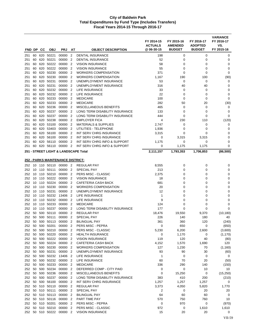|            |          |            |                  |                                   |                                  |                                                            | FY 2014-15<br><b>ACTUALS</b> | FY 2015-16<br><b>AMENDED</b> | FY 2016-17<br><b>ADOPTED</b> | <b>VARIANCE</b><br>FY 2016-17<br>VS. |
|------------|----------|------------|------------------|-----------------------------------|----------------------------------|------------------------------------------------------------|------------------------------|------------------------------|------------------------------|--------------------------------------|
| FND DP     |          | CС         | <b>OBJ</b>       | <b>PRJ</b>                        | AT                               | <b>OBJECT DESCRIPTION</b>                                  | @ 06-30-15                   | <b>BUDGET</b>                | <b>BUDGET</b>                | FY 2015-16                           |
| 251        | 60       | 620        | 50221            | 00000                             | $\overline{2}$                   | <b>DENTAL INSURANCE</b>                                    | 198                          | 0                            | 0                            | 0                                    |
| 251        | 60       | 620        | 50221            | 00000                             | $\overline{2}$                   | DENTAL INSURANCE                                           | 52                           | 0                            | $\mathbf 0$                  | 0                                    |
| 251        | 60       | 620        | 50222            | 00000                             | $\overline{2}$                   | <b>VISION INSURANCE</b>                                    | 58                           | 0                            | 0                            | 0                                    |
| 251        | 60       | 620        | 50222            | 00000                             | $\overline{2}$                   | <b>VISION INSURANCE</b>                                    | 55                           | 0                            | 0                            | 0                                    |
| 251        | 60<br>60 | 620<br>620 | 50230<br>50230   | 00000<br>00000                    | $\overline{2}$<br>$\overline{2}$ | <b>WORKERS COMPENSATION</b><br><b>WORKERS COMPENSATION</b> | 371                          | 0                            | 0                            | 0                                    |
| 251<br>251 | 60       | 620        | 50231            | 00000                             | $\overline{2}$                   | UNEMPLOYMENT INSURANCE                                     | 1,167<br>53                  | 190<br>$\mathbf 0$           | 100<br>0                     | (90)<br>0                            |
| 251        | 60       | 620        | 50231            | 00000                             | $\overline{2}$                   | UNEMPLOYMENT INSURANCE                                     | 316                          | 40                           | 40                           | 0                                    |
| 251        | 60       | 620        | 50232            | 00000                             | 2                                | LIFE INSURANCE                                             | 33                           | 0                            | 0                            | 0                                    |
| 251        | 60       | 620        | 50232            | 00000                             | $\overline{2}$                   | <b>LIFE INSURANCE</b>                                      | 22                           | 0                            | $\mathbf 0$                  | $\mathbf 0$                          |
| 251        | 60       | 620        | 50233            | 00000                             | $\overline{2}$                   | <b>MEDICARE</b>                                            | 100                          | 0                            | 0                            | 0                                    |
| 251        | 60       | 620        | 50233            | 00000                             | $\overline{2}$                   | <b>MEDICARE</b>                                            | 282                          | 50                           | 20                           | (30)                                 |
| 251        | 60       | 620        | 50236            | 00000                             | $\overline{2}$                   | MISCELLANEOUS BENEFITS                                     | 465                          | 0                            | 0                            | 0                                    |
| 251        | 60       | 620        | 50237            | 00000                             | $\overline{2}$                   | LONG TERM DISABILITY INSURANCE                             | 133                          | 0                            | 0                            | 0                                    |
| 251        | 60       | 620        | 50237            | 00000                             | $\overline{2}$                   | LONG TERM DISABILITY INSURANCE                             | 444                          | 0                            | 0                            | 0                                    |
| 251        | 60       | 620        | 50238            | 00000                             | 2                                | <b>EMPLOYER FICA</b>                                       | 4                            | 230                          | 110                          | (120)                                |
| 251        | 60       | 620        | 53100            | 00000                             | $\overline{2}$                   | <b>MATERIALS &amp; SUPPLIES</b>                            | 2,747                        | 0                            | 0                            | 0                                    |
| 251        | 60       | 620        | 53403            | 00000                             | $\overline{2}$                   | UTILITIES - TELEPHONE                                      | 1,936                        | 0                            | 0                            | 0                                    |
| 251        | 60       | 620        | 56100            | 00000                             | $\overline{2}$                   | <b>INT SERV CHRG INSURANCE</b>                             | 3,315                        | 0                            | $\Omega$                     | $\mathbf 0$                          |
| 251        | 60       | 620        | 56100            | 00000                             | $\overline{2}$                   | INT SERV CHRG INSURANCE                                    | 0                            | 3,315                        | 3,315                        | 0                                    |
| 251        | 60       | 620        | 56110            | 00000                             | $\overline{2}$                   | INT SERV CHRG INFO & SUPPORT                               | 1,175                        | $\mathbf 0$                  | $\mathbf 0$                  | 0                                    |
| 251        | 60       | 620        | 56110            | 00000                             | $\overline{2}$                   | INT SERV CHRG INFO & SUPPORT                               | 0                            | 1,175                        | 1,175                        | 0                                    |
|            |          |            |                  |                                   |                                  | 251 - STREET LIGHT & LANDSCAPE Total                       | 2,111,157                    | 1,793,353                    | 1,706,853                    | (86, 500)                            |
|            |          |            |                  |                                   |                                  |                                                            |                              |                              |                              |                                      |
|            |          |            |                  | 252 - PARKS MAINTENANCE DISTRICT: |                                  |                                                            |                              |                              |                              |                                      |
| 252        |          |            | 10 110 50110     | 00000 2                           |                                  | <b>REGULAR PAY</b>                                         | 8,555                        | 0                            | $\mathbf 0$                  | 0                                    |
| 252        | 10       | 110        | 50111            | 00000                             | $\overline{2}$                   | SPECIAL PAY                                                | 213                          | 0                            | 0                            | 0                                    |
| 252        | 10       | 110        | 50210            | 00000                             | $\overline{2}$                   | PERS MISC - CLASSIC                                        | 2,375                        | 0                            | 0                            | 0                                    |
| 252        | 10       | 110        | 50222            | 00000                             | $\overline{2}$                   | <b>VISION INSURANCE</b>                                    | 18                           | 0                            | 0                            | 0                                    |
| 252        | 10       |            | 110 50224        | 00000                             | 2                                | CAFETERIA CASH BACK                                        | 681                          | 0                            | 0                            | 0                                    |
| 252        | 10       |            | 110 50230        | 00000                             | $\overline{2}$                   | <b>WORKERS COMPENSATION</b>                                | 20                           | 0                            | 0                            | 0                                    |
| 252        | 10       | 110        | 50231            | 00000                             | $\overline{2}$                   | UNEMPLOYMENT INSURANCE                                     | 12                           | 0                            | 0                            | 0                                    |
| 252        | 10       | 110        | 50232            | 13406                             | $\overline{2}$<br>$\overline{2}$ | LIFE INSURANCE<br><b>LIFE INSURANCE</b>                    | $\mathbf{1}$<br>9            | 0                            | 0                            | 0                                    |
| 252<br>252 | 10<br>10 | 110<br>110 | 50232<br>50233   | 00000<br>00000                    | $\overline{2}$                   | <b>MEDICARE</b>                                            | 124                          | 0<br>0                       | 0<br>0                       | 0<br>0                               |
| 252        | 10       |            | 110 50237        | 00000                             | $\overline{2}$                   | LONG TERM DISABILITY INSURANCE                             | 177                          | 0                            | 0                            | 0                                    |
| 252        | 50       | 500        | 50110            | 00000                             | 2                                | <b>REGULAR PAY</b>                                         | 18,476                       | 19,550                       | 9,370                        | (10, 180)                            |
| 252        | 50       |            | 500 50111        | 00000                             | $\overline{2}$                   | <b>SPECIAL PAY</b>                                         | 226                          | 140                          | 180                          | 40                                   |
| 252        |          |            |                  | 50 500 50113 00000 2              |                                  | <b>BILINGUAL PAY</b>                                       | 361                          | 360                          | 120                          | (240)                                |
| 252        |          |            | 50 500 50201     | 00000 2                           |                                  | PERS MISC - PEPRA                                          | 0                            | 650                          | 0                            | (650)                                |
| 252        | 50       |            | 500 50210        | 00000                             | $\overline{2}$                   | PERS MISC - CLASSIC                                        | 5,230                        | 6,200                        | 2,600                        | (3,600)                              |
| 252        | 50       |            | 500 50220        | 00000 2                           |                                  | <b>HEALTH INSURANCE</b>                                    | 0                            | 1,170                        | 0                            | (1, 170)                             |
| 252        | 50       |            | 500 50222        | 00000 2                           |                                  | <b>VISION INSURANCE</b>                                    | 119                          | 120                          | 40                           | (80)                                 |
| 252        | 50       |            | 500 50224        | 00000                             | 2                                | CAFETERIA CASH BACK                                        | 4,152                        | 1,570                        | 1,690                        | 120                                  |
| 252        | 50       |            | 500 50230        | 00000                             | 2                                | <b>WORKERS COMPENSATION</b>                                | 127                          | 1,230                        | 70                           | (1, 160)                             |
| 252        | 50       |            | 500 50231        | 00000 2                           |                                  | UNEMPLOYMENT INSURANCE                                     | 93                           | 90                           | 30                           | (60)                                 |
| 252        | 50       |            | 500 50232        | 13406 2                           |                                  | LIFE INSURANCE                                             | $\mathbf{1}$                 | 0                            | 0                            | 0                                    |
| 252        | 50       |            | 500 50232        | 00000                             | -2                               | LIFE INSURANCE                                             | 60                           | 70                           | 20                           | (50)                                 |
| 252        | 50       |            | 500 50233        | 00000                             | $\overline{2}$                   | <b>MEDICARE</b>                                            | 336                          | 290                          | 140                          | (150)                                |
| 252        | 50       | 500        | 50234            | 00000                             | $\overline{2}$                   | DEFERRED COMP - CITY PAID                                  | 0                            | $\mathbf 0$                  | 10                           | 10                                   |
| 252        | 50       |            | 500 50236        | 00000                             | $\overline{2}$                   | MISCELLANEOUS BENEFITS                                     | 0                            | 15,250                       | 0                            | (15, 250)                            |
| 252        | 50       |            | 500 50237        | 00000                             | 2                                | LONG TERM DISABILITY INSURANCE                             | 383                          | 410                          | 200                          | (210)                                |
| 252        |          |            | 50 500 56100     | 00000                             | 2                                | INT SERV CHRG INSURANCE                                    | 1,257                        | 1,257                        | 1,257                        | 0                                    |
| 252        |          |            | 50 510 50110     | 00000 2                           |                                  | <b>REGULAR PAY</b>                                         | 3,373                        | 4,050                        | 5,820                        | 1,770                                |
| 252        |          |            | 50 510 50111     | 00000                             | $\overline{2}$                   | SPECIAL PAY                                                | $\overline{c}$               | 0                            | 20                           | 20                                   |
| 252        |          |            | 50 510 50113     | 00000                             | $\overline{2}$                   | <b>BILINGUAL PAY</b>                                       | 64                           | 60                           | 60                           | 0                                    |
| 252        |          |            | 50 510 50116     | 00000                             | $\overline{2}$                   | PART TIME PAY                                              | 570                          | 750                          | 760                          | 10                                   |
|            |          |            | 252 50 510 50201 | 00000 2                           |                                  | PERS MISC - PEPRA                                          | 0                            | 970                          | 0                            | (970)                                |
| 252        | 50       |            | 510 50210        | 00000                             | $\overline{2}$                   | PERS MISC - CLASSIC                                        | 972                          | 0                            | 1,610                        | 1,610                                |
| 252        |          |            | 50 510 50222     | 00000 2                           |                                  | <b>VISION INSURANCE</b>                                    | 15                           | 20                           | 20                           | 0                                    |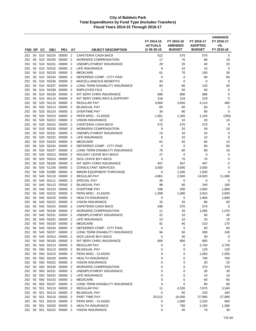| FND DP        |          | <b>CC</b> | <b>OBJ</b>             | <b>PRJ</b>               | AT                               | <b>OBJECT DESCRIPTION</b>                                     | FY 2014-15<br><b>ACTUALS</b><br>@06-30-15 | FY 2015-16<br><b>AMENDED</b><br><b>BUDGET</b> | FY 2016-17<br><b>ADOPTED</b><br><b>BUDGET</b> | <b>VARIANCE</b><br>FY 2016-17<br>VS.<br>FY 2015-16 |
|---------------|----------|-----------|------------------------|--------------------------|----------------------------------|---------------------------------------------------------------|-------------------------------------------|-----------------------------------------------|-----------------------------------------------|----------------------------------------------------|
|               |          |           | 50 510 50224           | 00000                    | $\overline{2}$                   | <b>CAFETERIA CASH BACK</b>                                    |                                           | 570                                           | 570                                           | 0                                                  |
| 252<br>252    | 50       | 510       | 50230                  | 00000                    | $\overline{2}$                   | <b>WORKERS COMPENSATION</b>                                   | 612<br>17                                 | 70                                            | 80                                            | 10                                                 |
| 252           | 50       |           | 510 50231              | 00000                    | $\overline{2}$                   | UNEMPLOYMENT INSURANCE                                        | 29                                        | 20                                            | 40                                            | 20                                                 |
| 252           | 50       | 510       | 50232                  | 00000                    | $\overline{2}$                   | LIFE INSURANCE                                                | 9                                         | 10                                            | 10                                            | $\mathbf 0$                                        |
| 252           | 50       |           | 510 50233              | 00000                    | $\overline{2}$                   | <b>MEDICARE</b>                                               | 61                                        | 70                                            | 100                                           | 30                                                 |
| 252           | 50       |           | 510 50234              | 00000                    | $\overline{2}$                   | DEFERRED COMP - CITY PAID                                     | 0                                         | 0                                             | 60                                            | 60                                                 |
| 252           | 50       |           | 510 50236              | 00000                    | $\overline{2}$                   | <b>MISCELLANEOUS BENEFITS</b>                                 | 34                                        | $\mathbf 0$                                   | $\mathbf 0$                                   | 0                                                  |
| 252           | 50       |           | 510 50237              | 00000                    | $\overline{2}$                   | LONG TERM DISABILITY INSURANCE                                | 83                                        | 90                                            | 120                                           | 30                                                 |
| 252           | 50       |           | 510 50238              | 00000                    | 2                                | <b>EMPLOYER FICA</b>                                          | $\mathbf{1}$                              | 50                                            | 50                                            | 0                                                  |
| 252           | 50       |           | 510 56100              | 00000                    | $\overline{2}$                   | INT SERV CHRG INSURANCE                                       | 686                                       | 686                                           | 686                                           | $\mathbf 0$                                        |
| 252           | 50       | 510       | 56110                  | 00000                    | $\overline{2}$                   | INT SERV CHRG INFO & SUPPORT                                  | 218                                       | 218                                           | 218                                           | $\mathbf 0$                                        |
| 252           | 50       | 520       | 50110                  | 00000                    | $\overline{2}$                   | REGULAR PAY                                                   | 3,660                                     | 3,650                                         | 4,110                                         | 460                                                |
| 252           | 50       |           | 520 50113              | 00000                    | $\overline{2}$                   | <b>BILINGUAL PAY</b>                                          | 60                                        | 60                                            | 60                                            | 0                                                  |
| 252           | 50       | 520       | 50120                  | 00000                    | $\overline{2}$                   | <b>OVERTIME PAY</b>                                           | 34                                        | 90                                            | 90                                            | 0                                                  |
| 252           | 50       | 520       | 50210                  | 00000                    | $\overline{2}$                   | PERS MISC - CLASSIC                                           | 1,061                                     | 1,340                                         | 1,140                                         | (200)                                              |
| 252           | 50       |           | 520 50222              | 00000                    | $\overline{2}$                   | <b>VISION INSURANCE</b>                                       | 13                                        | 10                                            | 20                                            | 10                                                 |
| 252           | 50       |           | 520 50224              | 00000                    | $\overline{2}$                   | CAFETERIA CASH BACK                                           | 572                                       | 570                                           | 570                                           | 0                                                  |
| 252           | 50       | 520       | 50230                  | 00000                    | $\overline{2}$                   | <b>WORKERS COMPENSATION</b>                                   | 9                                         | 20                                            | 30                                            | 10                                                 |
| 252           | 50       |           | 520 50231              | 00000                    | $\overline{2}$                   | UNEMPLOYMENT INSURANCE                                        | 13                                        | 10                                            | 10                                            | $\mathbf 0$                                        |
| 252           | 50       |           | 520 50232              | 00000                    | $\overline{2}$                   | LIFE INSURANCE                                                | 8                                         | 10                                            | 10                                            | $\mathbf 0$                                        |
| 252           | 50       |           | 520 50233              | 00000                    | $\overline{2}$                   | <b>MEDICARE</b>                                               | 61                                        | 50                                            | 60                                            | 10                                                 |
| 252           | 50       | 520       | 50234                  | 00000                    | $\overline{2}$                   | DEFERRED COMP - CITY PAID                                     | 0                                         | 0                                             | 60                                            | 60                                                 |
| 252           | 50       |           | 520 50237              | 00000                    | $\overline{2}$                   | LONG TERM DISABILITY INSURANCE                                | 78                                        | 80                                            | 90                                            | 10                                                 |
| 252           | 50       |           | 520 50313              | 00000                    | $\overline{2}$                   | <b>HOLIDAY LEAVE BUY-BACK</b>                                 | 27                                        | 0                                             | 0                                             | $\mathbf 0$                                        |
| 252           | 50       |           | 520 50314              | 00000                    | $\overline{2}$                   | SICK LEAVE BUY-BACK                                           | 0                                         | 70                                            | 70                                            | 0                                                  |
| 252           | 50       |           | 520 56100              | 00000 2                  |                                  | INT SERV CHRG INSURANCE                                       | 457                                       | 457                                           | 457                                           | $\mathbf 0$                                        |
| 252<br>252    | 50<br>50 |           | 530 51100<br>530 53390 | 00000<br>00000           | $\overline{2}$<br>$\overline{2}$ | <b>CONSULTANT SERVICES</b><br><b>MINOR EQUIPMENT PURCHASE</b> | 3,000<br>0                                | 3,000                                         | 3,000                                         | 0<br>$\mathbf 0$                                   |
| 252           | 50       | 540       | 50110                  | 00000                    | $\overline{2}$                   | <b>REGULAR PAY</b>                                            | 4,861                                     | 1,500<br>2,940                                | 1,500<br>14,020                               | 11,080                                             |
| 252           | 50       | 540       | 50111                  | 00000                    | $\overline{2}$                   | <b>SPECIAL PAY</b>                                            | 26                                        | $\mathbf 0$                                   | $\mathbf 0$                                   | 0                                                  |
| 252           | 50       |           | 540 50113              | 00000                    | $\overline{2}$                   | <b>BILINGUAL PAY</b>                                          | 98                                        | 60                                            | 240                                           | 180                                                |
| 252           | 50       | 540       | 50120                  | 00000                    | $\overline{2}$                   | <b>OVERTIME PAY</b>                                           | 336                                       | 200                                           | 2,000                                         | 1,800                                              |
| 252           | 50       | 540       | 50210                  | 00000                    | $\overline{2}$                   | PERS MISC - CLASSIC                                           | 1,289                                     | 1,080                                         | 3,910                                         | 2,830                                              |
| 252           | 50       |           | 540 50220              | 00000                    | 2                                | <b>HEALTH INSURANCE</b>                                       | 0                                         | 0                                             | 1,800                                         | 1,800                                              |
| 252           | 50       |           | 540 50222              | 00000                    | $\overline{2}$                   | <b>VISION INSURANCE</b>                                       | 32                                        | 20                                            | 80                                            | 60                                                 |
| 252           | 50       | 540       | 50224                  | 00000                    | $\overline{2}$                   | <b>CAFETERIA CASH BACK</b>                                    | 936                                       | 570                                           | 570                                           | 0                                                  |
| 252           | 50       | 540       | 50230                  | 00000                    | $\overline{2}$                   | <b>WORKERS COMPENSATION</b>                                   | 11                                        | 20                                            | 1,090                                         | 1,070                                              |
| 252           | 50       | 540       | 50231                  | 00000                    | 2                                | UNEMPLOYMENT INSURANCE                                        | 21                                        | 10                                            | 50                                            | 40                                                 |
| 252           | 50       | 540       | 50232                  | 00000                    | $\overline{2}$                   | LIFE INSURANCE                                                | 13                                        | 10                                            | 20                                            | 10                                                 |
| 252           | 50       |           | 540 50233              | 00000 2                  |                                  | <b>MEDICARE</b>                                               | 91                                        | 40                                            | 210                                           | 170                                                |
| 252           | 50       |           | 540 50234              | 00000 2                  |                                  | DEFERRED COMP - CITY PAID                                     | 0                                         | 0                                             | 60                                            | 60                                                 |
| 252           |          |           | 50 540 50237           | 00000 2                  |                                  | LONG TERM DISABILITY INSURANCE                                | 94                                        | 60                                            | 300                                           | 240                                                |
| 252           |          |           | 50 540 50314           | 00000 2                  |                                  | SICK LEAVE BUY-BACK                                           | 0                                         | 30                                            | 30                                            | 0                                                  |
| 252 50        |          |           | 540 56100              | 00000 2                  |                                  | INT SERV CHRG INSURANCE                                       | 800                                       | 800                                           | 800                                           | $\mathbf 0$                                        |
| 252 50        |          |           | 550 50110              | 00000                    | $\overline{2}$                   | <b>REGULAR PAY</b>                                            | 0                                         | 0                                             | 3,700                                         | 3,700                                              |
|               |          |           | 252 50 550 50113       | 00000 2                  |                                  | <b>BILINGUAL PAY</b>                                          | 0                                         | 0                                             | 120                                           | 120                                                |
| 252 50        |          |           | 550 50210              | 00000 2                  |                                  | PERS MISC - CLASSIC                                           | 0                                         | 0                                             | 1,050                                         | 1,050                                              |
| 252           | 50       |           | 550 50220              | 00000 2                  |                                  | <b>HEALTH INSURANCE</b>                                       | 0                                         | 0                                             | 700                                           | 700                                                |
| 252 50        |          |           | 50 550 50230           | 550 50222 00000 2        |                                  | <b>VISION INSURANCE</b><br><b>WORKERS COMPENSATION</b>        | 0                                         | 0                                             | 20<br>370                                     | 20<br>370                                          |
| 252<br>252 50 |          |           | 550 50231              | 00000 2                  |                                  | UNEMPLOYMENT INSURANCE                                        | 0<br>$\mathbf 0$                          | 0<br>0                                        |                                               |                                                    |
| 252 50        |          |           | 550 50232              | 00000 2<br>00000 2       |                                  | LIFE INSURANCE                                                | 0                                         | 0                                             | 30<br>10                                      | 30<br>10                                           |
| 252 50        |          |           | 550 50233              | 00000 2                  |                                  | <b>MEDICARE</b>                                               | $\mathbf 0$                               | 0                                             | 60                                            | 60                                                 |
| 252           | 50       |           | 550 50237              | 00000 2                  |                                  | LONG TERM DISABILITY INSURANCE                                | 0                                         | 0                                             | 80                                            | 80                                                 |
| 252 50        |          |           | 551 50110              | 00000 2                  |                                  | <b>REGULAR PAY</b>                                            | 11                                        | 4,530                                         | 7,870                                         | 3,340                                              |
| 252 50        |          |           |                        | 551 50113 00000 2        |                                  | <b>BILINGUAL PAY</b>                                          | $\mathbf 0$                               | 60                                            | 220                                           | 160                                                |
|               |          |           |                        | 252 50 551 50116 00000 2 |                                  | PART TIME PAY                                                 | 25,512                                    | 10,000                                        | 37,990                                        | 27,990                                             |
| 252 50        |          |           | 551 50210              | 00000 2                  |                                  | PERS MISC - CLASSIC                                           | 0                                         | 1,660                                         | 2,220                                         | 560                                                |
| 252           | 50       |           | 551 50220              | 00000                    | $\overline{2}$                   | <b>HEALTH INSURANCE</b>                                       | 0                                         | 780                                           | 2,160                                         | 1,380                                              |
|               |          |           |                        | 252 50 551 50222 00000 2 |                                  | <b>VISION INSURANCE</b>                                       | 0                                         | 40                                            | 70                                            | 30                                                 |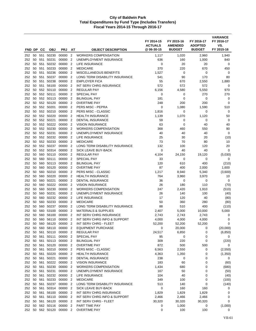| FND DP        |          | <b>CC</b>  | <b>OBJ</b>             | <b>PRJ</b>               | AT                               | <b>OBJECT DESCRIPTION</b>                              | FY 2014-15<br><b>ACTUALS</b><br>@06-30-15 | FY 2015-16<br><b>AMENDED</b><br><b>BUDGET</b> | FY 2016-17<br><b>ADOPTED</b><br><b>BUDGET</b> | <b>VARIANCE</b><br>FY 2016-17<br>VS.<br>FY 2015-16 |
|---------------|----------|------------|------------------------|--------------------------|----------------------------------|--------------------------------------------------------|-------------------------------------------|-----------------------------------------------|-----------------------------------------------|----------------------------------------------------|
|               |          |            |                        |                          |                                  |                                                        |                                           |                                               |                                               |                                                    |
| 252           | 50       |            | 50 551 50230<br>50231  | 00000<br>00000           | $\overline{2}$<br>$\overline{2}$ | <b>WORKERS COMPENSATION</b><br>UNEMPLOYMENT INSURANCE  | 1,117<br>636                              | 1,020<br>160                                  | 2,960                                         | 1,940<br>840                                       |
| 252<br>252    | 50       | 551<br>551 | 50232                  | 00000                    | $\overline{2}$                   | LIFE INSURANCE                                         | 0                                         | 20                                            | 1,000<br>20                                   | 0                                                  |
| 252           | 50       | 551        | 50233                  | 00000                    | $\overline{2}$                   | <b>MEDICARE</b>                                        | 370                                       | 220                                           | 670                                           | 450                                                |
| 252           | 50       | 551        | 50236                  | 00000                    | $\overline{2}$                   | <b>MISCELLANEOUS BENEFITS</b>                          | 1,527                                     | 0                                             | 0                                             | 0                                                  |
| 252           | 50       | 551        | 50237                  | 00000                    | $\overline{2}$                   | LONG TERM DISABILITY INSURANCE                         | 541                                       | 90                                            | 170                                           | 80                                                 |
| 252           | 50       | 551        | 50238                  | 00000                    | $\overline{2}$                   | <b>EMPLOYER FICA</b>                                   | 55                                        | 670                                           | 2,550                                         | 1,880                                              |
| 252           | 50       | 551        | 56100                  | 00000                    | $\overline{2}$                   | INT SERV CHRG INSURANCE                                | 572                                       | 572                                           | 572                                           | $\mathbf 0$                                        |
| 252           | 50       |            | 552 50110              | 00000                    | $\overline{2}$                   | <b>REGULAR PAY</b>                                     | 6,156                                     | 4,580                                         | 5,550                                         | 970                                                |
| 252           | 50       |            | 552 50111              | 00000                    | $\overline{2}$                   | <b>SPECIAL PAY</b>                                     | $\mathbf 0$                               | 0                                             | 270                                           | 270                                                |
| 252           | 50       |            | 552 50113              | 00000                    | $\overline{2}$                   | <b>BILINGUAL PAY</b>                                   | 181                                       | $\mathbf 0$                                   | 0                                             | 0                                                  |
| 252           | 50       |            | 552 50120              | 00000                    | $\overline{2}$                   | <b>OVERTIME PAY</b>                                    | 248                                       | 200                                           | 200                                           | $\mathbf 0$                                        |
| 252           | 50       |            | 552 50201              | 00000                    | $\overline{2}$                   | PERS MISC - PEPRA                                      | 0                                         | 1,080                                         | 1,590                                         | 510                                                |
| 252           | 50       |            | 552 50210              | 00000                    | $\overline{2}$                   | PERS MISC - CLASSIC                                    | 1,816                                     | 0                                             | 0                                             | 0                                                  |
| 252           | 50       |            | 552 50220              | 00000                    | $\overline{2}$                   | <b>HEALTH INSURANCE</b>                                | 1,139                                     | 1,070                                         | 1,120                                         | 50                                                 |
| 252           | 50       |            | 552 50221              | 00000                    | $\overline{2}$                   | <b>DENTAL INSURANCE</b>                                | 59                                        | 0                                             | 0                                             | 0                                                  |
| 252<br>252    | 50<br>50 |            | 552 50222<br>552 50230 | 00000<br>00000           | $\overline{2}$<br>$\overline{2}$ | <b>VISION INSURANCE</b><br><b>WORKERS COMPENSATION</b> | 63<br>368                                 | $\mathbf 0$<br>460                            | 40<br>550                                     | 40<br>90                                           |
| 252           | 50       |            | 552 50231              | 00000                    | 2                                | UNEMPLOYMENT INSURANCE                                 | 40                                        | 40                                            | 40                                            | $\mathbf 0$                                        |
| 252           | 50       |            | 552 50232              | 00000                    | $\overline{2}$                   | LIFE INSURANCE                                         | 25                                        | 30                                            | 20                                            | (10)                                               |
| 252           | 50       |            | 552 50233              | 00000                    | $\overline{2}$                   | <b>MEDICARE</b>                                        | 73                                        | 70                                            | 80                                            | 10                                                 |
| 252           | 50       |            | 552 50237              | 00000                    | $\overline{2}$                   | LONG TERM DISABILITY INSURANCE                         | 132                                       | 100                                           | 120                                           | 20                                                 |
| 252           | 50       |            | 552 50314              | 00000                    | $\overline{2}$                   | <b>SICK LEAVE BUY-BACK</b>                             | $\mathbf 0$                               | 40                                            | 40                                            | 0                                                  |
| 252           | 50       | 560        | 50110                  | 00000                    | $\overline{2}$                   | <b>REGULAR PAY</b>                                     | 4,104                                     | 24,150                                        | 19,120                                        | (5,030)                                            |
| 252           | 50       | 560        | 50111                  | 00000                    | $\overline{2}$                   | <b>SPECIAL PAY</b>                                     | 33                                        | 0                                             | 0                                             | 0                                                  |
| 252           | 50       |            | 560 50113              | 00000                    | $\overline{2}$                   | <b>BILINGUAL PAY</b>                                   | 120                                       | 610                                           | 400                                           | (210)                                              |
| 252           | 50       |            | 560 50120              | 00000                    | $\overline{2}$                   | <b>OVERTIME PAY</b>                                    | 87                                        | 400                                           | 2,000                                         | 1,600                                              |
| 252           | 50       | 560        | 50210                  | 00000                    | $\overline{2}$                   | PERS MISC - CLASSIC                                    | 1,217                                     | 8,940                                         | 5,340                                         | (3,600)                                            |
| 252           | 50       | 560        | 50220                  | 00000                    | $\overline{2}$                   | <b>HEALTH INSURANCE</b>                                | 764                                       | 3,960                                         | 3,970                                         | 10                                                 |
| 252           | 50       |            | 560 50221              | 00000                    | $\overline{2}$                   | DENTAL INSURANCE                                       | 36                                        | 0                                             | 0                                             | 0                                                  |
| 252           | 50       |            | 560 50222              | 00000                    | $\overline{2}$                   | <b>VISION INSURANCE</b>                                | 26                                        | 180                                           | 110                                           | (70)                                               |
| 252           | 50<br>50 | 560<br>560 | 50230<br>50231         | 00000<br>00000           | $\overline{2}$<br>$\overline{2}$ | <b>WORKERS COMPENSATION</b><br>UNEMPLOYMENT INSURANCE  | 247<br>26                                 | 2,420                                         | 1,910<br>100                                  | (510)                                              |
| 252<br>252    | 50       |            | 560 50232              | 00000                    | $\overline{2}$                   | LIFE INSURANCE                                         | 17                                        | 140<br>120                                    | 40                                            | (40)<br>(80)                                       |
| 252           | 50       |            | 560 50233              | 00000                    | $\overline{2}$                   | <b>MEDICARE</b>                                        | 50                                        | 360                                           | 280                                           | (80)                                               |
| 252           | 50       | 560        | 50237                  | 00000                    | $\overline{2}$                   | LONG TERM DISABILITY INSURANCE                         | 88                                        | 510                                           | 400                                           | (110)                                              |
| 252           | 50       |            | 560 53100              | 00000                    | 2                                | <b>MATERIALS &amp; SUPPLIES</b>                        | 2,407                                     | 5,000                                         | 10,000                                        | 5,000                                              |
| 252           | 50       | 560        | 56100                  | 00000                    | $\overline{2}$                   | INT SERV CHRG INSURANCE                                | 2,743                                     | 2,743                                         | 2,743                                         | 0                                                  |
| 252           | 50       | 560        | 56110                  | 00000                    | 2                                | INT SERV CHRG INFO & SUPPORT                           | 4,000                                     | 4,000                                         | 4,000                                         | 0                                                  |
| 252           |          |            | 50 560 56120           | 00000 2                  |                                  | INT SERV CHRG - FLEET                                  | 52,200                                    | 52,200                                        | 52,200                                        | 0                                                  |
| 252           | 50       |            | 560 58110              | 00000                    | $\overline{2}$                   | <b>EQUIPMENT PURCHASE</b>                              | 0                                         | 20,000                                        | 0                                             | (20,000)                                           |
| 252 50        |          |            | 561 50110              | 00000 2                  |                                  | REGULAR PAY                                            | 24,517                                    | 6,850                                         | 0                                             | (6, 850)                                           |
| 252 50        |          | 561        | 50111                  | 00000 2                  |                                  | SPECIAL PAY                                            | 95                                        | 0                                             | 0                                             | 0                                                  |
| 252 50        |          |            |                        | 561 50113 00000 2        |                                  | <b>BILINGUAL PAY</b>                                   | 309                                       | 220                                           | 0                                             | (220)                                              |
| 252 50        |          |            | 561 50120              | 00000 2                  |                                  | <b>OVERTIME PAY</b>                                    | 872                                       | 500                                           | 500                                           | 0                                                  |
| 252 50        |          |            | 561 50210              | 00000 2                  |                                  | PERS MISC - CLASSIC                                    | 6,563                                     | 2,550                                         | 0                                             | (2,550)                                            |
| 252 50        |          | 561        | 561 50220              | 00000 2<br>00000         |                                  | <b>HEALTH INSURANCE</b><br><b>DENTAL INSURANCE</b>     | 4,363                                     | 1,350                                         | 0                                             | (1,350)                                            |
| 252<br>252 50 | 50       |            | 50221<br>561 50222     | 00000 2                  | $\overline{2}$                   | <b>VISION INSURANCE</b>                                | 238<br>183                                | 0<br>60                                       | 0<br>0                                        | 0<br>(60)                                          |
| 252 50        |          | 561        | 50230                  | 00000 2                  |                                  | <b>WORKERS COMPENSATION</b>                            | 1,434                                     | 680                                           | 0                                             | (680)                                              |
| 252 50        |          |            | 561 50231              | 00000 2                  |                                  | UNEMPLOYMENT INSURANCE                                 | 167                                       | 50                                            | 0                                             | (50)                                               |
| 252 50        |          |            | 561 50232 00000        |                          | $\overline{2}$                   | LIFE INSURANCE                                         | 104                                       | 40                                            | 0                                             | (40)                                               |
| 252           |          | 50 561     | 50233                  | 00000 2                  |                                  | <b>MEDICARE</b>                                        | 349                                       | 100                                           | 0                                             | (100)                                              |
| 252 50        |          | 561        | 50237                  | 00000 2                  |                                  | LONG TERM DISABILITY INSURANCE                         | 513                                       | 140                                           | 0                                             | (140)                                              |
| 252           | 50       |            | 561 50314              | 00000 2                  |                                  | SICK LEAVE BUY-BACK                                    | 0                                         | 160                                           | 160                                           | 0                                                  |
| 252 50        |          |            | 561 56100              | 00000 2                  |                                  | INT SERV CHRG INSURANCE                                | 1,829                                     | 1,829                                         | 1,829                                         | 0                                                  |
| 252           | 50       | 561        | 56110                  | 00000 2                  |                                  | INT SERV CHRG INFO & SUPPORT                           | 2,466                                     | 2,466                                         | 2,466                                         | 0                                                  |
| 252 50        |          |            | 561 56120              | 00000 2                  |                                  | INT SERV CHRG - FLEET                                  | 30,320                                    | 30,320                                        | 30,320                                        | 0                                                  |
| 252 50        |          |            | 562 50116 00000        |                          | $\overline{2}$                   | PART TIME PAY                                          | 0                                         | 1,000                                         | 0                                             | (1,000)                                            |
|               |          |            |                        | 252 50 562 50120 00000 2 |                                  | <b>OVERTIME PAY</b>                                    | 0                                         | 100                                           | 100                                           | 0                                                  |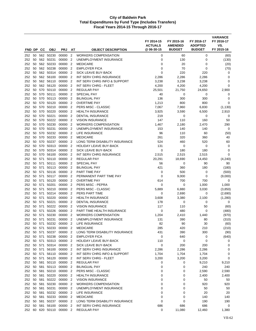| FND DP     |          | <b>CC</b>  | <b>OBJ</b>                   | <b>PRJ</b>         | AT                                         | <b>OBJECT DESCRIPTION</b>                             | FY 2014-15<br><b>ACTUALS</b><br>@ 06-30-15 | FY 2015-16<br><b>AMENDED</b><br><b>BUDGET</b> | FY 2016-17<br><b>ADOPTED</b><br><b>BUDGET</b> | <b>VARIANCE</b><br>FY 2016-17<br>VS.<br>FY 2015-16 |
|------------|----------|------------|------------------------------|--------------------|--------------------------------------------|-------------------------------------------------------|--------------------------------------------|-----------------------------------------------|-----------------------------------------------|----------------------------------------------------|
| 252        | 50       |            | 562 50230                    | 00000              | $\overline{2}$                             | <b>WORKERS COMPENSATION</b>                           | 0                                          | 60                                            | 0                                             | (60)                                               |
| 252        | 50       |            | 562 50231                    | 00000              | $\overline{2}$                             | UNEMPLOYMENT INSURANCE                                | 0                                          | 130                                           | 0                                             | (130)                                              |
| 252        | 50       |            | 562 50233                    | 00000              | $\overline{2}$                             | <b>MEDICARE</b>                                       | 0                                          | 20                                            | 0                                             | (20)                                               |
| 252        | 50       |            | 562 50238                    | 00000              | $\overline{2}$                             | <b>EMPLOYER FICA</b>                                  | 0                                          | 70                                            | 0                                             | (70)                                               |
| 252        | 50       |            | 562 50314                    | 00000              | $\overline{2}$                             | SICK LEAVE BUY-BACK                                   | $\Omega$                                   | 220                                           | 220                                           | 0                                                  |
| 252        | 50       |            | 562 56100                    | 00000              | $\overline{2}$                             | <b>INT SERV CHRG INSURANCE</b>                        | 2,286                                      | 2,286                                         | 2,286                                         | 0                                                  |
| 252        | 50       |            | 562 56110                    | 00000              | $\overline{2}$                             | INT SERV CHRG INFO & SUPPORT                          | 3,238                                      | 3,238                                         | 3,238                                         | 0                                                  |
| 252        | 50       |            | 562 56120                    | 00000              | $\overline{2}$                             | INT SERV CHRG - FLEET                                 | 4,200                                      | 4,200                                         | 4,200                                         | 0                                                  |
| 252        | 50       | 570        | 50110                        | 00000              | $\overline{2}$                             | <b>REGULAR PAY</b>                                    | 25,501                                     | 21,750                                        | 24,650                                        | 2,900                                              |
| 252        | 50       | 570        | 50111                        | 00000              | $\overline{2}$                             | <b>SPECIAL PAY</b>                                    | 40                                         | 0                                             | 0                                             | 0                                                  |
| 252        | 50       |            | 570 50113                    | 00000              | $\overline{2}$                             | <b>BILINGUAL PAY</b>                                  | 136                                        | 300                                           | 300                                           | 0                                                  |
| 252<br>252 | 50<br>50 | 570        | 570 50120<br>50210           | 00000<br>00000     | $\overline{2}$<br>$\overline{2}$           | <b>OVERTIME PAY</b><br>PERS MISC - CLASSIC            | 1,213<br>7,067                             | 800                                           | 800<br>6,830                                  | 0                                                  |
| 252        | 50       | 570        | 50220                        | 00000              | $\overline{2}$                             | <b>HEALTH INSURANCE</b>                               | 3,925                                      | 7,960<br>3,590                                | 6,500                                         | (1, 130)<br>2,910                                  |
| 252        | 50       | 570        | 50221                        | 00000              | $\overline{2}$                             | <b>DENTAL INSURANCE</b>                               | 219                                        | 0                                             | 0                                             | 0                                                  |
| 252        | 50       | 570        | 50222                        | 00000              | $\overline{2}$                             | <b>VISION INSURANCE</b>                               | 147                                        | 110                                           | 160                                           | 50                                                 |
| 252        | 50       | 570        | 50230                        | 00000              | $\overline{2}$                             | <b>WORKERS COMPENSATION</b>                           | 1,467                                      | 2,180                                         | 2,470                                         | 290                                                |
| 252        | 50       | 570        | 50231                        | 00000              | $\overline{2}$                             | UNEMPLOYMENT INSURANCE                                | 153                                        | 140                                           | 140                                           | 0                                                  |
| 252        | 50       |            | 570 50232                    | 00000              | $\overline{2}$                             | LIFE INSURANCE                                        | 96                                         | 110                                           | 60                                            | (50)                                               |
| 252        | 50       |            | 570 50233                    | 00000              | $\overline{2}$                             | <b>MEDICARE</b>                                       | 261                                        | 320                                           | 360                                           | 40                                                 |
| 252        | 50       | 570        | 50237                        | 00000              | $\overline{2}$                             | LONG TERM DISABILITY INSURANCE                        | 524                                        | 460                                           | 520                                           | 60                                                 |
| 252        | 50       | 570        | 50313                        | 00000              | $\overline{2}$                             | <b>HOLIDAY LEAVE BUY-BACK</b>                         | 131                                        | 0                                             | 0                                             | $\mathbf 0$                                        |
| 252        | 50       | 570        | 50314                        | 00000              | $\overline{2}$                             | SICK LEAVE BUY-BACK                                   | 0                                          | 180                                           | 180                                           | 0                                                  |
| 252        | 50       | 570        | 56100                        | 00000              | $\overline{2}$                             | <b>INT SERV CHRG INSURANCE</b>                        | 2,515                                      | 2,515                                         | 2,515                                         | 0                                                  |
| 252        | 50       | 571        | 50110                        | 00000              | $\overline{2}$                             | <b>REGULAR PAY</b>                                    | 20,291                                     | 18,690                                        | 14,450                                        | (4, 240)                                           |
| 252<br>252 | 50<br>50 | 571<br>571 | 50111<br>50113               | 00000<br>00000     | $\overline{2}$<br>$\overline{2}$           | <b>SPECIAL PAY</b><br><b>BILINGUAL PAY</b>            | 56<br>421                                  | 0<br>360                                      | 90<br>180                                     | 90<br>(180)                                        |
| 252        | 50       | 571        | 50116                        | 00000              | $\overline{2}$                             | PART TIME PAY                                         | 0                                          | 500                                           | 0                                             | (500)                                              |
| 252        | 50       | 571        | 50117                        | 00000              | $\overline{2}$                             | PERMANENT PART TIME PAY                               | 0                                          | 9,000                                         | 0                                             | (9,000)                                            |
| 252        | 50       | 571        | 50120                        | 00000              | $\overline{2}$                             | <b>OVERTIME PAY</b>                                   | 614                                        | 700                                           | 700                                           | 0                                                  |
| 252        | 50       | 571        | 50201                        | 00000              | $\overline{2}$                             | PERS MISC - PEPRA                                     | 0                                          | 0                                             | 1,000                                         | 1,000                                              |
| 252        | 50       | 571        | 50210                        | 00000              | $\overline{2}$                             | PERS MISC - CLASSIC                                   | 5,889                                      | 6,880                                         | 3,030                                         | (3,850)                                            |
| 252        | 50       | 571        | 50214                        | 00000              | $\overline{2}$                             | PERS PART TIME                                        | 0                                          | 2,690                                         | 0                                             | (2,690)                                            |
| 252        | 50       | 571        | 50220                        | 00000              | $\overline{2}$                             | <b>HEALTH INSURANCE</b>                               | 3,608                                      | 3,380                                         | 2,100                                         | (1,280)                                            |
| 252        | 50       | 571        | 50221                        | 00000              | $\overline{2}$                             | <b>DENTAL INSURANCE</b>                               | 178                                        | 0                                             | 0                                             | 0                                                  |
| 252        | 50       | 571        | 50222                        | 00000              | $\overline{2}$                             | <b>VISION INSURANCE</b>                               | 117                                        | 110                                           | 50                                            | (60)                                               |
| 252        | 50       | 571        | 50226                        | 00000              | $\overline{2}$                             | PART TIME HEALTH INSURANCE                            | 0                                          | 480                                           | 0                                             | (480)                                              |
| 252        | 50       | 571        | 50230<br>50231               | 00000              | $\overline{2}$                             | <b>WORKERS COMPENSATION</b><br>UNEMPLOYMENT INSURANCE | 1,204                                      | 2,410                                         | 1,440                                         | (970)                                              |
| 252<br>252 | 50       | 571        | 50 571 50232 00000           | 00000              | $\overline{2}$<br>$\overline{\phantom{a}}$ | LIFE INSURANCE                                        | 131<br>82                                  | 390<br>90                                     | 80<br>30                                      | (310)<br>(60)                                      |
| 252        |          |            | 50 571 50233                 | 00000 2            |                                            | <b>MEDICARE</b>                                       | 285                                        | 420                                           | 210                                           | (210)                                              |
| 252        |          |            | 50 571 50237                 | 00000 2            |                                            | LONG TERM DISABILITY INSURANCE                        | 431                                        | 390                                           | 300                                           | (90)                                               |
| 252        |          |            | 50 571 50238                 | 00000 2            |                                            | <b>EMPLOYER FICA</b>                                  | 0                                          | 640                                           | 0                                             | (640)                                              |
| 252        |          |            | 50 571 50313                 | 00000 2            |                                            | HOLIDAY LEAVE BUY-BACK                                | 110                                        | 0                                             | 0                                             | 0                                                  |
| 252        |          |            |                              | 50 571 50314 00000 | $\overline{2}$                             | SICK LEAVE BUY-BACK                                   | 0                                          | 200                                           | 200                                           | 0                                                  |
| 252        |          |            | 50 571 56100                 | 00000 2            |                                            | INT SERV CHRG INSURANCE                               | 2,286                                      | 2,286                                         | 2,286                                         | 0                                                  |
|            |          |            | 252 50 571 56110             | 00000 2            |                                            | INT SERV CHRG INFO & SUPPORT                          | 1,704                                      | 1,704                                         | 1,704                                         | 0                                                  |
| 252        |          |            | 50 571 56120                 | 00000 2            |                                            | INT SERV CHRG - FLEET                                 | 3,200                                      | 3,200                                         | 3,200                                         | 0                                                  |
| 252        |          |            | 50 581 50110                 | 00000              | -2                                         | <b>REGULAR PAY</b>                                    | 0                                          | 0                                             | 9,210                                         | 9,210                                              |
|            |          |            | 252 50 581 50113             | 00000 2            |                                            | <b>BILINGUAL PAY</b>                                  | 0                                          | 0                                             | 240                                           | 240                                                |
| 252        |          |            | 50 581 50210<br>50 581 50220 | 00000 2<br>00000 2 |                                            | PERS MISC - CLASSIC<br><b>HEALTH INSURANCE</b>        | 0                                          | 0                                             | 2,590                                         | 2,590                                              |
| 252<br>252 |          |            | 50 581 50222                 | 00000 2            |                                            | <b>VISION INSURANCE</b>                               | 0<br>0                                     | 0<br>0                                        | 2,400<br>50                                   | 2,400<br>50                                        |
|            |          |            | 252 50 581 50230             | 00000 2            |                                            | <b>WORKERS COMPENSATION</b>                           | 0                                          | 0                                             | 920                                           | 920                                                |
| 252        | 50       |            | 581 50231                    | 00000              | -2                                         | UNEMPLOYMENT INSURANCE                                | 0                                          | 0                                             | 50                                            | 50                                                 |
| 252        |          |            | 50 581 50232 00000           |                    | $\overline{2}$                             | LIFE INSURANCE                                        | 0                                          | 0                                             | 20                                            | 20                                                 |
| 252        |          |            | 50 581 50233                 | 00000 2            |                                            | <b>MEDICARE</b>                                       | 0                                          | 0                                             | 140                                           | 140                                                |
| 252        |          |            | 50 581 50237                 | 00000 2            |                                            | LONG TERM DISABILITY INSURANCE                        | 0                                          | 0                                             | 190                                           | 190                                                |
| 252        |          |            | 50 581 56100                 | 00000 2            |                                            | INT SERV CHRG INSURANCE                               | 686                                        | 686                                           | 686                                           | 0                                                  |
|            |          |            | 252 60 620 50110             | 00000 2            |                                            | <b>REGULAR PAY</b>                                    | 0                                          | 11,080                                        | 12,460                                        | 1,380                                              |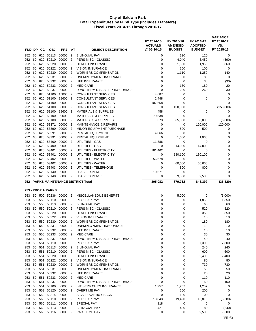| FND DP     |          | CС         | <b>OBJ</b>                         | <b>PRJ</b>           | AΤ                               | <b>OBJECT DESCRIPTION</b>                                           | FY 2014-15<br><b>ACTUALS</b><br>@06-30-15 | FY 2015-16<br><b>AMENDED</b><br><b>BUDGET</b> | FY 2016-17<br><b>ADOPTED</b><br><b>BUDGET</b> | <b>VARIANCE</b><br>FY 2016-17<br>VS.<br>FY 2015-16 |
|------------|----------|------------|------------------------------------|----------------------|----------------------------------|---------------------------------------------------------------------|-------------------------------------------|-----------------------------------------------|-----------------------------------------------|----------------------------------------------------|
| 252        | 60       |            | 620 50113                          | 00000                | $\overline{2}$                   | <b>BILINGUAL PAY</b>                                                | 0                                         | 120                                           | 120                                           | 0                                                  |
| 252        | 60       | 620        | 50210                              | 00000                | $\overline{2}$                   | PERS MISC - CLASSIC                                                 | 0                                         | 4,040                                         | 3,450                                         | (590)                                              |
| 252        | 60       | 620        | 50220                              | 00000                | $\overline{2}$                   | <b>HEALTH INSURANCE</b>                                             | 0                                         | 1,600                                         | 1,960                                         | 360                                                |
| 252        | 60       | 620        | 50222                              | 00000                | $\overline{2}$                   | <b>VISION INSURANCE</b>                                             | $\mathbf 0$                               | 100                                           | 100                                           | $\mathbf 0$                                        |
| 252        | 60       |            | 620 50230                          | 00000                | $\overline{2}$                   | <b>WORKERS COMPENSATION</b>                                         | 0                                         | 1,110                                         | 1,250                                         | 140                                                |
| 252        | 60       | 620        | 50231                              | 00000                | $\overline{2}$                   | UNEMPLOYMENT INSURANCE                                              | 0                                         | 80                                            | 80                                            | $\mathbf 0$                                        |
| 252        | 60       | 620        | 50232                              | 00000                | $\overline{2}$                   | LIFE INSURANCE                                                      | $\mathbf 0$                               | 60                                            | 30                                            | (30)                                               |
| 252        | 60       | 620        | 50233                              | 00000                | $\overline{2}$                   | <b>MEDICARE</b>                                                     | $\mathbf 0$                               | 160                                           | 180                                           | 20                                                 |
| 252        | 60       | 620        | 50237                              | 00000                | $\overline{2}$                   | LONG TERM DISABILITY INSURANCE                                      | $\mathbf 0$                               | 230                                           | 260                                           | 30                                                 |
| 252        | 60       | 620        | 51100                              | 15805                | $\overline{2}$                   | <b>CONSULTANT SERVICES</b>                                          | 4,687                                     | 0                                             | 0                                             | 0                                                  |
| 252        | 60       |            | 620 51100                          | 18600                | $\overline{2}$                   | CONSULTANT SERVICES                                                 | 2,448                                     | $\mathbf 0$                                   | 0                                             | 0                                                  |
| 252        | 60       |            | 620 51100                          | 00000                | $\overline{2}$                   | CONSULTANT SERVICES                                                 | 107,658                                   | 0                                             | 0                                             | 0                                                  |
| 252        | 60       |            | 620 51100                          | 00000                | $\overline{2}$                   | <b>CONSULTANT SERVICES</b>                                          | 0                                         | 150,000                                       | 0                                             | (150,000)                                          |
| 252        | 60       | 620        | 53100                              | 18600                | $\overline{2}$                   | <b>MATERIALS &amp; SUPPLIES</b>                                     | 458                                       | 0                                             | 0                                             | 0                                                  |
| 252        | 60       |            | 620 53100                          | 00000                | $\overline{2}$                   | <b>MATERIALS &amp; SUPPLIES</b>                                     | 79,538                                    | $\Omega$                                      | $\Omega$                                      | 0                                                  |
| 252<br>252 | 60<br>60 | 620<br>620 | 53100<br>53371                     | 00000<br>00000       | $\overline{2}$<br>$\overline{2}$ | <b>MATERIALS &amp; SUPPLIES</b><br><b>MAINTENANCE &amp; REPAIRS</b> | 373<br>0                                  | 65,000<br>0                                   | 60,000                                        | (5,000)<br>120,000                                 |
| 252        | 60       | 620        | 53390                              | 00000                | $\overline{2}$                   | <b>MINOR EQUIPMENT PURCHASE</b>                                     | $\mathbf 0$                               | 500                                           | 120,000<br>500                                | 0                                                  |
| 252        | 60       |            | 620 53391                          | 00000                | $\overline{2}$                   | <b>RENTAL EQUIPMENT</b>                                             | 4,866                                     | 0                                             | 0                                             | 0                                                  |
| 252        | 60       |            | 620 53391                          | 00000                | $\overline{2}$                   | <b>RENTAL EQUIPMENT</b>                                             | 0                                         | 1,000                                         | 1,000                                         | 0                                                  |
| 252        | 60       | 620        | 53400                              | 00000                | $\overline{2}$                   | UTILITIES - GAS                                                     | 11,386                                    | 0                                             | 0                                             | 0                                                  |
| 252        | 60       |            | 620 53400                          | 00000                | $\overline{2}$                   | UTILITIES - GAS                                                     | 0                                         | 14,000                                        | 14,000                                        | $\mathbf 0$                                        |
| 252        | 60       | 620        | 53401                              | 00000                | $\overline{2}$                   | UTILITIES - ELECTRICITY                                             | 181,462                                   | 0                                             | $\mathbf 0$                                   | $\mathbf 0$                                        |
| 252        | 60       | 620        | 53401                              | 00000                | $\overline{2}$                   | UTILITIES - ELECTRICITY                                             | 0                                         | 180,100                                       | 180,100                                       | 0                                                  |
| 252        | 60       | 620        | 53402                              | 00000                | $\overline{2}$                   | UTILITIES - WATER                                                   | 56,678                                    | 0                                             | 0                                             | 0                                                  |
| 252        | 60       |            | 620 53402                          | 00000                | $\overline{2}$                   | UTILITIES - WATER                                                   | 0                                         | 60,000                                        | 60,000                                        | 0                                                  |
| 252        | 60       |            | 620 53403                          | 00000                | $\overline{2}$                   | UTILITIES - TELEPHONE                                               | 0                                         | 800                                           | 800                                           | 0                                                  |
| 252        | 60       | 620        | 58140                              | 00000                | $\overline{2}$                   | <b>LEASE EXPENSE</b>                                                | 10,571                                    | 0                                             | 0                                             | 0                                                  |
| 252        | 60       | 620        | 58140                              | 00000                | $\overline{2}$                   | <b>LEASE EXPENSE</b>                                                | 0                                         | 9,500                                         | 9,500                                         | 0                                                  |
|            |          |            |                                    |                      |                                  | <b>252 - PARKS MAINTENANCE DISTRICT Total</b>                       | 805,082                                   | 879,712                                       | 843,392                                       | (36, 320)                                          |
|            |          |            | 253 - PROP A PARKS:                |                      |                                  |                                                                     |                                           |                                               |                                               |                                                    |
|            |          |            |                                    |                      |                                  |                                                                     |                                           |                                               |                                               |                                                    |
| 253        |          |            | 50 500 50236                       | 00000                | 2                                | MISCELLANEOUS BENEFITS                                              | 0                                         | 5,000                                         | 0                                             | (5,000)                                            |
| 253        | 50<br>50 | 550<br>550 | 50110<br>50113                     | 00000<br>00000       | $\overline{2}$<br>$\overline{2}$ | <b>REGULAR PAY</b><br><b>BILINGUAL PAY</b>                          | 0<br>0                                    | 0<br>0                                        | 1,850                                         | 1,850                                              |
| 253<br>253 | 50       |            | 550 50210                          | 00000                | $\overline{2}$                   | PERS MISC - CLASSIC                                                 | $\mathbf 0$                               | $\mathbf 0$                                   | 60<br>520                                     | 60<br>520                                          |
| 253        | 50       | 550        | 50220                              | 00000                | 2                                | <b>HEALTH INSURANCE</b>                                             | 0                                         | 0                                             | 350                                           | 350                                                |
| 253        | 50       |            | 550 50222                          | 00000                | $\overline{2}$                   | <b>VISION INSURANCE</b>                                             | $\mathbf 0$                               | 0                                             | 10                                            | 10                                                 |
| 253        |          |            |                                    | 50 550 50230 00000 2 |                                  | WORKERS COMPENSATION                                                | $\Omega$                                  | 0                                             | 180                                           | 180                                                |
| 253        |          |            | 50 550 50231                       | 00000 2              |                                  | UNEMPLOYMENT INSURANCE                                              | $\mathbf 0$                               | $\mathbf 0$                                   | 10                                            | 10                                                 |
| 253        | 50       |            | 550 50232 00000                    |                      | $\overline{2}$                   | LIFE INSURANCE                                                      | 0                                         | 0                                             | 10                                            | 10                                                 |
| 253        | 50       |            | 550 50233                          | 00000 2              |                                  | <b>MEDICARE</b>                                                     | 0                                         | 0                                             | 30                                            | 30                                                 |
| 253        |          |            | 50 550 50237                       | 00000 2              |                                  | LONG TERM DISABILITY INSURANCE                                      | 0                                         | 0                                             | 40                                            | 40                                                 |
| 253        |          |            | 50 551 50110                       | 00000                | $\overline{2}$                   | <b>REGULAR PAY</b>                                                  | 0                                         | 0                                             | 7,300                                         | 7,300                                              |
| 253        |          | 50 551     | 50113 00000                        |                      | $\overline{2}$                   | <b>BILINGUAL PAY</b>                                                | 0                                         | 0                                             | 240                                           | 240                                                |
| 253        |          |            | 50 551 50210                       | 00000 2              |                                  | PERS MISC - CLASSIC                                                 | 0                                         | 0                                             | 600                                           | 600                                                |
| 253        |          |            | 50 551 50220                       | 00000                | $\overline{2}$                   | <b>HEALTH INSURANCE</b>                                             | 0                                         | 0                                             | 2,400                                         | 2,400                                              |
| 253        |          |            | 50 551 50222 00000<br>50 551 50230 | 00000                | $\overline{2}$                   | <b>VISION INSURANCE</b><br><b>WORKERS COMPENSATION</b>              | 0                                         | 0                                             | 80                                            | 80                                                 |
| 253<br>253 |          | 50 551     | 50231                              | 00000 2              | $\overline{2}$                   | UNEMPLOYMENT INSURANCE                                              | 0<br>0                                    | 0<br>0                                        | 730<br>50                                     | 730<br>50                                          |
| 253        |          |            | 50 551 50232                       | 00000                | $\overline{2}$                   | LIFE INSURANCE                                                      | 0                                         | 0                                             | 20                                            | 20                                                 |
| 253        |          |            |                                    | 50 551 50233 00000   | $\overline{2}$                   | <b>MEDICARE</b>                                                     | 0                                         | 0                                             | 110                                           | 110                                                |
| 253        |          | 50 551     | 50237                              | 00000                | $\overline{2}$                   | LONG TERM DISABILITY INSURANCE                                      | 0                                         | 0                                             | 150                                           | 150                                                |
| 253        |          |            | 50 551 56100                       | 00000 2              |                                  | INT SERV CHRG INSURANCE                                             | 1,257                                     | 1,257                                         | 1,257                                         | 0                                                  |
| 253        |          |            | 50 552 50120                       | 00000                | $\overline{2}$                   | <b>OVERTIME PAY</b>                                                 | 0                                         | 200                                           | 200                                           | 0                                                  |
| 253        |          |            | 50 552 50314                       | 00000                | 2                                | SICK LEAVE BUY-BACK                                                 | $\mathbf 0$                               | 100                                           | 100                                           | 0                                                  |
| 253        |          |            | 50 560 50110                       | 00000 2              |                                  | <b>REGULAR PAY</b>                                                  | 13,843                                    | 19,490                                        | 15,810                                        | (3,680)                                            |
| 253        | 50       |            | 560 50111                          | 00000                | $\overline{2}$                   | SPECIAL PAY                                                         | 118                                       | 0                                             | 0                                             | 0                                                  |
| 253        | 50       |            | 560 50113                          | 00000                | -2                               | <b>BILINGUAL PAY</b>                                                | 421                                       | 420                                           | 180                                           | (240)                                              |
| 253        | 50       |            | 560 50116                          | 00000 2              |                                  | PART TIME PAY                                                       | 0                                         | 0                                             | 9,500                                         | 9,500                                              |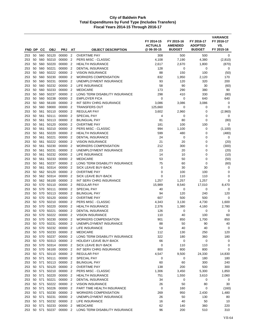| FND DP     |          | CС         | <b>OBJ</b>     | <b>PRJ</b>                      | AT                  | <b>OBJECT DESCRIPTION</b>                | FY 2014-15<br><b>ACTUALS</b><br>@06-30-15 | FY 2015-16<br><b>AMENDED</b><br><b>BUDGET</b> | FY 2016-17<br><b>ADOPTED</b><br><b>BUDGET</b> | <b>VARIANCE</b><br>FY 2016-17<br>VS.<br>FY 2015-16 |
|------------|----------|------------|----------------|---------------------------------|---------------------|------------------------------------------|-------------------------------------------|-----------------------------------------------|-----------------------------------------------|----------------------------------------------------|
| 253        | 50       |            | 560 50120      | 00000                           | $\overline{2}$      | <b>OVERTIME PAY</b>                      | 308                                       | 500                                           | 500                                           | 0                                                  |
| 253        | 50       | 560        | 50210          | 00000                           | $\overline{2}$      | PERS MISC - CLASSIC                      | 4,108                                     | 7,190                                         | 4,380                                         | (2, 810)                                           |
| 253        | 50       | 560        | 50220          | 00000                           | $\overline{2}$      | <b>HEALTH INSURANCE</b>                  | 2,617                                     | 2,670                                         | 1,800                                         | (870)                                              |
| 253        | 50       | 560        | 50221          | 00000                           | $\overline{2}$      | <b>DENTAL INSURANCE</b>                  | 128                                       | 0                                             | 0                                             | 0                                                  |
| 253        | 50       |            | 560 50222      | 00000                           | $\overline{2}$      | <b>VISION INSURANCE</b>                  | 88                                        | 150                                           | 100                                           | (50)                                               |
| 253        | 50       |            | 560 50230      | 00000                           | $\overline{2}$      | <b>WORKERS COMPENSATION</b>              | 832                                       | 1,950                                         | 2,120                                         | 170                                                |
| 253        | 50       | 560        | 50231          | 00000                           | $\overline{2}$      | UNEMPLOYMENT INSURANCE                   | 93                                        | 120                                           | 320                                           | 200                                                |
| 253        | 50       | 560        | 50232          | 00000                           | $\overline{2}$      | LIFE INSURANCE                           | 58                                        | 90                                            | 30                                            | (60)                                               |
| 253        | 50       | 560        | 50233          | 00000                           | $\overline{2}$      | <b>MEDICARE</b>                          | 173                                       | 290                                           | 380                                           | 90                                                 |
| 253        | 50       | 560        | 50237          | 00000                           | $\overline{2}$      | LONG TERM DISABILITY INSURANCE           | 298                                       | 410                                           | 330                                           | (80)                                               |
| 253        | 50       | 560        | 50238          | 00000                           | $\overline{2}$      | <b>EMPLOYER FICA</b>                     | 0                                         | 0                                             | 640                                           | 640                                                |
| 253        | 50       |            | 560 56100      | 00000                           | $\overline{2}$      | INT SERV CHRG INSURANCE                  | 3,086                                     | 3,086                                         | 3,086                                         | 0                                                  |
| 253        | 50       | 560        | 59000          | 00000                           | $\overline{2}$      | <b>TRANSFERS OUT</b>                     | 125,660                                   | 0                                             | 0                                             | 0                                                  |
| 253        | 50       | 561        | 50110          | 00000                           | $\overline{2}$      | <b>REGULAR PAY</b>                       | 3,602                                     | 2,960                                         | 0                                             | (2,960)                                            |
| 253        | 50       | 561        | 50111          | 00000                           | $\overline{2}$      | <b>SPECIAL PAY</b>                       | 4                                         | 0                                             | 0                                             | 0                                                  |
| 253        | 50       | 561        | 50113          | 00000                           | $\overline{2}$      | <b>BILINGUAL PAY</b>                     | 81                                        | 80                                            | 0                                             | (80)                                               |
| 253        | 50       | 561        | 50120          | 00000                           | $\overline{2}$      | <b>OVERTIME PAY</b>                      | 181                                       | 100                                           | 100                                           | 0                                                  |
| 253        | 50       | 561        | 50210          | 00000                           | $\overline{2}$      | <b>PERS MISC - CLASSIC</b>               | 994                                       | 1,100                                         | 0                                             | (1,100)                                            |
| 253        | 50       | 561        | 50220          | 00000                           | 2                   | <b>HEALTH INSURANCE</b>                  | 599                                       | 480                                           | 0                                             | (480)                                              |
| 253        | 50       | 561        | 50221          | 00000                           | 2                   | <b>DENTAL INSURANCE</b>                  | 24                                        | 0                                             | 0                                             | 0                                                  |
| 253        | 50       | 561        | 50222          | 00000                           | $\overline{2}$      | <b>VISION INSURANCE</b>                  | 21                                        | 20                                            | 0                                             | (20)                                               |
| 253        | 50       | 561        | 50230          | 00000                           | $\overline{2}$      | <b>WORKERS COMPENSATION</b>              | 212                                       | 300                                           | 0                                             | (300)                                              |
| 253        | 50       | 561        | 50231          | 00000                           | $\overline{2}$      | UNEMPLOYMENT INSURANCE                   | 23                                        | 20                                            | 0                                             | (20)                                               |
| 253        | 50       | 561        | 50232          | 00000                           | $\overline{2}$      | LIFE INSURANCE                           | 14                                        | 10                                            | 0                                             | (10)                                               |
| 253        | 50       | 561        | 50233          | 00000                           | $\overline{2}$      | <b>MEDICARE</b>                          | 53                                        | 50                                            | 0                                             | (50)                                               |
| 253        | 50       |            | 561 50237      | 00000                           | $\overline{2}$      | LONG TERM DISABILITY INSURANCE           | 75                                        | 60                                            | 0                                             | (60)                                               |
| 253        | 50       | 561        | 50314          | 00000                           | $\overline{2}$      | SICK LEAVE BUY-BACK                      | 0                                         | 30                                            | 30                                            | 0                                                  |
| 253        | 50       | 562        | 50120          | 00000                           | $\overline{2}$      | <b>OVERTIME PAY</b>                      | 0                                         | 100                                           | 100                                           | 0                                                  |
| 253        | 50       |            | 562 50314      | 00000                           | $\overline{2}$      | SICK LEAVE BUY-BACK                      | 0                                         | 110                                           | 110                                           | 0                                                  |
| 253        | 50       |            | 562 56100      | 00000                           | $\overline{2}$      | INT SERV CHRG INSURANCE                  | 1,257                                     | 1,257                                         | 1,257                                         | $\mathbf 0$                                        |
| 253<br>253 | 50<br>50 | 570<br>570 | 50110<br>50111 | 00000<br>00000                  | 2<br>$\overline{2}$ | <b>REGULAR PAY</b><br><b>SPECIAL PAY</b> | 15,989<br>40                              | 8,540<br>0                                    | 17,010<br>0                                   | 8,470<br>0                                         |
| 253        | 50       | 570        | 50113          | 00000                           | $\overline{2}$      | <b>BILINGUAL PAY</b>                     | 94                                        | 120                                           | 240                                           | 120                                                |
| 253        | 50       | 570        | 50120          | 00000                           | $\overline{2}$      | <b>OVERTIME PAY</b>                      | 607                                       | 500                                           | 500                                           | 0                                                  |
| 253        | 50       | 570        | 50210          | 00000                           | $\overline{2}$      | PERS MISC - CLASSIC                      | 4,343                                     | 3,130                                         | 4,730                                         | 1,600                                              |
| 253        | 50       | 570        | 50220          | 00000                           | $\overline{2}$      | <b>HEALTH INSURANCE</b>                  | 2,376                                     | 1,380                                         | 4,160                                         | 2,780                                              |
| 253        | 50       |            | 570 50221      | 00000                           | 2                   | <b>DENTAL INSURANCE</b>                  | 126                                       | 0                                             | 0                                             | 0                                                  |
| 253        | 50       | 570        | 50222          | 00000                           | 2                   | <b>VISION INSURANCE</b>                  | 110                                       | 40                                            | 100                                           | 60                                                 |
| 253        | 50       | 570        | 50230          | 00000                           | $\overline{2}$      | <b>WORKERS COMPENSATION</b>              | 901                                       | 850                                           | 1,700                                         | 850                                                |
| 253        |          |            | 50 570 50231   | 00000 2                         |                     | UNEMPLOYMENT INSURANCE                   | 88                                        | 50                                            | 90                                            | 40                                                 |
| 253        | 50       |            | 570 50232      | 00000                           | $\overline{2}$      | LIFE INSURANCE                           | 54                                        | 40                                            | 40                                            | 0                                                  |
| 253        |          |            | 50 570 50233   | 00000 2                         |                     | <b>MEDICARE</b>                          | 112                                       | 130                                           | 250                                           | 120                                                |
| 253        |          |            | 50 570 50237   | 00000 2                         |                     | LONG TERM DISABILITY INSURANCE           | 322                                       | 180                                           | 360                                           | 180                                                |
| 253        |          |            | 50 570 50313   | 00000 2                         |                     | <b>HOLIDAY LEAVE BUY-BACK</b>            | 66                                        | 0                                             | 0                                             | 0                                                  |
| 253        |          |            |                | 50 570 50314 00000 2            |                     | SICK LEAVE BUY-BACK                      | 0                                         | 110                                           | 110                                           | 0                                                  |
| 253        |          |            | 50 570 56100   | 00000 2                         |                     | INT SERV CHRG INSURANCE                  | 800                                       | 800                                           | 800                                           | 0                                                  |
| 253        |          |            | 50 571 50110   | 00000 2                         |                     | <b>REGULAR PAY</b>                       | 4,547                                     | 9,500                                         | 24,330                                        | 14,830                                             |
| 253        |          |            | 50 571 50111   | 00000                           | $\overline{2}$      | SPECIAL PAY                              | 0                                         | 0                                             | 180                                           | 180                                                |
| 253        |          |            | 50 571 50113   | 00000 2                         |                     | <b>BILINGUAL PAY</b>                     | 60                                        | 60                                            | 300                                           | 240                                                |
| 253        |          |            | 50 571 50120   | 00000 2                         |                     | <b>OVERTIME PAY</b>                      | 138                                       | 200                                           | 500                                           | 300                                                |
| 253        |          |            | 50 571 50210   | 00000 2                         |                     | PERS MISC - CLASSIC                      | 1,306                                     | 3,450                                         | 5,300                                         | 1,850                                              |
| 253        |          |            | 50 571 50220   | 00000                           | $\overline{2}$      | <b>HEALTH INSURANCE</b>                  | 751                                       | 1,550                                         | 3,610                                         | 2,060                                              |
| 253        |          |            | 50 571 50221   | 00000 2                         |                     | DENTAL INSURANCE                         | 34                                        | 0                                             | 0                                             | 0                                                  |
| 253        |          |            | 50 571 50222   | 00000 2                         |                     | <b>VISION INSURANCE</b>                  | 26                                        | 50                                            | 80                                            | 30                                                 |
| 253        |          |            | 50 571 50226   | 00000 2                         |                     | PART TIME HEALTH INSURANCE               | 0                                         | 160                                           | 0                                             | (160)                                              |
| 253        |          |            | 50 571 50230   | 00000 2                         |                     | <b>WORKERS COMPENSATION</b>              | 269                                       | 950                                           | 2,430                                         | 1,480                                              |
| 253        |          | 50 571     | 50231          | 00000 2<br>50 571 50232 00000 2 |                     | UNEMPLOYMENT INSURANCE                   | 26                                        | 50                                            | 130<br>50                                     | 80<br>10                                           |
| 253<br>253 | 50       |            | 571 50233      | 00000                           | $\overline{2}$      | LIFE INSURANCE<br><b>MEDICARE</b>        | 16<br>62                                  | 40<br>140                                     | 360                                           | 220                                                |
| 253        |          |            | 50 571 50237   | 00000 2                         |                     | LONG TERM DISABILITY INSURANCE           | 96                                        | 200                                           | 510                                           | 310                                                |
|            |          |            |                |                                 |                     |                                          |                                           |                                               |                                               |                                                    |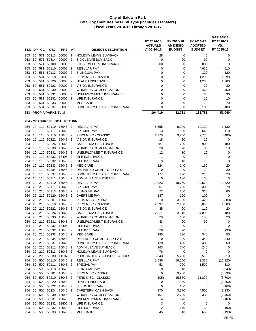|            |          |            |                              |                                      |                                  |                                                       | FY 2014-15<br><b>ACTUALS</b> | FY 2015-16<br><b>AMENDED</b> | FY 2016-17<br><b>ADOPTED</b> | <b>VARIANCE</b><br>FY 2016-17<br>VS. |
|------------|----------|------------|------------------------------|--------------------------------------|----------------------------------|-------------------------------------------------------|------------------------------|------------------------------|------------------------------|--------------------------------------|
| FND DP     |          | CС         | <b>OBJ</b>                   | <b>PRJ</b>                           | AT                               | <b>OBJECT DESCRIPTION</b>                             | @06-30-15                    | <b>BUDGET</b>                | <b>BUDGET</b>                | FY 2015-16                           |
| 253        | 50       | 571        | 50313                        | 00000                                | $\overline{2}$                   | <b>HOLIDAY LEAVE BUY-BACK</b>                         | 28                           | 0                            | 0                            | 0                                    |
| 253        | 50       | 571        | 50314                        | 00000                                | $\overline{2}$                   | SICK LEAVE BUY-BACK                                   | 0                            | 90                           | 90                           | 0                                    |
| 253        | 50       | 571        | 56100                        | 00000                                | $\overline{2}$                   | INT SERV CHRG INSURANCE                               | 800                          | 800                          | 800                          | $\mathbf 0$                          |
| 253        | 50<br>50 | 581<br>581 | 50110<br>50113               | 00000<br>00000                       | $\overline{2}$<br>$\overline{2}$ | <b>REGULAR PAY</b><br><b>BILINGUAL PAY</b>            | 0<br>$\mathbf 0$             | 0<br>0                       | 4,610<br>120                 | 4,610<br>120                         |
| 253<br>253 | 50       |            | 581 50210                    | 00000                                | $\overline{2}$                   | PERS MISC - CLASSIC                                   | 0                            | 0                            | 1,290                        | 1,290                                |
| 253        | 50       | 581        | 50220                        | 00000                                | $\overline{2}$                   | <b>HEALTH INSURANCE</b>                               | 0                            | 0                            | 1,200                        | 1,200                                |
| 253        | 50       | 581        | 50222                        | 00000                                | $\overline{2}$                   | <b>VISION INSURANCE</b>                               | 0                            | $\mathbf 0$                  | 30                           | 30                                   |
| 253        | 50       |            | 581 50230                    | 00000                                | $\overline{2}$                   | <b>WORKERS COMPENSATION</b>                           | $\mathbf 0$                  | 0                            | 460                          | 460                                  |
| 253        | 50       | 581        | 50231                        | 00000                                | $\overline{2}$                   | UNEMPLOYMENT INSURANCE                                | 0                            | 0                            | 30                           | 30                                   |
| 253        | 50       | 581        | 50232                        | 00000                                | $\overline{2}$                   | LIFE INSURANCE                                        | $\mathbf 0$                  | 0                            | 10                           | 10                                   |
| 253        | 50       | 581        | 50233                        | 00000                                | $\overline{2}$                   | <b>MEDICARE</b>                                       | $\mathbf 0$                  | $\mathbf 0$                  | 70                           | 70                                   |
| 253        |          |            | 50 581 50237 00000           |                                      | $\overline{2}$                   | LONG TERM DISABILITY INSURANCE                        | $\mathbf 0$                  | 0                            | 100                          | 100                                  |
|            |          |            | 253 - PROP A PARKS Total     |                                      |                                  |                                                       | 194,419                      | 82,711                       | 133,751                      | 51,040                               |
|            |          |            |                              | <b>254 - MEASURE R LOCAL RETURN:</b> |                                  |                                                       |                              |                              |                              |                                      |
| 254        |          |            |                              | 10 110 50110 15045 2                 |                                  | <b>REGULAR PAY</b>                                    | 8,555                        | 9,000                        | 10,130                       | 1,130                                |
| 254        | 10       |            | 110 50111                    | 15045 2                              |                                  | SPECIAL PAY                                           | 213                          | 530                          | 640                          | 110                                  |
| 254        |          |            | 10 110 50210                 | 15045 2                              |                                  | PERS MISC - CLASSIC                                   | 2,375                        | 3,250                        | 2,770                        | (480)                                |
| 254<br>254 |          |            | 10 110 50222<br>10 110 50224 | 15045<br>15045                       | $\overline{2}$<br>$\overline{2}$ | <b>VISION INSURANCE</b><br><b>CAFETERIA CASH BACK</b> | 18<br>681                    | 20<br>720                    | 20<br>900                    | 0<br>180                             |
| 254        |          |            | 10 110 50230                 | 15045                                | $\overline{2}$                   | <b>WORKERS COMPENSATION</b>                           | 20                           | 70                           | 80                           | 10                                   |
| 254        |          |            | 10 110 50231                 | 15045                                | $\overline{2}$                   | UNEMPLOYMENT INSURANCE                                | 12                           | 10                           | 10                           | 0                                    |
| 254        |          |            | 10 110 50232                 | 13406                                | $\overline{2}$                   | LIFE INSURANCE                                        | 1                            | 0                            | 0                            | 0                                    |
| 254        |          | 10 110     | 50232                        | 15045                                | $\overline{2}$                   | LIFE INSURANCE                                        | 9                            | 10                           | 10                           | 0                                    |
| 254        |          |            | 10 110 50233                 | 15045                                | $\overline{2}$                   | <b>MEDICARE</b>                                       | 124                          | 140                          | 160                          | 20                                   |
| 254        |          |            | 10 110 50234                 | 15045                                | $\overline{2}$                   | DEFERRED COMP - CITY PAID                             | 0                            | 0                            | 20                           | 20                                   |
| 254        |          | 10 110     | 50237                        | 15045                                | $\overline{2}$                   | LONG TERM DISABILITY INSURANCE                        | 177                          | 190                          | 210                          | 20                                   |
| 254        | 10       | 110        | 50311                        | 15045                                | $\overline{2}$                   | ADMIN LEAVE BUY-BACK                                  | 0                            | 130                          | 130                          | $\mathbf 0$                          |
| 254<br>254 |          |            | 20 210 50110<br>20 210 50111 | 15045<br>15045                       | $\overline{2}$<br>$\overline{2}$ | <b>REGULAR PAY</b><br><b>SPECIAL PAY</b>              | 12,323<br>207                | 19,750<br>230                | 22,570<br>300                | 2,820<br>70                          |
| 254        | 20       |            | 210 50113                    | 15045                                | $\overline{2}$                   | <b>BILINGUAL PAY</b>                                  | 72                           | 260                          | 320                          | 60                                   |
| 254        |          |            | 20 210 50120                 | 15045                                | $\overline{2}$                   | <b>OVERTIME PAY</b>                                   | 137                          | 100                          | 100                          | $\mathbf 0$                          |
| 254        |          |            | 20 210 50201                 | 15045                                | $\overline{2}$                   | PERS MISC - PEPRA                                     | 0                            | 3,300                        | 2,420                        | (880)                                |
| 254        |          |            | 20 210 50210                 | 15045                                | $\overline{2}$                   | PERS MISC - CLASSIC                                   | 2,897                        | 2,180                        | 3,860                        | 1,680                                |
| 254        | 20       | 210        | 50222                        | 15045                                | $\overline{2}$                   | <b>VISION INSURANCE</b>                               | 35                           | 90                           | 110                          | 20                                   |
| 254        |          |            | 20 210 50224                 | 15045                                | $\overline{2}$                   | CAFETERIA CASH BACK                                   | 2,011                        | 3,910                        | 4,090                        | 180                                  |
| 254        |          |            | 20 210 50230                 | 15045 2                              |                                  | <b>WORKERS COMPENSATION</b>                           | 29                           | 130                          | 150                          | 20                                   |
| 254        |          |            | 20 210 50231                 |                                      |                                  | 15045 2 UNEMPLOYMENT INSURANCE                        | 43                           | 90                           | 90                           | $\mathsf 0$                          |
| 254<br>254 |          |            | 20 210 50232                 | 20 210 50232 13406 2<br>15045 2      |                                  | <b>LIFE INSURANCE</b><br>LIFE INSURANCE               | 4<br>28                      | 0<br>70                      | 0<br>40                      | 0<br>(30)                            |
| 254        |          |            | 20 210 50233                 | 15045 2                              |                                  | <b>MEDICARE</b>                                       | 185                          | 290                          | 340                          | 50                                   |
| 254        |          |            | 20 210 50234                 | 15045 2                              |                                  | DEFERRED COMP - CITY PAID                             | 0                            | 0                            | 340                          | 340                                  |
| 254        |          |            | 20 210 50237                 | 15045 2                              |                                  | LONG TERM DISABILITY INSURANCE                        | 120                          | 420                          | 480                          | 60                                   |
| 254        |          |            | 20 210 50311                 | 15045 2                              |                                  | ADMIN LEAVE BUY-BACK                                  | 163                          | 240                          | 240                          | 0                                    |
| 254        |          |            | 20 210 50313                 | 15045 2                              |                                  | HOLIDAY LEAVE BUY-BACK                                | 76                           | 0                            | 0                            | 0                                    |
| 254        | 25       |            | 299 53330                    | 11107 2                              |                                  | PUBLICATIONS, SUBSCRIP & DUES                         | 5,043                        | 5,200                        | 5,510                        | 310                                  |
| 254        |          |            | 50 500 50110<br>500 50111    | 15045 2<br>15045 2                   |                                  | <b>REGULAR PAY</b>                                    | 1,636                        | 56,250                       | 43,330                       | (12, 920)                            |
| 254<br>254 | 50<br>50 |            | 500 50113                    | 15045 2                              |                                  | SPECIAL PAY<br><b>BILINGUAL PAY</b>                   | 53<br>0                      | 990<br>540                   | 1,500<br>0                   | 510<br>(540)                         |
| 254        | 50       |            | 500 50201                    | 15045 2                              |                                  | PERS MISC - PEPRA                                     | 0                            | 3,230                        | 0                            | (3,230)                              |
| 254        | 50       |            | 500 50210                    | 15045 2                              |                                  | PERS MISC - CLASSIC                                   | (105)                        | 15,570                       | 11,870                       | (3,700)                              |
| 254        | 50       |            | 500 50220                    | 15045 2                              |                                  | <b>HEALTH INSURANCE</b>                               | 0                            | 1,560                        | 0                            | (1,560)                              |
| 254        | 50       | 500        | 50222                        | 15045 2                              |                                  | <b>VISION INSURANCE</b>                               | 0                            | 160                          | 0                            | (160)                                |
| 254        | 50       |            | 500 50224                    | 15045 2                              |                                  | CAFETERIA CASH BACK                                   | 170                          | 3,170                        | 4,500                        | 1,330                                |
| 254        | 50       |            | 500 50230                    | 15045 2                              |                                  | <b>WORKERS COMPENSATION</b>                           | 107                          | 2,780                        | 330                          | (2, 450)                             |
| 254        | 50       |            | 500 50231                    | 15045 2                              |                                  | UNEMPLOYMENT INSURANCE                                | 4                            | 170                          | 70                           | (100)                                |
| 254        | 50<br>50 |            | 500 50232<br>500 50232       | 13406 2<br>15045 2                   |                                  | LIFE INSURANCE<br>LIFE INSURANCE                      | 3<br>$\overline{\mathbf{c}}$ | 0<br>140                     | 0<br>50                      | 0<br>(90)                            |
| 254<br>254 | 50       |            | 500 50233                    | 15045 2                              |                                  | <b>MEDICARE</b>                                       | 45                           | 840                          | 650                          | (190)                                |
|            |          |            |                              |                                      |                                  |                                                       |                              |                              |                              |                                      |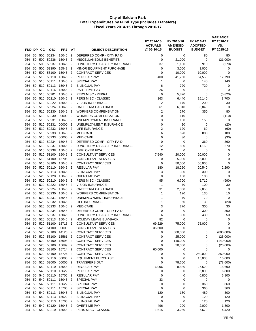| FND DP     |          | cс         | <b>OBJ</b>                | <b>PRJ</b>         | AT                               | <b>OBJECT DESCRIPTION</b>                                       | FY 2014-15<br><b>ACTUALS</b><br>@ 06-30-15 | FY 2015-16<br><b>AMENDED</b><br><b>BUDGET</b> | FY 2016-17<br><b>ADOPTED</b><br><b>BUDGET</b> | <b>VARIANCE</b><br>FY 2016-17<br>VS.<br>FY 2015-16 |
|------------|----------|------------|---------------------------|--------------------|----------------------------------|-----------------------------------------------------------------|--------------------------------------------|-----------------------------------------------|-----------------------------------------------|----------------------------------------------------|
|            |          |            |                           |                    |                                  |                                                                 |                                            |                                               |                                               |                                                    |
| 254<br>254 | 50<br>50 | 500<br>500 | 50234<br>50236            | 15045<br>15045     | $\overline{2}$<br>$\overline{2}$ | DEFERRED COMP - CITY PAID<br>MISCELLANEOUS BENEFITS             | 0<br>0                                     | 0<br>21,000                                   | 80<br>0                                       | 80<br>(21,000)                                     |
| 254        | 50       | 500        | 50237                     | 15045              | $\overline{2}$                   | LONG TERM DISABILITY INSURANCE                                  | 37                                         | 1,180                                         | 910                                           | (270)                                              |
| 254        | 50       | 500        | 53390                     | 15548              | $\overline{2}$                   | <b>MINOR EQUIPMENT PURCHASE</b>                                 | 0                                          | 3,000                                         | 3,000                                         | 0                                                  |
| 254        | 50       | 500        | 58100                     | 15045              | $\overline{2}$                   | <b>CONTRACT SERVICES</b>                                        | $\mathbf 0$                                | 10,000                                        | 10,000                                        | 0                                                  |
| 254        | 50       |            | 510 50110                 | 15045              | $\overline{2}$                   | <b>REGULAR PAY</b>                                              | 400                                        | 41,760                                        | 54,550                                        | 12,790                                             |
| 254        | 50       | 510        | 50111                     | 15045              | $\overline{2}$                   | <b>SPECIAL PAY</b>                                              | 1                                          | 0                                             | 140                                           | 140                                                |
| 254        | 50       |            | 510 50113                 | 15045              | $\overline{2}$                   | <b>BILINGUAL PAY</b>                                            | 6                                          | 720                                           | 720                                           | 0                                                  |
| 254        | 50       |            | 510 50116                 | 15045              | $\overline{2}$                   | PART TIME PAY                                                   | 26                                         | 0                                             | 0                                             | 0                                                  |
| 254        | 50       |            | 510 50201                 | 15045              | $\overline{2}$                   | PERS MISC - PEPRA                                               | 0                                          | 5,820                                         | $\mathbf 0$                                   | (5,820)                                            |
| 254        | 50       | 510        | 50210                     | 15045              | $\overline{2}$                   | PERS MISC - CLASSIC                                             | 163                                        | 6,440                                         | 15,140                                        | 8,700                                              |
| 254        | 50<br>50 |            | 510 50222<br>510 50224    | 15045<br>15045     | $\overline{2}$<br>$\overline{2}$ | <b>VISION INSURANCE</b><br>CAFETERIA CASH BACK                  | $\overline{2}$<br>61                       | 170                                           | 200                                           | 30<br>0                                            |
| 254<br>254 | 50       | 510        | 50230                     | 15045              | $\overline{2}$                   | <b>WORKERS COMPENSATION</b>                                     | 2                                          | 6,840<br>270                                  | 6,840<br>350                                  | 80                                                 |
| 254        | 50       | 510        | 50230                     | 00000              | $\overline{2}$                   | <b>WORKERS COMPENSATION</b>                                     | 0                                          | 110                                           | 0                                             | (110)                                              |
| 254        | 50       | 510        | 50231                     | 15045              | 2                                | UNEMPLOYMENT INSURANCE                                          | 3                                          | 150                                           | 150                                           | 0                                                  |
| 254        | 50       |            | 510 50231                 | 00000              | $\overline{2}$                   | UNEMPLOYMENT INSURANCE                                          | 0                                          | 20                                            | 0                                             | (20)                                               |
| 254        | 50       | 510        | 50232                     | 15045              | $\overline{2}$                   | <b>LIFE INSURANCE</b>                                           | $\overline{2}$                             | 120                                           | 60                                            | (60)                                               |
| 254        | 50       |            | 510 50233                 | 15045              | $\overline{2}$                   | <b>MEDICARE</b>                                                 | 6                                          | 620                                           | 800                                           | 180                                                |
| 254        | 50       |            | 510 50233                 | 00000              | $\overline{2}$                   | <b>MEDICARE</b>                                                 | 0                                          | 30                                            | 0                                             | (30)                                               |
| 254        | 50       | 510        | 50234                     | 15045              | $\overline{2}$                   | DEFERRED COMP - CITY PAID                                       | $\mathbf 0$                                | 0                                             | 360                                           | 360                                                |
| 254        | 50       | 510        | 50237                     | 15045              | $\overline{2}$                   | LONG TERM DISABILITY INSURANCE                                  | 12                                         | 880                                           | 1,150                                         | 270                                                |
| 254        | 50       | 510        | 50238                     | 15045              | $\overline{2}$                   | <b>EMPLOYER FICA</b>                                            | 2                                          | 0                                             | 0                                             | 0                                                  |
| 254        | 50       | 510        | 51100                     | 15045              | $\overline{2}$                   | <b>CONSULTANT SERVICES</b>                                      | 7,540                                      | 20,000                                        | 20,000                                        | 0                                                  |
| 254        | 50       | 510        | 51100                     | 15705              | $\overline{2}$                   | <b>CONSULTANT SERVICES</b>                                      | 0                                          | 5,000                                         | 5,000                                         | 0                                                  |
| 254<br>254 | 50<br>50 | 520        | 510 58100<br>50110        | 15045<br>15045     | $\overline{2}$<br>$\overline{2}$ | <b>CONTRACT SERVICES</b><br><b>REGULAR PAY</b>                  | 0<br>180                                   | 50,000<br>18,250                              | 50,000<br>20,540                              | $\mathbf 0$<br>2,290                               |
| 254        | 50       | 520        | 50113                     | 15045              | $\overline{2}$                   | <b>BILINGUAL PAY</b>                                            | 3                                          | 300                                           | 300                                           | 0                                                  |
| 254        | 50       | 520        | 50120                     | 15045              | $\overline{2}$                   | <b>OVERTIME PAY</b>                                             | 0                                          | 100                                           | 100                                           | 0                                                  |
| 254        | 50       | 520        | 50210                     | 15045              | $\overline{2}$                   | PERS MISC - CLASSIC                                             | 95                                         | 6,700                                         | 5,710                                         | (990)                                              |
| 254        | 50       | 520        | 50222                     | 15045              | $\overline{2}$                   | <b>VISION INSURANCE</b>                                         | $\mathbf{1}$                               | 70                                            | 100                                           | 30                                                 |
| 254        | 50       | 520        | 50224                     | 15045              | $\overline{2}$                   | CAFETERIA CASH BACK                                             | 31                                         | 2,850                                         | 2,850                                         | 0                                                  |
| 254        | 50       | 520        | 50230                     | 15045              | $\overline{2}$                   | <b>WORKERS COMPENSATION</b>                                     | 1                                          | 120                                           | 130                                           | 10                                                 |
| 254        | 50       |            | 520 50231                 | 15045              | 2                                | UNEMPLOYMENT INSURANCE                                          | 1                                          | 70                                            | 70                                            | 0                                                  |
| 254        | 50       | 520        | 50232                     | 15045              | $\overline{2}$                   | LIFE INSURANCE                                                  | 1                                          | 50                                            | 30                                            | (20)                                               |
| 254        | 50       | 520        | 50233                     | 15045              | $\overline{2}$                   | <b>MEDICARE</b>                                                 | 3                                          | 270                                           | 300                                           | 30                                                 |
| 254        | 50       | 520        | 50234<br>50237            | 15045              | $\overline{2}$                   | DEFERRED COMP - CITY PAID                                       | $\mathbf 0$                                | 0                                             | 300                                           | 300                                                |
| 254<br>254 | 50<br>50 | 520<br>520 | 50313                     | 15045<br>15045     | $\overline{2}$<br>$\overline{2}$ | LONG TERM DISABILITY INSURANCE<br><b>HOLIDAY LEAVE BUY-BACK</b> | 6<br>82                                    | 380<br>$\mathbf 0$                            | 430<br>0                                      | 50<br>0                                            |
| 254        | 50       | 520        | 51100                     | 15715 2            |                                  | CONSULTANT SERVICES                                             | 69,229                                     | 75,000                                        | 75,000                                        | 0                                                  |
| 254        | 50       |            | 520 51100                 | 00000 2            |                                  | <b>CONSULTANT SERVICES</b>                                      | 36,600                                     | 0                                             | 0                                             | 0                                                  |
| 254        | 50       |            | 520 58100                 | 14120 2            |                                  | <b>CONTRACT SERVICES</b>                                        | 0                                          | 600,000                                       | 0                                             | (600,000)                                          |
| 254        | 50       |            | 520 58100                 | 15561              | $\overline{2}$                   | <b>CONTRACT SERVICES</b>                                        | 0                                          | 25,000                                        | 0                                             | (25,000)                                           |
| 254        | 50       |            | 520 58100                 | 15698 2            |                                  | <b>CONTRACT SERVICES</b>                                        | 0                                          | 140,000                                       | 0                                             | (140,000)                                          |
| 254        | 50       |            | 520 58100                 | 15699              | $\overline{2}$                   | <b>CONTRACT SERVICES</b>                                        | $\mathbf 0$                                | 20,000                                        | 0                                             | (20,000)                                           |
| 254        | 50       |            | 520 58100                 | 15714 2            |                                  | <b>CONTRACT SERVICES</b>                                        | 60,000                                     | 0                                             | 0                                             | 0                                                  |
| 254        | 50       |            | 520 58100                 | 15724 2            |                                  | <b>CONTRACT SERVICES</b>                                        | 0                                          | 0                                             | 250,000                                       | 250,000                                            |
| 254        | 50       |            | 520 58110                 | 00000 2            |                                  | <b>EQUIPMENT PURCHASE</b>                                       | 0                                          | 0                                             | 15,000                                        | 15,000                                             |
| 254        | 50       |            | 520 59000                 | 00000              | $\overline{2}$                   | <b>TRANSFERS OUT</b>                                            | 0                                          | 78,600                                        | 0                                             | (78,600)                                           |
| 254<br>254 | 50       |            | 540 50110<br>50 540 50110 | 15045 2<br>15622 2 |                                  | <b>REGULAR PAY</b><br><b>REGULAR PAY</b>                        | 6,006<br>0                                 | 8,830<br>0                                    | 27,520<br>6,800                               | 18,690<br>6,800                                    |
| 254        | 50       |            | 540 50110                 | 15705 2            |                                  | <b>REGULAR PAY</b>                                              | $\mathbf 0$                                | 0                                             | 6,800                                         | 6,800                                              |
| 254        | 50       |            | 540 50111                 | 15045 2            |                                  | SPECIAL PAY                                                     | 33                                         | 0                                             | $\pmb{0}$                                     | 0                                                  |
| 254        | 50       | 540        | 50111                     | 15622 2            |                                  | SPECIAL PAY                                                     | 0                                          | 0                                             | 360                                           | 360                                                |
| 254        | 50       |            | 540 50111                 | 15705 2            |                                  | SPECIAL PAY                                                     | $\mathbf 0$                                | 0                                             | 360                                           | 360                                                |
| 254        | 50       |            | 540 50113                 | 15045 2            |                                  | <b>BILINGUAL PAY</b>                                            | 120                                        | 180                                           | 480                                           | 300                                                |
| 254        | 50       | 540        | 50113                     | 15622 2            |                                  | <b>BILINGUAL PAY</b>                                            | 0                                          | 0                                             | 120                                           | 120                                                |
| 254        | 50       |            | 540 50113                 | 15705 2            |                                  | <b>BILINGUAL PAY</b>                                            | 0                                          | 0                                             | 120                                           | 120                                                |
| 254        | 50       |            | 540 50120                 | 15045              | $\overline{2}$                   | <b>OVERTIME PAY</b>                                             | 496                                        | 200                                           | 2,000                                         | 1,800                                              |
| 254        |          |            | 50 540 50210              | 15045 2            |                                  | PERS MISC - CLASSIC                                             | 1,615                                      | 3,250                                         | 7,670                                         | 4,420                                              |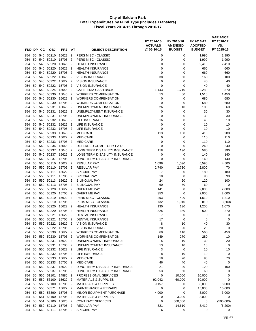| FND DP     |          | cс         | <b>OBJ</b>             | <b>PRJ</b>         | AT                               | <b>OBJECT DESCRIPTION</b>                                          | FY 2014-15<br><b>ACTUALS</b><br>@06-30-15 | FY 2015-16<br><b>AMENDED</b><br><b>BUDGET</b> | FY 2016-17<br><b>ADOPTED</b><br><b>BUDGET</b> | <b>VARIANCE</b><br>FY 2016-17<br>VS.<br>FY 2015-16 |
|------------|----------|------------|------------------------|--------------------|----------------------------------|--------------------------------------------------------------------|-------------------------------------------|-----------------------------------------------|-----------------------------------------------|----------------------------------------------------|
| 254        | 50       | 540        | 50210                  | 15622              | $\overline{2}$                   | PERS MISC - CLASSIC                                                | 0                                         | 0                                             | 1,990                                         | 1,990                                              |
| 254        | 50       | 540        | 50210                  | 15705              | $\overline{2}$                   | PERS MISC - CLASSIC                                                | 0                                         | 0                                             | 1,990                                         | 1,990                                              |
| 254        | 50       | 540        | 50220                  | 15045              | $\overline{2}$                   | <b>HEALTH INSURANCE</b>                                            | 0                                         | 0                                             | 2,410                                         | 2,410                                              |
| 254        | 50       | 540        | 50220                  | 15622 2            |                                  | <b>HEALTH INSURANCE</b>                                            | 0                                         | 0                                             | 660                                           | 660                                                |
| 254        | 50       | 540        | 50220                  | 15705              | $\overline{2}$                   | <b>HEALTH INSURANCE</b>                                            | 0                                         | 0                                             | 660                                           | 660                                                |
| 254        | 50       | 540        | 50222                  | 15045              | $\overline{2}$                   | <b>VISION INSURANCE</b>                                            | 38                                        | 60                                            | 160                                           | 100                                                |
| 254        | 50       | 540        | 50222                  | 15622 2            |                                  | <b>VISION INSURANCE</b>                                            | 0                                         | 0                                             | 40                                            | 40                                                 |
| 254        | 50       | 540        | 50222                  | 15705              | $\overline{2}$                   | <b>VISION INSURANCE</b>                                            | $\mathbf 0$                               | 0                                             | 40                                            | 40                                                 |
| 254        | 50       | 540        | 50224                  | 15045              | $\overline{2}$                   | <b>CAFETERIA CASH BACK</b>                                         | 1,143                                     | 1,710                                         | 2,280                                         | 570                                                |
| 254        | 50       | 540        | 50230                  | 15045              | $\overline{2}$                   | <b>WORKERS COMPENSATION</b>                                        | 13                                        | 60                                            | 1,510                                         | 1,450                                              |
| 254        | 50       | 540        | 50230                  | 15622 2            |                                  | <b>WORKERS COMPENSATION</b>                                        | $\mathbf 0$                               | 0                                             | 680                                           | 680                                                |
| 254        | 50       | 540        | 50230                  | 15705              | $\overline{2}$                   | <b>WORKERS COMPENSATION</b>                                        | 0                                         | 0                                             | 680                                           | 680                                                |
| 254        | 50       | 540        | 50231                  | 15045              | $\overline{2}$                   | UNEMPLOYMENT INSURANCE                                             | 26                                        | 40                                            | 100                                           | 60                                                 |
| 254        | 50       | 540        | 50231                  | 15622              | $\overline{2}$                   | UNEMPLOYMENT INSURANCE                                             | 0                                         | 0                                             | 30                                            | 30                                                 |
| 254        | 50       | 540        | 50231                  | 15705              | $\overline{2}$                   | UNEMPLOYMENT INSURANCE                                             | $\mathbf 0$                               | $\mathbf 0$                                   | 30                                            | 30                                                 |
| 254        | 50       | 540        | 50232                  | 15045              | $\overline{2}$                   | LIFE INSURANCE                                                     | 16                                        | 30                                            | 40                                            | 10                                                 |
| 254        | 50       | 540        | 50232                  | 15622              | $\overline{2}$                   | LIFE INSURANCE                                                     | 0                                         | 0                                             | 10                                            | 10                                                 |
| 254        | 50       | 540        | 50232                  | 15705              | $\overline{2}$                   | LIFE INSURANCE                                                     | 0                                         | 0                                             | 10                                            | 10                                                 |
| 254        | 50       | 540        | 50233                  | 15045              | $\overline{2}$                   | <b>MEDICARE</b>                                                    | 113                                       | 130                                           | 410                                           | 280                                                |
| 254        | 50       | 540        | 50233                  | 15622              | $\overline{2}$                   | <b>MEDICARE</b>                                                    | 0                                         | 0                                             | 110                                           | 110                                                |
| 254        | 50       | 540        | 50233                  | 15705              | $\overline{2}$                   | <b>MEDICARE</b>                                                    | 0                                         | 0                                             | 110                                           | 110                                                |
| 254        | 50       | 540        | 50234                  | 15045              | $\overline{2}$                   | DEFERRED COMP - CITY PAID                                          | 0                                         | 0                                             | 240                                           | 240                                                |
| 254        | 50       | 540        | 50237                  | 15045              | $\overline{2}$                   | LONG TERM DISABILITY INSURANCE                                     | 118                                       | 190                                           | 580                                           | 390                                                |
| 254        | 50       | 540        | 50237                  | 15622              | $\overline{2}$                   | LONG TERM DISABILITY INSURANCE                                     | 0                                         | 0                                             | 140                                           | 140                                                |
| 254        | 50       | 540        | 50237                  | 15705              | $\overline{2}$                   | LONG TERM DISABILITY INSURANCE                                     | 0                                         | 0                                             | 140                                           | 140                                                |
| 254        | 50       | 550        | 50110                  | 15622              | 2                                | <b>REGULAR PAY</b>                                                 | 1,096                                     | 1,090                                         | 5,590                                         | 4,500                                              |
| 254        | 50       | 550        | 50110                  | 15705              | $\overline{2}$                   | <b>REGULAR PAY</b>                                                 | 2,740                                     | 2,730                                         | 2,800                                         | 70                                                 |
| 254        | 50       | 550        | 50111                  | 15622              | $\overline{2}$                   | <b>SPECIAL PAY</b>                                                 | $\overline{7}$                            | 0                                             | 180                                           | 180                                                |
| 254        | 50<br>50 | 550<br>550 | 50111<br>50113         | 15705<br>15622     | $\overline{2}$<br>$\overline{2}$ | <b>SPECIAL PAY</b><br><b>BILINGUAL PAY</b>                         | 18<br>24                                  | 0<br>20                                       | 90<br>120                                     | 90<br>100                                          |
| 254<br>254 | 50       | 550        | 50113                  | 15705              | $\overline{2}$                   | <b>BILINGUAL PAY</b>                                               | 60                                        | 60                                            | 60                                            | 0                                                  |
| 254        | 50       | 550        | 50120                  | 15622              | $\overline{2}$                   | <b>OVERTIME PAY</b>                                                | 141                                       | 0                                             | 2,000                                         | 2,000                                              |
| 254        | 50       | 550        | 50120                  | 15705              | $\overline{2}$                   | <b>OVERTIME PAY</b>                                                | 353                                       | 0                                             | 2,000                                         | 2,000                                              |
| 254        | 50       | 550        | 50210                  | 15622              | $\overline{2}$                   | PERS MISC - CLASSIC                                                | 293                                       | 400                                           | 1,610                                         | 1,210                                              |
| 254        | 50       | 550        | 50210                  | 15705              | $\overline{2}$                   | <b>PERS MISC - CLASSIC</b>                                         | 732                                       | 1,010                                         | 810                                           | (200)                                              |
| 254        | 50       | 550        | 50220                  | 15622              | $\overline{2}$                   | <b>HEALTH INSURANCE</b>                                            | 130                                       | 130                                           | 1,200                                         | 1,070                                              |
| 254        | 50       | 550        | 50220                  | 15705              | $\overline{2}$                   | <b>HEALTH INSURANCE</b>                                            | 325                                       | 330                                           | 600                                           | 270                                                |
| 254        | 50       | 550        | 50221                  | 15622              | $\overline{2}$                   | <b>DENTAL INSURANCE</b>                                            | 7                                         | 0                                             | 0                                             | 0                                                  |
| 254        | 50       | 550        | 50221                  | 15705              | $\overline{2}$                   | <b>DENTAL INSURANCE</b>                                            | 17                                        | $\mathbf 0$                                   | 0                                             | 0                                                  |
| 254        | 50       | 550        | 50222                  | 15622 2            |                                  | <b>VISION INSURANCE</b>                                            | 8                                         | 10                                            | 40                                            | 30                                                 |
| 254        | 50       |            |                        | 550 50222 15705 2  |                                  | <b>VISION INSURANCE</b>                                            | 20                                        | 20                                            | 20                                            | 0                                                  |
| 254        | 50       |            | 550 50230              | 15622 2            |                                  | WORKERS COMPENSATION                                               | 60                                        | 110                                           | 560                                           | 450                                                |
| 254        | 50       |            | 550 50230              | 15705 2            |                                  | <b>WORKERS COMPENSATION</b>                                        | 149                                       | 270                                           | 280                                           | 10                                                 |
| 254        | 50       |            | 550 50231              | 15622 2            |                                  | UNEMPLOYMENT INSURANCE                                             | 5                                         | 10                                            | 30                                            | 20                                                 |
| 254        | 50       |            | 550 50231              | 15705 2            |                                  | UNEMPLOYMENT INSURANCE                                             | 13                                        | 10                                            | 10                                            | 0                                                  |
| 254        | 50       | 550        | 50232                  | 15622 2            |                                  | LIFE INSURANCE                                                     | 3                                         | $\mathbf 0$                                   | 10                                            | 10                                                 |
| 254        | 50       |            | 550 50232              | 15705 2            |                                  | LIFE INSURANCE                                                     | 8                                         | 10                                            | 10                                            | 0                                                  |
| 254        | 50       |            | 550 50233              | 15622 2            |                                  | <b>MEDICARE</b>                                                    | 18                                        | 20                                            | 90                                            | 70                                                 |
| 254        | 50       |            | 550 50233              | 15705 2            |                                  | <b>MEDICARE</b>                                                    | 46                                        | 40                                            | 40                                            | 0                                                  |
| 254        | 50       |            | 550 50237              | 15622 2            |                                  | LONG TERM DISABILITY INSURANCE                                     | 21                                        | 20                                            | 120                                           | 100                                                |
| 254        | 50       |            | 550 50237              | 15705 2            |                                  | LONG TERM DISABILITY INSURANCE                                     | 53                                        | 60                                            | 60                                            | 0                                                  |
| 254        | 50       |            | 550 51101              | 14885 2            |                                  | PROFESSIONAL SERVICES                                              | $\mathbf 0$                               | 10,000                                        | 10,000                                        | 0                                                  |
| 254        | 50       |            | 550 53100<br>550 53100 | 15622 2<br>15705 2 |                                  | <b>MATERIALS &amp; SUPPLIES</b><br><b>MATERIALS &amp; SUPPLIES</b> | 92,042                                    | 60,000                                        | 60,000                                        | 0                                                  |
| 254<br>254 | 50<br>50 |            | 550 53371              | 15622 2            |                                  | <b>MAINTENANCE &amp; REPAIRS</b>                                   | 9,157<br>0                                | 0<br>0                                        | 8,000<br>15,000                               | 8,000<br>15,000                                    |
| 254        | 50       |            | 550 53390              | 15705 2            |                                  | MINOR EQUIPMENT PURCHASE                                           | 4,000                                     | 0                                             | 3,000                                         | 3,000                                              |
| 254        | 50       |            | 551 53100              | 15705 2            |                                  | <b>MATERIALS &amp; SUPPLIES</b>                                    | 0                                         | 3,000                                         | 3,000                                         | 0                                                  |
| 254        | 50       |            | 551 58100              | 15625              | $\overline{2}$                   | <b>CONTRACT SERVICES</b>                                           | $\mathbf 0$                               | 500,000                                       | 0                                             | (500,000)                                          |
| 254        | 50       |            | 560 50110              | 15705              | $\overline{2}$                   | <b>REGULAR PAY</b>                                                 | 821                                       | 14,610                                        | 8,410                                         | (6,200)                                            |
| 254        | 50       |            | 560 50111              | 15705 2            |                                  | SPECIAL PAY                                                        | 6                                         | 0                                             | $\mathbf 0$                                   | 0                                                  |
|            |          |            |                        |                    |                                  |                                                                    |                                           |                                               |                                               |                                                    |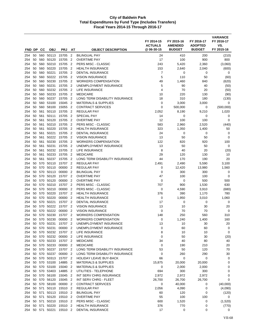|            |          |            |                                              |                    |                                  |                                                       | FY 2014-15<br><b>ACTUALS</b><br>@06-30-15 | FY 2015-16<br><b>AMENDED</b><br><b>BUDGET</b> | FY 2016-17<br><b>ADOPTED</b><br><b>BUDGET</b> | <b>VARIANCE</b><br>FY 2016-17<br>VS.<br>FY 2015-16 |
|------------|----------|------------|----------------------------------------------|--------------------|----------------------------------|-------------------------------------------------------|-------------------------------------------|-----------------------------------------------|-----------------------------------------------|----------------------------------------------------|
| FND DP     |          | СC         | <b>OBJ</b>                                   | <b>PRJ</b>         | AT                               | <b>OBJECT DESCRIPTION</b>                             |                                           |                                               |                                               |                                                    |
| 254        | 50       | 560        | 50113                                        | 15705              | $\overline{2}$                   | <b>BILINGUAL PAY</b>                                  | 24                                        | 410                                           | 200                                           | (210)                                              |
| 254        | 50       | 560        | 50120                                        | 15705              | $\overline{2}$                   | <b>OVERTIME PAY</b>                                   | 17                                        | 100                                           | 900                                           | 800                                                |
| 254        | 50       | 560        | 50210                                        | 15705              | $\overline{2}$                   | PERS MISC - CLASSIC                                   | 243                                       | 5,420                                         | 2,360                                         | (3,060)                                            |
| 254        | 50       | 560        | 50220<br>50221                               | 15705              | $\overline{2}$                   | <b>HEALTH INSURANCE</b>                               | 153                                       | 2,640                                         | 2,040                                         | (600)                                              |
| 254<br>254 | 50<br>50 | 560<br>560 | 50222                                        | 15705<br>15705     | $\overline{2}$<br>$\overline{2}$ | <b>DENTAL INSURANCE</b><br><b>VISION INSURANCE</b>    | 7<br>5                                    | 0<br>110                                      | 0<br>50                                       | 0                                                  |
| 254        | 50       | 560        | 50230                                        | 15705              | $\overline{2}$                   | <b>WORKERS COMPENSATION</b>                           | 49                                        | 1,460                                         | 840                                           | (60)<br>(620)                                      |
| 254        | 50       |            | 560 50231                                    | 15705              | $\overline{2}$                   | UNEMPLOYMENT INSURANCE                                | 5                                         | 90                                            | 40                                            | (50)                                               |
| 254        | 50       | 560        | 50232                                        | 15705              | $\overline{2}$                   | LIFE INSURANCE                                        | 4                                         | 70                                            | 20                                            | (50)                                               |
| 254        | 50       | 560        | 50233                                        | 15705              | $\overline{2}$                   | <b>MEDICARE</b>                                       | 10                                        | 220                                           | 130                                           | (90)                                               |
| 254        | 50       | 560        | 50237                                        | 15705              | $\overline{2}$                   | LONG TERM DISABILITY INSURANCE                        | 18                                        | 310                                           | 180                                           | (130)                                              |
| 254        | 50       |            | 560 53100                                    | 15045              | $\overline{2}$                   | <b>MATERIALS &amp; SUPPLIES</b>                       | 0                                         | 3,000                                         | 3,000                                         | $\mathbf 0$                                        |
| 254        | 50       | 560        | 58100                                        | 15055              | $\overline{2}$                   | <b>CONTRACT SERVICES</b>                              | 0                                         | 500,000                                       | 0                                             | (500,000)                                          |
| 254        | 50       | 561        | 50110                                        | 15705              | $\overline{2}$                   | <b>REGULAR PAY</b>                                    | 2,052                                     | 8,190                                         | 9,210                                         | 1,020                                              |
| 254        | 50       | 561        | 50111                                        | 15705              | $\overline{2}$                   | <b>SPECIAL PAY</b>                                    | 14                                        | 0                                             | 0                                             | 0                                                  |
| 254        | 50       | 561        | 50120                                        | 15705              | $\overline{2}$                   | <b>OVERTIME PAY</b>                                   | 12                                        | 100                                           | 100                                           | 0                                                  |
| 254        | 50       | 561        | 50210                                        | 15705              | $\overline{2}$                   | PERS MISC - CLASSIC                                   | 583                                       | 2,960                                         | 2,520                                         | (440)                                              |
| 254        | 50       | 561        | 50220                                        | 15705              | $\overline{2}$                   | <b>HEALTH INSURANCE</b>                               | 323                                       | 1,350                                         | 1,400                                         | 50                                                 |
| 254        | 50       | 561        | 50221                                        | 15705              | $\overline{2}$                   | <b>DENTAL INSURANCE</b>                               | 24                                        | 0                                             | 0                                             | 0                                                  |
| 254        | 50       | 561        | 50222                                        | 15705              | $\overline{2}$                   | <b>VISION INSURANCE</b>                               | 13                                        | 50                                            | 50                                            | 0                                                  |
| 254        | 50       | 561        | 50230                                        | 15705              | $\overline{2}$                   | <b>WORKERS COMPENSATION</b>                           | 122                                       | 820                                           | 920                                           | 100                                                |
| 254        | 50       | 561        | 50231                                        | 15705              | $\overline{2}$                   | UNEMPLOYMENT INSURANCE                                | 13<br>8                                   | 50                                            | 50                                            | 0                                                  |
| 254<br>254 | 50<br>50 | 561<br>561 | 50232<br>50233                               | 15705<br>15705     | $\overline{2}$<br>$\overline{2}$ | LIFE INSURANCE<br><b>MEDICARE</b>                     | 29                                        | 40<br>120                                     | 20<br>130                                     | (20)<br>10                                         |
| 254        | 50       | 561        | 50237                                        | 15705              | $\overline{2}$                   | LONG TERM DISABILITY INSURANCE                        | 44                                        | 170                                           | 190                                           | 20                                                 |
| 254        | 50       | 570        | 50110                                        | 15707 2            |                                  | <b>REGULAR PAY</b>                                    | 2,491                                     | 2,490                                         | 5,590                                         | 3,100                                              |
| 254        | 50       | 570        | 50110                                        | 00000              | $\overline{2}$                   | <b>REGULAR PAY</b>                                    | 0                                         | 12,420                                        | 13,980                                        | 1,560                                              |
| 254        | 50       | 570        | 50113                                        | 00000              | $\overline{2}$                   | <b>BILINGUAL PAY</b>                                  | 0                                         | 300                                           | 300                                           | 0                                                  |
| 254        | 50       | 570        | 50120                                        | 15707              | $\overline{2}$                   | <b>OVERTIME PAY</b>                                   | 47                                        | 100                                           | 100                                           | 0                                                  |
| 254        | 50       | 570        | 50120                                        | 00000              | $\overline{2}$                   | <b>OVERTIME PAY</b>                                   | 0                                         | 0                                             | 500                                           | 500                                                |
| 254        | 50       | 570        | 50210                                        | 15707              | $\overline{2}$                   | PERS MISC - CLASSIC                                   | 707                                       | 900                                           | 1,530                                         | 630                                                |
| 254        | 50       | 570        | 50210                                        | 00000              | $\overline{2}$                   | PERS MISC - CLASSIC                                   | 0                                         | 4,590                                         | 3,910                                         | (680)                                              |
| 254        | 50       |            | 570 50220                                    | 15707              | $\overline{2}$                   | <b>HEALTH INSURANCE</b>                               | 376                                       | 390                                           | 1,170                                         | 780                                                |
| 254        | 50       | 570        | 50220                                        | 00000              | $\overline{2}$                   | <b>HEALTH INSURANCE</b>                               | 0                                         | 1,950                                         | 3,010                                         | 1,060                                              |
| 254        | 50       | 570        | 50221                                        | 15707              | $\overline{2}$                   | <b>DENTAL INSURANCE</b>                               | 17                                        | 0                                             | 0                                             | 0                                                  |
| 254        | 50       | 570        | 50222                                        | 15707              | $\overline{2}$                   | <b>VISION INSURANCE</b>                               | 13                                        | 10                                            | 30                                            | 20                                                 |
| 254        | 50       | 570        | 50222                                        | 00000              | $\overline{2}$                   | <b>VISION INSURANCE</b>                               | 0                                         | 70                                            | 70                                            | 0                                                  |
| 254        | 50       | 570        | 50230                                        | 15707              | $\overline{2}$                   | <b>WORKERS COMPENSATION</b>                           | 148                                       | 250                                           | 560                                           | 310                                                |
| 254<br>254 | 50       | 570        | 50230<br>50 570 50231                        | 00000              | $\overline{2}$                   | <b>WORKERS COMPENSATION</b><br>UNEMPLOYMENT INSURANCE | 0                                         | 1,240<br>10                                   | 1,400                                         | 160                                                |
| 254        |          |            | 50 570 50231                                 | 15707 2<br>00000 2 |                                  | UNEMPLOYMENT INSURANCE                                | 13<br>0                                   | 60                                            | 30<br>60                                      | 20<br>0                                            |
| 254        |          |            | 50 570 50232 15707 2                         |                    |                                  | LIFE INSURANCE                                        | 8                                         | 10                                            | 10                                            | 0                                                  |
| 254        | 50       |            | 570 50232                                    | 00000 2            |                                  | LIFE INSURANCE                                        | $\mathbf 0$                               | 50                                            | 30                                            | (20)                                               |
| 254        |          |            | 50 570 50233                                 | 15707 2            |                                  | <b>MEDICARE</b>                                       | 34                                        | 40                                            | 80                                            | 40                                                 |
| 254        |          |            | 50 570 50233 00000 2                         |                    |                                  | <b>MEDICARE</b>                                       | 0                                         | 190                                           | 210                                           | 20                                                 |
| 254        |          |            | 50 570 50237                                 | 15707 2            |                                  | LONG TERM DISABILITY INSURANCE                        | 53                                        | 50                                            | 120                                           | 70                                                 |
| 254        | 50       |            | 570 50237                                    | 00000 2            |                                  | LONG TERM DISABILITY INSURANCE                        | 0                                         | 260                                           | 290                                           | 30                                                 |
| 254        |          |            | 50 570 50313 15707 2                         |                    |                                  | <b>HOLIDAY LEAVE BUY-BACK</b>                         | 66                                        | $\mathbf 0$                                   | 0                                             | 0                                                  |
| 254        |          |            | 50 570 53100                                 | 14885              | $\overline{2}$                   | <b>MATERIALS &amp; SUPPLIES</b>                       | 15,875                                    | 20,000                                        | 20,000                                        | 0                                                  |
| 254        | 50       |            | 570 53100                                    | 15040 2            |                                  | <b>MATERIALS &amp; SUPPLIES</b>                       | 0                                         | 2,000                                         | 2,000                                         | 0                                                  |
| 254        |          |            | 50 570 53403                                 | 14885 2            |                                  | UTILITIES - TELEPHONE                                 | 694                                       | 300                                           | 300                                           | 0                                                  |
| 254        | 50       |            | 570 56100                                    | 15045 2            |                                  | INT SERV CHRG INSURANCE                               | 2,972                                     | 2,972                                         | 2,972                                         | 0                                                  |
| 254        |          |            | 50 570 56120                                 | 15045 2            |                                  | INT SERV CHRG - FLEET                                 | 26,700                                    | 26,700                                        | 26,700                                        | $\mathbf 0$                                        |
| 254        | 50       |            | 570 58100                                    | 00000 2            |                                  | <b>CONTRACT SERVICES</b>                              | $\pmb{0}$                                 | 40,000                                        | 0                                             | (40,000)                                           |
| 254        |          |            | 50 571 50110 15510 2<br>50 571 50113 15510 2 |                    |                                  | <b>REGULAR PAY</b><br><b>BILINGUAL PAY</b>            | 2,056<br>60                               | 4,090<br>120                                  | 0<br>0                                        | (4,090)                                            |
| 254<br>254 |          |            | 50 571 50120                                 | 15510 2            |                                  | <b>OVERTIME PAY</b>                                   | 55                                        | 100                                           | 100                                           | (120)<br>0                                         |
| 254        |          |            | 50 571 50210 15510 2                         |                    |                                  | PERS MISC - CLASSIC                                   | 600                                       | 1,520                                         | 0                                             | (1,520)                                            |
| 254        | 50       | 571        | 50220                                        | 15510 2            |                                  | <b>HEALTH INSURANCE</b>                               | 376                                       | 770                                           | 0                                             | (770)                                              |
| 254        |          |            | 50 571 50221                                 | 15510 2            |                                  | <b>DENTAL INSURANCE</b>                               | 17                                        | 0                                             | 0                                             | 0                                                  |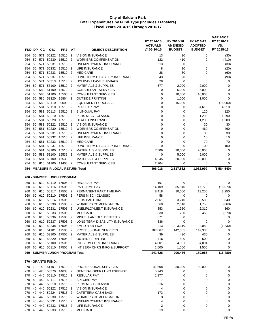| FND DP        |          | <b>CC</b> | <b>OBJ</b>         | <b>PRJ</b>                                   | AT                               | <b>OBJECT DESCRIPTION</b>                                         | FY 2014-15<br><b>ACTUALS</b><br>@06-30-15 | FY 2015-16<br><b>AMENDED</b><br><b>BUDGET</b> | FY 2016-17<br><b>ADOPTED</b><br><b>BUDGET</b> | <b>VARIANCE</b><br>FY 2016-17<br>VS.<br>FY 2015-16 |
|---------------|----------|-----------|--------------------|----------------------------------------------|----------------------------------|-------------------------------------------------------------------|-------------------------------------------|-----------------------------------------------|-----------------------------------------------|----------------------------------------------------|
|               |          | 50 571    |                    |                                              |                                  |                                                                   |                                           |                                               |                                               |                                                    |
| 254<br>254    | 50       | 571       | 50222<br>50230     | 15510 2<br>15510                             | $\overline{2}$                   | <b>VISION INSURANCE</b><br><b>WORKERS COMPENSATION</b>            | 13<br>122                                 | 30<br>410                                     | 0<br>0                                        | (30)<br>(410)                                      |
| 254           | 50       | 571       | 50231              | 15510                                        | $\overline{2}$                   | UNEMPLOYMENT INSURANCE                                            | 13                                        | 30                                            | 0                                             | (30)                                               |
| 254           | 50       | 571       | 50232              | 15510                                        | $\overline{2}$                   | LIFE INSURANCE                                                    | 8                                         | 20                                            | 0                                             | (20)                                               |
| 254           | 50       | 571       | 50233              | 15510 2                                      |                                  | <b>MEDICARE</b>                                                   | 28                                        | 60                                            | 0                                             | (60)                                               |
| 254           | 50       | 571       | 50237              | 15510 2                                      |                                  | LONG TERM DISABILITY INSURANCE                                    | 43                                        | 90                                            | 0                                             | (90)                                               |
| 254           | 50       | 571       | 50313              | 15510                                        | $\overline{2}$                   | <b>HOLIDAY LEAVE BUY-BACK</b>                                     | 28                                        | 0                                             | 0                                             | 0                                                  |
| 254           | 50       | 571       | 53100              | 15510 2                                      |                                  | <b>MATERIALS &amp; SUPPLIES</b>                                   | 577                                       | 2,000                                         | 2,000                                         | 0                                                  |
| 254           | 50       |           | 580 51100          | 15070                                        | $\overline{2}$                   | CONSULTANT SERVICES                                               | 0                                         | 6,000                                         | 6,000                                         | 0                                                  |
| 254           | 50       | 580       | 51100              | 15505                                        | $\overline{2}$                   | <b>CONSULTANT SERVICES</b>                                        | 0                                         | 10,000                                        | 10,000                                        | 0                                                  |
| 254<br>254    | 50<br>50 | 580       | 53320<br>580 58110 | 15864<br>00000                               | $\overline{2}$<br>$\overline{2}$ | <b>OUTSIDE PRINTING</b><br><b>EQUIPMENT PURCHASE</b>              | $\mathbf 0$<br>$\mathbf 0$                | 1,000<br>15,000                               | 1,000<br>0                                    | 0<br>(15,000)                                      |
| 254           | 50       | 581       | 50110              | 15510                                        | - 2                              | <b>REGULAR PAY</b>                                                | 0                                         | 0                                             | 4,610                                         | 4,610                                              |
| 254           | 50       | 581       | 50113              | 15510                                        | $\overline{2}$                   | <b>BILINGUAL PAY</b>                                              | 0                                         | 0                                             | 120                                           | 120                                                |
| 254           | 50       | 581       | 50210              | 15510 2                                      |                                  | <b>PERS MISC - CLASSIC</b>                                        | 0                                         | 0                                             | 1,290                                         | 1,290                                              |
| 254           | 50       | 581       | 50220              | 15510                                        | - 2                              | <b>HEALTH INSURANCE</b>                                           | 0                                         | $\mathbf 0$                                   | 1,200                                         | 1,200                                              |
| 254           | 50       | 581       | 50222              | 15510                                        | $\overline{2}$                   | <b>VISION INSURANCE</b>                                           | 0                                         | 0                                             | 30                                            | 30                                                 |
| 254           | 50       | 581       | 50230              | 15510                                        | $\overline{2}$                   | <b>WORKERS COMPENSATION</b>                                       | 0                                         | 0                                             | 460                                           | 460                                                |
| 254           | 50       | 581       | 50231              | 15510 2                                      |                                  | UNEMPLOYMENT INSURANCE                                            | $\mathbf 0$                               | 0                                             | 30                                            | 30                                                 |
| 254           | 50       | 581       | 50232              | 15510                                        | $\overline{2}$                   | LIFE INSURANCE                                                    | 0                                         | 0                                             | 10                                            | 10                                                 |
| 254           | 50       | 581       | 50233              | 15510                                        | $\overline{2}$                   | <b>MEDICARE</b>                                                   | 0                                         | 0                                             | 70                                            | 70                                                 |
| 254           | 50       | 581       | 50237<br>581 53100 | 15510 2<br>15510                             |                                  | LONG TERM DISABILITY INSURANCE<br><b>MATERIALS &amp; SUPPLIES</b> | $\mathbf 0$                               | 0                                             | 100<br>20,000                                 | 100<br>0                                           |
| 254<br>254    | 50<br>50 | 581       | 53100              | 15535                                        | $\overline{2}$<br>$\overline{2}$ | <b>MATERIALS &amp; SUPPLIES</b>                                   | 7,509<br>0                                | 20,000<br>5,000                               | 5,000                                         | 0                                                  |
| 254           | 50       | 581       | 53100              | 15539                                        | $\overline{2}$                   | <b>MATERIALS &amp; SUPPLIES</b>                                   | 4,245                                     | 20,000                                        | 20,000                                        | 0                                                  |
| 254           |          |           |                    | 60 610 51100 11400 2                         |                                  | <b>CONSULTANT SERVICES</b>                                        | 2,204                                     | 0                                             | 0                                             | 0                                                  |
|               |          |           |                    | 254 - MEASURE R LOCAL RETURN Total           |                                  |                                                                   | 406,018                                   | 2,617,532                                     | 1,032,992                                     | (1,584,540)                                        |
|               |          |           |                    |                                              |                                  |                                                                   |                                           |                                               |                                               |                                                    |
|               |          |           |                    | <u> 260 - SUMMER LUNCH PROGRAM:</u>          |                                  |                                                                   |                                           |                                               |                                               |                                                    |
| 260           |          |           |                    | 60 610 50110 17505 2                         |                                  | <b>REGULAR PAY</b>                                                | 197                                       | 0                                             | 0                                             | 0                                                  |
| 260           | 60<br>60 | 610       | 610 50116<br>50117 | 17505<br>17505                               | $\overline{2}$<br>$\overline{2}$ | PART TIME PAY<br>PERMANENT PART TIME PAY                          | 14,109                                    | 35,840                                        | 17,770<br>13,250                              | (18,070)<br>3,250                                  |
| 260<br>260    | 60       |           | 610 50210          | 17505                                        | $\overline{2}$                   | PERS MISC - CLASSIC                                               | 8,418<br>58                               | 10,000<br>0                                   | 0                                             | 0                                                  |
| 260           | 60       | 610       | 50214              | 17505                                        | $\overline{2}$                   | PERS PART TIME                                                    | 2,061                                     | 3,240                                         | 3,580                                         | 340                                                |
| 260           | 60       | 610       | 50230              | 17505                                        | $\overline{2}$                   | <b>WORKERS COMPENSATION</b>                                       | 360                                       | 2,610                                         | 1,750                                         | (860)                                              |
| 260           | 60       |           | 610 50231          | 17505                                        | $\overline{2}$                   | UNEMPLOYMENT INSURANCE                                            | 853                                       | 1,950                                         | 2,310                                         | 360                                                |
| 260           | 60       |           | 610 50233          | 17505                                        | $\overline{\phantom{a}}$         | <b>MEDICARE</b>                                                   | 330                                       | 720                                           | 450                                           | (270)                                              |
| 260           |          |           | 60 610 50236       | 17505 2                                      |                                  | MISCELLANEOUS BENEFITS                                            | 671                                       | 0                                             | 0                                             | 0                                                  |
| 260           |          |           |                    | 60 610 50237 17505 2                         |                                  | LONG TERM DISABILITY INSURANCE                                    | 536                                       | 0                                             | 0                                             | 0                                                  |
| 260           |          |           |                    | 60 610 50238 17505 2                         |                                  | <b>EMPLOYER FICA</b>                                              | 213                                       | 3,310                                         | 2,080                                         | (1, 230)                                           |
| 260           |          |           |                    | 60 610 51101 17505 2                         |                                  | PROFESSIONAL SERVICES                                             | 107,867                                   | 142,335                                       | 142,335                                       | 0                                                  |
|               |          |           |                    | 260 60 610 53100 17505 2                     |                                  | <b>MATERIALS &amp; SUPPLIES</b>                                   | 39                                        | 430                                           | 430                                           | 0                                                  |
| 260<br>260    |          |           |                    | 60 610 53320 17505 2<br>60 610 56100 17505 2 |                                  | <b>OUTSIDE PRINTING</b><br>INT SERV CHRG INSURANCE                | 416                                       | 500<br>4,001                                  | 500                                           | 0<br>0                                             |
| 260           |          |           |                    | 60 610 56110 17505 2                         |                                  | INT SERV CHRG INFO & SUPPORT                                      | 4,001<br>1,500                            | 1,500                                         | 4,001<br>1,500                                | 0                                                  |
|               |          |           |                    | 260 - SUMMER LUNCH PROGRAM Total             |                                  |                                                                   | 141,626                                   | 206,436                                       | 189,956                                       | (16, 480)                                          |
|               |          |           |                    |                                              |                                  |                                                                   |                                           |                                               |                                               |                                                    |
|               |          |           | 270 - GRANTS FUND: |                                              |                                  |                                                                   |                                           |                                               |                                               |                                                    |
|               |          |           |                    | 270 10 140 51101 17510 2                     |                                  | PROFESSIONAL SERVICES                                             | 41,508                                    | 30,000                                        | 30,000                                        | 0                                                  |
| 270           |          |           |                    | 40 420 53370 14633 2<br>440 50110 17516 2    |                                  | <b>GENERAL OPERATING EXPENSE</b>                                  | 5,243                                     | 0                                             | 0                                             | 0                                                  |
| 270 40<br>270 |          |           | 40 440 50111       | 17516 2                                      |                                  | REGULAR PAY<br>SPECIAL PAY                                        | 1,977<br>7                                | 0<br>0                                        | 0<br>0                                        | 0<br>0                                             |
| 270           | 40       |           |                    | 440 50210 17516 2                            |                                  | PERS MISC - CLASSIC                                               | 316                                       | 0                                             | 0                                             | 0                                                  |
| 270           | 40       |           |                    | 440 50222 17516 2                            |                                  | <b>VISION INSURANCE</b>                                           | 4                                         | 0                                             | 0                                             | 0                                                  |
| 270           | 40       |           |                    | 440 50224 17516 2                            |                                  | CAFETERIA CASH BACK                                               | 173                                       | 0                                             | 0                                             | 0                                                  |
| 270           | 40       |           |                    | 440 50230 17516 2                            |                                  | <b>WORKERS COMPENSATION</b>                                       | 3                                         | 0                                             | 0                                             | 0                                                  |
| 270           | 40       |           | 440 50231          | 17516 2                                      |                                  | UNEMPLOYMENT INSURANCE                                            | 4                                         | 0                                             | 0                                             | 0                                                  |
| 270           | 40       |           |                    | 440 50232 17516 2                            |                                  | LIFE INSURANCE                                                    | 2                                         | 0                                             | 0                                             | 0                                                  |
| 270           |          |           |                    | 40 440 50233 17516 2                         |                                  | <b>MEDICARE</b>                                                   | 19                                        | 0                                             | 0                                             | 0                                                  |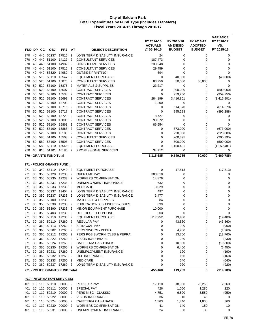|            |          |     |                                        |                |                                  |                                                         | FY 2014-15<br><b>ACTUALS</b> | FY 2015-16<br><b>AMENDED</b> | FY 2016-17<br><b>ADOPTED</b> | <b>VARIANCE</b><br>FY 2016-17<br>VS. |
|------------|----------|-----|----------------------------------------|----------------|----------------------------------|---------------------------------------------------------|------------------------------|------------------------------|------------------------------|--------------------------------------|
| FND DP     |          | CС  | <b>OBJ</b>                             | <b>PRJ</b>     | AT                               | <b>OBJECT DESCRIPTION</b>                               | @ 06-30-15                   | <b>BUDGET</b>                | <b>BUDGET</b>                | FY 2015-16                           |
| 270        | 40       |     | 440 50237                              | 17516          | $\overline{2}$                   | LONG TERM DISABILITY INSURANCE                          | 24                           | 0                            | 0                            | 0                                    |
| 270        | 40       | 440 | 51100                                  | 14127          | $\overline{2}$                   | <b>CONSULTANT SERVICES</b>                              | 187,473                      | 0                            | 0                            | 0                                    |
| 270        | 40       | 440 | 51100                                  | 14982          | $\overline{2}$                   | <b>CONSULTANT SERVICES</b>                              | 233,248                      | 0                            | 0                            | 0                                    |
| 270        | 40       |     | 440 51100                              | 17516          | $\overline{2}$                   | CONSULTANT SERVICES                                     | 29,459                       | 0                            | 0                            | 0                                    |
| 270        | 40       |     | 440 53320                              | 14982          | $\overline{2}$                   | <b>OUTSIDE PRINTING</b>                                 | 694                          | 0                            | 0                            | $\mathbf 0$                          |
| 270        | 50<br>50 | 520 | 510 58110<br>51100                     | 15547<br>15875 | $\overline{2}$<br>$\overline{2}$ | <b>EQUIPMENT PURCHASE</b><br><b>CONSULTANT SERVICES</b> | 0                            | 40,000                       | 0                            | (40,000)                             |
| 270<br>270 | 50       | 520 | 53100                                  | 15875          | $\overline{2}$                   | <b>MATERIALS &amp; SUPPLIES</b>                         | 83,250<br>23,217             | 50,000<br>0                  | 50,000<br>0                  | 0<br>0                               |
| 270        | 50       | 520 | 58100                                  | 15507          | $\overline{2}$                   | <b>CONTRACT SERVICES</b>                                | 0                            | 800,000                      | 0                            | (800,000)                            |
| 270        | 50       | 520 | 58100                                  | 15538          | $\overline{2}$                   | <b>CONTRACT SERVICES</b>                                | 0                            | 959,250                      | 0                            | (959, 250)                           |
| 270        | 50       | 520 | 58100                                  | 15698          | $\overline{2}$                   | <b>CONTRACT SERVICES</b>                                | 284,199                      | 3,416,801                    | 0                            | (3, 416, 801)                        |
| 270        | 50       |     | 520 58100                              | 15708          | $\overline{2}$                   | <b>CONTRACT SERVICES</b>                                | 1,300                        | 0                            | 0                            | 0                                    |
| 270        | 50       |     | 520 58100                              | 15716          | $\overline{2}$                   | <b>CONTRACT SERVICES</b>                                | 0                            | 614,570                      | 0                            | (614, 570)                           |
| 270        | 50       | 520 | 58100                                  | 15717          | $\overline{2}$                   | <b>CONTRACT SERVICES</b>                                | 0                            | 895,288                      | 0                            | (895, 288)                           |
| 270        | 50       | 520 | 58100                                  | 15723          | $\overline{2}$                   | <b>CONTRACT SERVICES</b>                                | 8,727                        | 0                            | 0                            | 0                                    |
| 270        | 50       | 520 | 58100                                  | 15805          | $\overline{2}$                   | <b>CONTRACT SERVICES</b>                                | 93,372                       | 0                            | 0                            | 0                                    |
| 270        | 50       | 520 | 58100                                  | 15861          | $\overline{2}$                   | <b>CONTRACT SERVICES</b>                                | 86,554                       | 0                            | 0                            | 0                                    |
| 270        | 50       | 520 | 58100                                  | 15868          | $\overline{2}$                   | <b>CONTRACT SERVICES</b>                                | 0                            | 673,000                      | 0                            | (673,000)                            |
| 270        | 50       |     | 520 58100                              | 16185          | $\overline{2}$                   | <b>CONTRACT SERVICES</b>                                | 0                            | 220,000                      | 0                            | (220,000)                            |
| 270        | 50       |     | 580 51100                              | 15508          | $\overline{2}$                   | <b>CONSULTANT SERVICES</b>                              | 0                            | 200,395                      | 0                            | (200, 395)                           |
| 270        | 50       |     | 580 58100                              | 15508          | 2                                | <b>CONTRACT SERVICES</b>                                | 0                            | 500,000                      | 0                            | (500,000)                            |
| 270        | 50       |     | 580 58110                              | 15546          | $\overline{2}$                   | <b>EQUIPMENT PURCHASE</b>                               | 0                            | 1,150,481                    | 0                            | (1, 150, 481)                        |
| 270        | 60       |     | 610 51101                              | 16185          | $\overline{2}$                   | PROFESSIONAL SERVICES                                   | 34,912                       | 0                            | $\mathbf 0$                  | 0                                    |
|            |          |     | 270 - GRANTS FUND Total                |                |                                  |                                                         | 1,115,685                    | 9,549,785                    | 80,000                       | (9,469,785)                          |
|            |          |     | 271 - POLICE GRANTS FUND:              |                |                                  |                                                         |                              |                              |                              |                                      |
| 271        | 30       |     | 340 58110 17240 2                      |                |                                  | <b>EQUIPMENT PURCHASE</b>                               | 0                            | 17,813                       | 0                            | (17, 813)                            |
| 271        | 30       | 350 | 50120                                  | 17233          | $\overline{2}$                   | <b>OVERTIME PAY</b>                                     | 303,818                      | 0                            | 0                            | 0                                    |
| 271        | 30       |     | 350 50230                              | 17233 2        |                                  | <b>WORKERS COMPENSATION</b>                             | 14,876                       | 0                            | $\mathbf 0$                  | 0                                    |
| 271        | 30       |     | 350 50231                              | 17233          | $\overline{2}$                   | UNEMPLOYMENT INSURANCE                                  | 632                          | 0                            | 0                            | 0                                    |
| 271        | 30       | 350 | 50233                                  | 17233          | $\overline{2}$                   | <b>MEDICARE</b>                                         | 3,029                        | 0                            | 0                            | 0                                    |
| 271        | 30       | 350 | 50237                                  | 13404          | $\overline{2}$                   | LONG TERM DISABILITY INSURANCE                          | 497                          | 0                            | 0                            | 0                                    |
| 271        | 30       | 350 | 50237                                  | 17233          | $\overline{2}$                   | LONG TERM DISABILITY INSURANCE                          | 3,477                        | 0                            | 0                            | 0                                    |
| 271        | 30       |     | 350 53100                              | 17233          | $\overline{2}$                   | <b>MATERIALS &amp; SUPPLIES</b>                         | 84                           | 0                            | 0                            | $\mathbf 0$                          |
| 271        | 30       | 350 | 53330                                  | 17233          | 2                                | PUBLICATIONS, SUBSCRIP & DUES                           | 899                          | 0                            | 0                            | 0                                    |
| 271        | 30       |     | 350 53390                              | 17233          | $\overline{2}$                   | MINOR EQUIPMENT PURCHASE                                | 10,000                       | 0                            | 0                            | 0                                    |
| 271        | 30       | 350 | 53403                                  | 17233          | $\overline{2}$                   | UTILITIES - TELEPHONE                                   | 203                          | 0                            | 0                            | $\mathbf 0$                          |
| 271        | 30       |     | 350 58110                              | 17233          | $\overline{2}$                   | <b>EQUIPMENT PURCHASE</b>                               | 117,952                      | 19,400                       | 0                            | (19, 400)                            |
| 271        |          |     | 30 360 50110 17260 2                   |                |                                  | REGULAR PAY                                             | $\Omega$                     | 43,560                       | $\Omega$                     | (43, 560)                            |
| 271        | 30       |     | 360 50113 17260 2                      |                |                                  | BILINGUAL PAY                                           | 0                            | 900                          | 0                            | (900)                                |
| 271        | 30       |     | 360 50202 17260 2                      |                |                                  | PERS SWORN - PEPRA                                      | 0                            | 4,960                        | 0                            | (4,960)                              |
| 271        | 30       |     | 360 50212 17260 2                      |                |                                  | PERS POB SWORN (CLSS & PEPRA)                           | 0                            | 13,760                       | 0                            | (13,760)                             |
| 271        | 30       |     | 360 50222 17260 2                      |                |                                  | <b>VISION INSURANCE</b>                                 | 0                            | 230                          | 0                            | (230)                                |
| 271        | 30       |     | 360 50224 17260 2<br>360 50230 17260 2 |                |                                  | CAFETERIA CASH BACK                                     | 0                            | 10,800                       | 0                            | (10, 800)                            |
| 271<br>271 | 30<br>30 |     | 360 50231                              | 17260 2        |                                  | <b>WORKERS COMPENSATION</b><br>UNEMPLOYMENT INSURANCE   | 0<br>0                       | 6,450<br>190                 | 0<br>0                       | (6, 450)<br>(190)                    |
| 271        | 30       |     | 360 50232 17260 2                      |                |                                  | LIFE INSURANCE                                          | 0                            | 160                          | 0                            |                                      |
| 271        | 30       |     | 360 50233 17260 2                      |                |                                  | <b>MEDICARE</b>                                         | 0                            | 640                          | 0                            | (160)<br>(640)                       |
| 271        | 30       |     | 360 50237 17260 2                      |                |                                  | LONG TERM DISABILITY INSURANCE                          | 0                            | 920                          | 0                            | (920)                                |
|            |          |     | 271 - POLICE GRANTS FUND Total         |                |                                  |                                                         | 455,468                      | 119,783                      | 0                            | (119, 783)                           |
|            |          |     | <u>401 - INFORMATION SERVICES:</u>     |                |                                  |                                                         |                              |                              |                              |                                      |
| 401        |          |     | 10 110 50110 00000 2                   |                |                                  |                                                         | 17,110                       | 18,000                       | 20,260                       |                                      |
| 401        |          |     | 10 110 50111 00000 2                   |                |                                  | REGULAR PAY<br>SPECIAL PAY                              | 426                          | 1,060                        | 1,280                        | 2,260<br>220                         |
| 401        |          |     | 10 110 50210 00000 2                   |                |                                  | PERS MISC - CLASSIC                                     | 4,751                        | 6,500                        | 5,550                        | (950)                                |
| 401        |          |     | 10 110 50222 00000 2                   |                |                                  | <b>VISION INSURANCE</b>                                 | 36                           | 40                           | 40                           | 0                                    |
| 401        |          |     | 10 110 50224                           | 00000 2        |                                  | CAFETERIA CASH BACK                                     | 1,363                        | 1,440                        | 1,800                        | 360                                  |
| 401        |          |     | 10 110 50230                           | 00000          | 2                                | <b>WORKERS COMPENSATION</b>                             | 41                           | 140                          | 150                          | 10                                   |
| 401        |          |     | 10 110 50231 00000 2                   |                |                                  | UNEMPLOYMENT INSURANCE                                  | 24                           | 30                           | 30                           | 0                                    |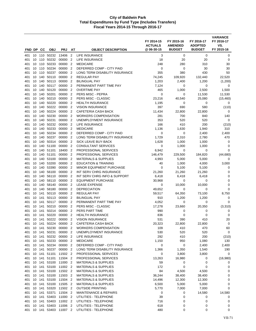| FND DP CC  |          |        | <b>OBJ</b>            | <b>PRJ</b>           | AT                               | <b>OBJECT DESCRIPTION</b>                                          | FY 2014-15<br><b>ACTUALS</b><br>@06-30-15 | FY 2015-16<br><b>AMENDED</b><br><b>BUDGET</b> | FY 2016-17<br><b>ADOPTED</b><br><b>BUDGET</b> | <b>VARIANCE</b><br>FY 2016-17<br>VS.<br>FY 2015-16 |
|------------|----------|--------|-----------------------|----------------------|----------------------------------|--------------------------------------------------------------------|-------------------------------------------|-----------------------------------------------|-----------------------------------------------|----------------------------------------------------|
|            |          |        |                       |                      |                                  |                                                                    |                                           |                                               |                                               |                                                    |
| 401<br>401 | 10       | 110    | 10 110 50232<br>50232 | 13406<br>00000       | $\overline{2}$<br>$\overline{2}$ | LIFE INSURANCE<br>LIFE INSURANCE                                   | 3<br>18                                   | 0<br>20                                       | 0<br>20                                       | 0<br>0                                             |
| 401        | 10       | 110    | 50233                 | 00000                | $\overline{2}$                   | <b>MEDICARE</b>                                                    | 248                                       | 280                                           | 310                                           | 30                                                 |
| 401        | 10       | 110    | 50234                 | 00000                | $\overline{2}$                   | DEFERRED COMP - CITY PAID                                          | 0                                         | 0                                             | 30                                            | 30                                                 |
| 401        | 10       | 110    | 50237                 | 00000                | 2                                | LONG TERM DISABILITY INSURANCE                                     | 355                                       | 380                                           | 430                                           | 50                                                 |
| 401        | 10       | 140    | 50110                 | 00000                | $\overline{2}$                   | <b>REGULAR PAY</b>                                                 | 74,245                                    | 109,920                                       | 132,440                                       | 22,520                                             |
| 401        | 10       | 140    | 50113                 | 00000                | $\overline{2}$                   | <b>BILINGUAL PAY</b>                                               | 1,203                                     | 2,400                                         | 1,200                                         | (1,200)                                            |
| 401        | 10       | 140    | 50117                 | 00000                | $\overline{2}$                   | PERMANENT PART TIME PAY                                            | 7,124                                     | 0                                             | $\mathbf 0$                                   | 0                                                  |
| 401        | 10       | 140    | 50120                 | 00000                | 2                                | <b>OVERTIME PAY</b>                                                | 465                                       | 1,000                                         | 2,500                                         | 1,500                                              |
| 401        | 10       | 140    | 50201                 | 00000                | $\overline{2}$                   | PERS MISC - PEPRA                                                  | $\mathbf 0$                               | 0                                             | 11,530                                        | 11,530                                             |
| 401        | 10       | 140    | 50210                 | 00000                | $\overline{2}$                   | PERS MISC - CLASSIC                                                | 23,216                                    | 40,540                                        | 25,080                                        | (15, 460)                                          |
| 401        | 10       | 140    | 50220                 | 00000                | $\overline{2}$                   | <b>HEALTH INSURANCE</b>                                            | 1,195                                     | 0                                             | 0                                             | 0                                                  |
| 401        | 10       |        | 140 50222             | 00000                | $\overline{2}$                   | <b>VISION INSURANCE</b>                                            | 397                                       | 690                                           | 580                                           | (110)                                              |
| 401        | 10       | 140    | 50224                 | 00000                | $\overline{2}$                   | <b>CAFETERIA CASH BACK</b>                                         | 11,434                                    | 22,800                                        | 22,800                                        | 0                                                  |
| 401        | 10       | 140    | 50230                 | 00000                | $\overline{2}$                   | <b>WORKERS COMPENSATION</b>                                        | 281                                       | 700                                           | 840                                           | 140                                                |
| 401        | 10       | 140    | 50231                 | 00000                | $\overline{2}$                   | UNEMPLOYMENT INSURANCE                                             | 353                                       | 520                                           | 520                                           | 0                                                  |
| 401        | 10       | 140    | 50232                 | 00000                | $\overline{2}$                   | LIFE INSURANCE                                                     | 166                                       | 410                                           | 200                                           | (210)                                              |
| 401        | 10       | 140    | 50233                 | 00000                | $\overline{2}$                   | <b>MEDICARE</b>                                                    | 1,136                                     | 1,630                                         | 1,940                                         | 310                                                |
| 401        | 10       | 140    | 50234                 | 00000                | $\overline{2}$                   | DEFERRED COMP - CITY PAID                                          | 0                                         | 0                                             | 2,400                                         | 2,400                                              |
| 401        | 10       | 140    | 50237                 | 00000                | $\overline{2}$                   | LONG TERM DISABILITY INSURANCE                                     | 1,729                                     | 2,310                                         | 2,780                                         | 470                                                |
| 401        | 10       | 140    | 50314                 | 00000                | 2                                | SICK LEAVE BUY-BACK                                                | 1,628                                     | 1,000                                         | 1,000                                         | 0                                                  |
| 401        | 10       |        | 140 51100             | 00000                | $\overline{2}$                   | <b>CONSULTANT SERVICES</b>                                         | 0                                         | 1,000                                         | 1,000                                         | $\mathbf 0$                                        |
| 401        | 10       | 140    | 51101                 | 18400                | $\overline{2}$                   | PROFESSIONAL SERVICES                                              | 6,942                                     | 0                                             | 0                                             | 0                                                  |
| 401        | 10       | 140    | 51101                 | 00000                | $\overline{2}$                   | PROFESSIONAL SERVICES                                              | 146,479                                   | 229,500                                       | 184,820                                       | (44, 680)                                          |
| 401        | 10<br>10 | 140    | 53100<br>140 53200    | 00000<br>00000       | $\overline{2}$<br>$\overline{2}$ | <b>MATERIALS &amp; SUPPLIES</b>                                    | 4,993                                     | 5,000                                         | 5,000                                         | 0                                                  |
| 401<br>401 | 10       | 140    | 53390                 | 00000                | $\overline{2}$                   | <b>EDUCATION &amp; TRAINING</b><br><b>MINOR EQUIPMENT PURCHASE</b> | 40<br>0                                   | 1,000<br>5,100                                | 4,000<br>5,100                                | 3,000<br>0                                         |
| 401        | 10       | 140    | 56100                 | 00000                | $\overline{2}$                   | INT SERV CHRG INSURANCE                                            | 21,260                                    | 21,260                                        | 21,260                                        | 0                                                  |
| 401        | 10       | 140    | 56110                 | 00000                | $\overline{2}$                   | INT SERV CHRG INFO & SUPPORT                                       | 6,418                                     | 6,418                                         | 6,418                                         | 0                                                  |
| 401        | 10       |        | 140 58110             | 00000                | 2                                | <b>EQUIPMENT PURCHASE</b>                                          | 30,968                                    | 0                                             | 0                                             | 0                                                  |
| 401        | 10       | 140    | 58140                 | 00000                | $\overline{2}$                   | <b>LEASE EXPENSE</b>                                               | 0                                         | 10,000                                        | 10,000                                        | 0                                                  |
| 401        | 10       | 140    | 58180                 | 00000                | $\overline{2}$                   | <b>DEPRECIATION</b>                                                | 49,652                                    | 0                                             | 0                                             | 0                                                  |
| 401        | 10       | 141    | 50110                 | 00000                | $\overline{2}$                   | <b>REGULAR PAY</b>                                                 | 59,517                                    | 64,350                                        | 73,100                                        | 8,750                                              |
| 401        | 10       | 141    | 50113                 | 00000                | $\overline{2}$                   | <b>BILINGUAL PAY</b>                                               | 910                                       | 1,200                                         | 1,200                                         | 0                                                  |
| 401        | 10       | 141    | 50117                 | 00000                | $\overline{2}$                   | PERMANENT PART TIME PAY                                            | 4,052                                     | 0                                             | $\mathbf 0$                                   | $\mathbf 0$                                        |
| 401        | 10       | 141    | 50210                 | 00000                | $\overline{2}$                   | PERS MISC - CLASSIC                                                | 17,278                                    | 23,660                                        | 20,350                                        | (3,310)                                            |
| 401        | 10       | 141    | 50214                 | 00000                | $\overline{2}$                   | PERS PART TIME                                                     | 990                                       | 0                                             | 0                                             | 0                                                  |
| 401        | 10       | 141    | 50220                 | 00000                | 2                                | <b>HEALTH INSURANCE</b>                                            | 836                                       | 0                                             | $\mathbf 0$                                   | 0                                                  |
| 401        | 10       | 141    | 50222                 | 00000                | $\overline{2}$                   | <b>VISION INSURANCE</b>                                            | 531                                       | 390                                           | 410                                           | 20                                                 |
| 401        |          | 10 141 | 50224                 | 00000 2              |                                  | CAFETERIA CASH BACK                                                | 20,323                                    | 22,800                                        | 22,800                                        | 0                                                  |
| 401        |          | 10 141 | 50230                 | 00000                | $\overline{2}$                   | <b>WORKERS COMPENSATION</b>                                        | 109                                       | 410                                           | 470                                           | 60                                                 |
| 401        |          | 10 141 | 50231                 | 00000 2              |                                  | UNEMPLOYMENT INSURANCE                                             | 530                                       | 520                                           | 520                                           | 0                                                  |
| 401        |          | 10 141 | 50232                 | 00000 2              |                                  | LIFE INSURANCE                                                     | 292                                       | 410                                           | 200                                           | (210)                                              |
| 401        |          |        | 10 141 50233          | 00000 2              |                                  | <b>MEDICARE</b>                                                    | 1,150                                     | 950                                           | 1,080                                         | 130                                                |
| 401        |          |        | 10 141 50237          | 10 141 50234 00000 2 |                                  | DEFERRED COMP - CITY PAID                                          | 0                                         | 0                                             | 2,400                                         | 2,400                                              |
| 401        |          |        | 10 141 51101          | 00000 2              |                                  | LONG TERM DISABILITY INSURANCE<br>PROFESSIONAL SERVICES            | 1,366                                     | 1,350                                         | 1,540                                         | 190                                                |
| 401<br>401 |          |        | 10 141 51101          | 11502 2<br>11504     | $\overline{2}$                   | PROFESSIONAL SERVICES                                              | 0<br>13,263                               | 3,800<br>16,980                               | 3,800<br>0                                    | 0<br>(16,980)                                      |
| 401        |          |        |                       | 10 141 53100 11000 2 |                                  | <b>MATERIALS &amp; SUPPLIES</b>                                    | 59                                        | 0                                             | 0                                             | 0                                                  |
| 401        |          |        | 10 141 53100          | 11002 2              |                                  | <b>MATERIALS &amp; SUPPLIES</b>                                    | 172                                       | 0                                             | 0                                             | 0                                                  |
| 401        |          |        |                       | 10 141 53100 11502 2 |                                  | <b>MATERIALS &amp; SUPPLIES</b>                                    | 84                                        | 4,500                                         | 4,500                                         | 0                                                  |
| 401        |          |        |                       | 10 141 53100 11503 2 |                                  | <b>MATERIALS &amp; SUPPLIES</b>                                    | 36,244                                    | 38,400                                        | 38,400                                        | 0                                                  |
| 401        |          |        | 10 141 53100          | 11504 2              |                                  | <b>MATERIALS &amp; SUPPLIES</b>                                    | 14,496                                    | 12,300                                        | 12,300                                        | 0                                                  |
| 401        |          |        |                       | 10 141 53100 11505 2 |                                  | <b>MATERIALS &amp; SUPPLIES</b>                                    | 6,500                                     | 5,000                                         | 5,000                                         | 0                                                  |
| 401        |          |        |                       | 10 141 53320 11502 2 |                                  | <b>OUTSIDE PRINTING</b>                                            | 5,770                                     | 7,000                                         | 7,000                                         | 0                                                  |
| 401        |          |        | 10 141 53371          | 11504 2              |                                  | <b>MAINTENANCE &amp; REPAIRS</b>                                   | 0                                         | 0                                             | 14,580                                        | 14,580                                             |
| 401        |          | 10 141 | 53403                 | 11000 2              |                                  | UTILITIES - TELEPHONE                                              | 39                                        | 0                                             | 0                                             | 0                                                  |
| 401        |          |        | 10 141 53403          | 11002 2              |                                  | UTILITIES - TELEPHONE                                              | 716                                       | 0                                             | $\mathbf 0$                                   | 0                                                  |
| 401        | 10       |        | 141 53403             | 11006 2              |                                  | UTILITIES - TELEPHONE                                              | 618                                       | 0                                             | 0                                             | 0                                                  |
| 401        |          |        |                       | 10 141 53403 11007 2 |                                  | UTILITIES - TELEPHONE                                              | 480                                       | 0                                             | 0                                             | 0                                                  |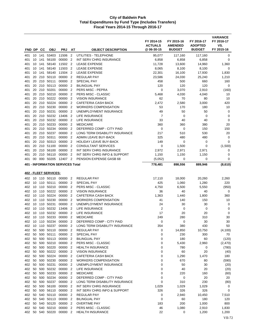| FND DP        |          | <b>CC</b> | <b>OBJ</b>                   | <b>PRJ</b>                              | AT                               | <b>OBJECT DESCRIPTION</b>                          | FY 2014-15<br><b>ACTUALS</b><br>@ 06-30-15 | FY 2015-16<br><b>AMENDED</b><br><b>BUDGET</b> | FY 2016-17<br><b>ADOPTED</b><br><b>BUDGET</b> | <b>VARIANCE</b><br>FY 2016-17<br>VS.<br>FY 2015-16 |
|---------------|----------|-----------|------------------------------|-----------------------------------------|----------------------------------|----------------------------------------------------|--------------------------------------------|-----------------------------------------------|-----------------------------------------------|----------------------------------------------------|
| 401           |          |           | 10 141 53403                 | 11506                                   | $\overline{2}$                   | UTILITIES - TELEPHONE                              | 95,077                                     | 117,160                                       | 117,160                                       | 0                                                  |
| 401           |          | 10 141    | 56100                        | 00000                                   | $\overline{2}$                   | INT SERV CHRG INSURANCE                            | 6,858                                      | 6,858                                         | 6,858                                         | 0                                                  |
| 401           |          | 10 141    | 58140                        | 11502 2                                 |                                  | <b>LEASE EXPENSE</b>                               | 11,728                                     | 13,600                                        | 14,960                                        | 1,360                                              |
| 401           |          | 10 141    | 58140                        | 11503                                   | $\overline{2}$                   | <b>LEASE EXPENSE</b>                               | 8,065                                      | 8,100                                         | 8,100                                         | 0                                                  |
| 401           |          | 10 141    | 58140                        | 11504                                   | $\overline{2}$                   | <b>LEASE EXPENSE</b>                               | 22,301                                     | 16,100                                        | 17,930                                        | 1,830                                              |
| 401           | 20       |           | 210 50110                    | 00000                                   | $\overline{2}$                   | <b>REGULAR PAY</b>                                 | 23,586                                     | 24,030                                        | 25,240                                        | 1,210                                              |
| 401           | 20       |           | 210 50111                    | 00000                                   | $\overline{2}$                   | <b>SPECIAL PAY</b>                                 | 458                                        | 500                                           | 660                                           | 160                                                |
| 401           |          |           | 20 210 50113                 | 00000                                   | $\overline{2}$                   | <b>BILINGUAL PAY</b>                               | 120                                        | 120                                           | 120                                           | 0                                                  |
| 401           |          |           | 20 210 50201                 | 00000                                   | $\overline{2}$                   | PERS MISC - PEPRA                                  | 0                                          | 3,070                                         | 2,910                                         | (160)                                              |
| 401           |          | 20 210    | 50210                        | 00000                                   | $\overline{2}$                   | PERS MISC - CLASSIC                                | 5,468                                      | 4,030                                         | 4,040                                         | 10                                                 |
| 401           |          |           | 20 210 50222<br>20 210 50224 | 00000<br>00000                          | $\overline{2}$                   | <b>VISION INSURANCE</b>                            | 62                                         | 70                                            | 80                                            | 10                                                 |
| 401<br>401    | 20       |           | 210 50230                    | 00000                                   | $\overline{2}$<br>$\overline{2}$ | CAFETERIA CASH BACK<br><b>WORKERS COMPENSATION</b> | 2,472<br>53                                | 2,580<br>170                                  | 3,000<br>180                                  | 420<br>10                                          |
| 401           | 20       | 210       | 50231                        | 00000                                   | $\overline{2}$                   | UNEMPLOYMENT INSURANCE                             | 49                                         | 50                                            | 50                                            | 0                                                  |
| 401           | 20       |           | 210 50232                    | 13406                                   | $\overline{2}$                   | LIFE INSURANCE                                     | 7                                          | $\mathbf 0$                                   | $\mathbf 0$                                   | 0                                                  |
| 401           |          |           | 20 210 50232                 | 00000                                   | $\overline{2}$                   | <b>LIFE INSURANCE</b>                              | 33                                         | 40                                            | 40                                            | 0                                                  |
| 401           |          | 20 210    | 50233                        | 00000                                   | $\overline{2}$                   | <b>MEDICARE</b>                                    | 360                                        | 360                                           | 380                                           | 20                                                 |
| 401           |          |           | 20 210 50234                 | 00000                                   | $\overline{2}$                   | DEFERRED COMP - CITY PAID                          | 0                                          | 0                                             | 150                                           | 150                                                |
| 401           | 20       |           | 210 50237                    | 00000                                   | $\overline{2}$                   | LONG TERM DISABILITY INSURANCE                     | 217                                        | 510                                           | 530                                           | 20                                                 |
| 401           | 20       |           | 210 50311                    | 00000                                   | $\overline{2}$                   | ADMIN LEAVE BUY-BACK                               | 325                                        | 480                                           | 480                                           | 0                                                  |
| 401           | 20       | 210       | 50313                        | 00000                                   | $\overline{2}$                   | HOLIDAY LEAVE BUY-BACK                             | 149                                        | 0                                             | 0                                             | 0                                                  |
| 401           |          |           | 20 210 51100                 | 00000                                   | $\overline{2}$                   | <b>CONSULTANT SERVICES</b>                         | 0                                          | 1,500                                         | $\mathbf 0$                                   | (1,500)                                            |
| 401           |          |           | 20 210 56100                 | 00000                                   | $\overline{2}$                   | INT SERV CHRG INSURANCE                            | 2,972                                      | 2,971                                         | 2,971                                         | 0                                                  |
| 401           | 20       | 210       | 56110                        | 00000                                   | $\overline{2}$                   | INT SERV CHRG INFO & SUPPORT                       | 1,150                                      | 1,150                                         | 1,150                                         | 0                                                  |
| 401           |          |           | 00 000 50205                 | 12407 2                                 |                                  | PENSION EXPENSE GASB 68                            | (5,052)                                    | 0                                             | 0                                             | 0                                                  |
|               |          |           |                              | <b>401 - INFORMATION SERVICES Total</b> |                                  |                                                    | 778,481                                    | 898,556                                       | 889,946                                       | (8,610)                                            |
|               |          |           | 402 - FLEET SERVICES:        |                                         |                                  |                                                    |                                            |                                               |                                               |                                                    |
|               |          |           | 10 110 50110 00000           |                                         |                                  | <b>REGULAR PAY</b>                                 |                                            |                                               |                                               |                                                    |
| 402<br>402    |          |           | 10 110 50111                 | 00000                                   | 2<br>$\overline{2}$              | SPECIAL PAY                                        | 17,110<br>425                              | 18,000<br>1,060                               | 20,260<br>1,280                               | 2,260<br>220                                       |
| 402           |          |           | 10 110 50210                 | 00000                                   | $\overline{2}$                   | PERS MISC - CLASSIC                                | 4,750                                      | 6,500                                         | 5,550                                         | (950)                                              |
| 402           |          |           | 10 110 50222                 | 00000                                   | $\overline{2}$                   | <b>VISION INSURANCE</b>                            | 36                                         | 40                                            | 40                                            | 0                                                  |
| 402           |          |           | 10 110 50224                 | 00000                                   | $\overline{2}$                   | CAFETERIA CASH BACK                                | 1,363                                      | 1,440                                         | 1,800                                         | 360                                                |
| 402           |          |           | 10 110 50230                 | 00000                                   | $\overline{2}$                   | <b>WORKERS COMPENSATION</b>                        | 41                                         | 140                                           | 150                                           | 10                                                 |
| 402           | 10       | 110       | 50231                        | 00000                                   | $\overline{2}$                   | UNEMPLOYMENT INSURANCE                             | 24                                         | 30                                            | 30                                            | 0                                                  |
| 402           |          |           | 10 110 50232                 | 13406                                   | $\overline{2}$                   | LIFE INSURANCE                                     | $\overline{2}$                             | 0                                             | 0                                             | 0                                                  |
| 402           | 10       |           | 110 50232                    | 00000                                   | $\overline{2}$                   | LIFE INSURANCE                                     | 17                                         | 20                                            | 20                                            | 0                                                  |
| 402           |          |           | 10 110 50233                 | 00000                                   | $\overline{2}$                   | <b>MEDICARE</b>                                    | 249                                        | 280                                           | 310                                           | 30                                                 |
| 402           |          |           |                              | 10 110 50234 00000 2                    |                                  | DEFERRED COMP - CITY PAID                          | 0                                          | 0                                             | 30                                            | 30                                                 |
| 402           |          |           |                              | 10 110 50237 00000 2                    |                                  | LONG TERM DISABILITY INSURANCE                     | 354                                        | 380                                           | 430                                           | 50                                                 |
| 402           | 50       |           | 500 50110                    | 00000                                   | $\overline{2}$                   | <b>REGULAR PAY</b>                                 | 0                                          | 14,850                                        | 10,750                                        | (4, 100)                                           |
| 402 50        |          |           | 500 50111                    | 00000 2                                 |                                  | SPECIAL PAY                                        | 0                                          | 230                                           | 300                                           | 70                                                 |
| 402 50        |          |           | 500 50113                    | 00000 2                                 |                                  | <b>BILINGUAL PAY</b>                               | 0                                          | 180                                           | 60                                            | (120)                                              |
| 402           | 50       |           | 500 50210                    | 00000                                   | $\overline{2}$                   | PERS MISC - CLASSIC                                | 0                                          | 5,430                                         | 2,960                                         | (2,470)                                            |
| 402           | 50       |           | 500 50220<br>500 50222       | 00000                                   | 2                                | <b>HEALTH INSURANCE</b><br><b>VISION INSURANCE</b> | 0                                          | 780                                           | 0                                             | (780)                                              |
| 402           | 50<br>50 |           | 500 50224                    | 00000 2<br>00000                        | 2                                | CAFETERIA CASH BACK                                | 0<br>0                                     | 60<br>1,290                                   | 20<br>1,470                                   | (40)<br>180                                        |
| 402<br>402 50 |          |           | 500 50230                    | 00000                                   | $\overline{2}$                   | <b>WORKERS COMPENSATION</b>                        | 0                                          | 670                                           | 80                                            | (590)                                              |
| 402           | 50       |           | 500 50231                    | 00000 2                                 |                                  | UNEMPLOYMENT INSURANCE                             | 0                                          | 50                                            | 30                                            | (20)                                               |
| 402 50        |          |           | 500 50232                    | 00000 2                                 |                                  | LIFE INSURANCE                                     | 0                                          | 40                                            | 20                                            | (20)                                               |
| 402           | 50       |           | 500 50233                    | 00000                                   | -2                               | <b>MEDICARE</b>                                    | 0                                          | 220                                           | 160                                           | (60)                                               |
| 402           | 50       |           | 500 50234                    | 00000                                   | $\overline{2}$                   | DEFERRED COMP - CITY PAID                          | 0                                          | 0                                             | 20                                            | 20                                                 |
| 402           | 50       |           | 500 50237                    | 00000 2                                 |                                  | LONG TERM DISABILITY INSURANCE                     | 0                                          | 310                                           | 230                                           | (80)                                               |
| 402           | 50       |           | 500 56100                    | 00000 2                                 |                                  | INT SERV CHRG INSURANCE                            | 1,029                                      | 1,029                                         | 1,029                                         | 0                                                  |
|               |          |           | 402 50 500 56110             | 00000                                   | $\overline{2}$                   | INT SERV CHRG INFO & SUPPORT                       | 326                                        | 326                                           | 326                                           | 0                                                  |
| 402           |          |           | 50 540 50110                 | 00000                                   | -2                               | <b>REGULAR PAY</b>                                 | 0                                          | 2,940                                         | 10,450                                        | 7,510                                              |
|               |          |           | 402 50 540 50113             | 00000 2                                 |                                  | <b>BILINGUAL PAY</b>                               | 0                                          | 60                                            | 180                                           | 120                                                |
| 402           | 50       |           | 540 50120                    | 00000                                   | $\overline{2}$                   | <b>OVERTIME PAY</b>                                | 183                                        | 200                                           | 1,000                                         | 800                                                |
| 402           |          |           | 50 540 50210                 | 00000                                   | -2                               | PERS MISC - CLASSIC                                | 46                                         | 1,080                                         | 2,910                                         | 1,830                                              |
|               |          |           | 402 50 540 50220             | 00000 2                                 |                                  | <b>HEALTH INSURANCE</b>                            | 22                                         | 0                                             | 1,200                                         | 1,200                                              |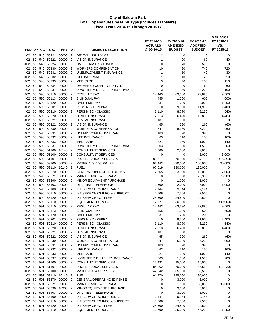|            |          |            |                           |                  |                                  |                                                    | FY 2014-15<br><b>ACTUALS</b><br>@06-30-15 | FY 2015-16<br><b>AMENDED</b><br><b>BUDGET</b> | FY 2016-17<br><b>ADOPTED</b><br><b>BUDGET</b> | <b>VARIANCE</b><br>FY 2016-17<br>VS.<br>FY 2015-16 |
|------------|----------|------------|---------------------------|------------------|----------------------------------|----------------------------------------------------|-------------------------------------------|-----------------------------------------------|-----------------------------------------------|----------------------------------------------------|
| FND DP     |          | CС         | <b>OBJ</b>                | <b>PRJ</b>       | AT                               | <b>OBJECT DESCRIPTION</b>                          |                                           |                                               |                                               |                                                    |
| 402        | 50       |            | 540 50221                 | 00000            | $\overline{2}$                   | <b>DENTAL INSURANCE</b>                            | $\overline{2}$                            | 0                                             | 0                                             | 0                                                  |
| 402        | 50       | 540        | 50222                     | 00000            | $\overline{2}$                   | <b>VISION INSURANCE</b>                            | 1                                         | 20                                            | 60                                            | 40                                                 |
| 402        | 50       | 540        | 50224                     | 00000            | $\overline{2}$                   | <b>CAFETERIA CASH BACK</b>                         | $\mathbf 0$                               | 570                                           | 570                                           | 0                                                  |
| 402        | 50       | 540        | 50230                     | 00000            | $\overline{2}$                   | <b>WORKERS COMPENSATION</b>                        | 10                                        | 20                                            | 740                                           | 720                                                |
| 402        | 50       |            | 540 50231                 | 00000            | $\overline{2}$                   | UNEMPLOYMENT INSURANCE                             | 1                                         | 10                                            | 40                                            | 30                                                 |
| 402        | 50       |            | 540 50232                 | 00000<br>00000   | $\overline{2}$                   | <b>LIFE INSURANCE</b>                              | 1                                         | 10                                            | 20                                            | 10                                                 |
| 402        | 50<br>50 | 540<br>540 | 50233<br>50234            | 00000            | $\overline{2}$<br>$\overline{2}$ | <b>MEDICARE</b><br>DEFERRED COMP - CITY PAID       | 3<br>$\mathbf 0$                          | 40<br>$\mathbf 0$                             | 150<br>60                                     | 110<br>60                                          |
| 402<br>402 | 50       | 540        | 50237                     | 00000            | 2                                | LONG TERM DISABILITY INSURANCE                     | 3                                         | 60                                            | 220                                           | 160                                                |
| 402        | 50       | 590        | 50110                     | 00000            | $\overline{2}$                   | <b>REGULAR PAY</b>                                 | 14,443                                    | 63,330                                        | 72,890                                        | 9,560                                              |
| 402        | 50       | 590        | 50113                     | 00000            | $\overline{2}$                   | <b>BILINGUAL PAY</b>                               | 455                                       | 1,200                                         | 600                                           | (600)                                              |
| 402        | 50       |            | 590 50120                 | 00000            | $\overline{2}$                   | <b>OVERTIME PAY</b>                                | 337                                       | 600                                           | 2,000                                         | 1,400                                              |
| 402        | 50       | 590        | 50201                     | 00000            | $\overline{2}$                   | PERS MISC - PEPRA                                  | $\mathbf 0$                               | 9,500                                         | 11,900                                        | 2,400                                              |
| 402        | 50       | 590        | 50210                     | 00000            | $\overline{2}$                   | PERS MISC - CLASSIC                                | 3,110                                     | 8,770                                         | 8,230                                         | (540)                                              |
| 402        | 50       | 590        | 50220                     | 00000            | $\overline{2}$                   | <b>HEALTH INSURANCE</b>                            | 2,313                                     | 6,430                                         | 10,890                                        | 4,460                                              |
| 402        | 50       | 590        | 50221                     | 00000            | $\overline{2}$                   | <b>DENTAL INSURANCE</b>                            | 187                                       | 0                                             | 0                                             | 0                                                  |
| 402        | 50       | 590        | 50222                     | 00000            | $\overline{2}$                   | <b>VISION INSURANCE</b>                            | 65                                        | 320                                           | 260                                           | (60)                                               |
| 402        | 50       | 590        | 50230                     | 00000            | $\overline{2}$                   | <b>WORKERS COMPENSATION</b>                        | 847                                       | 6,330                                         | 7,290                                         | 960                                                |
| 402        | 50       | 590        | 50231                     | 00000            | $\overline{2}$                   | UNEMPLOYMENT INSURANCE                             | 103                                       | 390                                           | 390                                           | $\mathbf 0$                                        |
| 402        | 50       | 590        | 50232                     | 00000            | $\overline{2}$                   | LIFE INSURANCE                                     | 63                                        | 310                                           | 150                                           | (160)                                              |
| 402        | 50       | 590        | 50233                     | 00000            | $\overline{2}$                   | <b>MEDICARE</b>                                    | 221                                       | 930                                           | 1,070                                         | 140                                                |
| 402        | 50       |            | 590 50237                 | 00000            | $\overline{2}$                   | LONG TERM DISABILITY INSURANCE                     | 303                                       | 1,330                                         | 1,530                                         | 200                                                |
| 402        | 50       | 590        | 51100                     | 16140            | $\overline{2}$                   | CONSULTANT SERVICES                                | 5,000                                     | 2,000                                         | 2,000                                         | 0                                                  |
| 402        | 50       | 590        | 51100                     | 00000            | $\overline{2}$                   | CONSULTANT SERVICES                                | $\mathbf 0$                               | 0                                             | 3,000                                         | 3,000                                              |
| 402        | 50       | 590        | 51101                     | 00000            | $\overline{2}$                   | PROFESSIONAL SERVICES                              | 86,511                                    | 70,000                                        | 54,150                                        | (15,850)                                           |
| 402        | 50       |            | 590 53100                 | 00000            | $\overline{2}$                   | <b>MATERIALS &amp; SUPPLIES</b>                    | 103,443                                   | 70,000                                        | 100,000                                       | 30,000                                             |
| 402        | 50       |            | 590 53110                 | 16140            | $\overline{2}$                   | <b>FUEL</b>                                        | 97,019                                    | 130,000                                       | 130,000                                       | 0                                                  |
| 402        | 50       | 590        | 53370                     | 00000            | $\overline{2}$                   | <b>GENERAL OPERATING EXPENSE</b>                   | 2,565                                     | 3,000                                         | 10,000                                        | 7,000                                              |
| 402        | 50       | 590        | 53371                     | 00000            | $\overline{2}$                   | <b>MAINTENANCE &amp; REPAIRS</b>                   | 0                                         | 0                                             | 76,300                                        | 76,300                                             |
| 402        | 50       |            | 590 53390                 | 00000            | 2                                | MINOR EQUIPMENT PURCHASE                           | $\mathbf 0$                               | 1,000                                         | 1,000                                         | 0                                                  |
| 402        | 50       | 590        | 53403                     | 00000            | $\overline{2}$                   | UTILITIES - TELEPHONE                              | 1,500                                     | 2,000                                         | 3,000                                         | 1,000                                              |
| 402        | 50       | 590        | 56100                     | 00000            | $\overline{2}$                   | INT SERV CHRG INSURANCE                            | 9,144                                     | 9,144                                         | 9,144                                         | 0                                                  |
| 402        | 50       | 590        | 56110                     | 00000            | $\overline{2}$                   | INT SERV CHRG INFO & SUPPORT                       | 7,506                                     | 7,506                                         | 7,506                                         | $\mathbf 0$                                        |
| 402        | 50       | 590        | 56120                     | 00000            | $\overline{2}$                   | <b>INT SERV CHRG - FLEET</b>                       | 24,500                                    | 24,500                                        | 24,500                                        | 0                                                  |
| 402        | 50       | 590        | 58110                     | 00000            | $\overline{2}$                   | <b>EQUIPMENT PURCHASE</b>                          | 12,527                                    | 30,000                                        | 0                                             | (30,000)                                           |
| 402        | 50       | 591        | 50110                     | 00000            | $\overline{2}$                   | <b>REGULAR PAY</b>                                 | 14,443                                    | 63,330                                        | 72,890                                        | 9,560                                              |
| 402        | 50       | 591        | 50113                     | 00000            | 2                                | <b>BILINGUAL PAY</b>                               | 455                                       | 1,200                                         | 600                                           | (600)                                              |
| 402        | 50       | 591        | 50120                     | 00000            | $\overline{2}$                   | <b>OVERTIME PAY</b>                                | 337                                       | 200                                           | 200                                           | 0                                                  |
| 402        | 50       | 591        | 50201                     | 00000            | $\overline{2}$                   | PERS MISC - PEPRA                                  | 0                                         | 9,500                                         | 11,900                                        | 2,400                                              |
| 402        |          |            | 50 591 50210              | 00000 2<br>00000 |                                  | PERS MISC - CLASSIC                                | 3,110                                     | 8,770                                         | 8,230                                         | (540)<br>4,460                                     |
| 402<br>402 | 50       |            | 591 50220<br>50 591 50221 | 00000 2          | $\overline{2}$                   | <b>HEALTH INSURANCE</b><br><b>DENTAL INSURANCE</b> | 2,313<br>187                              | 6,430<br>0                                    | 10,890<br>0                                   | 0                                                  |
| 402        | 50       |            | 591 50222                 | 00000 2          |                                  | <b>VISION INSURANCE</b>                            | 65                                        | 320                                           | 260                                           | (60)                                               |
| 402        |          |            | 50 591 50230              | 00000 2          |                                  | <b>WORKERS COMPENSATION</b>                        | 847                                       | 6,330                                         | 7,290                                         | 960                                                |
| 402        |          |            | 50 591 50231              | 00000 2          |                                  | UNEMPLOYMENT INSURANCE                             | 103                                       | 390                                           | 390                                           | $\mathsf 0$                                        |
| 402        |          |            | 50 591 50232              | 00000 2          |                                  | <b>LIFE INSURANCE</b>                              | 63                                        | 310                                           | 150                                           | (160)                                              |
|            |          |            | 402 50 591 50233          | 00000 2          |                                  | <b>MEDICARE</b>                                    | 221                                       | 930                                           | 1,070                                         | 140                                                |
| 402        | 50       |            | 591 50237                 | 00000            | $\overline{2}$                   | LONG TERM DISABILITY INSURANCE                     | 303                                       | 1,330                                         | 1,530                                         | 200                                                |
|            |          |            | 402 50 591 51100          | 00000            | $\overline{2}$                   | CONSULTANT SERVICES                                | 15,431                                    | 15,000                                        | 15,000                                        | 0                                                  |
| 402        | 50       |            | 591 51101                 | 00000 2          |                                  | PROFESSIONAL SERVICES                              | 84,862                                    | 70,000                                        | 57,580                                        | (12, 420)                                          |
| 402        |          |            | 50 591 53100              | 00000 2          |                                  | <b>MATERIALS &amp; SUPPLIES</b>                    | 42,642                                    | 65,500                                        | 65,500                                        | 0                                                  |
| 402        | 50       |            | 591 53110                 | 16140 2          |                                  | <b>FUEL</b>                                        | 161,870                                   | 195,000                                       | 195,000                                       | 0                                                  |
| 402        |          |            | 50 591 53370              | 00000 2          |                                  | <b>GENERAL OPERATING EXPENSE</b>                   | 0                                         | 3,000                                         | 3,000                                         | 0                                                  |
| 402        | 50       |            | 591 53371                 | 00000 2          |                                  | <b>MAINTENANCE &amp; REPAIRS</b>                   | 0                                         | 0                                             | 35,000                                        | 35,000                                             |
| 402        | 50       |            | 591 53390                 | 18300 2          |                                  | MINOR EQUIPMENT PURCHASE                           | 0                                         | 3,000                                         | 3,000                                         | 0                                                  |
| 402        |          |            | 50 591 53403              | 00000            | $\overline{2}$                   | UTILITIES - TELEPHONE                              | $\mathbf 0$                               | 3,000                                         | 3,000                                         | 0                                                  |
| 402        | 50       |            | 591 56100                 | 00000            | $\overline{2}$                   | INT SERV CHRG INSURANCE                            | 9,144                                     | 9,144                                         | 9,144                                         | 0                                                  |
|            |          |            | 402 50 591 56110          | 00000 2          |                                  | INT SERV CHRG INFO & SUPPORT                       | 7,506                                     | 7,506                                         | 7,506                                         | 0                                                  |
| 402        | 50       |            | 591 56120                 | 00000            | $\overline{2}$                   | INT SERV CHRG - FLEET                              | 24,500                                    | 24,500                                        | 24,500                                        | 0                                                  |
|            |          |            | 402 50 591 58110          | 00000 2          |                                  | <b>EQUIPMENT PURCHASE</b>                          | 12,700                                    | 35,000                                        | 46,250                                        | 11,250                                             |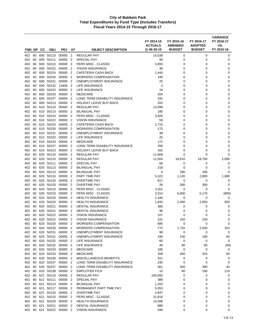| FND DP     |          | CС         | <b>OBJ</b>                | <b>PRJ</b>               | AΤ                               | <b>OBJECT DESCRIPTION</b>                        | FY 2014-15<br><b>ACTUALS</b><br>@ 06-30-15 | FY 2015-16<br><b>AMENDED</b><br><b>BUDGET</b> | FY 2016-17<br><b>ADOPTED</b><br><b>BUDGET</b> | <b>VARIANCE</b><br>FY 2016-17<br>VS.<br>FY 2015-16 |
|------------|----------|------------|---------------------------|--------------------------|----------------------------------|--------------------------------------------------|--------------------------------------------|-----------------------------------------------|-----------------------------------------------|----------------------------------------------------|
|            |          |            |                           |                          |                                  |                                                  |                                            |                                               |                                               |                                                    |
| 402<br>402 | 60<br>60 | 600        | 600 50110<br>50111        | 00000<br>00000           | $\overline{2}$<br>$\overline{2}$ | <b>REGULAR PAY</b><br><b>SPECIAL PAY</b>         | 14,038<br>90                               | 0<br>0                                        | 0<br>0                                        | 0<br>0                                             |
| 402        | 60       | 600        | 50210                     | 00000                    | $\overline{2}$                   | PERS MISC - CLASSIC                              | 3,893                                      | 0                                             | 0                                             | 0                                                  |
| 402        | 60       | 600        | 50222                     | 00000                    | 2                                | <b>VISION INSURANCE</b>                          | 38                                         | 0                                             | 0                                             | 0                                                  |
| 402        | 60       | 600        | 50224                     | 00000                    | 2                                | CAFETERIA CASH BACK                              | 1,444                                      | 0                                             | 0                                             | 0                                                  |
| 402        | 60       | 600        | 50230                     | 00000                    | $\overline{2}$                   | <b>WORKERS COMPENSATION</b>                      | 195                                        | 0                                             | 0                                             | $\mathbf 0$                                        |
| 402        | 60       | 600        | 50231                     | 00000                    | $\overline{2}$                   | UNEMPLOYMENT INSURANCE                           | 25                                         | $\mathbf 0$                                   | 0                                             | 0                                                  |
| 402        | 60       | 600        | 50232                     | 13406                    | 2                                | LIFE INSURANCE                                   | $\overline{2}$                             | 0                                             | 0                                             | 0                                                  |
| 402        | 60       | 600        | 50232                     | 00000                    | $\overline{2}$                   | LIFE INSURANCE                                   | 19                                         | 0                                             | 0                                             | 0                                                  |
| 402        | 60       | 600        | 50233                     | 00000                    | $\overline{2}$                   | <b>MEDICARE</b>                                  | 204                                        | 0                                             | 0                                             | 0                                                  |
| 402        | 60       | 600        | 50237                     | 00000                    | $\overline{2}$                   | LONG TERM DISABILITY INSURANCE                   | 291                                        | 0                                             | 0                                             | 0                                                  |
| 402        | 60       | 600        | 50313                     | 00000                    | 2                                | <b>HOLIDAY LEAVE BUY-BACK</b>                    | 202                                        | 0                                             | 0                                             | 0                                                  |
| 402        | 60       | 610        | 50110                     | 00000                    | $\overline{2}$                   | <b>REGULAR PAY</b>                               | 12,098                                     | 0                                             | 0                                             | $\mathbf 0$                                        |
| 402        | 60       | 610        | 50113                     | 00000                    | $\overline{2}$                   | <b>BILINGUAL PAY</b>                             | 180                                        | 0                                             | 0                                             | 0                                                  |
| 402        | 60       | 610        | 50210                     | 00000                    | $\overline{2}$                   | PERS MISC - CLASSIC                              | 3,505                                      | $\mathbf 0$                                   | 0                                             | $\mathbf 0$                                        |
| 402        | 60       | 610        | 50222                     | 00000                    | $\overline{2}$                   | <b>VISION INSURANCE</b>                          | 59                                         | 0                                             | 0                                             | $\mathbf 0$                                        |
| 402        | 60       | 610        | 50224                     | 00000                    | $\overline{2}$                   | CAFETERIA CASH BACK                              | 1,715                                      | 0                                             | 0                                             | 0                                                  |
| 402        | 60       | 610        | 50230                     | 00000                    | $\overline{2}$                   | <b>WORKERS COMPENSATION</b>                      | 173                                        | 0                                             | 0                                             | 0                                                  |
| 402        | 60       | 610        | 50231                     | 00000                    | 2                                | UNEMPLOYMENT INSURANCE                           | 39                                         | 0                                             | 0                                             | 0                                                  |
| 402        | 60       | 610        | 50232                     | 00000                    | 2                                | LIFE INSURANCE                                   | 25                                         | 0                                             | 0                                             | 0                                                  |
| 402        | 60       | 610        | 50233                     | 00000                    | $\overline{2}$                   | <b>MEDICARE</b>                                  | 171                                        | 0                                             | 0                                             | 0                                                  |
| 402        | 60       | 610        | 50237                     | 00000                    | $\overline{2}$                   | LONG TERM DISABILITY INSURANCE                   | 258                                        | 0                                             | 0                                             | 0                                                  |
| 402        | 60       | 610        | 50313                     | 00000                    | $\overline{2}$                   | <b>HOLIDAY LEAVE BUY-BACK</b>                    | 162                                        | 0                                             | 0                                             | 0                                                  |
| 402<br>402 | 60<br>60 | 620<br>620 | 50110<br>50110            | 00000<br>00000           | $\overline{2}$<br>$\overline{2}$ | <b>REGULAR PAY</b><br><b>REGULAR PAY</b>         | 11,669<br>11,504                           | 0                                             | 0<br>18,700                                   | $\Omega$<br>2,090                                  |
| 402        | 60       | 620        | 50111                     | 00000                    | 2                                | <b>SPECIAL PAY</b>                               | 65                                         | 16,610<br>0                                   | 0                                             | 0                                                  |
| 402        | 60       | 620        | 50113                     | 00000                    | $\overline{2}$                   | <b>BILINGUAL PAY</b>                             | 218                                        | 0                                             | 0                                             | 0                                                  |
| 402        | 60       | 620        | 50113                     | 00000                    | 2                                | <b>BILINGUAL PAY</b>                             | 0                                          | 180                                           | 180                                           | 0                                                  |
| 402        | 60       | 620        | 50116                     | 00000                    | $\overline{2}$                   | PART TIME PAY                                    | 5,322                                      | 1,120                                         | 2,800                                         | 1,680                                              |
| 402        | 60       | 620        | 50120                     | 00000                    | 2                                | <b>OVERTIME PAY</b>                              | 817                                        | 0                                             | 0                                             | 0                                                  |
| 402        | 60       | 620        | 50120                     | 00000                    | $\overline{2}$                   | <b>OVERTIME PAY</b>                              | 26                                         | 300                                           | 300                                           | 0                                                  |
| 402        | 60       | 620        | 50210                     | 00000                    | $\overline{2}$                   | PERS MISC - CLASSIC                              | 3,351                                      | 0                                             | 0                                             | 0                                                  |
| 402        | 60       | 620        | 50210                     | 00000                    | $\overline{2}$                   | PERS MISC - CLASSIC                              | 3,314                                      | 6,060                                         | 5,170                                         | (890)                                              |
| 402        | 60       | 620        | 50220                     | 00000                    | $\overline{2}$                   | <b>HEALTH INSURANCE</b>                          | 1,180                                      | 0                                             | 0                                             | 0                                                  |
| 402        | 60       | 620        | 50220                     | 00000                    | $\overline{2}$                   | <b>HEALTH INSURANCE</b>                          | 1,833                                      | 2,400                                         | 2,950                                         | 550                                                |
| 402        | 60       | 620        | 50221                     | 00000                    | $\overline{2}$                   | <b>DENTAL INSURANCE</b>                          | 366                                        | 0                                             | 0                                             | 0                                                  |
| 402        | 60       | 620        | 50221                     | 00000                    | 2                                | <b>DENTAL INSURANCE</b>                          | 96                                         | 0                                             | 0                                             | 0                                                  |
| 402        | 60       | 620        | 50222                     | 00000                    | 2                                | <b>VISION INSURANCE</b>                          | 107                                        | 0                                             | 0                                             | 0                                                  |
| 402        | 60       | 620        | 50222                     | 00000                    | $\overline{2}$                   | <b>VISION INSURANCE</b>                          | 101                                        | 150                                           | 150                                           | 0                                                  |
| 402        |          |            | 60 620 50230              | 00000 2                  |                                  | WORKERS COMPENSATION                             | 685                                        | 0                                             | 0                                             | 0                                                  |
| 402        | 60       |            | 620 50230                 | 00000 2                  |                                  | <b>WORKERS COMPENSATION</b>                      | 772                                        | 1,720                                         | 2,030                                         | 310                                                |
| 402        | 60       |            | 60 620 50231<br>620 50231 | 00000 2                  |                                  | UNEMPLOYMENT INSURANCE<br>UNEMPLOYMENT INSURANCE | 98                                         | 0                                             | 0                                             | 0                                                  |
| 402<br>402 |          |            | 60 620 50232              | 00000 2<br>00000 2       |                                  | LIFE INSURANCE                                   | 194<br>60                                  | 130<br>0                                      | 180<br>0                                      | 50<br>0                                            |
|            |          |            |                           | 402 60 620 50232 00000 2 |                                  | LIFE INSURANCE                                   | 40                                         | 90                                            | 50                                            | (40)                                               |
|            |          |            | 402 60 620 50233          | 00000 2                  |                                  | <b>MEDICARE</b>                                  | 185                                        | 0                                             | 0                                             | 0                                                  |
|            |          |            | 402 60 620 50233          | 00000 2                  |                                  | <b>MEDICARE</b>                                  | 209                                        | 260                                           | 310                                           | 50                                                 |
| 402        | 60       |            | 620 50236                 | 00000                    | $\overline{2}$                   | MISCELLANEOUS BENEFITS                           | 321                                        | 0                                             | 0                                             | 0                                                  |
|            |          |            | 402 60 620 50237          | 00000 2                  |                                  | LONG TERM DISABILITY INSURANCE                   | 245                                        | 0                                             | 0                                             | 0                                                  |
| 402        | 60       |            | 620 50237                 | 00000 2                  |                                  | LONG TERM DISABILITY INSURANCE                   | 361                                        | 350                                           | 390                                           | 40                                                 |
|            |          |            | 402 60 620 50238          | 00000 2                  |                                  | <b>EMPLOYER FICA</b>                             | 10                                         | 80                                            | 190                                           | 110                                                |
| 402        |          |            | 60 621 50110              | 00000                    | $\overline{2}$                   | <b>REGULAR PAY</b>                               | 105,692                                    | 0                                             | 0                                             | 0                                                  |
|            |          |            | 402 60 621 50111          | 00000 2                  |                                  | SPECIAL PAY                                      | 388                                        | 0                                             | 0                                             | 0                                                  |
|            |          |            | 402 60 621 50113          | 00000 2                  |                                  | <b>BILINGUAL PAY</b>                             | 1,203                                      | 0                                             | 0                                             | 0                                                  |
| 402        |          |            | 60 621 50117              | 00000 2                  |                                  | PERMANENT PART TIME PAY                          | 5,053                                      | 0                                             | 0                                             | 0                                                  |
|            |          |            | 402 60 621 50120          | 00000 2                  |                                  | <b>OVERTIME PAY</b>                              | 2,847                                      | 0                                             | 0                                             | 0                                                  |
| 402        |          |            | 60 621 50210              | 00000 2                  |                                  | PERS MISC - CLASSIC                              | 31,816                                     | 0                                             | 0                                             | 0                                                  |
|            |          |            | 402 60 621 50220          | 00000 2                  |                                  | <b>HEALTH INSURANCE</b>                          | 14,586                                     | 0                                             | 0                                             | 0                                                  |
| 402        | 60       |            | 621 50221                 | 00000                    | $\overline{2}$                   | DENTAL INSURANCE                                 | 889                                        | 0                                             | 0                                             | 0                                                  |
|            |          |            | 402 60 621 50222          | 00000 2                  |                                  | <b>VISION INSURANCE</b>                          | 590                                        | 0                                             | 0                                             | 0                                                  |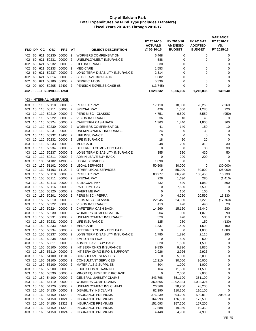|            |    |        |                                   |                                  |                                  |                                              | FY 2014-15<br><b>ACTUALS</b> | FY 2015-16<br><b>AMENDED</b> | FY 2016-17<br><b>ADOPTED</b> | <b>VARIANCE</b><br>FY 2016-17<br>VS. |
|------------|----|--------|-----------------------------------|----------------------------------|----------------------------------|----------------------------------------------|------------------------------|------------------------------|------------------------------|--------------------------------------|
| FND DP     |    | CС     | <b>OBJ</b>                        | <b>PRJ</b>                       | ΑT                               | <b>OBJECT DESCRIPTION</b>                    | @06-30-15                    | <b>BUDGET</b>                | <b>BUDGET</b>                | FY 2015-16                           |
| 402        | 60 | 621    | 50230                             | 00000                            | $\overline{2}$                   | <b>WORKERS COMPENSATION</b>                  | 6,468                        | 0                            | 0                            | 0                                    |
| 402        | 60 | 621    | 50231                             | 00000                            | $\overline{2}$                   | UNEMPLOYMENT INSURANCE                       | 588                          | 0                            | 0                            | 0                                    |
| 402        | 60 | 621    | 50232                             | 00000                            | $\overline{2}$                   | LIFE INSURANCE                               | 330                          | 0                            | 0                            | 0                                    |
| 402        | 60 | 621    | 50233                             | 00000                            | $\overline{2}$                   | <b>MEDICARE</b>                              | 1,553                        | $\mathbf 0$                  | 0                            | 0                                    |
| 402        | 60 |        | 621 50237                         | 00000                            | $\overline{2}$                   | LONG TERM DISABILITY INSURANCE               | 2,314                        | $\mathbf 0$                  | $\mathbf 0$                  | $\mathbf 0$                          |
| 402        | 60 | 621    | 50314                             | 00000                            | $\overline{2}$                   | <b>SICK LEAVE BUY-BACK</b>                   | 1,082                        | 0                            | 0                            | 0                                    |
| 402        | 60 | 621    | 58180                             | 00000                            | $\overline{2}$                   | <b>DEPRECIATION</b>                          | 5,339                        | 0                            | 0                            | 0                                    |
| 402        | 00 | 000    | 50205                             | 12407 2                          |                                  | PENSION EXPENSE GASB 68                      | (13, 745)                    | 0                            | 0                            | 0                                    |
|            |    |        | <b>402 - FLEET SERVICES Total</b> |                                  |                                  |                                              | 1,028,232                    | 1,066,095                    | 1,216,035                    | 149,940                              |
|            |    |        |                                   | <u>403 - INTERNAL INSURANCE:</u> |                                  |                                              |                              |                              |                              |                                      |
| 403        |    |        |                                   | 10 110 50110 00000 2             |                                  | <b>REGULAR PAY</b>                           | 17,110                       | 18,000                       | 20,260                       | 2,260                                |
| 403        |    |        | 10 110 50111                      | 00000                            | $\overline{2}$                   | <b>SPECIAL PAY</b>                           | 426                          | 1,060                        | 1,280                        | 220                                  |
| 403        | 10 | 110    | 50210                             | 00000                            | $\overline{2}$                   | PERS MISC - CLASSIC                          | 4,751                        | 6,500                        | 5,550                        | (950)                                |
| 403        |    |        | 10 110 50222                      | 00000                            | $\overline{2}$                   | <b>VISION INSURANCE</b>                      | 36                           | 40                           | 40                           | 0                                    |
| 403        | 10 |        | 110 50224                         | 00000                            | $\overline{2}$                   | CAFETERIA CASH BACK                          | 1,363                        | 1,440                        | 1,800                        | 360                                  |
| 403        |    |        | 10 110 50230                      | 00000                            | 2                                | <b>WORKERS COMPENSATION</b>                  | 41                           | 140                          | 150                          | 10                                   |
| 403        |    |        | 10 110 50231                      | 00000                            | $\overline{2}$                   | UNEMPLOYMENT INSURANCE                       | 24                           | 30                           | 30                           | 0                                    |
| 403        |    |        | 10 110 50232                      | 13406<br>00000                   | 2                                | LIFE INSURANCE<br><b>LIFE INSURANCE</b>      | 3                            | 0                            | 0                            | 0                                    |
| 403<br>403 | 10 | 110    | 10 110 50232<br>50233             | 00000                            | $\overline{2}$<br>$\overline{2}$ | <b>MEDICARE</b>                              | 18<br>248                    | 20<br>280                    | 20<br>310                    | 0<br>30                              |
| 403        |    |        | 10 110 50234                      | 00000                            | $\overline{2}$                   | DEFERRED COMP - CITY PAID                    | 0                            | 0                            | 30                           | 30                                   |
| 403        | 10 |        | 110 50237                         | 00000                            | $\overline{2}$                   | LONG TERM DISABILITY INSURANCE               | 355                          | 380                          | 430                          | 50                                   |
| 403        | 10 |        | 110 50311                         | 00000                            | $\overline{2}$                   | ADMIN LEAVE BUY-BACK                         | 0                            | 200                          | 200                          | 0                                    |
| 403        | 10 | 130    | 51102                             | 14900                            | $\overline{2}$                   | <b>LEGAL SERVICES</b>                        | 1,890                        | 0                            | 0                            | $\mathbf 0$                          |
| 403        |    |        | 10 130 51102                      | 00000                            | $\overline{2}$                   | <b>LEGAL SERVICES</b>                        | 50,508                       | 30,000                       | 0                            | (30,000)                             |
| 403        | 10 | 130    | 51103                             | 11102                            | $\overline{2}$                   | OTHER LEGAL SERVICES                         | 0                            | 55,000                       | 30,000                       | (25,000)                             |
| 403        | 10 | 150    | 50110                             | 00000                            | $\overline{2}$                   | REGULAR PAY                                  | 83,977                       | 86,720                       | 100,450                      | 13,730                               |
| 403        | 10 | 150    | 50111                             | 00000                            | $\overline{2}$                   | <b>SPECIAL PAY</b>                           | 226                          | 1,690                        | 280                          | (1, 410)                             |
| 403        |    |        | 10 150 50113                      | 00000                            | 2                                | BILINGUAL PAY                                | 432                          | 520                          | 1,080                        | 560                                  |
| 403        |    | 10 150 | 50116                             | 00000                            | $\overline{2}$                   | PART TIME PAY                                | 0                            | 7,500                        | 7,500                        | 0                                    |
| 403        | 10 | 150    | 50120                             | 00000                            | $\overline{2}$                   | <b>OVERTIME PAY</b>                          | 0                            | 100                          | 100                          | 0                                    |
| 403        |    | 10 150 | 50201                             | 00000                            | $\overline{2}$                   | PERS MISC - PEPRA                            | $\mathbf 0$                  | 4,260                        | 20,590                       | 16,330                               |
| 403        |    | 10 150 | 50210                             | 00000                            | $\overline{2}$                   | PERS MISC - CLASSIC                          | 22,945                       | 24,980                       | 7,220                        | (17, 760)                            |
| 403        |    | 10 150 | 50222                             | 00000                            | $\overline{2}$                   | <b>VISION INSURANCE</b>                      | 413                          | 420                          | 440                          | 20                                   |
| 403        |    | 10 150 | 50224                             | 00000                            | $\overline{2}$                   | <b>CAFETERIA CASH BACK</b>                   | 14,260                       | 15,160                       | 15,440                       | 280                                  |
| 403        |    |        | 10 150 50230                      | 00000                            | 2                                | <b>WORKERS COMPENSATION</b>                  | 204                          | 980                          | 1,070                        | 90                                   |
| 403        |    |        | 10 150 50231                      | 00000 2                          |                                  | UNEMPLOYMENT INSURANCE                       | 329                          | 470                          | 580                          | 110                                  |
|            |    |        |                                   |                                  |                                  | 403 10 150 50232 00000 2 LIFE INSURANCE      | 125                          | 280                          | 150                          | (130)                                |
| 403        |    |        | 10 150 50233<br>10 150 50234      | 00000 2<br>00000                 | $\overline{2}$                   | <b>MEDICARE</b><br>DEFERRED COMP - CITY PAID | 1,337<br>0                   | 1,400<br>0                   | 1,590<br>1,080               | 190<br>1,080                         |
| 403<br>403 |    |        | 10 150 50237                      | 00000                            | $\overline{2}$                   | LONG TERM DISABILITY INSURANCE               | 1,785                        | 1,820                        | 2,110                        | 290                                  |
| 403        |    |        | 10 150 50238                      | 00000 2                          |                                  | <b>EMPLOYER FICA</b>                         | 0                            | 500                          | 500                          | 0                                    |
| 403        |    |        | 10 150 50311                      | 00000 2                          |                                  | ADMIN LEAVE BUY-BACK                         | 820                          | 1,500                        | 1,500                        | 0                                    |
| 403        |    |        | 10 150 56100                      | 00000                            | $\overline{2}$                   | INT SERV CHRG INSURANCE                      | 9,830                        | 9,830                        | 9,830                        | 0                                    |
| 403        |    |        | 10 150 56110                      | 00000 2                          |                                  | INT SERV CHRG INFO & SUPPORT                 | 2,926                        | 2,926                        | 2,926                        | 0                                    |
| 403        |    |        | 10 160 51100                      | 11101 2                          |                                  | CONSULTANT SERVICES                          | 0                            | 5,000                        | 5,000                        | 0                                    |
| 403        |    |        | 10 160 51100                      | 00000                            | $\overline{2}$                   | CONSULTANT SERVICES                          | 12,210                       | 30,000                       | 30,000                       | 0                                    |
| 403        |    |        | 10 160 53100                      | 00000                            | $\overline{2}$                   | <b>MATERIALS &amp; SUPPLIES</b>              | 804                          | 1,000                        | 1,000                        | 0                                    |
| 403        | 10 | 160    | 53200                             | 00000                            | $\overline{2}$                   | <b>EDUCATION &amp; TRAINING</b>              | 164                          | 11,500                       | 11,500                       | 0                                    |
| 403        |    |        | 10 160 53390                      | 00000 2                          |                                  | MINOR EQUIPMENT PURCHASE                     | 0                            | 2,000                        | 2,000                        | 0                                    |
| 403        |    |        | 10 160 54100                      | 00000                            | $\overline{2}$                   | <b>GENERAL LIABILITY CLAIMS</b>              | 343,798                      | 351,100                      | 351,100                      | 0                                    |
| 403        |    |        | 10 160 54110                      | 00000                            | $\overline{2}$                   | <b>WORKERS COMP CLAIMS</b>                   | 360,865                      | 1,002,324                    | 1,002,324                    | 0                                    |
| 403        |    |        | 10 160 54120                      | 00000 2                          |                                  | UNEMPLOYMENT INS CLAIMS                      | 26,368                       | 28,200                       | 28,200                       | 0                                    |
| 403        |    |        | 10 160 54130                      | 00000                            | $\overline{\mathbf{2}}$          | DISABILITY INS CLAIMS                        | 82,390                       | 110,100                      | 110,100                      | 0                                    |
| 403        |    |        | 10 160 54150                      | 11320                            | $\overline{2}$                   | <b>INSURANCE PREMIUMS</b>                    | 376,239                      | 394,200                      | 599,810                      | 205,610                              |
| 403        |    |        | 10 160 54150                      | 11321                            | $\overline{c}$                   | <b>INSURANCE PREMIUMS</b>                    | 164,993                      | 176,500                      | 176,500                      | 0                                    |
| 403        |    |        | 10 160 54150                      | 11322 2                          |                                  | <b>INSURANCE PREMIUMS</b>                    | 151,093                      | 157,200                      | 157,200                      | 0                                    |
| 403        | 10 |        | 160 54150                         | 11323                            | $\overline{2}$                   | <b>INSURANCE PREMIUMS</b>                    | 17,588                       | 19,350                       | 19,350                       | 0                                    |
| 403        |    |        | 10 160 54150                      | 11324 2                          |                                  | <b>INSURANCE PREMIUMS</b>                    | 4,448                        | 4,900                        | 4,900                        | 0                                    |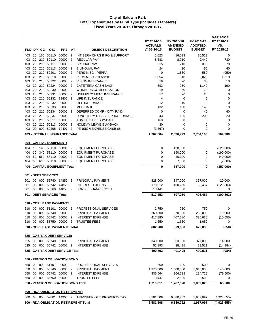|            |          |           |                           |                                                            |                                            |                                                    | FY 2014-15<br><b>ACTUALS</b> | FY 2015-16<br><b>AMENDED</b> | FY 2016-17<br><b>ADOPTED</b> | <b>VARIANCE</b><br>FY 2016-17<br>VS. |
|------------|----------|-----------|---------------------------|------------------------------------------------------------|--------------------------------------------|----------------------------------------------------|------------------------------|------------------------------|------------------------------|--------------------------------------|
| FND DP     |          | <b>CC</b> | <b>OBJ</b>                | <b>PRJ</b>                                                 | AT                                         | <b>OBJECT DESCRIPTION</b>                          | @ 06-30-15                   | <b>BUDGET</b>                | <b>BUDGET</b>                | FY 2015-16                           |
| 403        | 10       |           | 160 56110                 | 00000                                                      | $\overline{2}$                             | INT SERV CHRG INFO & SUPPORT                       | 1,523                        | 16,523                       | 16,523                       | 0                                    |
| 403        | 20       |           | 210 50110                 | 00000                                                      | $\overline{2}$                             | <b>REGULAR PAY</b>                                 | 8,683                        | 8,710                        | 9,440                        | 730                                  |
| 403        | 20       | 210       | 50111                     | 00000                                                      | $\overline{2}$                             | <b>SPECIAL PAY</b>                                 | 215                          | 240                          | 310                          | 70                                   |
| 403        | 20       | 210       | 50113<br>210 50201        | 00000<br>00000                                             | $\overline{2}$                             | <b>BILINGUAL PAY</b>                               | 24                           | 20                           | 60                           | 40                                   |
| 403<br>403 | 20<br>20 |           | 210 50210                 | 00000                                                      | $\overline{\phantom{a}}$<br>$\overline{2}$ | PERS MISC - PEPRA<br>PERS MISC - CLASSIC           | 0<br>1,854                   | 1,530<br>810                 | 580<br>2,020                 | (950)<br>1,210                       |
| 403        | 20       |           | 210 50222                 | 00000                                                      | $\overline{2}$                             | <b>VISION INSURANCE</b>                            | 19                           | 20                           | 30                           | 10                                   |
| 403        | 20       |           | 210 50224                 | 00000                                                      | $\overline{2}$                             | CAFETERIA CASH BACK                                | 893                          | 950                          | 1,140                        | 190                                  |
| 403        | 20       |           | 210 50230                 | 00000                                                      | $\overline{2}$                             | <b>WORKERS COMPENSATION</b>                        | 19                           | 60                           | 70                           | 10                                   |
| 403        | 20       |           | 210 50231                 | 00000                                                      | $\overline{2}$                             | UNEMPLOYMENT INSURANCE                             | 17                           | 20                           | 20                           | 0                                    |
| 403        | 20       |           | 210 50232                 | 13406                                                      | $\overline{2}$                             | LIFE INSURANCE                                     | 4                            | 0                            | 0                            | 0                                    |
| 403        |          |           | 20 210 50232              | 00000 2                                                    |                                            | LIFE INSURANCE                                     | 12                           | 10                           | 10                           | $\mathbf 0$                          |
| 403        | 20       |           | 210 50233                 | 00000                                                      | $\overline{2}$                             | <b>MEDICARE</b>                                    | 132                          | 130                          | 140                          | 10                                   |
| 403        | 20       |           | 210 50234                 | 00000                                                      | $\overline{2}$                             | DEFERRED COMP - CITY PAID                          | $\mathbf 0$                  | 0                            | 40                           | 40                                   |
| 403        | 20       |           | 210 50237                 | 00000                                                      | $\overline{2}$                             | LONG TERM DISABILITY INSURANCE                     | 43                           | 180                          | 200                          | 20                                   |
| 403        | 20       |           | 210 50311                 | 00000                                                      | $\overline{2}$                             | ADMIN LEAVE BUY-BACK                               | 163                          | 0                            | 0                            | 0                                    |
| 403        | 20       |           | 210 50313                 | 00000                                                      | $\overline{2}$                             | <b>HOLIDAY LEAVE BUY-BACK</b>                      | 30                           | 0                            | 0                            | 0                                    |
| 403        | 00       |           | 000 50205                 | 12407 2                                                    |                                            | PENSION EXPENSE GASB 68                            | (3, 367)                     | 0                            | 0                            | 0                                    |
|            |          |           |                           | 403 - INTERNAL INSURANCE Total                             |                                            |                                                    | 1,767,604                    | 2,596,723                    | 2,764,103                    | 167,380                              |
|            |          |           | 404 - CAPITAL EQUIPMENT:  |                                                            |                                            |                                                    |                              |                              |                              |                                      |
| 404        |          |           |                           | 10 140 58110 00000 2                                       |                                            | <b>EQUIPMENT PURCHASE</b>                          | 0                            | 120,000                      | 0                            | (120,000)                            |
| 404        | 30       |           | 340 58110                 | 00000                                                      | $\overline{2}$                             | <b>EQUIPMENT PURCHASE</b>                          | 0                            | 190,000                      | 0                            | (190,000)                            |
| 404        |          |           | 50 560 58110              | 00000                                                      | $\overline{2}$                             | <b>EQUIPMENT PURCHASE</b>                          | $\mathbf 0$                  | 40,000                       | 0                            | (40,000)                             |
| 404        | 60       |           | 610 58110 00000           |                                                            | $\overline{2}$                             | <b>EQUIPMENT PURCHASE</b>                          | $\mathbf 0$                  | 7,000                        | 0                            | (7,000)                              |
|            |          |           |                           | <b>404 - CAPITAL EQUIPMENT Total</b>                       |                                            |                                                    | 0                            | 357,000                      | 0                            | (357,000)                            |
|            |          |           | 601 - DEBT SERVICES:      |                                                            |                                            |                                                    |                              |                              |                              |                                      |
| 601        |          |           |                           | 00 000 55740 14850 2                                       |                                            | PRINCIPAL PAYMENT                                  | 328,000                      | 347,000                      | 367,000                      | 20,000                               |
| 601        | 00       |           | 000 55742 14850           |                                                            | $\overline{2}$                             | <b>INTEREST EXPENSE</b>                            | 178,812                      | 160,260                      | 39,457                       | (120, 803)                           |
| 601        | 00       |           |                           | 000 55760 14850 2                                          |                                            | <b>BOND ISSUANCE COST</b>                          | 10,441                       | 0                            | 0                            | 0                                    |
|            |          |           | 601 - DEBT SERVICES Total |                                                            |                                            |                                                    | 517,253                      | 507,260                      | 406,457                      | (100, 803)                           |
|            |          |           |                           | 610 - COP LEASE PAYMENTS:                                  |                                            |                                                    |                              |                              |                              |                                      |
| 610        | 00       |           | 000 51101                 | 00000 2                                                    |                                            | PROFESSIONAL SERVICES                              | 2,750                        | 750                          | 750                          | 0                                    |
| 610        | 00       |           | 000 55740                 | 00000 2                                                    |                                            | PRINCIPAL PAYMENT                                  | 260,000                      | 270,000                      | 280,000                      | 10,000                               |
| 610        | 00       |           |                           | 000 55742 00000 2                                          |                                            | <b>INTEREST EXPENSE</b>                            | 417,880                      | 407,280                      | 396,630                      | (10, 650)                            |
|            |          |           |                           | 610 00 000 55750 00000 2                                   |                                            | <b>TRUSTEE FEES</b>                                | 1,650                        | 1,650                        | 1,650                        | 0                                    |
|            |          |           |                           | 610 - COP LEASE PAYMENTS Total                             |                                            |                                                    | 682,280                      | 679,680                      | 679,030                      | (650)                                |
|            |          |           |                           |                                                            |                                            |                                                    |                              |                              |                              |                                      |
| 625        |          |           |                           | <u>625 - GAS TAX DEBT SERVICE:</u><br>00 000 55740 00000 2 |                                            | PRINCIPAL PAYMENT                                  | 348,000                      | 363,000                      | 377,000                      | 14,000                               |
|            |          |           |                           | 625 00 000 55742 00000 2                                   |                                            | <b>INTEREST EXPENSE</b>                            | 52,893                       | 38,495                       | 23,511                       | (14, 984)                            |
|            |          |           |                           | 625 - GAS TAX DEBT SERVICE Total                           |                                            |                                                    | 400,893                      | 401,495                      | 400,511                      | (984)                                |
|            |          |           |                           |                                                            |                                            |                                                    |                              |                              |                              |                                      |
|            |          |           |                           | 650 - PENSION OBLIGATION BOND:<br>650 00 000 51101 00000 2 |                                            | PROFESSIONAL SERVICES                              | 600                          | 600                          | 600                          | 0                                    |
| 650        | 00       |           |                           | 000 55740 00000 2                                          |                                            | PRINCIPAL PAYMENT                                  | 1,370,000                    | 1,500,000                    | 1,645,000                    | 145,000                              |
|            |          |           |                           | 650 00 000 55742 00000 2                                   |                                            | <b>INTEREST EXPENSE</b>                            | 336,564                      | 264,228                      | 184,728                      | (79, 500)                            |
|            |          |           |                           | 650 00 000 55750 00000 2                                   |                                            | <b>TRUSTEE FEES</b>                                | 3,447                        | 2,500                        | 2,500                        | 0                                    |
|            |          |           |                           | 650 - PENSION OBLIGATION BOND Total                        |                                            |                                                    | 1,710,611                    | 1,767,328                    | 1,832,828                    | 65,500                               |
|            |          |           |                           | 800 - RDA OBLIGATION RETIREMENT:                           |                                            |                                                    |                              |                              |                              |                                      |
|            |          |           |                           |                                                            |                                            | 800 00 000 59001 14900 2 TRANSFER OUT PROPERTY TAX | 3,581,508                    | 6,880,752                    | 1,957,097                    | (4,923,655)                          |
|            |          |           |                           |                                                            |                                            | 800 - RDA OBLIGATION RETIREMENT Total              | 3,581,508                    | 6,880,752                    | 1,957,097                    | (4,923,655)                          |
|            |          |           |                           |                                                            |                                            |                                                    |                              |                              |                              |                                      |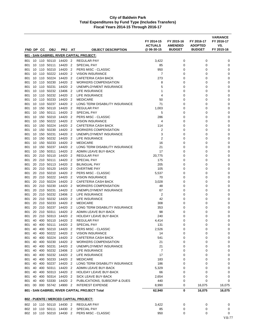|            |    |           |                                                  |            |                |                                                    | FY 2014-15<br><b>ACTUALS</b> | FY 2015-16<br><b>AMENDED</b> | FY 2016-17<br><b>ADOPTED</b> | <b>VARIANCE</b><br>FY 2016-17<br>VS. |
|------------|----|-----------|--------------------------------------------------|------------|----------------|----------------------------------------------------|------------------------------|------------------------------|------------------------------|--------------------------------------|
|            |    | FND DP CC | <b>OBJ</b>                                       | <b>PRJ</b> | AT             | <b>OBJECT DESCRIPTION</b>                          | @ 06-30-15                   | <b>BUDGET</b>                | <b>BUDGET</b>                | FY 2015-16                           |
|            |    |           |                                                  |            |                | 801 - SAN GABRIEL RIVER CAPITAL PROJECT:           |                              |                              |                              |                                      |
| 801        |    |           | 10 110 50110 14420 2                             |            |                | <b>REGULAR PAY</b>                                 | 3,422                        | 0                            | 0                            | 0                                    |
| 801        |    |           | 10 110 50111 14420 2                             |            |                | <b>SPECIAL PAY</b>                                 | 85                           | 0                            | 0                            | 0                                    |
| 801        |    |           | 10 110 50210 14420 2                             |            |                | PERS MISC - CLASSIC                                | 950                          | 0                            | 0                            | 0                                    |
| 801        |    |           | 10 110 50222 14420 2                             |            |                | <b>VISION INSURANCE</b>                            | 7                            | 0                            | 0                            | 0                                    |
| 801        |    |           | 10 110 50224 14420 2                             |            |                | CAFETERIA CASH BACK                                | 273                          | 0                            | 0                            | 0                                    |
| 801        |    |           | 10 110 50230 14420 2                             |            |                | <b>WORKERS COMPENSATION</b>                        | 8                            | 0                            | 0                            | 0                                    |
| 801        |    |           | 10 110 50231                                     | 14420 2    |                | UNEMPLOYMENT INSURANCE                             | 5                            | 0                            | 0                            | 0                                    |
| 801        |    |           | 10 110 50232 13406 2                             |            |                | LIFE INSURANCE                                     | 1                            | 0                            | 0                            | 0                                    |
| 801        |    |           | 10 110 50232 14420 2                             |            |                | LIFE INSURANCE                                     | 4                            | 0                            | 0                            | 0                                    |
| 801        |    |           | 10 110 50233 14420 2<br>10 110 50237 14420 2     |            |                | <b>MEDICARE</b><br>LONG TERM DISABILITY INSURANCE  | 50<br>71                     | 0<br>0                       | 0<br>0                       | 0<br>0                               |
| 801<br>801 |    |           | 10 150 50110 14420 2                             |            |                | REGULAR PAY                                        | 1,003                        | 0                            | 0                            | 0                                    |
| 801        |    |           | 10 150 50111                                     | 14420 2    |                | SPECIAL PAY                                        | 5                            | 0                            | 0                            | 0                                    |
| 801        |    |           | 10 150 50210 14420 2                             |            |                | PERS MISC - CLASSIC                                | 286                          | 0                            | 0                            | 0                                    |
| 801        |    | 10 150    | 50222                                            | 14420      | - 2            | <b>VISION INSURANCE</b>                            | 4                            | 0                            | 0                            | 0                                    |
| 801        |    |           | 10 150 50224                                     | 14420      | -2             | <b>CAFETERIA CASH BACK</b>                         | 114                          | 0                            | 0                            | 0                                    |
| 801        |    |           | 10 150 50230 14420 2                             |            |                | <b>WORKERS COMPENSATION</b>                        | 2                            | 0                            | 0                            | 0                                    |
| 801        |    |           | 10 150 50231                                     | 14420 2    |                | UNEMPLOYMENT INSURANCE                             | 3                            | 0                            | 0                            | 0                                    |
| 801        |    |           | 10 150 50232                                     | 14420 2    |                | LIFE INSURANCE                                     | 2                            | 0                            | 0                            | 0                                    |
| 801        |    |           | 10 150 50233 14420                               |            | $\overline{2}$ | <b>MEDICARE</b>                                    | 16                           | 0                            | 0                            | 0                                    |
| 801        |    |           | 10 150 50237 14420                               |            | 2              | LONG TERM DISABILITY INSURANCE                     | 21                           | 0                            | 0                            | 0                                    |
| 801        |    | 10 150    | 50311                                            | 14420      | - 2            | ADMIN LEAVE BUY-BACK                               | 17                           | 0                            | 0                            | 0                                    |
| 801        |    |           | 20 210 50110 14420 2                             |            |                | REGULAR PAY                                        | 20,775                       | 0                            | 0                            | 0                                    |
| 801        |    |           | 20 210 50111                                     | 14420 2    |                | <b>SPECIAL PAY</b>                                 | 175                          | 0                            | 0                            | 0                                    |
| 801        |    |           | 20 210 50113 14420 2                             |            |                | <b>BILINGUAL PAY</b>                               | 205                          | 0                            | 0                            | 0                                    |
| 801        |    |           | 20 210 50120                                     | 14420 2    |                | <b>OVERTIME PAY</b>                                | 105                          | 0                            | 0                            | 0                                    |
| 801        |    |           | 20 210 50210 14420 2                             |            |                | PERS MISC - CLASSIC                                | 5,537                        | 0                            | 0                            | 0                                    |
| 801<br>801 |    |           | 20 210 50222 14420 2<br>20 210 50224 14420 2     |            |                | <b>VISION INSURANCE</b><br>CAFETERIA CASH BACK     | 70<br>3,028                  | 0<br>0                       | 0<br>0                       | 0<br>0                               |
| 801        |    |           | 20 210 50230 14420 2                             |            |                | <b>WORKERS COMPENSATION</b>                        | 48                           | 0                            | 0                            | 0                                    |
| 801        |    |           | 20 210 50231                                     | 14420 2    |                | UNEMPLOYMENT INSURANCE                             | 67                           | 0                            | 0                            | 0                                    |
| 801        |    |           | 20 210 50232                                     | 13406 2    |                | LIFE INSURANCE                                     | $\overline{2}$               | 0                            | 0                            | 0                                    |
| 801        |    |           | 20 210 50232 14420 2                             |            |                | LIFE INSURANCE                                     | 42                           | 0                            | 0                            | 0                                    |
| 801        |    |           | 20 210 50233 14420 2                             |            |                | <b>MEDICARE</b>                                    | 308                          | 0                            | 0                            | 0                                    |
| 801        |    |           | 20 210 50237 14420 2                             |            |                | LONG TERM DISABILITY INSURANCE                     | 353                          | 0                            | 0                            | 0                                    |
| 801        |    |           | 20 210 50311                                     | 14420 2    |                | <b>ADMIN LEAVE BUY-BACK</b>                        | 98                           | 0                            | 0                            | 0                                    |
| 801        |    |           | 20 210 50313 14420 2                             |            |                | HOLIDAY LEAVE BUY-BACK                             | 240                          | 0                            | 0                            | 0                                    |
| 801        |    |           | 40 400 50110                                     | 14420      | $\overline{2}$ | <b>REGULAR PAY</b>                                 | 4.414                        | 0                            | 0                            | $\Omega$                             |
| 801        |    |           | 40 400 50111 14420 2                             |            |                | <b>SPECIAL PAY</b>                                 | 131                          | 0                            | 0                            | 0                                    |
| 801        | 40 |           | 400 50210 14420 2                                |            |                | PERS MISC - CLASSIC                                | 2,526                        | 0                            | 0                            | 0                                    |
| 801        |    |           | 40 400 50222 14420 2                             |            |                | <b>VISION INSURANCE</b>                            | 14                           | 0                            | 0                            | 0                                    |
| 801        |    |           | 40 400 50224 14420 2<br>801 40 400 50230 14420 2 |            |                | CAFETERIA CASH BACK<br><b>WORKERS COMPENSATION</b> | 541<br>21                    | 0<br>0                       | 0<br>0                       | 0<br>0                               |
| 801        |    |           | 40 400 50231 14420 2                             |            |                | UNEMPLOYMENT INSURANCE                             | 21                           | 0                            | 0                            | 0                                    |
| 801        | 40 |           | 400 50232 13406 2                                |            |                | LIFE INSURANCE                                     | $\overline{7}$               | 0                            | 0                            | 0                                    |
|            |    |           | 801 40 400 50232 14420 2                         |            |                | <b>LIFE INSURANCE</b>                              | 17                           | 0                            | 0                            | 0                                    |
|            |    |           | 801 40 400 50233 14420 2                         |            |                | <b>MEDICARE</b>                                    | 183                          | 0                            | 0                            | 0                                    |
|            |    |           | 801 40 400 50237 14420 2                         |            |                | LONG TERM DISABILITY INSURANCE                     | 186                          | 0                            | 0                            | 0                                    |
| 801        | 40 |           | 400 50311 14420 2                                |            |                | ADMIN LEAVE BUY-BACK                               | 5,329                        | 0                            | 0                            | 0                                    |
|            |    |           | 801 40 400 50313 14420 2                         |            |                | <b>HOLIDAY LEAVE BUY-BACK</b>                      | 66                           | 0                            | 0                            | 0                                    |
|            |    |           | 801 40 400 50314 14420 2                         |            |                | SICK LEAVE BUY-BACK                                | 2,654                        | 0                            | 0                            | 0                                    |
|            |    |           | 801 40 400 53330 14420 2                         |            |                | PUBLICATIONS, SUBSCRIP & DUES                      | 440                          | 0                            | 0                            | 0                                    |
|            |    |           | 801 00 000 55742 14900 2                         |            |                | <b>INTEREST EXPENSE</b>                            | 8,990                        | 0                            | 16,075                       | 16,075                               |
|            |    |           |                                                  |            |                | 801 - SAN GABRIEL RIVER CAPITAL PROJECT Total      | 62,940                       | 0                            | 16,075                       | 16,075                               |
|            |    |           |                                                  |            |                | 802 - PUENTE / MERCED CAPITAL PROJECT:             |                              |                              |                              |                                      |
|            |    |           | 802 10 110 50110 14430 2                         |            |                | <b>REGULAR PAY</b>                                 | 3,422                        | 0                            | 0                            | 0                                    |
|            |    |           | 802 10 110 50111 14430 2                         |            |                | SPECIAL PAY                                        | 85                           | 0                            | 0                            | 0                                    |
|            |    |           | 802 10 110 50210 14430 2                         |            |                | PERS MISC - CLASSIC                                | 950                          | 0                            | 0                            | 0                                    |
|            |    |           |                                                  |            |                |                                                    |                              |                              |                              | <b>VII-77</b>                        |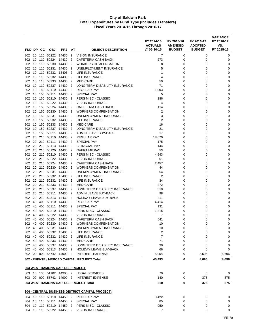|            |          |            |                    |                                  |                     |                                                      | FY 2014-15<br><b>ACTUALS</b> | FY 2015-16<br><b>AMENDED</b> | FY 2016-17<br><b>ADOPTED</b> | <b>VARIANCE</b><br>FY 2016-17<br>VS. |
|------------|----------|------------|--------------------|----------------------------------|---------------------|------------------------------------------------------|------------------------------|------------------------------|------------------------------|--------------------------------------|
| FND DP     |          | <b>CC</b>  | <b>OBJ</b>         | <b>PRJ</b>                       | AT                  | <b>OBJECT DESCRIPTION</b>                            | @ 06-30-15                   | <b>BUDGET</b>                | <b>BUDGET</b>                | FY 2015-16                           |
| 802        | 10       |            | 110 50222          | 14430                            | $\overline{2}$      | <b>VISION INSURANCE</b>                              | 7                            | 0                            | 0                            | 0                                    |
| 802        | 10       | 110        | 50224              | 14430                            | $\overline{2}$      | <b>CAFETERIA CASH BACK</b>                           | 273                          | $\mathbf 0$                  | $\mathbf 0$                  | 0                                    |
| 802        | 10       | 110        | 50230              | 14430                            | $\overline{2}$      | <b>WORKERS COMPENSATION</b>                          | 8                            | 0                            | 0                            | 0                                    |
| 802        | 10       | 110        | 50231              | 14430                            | $\overline{2}$      | UNEMPLOYMENT INSURANCE                               | 5                            | 0                            | 0                            | 0                                    |
| 802        | 10       | 110        | 50232              | 13406                            | 2                   | LIFE INSURANCE                                       | 1                            | 0                            | 0                            | 0                                    |
| 802        | 10       |            | 110 50232          | 14430                            | 2                   | LIFE INSURANCE                                       | 4                            | 0                            | 0                            | 0                                    |
| 802        | 10       | 110        | 50233              | 14430<br>14430                   | 2<br>$\overline{2}$ | <b>MEDICARE</b>                                      | 50                           | 0                            | 0                            | 0                                    |
| 802<br>802 | 10<br>10 | 150        | 110 50237<br>50110 | 14430                            | $\overline{2}$      | LONG TERM DISABILITY INSURANCE<br><b>REGULAR PAY</b> | 71<br>1,003                  | 0<br>0                       | 0<br>0                       | 0<br>0                               |
| 802        | 10       | 150        | 50111              | 14430                            | $\overline{2}$      | <b>SPECIAL PAY</b>                                   | 5                            | 0                            | 0                            | 0                                    |
| 802        | 10       | 150        | 50210              | 14430                            | $\overline{2}$      | PERS MISC - CLASSIC                                  | 286                          | 0                            | 0                            | 0                                    |
| 802        | 10       | 150        | 50222              | 14430                            | $\overline{2}$      | <b>VISION INSURANCE</b>                              | 4                            | 0                            | 0                            | 0                                    |
| 802        | 10       | 150        | 50224              | 14430                            | $\overline{2}$      | <b>CAFETERIA CASH BACK</b>                           | 114                          | 0                            | 0                            | 0                                    |
| 802        | 10       | 150        | 50230              | 14430                            | $\overline{2}$      | <b>WORKERS COMPENSATION</b>                          | 2                            | 0                            | 0                            | 0                                    |
| 802        | 10       | 150        | 50231              | 14430                            | 2                   | UNEMPLOYMENT INSURANCE                               | 3                            | 0                            | 0                            | 0                                    |
| 802        | 10       |            | 150 50232          | 14430                            | 2                   | LIFE INSURANCE                                       | $\overline{2}$               | 0                            | 0                            | 0                                    |
| 802        | 10       | 150        | 50233              | 14430                            | $\overline{2}$      | <b>MEDICARE</b>                                      | 16                           | 0                            | 0                            | 0                                    |
| 802        | 10       | 150        | 50237              | 14430                            | $\overline{2}$      | LONG TERM DISABILITY INSURANCE                       | 21                           | 0                            | 0                            | 0                                    |
| 802        | 10       | 150        | 50311              | 14430                            | $\overline{2}$      | <b>ADMIN LEAVE BUY-BACK</b>                          | 17                           | 0                            | 0                            | $\mathbf 0$                          |
| 802        | 20       | 210        | 50110              | 14430                            | $\overline{2}$      | <b>REGULAR PAY</b>                                   | 18,670                       | 0                            | 0                            | 0                                    |
| 802        | 20       | 210        | 50111              | 14430                            | $\overline{2}$      | <b>SPECIAL PAY</b>                                   | 175                          | 0                            | 0                            | 0                                    |
| 802        | 20       | 210        | 50113              | 14430                            | $\overline{2}$      | <b>BILINGUAL PAY</b>                                 | 144                          | 0                            | 0                            | 0                                    |
| 802        | 20       |            | 210 50120          | 14430                            | 2                   | <b>OVERTIME PAY</b>                                  | 53                           | 0                            | 0                            | 0                                    |
| 802        | 20       |            | 210 50210          | 14430                            | $\overline{2}$      | PERS MISC - CLASSIC                                  | 4,943                        | 0                            | 0                            | 0                                    |
| 802        | 20       | 210        | 50222              | 14430                            | $\overline{2}$      | <b>VISION INSURANCE</b>                              | 61                           | 0                            | 0                            | 0                                    |
| 802        | 20       |            | 210 50224          | 14430                            | $\overline{2}$      | CAFETERIA CASH BACK                                  | 2,457                        | 0                            | $\Omega$                     | $\mathbf 0$                          |
| 802        | 20       | 210        | 50230              | 14430                            | 2                   | WORKERS COMPENSATION                                 | 44                           | 0                            | 0                            | 0                                    |
| 802        | 20       | 210        | 50231              | 14430                            | $\overline{2}$      | UNEMPLOYMENT INSURANCE                               | 54                           | 0                            | 0                            | 0                                    |
| 802        | 20       | 210        | 50232              | 13406                            | $\overline{2}$      | LIFE INSURANCE                                       | $\overline{2}$               | 0                            | 0                            | 0                                    |
| 802        | 20       | 210        | 50232              | 14430                            | 2                   | LIFE INSURANCE                                       | 34                           | 0                            | 0                            | 0                                    |
| 802        | 20       |            | 210 50233          | 14430                            | 2                   | <b>MEDICARE</b>                                      | 272                          | 0                            | 0                            | 0                                    |
| 802        | 20       | 210        | 50237              | 14430                            | 2                   | LONG TERM DISABILITY INSURANCE                       | 310                          | 0                            | 0                            | 0                                    |
| 802        |          |            | 20 210 50311       | 14430                            | 2                   | ADMIN LEAVE BUY-BACK                                 | 98                           | 0                            | 0                            | 0                                    |
| 802        | 20       |            | 210 50313          | 14430                            | 2<br>$\overline{2}$ | HOLIDAY LEAVE BUY-BACK<br><b>REGULAR PAY</b>         | 211                          | 0                            | 0                            | 0                                    |
| 802<br>802 | 40<br>40 | 400<br>400 | 50110<br>50111     | 14430<br>14430                   | $\overline{2}$      | <b>SPECIAL PAY</b>                                   | 4,414<br>131                 | 0<br>0                       | 0<br>0                       | 0<br>0                               |
| 802        | 40       | 400        | 50210              | 14430                            | $\overline{2}$      | PERS MISC - CLASSIC                                  | 1,215                        | 0                            | 0                            | $\mathbf 0$                          |
| 802        | 40       | 400        | 50222              | 14430                            | 2                   | <b>VISION INSURANCE</b>                              | 7                            | 0                            | 0                            | 0                                    |
| 802        | -40      | 400        | 50224              | 14430                            | $\overline{2}$      | CAFETERIA CASH BACK                                  | 541                          | 0                            | 0                            | 0                                    |
| 802 40     |          |            |                    | 400 50230 14430 2                |                     | WORKERS COMPENSATION                                 | 10                           | 0                            | 0                            | 0                                    |
| 802 40     |          |            | 400 50231          | 14430 2                          |                     | UNEMPLOYMENT INSURANCE                               | 10                           | 0                            | 0                            | 0                                    |
| 802 40     |          |            |                    | 400 50232 13406 2                |                     | <b>LIFE INSURANCE</b>                                | 2                            | 0                            | 0                            | 0                                    |
| 802 40     |          |            |                    | 400 50232 14430 2                |                     | LIFE INSURANCE                                       | 7                            | 0                            | 0                            | 0                                    |
| 802 40     |          |            |                    | 400 50233 14430 2                |                     | <b>MEDICARE</b>                                      | 71                           | 0                            | 0                            | 0                                    |
| 802 40     |          |            |                    | 400 50237 14430 2                |                     | LONG TERM DISABILITY INSURANCE                       | 90                           | 0                            | 0                            | 0                                    |
|            |          |            |                    | 802 40 400 50313 14430 2         |                     | <b>HOLIDAY LEAVE BUY-BACK</b>                        | 66                           | 0                            | 0                            | 0                                    |
|            |          |            |                    | 802 00 000 55742 14900 2         |                     | <b>INTEREST EXPENSE</b>                              | 5,054                        | 0                            | 8,696                        | 8,696                                |
|            |          |            |                    |                                  |                     | 802 - PUENTE / MERCED CAPITAL PROJECT Total          | 45,493                       | 0                            | 8,696                        | 8,696                                |
|            |          |            |                    | 803 WEST RAMONA CAPITAL PROJECT: |                     |                                                      |                              |                              |                              |                                      |
|            |          |            |                    |                                  |                     | 803 10 130 51102 14900 2 LEGAL SERVICES              | 70                           | 0                            | 0                            | 0                                    |
|            |          |            |                    | 803 00 000 55742 14900 2         |                     | <b>INTEREST EXPENSE</b>                              | 140                          | 0                            | 375                          | 375                                  |
|            |          |            |                    |                                  |                     | 803 WEST RAMONA CAPITAL PROJECT Total                | 210                          | 0                            | 375                          | 375                                  |
|            |          |            |                    |                                  |                     | 804 - CENTRAL BUSINESS DISTRICT CAPITAL PROJECT:     |                              |                              |                              |                                      |
| 804        |          |            |                    | 10 110 50110 14450 2             |                     | <b>REGULAR PAY</b>                                   | 3,422                        | 0                            | 0                            | 0                                    |
|            |          |            |                    | 804 10 110 50111 14450 2         |                     | <b>SPECIAL PAY</b>                                   | 85                           | 0                            | 0                            | 0                                    |
| 804        |          |            |                    | 10 110 50210 14450 2             |                     | PERS MISC - CLASSIC                                  | 950                          | 0                            | 0                            | 0                                    |
|            |          |            |                    | 804 10 110 50222 14450 2         |                     | <b>VISION INSURANCE</b>                              | 7                            | 0                            | 0                            | 0                                    |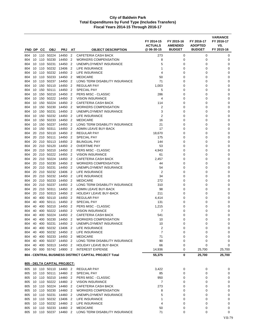|            |          |            |                                             |                |                                  |                                                       | FY 2014-15<br><b>ACTUALS</b> | FY 2015-16<br><b>AMENDED</b> | FY 2016-17<br><b>ADOPTED</b> | <b>VARIANCE</b><br>FY 2016-17<br>VS. |
|------------|----------|------------|---------------------------------------------|----------------|----------------------------------|-------------------------------------------------------|------------------------------|------------------------------|------------------------------|--------------------------------------|
| FND DP     |          | cс         | <b>OBJ</b>                                  | <b>PRJ</b>     | AT                               | <b>OBJECT DESCRIPTION</b>                             | @ 06-30-15                   | <b>BUDGET</b>                | <b>BUDGET</b>                | FY 2015-16                           |
| 804        | 10       | 110        | 50224                                       | 14450          | 2                                | <b>CAFETERIA CASH BACK</b>                            | 273                          | 0                            | 0                            | 0                                    |
| 804        | 10       | 110        | 50230                                       | 14450          | $\overline{2}$                   | WORKERS COMPENSATION                                  | 8                            | 0                            | 0                            | 0                                    |
| 804        | 10       | 110        | 50231                                       | 14450          | 2                                | UNEMPLOYMENT INSURANCE                                | 5                            | 0                            | 0                            | 0                                    |
| 804<br>804 | 10<br>10 | 110<br>110 | 50232<br>50232                              | 13406<br>14450 | $\overline{2}$<br>$\overline{2}$ | LIFE INSURANCE<br>LIFE INSURANCE                      | 1<br>4                       | 0<br>0                       | 0<br>$\Omega$                | 0<br>0                               |
| 804        | 10       | 110        | 50233                                       | 14450          | $\overline{2}$                   | <b>MEDICARE</b>                                       | 50                           | 0                            | 0                            | 0                                    |
| 804        | 10       | 110        | 50237                                       | 14450          | $\overline{2}$                   | LONG TERM DISABILITY INSURANCE                        | 71                           | 0                            | 0                            | 0                                    |
| 804        | 10       | 150        | 50110                                       | 14450          | $\overline{2}$                   | <b>REGULAR PAY</b>                                    | 1,003                        | 0                            | 0                            | 0                                    |
| 804        | 10       | 150        | 50111                                       | 14450          | $\overline{2}$                   | <b>SPECIAL PAY</b>                                    | 5                            | 0                            | 0                            | 0                                    |
| 804        | 10       | 150        | 50210                                       | 14450          | $\overline{2}$                   | PERS MISC - CLASSIC                                   | 286                          | 0                            | 0                            | 0                                    |
| 804        | 10       | 150        | 50222                                       | 14450          | $\overline{2}$                   | <b>VISION INSURANCE</b>                               | 4                            | 0                            | 0                            | 0                                    |
| 804        | 10       | 150        | 50224                                       | 14450          | $\overline{2}$                   | CAFETERIA CASH BACK                                   | 114                          | 0                            | 0                            | 0                                    |
| 804        | 10       | 150        | 50230                                       | 14450          | $\overline{2}$                   | WORKERS COMPENSATION                                  | 2                            | 0                            | 0                            | 0                                    |
| 804        | 10       | 150        | 50231                                       | 14450          | $\overline{2}$                   | UNEMPLOYMENT INSURANCE                                | 3                            | 0                            | 0                            | 0                                    |
| 804        | 10<br>10 | 150<br>150 | 50232<br>50233                              | 14450<br>14450 | $\overline{2}$<br>$\overline{2}$ | LIFE INSURANCE<br><b>MEDICARE</b>                     | 2<br>16                      | 0<br>0                       | 0<br>0                       | 0<br>0                               |
| 804<br>804 | 10       | 150        | 50237                                       | 14450          | $\overline{2}$                   | LONG TERM DISABILITY INSURANCE                        | 21                           | 0                            | 0                            | 0                                    |
| 804        | 10       | 150        | 50311                                       | 14450          | $\overline{2}$                   | ADMIN LEAVE BUY-BACK                                  | 17                           | 0                            | 0                            | 0                                    |
| 804        | 20       | 210        | 50110                                       | 14450          | 2                                | <b>REGULAR PAY</b>                                    | 18,670                       | 0                            | 0                            | 0                                    |
| 804        | 20       | 210        | 50111                                       | 14450          | 2                                | <b>SPECIAL PAY</b>                                    | 175                          | 0                            | 0                            | 0                                    |
| 804        | 20       | 210        | 50113                                       | 14450          | $\overline{2}$                   | <b>BILINGUAL PAY</b>                                  | 144                          | 0                            | 0                            | 0                                    |
| 804        | 20       | 210        | 50120                                       | 14450          | $\overline{2}$                   | <b>OVERTIME PAY</b>                                   | 53                           | 0                            | 0                            | 0                                    |
| 804        | 20       | 210        | 50210                                       | 14450          | $\overline{2}$                   | PERS MISC - CLASSIC                                   | 4,943                        | 0                            | 0                            | 0                                    |
| 804        | 20       | 210        | 50222                                       | 14450          | $\overline{2}$                   | <b>VISION INSURANCE</b>                               | 61                           | 0                            | 0                            | 0                                    |
| 804        | 20       | 210        | 50224                                       | 14450          | $\overline{2}$                   | <b>CAFETERIA CASH BACK</b>                            | 2,457                        | 0                            | 0                            | 0                                    |
| 804        | 20       | 210        | 50230                                       | 14450          | $\overline{2}$                   | WORKERS COMPENSATION                                  | 44                           | 0                            | 0                            | 0                                    |
| 804        | 20       | 210        | 50231                                       | 14450          | 2                                | UNEMPLOYMENT INSURANCE                                | 54                           | 0                            | 0                            | 0                                    |
| 804        | 20       | 210        | 50232                                       | 13406          | 2<br>2                           | <b>LIFE INSURANCE</b><br>LIFE INSURANCE               | $\overline{2}$<br>34         | 0                            | 0                            | 0                                    |
| 804<br>804 | 20<br>20 | 210<br>210 | 50232<br>50233                              | 14450<br>14450 | $\overline{2}$                   | <b>MEDICARE</b>                                       | 272                          | 0<br>0                       | 0<br>$\Omega$                | 0<br>0                               |
| 804        | 20       | 210        | 50237                                       | 14450          | $\overline{2}$                   | LONG TERM DISABILITY INSURANCE                        | 310                          | 0                            | 0                            | 0                                    |
| 804        | 20       | 210        | 50311                                       | 14450          | $\overline{2}$                   | ADMIN LEAVE BUY-BACK                                  | 98                           | 0                            | 0                            | 0                                    |
| 804        | 20       | 210        | 50313                                       | 14450          | $\overline{2}$                   | <b>HOLIDAY LEAVE BUY-BACK</b>                         | 211                          | 0                            | 0                            | 0                                    |
| 804        | 40       | 400        | 50110                                       | 14450          | 2                                | REGULAR PAY                                           | 4,414                        | 0                            | 0                            | 0                                    |
| 804        | 40       | 400        | 50111                                       | 14450          | 2                                | <b>SPECIAL PAY</b>                                    | 131                          | 0                            | 0                            | 0                                    |
| 804        | 40       | 400        | 50210                                       | 14450          | 2                                | PERS MISC - CLASSIC                                   | 1,215                        | 0                            | 0                            | 0                                    |
| 804        | 40       | 400        | 50222                                       | 14450          | 2                                | <b>VISION INSURANCE</b>                               | 7                            | 0                            | 0                            | 0                                    |
| 804        | 40       | 400        | 50224                                       | 14450          | $\overline{2}$                   | CAFETERIA CASH BACK                                   | 541                          | 0                            | 0                            | 0                                    |
| 804        | 40       | 400        | 50230                                       | 14450          | $\overline{2}$                   | <b>WORKERS COMPENSATION</b>                           | 10                           | $\Omega$                     | 0                            | 0                                    |
| 804        | 40       |            | 400 50231 14450 2                           |                |                                  | UNEMPLOYMENT INSURANCE                                | 10                           | 0                            | 0                            | 0                                    |
| 804<br>804 | 40<br>40 |            | 400 50232 13406 2<br>400 50232 14450 2      |                |                                  | LIFE INSURANCE<br><b>LIFE INSURANCE</b>               | 2<br>$\overline{7}$          | 0<br>0                       | 0<br>0                       | 0<br>0                               |
| 804 40     |          |            | 400 50233 14450 2                           |                |                                  | <b>MEDICARE</b>                                       | 71                           | 0                            | 0                            | 0                                    |
| 804 40     |          |            | 400 50237 14450 2                           |                |                                  | LONG TERM DISABILITY INSURANCE                        | 90                           | 0                            | 0                            | 0                                    |
| 804        | 40       |            | 400 50313 14450                             |                | $\overline{2}$                   | HOLIDAY LEAVE BUY-BACK                                | 66                           | 0                            | 0                            | 0                                    |
| 804        |          |            | 00 000 55742 14900 2                        |                |                                  | <b>INTEREST EXPENSE</b>                               | 14,936                       | 0                            | 25,700                       | 25,700                               |
|            |          |            |                                             |                |                                  | 804 - CENTRAL BUSINESS DISTRICT CAPITAL PROJECT Total | 55,375                       | 0                            | 25,700                       | 25,700                               |
|            |          |            | 805 - DELTA CAPITAL PROJECT:                |                |                                  |                                                       |                              |                              |                              |                                      |
|            |          |            | 805 10 110 50110 14460 2                    |                |                                  | <b>REGULAR PAY</b>                                    | 3,422                        | 0                            | 0                            | 0                                    |
|            |          |            | 805 10 110 50111 14460 2                    |                |                                  | SPECIAL PAY                                           | 85                           | 0                            | 0                            | 0                                    |
|            |          |            | 805 10 110 50210 14460 2                    |                |                                  | PERS MISC - CLASSIC                                   | 950                          | 0                            | 0                            | 0                                    |
| 805        |          |            | 10 110 50222 14460 2                        |                |                                  | <b>VISION INSURANCE</b>                               | $\overline{7}$               | 0                            | 0                            | 0                                    |
| 805        | 10       |            | 110 50224                                   | 14460 2        |                                  | CAFETERIA CASH BACK                                   | 273                          | 0                            | 0                            | 0                                    |
| 805        |          |            | 10 110 50230 14460 2                        |                |                                  | <b>WORKERS COMPENSATION</b>                           | 8                            | 0                            | 0                            | 0                                    |
|            |          |            | 805 10 110 50231                            | 14460 2        |                                  | UNEMPLOYMENT INSURANCE                                | 5                            | 0                            | 0                            | 0                                    |
|            |          |            | 805 10 110 50232 13406 2                    |                |                                  | LIFE INSURANCE                                        | 1                            | 0                            | 0                            | 0                                    |
| 805        | 10       |            | 805 10 110 50232 14460 2<br>110 50233 14460 |                | $\overline{2}$                   | LIFE INSURANCE<br><b>MEDICARE</b>                     | 4<br>50                      | 0<br>0                       | 0<br>0                       | 0<br>0                               |
|            |          |            | 805 10 110 50237 14460 2                    |                |                                  | LONG TERM DISABILITY INSURANCE                        | 71                           | 0                            | 0                            | 0                                    |
|            |          |            |                                             |                |                                  |                                                       |                              |                              |                              |                                      |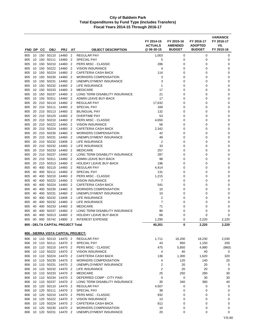| FND DP     |          | <b>CC</b>  | <b>OBJ</b>                           | <b>PRJ</b>     | AT                  | <b>OBJECT DESCRIPTION</b>                                       | FY 2014-15<br><b>ACTUALS</b><br>@ 06-30-15 | FY 2015-16<br><b>AMENDED</b><br><b>BUDGET</b> | FY 2016-17<br><b>ADOPTED</b><br><b>BUDGET</b> | <b>VARIANCE</b><br>FY 2016-17<br>VS.<br>FY 2015-16 |
|------------|----------|------------|--------------------------------------|----------------|---------------------|-----------------------------------------------------------------|--------------------------------------------|-----------------------------------------------|-----------------------------------------------|----------------------------------------------------|
| 805        |          | 10 150     | 50110                                | 14460          | $\overline{2}$      | <b>REGULAR PAY</b>                                              | 1,003                                      | 0                                             | 0                                             | 0                                                  |
| 805        | 10       | 150        | 50111                                | 14460          | $\overline{2}$      | <b>SPECIAL PAY</b>                                              | 5                                          | 0                                             | 0                                             | 0                                                  |
| 805        | 10       | 150        | 50210                                | 14460          | $\overline{2}$      | PERS MISC - CLASSIC                                             | 286                                        | 0                                             | 0                                             | 0                                                  |
| 805        | 10       | 150        | 50222                                | 14460          | $\overline{2}$      | <b>VISION INSURANCE</b>                                         | 4                                          | 0                                             | 0                                             | 0                                                  |
| 805        | 10       | 150        | 50224                                | 14460          | 2                   | CAFETERIA CASH BACK                                             | 114                                        | 0                                             | 0                                             | 0                                                  |
| 805        | 10       | 150        | 50230                                | 14460          | 2                   | <b>WORKERS COMPENSATION</b>                                     | 3                                          | 0                                             | 0                                             | 0                                                  |
| 805        | 10       | 150        | 50231                                | 14460          | $\overline{2}$      | UNEMPLOYMENT INSURANCE                                          | 3                                          | 0                                             | 0                                             | 0                                                  |
| 805        | 10       | 150        | 50232                                | 14460          | 2                   | LIFE INSURANCE                                                  | 1                                          | 0                                             | 0                                             | 0                                                  |
| 805        | 10       | 150        | 50233                                | 14460          | $\overline{2}$      | <b>MEDICARE</b>                                                 | 17                                         | 0                                             | 0                                             | 0                                                  |
| 805        | 10       | 150        | 50237                                | 14460          | $\overline{2}$      | LONG TERM DISABILITY INSURANCE                                  | 21                                         | 0                                             | 0                                             | 0                                                  |
| 805        | 10       | 150        | 50311                                | 14460          | 2                   | ADMIN LEAVE BUY-BACK                                            | 17                                         | 0                                             | 0                                             | 0                                                  |
| 805        | 20       | 210        | 50110                                | 14460          | 2                   | <b>REGULAR PAY</b>                                              | 17,632                                     | 0                                             | 0                                             | 0                                                  |
| 805        | 20       | 210        | 50111                                | 14460          | $\overline{2}$      | <b>SPECIAL PAY</b>                                              | 169                                        | 0                                             | 0                                             | 0                                                  |
| 805        | 20       | 210        | 50113                                | 14460          | $\overline{2}$      | <b>BILINGUAL PAY</b>                                            | 132                                        | 0                                             | 0                                             | 0                                                  |
| 805        | 20       | 210        | 50120                                | 14460          | $\overline{2}$      | <b>OVERTIME PAY</b>                                             | 53                                         | 0                                             | 0                                             | 0                                                  |
| 805        | 20       | 210        | 50210                                | 14460          | 2                   | PERS MISC - CLASSIC                                             | 4,650                                      | 0                                             | 0                                             | 0                                                  |
| 805        | 20       | 210        | 50222                                | 14460          | $\overline{2}$      | <b>VISION INSURANCE</b>                                         | 56                                         | 0                                             | 0                                             | 0                                                  |
| 805        | 20       | 210        | 50224                                | 14460          | $\overline{2}$      | <b>CAFETERIA CASH BACK</b>                                      | 2,342                                      | 0                                             | 0                                             | 0                                                  |
| 805        | 20       | 210        | 50230                                | 14460          | 2<br>2              | <b>WORKERS COMPENSATION</b>                                     | 42                                         | 0                                             | 0                                             | 0<br>0                                             |
| 805<br>805 | 20<br>20 | 210<br>210 | 50231<br>50232                       | 14460<br>13406 | $\overline{2}$      | UNEMPLOYMENT INSURANCE<br>LIFE INSURANCE                        | 49<br>$\overline{2}$                       | 0<br>0                                        | 0<br>0                                        | 0                                                  |
| 805        | 20       | 210        | 50232                                | 14460          | 2                   | LIFE INSURANCE                                                  | 33                                         | 0                                             | 0                                             | 0                                                  |
| 805        | 20       | 210        | 50233                                | 14460          | 2                   | <b>MEDICARE</b>                                                 | 257                                        | 0                                             | 0                                             | 0                                                  |
| 805        | 20       | 210        | 50237                                | 14460          | 2                   | LONG TERM DISABILITY INSURANCE                                  | 287                                        | 0                                             | 0                                             | $\mathbf 0$                                        |
| 805        | 20       | 210        | 50311                                | 14460          | 2                   | ADMIN LEAVE BUY-BACK                                            | 98                                         | 0                                             | 0                                             | 0                                                  |
| 805        | 20       | 210        | 50313                                | 14460          | 2                   | <b>HOLIDAY LEAVE BUY-BACK</b>                                   | 196                                        | 0                                             | 0                                             | 0                                                  |
| 805        | 40       | 400        | 50110                                | 14460          | $\overline{2}$      | <b>REGULAR PAY</b>                                              | 4,414                                      | 0                                             | 0                                             | 0                                                  |
| 805        | 40       | 400        | 50111                                | 14460          | $\overline{2}$      | SPECIAL PAY                                                     | 131                                        | 0                                             | 0                                             | 0                                                  |
| 805        | 40       | 400        | 50210                                | 14460          | $\overline{2}$      | PERS MISC - CLASSIC                                             | 1,215                                      | 0                                             | 0                                             | 0                                                  |
| 805        | 40       | 400        | 50222                                | 14460          | 2                   | <b>VISION INSURANCE</b>                                         | 7                                          | 0                                             | 0                                             | $\mathbf 0$                                        |
| 805        | 40       | 400        | 50224                                | 14460          | 2                   | CAFETERIA CASH BACK                                             | 541                                        | 0                                             | 0                                             | 0                                                  |
| 805        | 40       | 400        | 50230                                | 14460          | 2                   | <b>WORKERS COMPENSATION</b>                                     | 10                                         | 0                                             | 0                                             | 0                                                  |
| 805        | 40       | 400        | 50231                                | 14460          | $\overline{2}$      | UNEMPLOYMENT INSURANCE                                          | 10                                         | 0                                             | 0                                             | 0                                                  |
| 805        | 40       | 400        | 50232                                | 13406          | 2                   | LIFE INSURANCE                                                  | 2                                          | 0                                             | 0                                             | 0                                                  |
| 805        | 40       | 400        | 50232                                | 14460          | $\overline{2}$      | LIFE INSURANCE                                                  | $\overline{7}$                             | 0                                             | 0                                             | 0                                                  |
| 805        | 40       | 400        | 50233                                | 14460          | $\overline{2}$      | <b>MEDICARE</b>                                                 | 71                                         | 0                                             | 0                                             | 0                                                  |
| 805        | 40<br>40 | 400<br>400 | 50237<br>50313                       | 14460<br>14460 | 2<br>$\overline{2}$ | LONG TERM DISABILITY INSURANCE<br><b>HOLIDAY LEAVE BUY-BACK</b> | 90<br>66                                   | 0<br>0                                        | 0<br>0                                        | 0<br>$\mathbf 0$                                   |
| 805<br>805 | 00       | 000        | 55742                                | 14900          | $\overline{2}$      | <b>INTEREST EXPENSE</b>                                         | 1,290                                      | 0                                             | 2,220                                         | 2,220                                              |
|            |          |            |                                      |                |                     |                                                                 |                                            |                                               |                                               |                                                    |
|            |          |            | 805 - DELTA CAPITAL PROJECT Total    |                |                     |                                                                 | 40,201                                     | 0                                             | 2,220                                         | 2,220                                              |
|            |          |            | 806 - SIERRA VISTA CAPITAL PROJECT:  |                |                     |                                                                 |                                            |                                               |                                               |                                                    |
| 806        |          |            | 10 110 50110 14470 2                 |                |                     | <b>REGULAR PAY</b>                                              | 1,711                                      | 16,200                                        | 18,230                                        | 2,030                                              |
| 806        |          |            | 10 110 50111                         | 14470 2        |                     | SPECIAL PAY                                                     | 43                                         | 950                                           | 1,150                                         | 200                                                |
| 806        |          |            | 10 110 50210                         | 14470 2        |                     | PERS MISC - CLASSIC                                             | 475                                        | 5,850                                         | 4,990                                         | (860)                                              |
| 806        |          |            | 10 110 50222                         | 14470 2        |                     | <b>VISION INSURANCE</b>                                         | 4                                          | 40                                            | 40                                            | 0                                                  |
| 806        |          |            | 10 110 50224 14470 2                 |                |                     | CAFETERIA CASH BACK                                             | 136                                        | 1,300                                         | 1,620                                         | 320                                                |
| 806        |          |            | 10 110 50230                         | 14470 2        |                     | <b>WORKERS COMPENSATION</b>                                     | 4                                          | 120                                           | 140                                           | 20                                                 |
| 806        |          |            | 10 110 50231                         | 14470 2        |                     | UNEMPLOYMENT INSURANCE<br><b>LIFE INSURANCE</b>                 | 2                                          | 20                                            | 20                                            | 0                                                  |
| 806<br>806 |          |            | 10 110 50232 14470 2<br>10 110 50233 | 14470 2        |                     | <b>MEDICARE</b>                                                 | $\overline{2}$<br>25                       | 20<br>250                                     | 20<br>280                                     | 0<br>30                                            |
| 806        |          |            | 10 110 50234 14470 2                 |                |                     | DEFERRED COMP - CITY PAID                                       | 0                                          | 0                                             | 30                                            | 30                                                 |
| 806        |          |            | 10 110 50237                         | 14470 2        |                     | LONG TERM DISABILITY INSURANCE                                  | 35                                         | 340                                           | 380                                           | 40                                                 |
| 806        |          |            | 10 120 50110                         | 14470 2        |                     | <b>REGULAR PAY</b>                                              | 4,507                                      | 0                                             | 0                                             | 0                                                  |
| 806        |          |            | 10 120 50111                         | 14470          | $\overline{2}$      | SPECIAL PAY                                                     | 38                                         | 0                                             | 0                                             | 0                                                  |
| 806        |          |            | 10 120 50210                         | 14470          | $\overline{2}$      | PERS MISC - CLASSIC                                             | 932                                        | 0                                             | 0                                             | 0                                                  |
| 806        |          |            | 10 120 50222 14470 2                 |                |                     | <b>VISION INSURANCE</b>                                         | 13                                         | 0                                             | 0                                             | 0                                                  |
| 806        |          |            | 10 120 50224                         | 14470 2        |                     | CAFETERIA CASH BACK                                             | 812                                        | 0                                             | 0                                             | 0                                                  |
| 806        | 10       |            | 120 50230                            | 14470 2        |                     | <b>WORKERS COMPENSATION</b>                                     | 10                                         | 0                                             | 0                                             | 0                                                  |
| 806        | 10       |            | 120 50231                            | 14470 2        |                     | UNEMPLOYMENT INSURANCE                                          | 20                                         | 0                                             | 0                                             | 0                                                  |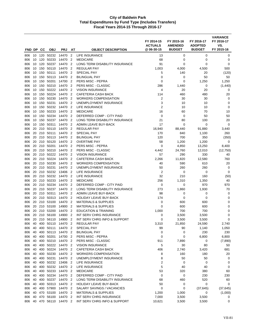|            |          |            |                    |                              |                                  |                                                       | FY 2014-15<br><b>ACTUALS</b><br>@06-30-15 | FY 2015-16<br><b>AMENDED</b> | FY 2016-17<br><b>ADOPTED</b><br><b>BUDGET</b> | <b>VARIANCE</b><br>FY 2016-17<br>VS. |
|------------|----------|------------|--------------------|------------------------------|----------------------------------|-------------------------------------------------------|-------------------------------------------|------------------------------|-----------------------------------------------|--------------------------------------|
| FND DP     |          | CC         | <b>OBJ</b>         | <b>PRJ</b>                   | ΑT                               | <b>OBJECT DESCRIPTION</b>                             |                                           | <b>BUDGET</b>                |                                               | FY 2015-16                           |
| 806        | 10       |            | 120 50232          | 14470                        | $\overline{2}$                   | <b>LIFE INSURANCE</b>                                 | 13                                        | 0                            | 0                                             | 0                                    |
| 806        | 10       | 120        | 50233              | 14470                        | $\overline{2}$                   | <b>MEDICARE</b>                                       | 68                                        | 0                            | 0                                             | 0                                    |
| 806        | 10       | 120        | 50237              | 14470                        | $\overline{2}$                   | LONG TERM DISABILITY INSURANCE                        | 91                                        | 0                            | 0                                             | $\mathbf 0$                          |
| 806<br>806 | 10<br>10 | 150<br>150 | 50110<br>50111     | 14470<br>14470               | $\overline{2}$<br>$\overline{2}$ | REGULAR PAY<br><b>SPECIAL PAY</b>                     | 1,003<br>5                                | 4,000<br>140                 | 4,500<br>20                                   | 500<br>(120)                         |
| 806        | 10       | 150        | 50113              | 14470                        | $\overline{2}$                   | <b>BILINGUAL PAY</b>                                  | 0                                         | 0                            | 50                                            | 50                                   |
| 806        | 10       | 150        | 50201              | 14700                        | $\overline{2}$                   | PERS MISC - PEPRA                                     | 0                                         | 0                            | 1,250                                         | 1,250                                |
| 806        | 10       | 150        | 50210              | 14470                        | $\overline{2}$                   | PERS MISC - CLASSIC                                   | 286                                       | 1,440                        | 0                                             | (1,440)                              |
| 806        | 10       |            | 150 50222          | 14470                        | 2                                | <b>VISION INSURANCE</b>                               | 4                                         | 20                           | 20                                            | 0                                    |
| 806        | 10       | 150        | 50224              | 14470                        | $\overline{2}$                   | <b>CAFETERIA CASH BACK</b>                            | 114                                       | 460                          | 480                                           | 20                                   |
| 806        | 10       | 150        | 50230              | 14470                        | $\overline{2}$                   | <b>WORKERS COMPENSATION</b>                           | $\overline{2}$                            | 30                           | 30                                            | 0                                    |
| 806        | 10       | 150        | 50231              | 14470                        | $\overline{2}$                   | UNEMPLOYMENT INSURANCE                                | 3                                         | 10                           | 10                                            | 0                                    |
| 806        | 10       | 150        | 50232              | 14470                        | $\overline{2}$                   | LIFE INSURANCE                                        | $\overline{2}$                            | 10                           | 10                                            | $\mathbf 0$                          |
| 806        | 10       | 150        | 50233              | 14470                        | $\overline{2}$                   | <b>MEDICARE</b>                                       | 16                                        | 60                           | 70                                            | 10                                   |
| 806        | 10       | 150        | 50234              | 14470                        | $\overline{2}$                   | DEFERRED COMP - CITY PAID                             | 0                                         | 0                            | 50                                            | 50                                   |
| 806        | 10       | 150        | 50237              | 14470                        | $\overline{2}$                   | LONG TERM DISABILITY INSURANCE                        | 21                                        | 80                           | 100                                           | 20                                   |
| 806        | 10       | 150        | 50311              | 14470                        | $\overline{2}$                   | ADMIN LEAVE BUY-BACK                                  | 17                                        | $\mathbf 0$                  | $\mathbf 0$                                   | 0                                    |
| 806        | 20       | 210        | 50110              | 14470                        | $\overline{2}$                   | <b>REGULAR PAY</b>                                    | 16,940                                    | 88,440                       | 91,880                                        | 3,440                                |
| 806        | 20       |            | 210 50111          | 14470                        | $\overline{2}$                   | <b>SPECIAL PAY</b>                                    | 170                                       | 840                          | 1,100                                         | 260                                  |
| 806        | 20       | 210        | 50113              | 14470                        | $\overline{2}$                   | <b>BILINGUAL PAY</b>                                  | 120                                       | 700                          | 350                                           | (350)                                |
| 806        | 20       | 210        | 50120              | 14470                        | $\overline{2}$                   | <b>OVERTIME PAY</b>                                   | 58                                        | 1,200                        | 1,200                                         | 0                                    |
| 806        | 20       | 210        | 50201              | 14470                        | $\overline{2}$                   | PERS MISC - PEPRA                                     | 0                                         | 4,850                        | 13,250                                        | 8,400                                |
| 806        | 20       | 210        | 50210              | 14470                        | $\overline{2}$                   | PERS MISC - CLASSIC                                   | 4,442                                     | 24,760                       | 12,010                                        | (12,750)                             |
| 806        | 20       | 210        | 50222              | 14470                        | $\overline{2}$                   | <b>VISION INSURANCE</b>                               | 57                                        | 290                          | 330                                           | 40                                   |
| 806        | 20       | 210        | 50224              | 14470                        | $\overline{2}$                   | <b>CAFETERIA CASH BACK</b>                            | 2,266                                     | 11,820                       | 12,580                                        | 760                                  |
| 806<br>806 | 20<br>20 | 210        | 210 50230<br>50231 | 14470 2<br>14470             | $\overline{2}$                   | <b>WORKERS COMPENSATION</b><br>UNEMPLOYMENT INSURANCE | 40<br>50                                  | 590<br>260                   | 610<br>260                                    | 20<br>0                              |
| 806        | 20       | 210        | 50232              | 13406                        | $\overline{2}$                   | LIFE INSURANCE                                        | $\overline{2}$                            | $\mathbf 0$                  | 0                                             | 0                                    |
| 806        | 20       | 210        | 50232              | 14470                        | $\overline{2}$                   | LIFE INSURANCE                                        | 32                                        | 210                          | 160                                           | (50)                                 |
| 806        | 20       |            | 210 50233          | 14470                        | $\overline{2}$                   | <b>MEDICARE</b>                                       | 256                                       | 1,310                        | 1,350                                         | 40                                   |
| 806        | 20       | 210        | 50234              | 14470                        | $\overline{2}$                   | DEFERRED COMP - CITY PAID                             | 0                                         | 0                            | 970                                           | 970                                  |
| 806        | 20       | 210        | 50237              | 14470                        | $\overline{2}$                   | LONG TERM DISABILITY INSURANCE                        | 273                                       | 1,860                        | 1,930                                         | 70                                   |
| 806        | 20       | 210        | 50311              | 14470                        | $\overline{2}$                   | ADMIN LEAVE BUY-BACK                                  | 98                                        | 0                            | 0                                             | 0                                    |
| 806        | 20       |            | 210 50313          | 14470                        | 2                                | <b>HOLIDAY LEAVE BUY-BACK</b>                         | 174                                       | 0                            | 0                                             | 0                                    |
| 806        | 20       |            | 210 53100          | 14470                        | $\overline{2}$                   | <b>MATERIALS &amp; SUPPLIES</b>                       | 0                                         | 600                          | 600                                           | 0                                    |
| 806        | 20       | 210        | 53100              | 14900                        | $\overline{2}$                   | <b>MATERIALS &amp; SUPPLIES</b>                       | $\mathbf 0$                               | 600                          | 600                                           | $\pmb{0}$                            |
| 806        | 20       |            | 210 53200          | 14470                        | $\overline{2}$                   | <b>EDUCATION &amp; TRAINING</b>                       | 1,000                                     | 700                          | 700                                           | $\mathbf 0$                          |
| 806        | 20       | 210        | 56100              | 14900                        | $\overline{2}$                   | INT SERV CHRG INSURANCE                               | 0                                         | 3,500                        | 3,500                                         | 0                                    |
| 806        | 20       | 210        | 56110              | 14900                        | $\overline{2}$                   | INT SERV CHRG INFO & SUPPORT                          | $\mathbf 0$                               | 3,500                        | 3,500                                         | 0                                    |
| 806        | 40       |            |                    | 400 50110 14470 2            |                                  | <b>REGULAR PAY</b>                                    | 3,310                                     | 21,850                       | 24,590                                        | 2,740                                |
| 806        | 40       |            | 400 50111          | 14470 2                      |                                  | SPECIAL PAY                                           | 99                                        | 90                           | 1,140                                         | 1,050                                |
| 806        | 40       |            |                    | 400 50113 14470 2            |                                  | <b>BILINGUAL PAY</b>                                  | 0                                         | 0                            | 230                                           | 230                                  |
| 806        | 40       |            | 400 50201          | 14700 2                      |                                  | PERS MISC - PEPRA                                     | 0                                         | 0                            | 6,800                                         | 6,800                                |
| 806        | 40       |            |                    | 400 50210 14470 2            |                                  | PERS MISC - CLASSIC                                   | 911                                       | 7,890                        | 0                                             | (7,890)                              |
| 806        | 40       |            | 400 50222          | 14470                        | $\overline{2}$                   | <b>VISION INSURANCE</b>                               | 5                                         | 30                           | 80                                            | 50                                   |
| 806        | 40       |            | 400 50224          | 14470 2                      |                                  | CAFETERIA CASH BACK                                   | 406                                       | 2,740                        | 3,420                                         | 681                                  |
| 806        | 40       |            | 400 50230          | 14470 2                      |                                  | <b>WORKERS COMPENSATION</b>                           | 8                                         | 160                          | 180                                           | 20                                   |
| 806        | 40       |            | 400 50231          | 14470 2                      |                                  | UNEMPLOYMENT INSURANCE                                | 8                                         | 50                           | 50                                            | 0                                    |
| 806        | 40<br>40 |            | 400 50232          | 13406 2<br>400 50232 14470 2 |                                  | LIFE INSURANCE                                        | $\mathbf 2$<br>5                          | 0                            | 0                                             | 0                                    |
| 806        | 40       |            |                    | 400 50233 14470 2            |                                  | LIFE INSURANCE<br><b>MEDICARE</b>                     | 53                                        | 40<br>320                    | 40<br>380                                     | 0<br>60                              |
| 806<br>806 | 40       |            | 400 50234          | 14470 2                      |                                  | DEFERRED COMP - CITY PAID                             | 0                                         | 0                            | 230                                           | 230                                  |
| 806 40     |          |            | 400 50237          | 14470 2                      |                                  | LONG TERM DISABILITY INSURANCE                        | 68                                        | 460                          | 520                                           | 60                                   |
| 806        | 40       | 400        | 50313              | 14470 2                      |                                  | <b>HOLIDAY LEAVE BUY-BACK</b>                         | 50                                        | 0                            | 0                                             | 0                                    |
| 806        | 40       |            |                    | 400 57900 14470 2            |                                  | SALARY SAVINGS / VACANCIES                            | 0                                         | 0                            | (37, 645)                                     | (37, 645)                            |
| 806        | 40       |            |                    | 470 53100 14470 2            |                                  | <b>MATERIALS &amp; SUPPLIES</b>                       | 1,200                                     | 1,000                        | 0                                             | (1,000)                              |
| 806        | 40       |            |                    | 470 56100 14470 2            |                                  | INT SERV CHRG INSURANCE                               | 7,000                                     | 3,500                        | 3,500                                         | 0                                    |
| 806        | 40       |            |                    | 470 56110 14470 2            |                                  | INT SERV CHRG INFO & SUPPORT                          | 10,621                                    | 3,500                        | 3,500                                         | 0                                    |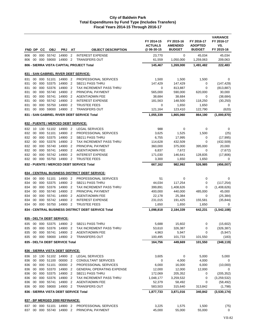| FND DP     |          | CС  | <b>OBJ</b>                       | <b>PRJ</b>       | AT                               | <b>OBJECT DESCRIPTION</b>                                              | FY 2014-15<br><b>ACTUALS</b><br>@ 06-30-15 | FY 2015-16<br><b>AMENDED</b><br><b>BUDGET</b> | FY 2016-17<br><b>ADOPTED</b><br><b>BUDGET</b> | <b>VARIANCE</b><br>FY 2016-17<br>VS.<br>FY 2015-16 |
|------------|----------|-----|----------------------------------|------------------|----------------------------------|------------------------------------------------------------------------|--------------------------------------------|-----------------------------------------------|-----------------------------------------------|----------------------------------------------------|
| 806        | 00       |     | 000 55742                        | 14900            | $\overline{2}$                   | <b>INTEREST EXPENSE</b>                                                | 23,770                                     | 0                                             | 45,034                                        | 45,034                                             |
| 806        | 00       | 000 | 59000                            | 14900            | $\overline{2}$                   | <b>TRANSFERS OUT</b>                                                   | 61,559                                     | 1,050,000                                     | 1,259,063                                     | 209,063                                            |
|            |          |     |                                  |                  |                                  | 806 - SIERRA VISTA CAPITAL PROJECT Total                               | 145,467                                    | 1,269,000                                     | 1,491,482                                     | 222,483                                            |
|            |          |     |                                  |                  |                                  |                                                                        |                                            |                                               |                                               |                                                    |
| 831        |          |     | 00 000 51101                     | 14900            | $\overline{2}$                   | 831 - SAN GABRIEL RIVER DEBT SERVICE:<br>PROFESSIONAL SERVICES         | 1,500                                      | 1,500                                         | 1,500                                         | 0                                                  |
| 831        | 00       | 000 | 53375                            | 14900            | $\overline{2}$                   | <b>SB211 PASS THRU</b>                                                 | 147,429                                    | 147,429                                       | 0                                             | (147, 429)                                         |
| 831        | 00       |     | 000 53376                        | 14900            | $\overline{\phantom{a}}$         | TAX INCREMENT PASS THRU                                                | 0                                          | 813,887                                       | 0                                             | (813, 887)                                         |
| 831        | 00       | 000 | 55740                            | 14900            | $\overline{2}$                   | PRINCIPAL PAYMENT                                                      | 565,000                                    | 590,000                                       | 620,000                                       | 30,000                                             |
| 831        | 00       | 000 | 55741                            | 14900            | $\overline{2}$                   | <b>AGENT/ADMIN FEE</b>                                                 | 38,684                                     | 38,684                                        | 0                                             | (38, 684)                                          |
| 831        | 00       |     | 000 55742                        | 14900            | $\overline{2}$                   | <b>INTEREST EXPENSE</b>                                                | 181,563                                    | 148,500                                       | 118,250                                       | (30, 250)                                          |
| 831        | 00       | 000 | 55750                            | 14900            | $\overline{2}$                   | <b>TRUSTEE FEES</b>                                                    | 0                                          | 1,650                                         | 1,650                                         | 0                                                  |
| 831        | 00       |     | 000 59000                        | 14900            | $\overline{2}$                   | <b>TRANSFERS OUT</b>                                                   | 121,164                                    | 123,410                                       | 122,790                                       | (620)                                              |
|            |          |     |                                  |                  |                                  | 831 - SAN GABRIEL RIVER DEBT SERVICE Total                             | 1,055,339                                  | 1,865,060                                     | 864,190                                       | (1,000,870)                                        |
|            |          |     |                                  |                  |                                  | 832 - PUENTE / MERCED DEBT SERVICE:                                    |                                            |                                               |                                               |                                                    |
| 832        | 10       |     | 130 51102                        | 14900 2          |                                  | <b>LEGAL SERVICES</b>                                                  | 988                                        | 0                                             | 0                                             | 0                                                  |
| 832        | 00       |     | 000 51101                        | 14900 2          |                                  | PROFESSIONAL SERVICES                                                  | 3,625                                      | 1,525                                         | 1,500                                         | (25)                                               |
| 832        | 00       |     | 000 53375                        | 14900            | $\overline{2}$                   | <b>SB211 PASS THRU</b>                                                 | 6,755                                      | 17,995                                        | 0                                             | (17, 995)                                          |
| 832        | $00\,$   |     | 000 53376                        | 14900            | $\overline{2}$                   | <b>TAX INCREMENT PASS THRU</b>                                         | 114,628                                    | 432,509                                       | 0                                             | (432, 509)                                         |
| 832        | 00       |     | 000 55740                        | 14900            | $\overline{2}$                   | PRINCIPAL PAYMENT                                                      | 360,000                                    | 375,000                                       | 395,000                                       | 20,000                                             |
| 832<br>832 | 00<br>00 | 000 | 000 55741<br>55742               | 14900<br>14900   | $\overline{2}$<br>$\overline{2}$ | <b>AGENT/ADMIN FEE</b><br><b>INTEREST EXPENSE</b>                      | 6,837<br>171,030                           | 7,672<br>146,641                              | 0<br>128,835                                  | (7,672)<br>(17, 806)                               |
| 832        | 00       |     | 000 55750                        | 14900            | $\overline{2}$                   | <b>TRUSTEE FEES</b>                                                    | 3,300                                      | 1,650                                         | 1,650                                         | 0                                                  |
|            |          |     |                                  |                  |                                  | 832 - PUENTE / MERCED DEBT SERVICE Total                               | 667,162                                    | 982,992                                       | 526,985                                       | (456,007)                                          |
|            |          |     |                                  |                  |                                  |                                                                        |                                            |                                               |                                               |                                                    |
|            |          |     |                                  |                  |                                  | 834 - CENTRAL BUSINESS DISTRICT DEBT SERVICE:<br>PROFESSIONAL SERVICES |                                            |                                               |                                               |                                                    |
| 834<br>834 | 00       |     | 00 000 51101<br>000 53375        | 14900 2<br>14900 | $\overline{2}$                   | SB211 PASS THRU                                                        | 51<br>44,034                               | 0<br>117,254                                  | 0<br>0                                        | 0<br>(117, 254)                                    |
| 834        | 00       |     | 000 53376                        | 14900            | $\overline{2}$                   | TAX INCREMENT PASS THRU                                                | 399,891                                    | 1,408,626                                     | 0                                             | (1,408,626)                                        |
| 834        | 00       | 000 | 55740                            | 14900            | $\overline{2}$                   | PRINCIPAL PAYMENT                                                      | 400,000                                    | 440,000                                       | 485,000                                       | 45,000                                             |
| 834        | 00       |     | 000 55741                        | 14900            | $\overline{2}$                   | <b>AGENT/ADMIN FEE</b>                                                 | 22,178                                     | 25,384                                        | 0                                             | (25, 384)                                          |
| 834        | 00       | 000 | 55742                            | 14900            | $\overline{2}$                   | <b>INTEREST EXPENSE</b>                                                | 231,015                                    | 191,425                                       | 155,581                                       | (35, 844)                                          |
| 834        | 00       |     | 000 55750                        | 14900            | $\overline{\phantom{0}}^2$       | <b>TRUSTEE FEES</b>                                                    | 1,650                                      | 1,650                                         | 1,650                                         | 0                                                  |
|            |          |     |                                  |                  |                                  | 834 - CENTRAL BUSINESS DISTRICT DEBT SERVICE Total                     | 1,098,818                                  | 2,184,339                                     | 642,231                                       | (1,542,108)                                        |
|            |          |     | 835 - DELTA DEBT SERVICE:        |                  |                                  |                                                                        |                                            |                                               |                                               |                                                    |
| 835        | 00       |     | 000 53375                        | 14900 2          |                                  | SB211 PASS THRU                                                        | 5,688                                      | 15,602                                        | 0                                             | (15,602)                                           |
| 835        | 00       |     | 000 53376                        | 14900 2          |                                  | TAX INCREMENT PASS THRU                                                | 53,610                                     | 326,387                                       | 0                                             | (326, 387)                                         |
| 835        | 00       |     | 000 55741                        | 14900 2          |                                  | <b>AGENT/ADMIN FEE</b>                                                 | 4,963                                      | 5,947                                         | 0                                             | (5, 947)                                           |
| 835        | $00\,$   |     | 000 59000 14900 2                |                  |                                  | <b>TRANSFERS OUT</b>                                                   | 100,495                                    | 101,733                                       | 101,550                                       | (183)                                              |
|            |          |     | 835 - DELTA DEBT SERVICE Total   |                  |                                  |                                                                        | 164,756                                    | 449,669                                       | 101,550                                       | (348, 119)                                         |
|            |          |     | 836 - SIERRA VISTA DEBT SERVICE: |                  |                                  |                                                                        |                                            |                                               |                                               |                                                    |
| 836        |          |     | 10 130 51102 14900 2             |                  |                                  | LEGAL SERVICES                                                         | 3,605                                      | 0                                             | 5,000                                         | 5,000                                              |
| 836        | 00       |     | 000 51100                        | 00000 2          |                                  | <b>CONSULTANT SERVICES</b>                                             | 0                                          | 4,000                                         | 4,000                                         | 0                                                  |
| 836        | 00       |     | 000 51101                        | 00000 2          |                                  | PROFESSIONAL SERVICES                                                  | 6,000                                      | 16,000                                        | 6,000                                         | (10,000)                                           |
| 836        | 00       |     | 000 53370                        | 14900 2          |                                  | <b>GENERAL OPERATING EXPENSE</b>                                       | 12,000                                     | 12,000                                        | 12,000                                        | 0                                                  |
| 836        | 00       |     | 000 53375                        | 14900 2          |                                  | <b>SB211 PASS THRU</b>                                                 | 172,069                                    | 205,352                                       | 0                                             | (205, 352)                                         |
| 836        | 00       |     | 000 53376                        | 14900 2          |                                  | TAX INCREMENT PASS THRU                                                | 1,048,177                                  | 3,259,532                                     | 0                                             | (3,259,532)                                        |
| 836<br>836 | 00<br>00 |     | 000 55741<br>000 59000 14900 2   | 14900 2          |                                  | <b>AGENT/ADMIN FEE</b><br><b>TRANSFERS OUT</b>                         | 52,379<br>583,503                          | 58,492<br>315,640                             | 0                                             | (58, 492)<br>(1,798)                               |
|            |          |     |                                  |                  |                                  | 836 - SIERRA VISTA DEBT SERVICE Total                                  | 1,877,733                                  | 3,871,016                                     | 313,842<br>340,842                            | (3,530,174)                                        |
|            |          |     |                                  |                  |                                  |                                                                        |                                            |                                               |                                               |                                                    |
|            |          |     | 837 - BP MERGED 2000 REFINANCE:  |                  |                                  |                                                                        |                                            |                                               |                                               |                                                    |
| 837        | 00       |     | 000 51101 14900 2                |                  |                                  | PROFESSIONAL SERVICES                                                  | 3,225                                      | 1,575                                         | 1,500                                         | (75)                                               |
| 837        | 00       |     | 000 55740 14900 2                |                  |                                  | PRINCIPAL PAYMENT                                                      | 45,000                                     | 55,000                                        | 55,000                                        | 0                                                  |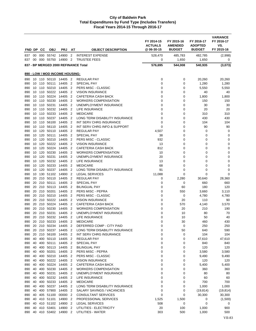| FND DP     |                 | cс            | <b>OBJ</b>                   | <b>PRJ</b>                      | AT                                         | <b>OBJECT DESCRIPTION</b>                               | FY 2014-15<br><b>ACTUALS</b><br>@ 06-30-15 | FY 2015-16<br><b>AMENDED</b><br><b>BUDGET</b> | FY 2016-17<br><b>ADOPTED</b><br><b>BUDGET</b> | <b>VARIANCE</b><br>FY 2016-17<br>VS.<br>FY 2015-16 |
|------------|-----------------|---------------|------------------------------|---------------------------------|--------------------------------------------|---------------------------------------------------------|--------------------------------------------|-----------------------------------------------|-----------------------------------------------|----------------------------------------------------|
| 837        | 00 <sup>1</sup> |               | 000 55742<br>000 55750       | 14900<br>14900                  | $\overline{2}$<br>$\overline{2}$           | <b>INTEREST EXPENSE</b><br><b>TRUSTEE FEES</b>          | 528,470<br>0                               | 485,783                                       | 482,785                                       | (2,998)                                            |
| 837        | 00              |               |                              |                                 |                                            | 837 - BP MERGED 2000 REFINANCE Total                    | 576,695                                    | 1,650<br>544,008                              | 1,650<br>540,935                              | 0<br>(3,073)                                       |
|            |                 |               |                              |                                 |                                            |                                                         |                                            |                                               |                                               |                                                    |
|            |                 |               |                              | 890 - LOW / MOD INCOME HOUSING: |                                            |                                                         |                                            |                                               |                                               |                                                    |
| 890        |                 |               | 10 110 50110                 | 14405                           | $\overline{2}$                             | <b>REGULAR PAY</b>                                      | 0                                          | 0                                             | 20,260                                        | 20,260                                             |
| 890<br>890 |                 |               | 10 110 50111<br>10 110 50210 | 14405<br>14405                  | $\overline{2}$<br>2                        | <b>SPECIAL PAY</b><br>PERS MISC - CLASSIC               | 0<br>0                                     | 0<br>0                                        | 1,280                                         | 1,280                                              |
| 890        |                 |               | 10 110 50222                 | 14405                           | $\overline{2}$                             | <b>VISION INSURANCE</b>                                 | 0                                          | 0                                             | 5,550<br>40                                   | 5,550<br>40                                        |
| 890        | 10              | 110           | 50224                        | 14405                           | $\overline{2}$                             | CAFETERIA CASH BACK                                     | 0                                          | 0                                             | 1,800                                         | 1,800                                              |
| 890        |                 |               | 10 110 50230                 | 14405                           | $\overline{2}$                             | <b>WORKERS COMPENSATION</b>                             | $\Omega$                                   | 0                                             | 150                                           | 150                                                |
| 890        |                 | 10 110        | 50231                        | 14405                           | $\overline{2}$                             | UNEMPLOYMENT INSURANCE                                  | 0                                          | 0                                             | 30                                            | 30                                                 |
| 890        |                 | 10 110        | 50232                        | 14405                           | $\overline{2}$                             | LIFE INSURANCE                                          | 0                                          | 0                                             | 20                                            | 20                                                 |
| 890        | 10              | 110           | 50233                        | 14405                           | $\overline{2}$                             | <b>MEDICARE</b>                                         | 0                                          | 0                                             | 310                                           | 310                                                |
| 890        |                 |               | 10 110 50237                 | 14405                           | $\overline{2}$                             | LONG TERM DISABILITY INSURANCE                          | 0                                          | 0                                             | 430                                           | 430                                                |
| 890        |                 |               | 10 110 56100<br>56110        | 14405                           | $\overline{2}$                             | <b>INT SERV CHRG INSURANCE</b>                          | 0                                          | 0                                             | 104                                           | 104                                                |
| 890<br>890 | 10              | 110<br>10 120 | 50110                        | 14405<br>14405                  | $\overline{2}$<br>$\overline{2}$           | INT SERV CHRG INFO & SUPPORT<br><b>REGULAR PAY</b>      | 0<br>4,507                                 | 0<br>0                                        | 90<br>0                                       | 90<br>0                                            |
| 890        |                 | 10 120        | 50111                        | 14405                           | $\overline{2}$                             | <b>SPECIAL PAY</b>                                      | 38                                         | 0                                             | 0                                             | 0                                                  |
| 890        |                 | 10 120        | 50210                        | 14405                           | $\overline{2}$                             | PERS MISC - CLASSIC                                     | 932                                        | 0                                             | 0                                             | 0                                                  |
| 890        |                 | 10 120        | 50222                        | 14405                           | $\overline{2}$                             | <b>VISION INSURANCE</b>                                 | 13                                         | 0                                             | 0                                             | 0                                                  |
| 890        |                 |               | 10 120 50224                 | 14405                           | $\overline{2}$                             | CAFETERIA CASH BACK                                     | 812                                        | 0                                             | 0                                             | 0                                                  |
| 890        |                 | 10 120        | 50230                        | 14405                           | $\overline{2}$                             | <b>WORKERS COMPENSATION</b>                             | 10                                         | 0                                             | 0                                             | 0                                                  |
| 890        |                 | 10 120        | 50231                        | 14405                           | $\overline{2}$                             | UNEMPLOYMENT INSURANCE                                  | 20                                         | 0                                             | 0                                             | 0                                                  |
| 890        | 10              | 120           | 50232                        | 14405                           | $\overline{2}$                             | LIFE INSURANCE                                          | 13                                         | 0                                             | 0                                             | 0                                                  |
| 890        |                 | 10 120        | 50233                        | 14405                           | 2                                          | <b>MEDICARE</b>                                         | 68                                         | 0                                             | 0                                             | 0                                                  |
| 890<br>890 | 10              | 10 120<br>130 | 50237<br>51102               | 14405<br>14900                  | $\overline{2}$<br>$\overline{2}$           | LONG TERM DISABILITY INSURANCE<br><b>LEGAL SERVICES</b> | 91<br>11,088                               | 0<br>0                                        | 0<br>0                                        | 0<br>0                                             |
| 890        |                 |               | 20 210 50110                 | 14405                           | $\overline{2}$                             | <b>REGULAR PAY</b>                                      | 0                                          | 2,280                                         | 30,640                                        | 28,360                                             |
| 890        | 20              |               | 210 50111                    | 14405                           | $\overline{2}$                             | SPECIAL PAY                                             | 0                                          | 0                                             | 660                                           | 660                                                |
| 890        | 20              | 210           | 50113                        | 14405                           | $\overline{2}$                             | <b>BILINGUAL PAY</b>                                    | 0                                          | 60                                            | 180                                           | 120                                                |
| 890        |                 |               | 20 210 50201                 | 14405                           | $\overline{2}$                             | PERS MISC - PEPRA                                       | 0                                          | 550                                           | 3,660                                         | 3,110                                              |
| 890        | 20              |               | 210 50210                    | 14405                           | 2                                          | PERS MISC - CLASSIC                                     | 0                                          | 0                                             | 4,780                                         | 4,780                                              |
| 890        |                 |               | 20 210 50222                 | 14405                           | $\overline{2}$                             | <b>VISION INSURANCE</b>                                 | 0                                          | 20                                            | 110                                           | 90                                                 |
| 890        | 20              | 210           | 50224                        | 14405                           | $\overline{2}$                             | CAFETERIA CASH BACK                                     | 0                                          | 570                                           | 4,140                                         | 3,570                                              |
| 890        |                 |               | 20 210 50230                 | 14405                           | $\overline{2}$                             | WORKERS COMPENSATION                                    | 0                                          | 20                                            | 210                                           | 190                                                |
| 890        | 20              |               | 210 50231<br>20 210 50232    | 14405                           | $\overline{2}$                             | UNEMPLOYMENT INSURANCE                                  | 0                                          | 10                                            | 80                                            | 70                                                 |
| 890<br>890 |                 |               |                              | 14405<br>20 210 50233 14405 2   | $\overline{2}$                             | LIFE INSURANCE<br><b>MEDICARE</b>                       | 0<br>$\Omega$                              | 10<br>30                                      | 50<br>460                                     | 40<br>430                                          |
| 890        |                 |               |                              | 20 210 50234 14405 2            |                                            | DEFERRED COMP - CITY PAID                               | 0                                          | $\mathbf 0$                                   | 250                                           | 250                                                |
| 890        |                 |               | 20 210 50237                 | 14405                           | $\overline{\phantom{0}}^2$                 | LONG TERM DISABILITY INSURANCE                          | 0                                          | 50                                            | 640                                           | 590                                                |
| 890        | 20              |               | 210 56100                    | 14405 2                         |                                            | INT SERV CHRG INSURANCE                                 | 0                                          | 0                                             | 104                                           | 104                                                |
| 890        | 40              |               | 400 50110                    | 14405 2                         |                                            | <b>REGULAR PAY</b>                                      | 0                                          | 0                                             | 47,610                                        | 47,610                                             |
| 890        | 40              |               | 400 50111                    | 14405                           | $\overline{\mathbf{2}}$                    | SPECIAL PAY                                             | 0                                          | 0                                             | 840                                           | 840                                                |
| 890        |                 |               | 40 400 50113                 | 14405                           | $\overline{2}$                             | <b>BILINGUAL PAY</b>                                    | 0                                          | 0                                             | 120                                           | 120                                                |
| 890        | 40              |               | 400 50201                    | 14405                           | $\overline{\phantom{0}}^2$                 | PERS MISC - PEPRA                                       | 0                                          | 0                                             | 3,580                                         | 3,580                                              |
| 890        | 40              |               | 400 50210                    | 14405                           | $\overline{\phantom{0}}^2$                 | PERS MISC - CLASSIC                                     | 0                                          | 0                                             | 9,490                                         | 9,490                                              |
| 890<br>890 | 40              |               | 40 400 50222<br>400 50224    | 14405<br>14405                  | $\overline{2}$<br>$\overline{\phantom{a}}$ | <b>VISION INSURANCE</b><br>CAFETERIA CASH BACK          | 0<br>0                                     | 0<br>0                                        | 120<br>5,400                                  | 120<br>5,400                                       |
| 890        | 40              |               | 400 50230                    | 14405 2                         |                                            | <b>WORKERS COMPENSATION</b>                             | 0                                          | 0                                             | 360                                           | 360                                                |
| 890        | 40              |               | 400 50231                    | 14405 2                         |                                            | UNEMPLOYMENT INSURANCE                                  | 0                                          | 0                                             | 80                                            | 80                                                 |
| 890        |                 |               | 40 400 50232                 | 14405                           | $\overline{\phantom{0}}^2$                 | LIFE INSURANCE                                          | 0                                          | 0                                             | 60                                            | 60                                                 |
| 890        | 40              | 400           | 50233                        | 14405                           | $\overline{\phantom{0}}^2$                 | <b>MEDICARE</b>                                         | 0                                          | 0                                             | 700                                           | 700                                                |
| 890        | 40              |               | 400 50237                    | 14405 2                         |                                            | LONG TERM DISABILITY INSURANCE                          | 0                                          | 0                                             | 1,000                                         | 1,000                                              |
| 890        | 40              |               | 400 57900                    | 14405                           | $\overline{2}$                             | SALARY SAVINGS / VACANCIES                              | 0                                          | 0                                             | (19, 814)                                     | (19, 814)                                          |
| 890        |                 |               | 40 405 51100                 | 00000                           | $\overline{2}$                             | <b>CONSULTANT SERVICES</b>                              | $\mathbf 0$                                | 0                                             | 30,300                                        | 30,300                                             |
| 890        |                 |               | 40 410 51101                 | 14900 2                         |                                            | PROFESSIONAL SERVICES                                   | 1,525                                      | 1,500                                         | 0                                             | (1,500)                                            |
| 890<br>890 |                 |               | 40 410 51102<br>40 410 53401 | 14900<br>14900                  | 2<br>2                                     | <b>LEGAL SERVICES</b><br>UTILITIES - ELECTRICITY        | 508<br>20                                  | 0<br>100                                      | 0<br>1,000                                    | 0<br>900                                           |
| 890        |                 |               |                              | 40 410 53402 14900 2            |                                            | UTILITIES - WATER                                       | 303                                        | 500                                           | 1,000                                         | 500                                                |
|            |                 |               |                              |                                 |                                            |                                                         |                                            |                                               |                                               |                                                    |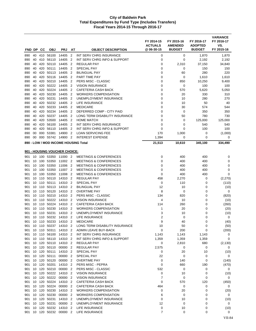|            |          |            |                              |                               |                                  |                                                                        | FY 2014-15<br><b>ACTUALS</b> | FY 2015-16<br><b>AMENDED</b> | FY 2016-17<br><b>ADOPTED</b> | <b>VARIANCE</b><br>FY 2016-17<br>VS. |
|------------|----------|------------|------------------------------|-------------------------------|----------------------------------|------------------------------------------------------------------------|------------------------------|------------------------------|------------------------------|--------------------------------------|
| FND DP     |          | CС         | <b>OBJ</b>                   | <b>PRJ</b>                    | AT                               | <b>OBJECT DESCRIPTION</b>                                              | @ 06-30-15                   | <b>BUDGET</b>                | <b>BUDGET</b>                | FY 2015-16                           |
| 890        | 40       | 410        | 56100                        | 14405                         | $\overline{2}$                   | INT SERV CHRG INSURANCE                                                | 0                            | 0                            | 1,870                        | 1,870                                |
| 890        | 40       | 410        | 56110                        | 14405                         | $\overline{2}$                   | INT SERV CHRG INFO & SUPPORT                                           | 0                            | $\mathbf 0$                  | 2,192                        | 2,192                                |
| 890        | 40<br>40 | 420        | 50110<br>50111               | 14405<br>14405                | $\overline{2}$<br>$\overline{2}$ | <b>REGULAR PAY</b>                                                     | 0<br>$\mathbf 0$             | 2,310<br>$\mathbf 0$         | 37,150                       | 34,840                               |
| 890<br>890 | 40       | 420<br>420 | 50113                        | 14405                         | $\overline{2}$                   | <b>SPECIAL PAY</b><br><b>BILINGUAL PAY</b>                             | 0                            | 60                           | 150<br>280                   | 150<br>220                           |
| 890        | 40       |            | 420 50116                    | 14405                         | $\overline{2}$                   | PART TIME PAY                                                          | 0                            | 0                            | 1,610                        | 1,610                                |
| 890        | 40       |            | 420 50210                    | 14405                         | $\overline{2}$                   | PERS MISC - CLASSIC                                                    | 0                            | 850                          | 10,250                       | 9,400                                |
| 890        | 40       | 420        | 50222                        | 14405                         | $\overline{2}$                   | <b>VISION INSURANCE</b>                                                | 0                            | 0                            | 100                          | 100                                  |
| 890        | 40       | 420        | 50224                        | 14405                         | $\overline{2}$                   | <b>CAFETERIA CASH BACK</b>                                             | $\mathbf 0$                  | 570                          | 5,620                        | 5,050                                |
| 890        | 40       | 420        | 50230                        | 14405                         | $\overline{2}$                   | <b>WORKERS COMPENSATION</b>                                            | 0                            | 20                           | 330                          | 310                                  |
| 890        | 40       | 420        | 50231                        | 14405                         | $\overline{2}$                   | UNEMPLOYMENT INSURANCE                                                 | $\mathbf 0$                  | 10                           | 280                          | 270                                  |
| 890        | 40       | 420        | 50232                        | 14405                         | $\overline{2}$                   | LIFE INSURANCE                                                         | $\mathbf 0$                  | 10                           | 50                           | 40                                   |
| 890        | 40       |            | 420 50233                    | 14405                         | $\overline{2}$                   | <b>MEDICARE</b>                                                        | $\mathbf 0$                  | 30                           | 574                          | 544                                  |
| 890        | 40       | 420        | 420 50234<br>50237           | 14405<br>14405                | $\overline{2}$<br>$\overline{2}$ | DEFERRED COMP - CITY PAID<br>LONG TERM DISABILITY INSURANCE            | 0<br>$\mathbf 0$             | 0                            | 350<br>780                   | 350<br>730                           |
| 890<br>890 | 40<br>40 |            | 420 53500                    | 14405                         | $\overline{2}$                   | <b>HOME MATCH</b>                                                      | $\mathbf 0$                  | 50<br>0                      | 125,000                      | 125,000                              |
| 890        | 40       | 420        | 56100                        | 14405                         | $\overline{2}$                   | INT SERV CHRG INSURANCE                                                | $\mathbf 0$                  | 0                            | 540                          | 540                                  |
| 890        | 40       | 420        | 56110                        | 14405                         | $\overline{2}$                   | INT SERV CHRG INFO & SUPPORT                                           | $\mathbf 0$                  | 0                            | 100                          | 100                                  |
| 890        | 00       | 000        | 53381                        | 14900                         | $\overline{2}$                   | <b>LOAN SERVICING FEE</b>                                              | 170                          | 1,000                        | 0                            | (1,000)                              |
| 890        | 00       |            | 000 55742 14900              |                               | $\overline{2}$                   | <b>INTEREST EXPENSE</b>                                                | 1,394                        | 0                            | 0                            | 0                                    |
|            |          |            |                              |                               |                                  | 890 - LOW / MOD INCOME HOUSING Total                                   | 21,513                       | 10,610                       | 345,100                      | 334,490                              |
|            |          |            |                              |                               |                                  |                                                                        |                              |                              |                              |                                      |
|            |          |            |                              | 901 - HOUSING VOUCHER CHOICE: |                                  |                                                                        |                              |                              |                              |                                      |
| 901<br>901 | 10       | 100        | 53350                        | 10 100 53350 11000 2<br>11002 | $\overline{2}$                   | <b>MEETINGS &amp; CONFERENCES</b><br><b>MEETINGS &amp; CONFERENCES</b> | 0<br>0                       | 400<br>400                   | 400<br>400                   | 0<br>0                               |
| 901        | 10       |            | 100 53350                    | 11006                         | $\overline{2}$                   | <b>MEETINGS &amp; CONFERENCES</b>                                      | $\mathbf 0$                  | 400                          | 400                          | 0                                    |
| 901        | 10       |            | 100 53350                    | 11007                         | -2                               | <b>MEETINGS &amp; CONFERENCES</b>                                      | $\mathbf 0$                  | 400                          | 400                          | 0                                    |
| 901        | 10       | 100        | 53350                        | 11008                         | 2                                | <b>MEETINGS &amp; CONFERENCES</b>                                      | $\mathbf 0$                  | 400                          | 400                          | $\mathbf 0$                          |
| 901        | 10       | 110        | 50110                        | 14310                         | $\overline{2}$                   | <b>REGULAR PAY</b>                                                     | 458                          | 2,270                        | 0                            | (2,270)                              |
| 901        | 10       |            | 110 50111                    | 14310                         | $\overline{2}$                   | <b>SPECIAL PAY</b>                                                     | 0                            | 110                          | 0                            | (110)                                |
| 901        | 10       | 110        | 50113                        | 14310                         | $\overline{2}$                   | <b>BILINGUAL PAY</b>                                                   | 12                           | 10                           | 0                            | (10)                                 |
| 901        | 10       | 110        | 50120                        | 14310                         | $\overline{2}$                   | <b>OVERTIME PAY</b>                                                    | 8                            | $\mathbf 0$                  | 0                            | 0                                    |
| 901        | 10       | 110        | 50210                        | 14310                         | $\overline{2}$                   | PERS MISC - CLASSIC                                                    | 134                          | 820                          | 0                            | (820)                                |
| 901        |          |            | 10 110 50222                 | 14310                         | 2                                | <b>VISION INSURANCE</b>                                                | 4                            | 10                           | 0                            | (10)                                 |
| 901        |          | 10 110     | 50224                        | 14310                         | $\overline{2}$                   | <b>CAFETERIA CASH BACK</b>                                             | 114                          | 260                          | 0                            | (260)                                |
| 901        | 10       | 110        | 50230<br>10 110 50231        | 14310<br>14310                | $\overline{2}$<br>$\overline{2}$ | WORKERS COMPENSATION<br>UNEMPLOYMENT INSURANCE                         | 1                            | 20                           | 0<br>0                       | (20)                                 |
| 901<br>901 |          |            |                              | 10 110 50232 14310 2          |                                  | LIFE INSURANCE                                                         | 3<br>$\overline{2}$          | 10<br>0                      | 0                            | (10)<br>0                            |
| 901        |          |            | 10 110 50233                 | 14310 2                       |                                  | <b>MEDICARE</b>                                                        | 9                            | 40                           | 0                            | (40)                                 |
| 901        |          |            | 10 110 50237                 | 14310 2                       |                                  | LONG TERM DISABILITY INSURANCE                                         | 10                           | 50                           | 0                            | (50)                                 |
| 901        |          |            | 10 110 50311                 | 14310 2                       |                                  | ADMIN LEAVE BUY-BACK                                                   | 0                            | 200                          | $\pmb{0}$                    | (200)                                |
| 901        |          |            | 10 110 56100                 | 14310 2                       |                                  | INT SERV CHRG INSURANCE                                                | 1,143                        | 1,143                        | 1,143                        | 0                                    |
| 901        |          |            | 10 110 56110                 | 14310 2                       |                                  | INT SERV CHRG INFO & SUPPORT                                           | 1,359                        | 1,359                        | 1,359                        | 0                                    |
| 901        |          |            |                              | 10 120 50110 14310 2          |                                  | REGULAR PAY                                                            | 0                            | 2,810                        | 680                          | (2, 130)                             |
| 901        |          |            | 10 120 50110                 | 00000                         | $\overline{2}$                   | <b>REGULAR PAY</b>                                                     | 2,575                        | 0                            | 0                            | 0                                    |
| 901        |          |            | 10 120 50111                 | 14310                         | $\overline{2}$                   | SPECIAL PAY                                                            | 0                            | 20                           | 10                           | (10)                                 |
| 901        |          | 10 120     | 50111                        | 00000                         | $\overline{2}$                   | SPECIAL PAY                                                            | 22                           | 0                            | 0                            | 0                                    |
| 901        |          |            | 10 120 50120                 | 00000                         | $\overline{2}$                   | <b>OVERTIME PAY</b>                                                    | 0                            | 140                          | 0                            | (140)                                |
| 901        |          |            | 10 120 50201<br>10 120 50210 | 14310<br>00000                | $\overline{2}$                   | PERS MISC - PEPRA<br>PERS MISC - CLASSIC                               | 0<br>532                     | 660                          | 190                          | (470)                                |
| 901<br>901 |          |            | 10 120 50222                 | 14310 2                       | $\overline{2}$                   | <b>VISION INSURANCE</b>                                                | 0                            | 0<br>10                      | 0<br>0                       | 0<br>(10)                            |
| 901        |          |            | 10 120 50222                 | 00000                         | 2                                | <b>VISION INSURANCE</b>                                                | 7                            | 0                            | 0                            | 0                                    |
| 901        |          |            | 10 120 50224                 | 14310 2                       |                                  | CAFETERIA CASH BACK                                                    | $\mathbf 0$                  | 570                          | 120                          | (450)                                |
| 901        |          |            | 10 120 50224                 | 00000                         | $\overline{2}$                   | CAFETERIA CASH BACK                                                    | 464                          | 0                            | 0                            | 0                                    |
| 901        |          |            | 10 120 50230                 | 14310 2                       |                                  | <b>WORKERS COMPENSATION</b>                                            | 0                            | 20                           | 0                            | (20)                                 |
| 901        |          |            | 10 120 50230                 | 00000                         | 2                                | <b>WORKERS COMPENSATION</b>                                            | 6                            | 0                            | 0                            | 0                                    |
| 901        |          |            | 10 120 50231                 | 14310                         | $\overline{2}$                   | UNEMPLOYMENT INSURANCE                                                 | 0                            | 10                           | 0                            | (10)                                 |
| 901        | 10       |            | 120 50231                    | 00000                         | $\overline{2}$                   | UNEMPLOYMENT INSURANCE                                                 | 12                           | 0                            | 0                            | 0                                    |
| 901        | 10       |            | 120 50232                    | 14310                         | 2                                | LIFE INSURANCE                                                         | 0                            | 10                           | 0                            | (10)                                 |
| 901        | 10       |            | 120 50232                    | 00000 2                       |                                  | LIFE INSURANCE                                                         | $\overline{7}$               | 0                            | 0                            | 0                                    |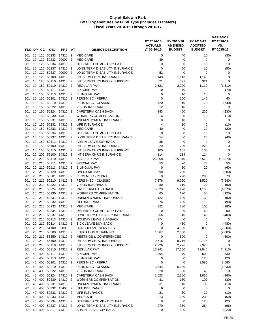| FND DP     |          | <b>CC</b>  | <b>OBJ</b>             | <b>PRJ</b>                    | AT                               | <b>OBJECT DESCRIPTION</b>                            | FY 2014-15<br><b>ACTUALS</b><br>@ 06-30-15 | FY 2015-16<br><b>AMENDED</b><br><b>BUDGET</b> | FY 2016-17<br><b>ADOPTED</b><br><b>BUDGET</b> | <b>VARIANCE</b><br>FY 2016-17<br>VS.<br>FY 2015-16 |
|------------|----------|------------|------------------------|-------------------------------|----------------------------------|------------------------------------------------------|--------------------------------------------|-----------------------------------------------|-----------------------------------------------|----------------------------------------------------|
|            |          |            |                        |                               |                                  |                                                      |                                            |                                               |                                               |                                                    |
| 901<br>901 | 10       | 120        | 10 120 50233<br>50233  | 14310<br>00000                | $\overline{2}$<br>$\overline{2}$ | <b>MEDICARE</b><br><b>MEDICARE</b>                   | 0<br>39                                    | 40<br>0                                       | 10<br>$\mathbf 0$                             | (30)<br>0                                          |
| 901        | 10       | 120        | 50234                  | 14310                         | $\overline{2}$                   | DEFERRED COMP - CITY PAID                            | $\mathbf 0$                                | $\mathbf 0$                                   | 10                                            | 10                                                 |
| 901        | 10       | 120        | 50237                  | 14310                         | $\overline{2}$                   | LONG TERM DISABILITY INSURANCE                       | $\mathbf 0$                                | 60                                            | 10                                            | (50)                                               |
| 901        | 10       | 120        | 50237                  | 00000                         | $\overline{2}$                   | LONG TERM DISABILITY INSURANCE                       | 52                                         | $\mathbf 0$                                   | $\mathbf 0$                                   | 0                                                  |
| 901        | 10       | 120        | 56100                  | 14310                         | $\overline{2}$                   | INT SERV CHRG INSURANCE                              | 1,143                                      | 1,143                                         | 1,143                                         | 0                                                  |
| 901        | 10       | 120        | 56110                  | 14310                         | $\overline{2}$                   | INT SERV CHRG INFO & SUPPORT                         | 321                                        | 321                                           | 321                                           | $\mathbf 0$                                        |
| 901        | 10       | 150        | 50110                  | 14310                         | $\overline{2}$                   | <b>REGULAR PAY</b>                                   | 2,521                                      | 2,920                                         | 1,110                                         | (1, 810)                                           |
| 901        | 10       |            | 150 50111              | 14310                         | 2                                | <b>SPECIAL PAY</b>                                   | 10                                         | 70                                            | 0                                             | (70)                                               |
| 901        | 10       | 150        | 50113                  | 14310                         | $\overline{2}$                   | <b>BILINGUAL PAY</b>                                 | 0                                          | 10                                            | 10                                            | 0                                                  |
| 901        | 10       | 150        | 50201                  | 14310                         | $\overline{2}$                   | PERS MISC - PEPRA                                    | $\mathbf 0$                                | 100                                           | 140                                           | 40                                                 |
| 901        | 10       | 150        | 50210                  | 14310                         | $\overline{2}$                   | PERS MISC - CLASSIC                                  | 720                                        | 910                                           | 170                                           | (740)                                              |
| 901<br>901 | 10<br>10 | 150<br>150 | 50222<br>50224         | 14310<br>14310                | $\overline{2}$<br>$\overline{2}$ | <b>VISION INSURANCE</b><br>CAFETERIA CASH BACK       | 12<br>343                                  | 10<br>460                                     | 10<br>230                                     | 0<br>(230)                                         |
| 901        | 10       | 150        | 50230                  | 14310                         | $\overline{2}$                   | <b>WORKERS COMPENSATION</b>                          | 6                                          | 20                                            | 10                                            | (10)                                               |
| 901        | 10       | 150        | 50231                  | 14310                         | $\overline{2}$                   | UNEMPLOYMENT INSURANCE                               | 8                                          | 10                                            | 10                                            | 0                                                  |
| 901        | 10       | 150        | 50232                  | 14310                         | $\overline{2}$                   | LIFE INSURANCE                                       | 4                                          | 10                                            | 0                                             | (10)                                               |
| 901        | 10       | 150        | 50233                  | 14310                         | $\overline{2}$                   | <b>MEDICARE</b>                                      | 40                                         | 40                                            | 20                                            | (20)                                               |
| 901        | 10       | 150        | 50234                  | 14310                         | $\overline{2}$                   | DEFERRED COMP - CITY PAID                            | 0                                          | 0                                             | 10                                            | 10                                                 |
| 901        | 10       | 150        | 50237                  | 14310                         | $\overline{2}$                   | LONG TERM DISABILITY INSURANCE                       | 54                                         | 60                                            | 20                                            | (40)                                               |
| 901        | 10       | 150        | 50311                  | 14310                         | $\overline{2}$                   | ADMIN LEAVE BUY-BACK                                 | 35                                         | 0                                             | 0                                             | 0                                                  |
| 901        | 10       | 150        | 56100                  | 14310                         | $\overline{2}$                   | INT SERV CHRG INSURANCE                              | 229                                        | 229                                           | 229                                           | 0                                                  |
| 901        | 10       | 150        | 56110                  | 14310                         | $\overline{2}$                   | INT SERV CHRG INFO & SUPPORT                         | 105                                        | 105                                           | 105                                           | 0                                                  |
| 901        | 20       | 200        | 56100                  | 14310                         | 2                                | <b>INT SERV CHRG INSURANCE</b>                       | 114                                        | 114                                           | 114                                           | $\mathbf 0$                                        |
| 901        | 20       | 210        | 50110                  | 14310                         | $\overline{2}$                   | <b>REGULAR PAY</b>                                   | 26,558                                     | 25,940                                        | 6,570                                         | (19,370)                                           |
| 901<br>901 | 20<br>20 |            | 210 50111<br>210 50113 | 14310<br>14310                | $\overline{2}$<br>$\overline{2}$ | <b>SPECIAL PAY</b><br><b>BILINGUAL PAY</b>           | 53<br>0                                    | 20<br>80                                      | 70<br>20                                      | 50<br>(60)                                         |
| 901        | 20       |            | 210 50120              | 14310                         | $\overline{2}$                   | <b>OVERTIME PAY</b>                                  | 90                                         | 200                                           | 0                                             | (200)                                              |
| 901        | 20       | 210        | 50201                  | 14310                         | $\overline{2}$                   | PERS MISC - PEPRA                                    | 0                                          | 220                                           | 290                                           | 70                                                 |
| 901        | 20       |            | 210 50210              | 14310                         | $\overline{2}$                   | PERS MISC - CLASSIC                                  | 7,576                                      | 9,060                                         | 1,520                                         | (7, 540)                                           |
| 901        | 20       |            | 210 50222              | 14310                         | $\overline{2}$                   | <b>VISION INSURANCE</b>                              | 80                                         | 110                                           | 20                                            | (90)                                               |
| 901        | 20       | 210        | 50224                  | 14310                         | $\overline{2}$                   | CAFETERIA CASH BACK                                  | 5,323                                      | 5,470                                         | 1,100                                         | (4,370)                                            |
| 901        | 20       |            | 210 50230              | 14310                         | $\overline{2}$                   | <b>WORKERS COMPENSATION</b>                          | 65                                         | 170                                           | 50                                            | (120)                                              |
| 901        | 20       |            | 210 50231              | 14310                         | 2                                | UNEMPLOYMENT INSURANCE                               | 122                                        | 120                                           | 30                                            | (90)                                               |
| 901        | 20       |            | 210 50232              | 14310                         | $\overline{2}$                   | <b>LIFE INSURANCE</b>                                | 76                                         | 100                                           | 10                                            | (90)                                               |
| 901        | 20       | 210        | 50233                  | 14310                         | $\overline{2}$                   | <b>MEDICARE</b>                                      | 322                                        | 380                                           | 100                                           | (280)                                              |
| 901        | 20       |            | 210 50234              | 14310                         | $\overline{2}$                   | DEFERRED COMP - CITY PAID                            | 0                                          | 0                                             | 60                                            | 60                                                 |
| 901        | 20<br>20 | 210<br>210 | 50237<br>50313         | 14310                         | $\overline{2}$<br>$\overline{2}$ | LONG TERM DISABILITY INSURANCE                       | 566<br>374                                 | 540<br>0                                      | 140<br>0                                      | (400)<br>$\mathbf 0$                               |
| 901<br>901 |          |            |                        | 14310<br>20 210 50314 14310 2 |                                  | <b>HOLIDAY LEAVE BUY-BACK</b><br>SICK LEAVE BUY-BACK | 0                                          | 480                                           | 0                                             | (480)                                              |
| 901        |          |            | 20 210 51100           | 00000 2                       |                                  | <b>CONSULTANT SERVICES</b>                           | 0                                          | 4,500                                         | 2,000                                         | (2,500)                                            |
| 901        |          |            | 20 210 53200           | 14310 2                       |                                  | <b>EDUCATION &amp; TRAINING</b>                      | 1,567                                      | 2,000                                         | 0                                             | (2,000)                                            |
| 901        |          |            | 20 210 53350           | 14310 2                       |                                  | <b>MEETINGS &amp; CONFERENCES</b>                    | 0                                          | 500                                           | $\mathbf 0$                                   | (500)                                              |
| 901        |          |            |                        | 20 210 56100 14310 2          |                                  | INT SERV CHRG INSURANCE                              | 9,716                                      | 9,716                                         | 9,716                                         | 0                                                  |
| 901        |          |            | 20 210 56110           | 14310 2                       |                                  | INT SERV CHRG INFO & SUPPORT                         | 2,926                                      | 2,926                                         | 2,926                                         | 0                                                  |
| 901        | 40       |            | 400 50110              | 14310 2                       |                                  | <b>REGULAR PAY</b>                                   | 13,241                                     | 17,250                                        | 12,940                                        | (4, 310)                                           |
| 901        | 40       |            | 400 50111              | 14310 2                       |                                  | SPECIAL PAY                                          | 394                                        | 70                                            | 600                                           | 530                                                |
| 901        | 40       |            | 400 50113              | 14310 2                       |                                  | <b>BILINGUAL PAY</b>                                 | 0                                          | 0                                             | 120                                           | 120                                                |
| 901        | 40       |            | 400 50201              | 14310 2                       |                                  | PERS MISC - PEPRA                                    | 0                                          | $\mathbf 0$                                   | 3,580                                         | 3,580                                              |
| 901        | 40       |            | 400 50210              | 14310 2                       |                                  | PERS MISC - CLASSIC                                  | 3,644                                      | 6,230                                         | 0                                             | (6, 230)                                           |
| 901        | 40<br>40 |            | 400 50224              | 400 50222 14310 2<br>14310 2  |                                  | <b>VISION INSURANCE</b><br>CAFETERIA CASH BACK       | 20                                         | 30                                            | 40                                            | 10                                                 |
| 901<br>901 | 40       |            | 400 50230              | 14310 2                       |                                  | <b>WORKERS COMPENSATION</b>                          | 1,623<br>31                                | 2,160<br>130                                  | 1,800<br>100                                  | (360)<br>(30)                                      |
| 901        | 40       | 400        | 50231                  | 14310 2                       |                                  | UNEMPLOYMENT INSURANCE                               | 31                                         | 40                                            | 30                                            | (10)                                               |
| 901        | 40       |            | 400 50232              | 13406 2                       |                                  | LIFE INSURANCE                                       | 6                                          | 0                                             | $\mathbf 0$                                   | 0                                                  |
| 901        | 40       |            |                        | 400 50232 14310 2             |                                  | LIFE INSURANCE                                       | 21                                         | 30                                            | 20                                            | (10)                                               |
| 901        | 40       |            | 400 50233              | 14310 2                       |                                  | <b>MEDICARE</b>                                      | 213                                        | 250                                           | 200                                           | (50)                                               |
| 901        | 40       |            | 400 50234              | 14310 2                       |                                  | DEFERRED COMP - CITY PAID                            | 0                                          | 0                                             | 120                                           | 120                                                |
| 901        | 40       |            | 400 50237              | 14310                         | $\overline{2}$                   | LONG TERM DISABILITY INSURANCE                       | 270                                        | 360                                           | 264                                           | (96)                                               |
| 901        | 40       |            | 400 50311              | 14310 2                       |                                  | ADMIN LEAVE BUY-BACK                                 | 0                                          | 520                                           | 0                                             | (520)                                              |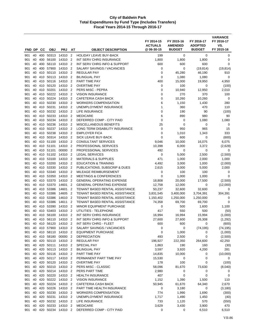|            |          |            |                        |                              |                     |                                                                  | FY 2014-15<br><b>ACTUALS</b> | FY 2015-16<br><b>AMENDED</b> | FY 2016-17<br><b>ADOPTED</b> | <b>VARIANCE</b><br>FY 2016-17<br>VS. |
|------------|----------|------------|------------------------|------------------------------|---------------------|------------------------------------------------------------------|------------------------------|------------------------------|------------------------------|--------------------------------------|
| FND DP     |          | CС         | <b>OBJ</b>             | <b>PRJ</b>                   | AT                  | <b>OBJECT DESCRIPTION</b>                                        | @ 06-30-15                   | <b>BUDGET</b>                | <b>BUDGET</b>                | FY 2015-16                           |
| 901        | 40       | 400        | 50313                  | 14310                        | $\overline{2}$      | <b>HOLIDAY LEAVE BUY-BACK</b>                                    | 199                          | 0                            | 0                            | 0                                    |
| 901        | 40       | 400        | 56100                  | 14310                        | 2                   | INT SERV CHRG INSURANCE                                          | 1,800                        | 1,800                        | 1,800                        | 0                                    |
| 901        | 40       |            | 400 56110              | 14310                        | $\overline{2}$      | INT SERV CHRG INFO & SUPPORT                                     | 600                          | 600                          | 600                          | 0                                    |
| 901        | 40       | 400        | 57900                  | 14310                        | $\overline{2}$      | SALARY SAVINGS / VACANCIES                                       | 0                            | 0                            | (19, 814)                    | (19, 814)                            |
| 901        | 40       |            | 410 50110              | 14310                        | $\overline{2}$      | REGULAR PAY                                                      | $\mathbf 0$                  | 45,280                       | 46,190                       | 910                                  |
| 901        | 40<br>40 | 410<br>410 | 50113<br>50116         | 14310<br>14310               | 2<br>$\overline{2}$ | <b>BILINGUAL PAY</b><br>PART TIME PAY                            | 0<br>400                     | 1,080<br>15,000              | 1,080<br>19,950              | 0<br>4,950                           |
| 901<br>901 | 40       | 410        | 50120                  | 14310                        | $\overline{2}$      | <b>OVERTIME PAY</b>                                              | 0                            | 100                          | 0                            | (100)                                |
| 901        | 40       | 410        | 50201                  | 14310                        | $\overline{2}$      | PERS MISC - PEPRA                                                | 0                            | 10,940                       | 12,950                       | 2,010                                |
| 901        | 40       | 410        | 50222                  | 14310                        | $\overline{2}$      | <b>VISION INSURANCE</b>                                          | 0                            | 270                          | 370                          | 100                                  |
| 901        | 40       | 410        | 50224                  | 14310                        | $\overline{2}$      | CAFETERIA CASH BACK                                              | $\mathbf 0$                  | 10,260                       | 10,260                       | 0                                    |
| 901        | 40       |            | 410 50230              | 14310 2                      |                     | <b>WORKERS COMPENSATION</b>                                      | 6                            | 1,150                        | 1,430                        | 280                                  |
| 901        | 40       | 410        | 50231                  | 14310                        | 2                   | UNEMPLOYMENT INSURANCE                                           | $\mathbf{1}$                 | 360                          | 470                          | 110                                  |
| 901        | 40       | 410        | 50232                  | 14310                        | $\overline{2}$      | <b>LIFE INSURANCE</b>                                            | $\mathbf 0$                  | 190                          | 90                           | (100)                                |
| 901        | 40       | 410        | 50233                  | 14310                        | $\overline{2}$      | <b>MEDICARE</b>                                                  | 6                            | 890                          | 980                          | 90                                   |
| 901        | 40       |            | 410 50234              | 14310                        | $\overline{2}$      | DEFERRED COMP - CITY PAID                                        | 0                            | 0                            | 1,080                        | 1,080                                |
| 901        | 40       | 410        | 50236                  | 14310                        | $\overline{2}$      | MISCELLANEOUS BENEFITS                                           | 25                           | 0                            | 0                            | 0                                    |
| 901        | 40       | 410        | 50237                  | 14310                        | $\overline{2}$      | LONG TERM DISABILITY INSURANCE                                   | 0                            | 950                          | 965                          | 15                                   |
| 901        | 40       |            | 410 50238              | 14310                        | $\overline{2}$      | <b>EMPLOYER FICA</b>                                             | $\mathbf 0$                  | 1,010                        | 1,343                        | 333                                  |
| 901<br>901 | 40<br>40 | 410        | 410 50314<br>51100     | 14310<br>14310               | 2<br>$\overline{2}$ | <b>SICK LEAVE BUY-BACK</b><br><b>CONSULTANT SERVICES</b>         | 0<br>9,046                   | 600<br>10,000                | 0<br>16,075                  | (600)<br>6,075                       |
| 901        | 40       | 410        | 51101                  | 14310                        | $\overline{2}$      | PROFESSIONAL SERVICES                                            | 10,398                       | 6,000                        | 3,372                        | (2,628)                              |
| 901        | 40       |            | 410 51101              | 00000                        | $\overline{2}$      | PROFESSIONAL SERVICES                                            | 492                          | 0                            | 0                            | 0                                    |
| 901        | 40       | 410        | 51102                  | 14310                        | $\overline{2}$      | <b>LEGAL SERVICES</b>                                            | $\mathbf 0$                  | 5,000                        | 2,500                        | (2,500)                              |
| 901        | 40       | 410        | 53100                  | 14310                        | $\overline{2}$      | <b>MATERIALS &amp; SUPPLIES</b>                                  | 471                          | 1,000                        | 2,000                        | 1,000                                |
| 901        | 40       |            | 410 53200              | 14310                        | $\overline{2}$      | <b>EDUCATION &amp; TRAINING</b>                                  | 4,492                        | 3,000                        | 1,000                        | (2,000)                              |
| 901        | 40       |            | 410 53330              | 14310                        | 2                   | PUBLICATIONS, SUBSCRIP & DUES                                    | 2,615                        | 3,000                        | 5,000                        | 2,000                                |
| 901        | 40       |            | 410 53340              | 14310                        | $\overline{2}$      | MILEAGE REIMBURSEMENT                                            | 0                            | 100                          | 100                          | 0                                    |
| 901        | 40       | 410        | 53350                  | 14310                        | 2                   | MEETINGS & CONFERENCES                                           | $\mathbf 0$                  | 1,000                        | 1,000                        | 0                                    |
| 901        | 40       |            | 410 53370              | 14310                        | $\overline{2}$      | <b>GENERAL OPERATING EXPENSE</b>                                 | 18,808                       | 20,000                       | 17,500                       | (2,500)                              |
| 901        | 40       | 410        | 53370                  | 14601                        | 2                   | <b>GENERAL OPERATING EXPENSE</b>                                 | 12,758                       | 12,000                       | 0                            | (12,000)                             |
| 901        | 40       | 410        | 53386                  | 14601                        | 2                   | TENANT BASED RENTAL ASSISTANCE                                   | 50,237                       | 32,600                       | 32,600                       | 0                                    |
| 901        | 40       | 410        | 53386                  | 14605                        | $\overline{2}$      | TENANT BASED RENTAL ASSISTANCE                                   | 3,831,545                    | 3,400,000                    | 3,704,391                    | 304,391                              |
| 901<br>901 | 40<br>40 |            | 410 53386<br>410 53386 | 14610<br>14611               | $\overline{2}$<br>2 | TENANT BASED RENTAL ASSISTANCE<br>TENANT BASED RENTAL ASSISTANCE | 1,150,402                    | 1,250,000                    | 1,250,000<br>69,700          | 0<br>0                               |
| 901        | 40       | 410        | 53390                  | 14310                        | 2                   | MINOR EQUIPMENT PURCHASE                                         | 74,358<br>0                  | 69,700<br>500                | 1,600                        | 1,100                                |
| 901        | 40       |            | 410 53403              | 14310                        | $\overline{2}$      | UTILITIES - TELEPHONE                                            | 417                          | 550                          | 500                          | (50)                                 |
| 901        | 40       | 410        | 56100                  | 14310                        | 2                   | INT SERV CHRG INSURANCE                                          | 16,994                       | 16,994                       | 15,994                       | (1,000)                              |
| 901        | 40       | 410        | 56110                  | 14310                        | $\overline{2}$      | INT SERV CHRG INFO & SUPPORT                                     | 27,600                       | 27,600                       | 26,308                       | (1,292)                              |
| 901        |          |            |                        | 40 410 56120 14310 2         |                     | INT SERV CHRG - FLEET                                            | 600                          | 600                          | 0                            | (600)                                |
| 901        |          |            |                        | 40 410 57900 14310 2         |                     | SALARY SAVINGS / VACANCIES                                       | 0                            | 0                            | (74, 195)                    | (74, 195)                            |
| 901        |          |            |                        | 40 410 58110 14310 2         |                     | <b>EQUIPMENT PURCHASE</b>                                        | 0                            | 1,000                        | 0                            | (1,000)                              |
| 901        |          |            |                        | 40 410 58180 00000 2         |                     | <b>DEPRECIATION</b>                                              | 493                          | 2,500                        | 0                            | (2,500)                              |
| 901        | 40       |            |                        | 420 50110 14310 2            |                     | <b>REGULAR PAY</b>                                               | 196,927                      | 222,350                      | 264,600                      | 42,250                               |
| 901        | 40       |            | 420 50111              | 14310 2                      |                     | SPECIAL PAY                                                      | 1,863                        | 190                          | 160                          | (30)                                 |
| 901        | 40       |            |                        | 420 50113 14310 2            |                     | <b>BILINGUAL PAY</b>                                             | 3,597                        | 3,920                        | 4,200                        | 281                                  |
| 901<br>901 | 40<br>40 | 420        | 50116                  | 14310 2<br>420 50117 14310 2 |                     | PART TIME PAY<br>PERMANENT PART TIME PAY                         | 14,835<br>15,530             | 10,000<br>0                  | 0<br>0                       | (10,000)<br>0                        |
| 901        | 40       |            |                        | 420 50120 14310 2            |                     | <b>OVERTIME PAY</b>                                              | 178                          | 100                          | 0                            | (100)                                |
| 901        | 40       |            |                        | 420 50210 14310 2            |                     | PERS MISC - CLASSIC                                              | 58,096                       | 81,670                       | 73,630                       | (8,040)                              |
| 901        | 40       |            |                        | 420 50214 14310 2            |                     | PERS PART TIME                                                   | 2,980                        | 0                            | 0                            | 0                                    |
| 901        | 40       |            |                        | 420 50220 14310 2            |                     | <b>HEALTH INSURANCE</b>                                          | 407                          | 0                            | 0                            | 0                                    |
| 901        | 40       |            |                        | 420 50222 14310 2            |                     | <b>VISION INSURANCE</b>                                          | 1,152                        | 1,390                        | 1,500                        | 110                                  |
| 901        | 40       |            | 420 50224              | 14310 2                      |                     | CAFETERIA CASH BACK                                              | 50,945                       | 61,670                       | 64,340                       | 2,670                                |
| 901        | 40       |            | 420 50226              | 14310 2                      |                     | PART TIME HEALTH INSURANCE                                       | 0                            | 3,180                        | 0                            | (3, 180)                             |
| 901        | 40       |            | 420 50230              | 14310 2                      |                     | <b>WORKERS COMPENSATION</b>                                      | 774                          | 1,990                        | 1,690                        | (300)                                |
| 901        | 40       |            | 420 50231              | 14310 2                      |                     | UNEMPLOYMENT INSURANCE                                           | 1,717                        | 1,490                        | 1,450                        | (40)                                 |
| 901        | 40       |            | 420 50232              | 14310 2                      |                     | LIFE INSURANCE                                                   | 733                          | 1,120                        | 570                          | (550)                                |
| 901        | 40       |            | 420 50233              | 14310 2                      |                     | <b>MEDICARE</b>                                                  | 3,629                        | 3,430                        | 3,900                        | 470                                  |
| 901        | 40       |            |                        | 420 50234 14310 2            |                     | DEFERRED COMP - CITY PAID                                        | 0                            | 0                            | 6,510                        | 6,510                                |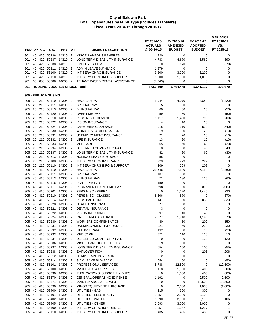|            |          |            |                       |                                     |                                  |                                                          | FY 2014-15<br><b>ACTUALS</b> | FY 2015-16<br><b>AMENDED</b> | FY 2016-17<br><b>ADOPTED</b> | <b>VARIANCE</b><br>FY 2016-17<br>VS. |
|------------|----------|------------|-----------------------|-------------------------------------|----------------------------------|----------------------------------------------------------|------------------------------|------------------------------|------------------------------|--------------------------------------|
| FND DP     |          | CС         | <b>OBJ</b>            | <b>PRJ</b>                          | AT                               | <b>OBJECT DESCRIPTION</b>                                | @ 06-30-15                   | <b>BUDGET</b>                | <b>BUDGET</b>                | FY 2015-16                           |
| 901        | 40       | 420        | 50236                 | 14310 2                             |                                  | MISCELLANEOUS BENEFITS                                   | 920                          | 0                            | 0                            | 0                                    |
| 901        | 40       | 420        | 50237                 | 14310                               | $\sqrt{2}$                       | LONG TERM DISABILITY INSURANCE                           | 4,783                        | 4,670                        | 5,560                        | 890                                  |
| 901        | 40       | 420        | 50238                 | 14310                               | $\overline{2}$                   | <b>EMPLOYER FICA</b>                                     | 0                            | 670                          | 0                            | (670)                                |
| 901<br>901 | 40<br>40 | 420<br>420 | 50311<br>56100        | 14310<br>14310 2                    | $\overline{2}$                   | ADMIN LEAVE BUY-BACK<br>INT SERV CHRG INSURANCE          | 1,879<br>3,200               | 0<br>3,200                   | 0<br>3,200                   | 0<br>$\mathbf 0$                     |
| 901        | 40       | 420        | 56110                 | 14310                               | $\overline{2}$                   | INT SERV CHRG INFO & SUPPORT                             | 1,000                        | 1,000                        | 1,000                        | 0                                    |
| 901        | 00       | 000        | 53386                 | 14605                               | $\overline{2}$                   | <b>TENANT BASED RENTAL ASSISTANCE</b>                    | (7,043)                      | 0                            | 0                            | 0                                    |
|            |          |            |                       | 901 - HOUSING VOUCHER CHOICE Total  |                                  |                                                          | 5,660,409                    | 5,464,448                    | 5,641,117                    | 176,670                              |
|            |          |            | 905 - PUBLIC HOUSING: |                                     |                                  |                                                          |                              |                              |                              |                                      |
| 905        |          |            |                       | 20 210 50110 14305 2                |                                  | <b>REGULAR PAY</b>                                       | 3,944                        | 4,070                        | 2,850                        | (1,220)                              |
| 905        | 20       |            | 210 50111             | 14305                               | $\overline{2}$                   | SPECIAL PAY                                              | 5                            | 0                            | $\mathbf 0$                  | 0                                    |
| 905        |          |            | 20 210 50113          | 14305                               | $\overline{2}$                   | <b>BILINGUAL PAY</b>                                     | 60                           | 60                           | 10                           | (50)                                 |
| 905        | 20       | 210        | 50120                 | 14305                               | $\overline{2}$                   | <b>OVERTIME PAY</b>                                      | 59                           | 50                           | 0                            | (50)                                 |
| 905        |          |            | 20 210 50210          | 14305                               | $\overline{2}$                   | PERS MISC - CLASSIC                                      | 1,117                        | 1,490                        | 790                          | (700)                                |
| 905        | 20       |            | 210 50222             | 14305                               | $\overline{2}$                   | <b>VISION INSURANCE</b>                                  | 14                           | 10                           | 10                           | 0                                    |
| 905        | 20       | 210        | 50224                 | 14305                               | $\overline{2}$                   | CAFETERIA CASH BACK                                      | 915                          | 910                          | 570                          | (340)                                |
| 905        | 20       | 210        | 50230                 | 14305                               | $\overline{2}$                   | <b>WORKERS COMPENSATION</b>                              | 9                            | 30                           | 20                           | (10)                                 |
| 905        | 20       |            | 210 50231             | 14305                               | $\overline{2}$                   | UNEMPLOYMENT INSURANCE                                   | 21                           | 20                           | 10                           | (10)                                 |
| 905<br>905 | 20<br>20 | 210<br>210 | 50232<br>50233        | 14305<br>14305                      | $\overline{2}$<br>$\overline{2}$ | LIFE INSURANCE<br><b>MEDICARE</b>                        | 13<br>65                     | 20<br>60                     | 10<br>40                     | (10)<br>(20)                         |
| 905        |          | 20 210     | 50234                 | 14305                               | $\overline{2}$                   | DEFERRED COMP - CITY PAID                                | $\mathbf 0$                  | 0                            | 40                           | 40                                   |
| 905        | 20       |            | 210 50237 14305       |                                     | $\overline{2}$                   | LONG TERM DISABILITY INSURANCE                           | 82                           | 90                           | 60                           | (30)                                 |
| 905        | 20       | 210        | 50313                 | 14305                               | $\overline{2}$                   | <b>HOLIDAY LEAVE BUY-BACK</b>                            | 55                           | 0                            | 0                            | 0                                    |
| 905        | 20       | 210        | 56100                 | 14305                               | $\overline{2}$                   | INT SERV CHRG INSURANCE                                  | 229                          | 229                          | 229                          | 0                                    |
| 905        |          |            | 20 210 56110          | 14305                               | $\overline{\phantom{0}}^2$       | INT SERV CHRG INFO & SUPPORT                             | 209                          | 209                          | 209                          | $\mathbf 0$                          |
| 905        | 40       | 410        | 50110                 | 14305                               | $\overline{2}$                   | <b>REGULAR PAY</b>                                       | 29,546                       | 7,390                        | 5,130                        | (2, 260)                             |
| 905        | 40       | 410        | 50111                 | 14305                               | $\overline{2}$                   | <b>SPECIAL PAY</b>                                       | 487                          | 0                            | 0                            | 0                                    |
| 905        | 40       | 410        | 50113                 | 14305                               | $\overline{2}$                   | <b>BILINGUAL PAY</b>                                     | 71                           | 180                          | 120                          | (60)                                 |
| 905        | 40       |            | 410 50116             | 14305                               | $\overline{\phantom{a}}$         | PART TIME PAY                                            | 150                          | 0                            | 0                            | 0                                    |
| 905        |          | 40 410     | 50117                 | 14305                               | $\overline{2}$                   | PERMANENT PART TIME PAY                                  | 598                          | 0                            | 3,060                        | 3,060                                |
| 905        | 40       | 410        | 50201                 | 14305                               | $\overline{2}$                   | PERS MISC - PEPRA                                        | 0                            | 1,220                        | 1,440                        | 220                                  |
| 905<br>905 | 40<br>40 | 410        | 410 50210<br>50214    | 14305<br>14305                      | $\overline{2}$<br>$\overline{2}$ | PERS MISC - CLASSIC<br>PERS PART TIME                    | 8,606<br>141                 | 870<br>0                     | 0<br>830                     | (870)<br>830                         |
| 905        | 40       | 410        | 50220                 | 14305                               | $\overline{2}$                   | <b>HEALTH INSURANCE</b>                                  | 77                           | 0                            | 0                            | 0                                    |
| 905        | 40       | 410        | 50221                 | 14305                               | $\overline{2}$                   | <b>DENTAL INSURANCE</b>                                  | 3                            | 0                            | 0                            | 0                                    |
| 905        | 40       |            | 410 50222             | 14305                               | $\overline{2}$                   | <b>VISION INSURANCE</b>                                  | 297                          | 40                           | 40                           | 0                                    |
| 905        |          |            |                       | 40 410 50224 14305 2                |                                  | CAFETERIA CASH BACK                                      | 9,077                        | 1,710                        | 1,140                        | (570)                                |
|            |          |            |                       | 905 40 410 50230 14305 2            |                                  | WORKERS COMPENSATION                                     | 80                           | 50                           | 200                          | 150                                  |
| 905        |          |            | 40 410 50231          | 14305 2                             |                                  | UNEMPLOYMENT INSURANCE                                   | 221                          | 40                           | 270                          | 230                                  |
| 905        |          |            |                       | 40 410 50232 14305 2                |                                  | LIFE INSURANCE                                           | 132                          | 30                           | $10$                         | (20)                                 |
| 905        |          |            |                       | 40 410 50233 14305 2                |                                  | <b>MEDICARE</b>                                          | 571                          | 110                          | 120                          | 10                                   |
|            |          |            | 905 40 410 50234      | 14305 2                             |                                  | DEFERRED COMP - CITY PAID                                | 0                            | 0                            | 120                          | 120                                  |
| 905        |          |            | 40 410 50236          | 14305 2<br>40 410 50237 14305 2     |                                  | MISCELLANEOUS BENEFITS<br>LONG TERM DISABILITY INSURANCE | 9                            | 0                            | 0<br>105                     | 0                                    |
| 905        |          |            | 905 40 410 50238      | 14305 2                             |                                  | <b>EMPLOYER FICA</b>                                     | 654<br>0                     | 160<br>0                     | 206                          | (55)<br>206                          |
| 905        |          |            |                       | 40 410 50312 14305 2                |                                  | COMP LEAVE BUY-BACK                                      | 612                          | 0                            | 0                            | 0                                    |
| 905        |          |            |                       | 40 410 50314 14305 2                |                                  | SICK LEAVE BUY-BACK                                      | 654                          | 50                           | 0                            | (50)                                 |
| 905        |          |            | 40 410 51101          | 14305 2                             |                                  | PROFESSIONAL SERVICES                                    | 5,738                        | 12,500                       | 0                            | (12,500)                             |
|            |          |            | 905 40 410 53100      | 14305 2                             |                                  | <b>MATERIALS &amp; SUPPLIES</b>                          | 118                          | 1,000                        | 400                          | (600)                                |
|            |          |            |                       | 905 40 410 53330 14305 2            |                                  | PUBLICATIONS, SUBSCRIP & DUES                            | 0                            | 1,000                        | 400                          | (600)                                |
| 905        |          |            |                       | 40 410 53370 14305 2                |                                  | <b>GENERAL OPERATING EXPENSE</b>                         | 1,192                        | 0                            | 2,500                        | 2,500                                |
| 905        |          |            | 40 410 53371          | 14305 2                             |                                  | <b>MAINTENANCE &amp; REPAIRS</b>                         | 0                            | 0                            | 13,500                       | 13,500                               |
| 905        |          |            | 40 410 53390          | 14305 2                             |                                  | MINOR EQUIPMENT PURCHASE                                 | 0                            | 2,000                        | 1,000                        | (1,000)                              |
| 905        |          |            | 40 410 53400          | 14305 2                             |                                  | UTILITIES - GAS                                          | 215                          | 300                          | 300                          | 0                                    |
| 905        |          |            | 40 410 53401          | 14305 2                             |                                  | UTILITIES - ELECTRICITY                                  | 1,854                        | 2,100                        | 2,100                        | 0                                    |
|            |          |            |                       | 905 40 410 53402 14305 2            |                                  | UTILITIES - WATER                                        | 1,690                        | 2,000                        | 2,106                        | 106                                  |
| 905        |          |            |                       | 40 410 53405 14305 2                |                                  | UTILITIES - OTHER                                        | 2,693                        | 3,000                        | 3,000                        | 0                                    |
| 905        | 40       |            | 410 56100             | 14305 2<br>905 40 410 56110 14305 2 |                                  | INT SERV CHRG INSURANCE<br>INT SERV CHRG INFO & SUPPORT  | 1,257<br>435                 | 1,257<br>435                 | 1,257<br>435                 | 1<br>0                               |
|            |          |            |                       |                                     |                                  |                                                          |                              |                              |                              |                                      |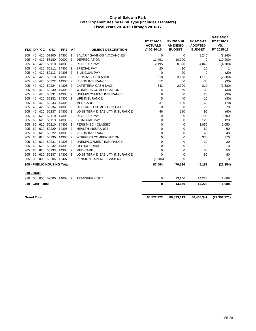| FND DP             |    | <b>CC</b>        | <b>OBJ</b>   | <b>PRJ</b>                 | AT                       | <b>OBJECT DESCRIPTION</b>             | FY 2014-15<br><b>ACTUALS</b><br>@ 06-30-15 | FY 2015-16<br><b>AMENDED</b><br><b>BUDGET</b> | FY 2016-17<br><b>ADOPTED</b><br><b>BUDGET</b> | <b>VARIANCE</b><br>FY 2016-17<br>VS.<br>FY 2015-16 |
|--------------------|----|------------------|--------------|----------------------------|--------------------------|---------------------------------------|--------------------------------------------|-----------------------------------------------|-----------------------------------------------|----------------------------------------------------|
| 905                | 40 |                  | 410 57900    | 14305                      | $\overline{2}$           | SALARY SAVINGS / VACANCIES            | 0                                          | 0                                             | (8, 245)                                      | (8, 245)                                           |
| 905                | 40 | 410              | 58180        | 00000                      | $\overline{2}$           | <b>DEPRECIATION</b>                   | 11,491                                     | 10,900                                        | 0                                             | (10,900)                                           |
| 905                | 40 | 420              | 50110        | 14305                      | $\overline{2}$           | <b>REGULAR PAY</b>                    | 2,195                                      | 8,820                                         | 4,040                                         | (4,780)                                            |
| 905                | 40 | 420              | 50111        | 14305                      | $\overline{2}$           | <b>SPECIAL PAY</b>                    | 20                                         | 10                                            | 10                                            | 1                                                  |
| 905                | 40 | 420              | 50113        | 14305                      | $\overline{2}$           | <b>BILINGUAL PAY</b>                  | $\mathbf 0$                                | 20                                            | 0                                             | (20)                                               |
| 905                | 40 | 420              | 50210        | 14305                      | $\overline{2}$           | PERS MISC - CLASSIC                   | 618                                        | 3,190                                         | 1,110                                         | (2,080)                                            |
| 905                | 40 | 420              | 50222        | 14305                      | $\overline{2}$           | <b>VISION INSURANCE</b>               | 12                                         | 60                                            | 30                                            | (30)                                               |
| 905                | 40 | 420              | 50224        | 14305                      | $\overline{2}$           | <b>CAFETERIA CASH BACK</b>            | 343                                        | 2,390                                         | 810                                           | (1,580)                                            |
| 905                | 40 | 420              | 50230        | 14305                      | $\overline{\phantom{a}}$ | <b>WORKERS COMPENSATION</b>           | 5                                          | 60                                            | 30                                            | (30)                                               |
| 905                | 40 | 420              | 50231        | 14305                      | $\overline{2}$           | UNEMPLOYMENT INSURANCE                | 8                                          | 50                                            | 20                                            | (30)                                               |
| 905                | 40 | 420              | 50232        | 14305                      | $\overline{2}$           | LIFE INSURANCE                        | 5                                          | 40                                            | 10                                            | (30)                                               |
| 905                | 40 | 420              | 50233        | 14305                      | $\overline{2}$           | <b>MEDICARE</b>                       | 31                                         | 130                                           | 60                                            | (70)                                               |
| 905                | 40 | 420              | 50234        | 14305                      | $\overline{2}$           | DEFERRED COMP - CITY PAID             | 0                                          | 0                                             | 70                                            | 70                                                 |
| 905                | 40 | 420              | 50237        | 14305                      | $\overline{2}$           | <b>LONG TERM DISABILITY INSURANCE</b> | 46                                         | 180                                           | 90                                            | (90)                                               |
| 905                | 60 | 620              | 50110        | 14305                      | $\overline{2}$           | <b>REGULAR PAY</b>                    | 0                                          | 0                                             | 3,700                                         | 3,700                                              |
| 905                | 60 | 620              | 50113        | 14305                      | $\overline{2}$           | <b>BILINGUAL PAY</b>                  | $\mathbf 0$                                | 0                                             | 120                                           | 120                                                |
| 905                | 60 | 620              | 50210        | 14305                      | $\overline{2}$           | PERS MISC - CLASSIC                   | 0                                          | 0                                             | 1,050                                         | 1,050                                              |
| 905                | 60 | 620              | 50220        | 14305                      | $\overline{2}$           | <b>HEALTH INSURANCE</b>               | 0                                          | 0                                             | 60                                            | 60                                                 |
| 905                | 60 | 620              | 50222        | 14305                      | $\overline{2}$           | <b>VISION INSURANCE</b>               | 0                                          | 0                                             | 40                                            | 40                                                 |
| 905                | 60 | 620              | 50230        | 14305                      | $\overline{2}$           | <b>WORKERS COMPENSATION</b>           | 0                                          | 0                                             | 370                                           | 370                                                |
| 905                | 60 | 620              | 50231        | 14305                      | $\overline{2}$           | UNEMPLOYMENT INSURANCE                | 0                                          | $\mathbf 0$                                   | 30                                            | 30                                                 |
| 905                | 60 | 620              | 50232        | 14305                      | $\overline{2}$           | <b>LIFE INSURANCE</b>                 | 0                                          | 0                                             | 10                                            | 10                                                 |
| 905                | 60 | 620              | 50233        | 14305                      | $\overline{2}$           | <b>MEDICARE</b>                       | $\Omega$                                   | $\mathbf 0$                                   | 50                                            | 50                                                 |
| 905                | 60 | 620              | 50237        | 14305                      | $\overline{2}$           | LONG TERM DISABILITY INSURANCE        | $\Omega$                                   | 0                                             | 80                                            | 80                                                 |
| 905                | 00 |                  | 000 50205    | 12407 2                    |                          | PENSION EXPENSE GASB 68               | (1,684)                                    | 0                                             | 0                                             | $\mathbf 0$                                        |
|                    |    |                  |              | 905 - PUBLIC HOUSING Total |                          |                                       | 87,064                                     | 70,536                                        | 48,182                                        | (22, 354)                                          |
| 910 - CIAP:        |    |                  |              |                            |                          |                                       |                                            |                                               |                                               |                                                    |
| 910                |    |                  | 00 000 59000 | 14608 2                    |                          | <b>TRANSFERS OUT</b>                  | 0                                          | 13,140                                        | 14,228                                        | 1,088                                              |
|                    |    | 910 - CIAP Total |              |                            |                          |                                       | 0                                          | 13,140                                        | 14,228                                        | 1,088                                              |
| <b>Grand Total</b> |    |                  |              |                            |                          |                                       | 60,577,772                                 | 89,823,113                                    | 60,465,341                                    | (29, 357, 771)                                     |